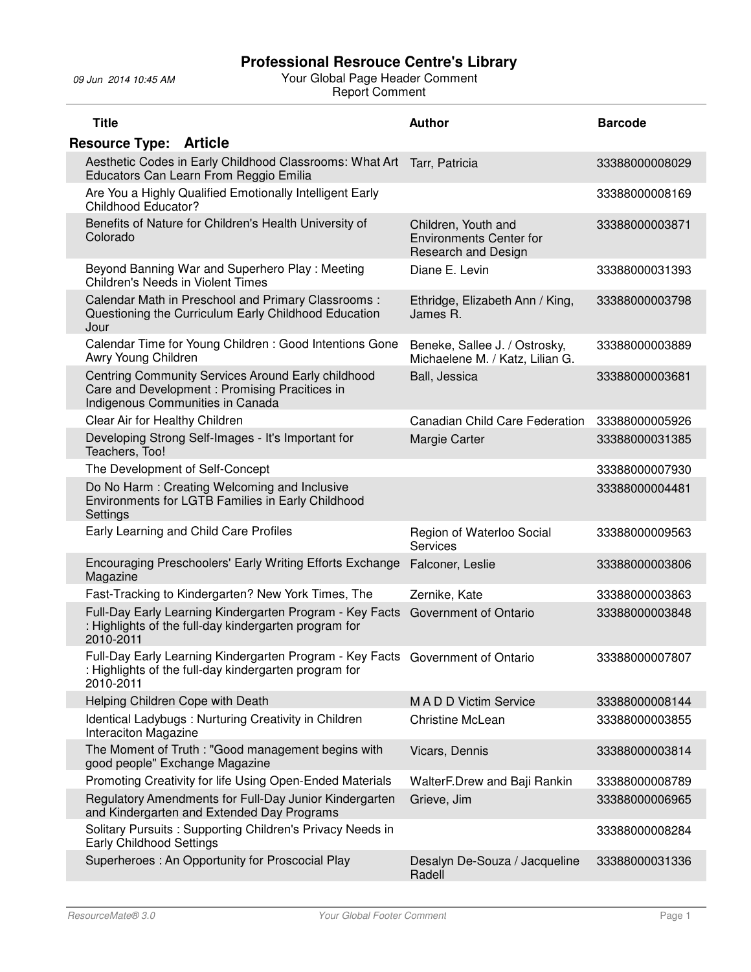| <b>Title</b> |                                                                                                                                         | <b>Author</b>                                                                       | <b>Barcode</b> |
|--------------|-----------------------------------------------------------------------------------------------------------------------------------------|-------------------------------------------------------------------------------------|----------------|
|              | <b>Resource Type: Article</b>                                                                                                           |                                                                                     |                |
|              | Aesthetic Codes in Early Childhood Classrooms: What Art<br>Educators Can Learn From Reggio Emilia                                       | Tarr, Patricia                                                                      | 33388000008029 |
|              | Are You a Highly Qualified Emotionally Intelligent Early<br><b>Childhood Educator?</b>                                                  |                                                                                     | 33388000008169 |
| Colorado     | Benefits of Nature for Children's Health University of                                                                                  | Children, Youth and<br><b>Environments Center for</b><br><b>Research and Design</b> | 33388000003871 |
|              | Beyond Banning War and Superhero Play: Meeting<br>Children's Needs in Violent Times                                                     | Diane E. Levin                                                                      | 33388000031393 |
| Jour         | Calendar Math in Preschool and Primary Classrooms:<br>Questioning the Curriculum Early Childhood Education                              | Ethridge, Elizabeth Ann / King,<br>James R.                                         | 33388000003798 |
|              | Calendar Time for Young Children : Good Intentions Gone<br>Awry Young Children                                                          | Beneke, Sallee J. / Ostrosky,<br>Michaelene M. / Katz, Lilian G.                    | 33388000003889 |
|              | Centring Community Services Around Early childhood<br>Care and Development: Promising Pracitices in<br>Indigenous Communities in Canada | Ball, Jessica                                                                       | 33388000003681 |
|              | Clear Air for Healthy Children                                                                                                          | Canadian Child Care Federation                                                      | 33388000005926 |
|              | Developing Strong Self-Images - It's Important for<br>Teachers, Too!                                                                    | Margie Carter                                                                       | 33388000031385 |
|              | The Development of Self-Concept                                                                                                         |                                                                                     | 33388000007930 |
| Settings     | Do No Harm: Creating Welcoming and Inclusive<br>Environments for LGTB Families in Early Childhood                                       |                                                                                     | 33388000004481 |
|              | Early Learning and Child Care Profiles                                                                                                  | Region of Waterloo Social<br>Services                                               | 33388000009563 |
| Magazine     | Encouraging Preschoolers' Early Writing Efforts Exchange                                                                                | Falconer, Leslie                                                                    | 33388000003806 |
|              | Fast-Tracking to Kindergarten? New York Times, The                                                                                      | Zernike, Kate                                                                       | 33388000003863 |
| 2010-2011    | Full-Day Early Learning Kindergarten Program - Key Facts<br>: Highlights of the full-day kindergarten program for                       | Government of Ontario                                                               | 33388000003848 |
| 2010-2011    | Full-Day Early Learning Kindergarten Program - Key Facts<br>: Highlights of the full-day kindergarten program for                       | Government of Ontario                                                               | 33388000007807 |
|              | Helping Children Cope with Death                                                                                                        | MADD Victim Service                                                                 | 33388000008144 |
|              | Identical Ladybugs: Nurturing Creativity in Children<br>Interaciton Magazine                                                            | <b>Christine McLean</b>                                                             | 33388000003855 |
|              | The Moment of Truth : "Good management begins with<br>good people" Exchange Magazine                                                    | Vicars, Dennis                                                                      | 33388000003814 |
|              | Promoting Creativity for life Using Open-Ended Materials                                                                                | WalterF.Drew and Baji Rankin                                                        | 33388000008789 |
|              | Regulatory Amendments for Full-Day Junior Kindergarten<br>and Kindergarten and Extended Day Programs                                    | Grieve, Jim                                                                         | 33388000006965 |
|              | Solitary Pursuits: Supporting Children's Privacy Needs in<br><b>Early Childhood Settings</b>                                            |                                                                                     | 33388000008284 |
|              | Superheroes: An Opportunity for Proscocial Play                                                                                         | Desalyn De-Souza / Jacqueline<br>Radell                                             | 33388000031336 |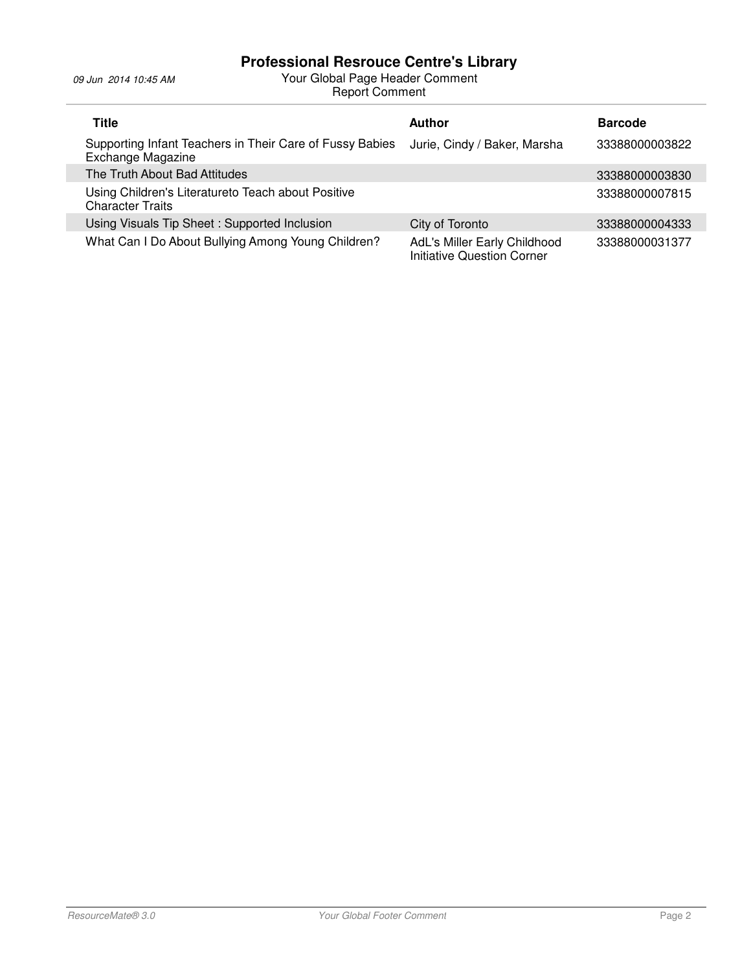| <b>Title</b>                                                                         | <b>Author</b>                                                     | <b>Barcode</b> |
|--------------------------------------------------------------------------------------|-------------------------------------------------------------------|----------------|
| Supporting Infant Teachers in Their Care of Fussy Babies<br><b>Exchange Magazine</b> | Jurie, Cindy / Baker, Marsha                                      | 33388000003822 |
| The Truth About Bad Attitudes                                                        |                                                                   | 33388000003830 |
| Using Children's Literatureto Teach about Positive<br><b>Character Traits</b>        |                                                                   | 33388000007815 |
| Using Visuals Tip Sheet: Supported Inclusion                                         | City of Toronto                                                   | 33388000004333 |
| What Can I Do About Bullying Among Young Children?                                   | AdL's Miller Early Childhood<br><b>Initiative Question Corner</b> | 33388000031377 |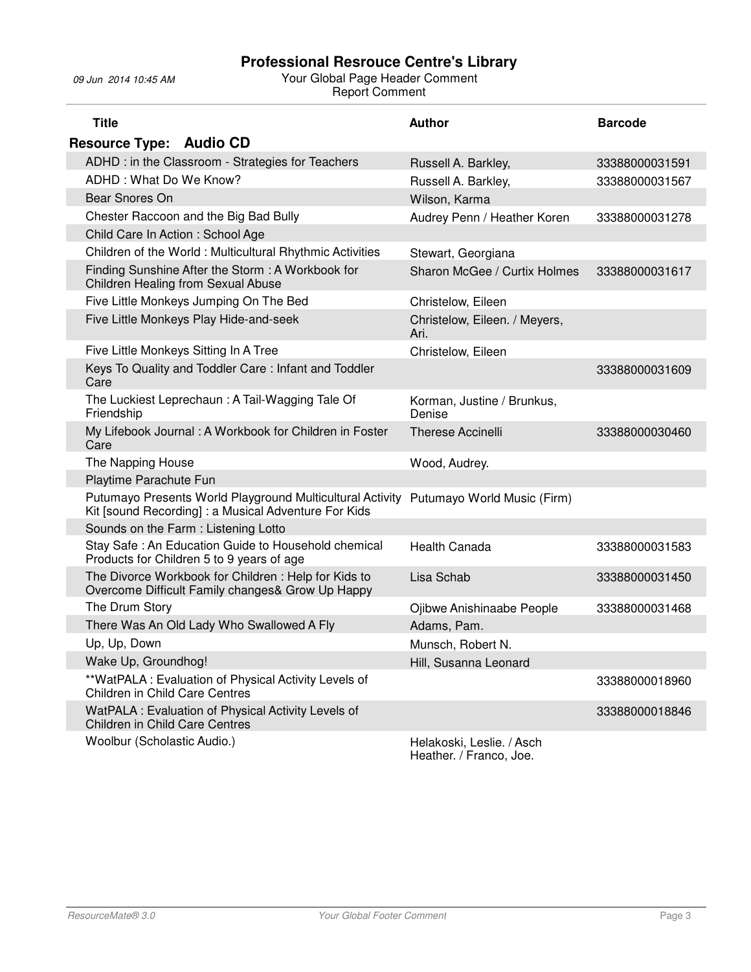| <b>Title</b>                                                                                                      | <b>Author</b>                                        | <b>Barcode</b> |
|-------------------------------------------------------------------------------------------------------------------|------------------------------------------------------|----------------|
| <b>Resource Type: Audio CD</b>                                                                                    |                                                      |                |
| ADHD : in the Classroom - Strategies for Teachers                                                                 | Russell A. Barkley,                                  | 33388000031591 |
| ADHD: What Do We Know?                                                                                            | Russell A. Barkley,                                  | 33388000031567 |
| Bear Snores On                                                                                                    | Wilson, Karma                                        |                |
| Chester Raccoon and the Big Bad Bully                                                                             | Audrey Penn / Heather Koren                          | 33388000031278 |
| Child Care In Action: School Age                                                                                  |                                                      |                |
| Children of the World: Multicultural Rhythmic Activities                                                          | Stewart, Georgiana                                   |                |
| Finding Sunshine After the Storm: A Workbook for<br><b>Children Healing from Sexual Abuse</b>                     | Sharon McGee / Curtix Holmes                         | 33388000031617 |
| Five Little Monkeys Jumping On The Bed                                                                            | Christelow, Eileen                                   |                |
| Five Little Monkeys Play Hide-and-seek                                                                            | Christelow, Eileen. / Meyers,<br>Ari.                |                |
| Five Little Monkeys Sitting In A Tree                                                                             | Christelow, Eileen                                   |                |
| Keys To Quality and Toddler Care: Infant and Toddler<br>Care                                                      |                                                      | 33388000031609 |
| The Luckiest Leprechaun: A Tail-Wagging Tale Of<br>Friendship                                                     | Korman, Justine / Brunkus,<br>Denise                 |                |
| My Lifebook Journal: A Workbook for Children in Foster<br>Care                                                    | <b>Therese Accinelli</b>                             | 33388000030460 |
| The Napping House                                                                                                 | Wood, Audrey.                                        |                |
| Playtime Parachute Fun                                                                                            |                                                      |                |
| Putumayo Presents World Playground Multicultural Activity<br>Kit [sound Recording] : a Musical Adventure For Kids | Putumayo World Music (Firm)                          |                |
| Sounds on the Farm: Listening Lotto                                                                               |                                                      |                |
| Stay Safe: An Education Guide to Household chemical<br>Products for Children 5 to 9 years of age                  | <b>Health Canada</b>                                 | 33388000031583 |
| The Divorce Workbook for Children: Help for Kids to<br>Overcome Difficult Family changes& Grow Up Happy           | Lisa Schab                                           | 33388000031450 |
| The Drum Story                                                                                                    | Ojibwe Anishinaabe People                            | 33388000031468 |
| There Was An Old Lady Who Swallowed A Fly                                                                         | Adams, Pam.                                          |                |
| Up, Up, Down                                                                                                      | Munsch, Robert N.                                    |                |
| Wake Up, Groundhog!                                                                                               | Hill, Susanna Leonard                                |                |
| **WatPALA : Evaluation of Physical Activity Levels of<br><b>Children in Child Care Centres</b>                    |                                                      | 33388000018960 |
| WatPALA : Evaluation of Physical Activity Levels of<br>Children in Child Care Centres                             |                                                      | 33388000018846 |
| Woolbur (Scholastic Audio.)                                                                                       | Helakoski, Leslie. / Asch<br>Heather. / Franco, Joe. |                |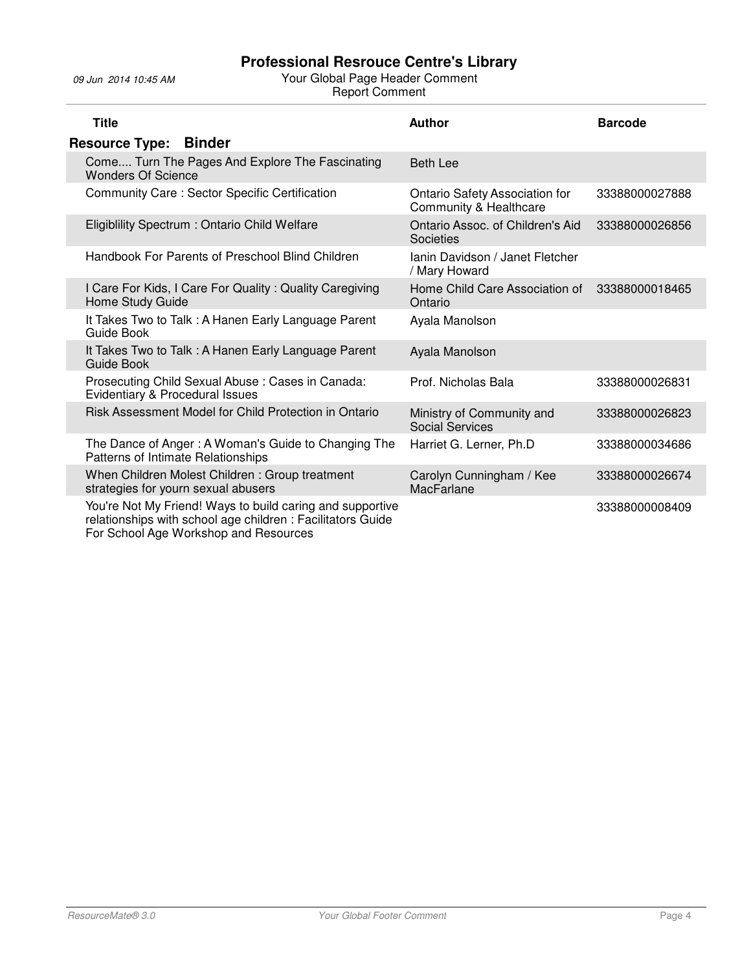| <b>Title</b>                                                                                                                                                     | <b>Author</b>                                            | <b>Barcode</b> |
|------------------------------------------------------------------------------------------------------------------------------------------------------------------|----------------------------------------------------------|----------------|
| <b>Resource Type:</b><br><b>Binder</b>                                                                                                                           |                                                          |                |
| Come Turn The Pages And Explore The Fascinating<br><b>Wonders Of Science</b>                                                                                     | <b>Beth Lee</b>                                          |                |
| Community Care: Sector Specific Certification                                                                                                                    | Ontario Safety Association for<br>Community & Healthcare | 33388000027888 |
| Eligiblility Spectrum: Ontario Child Welfare                                                                                                                     | Ontario Assoc. of Children's Aid<br>Societies            | 33388000026856 |
| Handbook For Parents of Preschool Blind Children                                                                                                                 | Ianin Davidson / Janet Fletcher<br>/ Mary Howard         |                |
| I Care For Kids, I Care For Quality: Quality Caregiving<br>Home Study Guide                                                                                      | Home Child Care Association of<br>Ontario                | 33388000018465 |
| It Takes Two to Talk: A Hanen Early Language Parent<br>Guide Book                                                                                                | Ayala Manolson                                           |                |
| It Takes Two to Talk: A Hanen Early Language Parent<br>Guide Book                                                                                                | Ayala Manolson                                           |                |
| Prosecuting Child Sexual Abuse: Cases in Canada:<br>Evidentiary & Procedural Issues                                                                              | Prof. Nicholas Bala                                      | 33388000026831 |
| Risk Assessment Model for Child Protection in Ontario                                                                                                            | Ministry of Community and<br><b>Social Services</b>      | 33388000026823 |
| The Dance of Anger: A Woman's Guide to Changing The<br>Patterns of Intimate Relationships                                                                        | Harriet G. Lerner, Ph.D                                  | 33388000034686 |
| When Children Molest Children: Group treatment<br>strategies for yourn sexual abusers                                                                            | Carolyn Cunningham / Kee<br>MacFarlane                   | 33388000026674 |
| You're Not My Friend! Ways to build caring and supportive<br>relationships with school age children: Facilitators Guide<br>For School Age Workshop and Resources |                                                          | 33388000008409 |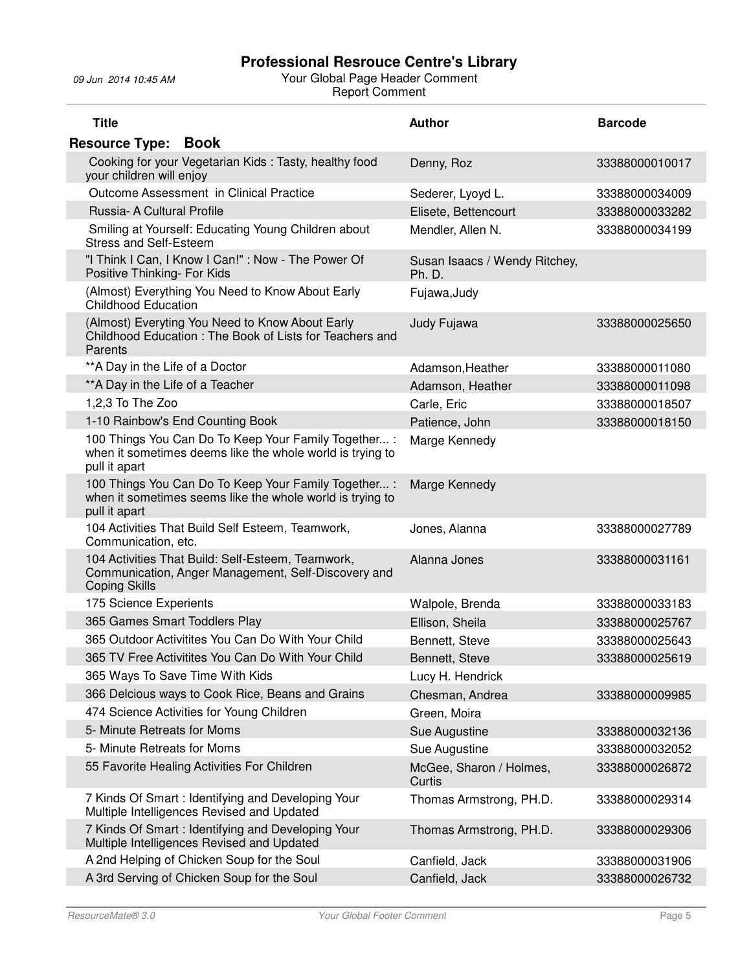| <b>Title</b>                                                                                                                       | <b>Author</b>                           | <b>Barcode</b> |
|------------------------------------------------------------------------------------------------------------------------------------|-----------------------------------------|----------------|
| <b>Book</b><br><b>Resource Type:</b>                                                                                               |                                         |                |
| Cooking for your Vegetarian Kids: Tasty, healthy food<br>your children will enjoy                                                  | Denny, Roz                              | 33388000010017 |
| Outcome Assessment in Clinical Practice                                                                                            | Sederer, Lyoyd L.                       | 33388000034009 |
| Russia- A Cultural Profile                                                                                                         | Elisete, Bettencourt                    | 33388000033282 |
| Smiling at Yourself: Educating Young Children about<br><b>Stress and Self-Esteem</b>                                               | Mendler, Allen N.                       | 33388000034199 |
| "I Think I Can, I Know I Can!" : Now - The Power Of<br>Positive Thinking- For Kids                                                 | Susan Isaacs / Wendy Ritchey,<br>Ph. D. |                |
| (Almost) Everything You Need to Know About Early<br><b>Childhood Education</b>                                                     | Fujawa, Judy                            |                |
| (Almost) Everyting You Need to Know About Early<br>Childhood Education: The Book of Lists for Teachers and<br>Parents              | Judy Fujawa                             | 33388000025650 |
| ** A Day in the Life of a Doctor                                                                                                   | Adamson, Heather                        | 33388000011080 |
| ** A Day in the Life of a Teacher                                                                                                  | Adamson, Heather                        | 33388000011098 |
| 1,2,3 To The Zoo                                                                                                                   | Carle, Eric                             | 33388000018507 |
| 1-10 Rainbow's End Counting Book                                                                                                   | Patience, John                          | 33388000018150 |
| 100 Things You Can Do To Keep Your Family Together :<br>when it sometimes deems like the whole world is trying to<br>pull it apart | Marge Kennedy                           |                |
| 100 Things You Can Do To Keep Your Family Together :<br>when it sometimes seems like the whole world is trying to<br>pull it apart | Marge Kennedy                           |                |
| 104 Activities That Build Self Esteem, Teamwork,<br>Communication, etc.                                                            | Jones, Alanna                           | 33388000027789 |
| 104 Activities That Build: Self-Esteem, Teamwork,<br>Communication, Anger Management, Self-Discovery and<br><b>Coping Skills</b>   | Alanna Jones                            | 33388000031161 |
| 175 Science Experients                                                                                                             | Walpole, Brenda                         | 33388000033183 |
| 365 Games Smart Toddlers Play                                                                                                      | Ellison, Sheila                         | 33388000025767 |
| 365 Outdoor Activitites You Can Do With Your Child                                                                                 | Bennett, Steve                          | 33388000025643 |
| 365 TV Free Activitites You Can Do With Your Child                                                                                 | Bennett, Steve                          | 33388000025619 |
| 365 Ways To Save Time With Kids                                                                                                    | Lucy H. Hendrick                        |                |
| 366 Delcious ways to Cook Rice, Beans and Grains                                                                                   | Chesman, Andrea                         | 33388000009985 |
| 474 Science Activities for Young Children                                                                                          | Green, Moira                            |                |
| 5- Minute Retreats for Moms                                                                                                        | Sue Augustine                           | 33388000032136 |
| 5- Minute Retreats for Moms                                                                                                        | Sue Augustine                           | 33388000032052 |
| 55 Favorite Healing Activities For Children                                                                                        | McGee, Sharon / Holmes,<br>Curtis       | 33388000026872 |
| 7 Kinds Of Smart: Identifying and Developing Your<br>Multiple Intelligences Revised and Updated                                    | Thomas Armstrong, PH.D.                 | 33388000029314 |
| 7 Kinds Of Smart: Identifying and Developing Your<br>Multiple Intelligences Revised and Updated                                    | Thomas Armstrong, PH.D.                 | 33388000029306 |
| A 2nd Helping of Chicken Soup for the Soul                                                                                         | Canfield, Jack                          | 33388000031906 |
| A 3rd Serving of Chicken Soup for the Soul                                                                                         | Canfield, Jack                          | 33388000026732 |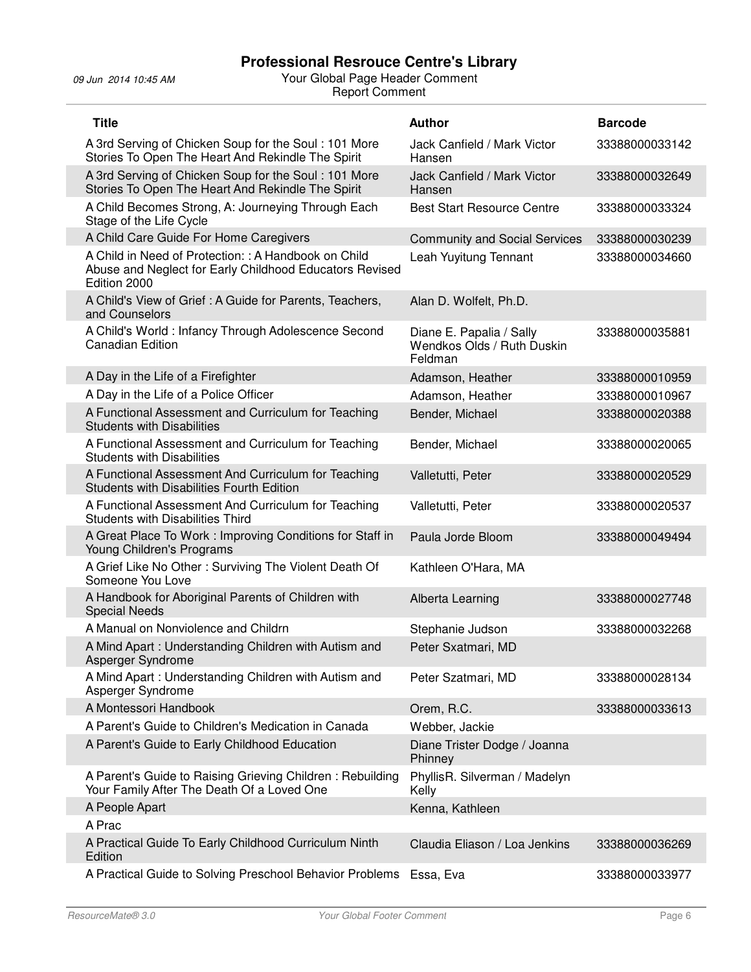j.

| <b>Title</b>                                                                                                                    | <b>Author</b>                                                     | <b>Barcode</b> |
|---------------------------------------------------------------------------------------------------------------------------------|-------------------------------------------------------------------|----------------|
| A 3rd Serving of Chicken Soup for the Soul: 101 More<br>Stories To Open The Heart And Rekindle The Spirit                       | Jack Canfield / Mark Victor<br>Hansen                             | 33388000033142 |
| A 3rd Serving of Chicken Soup for the Soul: 101 More<br>Stories To Open The Heart And Rekindle The Spirit                       | Jack Canfield / Mark Victor<br>Hansen                             | 33388000032649 |
| A Child Becomes Strong, A: Journeying Through Each<br>Stage of the Life Cycle                                                   | <b>Best Start Resource Centre</b>                                 | 33388000033324 |
| A Child Care Guide For Home Caregivers                                                                                          | <b>Community and Social Services</b>                              | 33388000030239 |
| A Child in Need of Protection: : A Handbook on Child<br>Abuse and Neglect for Early Childhood Educators Revised<br>Edition 2000 | Leah Yuyitung Tennant                                             | 33388000034660 |
| A Child's View of Grief : A Guide for Parents, Teachers,<br>and Counselors                                                      | Alan D. Wolfelt, Ph.D.                                            |                |
| A Child's World: Infancy Through Adolescence Second<br><b>Canadian Edition</b>                                                  | Diane E. Papalia / Sally<br>Wendkos Olds / Ruth Duskin<br>Feldman | 33388000035881 |
| A Day in the Life of a Firefighter                                                                                              | Adamson, Heather                                                  | 33388000010959 |
| A Day in the Life of a Police Officer                                                                                           | Adamson, Heather                                                  | 33388000010967 |
| A Functional Assessment and Curriculum for Teaching<br><b>Students with Disabilities</b>                                        | Bender, Michael                                                   | 33388000020388 |
| A Functional Assessment and Curriculum for Teaching<br><b>Students with Disabilities</b>                                        | Bender, Michael                                                   | 33388000020065 |
| A Functional Assessment And Curriculum for Teaching<br><b>Students with Disabilities Fourth Edition</b>                         | Valletutti, Peter                                                 | 33388000020529 |
| A Functional Assessment And Curriculum for Teaching<br><b>Students with Disabilities Third</b>                                  | Valletutti, Peter                                                 | 33388000020537 |
| A Great Place To Work: Improving Conditions for Staff in<br>Young Children's Programs                                           | Paula Jorde Bloom                                                 | 33388000049494 |
| A Grief Like No Other: Surviving The Violent Death Of<br>Someone You Love                                                       | Kathleen O'Hara, MA                                               |                |
| A Handbook for Aboriginal Parents of Children with<br><b>Special Needs</b>                                                      | Alberta Learning                                                  | 33388000027748 |
| A Manual on Nonviolence and Childrn                                                                                             | Stephanie Judson                                                  | 33388000032268 |
| A Mind Apart: Understanding Children with Autism and<br>Asperger Syndrome                                                       | Peter Sxatmari, MD                                                |                |
| A Mind Apart: Understanding Children with Autism and<br>Asperger Syndrome                                                       | Peter Szatmari, MD                                                | 33388000028134 |
| A Montessori Handbook                                                                                                           | Orem, R.C.                                                        | 33388000033613 |
| A Parent's Guide to Children's Medication in Canada                                                                             | Webber, Jackie                                                    |                |
| A Parent's Guide to Early Childhood Education                                                                                   | Diane Trister Dodge / Joanna<br>Phinney                           |                |
| A Parent's Guide to Raising Grieving Children: Rebuilding<br>Your Family After The Death Of a Loved One                         | PhyllisR. Silverman / Madelyn<br>Kelly                            |                |
| A People Apart                                                                                                                  | Kenna, Kathleen                                                   |                |
| A Prac                                                                                                                          |                                                                   |                |
| A Practical Guide To Early Childhood Curriculum Ninth<br>Edition                                                                | Claudia Eliason / Loa Jenkins                                     | 33388000036269 |
| A Practical Guide to Solving Preschool Behavior Problems                                                                        | Essa, Eva                                                         | 33388000033977 |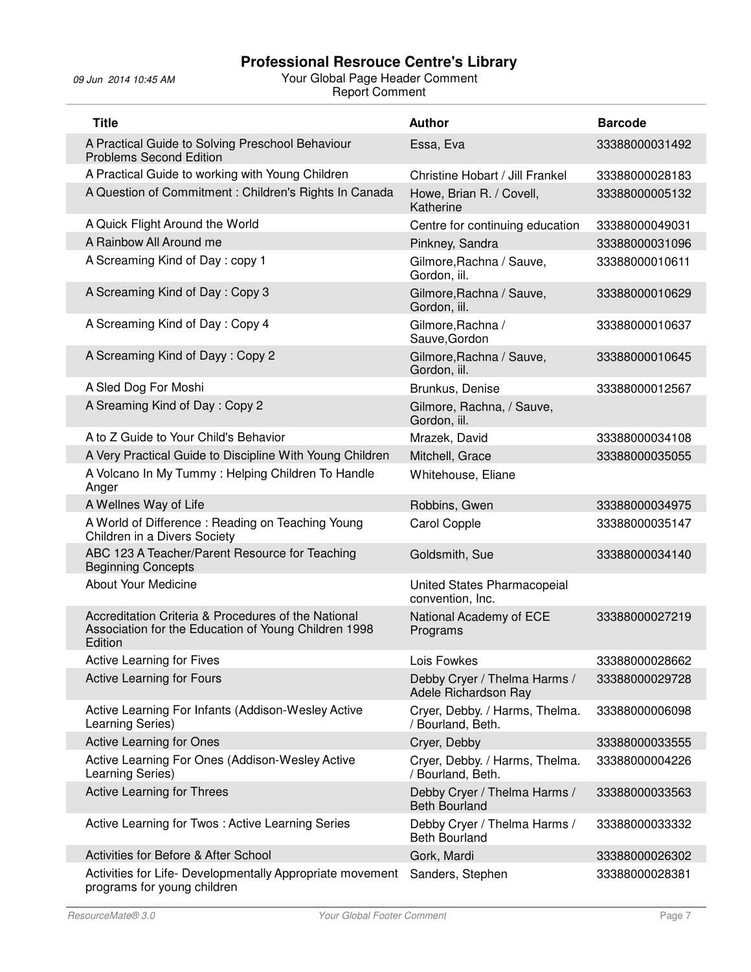| <b>Title</b>                                                                                                           | <b>Author</b>                                        | <b>Barcode</b> |
|------------------------------------------------------------------------------------------------------------------------|------------------------------------------------------|----------------|
| A Practical Guide to Solving Preschool Behaviour<br><b>Problems Second Edition</b>                                     | Essa, Eva                                            | 33388000031492 |
| A Practical Guide to working with Young Children                                                                       | Christine Hobart / Jill Frankel                      | 33388000028183 |
| A Question of Commitment : Children's Rights In Canada                                                                 | Howe, Brian R. / Covell,<br>Katherine                | 33388000005132 |
| A Quick Flight Around the World                                                                                        | Centre for continuing education                      | 33388000049031 |
| A Rainbow All Around me                                                                                                | Pinkney, Sandra                                      | 33388000031096 |
| A Screaming Kind of Day: copy 1                                                                                        | Gilmore, Rachna / Sauve,<br>Gordon, iil.             | 33388000010611 |
| A Screaming Kind of Day: Copy 3                                                                                        | Gilmore, Rachna / Sauve,<br>Gordon, iil.             | 33388000010629 |
| A Screaming Kind of Day: Copy 4                                                                                        | Gilmore, Rachna /<br>Sauve, Gordon                   | 33388000010637 |
| A Screaming Kind of Dayy: Copy 2                                                                                       | Gilmore, Rachna / Sauve,<br>Gordon, iil.             | 33388000010645 |
| A Sled Dog For Moshi                                                                                                   | Brunkus, Denise                                      | 33388000012567 |
| A Sreaming Kind of Day: Copy 2                                                                                         | Gilmore, Rachna, / Sauve,<br>Gordon, iil.            |                |
| A to Z Guide to Your Child's Behavior                                                                                  | Mrazek, David                                        | 33388000034108 |
| A Very Practical Guide to Discipline With Young Children                                                               | Mitchell, Grace                                      | 33388000035055 |
| A Volcano In My Tummy: Helping Children To Handle<br>Anger                                                             | Whitehouse, Eliane                                   |                |
| A Wellnes Way of Life                                                                                                  | Robbins, Gwen                                        | 33388000034975 |
| A World of Difference: Reading on Teaching Young<br>Children in a Divers Society                                       | <b>Carol Copple</b>                                  | 33388000035147 |
| ABC 123 A Teacher/Parent Resource for Teaching<br><b>Beginning Concepts</b>                                            | Goldsmith, Sue                                       | 33388000034140 |
| <b>About Your Medicine</b>                                                                                             | United States Pharmacopeial<br>convention, Inc.      |                |
| Accreditation Criteria & Procedures of the National<br>Association for the Education of Young Children 1998<br>Edition | National Academy of ECE<br>Programs                  | 33388000027219 |
| Active Learning for Fives                                                                                              | Lois Fowkes                                          | 33388000028662 |
| <b>Active Learning for Fours</b>                                                                                       | Debby Cryer / Thelma Harms /<br>Adele Richardson Ray | 33388000029728 |
| Active Learning For Infants (Addison-Wesley Active<br>Learning Series)                                                 | Cryer, Debby. / Harms, Thelma.<br>/ Bourland, Beth.  | 33388000006098 |
| <b>Active Learning for Ones</b>                                                                                        | Cryer, Debby                                         | 33388000033555 |
| Active Learning For Ones (Addison-Wesley Active<br>Learning Series)                                                    | Cryer, Debby. / Harms, Thelma.<br>/ Bourland, Beth.  | 33388000004226 |
| <b>Active Learning for Threes</b>                                                                                      | Debby Cryer / Thelma Harms /<br><b>Beth Bourland</b> | 33388000033563 |
| Active Learning for Twos: Active Learning Series                                                                       | Debby Cryer / Thelma Harms /<br><b>Beth Bourland</b> | 33388000033332 |
| Activities for Before & After School                                                                                   | Gork, Mardi                                          | 33388000026302 |
| Activities for Life- Developmentally Appropriate movement<br>programs for young children                               | Sanders, Stephen                                     | 33388000028381 |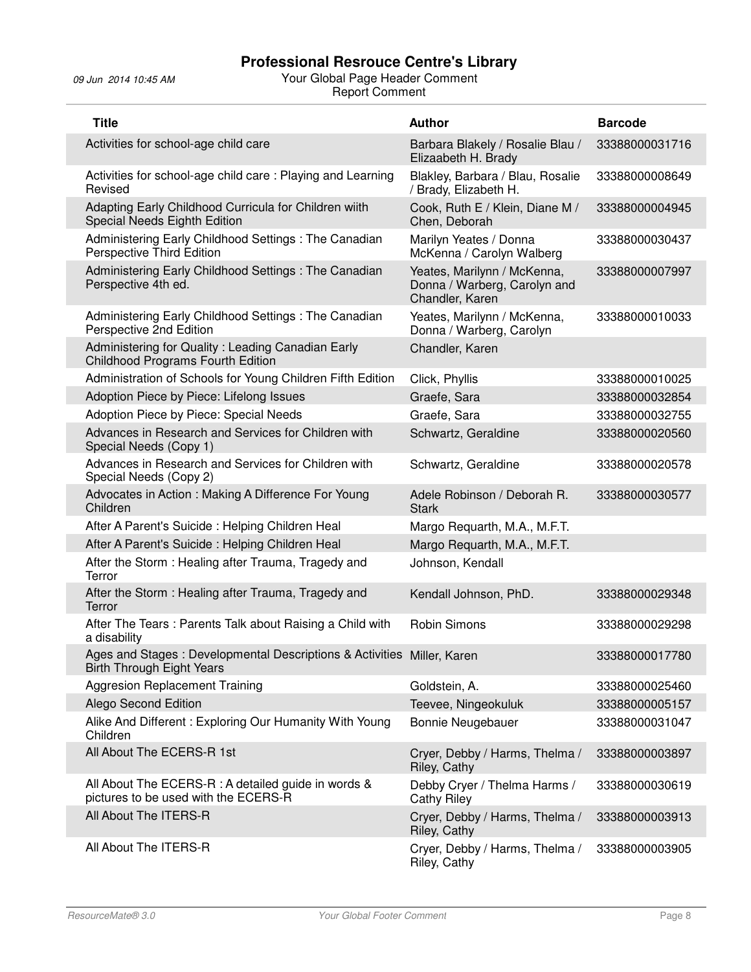| <b>Title</b>                                                                                               | <b>Author</b>                                                                  | <b>Barcode</b> |
|------------------------------------------------------------------------------------------------------------|--------------------------------------------------------------------------------|----------------|
| Activities for school-age child care                                                                       | Barbara Blakely / Rosalie Blau /<br>Elizaabeth H. Brady                        | 33388000031716 |
| Activities for school-age child care: Playing and Learning<br>Revised                                      | Blakley, Barbara / Blau, Rosalie<br>/ Brady, Elizabeth H.                      | 33388000008649 |
| Adapting Early Childhood Curricula for Children wiith<br>Special Needs Eighth Edition                      | Cook, Ruth E / Klein, Diane M /<br>Chen, Deborah                               | 33388000004945 |
| Administering Early Childhood Settings: The Canadian<br>Perspective Third Edition                          | Marilyn Yeates / Donna<br>McKenna / Carolyn Walberg                            | 33388000030437 |
| Administering Early Childhood Settings: The Canadian<br>Perspective 4th ed.                                | Yeates, Marilynn / McKenna,<br>Donna / Warberg, Carolyn and<br>Chandler, Karen | 33388000007997 |
| Administering Early Childhood Settings: The Canadian<br>Perspective 2nd Edition                            | Yeates, Marilynn / McKenna,<br>Donna / Warberg, Carolyn                        | 33388000010033 |
| Administering for Quality : Leading Canadian Early<br><b>Childhood Programs Fourth Edition</b>             | Chandler, Karen                                                                |                |
| Administration of Schools for Young Children Fifth Edition                                                 | Click, Phyllis                                                                 | 33388000010025 |
| Adoption Piece by Piece: Lifelong Issues                                                                   | Graefe, Sara                                                                   | 33388000032854 |
| Adoption Piece by Piece: Special Needs                                                                     | Graefe, Sara                                                                   | 33388000032755 |
| Advances in Research and Services for Children with<br>Special Needs (Copy 1)                              | Schwartz, Geraldine                                                            | 33388000020560 |
| Advances in Research and Services for Children with<br>Special Needs (Copy 2)                              | Schwartz, Geraldine                                                            | 33388000020578 |
| Advocates in Action: Making A Difference For Young<br>Children                                             | Adele Robinson / Deborah R.<br><b>Stark</b>                                    | 33388000030577 |
| After A Parent's Suicide: Helping Children Heal                                                            | Margo Requarth, M.A., M.F.T.                                                   |                |
| After A Parent's Suicide: Helping Children Heal                                                            | Margo Requarth, M.A., M.F.T.                                                   |                |
| After the Storm: Healing after Trauma, Tragedy and<br>Terror                                               | Johnson, Kendall                                                               |                |
| After the Storm: Healing after Trauma, Tragedy and<br>Terror                                               | Kendall Johnson, PhD.                                                          | 33388000029348 |
| After The Tears: Parents Talk about Raising a Child with<br>a disability                                   | <b>Robin Simons</b>                                                            | 33388000029298 |
| Ages and Stages: Developmental Descriptions & Activities Miller, Karen<br><b>Birth Through Eight Years</b> |                                                                                | 33388000017780 |
| <b>Aggresion Replacement Training</b>                                                                      | Goldstein, A.                                                                  | 33388000025460 |
| <b>Alego Second Edition</b>                                                                                | Teevee, Ningeokuluk                                                            | 33388000005157 |
| Alike And Different: Exploring Our Humanity With Young<br>Children                                         | <b>Bonnie Neugebauer</b>                                                       | 33388000031047 |
| All About The ECERS-R 1st                                                                                  | Cryer, Debby / Harms, Thelma /<br>Riley, Cathy                                 | 33388000003897 |
| All About The ECERS-R : A detailed guide in words &<br>pictures to be used with the ECERS-R                | Debby Cryer / Thelma Harms /<br><b>Cathy Riley</b>                             | 33388000030619 |
| All About The ITERS-R                                                                                      | Cryer, Debby / Harms, Thelma /<br>Riley, Cathy                                 | 33388000003913 |
| All About The ITERS-R                                                                                      | Cryer, Debby / Harms, Thelma /<br>Riley, Cathy                                 | 33388000003905 |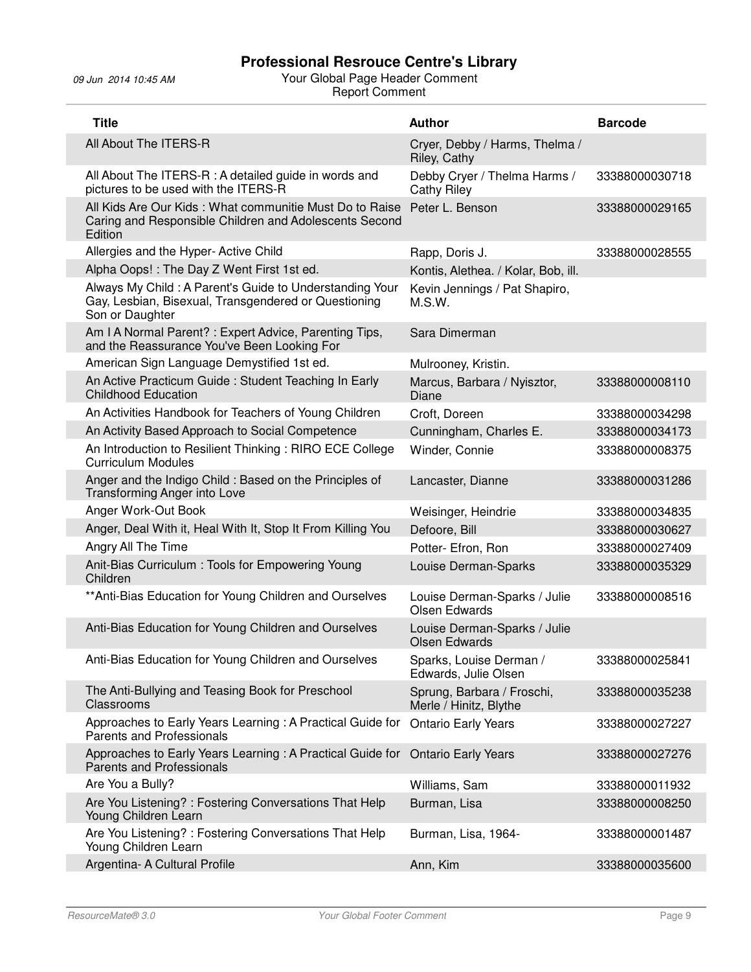| <b>Title</b>                                                                                                                       | <b>Author</b>                                        | <b>Barcode</b> |
|------------------------------------------------------------------------------------------------------------------------------------|------------------------------------------------------|----------------|
| All About The ITERS-R                                                                                                              | Cryer, Debby / Harms, Thelma /<br>Riley, Cathy       |                |
| All About The ITERS-R : A detailed guide in words and<br>pictures to be used with the ITERS-R                                      | Debby Cryer / Thelma Harms /<br>Cathy Riley          | 33388000030718 |
| All Kids Are Our Kids: What communitie Must Do to Raise<br>Caring and Responsible Children and Adolescents Second<br>Edition       | Peter L. Benson                                      | 33388000029165 |
| Allergies and the Hyper- Active Child                                                                                              | Rapp, Doris J.                                       | 33388000028555 |
| Alpha Oops!: The Day Z Went First 1st ed.                                                                                          | Kontis, Alethea. / Kolar, Bob, ill.                  |                |
| Always My Child: A Parent's Guide to Understanding Your<br>Gay, Lesbian, Bisexual, Transgendered or Questioning<br>Son or Daughter | Kevin Jennings / Pat Shapiro,<br>M.S.W.              |                |
| Am I A Normal Parent? : Expert Advice, Parenting Tips,<br>and the Reassurance You've Been Looking For                              | Sara Dimerman                                        |                |
| American Sign Language Demystified 1st ed.                                                                                         | Mulrooney, Kristin.                                  |                |
| An Active Practicum Guide: Student Teaching In Early<br><b>Childhood Education</b>                                                 | Marcus, Barbara / Nyisztor,<br>Diane                 | 33388000008110 |
| An Activities Handbook for Teachers of Young Children                                                                              | Croft, Doreen                                        | 33388000034298 |
| An Activity Based Approach to Social Competence                                                                                    | Cunningham, Charles E.                               | 33388000034173 |
| An Introduction to Resilient Thinking: RIRO ECE College<br><b>Curriculum Modules</b>                                               | Winder, Connie                                       | 33388000008375 |
| Anger and the Indigo Child : Based on the Principles of<br>Transforming Anger into Love                                            | Lancaster, Dianne                                    | 33388000031286 |
| Anger Work-Out Book                                                                                                                | Weisinger, Heindrie                                  | 33388000034835 |
| Anger, Deal With it, Heal With It, Stop It From Killing You                                                                        | Defoore, Bill                                        | 33388000030627 |
| Angry All The Time                                                                                                                 | Potter- Efron, Ron                                   | 33388000027409 |
| Anit-Bias Curriculum: Tools for Empowering Young<br>Children                                                                       | Louise Derman-Sparks                                 | 33388000035329 |
| ** Anti-Bias Education for Young Children and Ourselves                                                                            | Louise Derman-Sparks / Julie<br><b>Olsen Edwards</b> | 33388000008516 |
| Anti-Bias Education for Young Children and Ourselves                                                                               | Louise Derman-Sparks / Julie<br><b>Olsen Edwards</b> |                |
| Anti-Bias Education for Young Children and Ourselves                                                                               | Sparks, Louise Derman /<br>Edwards, Julie Olsen      | 33388000025841 |
| The Anti-Bullying and Teasing Book for Preschool<br>Classrooms                                                                     | Sprung, Barbara / Froschi,<br>Merle / Hinitz, Blythe | 33388000035238 |
| Approaches to Early Years Learning: A Practical Guide for<br>Parents and Professionals                                             | <b>Ontario Early Years</b>                           | 33388000027227 |
| Approaches to Early Years Learning: A Practical Guide for<br><b>Parents and Professionals</b>                                      | <b>Ontario Early Years</b>                           | 33388000027276 |
| Are You a Bully?                                                                                                                   | Williams, Sam                                        | 33388000011932 |
| Are You Listening? : Fostering Conversations That Help<br>Young Children Learn                                                     | Burman, Lisa                                         | 33388000008250 |
| Are You Listening?: Fostering Conversations That Help<br>Young Children Learn                                                      | Burman, Lisa, 1964-                                  | 33388000001487 |
| Argentina- A Cultural Profile                                                                                                      | Ann, Kim                                             | 33388000035600 |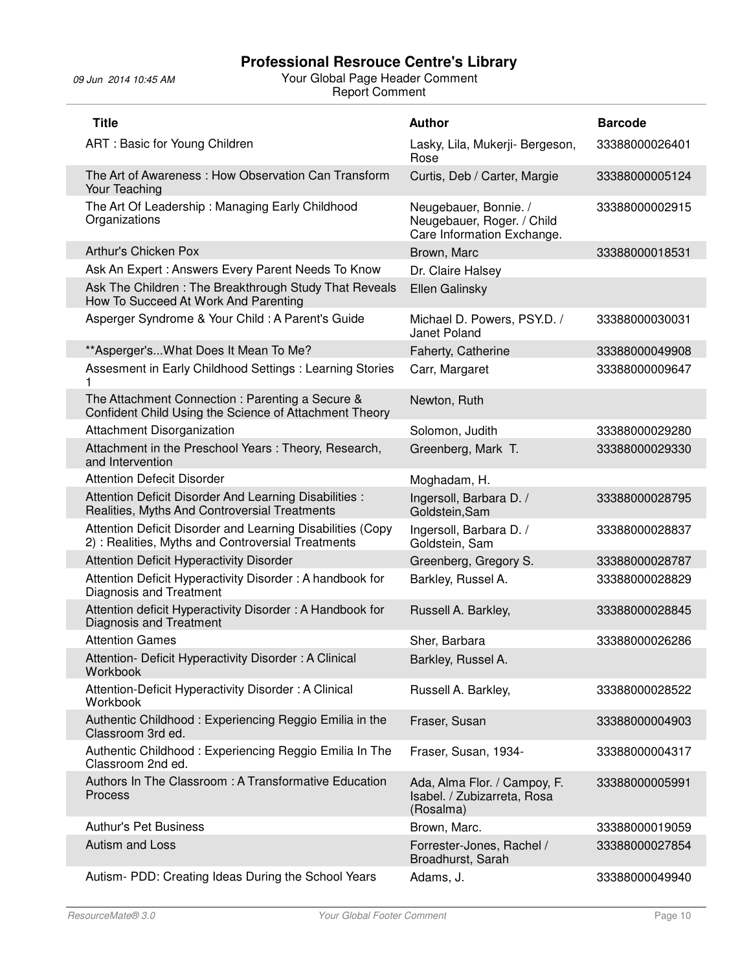| <b>Title</b>                                                                                                     | <b>Author</b>                                                                     | <b>Barcode</b> |
|------------------------------------------------------------------------------------------------------------------|-----------------------------------------------------------------------------------|----------------|
| ART: Basic for Young Children                                                                                    | Lasky, Lila, Mukerji- Bergeson,<br>Rose                                           | 33388000026401 |
| The Art of Awareness: How Observation Can Transform<br>Your Teaching                                             | Curtis, Deb / Carter, Margie                                                      | 33388000005124 |
| The Art Of Leadership: Managing Early Childhood<br>Organizations                                                 | Neugebauer, Bonnie. /<br>Neugebauer, Roger. / Child<br>Care Information Exchange. | 33388000002915 |
| Arthur's Chicken Pox                                                                                             | Brown, Marc                                                                       | 33388000018531 |
| Ask An Expert: Answers Every Parent Needs To Know                                                                | Dr. Claire Halsey                                                                 |                |
| Ask The Children: The Breakthrough Study That Reveals<br>How To Succeed At Work And Parenting                    | Ellen Galinsky                                                                    |                |
| Asperger Syndrome & Your Child: A Parent's Guide                                                                 | Michael D. Powers, PSY.D. /<br>Janet Poland                                       | 33388000030031 |
| ** Asperger's What Does It Mean To Me?                                                                           | Faherty, Catherine                                                                | 33388000049908 |
| Assesment in Early Childhood Settings : Learning Stories                                                         | Carr, Margaret                                                                    | 33388000009647 |
| The Attachment Connection: Parenting a Secure &<br>Confident Child Using the Science of Attachment Theory        | Newton, Ruth                                                                      |                |
| Attachment Disorganization                                                                                       | Solomon, Judith                                                                   | 33388000029280 |
| Attachment in the Preschool Years : Theory, Research,<br>and Intervention                                        | Greenberg, Mark T.                                                                | 33388000029330 |
| <b>Attention Defecit Disorder</b>                                                                                | Moghadam, H.                                                                      |                |
| Attention Deficit Disorder And Learning Disabilities :<br>Realities, Myths And Controversial Treatments          | Ingersoll, Barbara D. /<br>Goldstein, Sam                                         | 33388000028795 |
| Attention Deficit Disorder and Learning Disabilities (Copy<br>2) : Realities, Myths and Controversial Treatments | Ingersoll, Barbara D. /<br>Goldstein, Sam                                         | 33388000028837 |
| Attention Deficit Hyperactivity Disorder                                                                         | Greenberg, Gregory S.                                                             | 33388000028787 |
| Attention Deficit Hyperactivity Disorder: A handbook for<br>Diagnosis and Treatment                              | Barkley, Russel A.                                                                | 33388000028829 |
| Attention deficit Hyperactivity Disorder: A Handbook for<br>Diagnosis and Treatment                              | Russell A. Barkley,                                                               | 33388000028845 |
| <b>Attention Games</b>                                                                                           | Sher, Barbara                                                                     | 33388000026286 |
| Attention- Deficit Hyperactivity Disorder: A Clinical<br>Workbook                                                | Barkley, Russel A.                                                                |                |
| Attention-Deficit Hyperactivity Disorder: A Clinical<br>Workbook                                                 | Russell A. Barkley,                                                               | 33388000028522 |
| Authentic Childhood: Experiencing Reggio Emilia in the<br>Classroom 3rd ed.                                      | Fraser, Susan                                                                     | 33388000004903 |
| Authentic Childhood: Experiencing Reggio Emilia In The<br>Classroom 2nd ed.                                      | Fraser, Susan, 1934-                                                              | 33388000004317 |
| Authors In The Classroom: A Transformative Education<br>Process                                                  | Ada, Alma Flor. / Campoy, F.<br>Isabel. / Zubizarreta, Rosa<br>(Rosalma)          | 33388000005991 |
| <b>Authur's Pet Business</b>                                                                                     | Brown, Marc.                                                                      | 33388000019059 |
| Autism and Loss                                                                                                  | Forrester-Jones, Rachel /<br>Broadhurst, Sarah                                    | 33388000027854 |
| Autism- PDD: Creating Ideas During the School Years                                                              | Adams, J.                                                                         | 33388000049940 |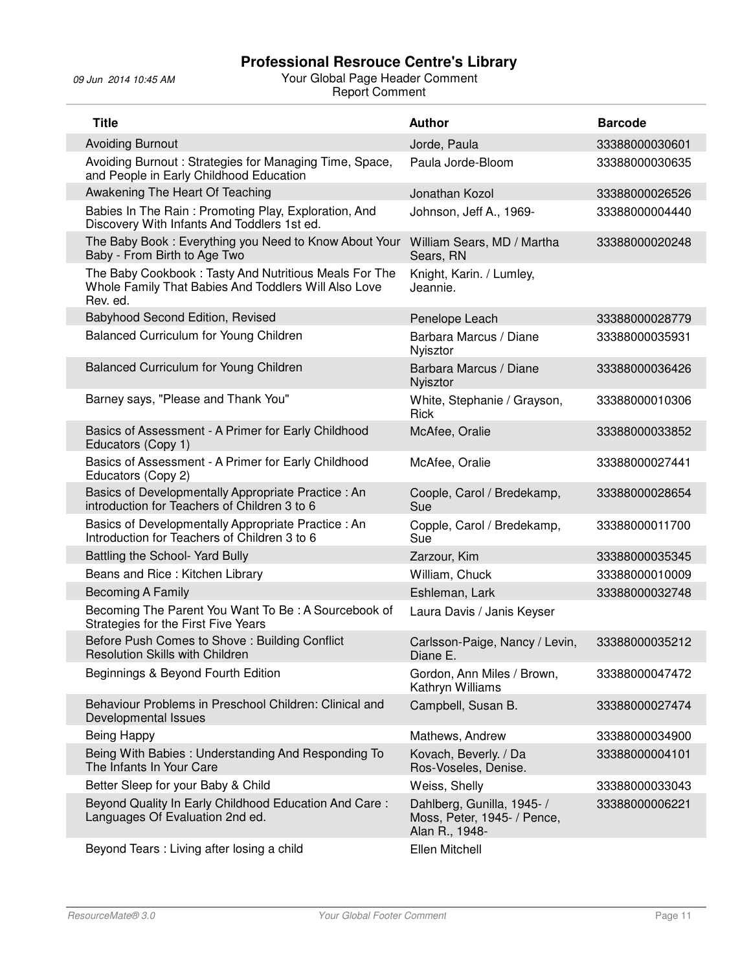| <b>Title</b>                                                                                                              | <b>Author</b>                                                               | <b>Barcode</b> |
|---------------------------------------------------------------------------------------------------------------------------|-----------------------------------------------------------------------------|----------------|
| <b>Avoiding Burnout</b>                                                                                                   | Jorde, Paula                                                                | 33388000030601 |
| Avoiding Burnout: Strategies for Managing Time, Space,<br>and People in Early Childhood Education                         | Paula Jorde-Bloom                                                           | 33388000030635 |
| Awakening The Heart Of Teaching                                                                                           | Jonathan Kozol                                                              | 33388000026526 |
| Babies In The Rain: Promoting Play, Exploration, And<br>Discovery With Infants And Toddlers 1st ed.                       | Johnson, Jeff A., 1969-                                                     | 33388000004440 |
| The Baby Book: Everything you Need to Know About Your<br>Baby - From Birth to Age Two                                     | William Sears, MD / Martha<br>Sears, RN                                     | 33388000020248 |
| The Baby Cookbook: Tasty And Nutritious Meals For The<br>Whole Family That Babies And Toddlers Will Also Love<br>Rev. ed. | Knight, Karin. / Lumley,<br>Jeannie.                                        |                |
| Babyhood Second Edition, Revised                                                                                          | Penelope Leach                                                              | 33388000028779 |
| Balanced Curriculum for Young Children                                                                                    | Barbara Marcus / Diane<br>Nyisztor                                          | 33388000035931 |
| Balanced Curriculum for Young Children                                                                                    | Barbara Marcus / Diane<br>Nyisztor                                          | 33388000036426 |
| Barney says, "Please and Thank You"                                                                                       | White, Stephanie / Grayson,<br>Rick                                         | 33388000010306 |
| Basics of Assessment - A Primer for Early Childhood<br>Educators (Copy 1)                                                 | McAfee, Oralie                                                              | 33388000033852 |
| Basics of Assessment - A Primer for Early Childhood<br>Educators (Copy 2)                                                 | McAfee, Oralie                                                              | 33388000027441 |
| Basics of Developmentally Appropriate Practice : An<br>introduction for Teachers of Children 3 to 6                       | Coople, Carol / Bredekamp,<br>Sue                                           | 33388000028654 |
| Basics of Developmentally Appropriate Practice: An<br>Introduction for Teachers of Children 3 to 6                        | Copple, Carol / Bredekamp,<br>Sue                                           | 33388000011700 |
| Battling the School- Yard Bully                                                                                           | Zarzour, Kim                                                                | 33388000035345 |
| Beans and Rice: Kitchen Library                                                                                           | William, Chuck                                                              | 33388000010009 |
| <b>Becoming A Family</b>                                                                                                  | Eshleman, Lark                                                              | 33388000032748 |
| Becoming The Parent You Want To Be: A Sourcebook of<br>Strategies for the First Five Years                                | Laura Davis / Janis Keyser                                                  |                |
| Before Push Comes to Shove: Building Conflict<br>Resolution Skills with Children.                                         | Carlsson-Paige, Nancy / Levin,<br>Diane E.                                  | 33388000035212 |
| Beginnings & Beyond Fourth Edition                                                                                        | Gordon, Ann Miles / Brown,<br>Kathryn Williams                              | 33388000047472 |
| Behaviour Problems in Preschool Children: Clinical and<br>Developmental Issues                                            | Campbell, Susan B.                                                          | 33388000027474 |
| <b>Being Happy</b>                                                                                                        | Mathews, Andrew                                                             | 33388000034900 |
| Being With Babies: Understanding And Responding To<br>The Infants In Your Care                                            | Kovach, Beverly. / Da<br>Ros-Voseles, Denise.                               | 33388000004101 |
| Better Sleep for your Baby & Child                                                                                        | Weiss, Shelly                                                               | 33388000033043 |
| Beyond Quality In Early Childhood Education And Care:<br>Languages Of Evaluation 2nd ed.                                  | Dahlberg, Gunilla, 1945- /<br>Moss, Peter, 1945- / Pence,<br>Alan R., 1948- | 33388000006221 |
| Beyond Tears: Living after losing a child                                                                                 | Ellen Mitchell                                                              |                |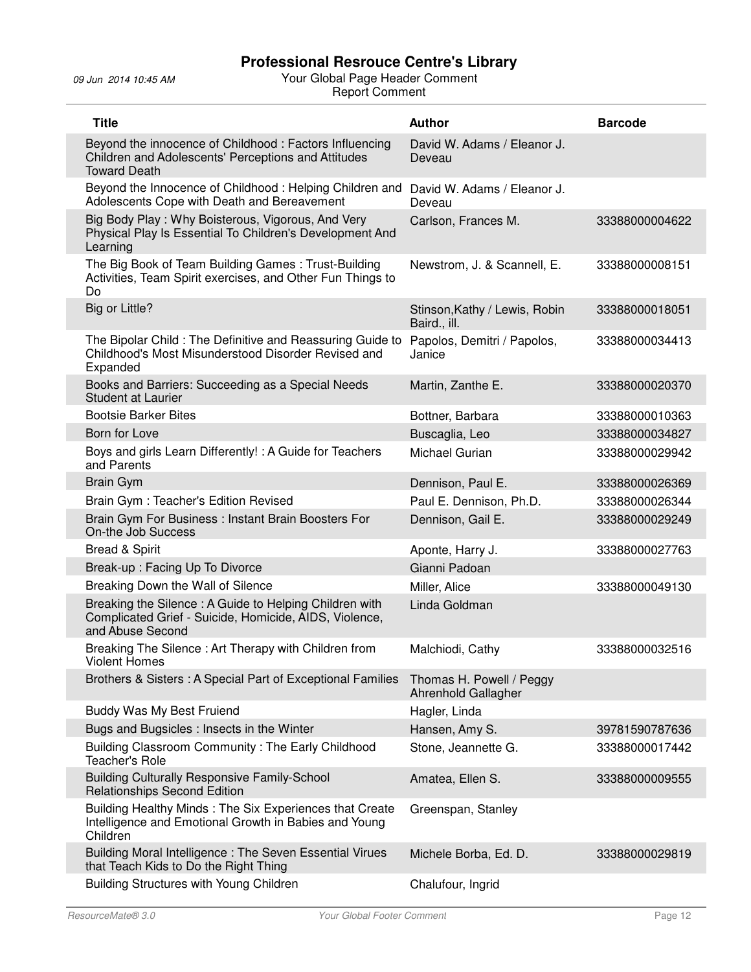| <b>Title</b>                                                                                                                         | <b>Author</b>                                   | <b>Barcode</b> |
|--------------------------------------------------------------------------------------------------------------------------------------|-------------------------------------------------|----------------|
| Beyond the innocence of Childhood: Factors Influencing<br>Children and Adolescents' Perceptions and Attitudes<br><b>Toward Death</b> | David W. Adams / Eleanor J.<br>Deveau           |                |
| Beyond the Innocence of Childhood: Helping Children and<br>Adolescents Cope with Death and Bereavement                               | David W. Adams / Eleanor J.<br>Deveau           |                |
| Big Body Play: Why Boisterous, Vigorous, And Very<br>Physical Play Is Essential To Children's Development And<br>Learning            | Carlson, Frances M.                             | 33388000004622 |
| The Big Book of Team Building Games: Trust-Building<br>Activities, Team Spirit exercises, and Other Fun Things to<br>Do              | Newstrom, J. & Scannell, E.                     | 33388000008151 |
| Big or Little?                                                                                                                       | Stinson, Kathy / Lewis, Robin<br>Baird., ill.   | 33388000018051 |
| The Bipolar Child: The Definitive and Reassuring Guide to<br>Childhood's Most Misunderstood Disorder Revised and<br>Expanded         | Papolos, Demitri / Papolos,<br>Janice           | 33388000034413 |
| Books and Barriers: Succeeding as a Special Needs<br><b>Student at Laurier</b>                                                       | Martin, Zanthe E.                               | 33388000020370 |
| <b>Bootsie Barker Bites</b>                                                                                                          | Bottner, Barbara                                | 33388000010363 |
| Born for Love                                                                                                                        | Buscaglia, Leo                                  | 33388000034827 |
| Boys and girls Learn Differently! : A Guide for Teachers<br>and Parents                                                              | <b>Michael Gurian</b>                           | 33388000029942 |
| <b>Brain Gym</b>                                                                                                                     | Dennison, Paul E.                               | 33388000026369 |
| Brain Gym: Teacher's Edition Revised                                                                                                 | Paul E. Dennison, Ph.D.                         | 33388000026344 |
| Brain Gym For Business: Instant Brain Boosters For<br>On-the Job Success                                                             | Dennison, Gail E.                               | 33388000029249 |
| <b>Bread &amp; Spirit</b>                                                                                                            | Aponte, Harry J.                                | 33388000027763 |
| Break-up: Facing Up To Divorce                                                                                                       | Gianni Padoan                                   |                |
| Breaking Down the Wall of Silence                                                                                                    | Miller, Alice                                   | 33388000049130 |
| Breaking the Silence: A Guide to Helping Children with<br>Complicated Grief - Suicide, Homicide, AIDS, Violence,<br>and Abuse Second | Linda Goldman                                   |                |
| Breaking The Silence: Art Therapy with Children from<br><b>Violent Homes</b>                                                         | Malchiodi, Cathy                                | 33388000032516 |
| Brothers & Sisters: A Special Part of Exceptional Families                                                                           | Thomas H. Powell / Peggy<br>Ahrenhold Gallagher |                |
| Buddy Was My Best Fruiend                                                                                                            | Hagler, Linda                                   |                |
| Bugs and Bugsicles : Insects in the Winter                                                                                           | Hansen, Amy S.                                  | 39781590787636 |
| Building Classroom Community: The Early Childhood<br><b>Teacher's Role</b>                                                           | Stone, Jeannette G.                             | 33388000017442 |
| <b>Building Culturally Responsive Family-School</b><br><b>Relationships Second Edition</b>                                           | Amatea, Ellen S.                                | 33388000009555 |
| Building Healthy Minds: The Six Experiences that Create<br>Intelligence and Emotional Growth in Babies and Young<br>Children         | Greenspan, Stanley                              |                |
| Building Moral Intelligence: The Seven Essential Virues<br>that Teach Kids to Do the Right Thing                                     | Michele Borba, Ed. D.                           | 33388000029819 |
| Building Structures with Young Children                                                                                              | Chalufour, Ingrid                               |                |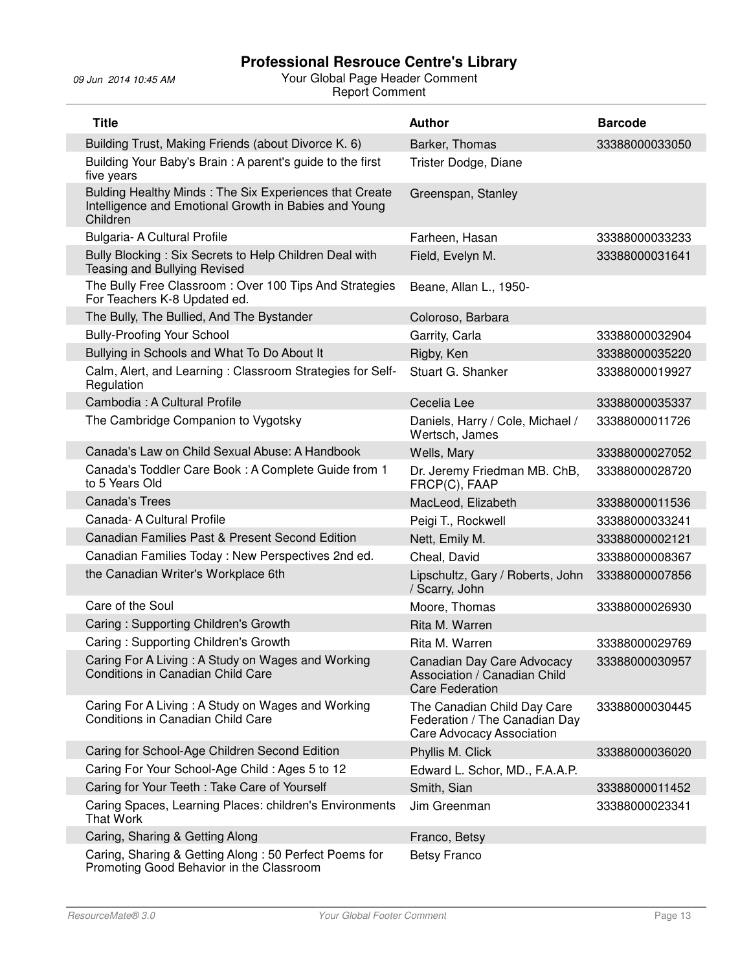| <b>Title</b>                                                                                                                | <b>Author</b>                                                                             | <b>Barcode</b> |
|-----------------------------------------------------------------------------------------------------------------------------|-------------------------------------------------------------------------------------------|----------------|
| Building Trust, Making Friends (about Divorce K. 6)                                                                         | Barker, Thomas                                                                            | 33388000033050 |
| Building Your Baby's Brain: A parent's guide to the first<br>five years                                                     | Trister Dodge, Diane                                                                      |                |
| Bulding Healthy Minds: The Six Experiences that Create<br>Intelligence and Emotional Growth in Babies and Young<br>Children | Greenspan, Stanley                                                                        |                |
| Bulgaria- A Cultural Profile                                                                                                | Farheen, Hasan                                                                            | 33388000033233 |
| Bully Blocking: Six Secrets to Help Children Deal with<br>Teasing and Bullying Revised                                      | Field, Evelyn M.                                                                          | 33388000031641 |
| The Bully Free Classroom: Over 100 Tips And Strategies<br>For Teachers K-8 Updated ed.                                      | Beane, Allan L., 1950-                                                                    |                |
| The Bully, The Bullied, And The Bystander                                                                                   | Coloroso, Barbara                                                                         |                |
| <b>Bully-Proofing Your School</b>                                                                                           | Garrity, Carla                                                                            | 33388000032904 |
| Bullying in Schools and What To Do About It                                                                                 | Rigby, Ken                                                                                | 33388000035220 |
| Calm, Alert, and Learning: Classroom Strategies for Self-<br>Regulation                                                     | Stuart G. Shanker                                                                         | 33388000019927 |
| Cambodia: A Cultural Profile                                                                                                | Cecelia Lee                                                                               | 33388000035337 |
| The Cambridge Companion to Vygotsky                                                                                         | Daniels, Harry / Cole, Michael /<br>Wertsch, James                                        | 33388000011726 |
| Canada's Law on Child Sexual Abuse: A Handbook                                                                              | Wells, Mary                                                                               | 33388000027052 |
| Canada's Toddler Care Book: A Complete Guide from 1<br>to 5 Years Old                                                       | Dr. Jeremy Friedman MB. ChB,<br>FRCP(C), FAAP                                             | 33388000028720 |
| <b>Canada's Trees</b>                                                                                                       | MacLeod, Elizabeth                                                                        | 33388000011536 |
| Canada- A Cultural Profile                                                                                                  | Peigi T., Rockwell                                                                        | 33388000033241 |
| Canadian Families Past & Present Second Edition                                                                             | Nett, Emily M.                                                                            | 33388000002121 |
| Canadian Families Today: New Perspectives 2nd ed.                                                                           | Cheal, David                                                                              | 33388000008367 |
| the Canadian Writer's Workplace 6th                                                                                         | Lipschultz, Gary / Roberts, John<br>/ Scarry, John                                        | 33388000007856 |
| Care of the Soul                                                                                                            | Moore, Thomas                                                                             | 33388000026930 |
| Caring: Supporting Children's Growth                                                                                        | Rita M. Warren                                                                            |                |
| Caring: Supporting Children's Growth                                                                                        | Rita M. Warren                                                                            | 33388000029769 |
| Caring For A Living: A Study on Wages and Working<br>Conditions in Canadian Child Care                                      | Canadian Day Care Advocacy<br>Association / Canadian Child<br><b>Care Federation</b>      | 33388000030957 |
| Caring For A Living: A Study on Wages and Working<br><b>Conditions in Canadian Child Care</b>                               | The Canadian Child Day Care<br>Federation / The Canadian Day<br>Care Advocacy Association | 33388000030445 |
| Caring for School-Age Children Second Edition                                                                               | Phyllis M. Click                                                                          | 33388000036020 |
| Caring For Your School-Age Child: Ages 5 to 12                                                                              | Edward L. Schor, MD., F.A.A.P.                                                            |                |
| Caring for Your Teeth: Take Care of Yourself                                                                                | Smith, Sian                                                                               | 33388000011452 |
| Caring Spaces, Learning Places: children's Environments<br><b>That Work</b>                                                 | Jim Greenman                                                                              | 33388000023341 |
| Caring, Sharing & Getting Along                                                                                             | Franco, Betsy                                                                             |                |
| Caring, Sharing & Getting Along: 50 Perfect Poems for<br>Promoting Good Behavior in the Classroom                           | <b>Betsy Franco</b>                                                                       |                |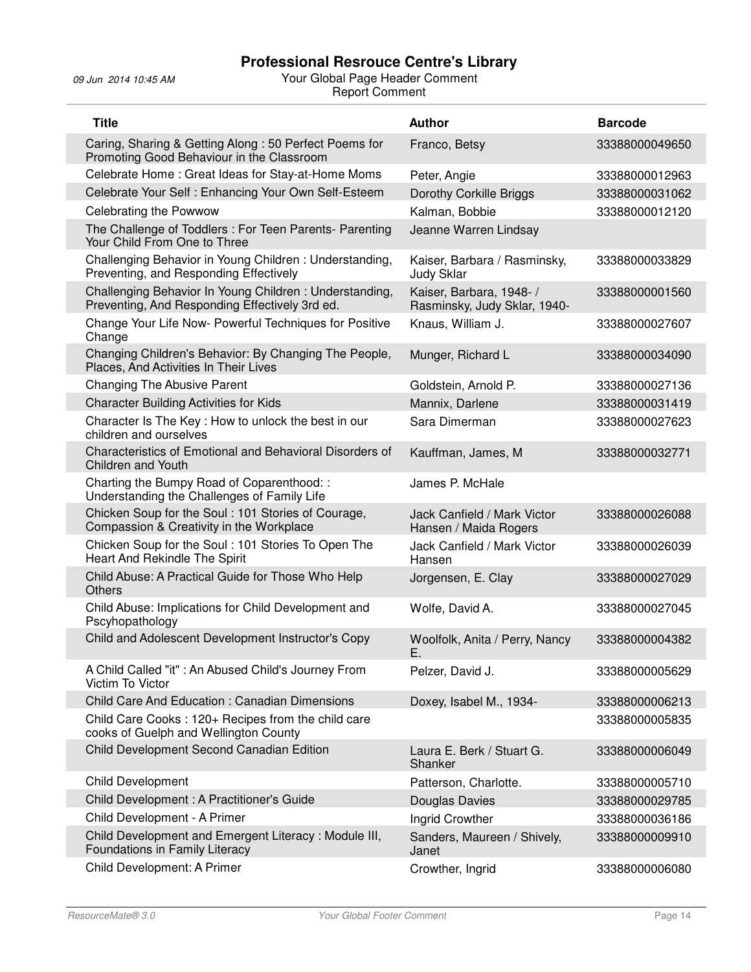| <b>Title</b>                                                                                             | <b>Author</b>                                            | <b>Barcode</b> |
|----------------------------------------------------------------------------------------------------------|----------------------------------------------------------|----------------|
| Caring, Sharing & Getting Along: 50 Perfect Poems for<br>Promoting Good Behaviour in the Classroom       | Franco, Betsy                                            | 33388000049650 |
| Celebrate Home: Great Ideas for Stay-at-Home Moms                                                        | Peter, Angie                                             | 33388000012963 |
| Celebrate Your Self : Enhancing Your Own Self-Esteem                                                     | <b>Dorothy Corkille Briggs</b>                           | 33388000031062 |
| <b>Celebrating the Powwow</b>                                                                            | Kalman, Bobbie                                           | 33388000012120 |
| The Challenge of Toddlers : For Teen Parents- Parenting<br>Your Child From One to Three                  | Jeanne Warren Lindsay                                    |                |
| Challenging Behavior in Young Children: Understanding,<br>Preventing, and Responding Effectively         | Kaiser, Barbara / Rasminsky,<br><b>Judy Sklar</b>        | 33388000033829 |
| Challenging Behavior In Young Children: Understanding,<br>Preventing, And Responding Effectively 3rd ed. | Kaiser, Barbara, 1948- /<br>Rasminsky, Judy Sklar, 1940- | 33388000001560 |
| Change Your Life Now- Powerful Techniques for Positive<br>Change                                         | Knaus, William J.                                        | 33388000027607 |
| Changing Children's Behavior: By Changing The People,<br>Places, And Activities In Their Lives           | Munger, Richard L                                        | 33388000034090 |
| <b>Changing The Abusive Parent</b>                                                                       | Goldstein, Arnold P.                                     | 33388000027136 |
| <b>Character Building Activities for Kids</b>                                                            | Mannix, Darlene                                          | 33388000031419 |
| Character Is The Key: How to unlock the best in our<br>children and ourselves                            | Sara Dimerman                                            | 33388000027623 |
| Characteristics of Emotional and Behavioral Disorders of<br><b>Children and Youth</b>                    | Kauffman, James, M                                       | 33388000032771 |
| Charting the Bumpy Road of Coparenthood: :<br>Understanding the Challenges of Family Life                | James P. McHale                                          |                |
| Chicken Soup for the Soul: 101 Stories of Courage,<br>Compassion & Creativity in the Workplace           | Jack Canfield / Mark Victor<br>Hansen / Maida Rogers     | 33388000026088 |
| Chicken Soup for the Soul: 101 Stories To Open The<br>Heart And Rekindle The Spirit                      | Jack Canfield / Mark Victor<br>Hansen                    | 33388000026039 |
| Child Abuse: A Practical Guide for Those Who Help<br><b>Others</b>                                       | Jorgensen, E. Clay                                       | 33388000027029 |
| Child Abuse: Implications for Child Development and<br>Pscyhopathology                                   | Wolfe, David A.                                          | 33388000027045 |
| Child and Adolescent Development Instructor's Copy                                                       | Woolfolk, Anita / Perry, Nancy<br>Ε.                     | 33388000004382 |
| A Child Called "it" : An Abused Child's Journey From<br>Victim To Victor                                 | Pelzer, David J.                                         | 33388000005629 |
| <b>Child Care And Education: Canadian Dimensions</b>                                                     | Doxey, Isabel M., 1934-                                  | 33388000006213 |
| Child Care Cooks: 120+ Recipes from the child care<br>cooks of Guelph and Wellington County              |                                                          | 33388000005835 |
| Child Development Second Canadian Edition                                                                | Laura E. Berk / Stuart G.<br>Shanker                     | 33388000006049 |
| <b>Child Development</b>                                                                                 | Patterson, Charlotte.                                    | 33388000005710 |
| Child Development : A Practitioner's Guide                                                               | Douglas Davies                                           | 33388000029785 |
| Child Development - A Primer                                                                             | Ingrid Crowther                                          | 33388000036186 |
| Child Development and Emergent Literacy: Module III,<br>Foundations in Family Literacy                   | Sanders, Maureen / Shively,<br>Janet                     | 33388000009910 |
| Child Development: A Primer                                                                              | Crowther, Ingrid                                         | 33388000006080 |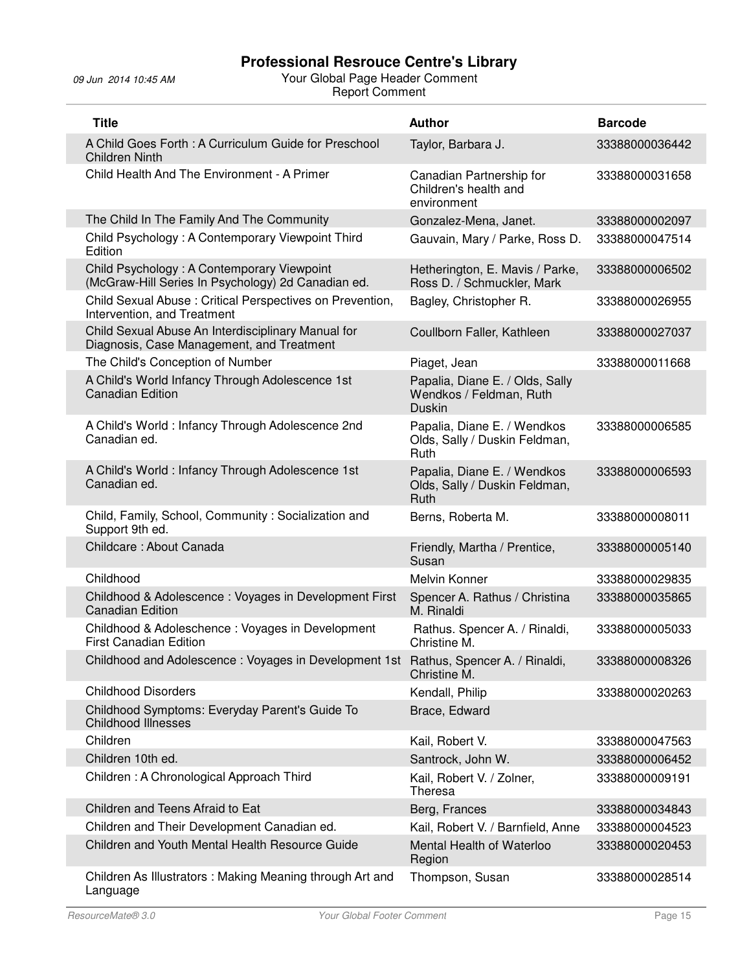| <b>Title</b>                                                                                     | <b>Author</b>                                                               | <b>Barcode</b> |
|--------------------------------------------------------------------------------------------------|-----------------------------------------------------------------------------|----------------|
| A Child Goes Forth: A Curriculum Guide for Preschool<br><b>Children Ninth</b>                    | Taylor, Barbara J.                                                          | 33388000036442 |
| Child Health And The Environment - A Primer                                                      | Canadian Partnership for<br>Children's health and<br>environment            | 33388000031658 |
| The Child In The Family And The Community                                                        | Gonzalez-Mena, Janet.                                                       | 33388000002097 |
| Child Psychology: A Contemporary Viewpoint Third<br>Edition                                      | Gauvain, Mary / Parke, Ross D.                                              | 33388000047514 |
| Child Psychology: A Contemporary Viewpoint<br>(McGraw-Hill Series In Psychology) 2d Canadian ed. | Hetherington, E. Mavis / Parke,<br>Ross D. / Schmuckler, Mark               | 33388000006502 |
| Child Sexual Abuse: Critical Perspectives on Prevention,<br>Intervention, and Treatment          | Bagley, Christopher R.                                                      | 33388000026955 |
| Child Sexual Abuse An Interdisciplinary Manual for<br>Diagnosis, Case Management, and Treatment  | Coullborn Faller, Kathleen                                                  | 33388000027037 |
| The Child's Conception of Number                                                                 | Piaget, Jean                                                                | 33388000011668 |
| A Child's World Infancy Through Adolescence 1st<br><b>Canadian Edition</b>                       | Papalia, Diane E. / Olds, Sally<br>Wendkos / Feldman, Ruth<br><b>Duskin</b> |                |
| A Child's World: Infancy Through Adolescence 2nd<br>Canadian ed.                                 | Papalia, Diane E. / Wendkos<br>Olds, Sally / Duskin Feldman,<br><b>Ruth</b> | 33388000006585 |
| A Child's World: Infancy Through Adolescence 1st<br>Canadian ed.                                 | Papalia, Diane E. / Wendkos<br>Olds, Sally / Duskin Feldman,<br>Ruth        | 33388000006593 |
| Child, Family, School, Community: Socialization and<br>Support 9th ed.                           | Berns, Roberta M.                                                           | 33388000008011 |
| Childcare: About Canada                                                                          | Friendly, Martha / Prentice,<br>Susan                                       | 33388000005140 |
| Childhood                                                                                        | Melvin Konner                                                               | 33388000029835 |
| Childhood & Adolescence: Voyages in Development First<br><b>Canadian Edition</b>                 | Spencer A. Rathus / Christina<br>M. Rinaldi                                 | 33388000035865 |
| Childhood & Adoleschence : Voyages in Development<br><b>First Canadian Edition</b>               | Rathus. Spencer A. / Rinaldi,<br>Christine M.                               | 33388000005033 |
| Childhood and Adolescence: Voyages in Development 1st Rathus, Spencer A. / Rinaldi,              | Christine M.                                                                | 33388000008326 |
| <b>Childhood Disorders</b>                                                                       | Kendall, Philip                                                             | 33388000020263 |
| Childhood Symptoms: Everyday Parent's Guide To<br><b>Childhood Illnesses</b>                     | Brace, Edward                                                               |                |
| Children                                                                                         | Kail, Robert V.                                                             | 33388000047563 |
| Children 10th ed.                                                                                | Santrock, John W.                                                           | 33388000006452 |
| Children: A Chronological Approach Third                                                         | Kail, Robert V. / Zolner,<br>Theresa                                        | 33388000009191 |
| Children and Teens Afraid to Eat                                                                 | Berg, Frances                                                               | 33388000034843 |
| Children and Their Development Canadian ed.                                                      | Kail, Robert V. / Barnfield, Anne                                           | 33388000004523 |
| Children and Youth Mental Health Resource Guide                                                  | Mental Health of Waterloo<br>Region                                         | 33388000020453 |
| Children As Illustrators: Making Meaning through Art and<br>Language                             | Thompson, Susan                                                             | 33388000028514 |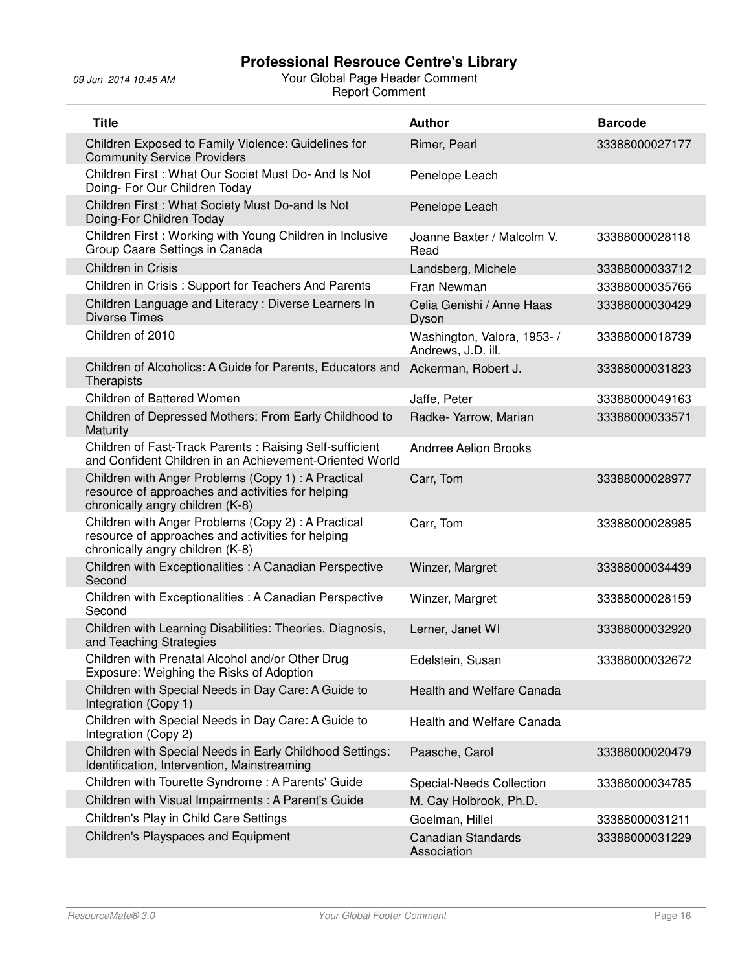| <b>Title</b>                                                                                                                                 | <b>Author</b>                                     | <b>Barcode</b> |
|----------------------------------------------------------------------------------------------------------------------------------------------|---------------------------------------------------|----------------|
| Children Exposed to Family Violence: Guidelines for<br><b>Community Service Providers</b>                                                    | Rimer, Pearl                                      | 33388000027177 |
| Children First: What Our Societ Must Do- And Is Not<br>Doing- For Our Children Today                                                         | Penelope Leach                                    |                |
| Children First: What Society Must Do-and Is Not<br>Doing-For Children Today                                                                  | Penelope Leach                                    |                |
| Children First: Working with Young Children in Inclusive<br>Group Caare Settings in Canada                                                   | Joanne Baxter / Malcolm V.<br>Read                | 33388000028118 |
| Children in Crisis                                                                                                                           | Landsberg, Michele                                | 33388000033712 |
| Children in Crisis: Support for Teachers And Parents                                                                                         | Fran Newman                                       | 33388000035766 |
| Children Language and Literacy: Diverse Learners In<br><b>Diverse Times</b>                                                                  | Celia Genishi / Anne Haas<br>Dyson                | 33388000030429 |
| Children of 2010                                                                                                                             | Washington, Valora, 1953- /<br>Andrews, J.D. ill. | 33388000018739 |
| Children of Alcoholics: A Guide for Parents, Educators and<br>Therapists                                                                     | Ackerman, Robert J.                               | 33388000031823 |
| Children of Battered Women                                                                                                                   | Jaffe, Peter                                      | 33388000049163 |
| Children of Depressed Mothers; From Early Childhood to<br>Maturity                                                                           | Radke- Yarrow, Marian                             | 33388000033571 |
| Children of Fast-Track Parents: Raising Self-sufficient<br>and Confident Children in an Achievement-Oriented World                           | <b>Andrree Aelion Brooks</b>                      |                |
| Children with Anger Problems (Copy 1) : A Practical<br>resource of approaches and activities for helping<br>chronically angry children (K-8) | Carr, Tom                                         | 33388000028977 |
| Children with Anger Problems (Copy 2): A Practical<br>resource of approaches and activities for helping<br>chronically angry children (K-8)  | Carr, Tom                                         | 33388000028985 |
| Children with Exceptionalities : A Canadian Perspective<br>Second                                                                            | Winzer, Margret                                   | 33388000034439 |
| Children with Exceptionalities : A Canadian Perspective<br>Second                                                                            | Winzer, Margret                                   | 33388000028159 |
| Children with Learning Disabilities: Theories, Diagnosis,<br>and Teaching Strategies                                                         | Lerner, Janet WI                                  | 33388000032920 |
| Children with Prenatal Alcohol and/or Other Drug<br>Exposure: Weighing the Risks of Adoption                                                 | Edelstein, Susan                                  | 33388000032672 |
| Children with Special Needs in Day Care: A Guide to<br>Integration (Copy 1)                                                                  | Health and Welfare Canada                         |                |
| Children with Special Needs in Day Care: A Guide to<br>Integration (Copy 2)                                                                  | Health and Welfare Canada                         |                |
| Children with Special Needs in Early Childhood Settings:<br>Identification, Intervention, Mainstreaming                                      | Paasche, Carol                                    | 33388000020479 |
| Children with Tourette Syndrome: A Parents' Guide                                                                                            | Special-Needs Collection                          | 33388000034785 |
| Children with Visual Impairments: A Parent's Guide                                                                                           | M. Cay Holbrook, Ph.D.                            |                |
| Children's Play in Child Care Settings                                                                                                       | Goelman, Hillel                                   | 33388000031211 |
| Children's Playspaces and Equipment                                                                                                          | <b>Canadian Standards</b><br>Association          | 33388000031229 |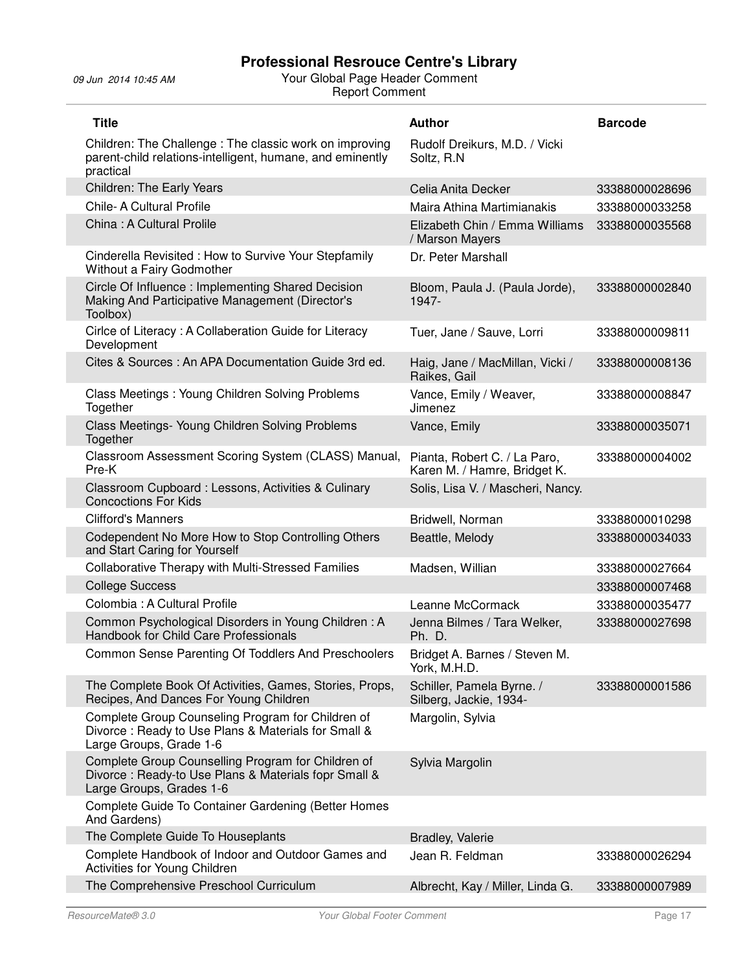| <b>Title</b>                                                                                                                           | <b>Author</b>                                                | <b>Barcode</b> |
|----------------------------------------------------------------------------------------------------------------------------------------|--------------------------------------------------------------|----------------|
| Children: The Challenge: The classic work on improving<br>parent-child relations-intelligent, humane, and eminently<br>practical       | Rudolf Dreikurs, M.D. / Vicki<br>Soltz, R.N.                 |                |
| <b>Children: The Early Years</b>                                                                                                       | Celia Anita Decker                                           | 33388000028696 |
| Chile- A Cultural Profile                                                                                                              | Maira Athina Martimianakis                                   | 33388000033258 |
| China: A Cultural Prolile                                                                                                              | Elizabeth Chin / Emma Williams<br>/ Marson Mayers            | 33388000035568 |
| Cinderella Revisited: How to Survive Your Stepfamily<br>Without a Fairy Godmother                                                      | Dr. Peter Marshall                                           |                |
| Circle Of Influence: Implementing Shared Decision<br>Making And Participative Management (Director's<br>Toolbox)                       | Bloom, Paula J. (Paula Jorde),<br>1947-                      | 33388000002840 |
| Cirlce of Literacy: A Collaberation Guide for Literacy<br>Development                                                                  | Tuer, Jane / Sauve, Lorri                                    | 33388000009811 |
| Cites & Sources: An APA Documentation Guide 3rd ed.                                                                                    | Haig, Jane / MacMillan, Vicki /<br>Raikes, Gail              | 33388000008136 |
| Class Meetings: Young Children Solving Problems<br>Together                                                                            | Vance, Emily / Weaver,<br>Jimenez                            | 33388000008847 |
| Class Meetings- Young Children Solving Problems<br>Together                                                                            | Vance, Emily                                                 | 33388000035071 |
| Classroom Assessment Scoring System (CLASS) Manual,<br>Pre-K                                                                           | Pianta, Robert C. / La Paro,<br>Karen M. / Hamre, Bridget K. | 33388000004002 |
| Classroom Cupboard : Lessons, Activities & Culinary<br><b>Concoctions For Kids</b>                                                     | Solis, Lisa V. / Mascheri, Nancy.                            |                |
| <b>Clifford's Manners</b>                                                                                                              | Bridwell, Norman                                             | 33388000010298 |
| Codependent No More How to Stop Controlling Others<br>and Start Caring for Yourself                                                    | Beattle, Melody                                              | 33388000034033 |
| Collaborative Therapy with Multi-Stressed Families                                                                                     | Madsen, Willian                                              | 33388000027664 |
| <b>College Success</b>                                                                                                                 |                                                              | 33388000007468 |
| Colombia: A Cultural Profile                                                                                                           | Leanne McCormack                                             | 33388000035477 |
| Common Psychological Disorders in Young Children: A<br>Handbook for Child Care Professionals                                           | Jenna Bilmes / Tara Welker,<br>Ph. D.                        | 33388000027698 |
| Common Sense Parenting Of Toddlers And Preschoolers                                                                                    | Bridget A. Barnes / Steven M.<br>York, M.H.D.                |                |
| The Complete Book Of Activities, Games, Stories, Props,<br>Recipes, And Dances For Young Children                                      | Schiller, Pamela Byrne. /<br>Silberg, Jackie, 1934-          | 33388000001586 |
| Complete Group Counseling Program for Children of<br>Divorce: Ready to Use Plans & Materials for Small &<br>Large Groups, Grade 1-6    | Margolin, Sylvia                                             |                |
| Complete Group Counselling Program for Children of<br>Divorce: Ready-to Use Plans & Materials fopr Small &<br>Large Groups, Grades 1-6 | Sylvia Margolin                                              |                |
| Complete Guide To Container Gardening (Better Homes<br>And Gardens)                                                                    |                                                              |                |
| The Complete Guide To Houseplants                                                                                                      | <b>Bradley, Valerie</b>                                      |                |
| Complete Handbook of Indoor and Outdoor Games and<br>Activities for Young Children                                                     | Jean R. Feldman                                              | 33388000026294 |
| The Comprehensive Preschool Curriculum                                                                                                 | Albrecht, Kay / Miller, Linda G.                             | 33388000007989 |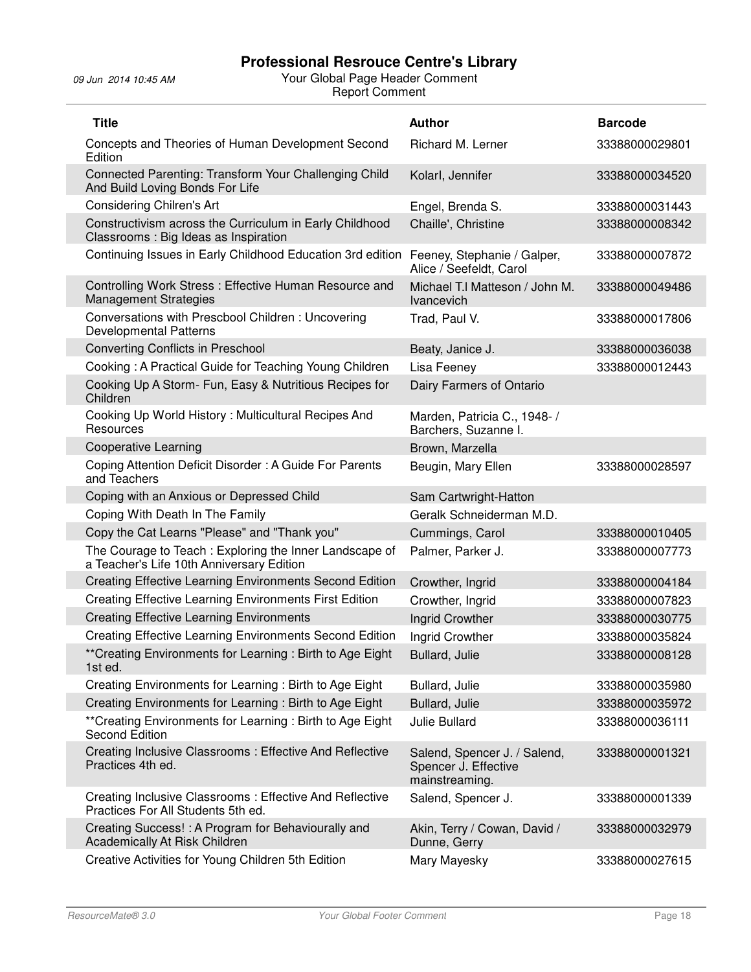j.

| <b>Title</b>                                                                                        | <b>Author</b>                                                          | <b>Barcode</b> |
|-----------------------------------------------------------------------------------------------------|------------------------------------------------------------------------|----------------|
| Concepts and Theories of Human Development Second<br>Edition                                        | Richard M. Lerner                                                      | 33388000029801 |
| Connected Parenting: Transform Your Challenging Child<br>And Build Loving Bonds For Life            | Kolarl, Jennifer                                                       | 33388000034520 |
| <b>Considering Chilren's Art</b>                                                                    | Engel, Brenda S.                                                       | 33388000031443 |
| Constructivism across the Curriculum in Early Childhood<br>Classrooms: Big Ideas as Inspiration     | Chaille', Christine                                                    | 33388000008342 |
| Continuing Issues in Early Childhood Education 3rd edition                                          | Feeney, Stephanie / Galper,<br>Alice / Seefeldt, Carol                 | 33388000007872 |
| Controlling Work Stress: Effective Human Resource and<br><b>Management Strategies</b>               | Michael T.I Matteson / John M.<br>Ivancevich                           | 33388000049486 |
| Conversations with Prescbool Children: Uncovering<br><b>Developmental Patterns</b>                  | Trad, Paul V.                                                          | 33388000017806 |
| <b>Converting Conflicts in Preschool</b>                                                            | Beaty, Janice J.                                                       | 33388000036038 |
| Cooking: A Practical Guide for Teaching Young Children                                              | Lisa Feeney                                                            | 33388000012443 |
| Cooking Up A Storm- Fun, Easy & Nutritious Recipes for<br>Children                                  | Dairy Farmers of Ontario                                               |                |
| Cooking Up World History: Multicultural Recipes And<br>Resources                                    | Marden, Patricia C., 1948- /<br>Barchers, Suzanne I.                   |                |
| <b>Cooperative Learning</b>                                                                         | Brown, Marzella                                                        |                |
| Coping Attention Deficit Disorder: A Guide For Parents<br>and Teachers                              | Beugin, Mary Ellen                                                     | 33388000028597 |
| Coping with an Anxious or Depressed Child                                                           | Sam Cartwright-Hatton                                                  |                |
| Coping With Death In The Family                                                                     | Geralk Schneiderman M.D.                                               |                |
| Copy the Cat Learns "Please" and "Thank you"                                                        | Cummings, Carol                                                        | 33388000010405 |
| The Courage to Teach: Exploring the Inner Landscape of<br>a Teacher's Life 10th Anniversary Edition | Palmer, Parker J.                                                      | 33388000007773 |
| <b>Creating Effective Learning Environments Second Edition</b>                                      | Crowther, Ingrid                                                       | 33388000004184 |
| <b>Creating Effective Learning Environments First Edition</b>                                       | Crowther, Ingrid                                                       | 33388000007823 |
| <b>Creating Effective Learning Environments</b>                                                     | <b>Ingrid Crowther</b>                                                 | 33388000030775 |
| <b>Creating Effective Learning Environments Second Edition</b>                                      | Ingrid Crowther                                                        | 33388000035824 |
| ** Creating Environments for Learning: Birth to Age Eight<br>1st ed.                                | Bullard, Julie                                                         | 33388000008128 |
| Creating Environments for Learning: Birth to Age Eight                                              | Bullard, Julie                                                         | 33388000035980 |
| Creating Environments for Learning: Birth to Age Eight                                              | Bullard, Julie                                                         | 33388000035972 |
| ** Creating Environments for Learning: Birth to Age Eight<br><b>Second Edition</b>                  | Julie Bullard                                                          | 33388000036111 |
| Creating Inclusive Classrooms: Effective And Reflective<br>Practices 4th ed.                        | Salend, Spencer J. / Salend,<br>Spencer J. Effective<br>mainstreaming. | 33388000001321 |
| Creating Inclusive Classrooms: Effective And Reflective<br>Practices For All Students 5th ed.       | Salend, Spencer J.                                                     | 33388000001339 |
| Creating Success! : A Program for Behaviourally and<br>Academically At Risk Children                | Akin, Terry / Cowan, David /<br>Dunne, Gerry                           | 33388000032979 |
| Creative Activities for Young Children 5th Edition                                                  | Mary Mayesky                                                           | 33388000027615 |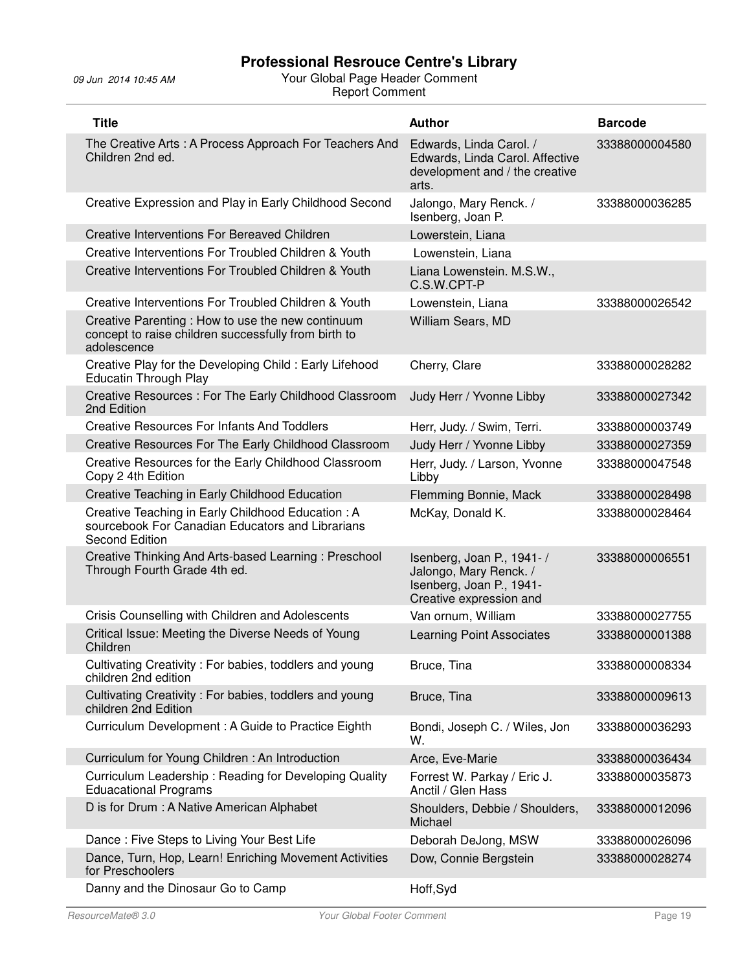| <b>Title</b>                                                                                                                   | <b>Author</b>                                                                                              | <b>Barcode</b> |
|--------------------------------------------------------------------------------------------------------------------------------|------------------------------------------------------------------------------------------------------------|----------------|
| The Creative Arts: A Process Approach For Teachers And<br>Children 2nd ed.                                                     | Edwards, Linda Carol. /<br>Edwards, Linda Carol. Affective<br>development and / the creative<br>arts.      | 33388000004580 |
| Creative Expression and Play in Early Childhood Second                                                                         | Jalongo, Mary Renck. /<br>Isenberg, Joan P.                                                                | 33388000036285 |
| Creative Interventions For Bereaved Children                                                                                   | Lowerstein, Liana                                                                                          |                |
| Creative Interventions For Troubled Children & Youth                                                                           | Lowenstein, Liana                                                                                          |                |
| Creative Interventions For Troubled Children & Youth                                                                           | Liana Lowenstein. M.S.W.,<br>C.S.W.CPT-P                                                                   |                |
| Creative Interventions For Troubled Children & Youth                                                                           | Lowenstein, Liana                                                                                          | 33388000026542 |
| Creative Parenting : How to use the new continuum<br>concept to raise children successfully from birth to<br>adolescence       | William Sears, MD                                                                                          |                |
| Creative Play for the Developing Child: Early Lifehood<br><b>Educatin Through Play</b>                                         | Cherry, Clare                                                                                              | 33388000028282 |
| Creative Resources: For The Early Childhood Classroom<br>2nd Edition                                                           | Judy Herr / Yvonne Libby                                                                                   | 33388000027342 |
| <b>Creative Resources For Infants And Toddlers</b>                                                                             | Herr, Judy. / Swim, Terri.                                                                                 | 33388000003749 |
| Creative Resources For The Early Childhood Classroom                                                                           | Judy Herr / Yvonne Libby                                                                                   | 33388000027359 |
| Creative Resources for the Early Childhood Classroom<br>Copy 2 4th Edition                                                     | Herr, Judy. / Larson, Yvonne<br>Libby                                                                      | 33388000047548 |
| Creative Teaching in Early Childhood Education                                                                                 | Flemming Bonnie, Mack                                                                                      | 33388000028498 |
| Creative Teaching in Early Childhood Education: A<br>sourcebook For Canadian Educators and Librarians<br><b>Second Edition</b> | McKay, Donald K.                                                                                           | 33388000028464 |
| Creative Thinking And Arts-based Learning: Preschool<br>Through Fourth Grade 4th ed.                                           | Isenberg, Joan P., 1941-/<br>Jalongo, Mary Renck. /<br>Isenberg, Joan P., 1941-<br>Creative expression and | 33388000006551 |
| Crisis Counselling with Children and Adolescents                                                                               | Van ornum, William                                                                                         | 33388000027755 |
| Critical Issue: Meeting the Diverse Needs of Young<br>Children                                                                 | <b>Learning Point Associates</b>                                                                           | 33388000001388 |
| Cultivating Creativity: For babies, toddlers and young<br>children 2nd edition                                                 | Bruce, Tina                                                                                                | 33388000008334 |
| Cultivating Creativity: For babies, toddlers and young<br>children 2nd Edition                                                 | Bruce, Tina                                                                                                | 33388000009613 |
| Curriculum Development: A Guide to Practice Eighth                                                                             | Bondi, Joseph C. / Wiles, Jon<br>W.                                                                        | 33388000036293 |
| Curriculum for Young Children: An Introduction                                                                                 | Arce, Eve-Marie                                                                                            | 33388000036434 |
| Curriculum Leadership: Reading for Developing Quality<br><b>Eduacational Programs</b>                                          | Forrest W. Parkay / Eric J.<br>Anctil / Glen Hass                                                          | 33388000035873 |
| D is for Drum : A Native American Alphabet                                                                                     | Shoulders, Debbie / Shoulders,<br>Michael                                                                  | 33388000012096 |
| Dance: Five Steps to Living Your Best Life                                                                                     | Deborah DeJong, MSW                                                                                        | 33388000026096 |
| Dance, Turn, Hop, Learn! Enriching Movement Activities<br>for Preschoolers                                                     | Dow, Connie Bergstein                                                                                      | 33388000028274 |
| Danny and the Dinosaur Go to Camp                                                                                              | Hoff, Syd                                                                                                  |                |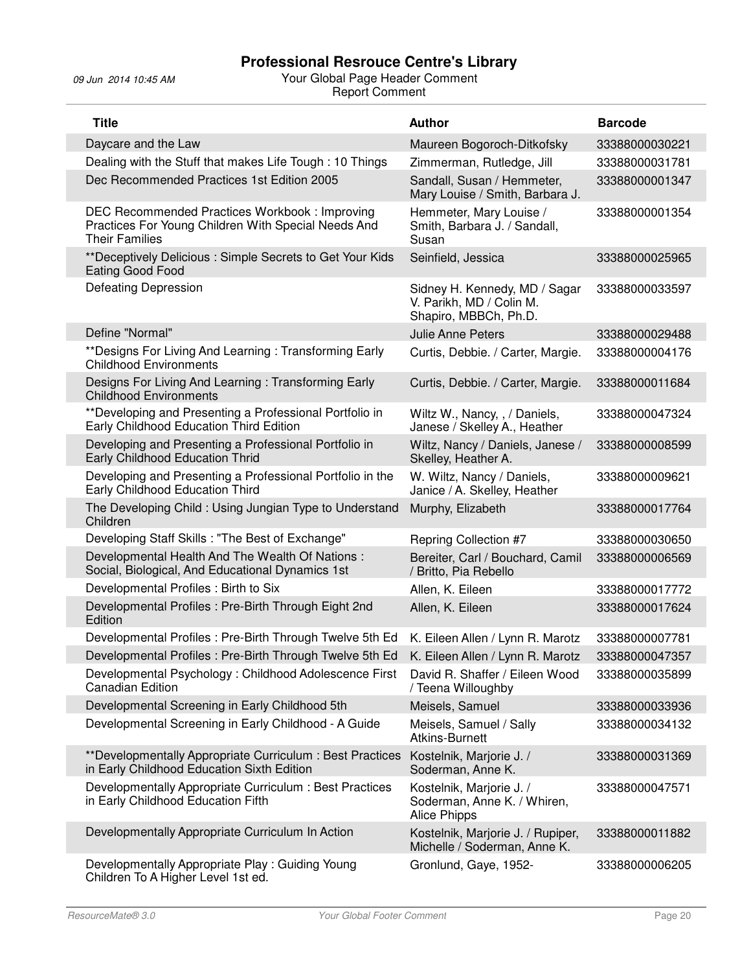| <b>Title</b>                                                                                                                  | <b>Author</b>                                                                      | <b>Barcode</b> |
|-------------------------------------------------------------------------------------------------------------------------------|------------------------------------------------------------------------------------|----------------|
| Daycare and the Law                                                                                                           | Maureen Bogoroch-Ditkofsky                                                         | 33388000030221 |
| Dealing with the Stuff that makes Life Tough: 10 Things                                                                       | Zimmerman, Rutledge, Jill                                                          | 33388000031781 |
| Dec Recommended Practices 1st Edition 2005                                                                                    | Sandall, Susan / Hemmeter,<br>Mary Louise / Smith, Barbara J.                      | 33388000001347 |
| DEC Recommended Practices Workbook: Improving<br>Practices For Young Children With Special Needs And<br><b>Their Families</b> | Hemmeter, Mary Louise /<br>Smith, Barbara J. / Sandall,<br>Susan                   | 33388000001354 |
| **Deceptively Delicious: Simple Secrets to Get Your Kids<br>Eating Good Food                                                  | Seinfield, Jessica                                                                 | 33388000025965 |
| <b>Defeating Depression</b>                                                                                                   | Sidney H. Kennedy, MD / Sagar<br>V. Parikh, MD / Colin M.<br>Shapiro, MBBCh, Ph.D. | 33388000033597 |
| Define "Normal"                                                                                                               | Julie Anne Peters                                                                  | 33388000029488 |
| ** Designs For Living And Learning: Transforming Early<br><b>Childhood Environments</b>                                       | Curtis, Debbie. / Carter, Margie.                                                  | 33388000004176 |
| Designs For Living And Learning: Transforming Early<br><b>Childhood Environments</b>                                          | Curtis, Debbie. / Carter, Margie.                                                  | 33388000011684 |
| ** Developing and Presenting a Professional Portfolio in<br>Early Childhood Education Third Edition                           | Wiltz W., Nancy, , / Daniels,<br>Janese / Skelley A., Heather                      | 33388000047324 |
| Developing and Presenting a Professional Portfolio in<br>Early Childhood Education Thrid                                      | Wiltz, Nancy / Daniels, Janese /<br>Skelley, Heather A.                            | 33388000008599 |
| Developing and Presenting a Professional Portfolio in the<br>Early Childhood Education Third                                  | W. Wiltz, Nancy / Daniels,<br>Janice / A. Skelley, Heather                         | 33388000009621 |
| The Developing Child: Using Jungian Type to Understand<br>Children                                                            | Murphy, Elizabeth                                                                  | 33388000017764 |
| Developing Staff Skills: "The Best of Exchange"                                                                               | Repring Collection #7                                                              | 33388000030650 |
| Developmental Health And The Wealth Of Nations:<br>Social, Biological, And Educational Dynamics 1st                           | Bereiter, Carl / Bouchard, Camil<br>/ Britto, Pia Rebello                          | 33388000006569 |
| Developmental Profiles: Birth to Six                                                                                          | Allen, K. Eileen                                                                   | 33388000017772 |
| Developmental Profiles : Pre-Birth Through Eight 2nd<br>Edition                                                               | Allen, K. Eileen                                                                   | 33388000017624 |
| Developmental Profiles: Pre-Birth Through Twelve 5th Ed                                                                       | K. Eileen Allen / Lynn R. Marotz                                                   | 33388000007781 |
| Developmental Profiles: Pre-Birth Through Twelve 5th Ed                                                                       | K. Eileen Allen / Lynn R. Marotz                                                   | 33388000047357 |
| Developmental Psychology: Childhood Adolescence First<br><b>Canadian Edition</b>                                              | David R. Shaffer / Eileen Wood<br>/ Teena Willoughby                               | 33388000035899 |
| Developmental Screening in Early Childhood 5th                                                                                | Meisels, Samuel                                                                    | 33388000033936 |
| Developmental Screening in Early Childhood - A Guide                                                                          | Meisels, Samuel / Sally<br>Atkins-Burnett                                          | 33388000034132 |
| **Developmentally Appropriate Curriculum: Best Practices<br>in Early Childhood Education Sixth Edition                        | Kostelnik, Marjorie J. /<br>Soderman, Anne K.                                      | 33388000031369 |
| Developmentally Appropriate Curriculum : Best Practices<br>in Early Childhood Education Fifth                                 | Kostelnik, Marjorie J. /<br>Soderman, Anne K. / Whiren,<br><b>Alice Phipps</b>     | 33388000047571 |
| Developmentally Appropriate Curriculum In Action                                                                              | Kostelnik, Marjorie J. / Rupiper,<br>Michelle / Soderman, Anne K.                  | 33388000011882 |
| Developmentally Appropriate Play: Guiding Young<br>Children To A Higher Level 1st ed.                                         | Gronlund, Gaye, 1952-                                                              | 33388000006205 |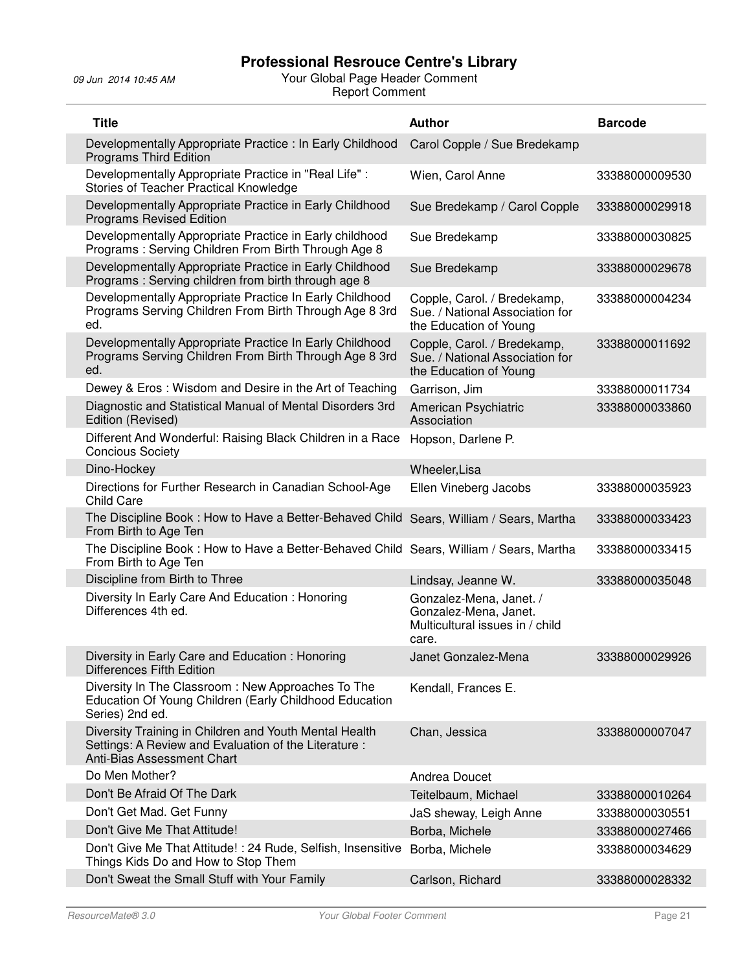| <b>Title</b>                                                                                                                                  | <b>Author</b>                                                                                | <b>Barcode</b> |
|-----------------------------------------------------------------------------------------------------------------------------------------------|----------------------------------------------------------------------------------------------|----------------|
| Developmentally Appropriate Practice : In Early Childhood<br><b>Programs Third Edition</b>                                                    | Carol Copple / Sue Bredekamp                                                                 |                |
| Developmentally Appropriate Practice in "Real Life" :<br>Stories of Teacher Practical Knowledge                                               | Wien, Carol Anne                                                                             | 33388000009530 |
| Developmentally Appropriate Practice in Early Childhood<br><b>Programs Revised Edition</b>                                                    | Sue Bredekamp / Carol Copple                                                                 | 33388000029918 |
| Developmentally Appropriate Practice in Early childhood<br>Programs: Serving Children From Birth Through Age 8                                | Sue Bredekamp                                                                                | 33388000030825 |
| Developmentally Appropriate Practice in Early Childhood<br>Programs: Serving children from birth through age 8                                | Sue Bredekamp                                                                                | 33388000029678 |
| Developmentally Appropriate Practice In Early Childhood<br>Programs Serving Children From Birth Through Age 8 3rd<br>ed.                      | Copple, Carol. / Bredekamp,<br>Sue. / National Association for<br>the Education of Young     | 33388000004234 |
| Developmentally Appropriate Practice In Early Childhood<br>Programs Serving Children From Birth Through Age 8 3rd<br>ed.                      | Copple, Carol. / Bredekamp,<br>Sue. / National Association for<br>the Education of Young     | 33388000011692 |
| Dewey & Eros: Wisdom and Desire in the Art of Teaching                                                                                        | Garrison, Jim                                                                                | 33388000011734 |
| Diagnostic and Statistical Manual of Mental Disorders 3rd<br>Edition (Revised)                                                                | American Psychiatric<br>Association                                                          | 33388000033860 |
| Different And Wonderful: Raising Black Children in a Race<br><b>Concious Society</b>                                                          | Hopson, Darlene P.                                                                           |                |
| Dino-Hockey                                                                                                                                   | Wheeler, Lisa                                                                                |                |
| Directions for Further Research in Canadian School-Age<br><b>Child Care</b>                                                                   | Ellen Vineberg Jacobs                                                                        | 33388000035923 |
| The Discipline Book: How to Have a Better-Behaved Child Sears, William / Sears, Martha<br>From Birth to Age Ten                               |                                                                                              | 33388000033423 |
| The Discipline Book: How to Have a Better-Behaved Child Sears, William / Sears, Martha<br>From Birth to Age Ten                               |                                                                                              | 33388000033415 |
| Discipline from Birth to Three                                                                                                                | Lindsay, Jeanne W.                                                                           | 33388000035048 |
| Diversity In Early Care And Education: Honoring<br>Differences 4th ed.                                                                        | Gonzalez-Mena, Janet. /<br>Gonzalez-Mena, Janet.<br>Multicultural issues in / child<br>care. |                |
| Diversity in Early Care and Education: Honoring<br><b>Differences Fifth Edition</b>                                                           | Janet Gonzalez-Mena                                                                          | 33388000029926 |
| Diversity In The Classroom: New Approaches To The<br>Education Of Young Children (Early Childhood Education<br>Series) 2nd ed.                | Kendall, Frances E.                                                                          |                |
| Diversity Training in Children and Youth Mental Health<br>Settings: A Review and Evaluation of the Literature :<br>Anti-Bias Assessment Chart | Chan, Jessica                                                                                | 33388000007047 |
| Do Men Mother?                                                                                                                                | Andrea Doucet                                                                                |                |
| Don't Be Afraid Of The Dark                                                                                                                   | Teitelbaum, Michael                                                                          | 33388000010264 |
| Don't Get Mad. Get Funny                                                                                                                      | JaS sheway, Leigh Anne                                                                       | 33388000030551 |
| Don't Give Me That Attitude!                                                                                                                  | Borba, Michele                                                                               | 33388000027466 |
| Don't Give Me That Attitude! : 24 Rude, Selfish, Insensitive<br>Things Kids Do and How to Stop Them                                           | Borba, Michele                                                                               | 33388000034629 |
| Don't Sweat the Small Stuff with Your Family                                                                                                  | Carlson, Richard                                                                             | 33388000028332 |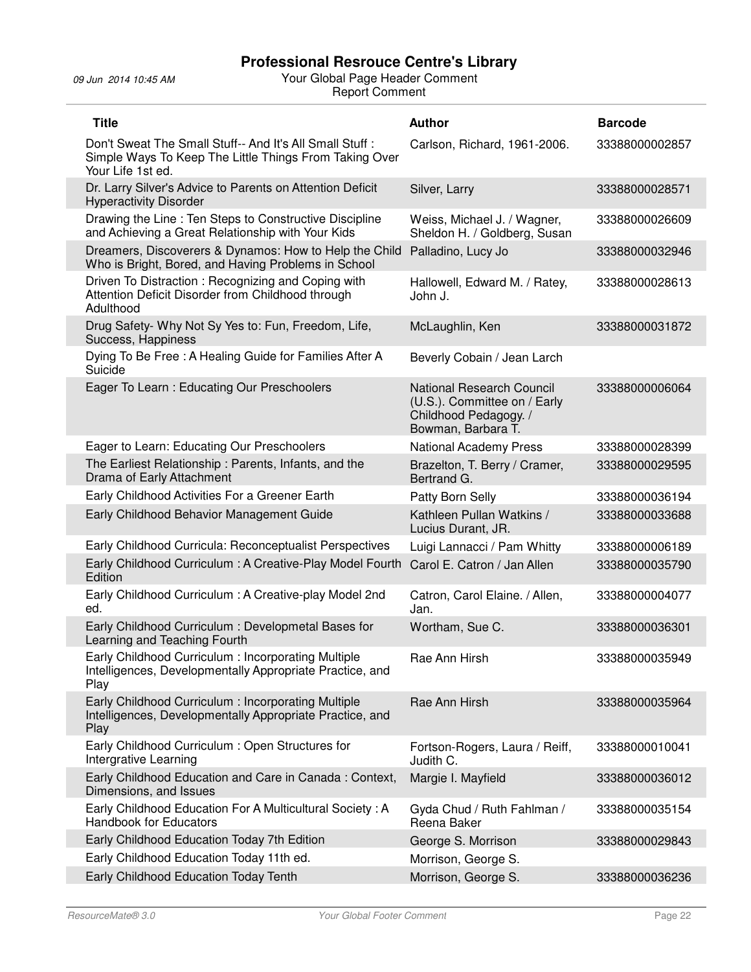| <b>Title</b>                                                                                                                           | <b>Author</b>                                                                                                   | <b>Barcode</b> |
|----------------------------------------------------------------------------------------------------------------------------------------|-----------------------------------------------------------------------------------------------------------------|----------------|
| Don't Sweat The Small Stuff-- And It's All Small Stuff:<br>Simple Ways To Keep The Little Things From Taking Over<br>Your Life 1st ed. | Carlson, Richard, 1961-2006.                                                                                    | 33388000002857 |
| Dr. Larry Silver's Advice to Parents on Attention Deficit<br><b>Hyperactivity Disorder</b>                                             | Silver, Larry                                                                                                   | 33388000028571 |
| Drawing the Line: Ten Steps to Constructive Discipline<br>and Achieving a Great Relationship with Your Kids                            | Weiss, Michael J. / Wagner,<br>Sheldon H. / Goldberg, Susan                                                     | 33388000026609 |
| Dreamers, Discoverers & Dynamos: How to Help the Child<br>Who is Bright, Bored, and Having Problems in School                          | Palladino, Lucy Jo                                                                                              | 33388000032946 |
| Driven To Distraction: Recognizing and Coping with<br>Attention Deficit Disorder from Childhood through<br>Adulthood                   | Hallowell, Edward M. / Ratey,<br>John J.                                                                        | 33388000028613 |
| Drug Safety- Why Not Sy Yes to: Fun, Freedom, Life,<br>Success, Happiness                                                              | McLaughlin, Ken                                                                                                 | 33388000031872 |
| Dying To Be Free: A Healing Guide for Families After A<br>Suicide                                                                      | Beverly Cobain / Jean Larch                                                                                     |                |
| Eager To Learn: Educating Our Preschoolers                                                                                             | <b>National Research Council</b><br>(U.S.). Committee on / Early<br>Childhood Pedagogy. /<br>Bowman, Barbara T. | 33388000006064 |
| Eager to Learn: Educating Our Preschoolers                                                                                             | <b>National Academy Press</b>                                                                                   | 33388000028399 |
| The Earliest Relationship: Parents, Infants, and the<br>Drama of Early Attachment                                                      | Brazelton, T. Berry / Cramer,<br>Bertrand G.                                                                    | 33388000029595 |
| Early Childhood Activities For a Greener Earth                                                                                         | Patty Born Selly                                                                                                | 33388000036194 |
| Early Childhood Behavior Management Guide                                                                                              | Kathleen Pullan Watkins /<br>Lucius Durant, JR.                                                                 | 33388000033688 |
| Early Childhood Curricula: Reconceptualist Perspectives                                                                                | Luigi Lannacci / Pam Whitty                                                                                     | 33388000006189 |
| Early Childhood Curriculum : A Creative-Play Model Fourth<br>Edition                                                                   | Carol E. Catron / Jan Allen                                                                                     | 33388000035790 |
| Early Childhood Curriculum: A Creative-play Model 2nd<br>ed.                                                                           | Catron, Carol Elaine. / Allen,<br>Jan.                                                                          | 33388000004077 |
| Early Childhood Curriculum: Developmetal Bases for<br>Learning and Teaching Fourth                                                     | Wortham, Sue C.                                                                                                 | 33388000036301 |
| Early Childhood Curriculum: Incorporating Multiple<br>Intelligences, Developmentally Appropriate Practice, and<br>Play                 | Rae Ann Hirsh                                                                                                   | 33388000035949 |
| Early Childhood Curriculum: Incorporating Multiple<br>Intelligences, Developmentally Appropriate Practice, and<br>Play                 | Rae Ann Hirsh                                                                                                   | 33388000035964 |
| Early Childhood Curriculum: Open Structures for<br>Intergrative Learning                                                               | Fortson-Rogers, Laura / Reiff,<br>Judith C.                                                                     | 33388000010041 |
| Early Childhood Education and Care in Canada: Context,<br>Dimensions, and Issues                                                       | Margie I. Mayfield                                                                                              | 33388000036012 |
| Early Childhood Education For A Multicultural Society: A<br><b>Handbook for Educators</b>                                              | Gyda Chud / Ruth Fahlman /<br>Reena Baker                                                                       | 33388000035154 |
| Early Childhood Education Today 7th Edition                                                                                            | George S. Morrison                                                                                              | 33388000029843 |
| Early Childhood Education Today 11th ed.                                                                                               | Morrison, George S.                                                                                             |                |
| Early Childhood Education Today Tenth                                                                                                  | Morrison, George S.                                                                                             | 33388000036236 |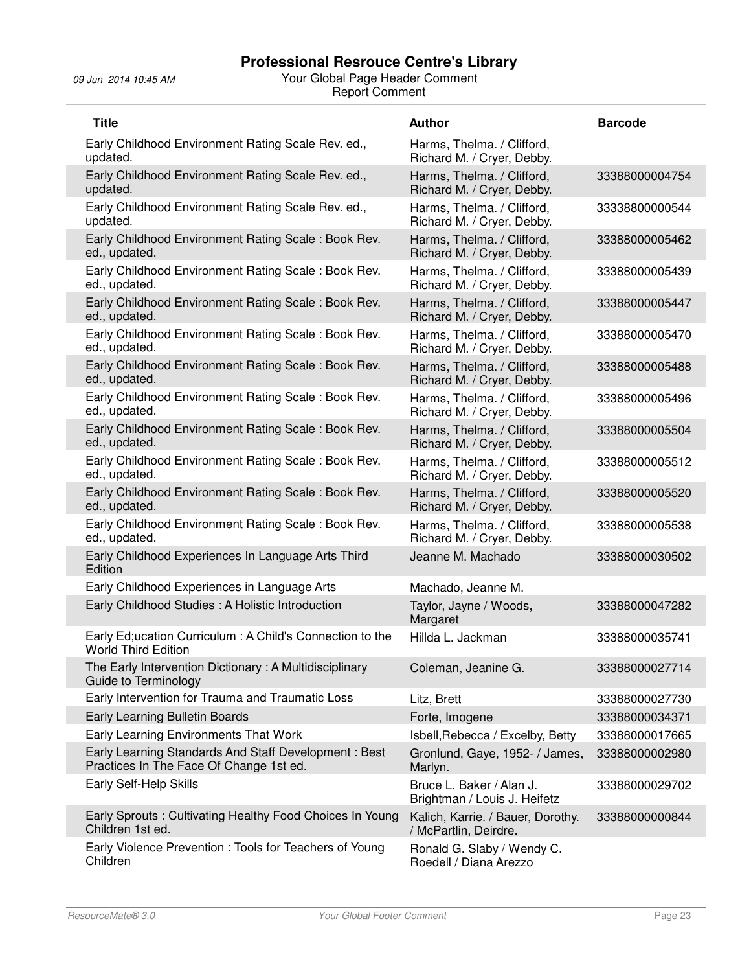| <b>Title</b>                                                                                    | <b>Author</b>                                              | <b>Barcode</b> |
|-------------------------------------------------------------------------------------------------|------------------------------------------------------------|----------------|
| Early Childhood Environment Rating Scale Rev. ed.,<br>updated.                                  | Harms, Thelma. / Clifford,<br>Richard M. / Cryer, Debby.   |                |
| Early Childhood Environment Rating Scale Rev. ed.,<br>updated.                                  | Harms, Thelma. / Clifford.<br>Richard M. / Cryer, Debby.   | 33388000004754 |
| Early Childhood Environment Rating Scale Rev. ed.,<br>updated.                                  | Harms, Thelma. / Clifford,<br>Richard M. / Cryer, Debby.   | 33338800000544 |
| Early Childhood Environment Rating Scale: Book Rev.<br>ed., updated.                            | Harms, Thelma. / Clifford,<br>Richard M. / Cryer, Debby.   | 33388000005462 |
| Early Childhood Environment Rating Scale: Book Rev.<br>ed., updated.                            | Harms, Thelma. / Clifford,<br>Richard M. / Cryer, Debby.   | 33388000005439 |
| Early Childhood Environment Rating Scale: Book Rev.<br>ed., updated.                            | Harms, Thelma. / Clifford,<br>Richard M. / Cryer, Debby.   | 33388000005447 |
| Early Childhood Environment Rating Scale: Book Rev.<br>ed., updated.                            | Harms, Thelma. / Clifford,<br>Richard M. / Cryer, Debby.   | 33388000005470 |
| Early Childhood Environment Rating Scale: Book Rev.<br>ed., updated.                            | Harms, Thelma. / Clifford,<br>Richard M. / Cryer, Debby.   | 33388000005488 |
| Early Childhood Environment Rating Scale: Book Rev.<br>ed., updated.                            | Harms, Thelma. / Clifford,<br>Richard M. / Cryer, Debby.   | 33388000005496 |
| Early Childhood Environment Rating Scale: Book Rev.<br>ed., updated.                            | Harms, Thelma. / Clifford,<br>Richard M. / Cryer, Debby.   | 33388000005504 |
| Early Childhood Environment Rating Scale: Book Rev.<br>ed., updated.                            | Harms, Thelma. / Clifford,<br>Richard M. / Cryer, Debby.   | 33388000005512 |
| Early Childhood Environment Rating Scale: Book Rev.<br>ed., updated.                            | Harms, Thelma. / Clifford,<br>Richard M. / Cryer, Debby.   | 33388000005520 |
| Early Childhood Environment Rating Scale: Book Rev.<br>ed., updated.                            | Harms, Thelma. / Clifford,<br>Richard M. / Cryer, Debby.   | 33388000005538 |
| Early Childhood Experiences In Language Arts Third<br>Edition                                   | Jeanne M. Machado                                          | 33388000030502 |
| Early Childhood Experiences in Language Arts                                                    | Machado, Jeanne M.                                         |                |
| Early Childhood Studies : A Holistic Introduction                                               | Taylor, Jayne / Woods,<br>Margaret                         | 33388000047282 |
| Early Ed; ucation Curriculum: A Child's Connection to the<br><b>World Third Edition</b>         | Hillda L. Jackman                                          | 33388000035741 |
| The Early Intervention Dictionary: A Multidisciplinary<br>Guide to Terminology                  | Coleman, Jeanine G.                                        | 33388000027714 |
| Early Intervention for Trauma and Traumatic Loss                                                | Litz, Brett                                                | 33388000027730 |
| Early Learning Bulletin Boards                                                                  | Forte, Imogene                                             | 33388000034371 |
| Early Learning Environments That Work                                                           | Isbell, Rebecca / Excelby, Betty                           | 33388000017665 |
| Early Learning Standards And Staff Development: Best<br>Practices In The Face Of Change 1st ed. | Gronlund, Gaye, 1952- / James,<br>Marlyn.                  | 33388000002980 |
| Early Self-Help Skills                                                                          | Bruce L. Baker / Alan J.<br>Brightman / Louis J. Heifetz   | 33388000029702 |
| Early Sprouts: Cultivating Healthy Food Choices In Young<br>Children 1st ed.                    | Kalich, Karrie. / Bauer, Dorothy.<br>/ McPartlin, Deirdre. | 33388000000844 |
| Early Violence Prevention: Tools for Teachers of Young<br>Children                              | Ronald G. Slaby / Wendy C.<br>Roedell / Diana Arezzo       |                |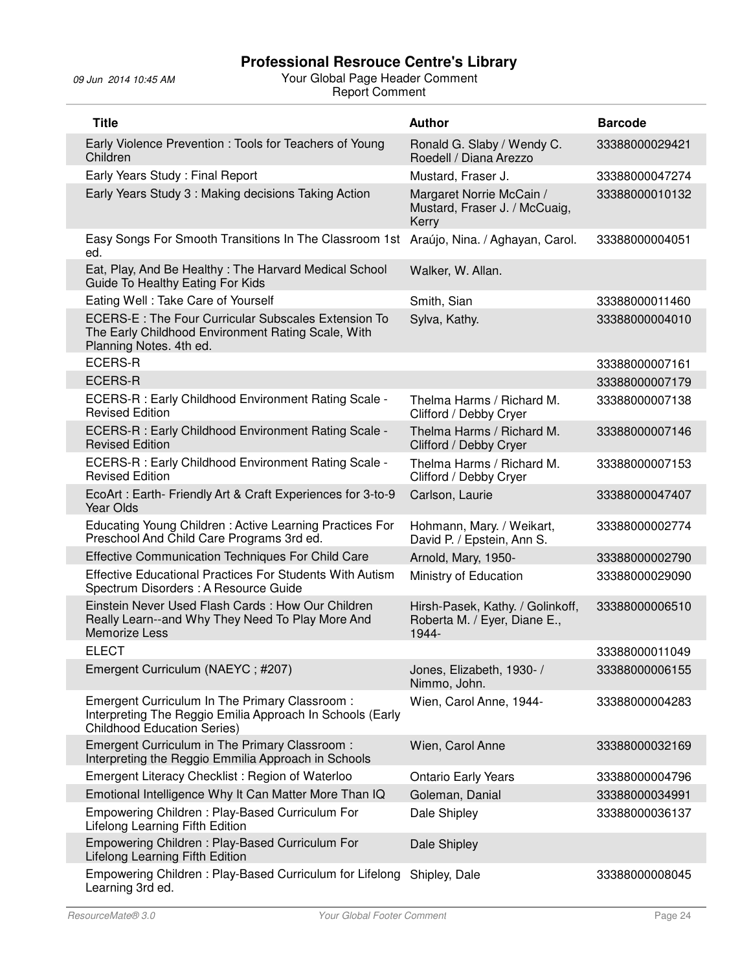| <b>Title</b>                                                                                                                                     | <b>Author</b>                                                             | <b>Barcode</b> |
|--------------------------------------------------------------------------------------------------------------------------------------------------|---------------------------------------------------------------------------|----------------|
| Early Violence Prevention: Tools for Teachers of Young<br>Children                                                                               | Ronald G. Slaby / Wendy C.<br>Roedell / Diana Arezzo                      | 33388000029421 |
| Early Years Study: Final Report                                                                                                                  | Mustard, Fraser J.                                                        | 33388000047274 |
| Early Years Study 3: Making decisions Taking Action                                                                                              | Margaret Norrie McCain /<br>Mustard, Fraser J. / McCuaig,<br>Kerry        | 33388000010132 |
| Easy Songs For Smooth Transitions In The Classroom 1st<br>ed.                                                                                    | Araújo, Nina. / Aghayan, Carol.                                           | 33388000004051 |
| Eat, Play, And Be Healthy: The Harvard Medical School<br>Guide To Healthy Eating For Kids                                                        | Walker, W. Allan.                                                         |                |
| Eating Well: Take Care of Yourself                                                                                                               | Smith, Sian                                                               | 33388000011460 |
| ECERS-E : The Four Curricular Subscales Extension To<br>The Early Childhood Environment Rating Scale, With<br>Planning Notes. 4th ed.            | Sylva, Kathy.                                                             | 33388000004010 |
| <b>ECERS-R</b>                                                                                                                                   |                                                                           | 33388000007161 |
| <b>ECERS-R</b>                                                                                                                                   |                                                                           | 33388000007179 |
| ECERS-R : Early Childhood Environment Rating Scale -<br><b>Revised Edition</b>                                                                   | Thelma Harms / Richard M.<br>Clifford / Debby Cryer                       | 33388000007138 |
| ECERS-R : Early Childhood Environment Rating Scale -<br><b>Revised Edition</b>                                                                   | Thelma Harms / Richard M.<br>Clifford / Debby Cryer                       | 33388000007146 |
| ECERS-R : Early Childhood Environment Rating Scale -<br><b>Revised Edition</b>                                                                   | Thelma Harms / Richard M.<br>Clifford / Debby Cryer                       | 33388000007153 |
| EcoArt: Earth- Friendly Art & Craft Experiences for 3-to-9<br><b>Year Olds</b>                                                                   | Carlson, Laurie                                                           | 33388000047407 |
| Educating Young Children : Active Learning Practices For<br>Preschool And Child Care Programs 3rd ed.                                            | Hohmann, Mary. / Weikart,<br>David P. / Epstein, Ann S.                   | 33388000002774 |
| Effective Communication Techniques For Child Care                                                                                                | Arnold, Mary, 1950-                                                       | 33388000002790 |
| <b>Effective Educational Practices For Students With Autism</b><br>Spectrum Disorders : A Resource Guide                                         | Ministry of Education                                                     | 33388000029090 |
| Einstein Never Used Flash Cards: How Our Children<br>Really Learn--and Why They Need To Play More And<br><b>Memorize Less</b>                    | Hirsh-Pasek, Kathy. / Golinkoff,<br>Roberta M. / Eyer, Diane E.,<br>1944- | 33388000006510 |
| <b>ELECT</b>                                                                                                                                     |                                                                           | 33388000011049 |
| Emergent Curriculum (NAEYC; #207)                                                                                                                | Jones, Elizabeth, 1930- /<br>Nimmo, John.                                 | 33388000006155 |
| Emergent Curriculum In The Primary Classroom:<br>Interpreting The Reggio Emilia Approach In Schools (Early<br><b>Childhood Education Series)</b> | Wien, Carol Anne, 1944-                                                   | 33388000004283 |
| Emergent Curriculum in The Primary Classroom:<br>Interpreting the Reggio Emmilia Approach in Schools                                             | Wien, Carol Anne                                                          | 33388000032169 |
| Emergent Literacy Checklist: Region of Waterloo                                                                                                  | <b>Ontario Early Years</b>                                                | 33388000004796 |
| Emotional Intelligence Why It Can Matter More Than IQ                                                                                            | Goleman, Danial                                                           | 33388000034991 |
| Empowering Children: Play-Based Curriculum For<br>Lifelong Learning Fifth Edition                                                                | Dale Shipley                                                              | 33388000036137 |
| Empowering Children: Play-Based Curriculum For<br>Lifelong Learning Fifth Edition                                                                | Dale Shipley                                                              |                |
| Empowering Children: Play-Based Curriculum for Lifelong<br>Learning 3rd ed.                                                                      | Shipley, Dale                                                             | 33388000008045 |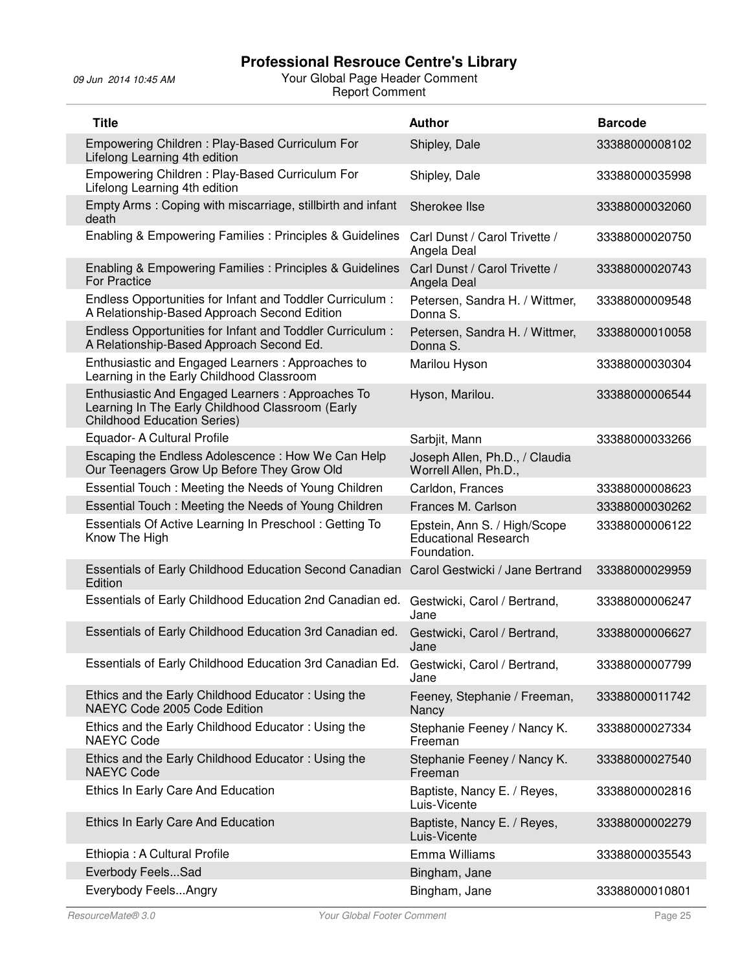| <b>Title</b>                                                                                                                               | <b>Author</b>                                                              | <b>Barcode</b> |
|--------------------------------------------------------------------------------------------------------------------------------------------|----------------------------------------------------------------------------|----------------|
| Empowering Children: Play-Based Curriculum For<br>Lifelong Learning 4th edition                                                            | Shipley, Dale                                                              | 33388000008102 |
| Empowering Children: Play-Based Curriculum For<br>Lifelong Learning 4th edition                                                            | Shipley, Dale                                                              | 33388000035998 |
| Empty Arms: Coping with miscarriage, stillbirth and infant<br>death                                                                        | Sherokee Ilse                                                              | 33388000032060 |
| Enabling & Empowering Families : Principles & Guidelines                                                                                   | Carl Dunst / Carol Trivette /<br>Angela Deal                               | 33388000020750 |
| Enabling & Empowering Families : Principles & Guidelines<br><b>For Practice</b>                                                            | Carl Dunst / Carol Trivette /<br>Angela Deal                               | 33388000020743 |
| Endless Opportunities for Infant and Toddler Curriculum :<br>A Relationship-Based Approach Second Edition                                  | Petersen, Sandra H. / Wittmer,<br>Donna S.                                 | 33388000009548 |
| Endless Opportunities for Infant and Toddler Curriculum :<br>A Relationship-Based Approach Second Ed.                                      | Petersen, Sandra H. / Wittmer,<br>Donna S.                                 | 33388000010058 |
| Enthusiastic and Engaged Learners: Approaches to<br>Learning in the Early Childhood Classroom                                              | Marilou Hyson                                                              | 33388000030304 |
| Enthusiastic And Engaged Learners: Approaches To<br>Learning In The Early Childhood Classroom (Early<br><b>Childhood Education Series)</b> | Hyson, Marilou.                                                            | 33388000006544 |
| Equador- A Cultural Profile                                                                                                                | Sarbjit, Mann                                                              | 33388000033266 |
| Escaping the Endless Adolescence: How We Can Help<br>Our Teenagers Grow Up Before They Grow Old                                            | Joseph Allen, Ph.D., / Claudia<br>Worrell Allen, Ph.D.,                    |                |
| Essential Touch: Meeting the Needs of Young Children                                                                                       | Carldon, Frances                                                           | 33388000008623 |
| Essential Touch : Meeting the Needs of Young Children                                                                                      | Frances M. Carlson                                                         | 33388000030262 |
| Essentials Of Active Learning In Preschool: Getting To<br>Know The High                                                                    | Epstein, Ann S. / High/Scope<br><b>Educational Research</b><br>Foundation. | 33388000006122 |
| Essentials of Early Childhood Education Second Canadian<br>Edition                                                                         | Carol Gestwicki / Jane Bertrand                                            | 33388000029959 |
| Essentials of Early Childhood Education 2nd Canadian ed.                                                                                   | Gestwicki, Carol / Bertrand,<br>Jane                                       | 33388000006247 |
| Essentials of Early Childhood Education 3rd Canadian ed.                                                                                   | Gestwicki, Carol / Bertrand,<br>Jane                                       | 33388000006627 |
| Essentials of Early Childhood Education 3rd Canadian Ed.                                                                                   | Gestwicki, Carol / Bertrand,<br>Jane                                       | 33388000007799 |
| Ethics and the Early Childhood Educator: Using the<br>NAEYC Code 2005 Code Edition                                                         | Feeney, Stephanie / Freeman,<br>Nancy                                      | 33388000011742 |
| Ethics and the Early Childhood Educator: Using the<br><b>NAEYC Code</b>                                                                    | Stephanie Feeney / Nancy K.<br>Freeman                                     | 33388000027334 |
| Ethics and the Early Childhood Educator: Using the<br><b>NAEYC Code</b>                                                                    | Stephanie Feeney / Nancy K.<br>Freeman                                     | 33388000027540 |
| Ethics In Early Care And Education                                                                                                         | Baptiste, Nancy E. / Reyes,<br>Luis-Vicente                                | 33388000002816 |
| Ethics In Early Care And Education                                                                                                         | Baptiste, Nancy E. / Reyes,<br>Luis-Vicente                                | 33388000002279 |
| Ethiopia: A Cultural Profile                                                                                                               | Emma Williams                                                              | 33388000035543 |
| Everbody FeelsSad                                                                                                                          | Bingham, Jane                                                              |                |
| Everybody FeelsAngry                                                                                                                       | Bingham, Jane                                                              | 33388000010801 |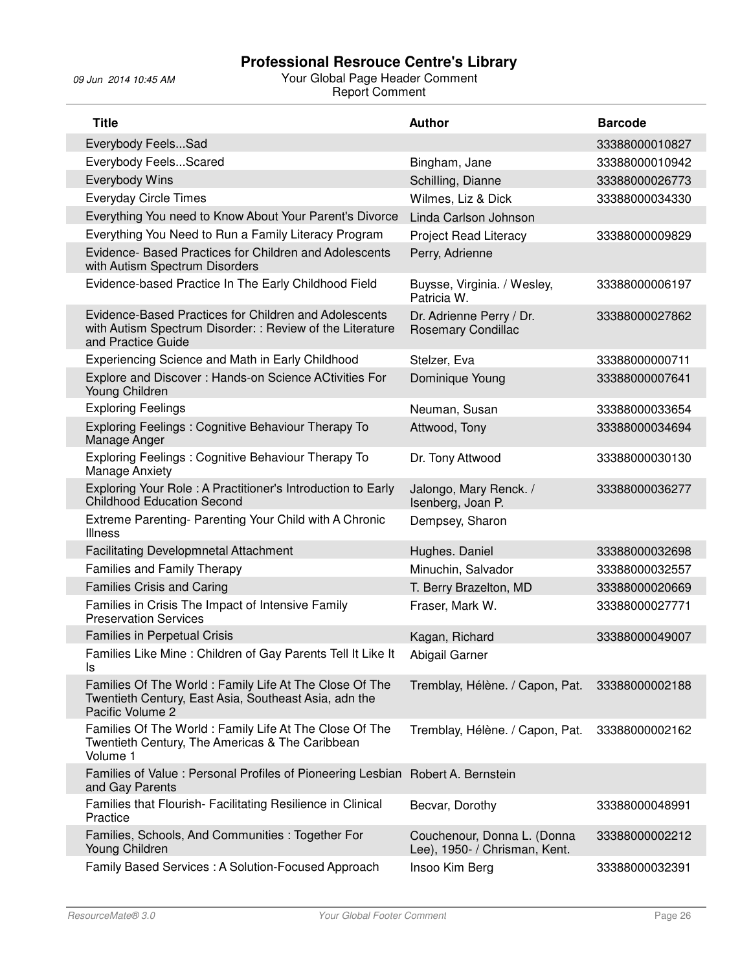| <b>Title</b>                                                                                                                             | <b>Author</b>                                                | <b>Barcode</b> |
|------------------------------------------------------------------------------------------------------------------------------------------|--------------------------------------------------------------|----------------|
| Everybody FeelsSad                                                                                                                       |                                                              | 33388000010827 |
| Everybody FeelsScared                                                                                                                    | Bingham, Jane                                                | 33388000010942 |
| Everybody Wins                                                                                                                           | Schilling, Dianne                                            | 33388000026773 |
| <b>Everyday Circle Times</b>                                                                                                             | Wilmes, Liz & Dick                                           | 33388000034330 |
| Everything You need to Know About Your Parent's Divorce                                                                                  | Linda Carlson Johnson                                        |                |
| Everything You Need to Run a Family Literacy Program                                                                                     | Project Read Literacy                                        | 33388000009829 |
| Evidence- Based Practices for Children and Adolescents<br>with Autism Spectrum Disorders                                                 | Perry, Adrienne                                              |                |
| Evidence-based Practice In The Early Childhood Field                                                                                     | Buysse, Virginia. / Wesley,<br>Patricia W.                   | 33388000006197 |
| Evidence-Based Practices for Children and Adolescents<br>with Autism Spectrum Disorder: : Review of the Literature<br>and Practice Guide | Dr. Adrienne Perry / Dr.<br>Rosemary Condillac               | 33388000027862 |
| Experiencing Science and Math in Early Childhood                                                                                         | Stelzer, Eva                                                 | 33388000000711 |
| Explore and Discover: Hands-on Science ACtivities For<br>Young Children                                                                  | Dominique Young                                              | 33388000007641 |
| <b>Exploring Feelings</b>                                                                                                                | Neuman, Susan                                                | 33388000033654 |
| Exploring Feelings: Cognitive Behaviour Therapy To<br>Manage Anger                                                                       | Attwood, Tony                                                | 33388000034694 |
| Exploring Feelings: Cognitive Behaviour Therapy To<br><b>Manage Anxiety</b>                                                              | Dr. Tony Attwood                                             | 33388000030130 |
| Exploring Your Role: A Practitioner's Introduction to Early<br><b>Childhood Education Second</b>                                         | Jalongo, Mary Renck. /<br>Isenberg, Joan P.                  | 33388000036277 |
| Extreme Parenting- Parenting Your Child with A Chronic<br><b>Illness</b>                                                                 | Dempsey, Sharon                                              |                |
| <b>Facilitating Developmnetal Attachment</b>                                                                                             | Hughes. Daniel                                               | 33388000032698 |
| <b>Families and Family Therapy</b>                                                                                                       | Minuchin, Salvador                                           | 33388000032557 |
| <b>Families Crisis and Caring</b>                                                                                                        | T. Berry Brazelton, MD                                       | 33388000020669 |
| Families in Crisis The Impact of Intensive Family<br><b>Preservation Services</b>                                                        | Fraser, Mark W.                                              | 33388000027771 |
| Families in Perpetual Crisis                                                                                                             | Kagan, Richard                                               | 33388000049007 |
| Families Like Mine : Children of Gay Parents Tell It Like It<br>ls                                                                       | Abigail Garner                                               |                |
| Families Of The World: Family Life At The Close Of The<br>Twentieth Century, East Asia, Southeast Asia, adn the<br>Pacific Volume 2      | Tremblay, Hélène. / Capon, Pat.                              | 33388000002188 |
| Families Of The World: Family Life At The Close Of The<br>Twentieth Century, The Americas & The Caribbean<br>Volume 1                    | Tremblay, Hélène. / Capon, Pat.                              | 33388000002162 |
| Families of Value: Personal Profiles of Pioneering Lesbian Robert A. Bernstein<br>and Gay Parents                                        |                                                              |                |
| Families that Flourish- Facilitating Resilience in Clinical<br>Practice                                                                  | Becvar, Dorothy                                              | 33388000048991 |
| Families, Schools, And Communities: Together For<br>Young Children                                                                       | Couchenour, Donna L. (Donna<br>Lee), 1950- / Chrisman, Kent. | 33388000002212 |
| Family Based Services: A Solution-Focused Approach                                                                                       | Insoo Kim Berg                                               | 33388000032391 |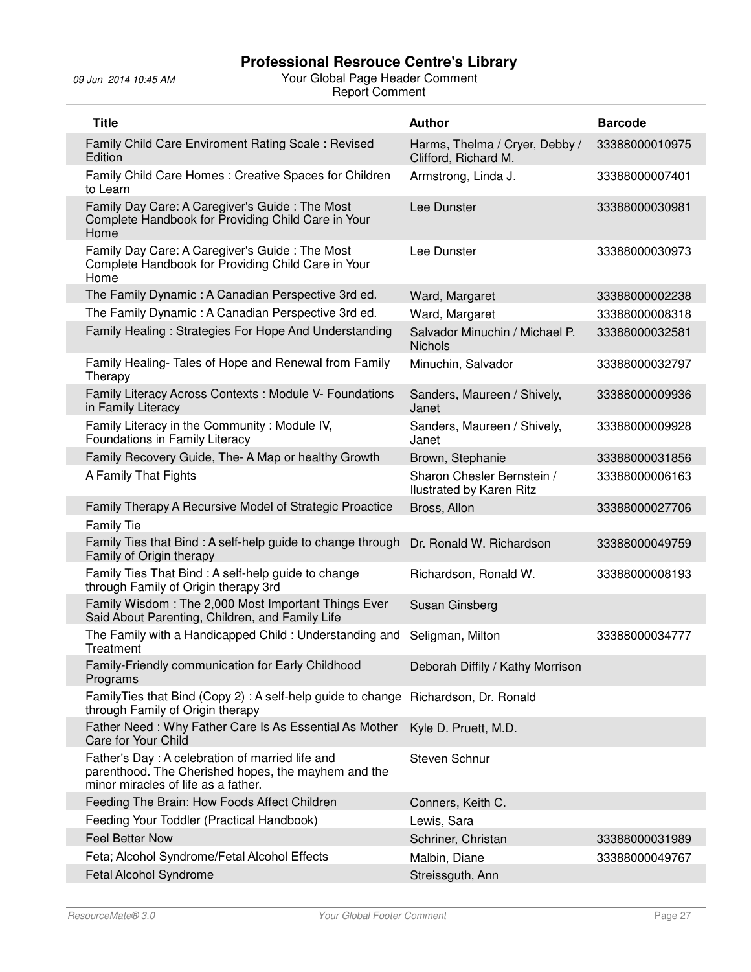| <b>Title</b>                                                                                                                                  | <b>Author</b>                                                 | <b>Barcode</b> |
|-----------------------------------------------------------------------------------------------------------------------------------------------|---------------------------------------------------------------|----------------|
| Family Child Care Enviroment Rating Scale: Revised<br>Edition                                                                                 | Harms, Thelma / Cryer, Debby /<br>Clifford, Richard M.        | 33388000010975 |
| Family Child Care Homes: Creative Spaces for Children<br>to Learn                                                                             | Armstrong, Linda J.                                           | 33388000007401 |
| Family Day Care: A Caregiver's Guide: The Most<br>Complete Handbook for Providing Child Care in Your<br>Home                                  | Lee Dunster                                                   | 33388000030981 |
| Family Day Care: A Caregiver's Guide: The Most<br>Complete Handbook for Providing Child Care in Your<br>Home                                  | Lee Dunster                                                   | 33388000030973 |
| The Family Dynamic: A Canadian Perspective 3rd ed.                                                                                            | Ward, Margaret                                                | 33388000002238 |
| The Family Dynamic: A Canadian Perspective 3rd ed.                                                                                            | Ward, Margaret                                                | 33388000008318 |
| Family Healing: Strategies For Hope And Understanding                                                                                         | Salvador Minuchin / Michael P.<br><b>Nichols</b>              | 33388000032581 |
| Family Healing- Tales of Hope and Renewal from Family<br>Therapy                                                                              | Minuchin, Salvador                                            | 33388000032797 |
| Family Literacy Across Contexts : Module V- Foundations<br>in Family Literacy                                                                 | Sanders, Maureen / Shively,<br>Janet                          | 33388000009936 |
| Family Literacy in the Community: Module IV,<br>Foundations in Family Literacy                                                                | Sanders, Maureen / Shively,<br>Janet                          | 33388000009928 |
| Family Recovery Guide, The- A Map or healthy Growth                                                                                           | Brown, Stephanie                                              | 33388000031856 |
| A Family That Fights                                                                                                                          | Sharon Chesler Bernstein /<br><b>Ilustrated by Karen Ritz</b> | 33388000006163 |
| Family Therapy A Recursive Model of Strategic Proactice                                                                                       | Bross, Allon                                                  | 33388000027706 |
| <b>Family Tie</b>                                                                                                                             |                                                               |                |
| Family Ties that Bind: A self-help guide to change through<br>Family of Origin therapy                                                        | Dr. Ronald W. Richardson                                      | 33388000049759 |
| Family Ties That Bind: A self-help guide to change<br>through Family of Origin therapy 3rd                                                    | Richardson, Ronald W.                                         | 33388000008193 |
| Family Wisdom: The 2,000 Most Important Things Ever<br>Said About Parenting, Children, and Family Life                                        | Susan Ginsberg                                                |                |
| The Family with a Handicapped Child: Understanding and<br>Treatment                                                                           | Seligman, Milton                                              | 33388000034777 |
| Family-Friendly communication for Early Childhood<br>Programs                                                                                 | Deborah Diffily / Kathy Morrison                              |                |
| FamilyTies that Bind (Copy 2) : A self-help guide to change<br>through Family of Origin therapy                                               | Richardson, Dr. Ronald                                        |                |
| Father Need: Why Father Care Is As Essential As Mother<br>Care for Your Child                                                                 | Kyle D. Pruett, M.D.                                          |                |
| Father's Day: A celebration of married life and<br>parenthood. The Cherished hopes, the mayhem and the<br>minor miracles of life as a father. | Steven Schnur                                                 |                |
| Feeding The Brain: How Foods Affect Children                                                                                                  | Conners, Keith C.                                             |                |
| Feeding Your Toddler (Practical Handbook)                                                                                                     | Lewis, Sara                                                   |                |
| <b>Feel Better Now</b>                                                                                                                        | Schriner, Christan                                            | 33388000031989 |
| Feta; Alcohol Syndrome/Fetal Alcohol Effects                                                                                                  | Malbin, Diane                                                 | 33388000049767 |
| Fetal Alcohol Syndrome                                                                                                                        | Streissguth, Ann                                              |                |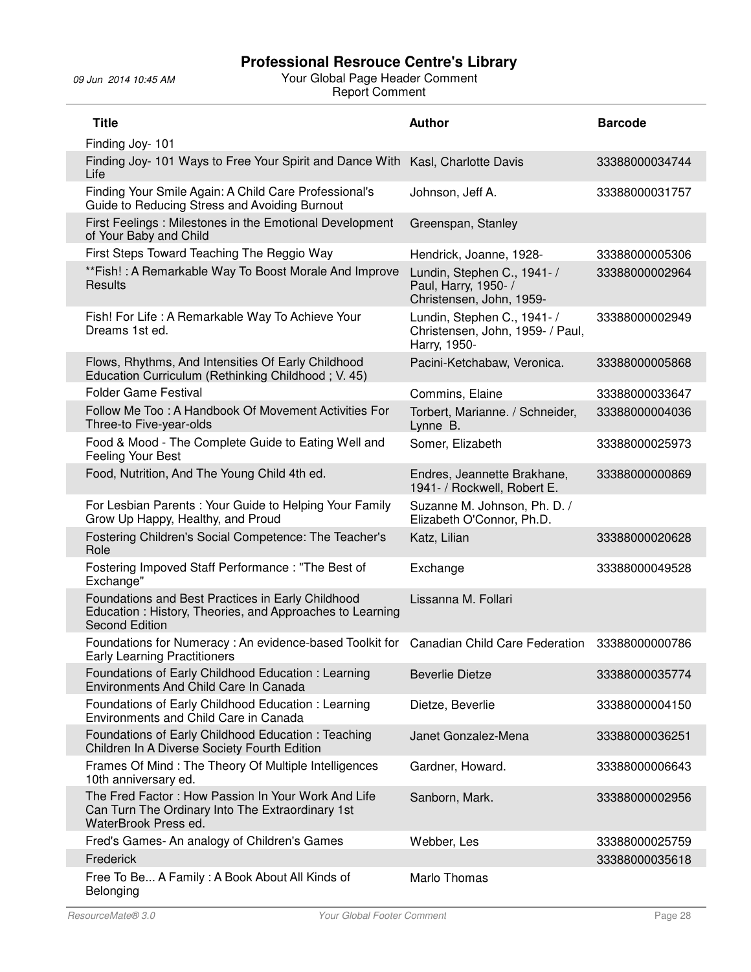| <b>Title</b>                                                                                                                           | <b>Author</b>                                                                   | <b>Barcode</b> |
|----------------------------------------------------------------------------------------------------------------------------------------|---------------------------------------------------------------------------------|----------------|
| Finding Joy- 101                                                                                                                       |                                                                                 |                |
| Finding Joy- 101 Ways to Free Your Spirit and Dance With<br>Life                                                                       | Kasl, Charlotte Davis                                                           | 33388000034744 |
| Finding Your Smile Again: A Child Care Professional's<br>Guide to Reducing Stress and Avoiding Burnout                                 | Johnson, Jeff A.                                                                | 33388000031757 |
| First Feelings: Milestones in the Emotional Development<br>of Your Baby and Child                                                      | Greenspan, Stanley                                                              |                |
| First Steps Toward Teaching The Reggio Way                                                                                             | Hendrick, Joanne, 1928-                                                         | 33388000005306 |
| **Fish! : A Remarkable Way To Boost Morale And Improve<br>Results                                                                      | Lundin, Stephen C., 1941- /<br>Paul, Harry, 1950-/<br>Christensen, John, 1959-  | 33388000002964 |
| Fish! For Life: A Remarkable Way To Achieve Your<br>Dreams 1st ed.                                                                     | Lundin, Stephen C., 1941- /<br>Christensen, John, 1959- / Paul,<br>Harry, 1950- | 33388000002949 |
| Flows, Rhythms, And Intensities Of Early Childhood<br>Education Curriculum (Rethinking Childhood; V. 45)                               | Pacini-Ketchabaw, Veronica.                                                     | 33388000005868 |
| <b>Folder Game Festival</b>                                                                                                            | Commins, Elaine                                                                 | 33388000033647 |
| Follow Me Too: A Handbook Of Movement Activities For<br>Three-to Five-year-olds                                                        | Torbert, Marianne. / Schneider,<br>Lynne B.                                     | 33388000004036 |
| Food & Mood - The Complete Guide to Eating Well and<br>Feeling Your Best                                                               | Somer, Elizabeth                                                                | 33388000025973 |
| Food, Nutrition, And The Young Child 4th ed.                                                                                           | Endres, Jeannette Brakhane,<br>1941- / Rockwell, Robert E.                      | 33388000000869 |
| For Lesbian Parents: Your Guide to Helping Your Family<br>Grow Up Happy, Healthy, and Proud                                            | Suzanne M. Johnson, Ph. D. /<br>Elizabeth O'Connor, Ph.D.                       |                |
| Fostering Children's Social Competence: The Teacher's<br>Role                                                                          | Katz, Lilian                                                                    | 33388000020628 |
| Fostering Impoved Staff Performance: "The Best of<br>Exchange"                                                                         | Exchange                                                                        | 33388000049528 |
| Foundations and Best Practices in Early Childhood<br>Education: History, Theories, and Approaches to Learning<br><b>Second Edition</b> | Lissanna M. Follari                                                             |                |
| Foundations for Numeracy: An evidence-based Toolkit for Canadian Child Care Federation<br><b>Early Learning Practitioners</b>          |                                                                                 | 33388000000786 |
| Foundations of Early Childhood Education: Learning<br>Environments And Child Care In Canada                                            | <b>Beverlie Dietze</b>                                                          | 33388000035774 |
| Foundations of Early Childhood Education: Learning<br>Environments and Child Care in Canada                                            | Dietze, Beverlie                                                                | 33388000004150 |
| Foundations of Early Childhood Education: Teaching<br>Children In A Diverse Society Fourth Edition                                     | Janet Gonzalez-Mena                                                             | 33388000036251 |
| Frames Of Mind: The Theory Of Multiple Intelligences<br>10th anniversary ed.                                                           | Gardner, Howard.                                                                | 33388000006643 |
| The Fred Factor: How Passion In Your Work And Life<br>Can Turn The Ordinary Into The Extraordinary 1st<br>WaterBrook Press ed.         | Sanborn, Mark.                                                                  | 33388000002956 |
| Fred's Games- An analogy of Children's Games                                                                                           | Webber, Les                                                                     | 33388000025759 |
| Frederick                                                                                                                              |                                                                                 | 33388000035618 |
| Free To Be A Family: A Book About All Kinds of<br>Belonging                                                                            | Marlo Thomas                                                                    |                |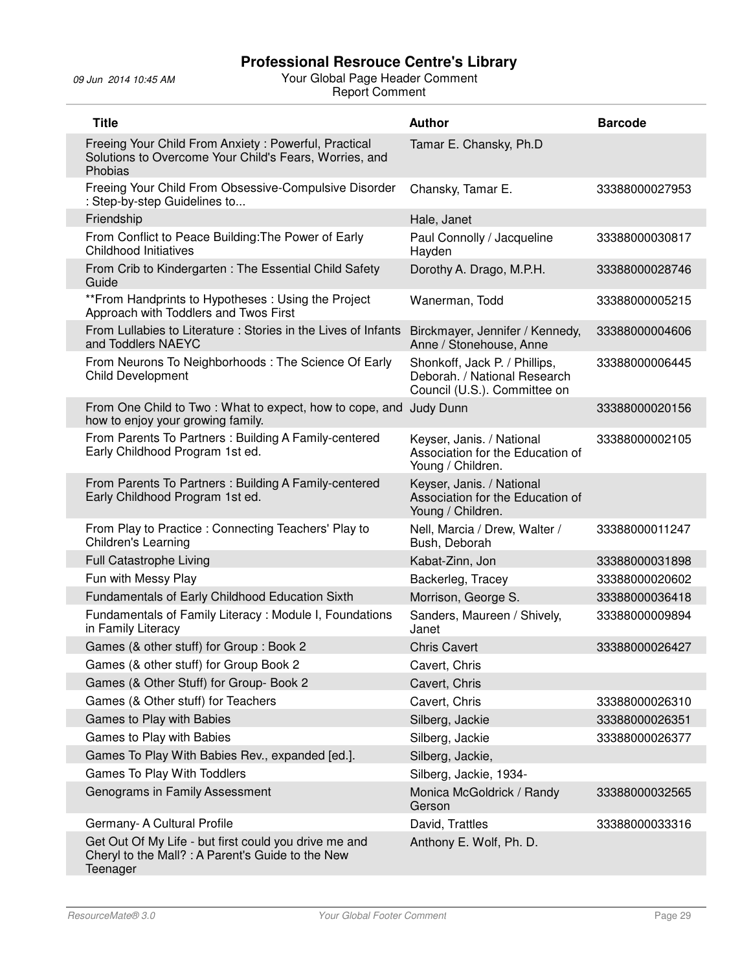| <b>Title</b>                                                                                                              | <b>Author</b>                                                                                 | <b>Barcode</b> |
|---------------------------------------------------------------------------------------------------------------------------|-----------------------------------------------------------------------------------------------|----------------|
| Freeing Your Child From Anxiety: Powerful, Practical<br>Solutions to Overcome Your Child's Fears, Worries, and<br>Phobias | Tamar E. Chansky, Ph.D                                                                        |                |
| Freeing Your Child From Obsessive-Compulsive Disorder<br>: Step-by-step Guidelines to                                     | Chansky, Tamar E.                                                                             | 33388000027953 |
| Friendship                                                                                                                | Hale, Janet                                                                                   |                |
| From Conflict to Peace Building: The Power of Early<br><b>Childhood Initiatives</b>                                       | Paul Connolly / Jacqueline<br>Hayden                                                          | 33388000030817 |
| From Crib to Kindergarten: The Essential Child Safety<br>Guide                                                            | Dorothy A. Drago, M.P.H.                                                                      | 33388000028746 |
| **From Handprints to Hypotheses: Using the Project<br>Approach with Toddlers and Twos First                               | Wanerman, Todd                                                                                | 33388000005215 |
| From Lullabies to Literature: Stories in the Lives of Infants<br>and Toddlers NAEYC                                       | Birckmayer, Jennifer / Kennedy,<br>Anne / Stonehouse, Anne                                    | 33388000004606 |
| From Neurons To Neighborhoods: The Science Of Early<br><b>Child Development</b>                                           | Shonkoff, Jack P. / Phillips,<br>Deborah. / National Research<br>Council (U.S.). Committee on | 33388000006445 |
| From One Child to Two: What to expect, how to cope, and Judy Dunn<br>how to enjoy your growing family.                    |                                                                                               | 33388000020156 |
| From Parents To Partners: Building A Family-centered<br>Early Childhood Program 1st ed.                                   | Keyser, Janis. / National<br>Association for the Education of<br>Young / Children.            | 33388000002105 |
| From Parents To Partners: Building A Family-centered<br>Early Childhood Program 1st ed.                                   | Keyser, Janis. / National<br>Association for the Education of<br>Young / Children.            |                |
| From Play to Practice: Connecting Teachers' Play to<br><b>Children's Learning</b>                                         | Nell, Marcia / Drew, Walter /<br>Bush, Deborah                                                | 33388000011247 |
| Full Catastrophe Living                                                                                                   | Kabat-Zinn, Jon                                                                               | 33388000031898 |
| Fun with Messy Play                                                                                                       | Backerleg, Tracey                                                                             | 33388000020602 |
| Fundamentals of Early Childhood Education Sixth                                                                           | Morrison, George S.                                                                           | 33388000036418 |
| Fundamentals of Family Literacy: Module I, Foundations<br>in Family Literacy                                              | Sanders, Maureen / Shively,<br>Janet                                                          | 33388000009894 |
| Games (& other stuff) for Group: Book 2                                                                                   | <b>Chris Cavert</b>                                                                           | 33388000026427 |
| Games (& other stuff) for Group Book 2                                                                                    | Cavert, Chris                                                                                 |                |
| Games (& Other Stuff) for Group- Book 2                                                                                   | Cavert, Chris                                                                                 |                |
| Games (& Other stuff) for Teachers                                                                                        | Cavert, Chris                                                                                 | 33388000026310 |
| Games to Play with Babies                                                                                                 | Silberg, Jackie                                                                               | 33388000026351 |
| Games to Play with Babies                                                                                                 | Silberg, Jackie                                                                               | 33388000026377 |
| Games To Play With Babies Rev., expanded [ed.].                                                                           | Silberg, Jackie,                                                                              |                |
| Games To Play With Toddlers                                                                                               | Silberg, Jackie, 1934-                                                                        |                |
| Genograms in Family Assessment                                                                                            | Monica McGoldrick / Randy<br>Gerson                                                           | 33388000032565 |
| Germany- A Cultural Profile                                                                                               | David, Trattles                                                                               | 33388000033316 |
| Get Out Of My Life - but first could you drive me and<br>Cheryl to the Mall?: A Parent's Guide to the New<br>Teenager     | Anthony E. Wolf, Ph. D.                                                                       |                |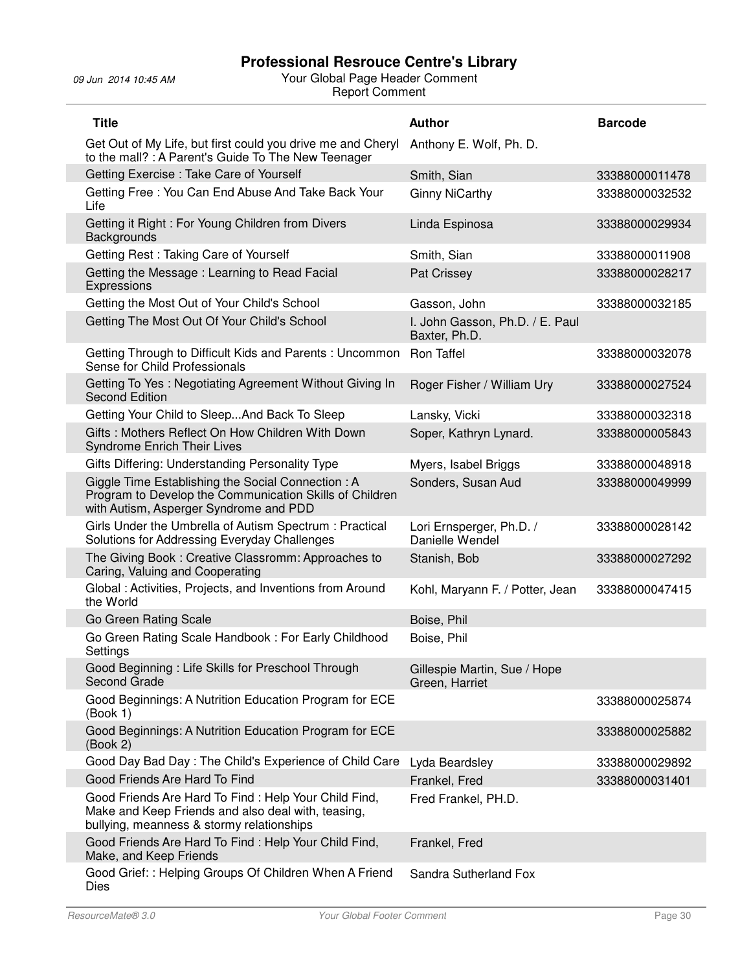| <b>Title</b>                                                                                                                                            | <b>Author</b>                                    | <b>Barcode</b> |
|---------------------------------------------------------------------------------------------------------------------------------------------------------|--------------------------------------------------|----------------|
| Get Out of My Life, but first could you drive me and Cheryl<br>to the mall? : A Parent's Guide To The New Teenager                                      | Anthony E. Wolf, Ph. D.                          |                |
| Getting Exercise: Take Care of Yourself                                                                                                                 | Smith, Sian                                      | 33388000011478 |
| Getting Free: You Can End Abuse And Take Back Your<br>Life                                                                                              | <b>Ginny NiCarthy</b>                            | 33388000032532 |
| Getting it Right: For Young Children from Divers<br>Backgrounds                                                                                         | Linda Espinosa                                   | 33388000029934 |
| Getting Rest: Taking Care of Yourself                                                                                                                   | Smith, Sian                                      | 33388000011908 |
| Getting the Message: Learning to Read Facial<br>Expressions                                                                                             | Pat Crissey                                      | 33388000028217 |
| Getting the Most Out of Your Child's School                                                                                                             | Gasson, John                                     | 33388000032185 |
| Getting The Most Out Of Your Child's School                                                                                                             | I. John Gasson, Ph.D. / E. Paul<br>Baxter, Ph.D. |                |
| Getting Through to Difficult Kids and Parents: Uncommon<br>Sense for Child Professionals                                                                | Ron Taffel                                       | 33388000032078 |
| Getting To Yes: Negotiating Agreement Without Giving In<br><b>Second Edition</b>                                                                        | Roger Fisher / William Ury                       | 33388000027524 |
| Getting Your Child to SleepAnd Back To Sleep                                                                                                            | Lansky, Vicki                                    | 33388000032318 |
| Gifts: Mothers Reflect On How Children With Down<br><b>Syndrome Enrich Their Lives</b>                                                                  | Soper, Kathryn Lynard.                           | 33388000005843 |
| Gifts Differing: Understanding Personality Type                                                                                                         | Myers, Isabel Briggs                             | 33388000048918 |
| Giggle Time Establishing the Social Connection: A<br>Program to Develop the Communication Skills of Children<br>with Autism, Asperger Syndrome and PDD  | Sonders, Susan Aud                               | 33388000049999 |
| Girls Under the Umbrella of Autism Spectrum: Practical<br>Solutions for Addressing Everyday Challenges                                                  | Lori Ernsperger, Ph.D. /<br>Danielle Wendel      | 33388000028142 |
| The Giving Book: Creative Classromm: Approaches to<br>Caring, Valuing and Cooperating                                                                   | Stanish, Bob                                     | 33388000027292 |
| Global: Activities, Projects, and Inventions from Around<br>the World                                                                                   | Kohl, Maryann F. / Potter, Jean                  | 33388000047415 |
| Go Green Rating Scale                                                                                                                                   | Boise, Phil                                      |                |
| Go Green Rating Scale Handbook: For Early Childhood<br>Settings                                                                                         | Boise, Phil                                      |                |
| Good Beginning: Life Skills for Preschool Through<br>Second Grade                                                                                       | Gillespie Martin, Sue / Hope<br>Green, Harriet   |                |
| Good Beginnings: A Nutrition Education Program for ECE<br>(Book 1)                                                                                      |                                                  | 33388000025874 |
| Good Beginnings: A Nutrition Education Program for ECE<br>(Book 2)                                                                                      |                                                  | 33388000025882 |
| Good Day Bad Day: The Child's Experience of Child Care                                                                                                  | Lyda Beardsley                                   | 33388000029892 |
| Good Friends Are Hard To Find                                                                                                                           | Frankel, Fred                                    | 33388000031401 |
| Good Friends Are Hard To Find: Help Your Child Find,<br>Make and Keep Friends and also deal with, teasing,<br>bullying, meanness & stormy relationships | Fred Frankel, PH.D.                              |                |
| Good Friends Are Hard To Find: Help Your Child Find,<br>Make, and Keep Friends                                                                          | Frankel, Fred                                    |                |
| Good Grief:: Helping Groups Of Children When A Friend<br>Dies                                                                                           | Sandra Sutherland Fox                            |                |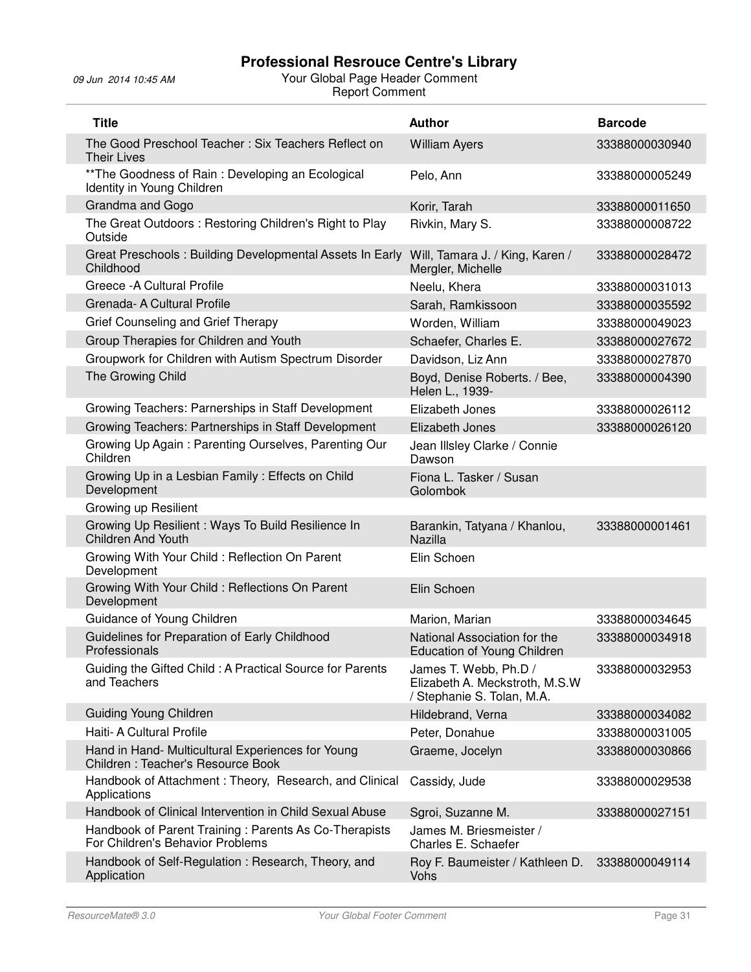| <b>Title</b>                                                                              | <b>Author</b>                                                                         | <b>Barcode</b> |
|-------------------------------------------------------------------------------------------|---------------------------------------------------------------------------------------|----------------|
| The Good Preschool Teacher: Six Teachers Reflect on<br><b>Their Lives</b>                 | <b>William Ayers</b>                                                                  | 33388000030940 |
| ** The Goodness of Rain: Developing an Ecological<br>Identity in Young Children           | Pelo, Ann                                                                             | 33388000005249 |
| Grandma and Gogo                                                                          | Korir, Tarah                                                                          | 33388000011650 |
| The Great Outdoors: Restoring Children's Right to Play<br>Outside                         | Rivkin, Mary S.                                                                       | 33388000008722 |
| Great Preschools: Building Developmental Assets In Early<br>Childhood                     | Will, Tamara J. / King, Karen /<br>Mergler, Michelle                                  | 33388000028472 |
| Greece - A Cultural Profile                                                               | Neelu, Khera                                                                          | 33388000031013 |
| Grenada- A Cultural Profile                                                               | Sarah, Ramkissoon                                                                     | 33388000035592 |
| Grief Counseling and Grief Therapy                                                        | Worden, William                                                                       | 33388000049023 |
| Group Therapies for Children and Youth                                                    | Schaefer, Charles E.                                                                  | 33388000027672 |
| Groupwork for Children with Autism Spectrum Disorder                                      | Davidson, Liz Ann                                                                     | 33388000027870 |
| The Growing Child                                                                         | Boyd, Denise Roberts. / Bee,<br>Helen L., 1939-                                       | 33388000004390 |
| Growing Teachers: Parnerships in Staff Development                                        | Elizabeth Jones                                                                       | 33388000026112 |
| Growing Teachers: Partnerships in Staff Development                                       | Elizabeth Jones                                                                       | 33388000026120 |
| Growing Up Again: Parenting Ourselves, Parenting Our<br>Children                          | Jean Illsley Clarke / Connie<br>Dawson                                                |                |
| Growing Up in a Lesbian Family: Effects on Child<br>Development                           | Fiona L. Tasker / Susan<br>Golombok                                                   |                |
| Growing up Resilient                                                                      |                                                                                       |                |
| Growing Up Resilient : Ways To Build Resilience In<br><b>Children And Youth</b>           | Barankin, Tatyana / Khanlou,<br>Nazilla                                               | 33388000001461 |
| Growing With Your Child: Reflection On Parent<br>Development                              | Elin Schoen                                                                           |                |
| Growing With Your Child: Reflections On Parent<br>Development                             | Elin Schoen                                                                           |                |
| Guidance of Young Children                                                                | Marion, Marian                                                                        | 33388000034645 |
| Guidelines for Preparation of Early Childhood<br>Professionals                            | National Association for the<br>Education of Young Children                           | 33388000034918 |
| Guiding the Gifted Child: A Practical Source for Parents<br>and Teachers                  | James T. Webb, Ph.D /<br>Elizabeth A. Meckstroth, M.S.W<br>/ Stephanie S. Tolan, M.A. | 33388000032953 |
| <b>Guiding Young Children</b>                                                             | Hildebrand, Verna                                                                     | 33388000034082 |
| Haiti- A Cultural Profile                                                                 | Peter, Donahue                                                                        | 33388000031005 |
| Hand in Hand- Multicultural Experiences for Young<br>Children: Teacher's Resource Book    | Graeme, Jocelyn                                                                       | 33388000030866 |
| Handbook of Attachment: Theory, Research, and Clinical<br>Applications                    | Cassidy, Jude                                                                         | 33388000029538 |
| Handbook of Clinical Intervention in Child Sexual Abuse                                   | Sgroi, Suzanne M.                                                                     | 33388000027151 |
| Handbook of Parent Training: Parents As Co-Therapists<br>For Children's Behavior Problems | James M. Briesmeister /<br>Charles E. Schaefer                                        |                |
| Handbook of Self-Regulation: Research, Theory, and<br>Application                         | Roy F. Baumeister / Kathleen D.<br>Vohs                                               | 33388000049114 |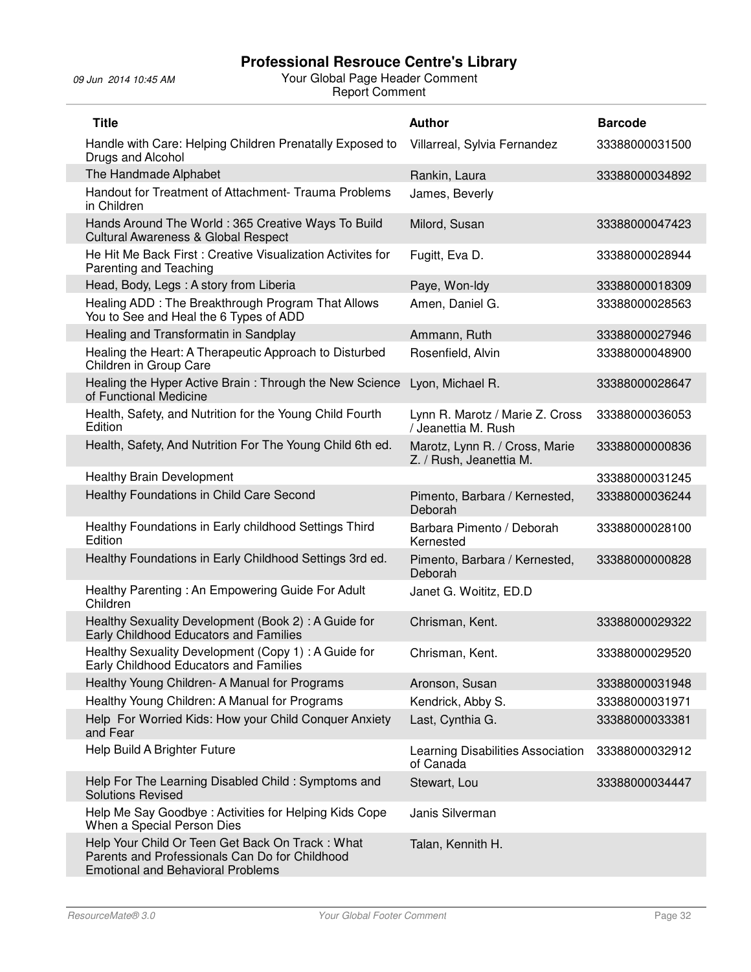| <b>Title</b>                                                                                                                                  | <b>Author</b>                                             | <b>Barcode</b> |
|-----------------------------------------------------------------------------------------------------------------------------------------------|-----------------------------------------------------------|----------------|
| Handle with Care: Helping Children Prenatally Exposed to<br>Drugs and Alcohol                                                                 | Villarreal, Sylvia Fernandez                              | 33388000031500 |
| The Handmade Alphabet                                                                                                                         | Rankin, Laura                                             | 33388000034892 |
| Handout for Treatment of Attachment- Trauma Problems<br>in Children                                                                           | James, Beverly                                            |                |
| Hands Around The World: 365 Creative Ways To Build<br><b>Cultural Awareness &amp; Global Respect</b>                                          | Milord, Susan                                             | 33388000047423 |
| He Hit Me Back First: Creative Visualization Activites for<br>Parenting and Teaching                                                          | Fugitt, Eva D.                                            | 33388000028944 |
| Head, Body, Legs: A story from Liberia                                                                                                        | Paye, Won-Idy                                             | 33388000018309 |
| Healing ADD : The Breakthrough Program That Allows<br>You to See and Heal the 6 Types of ADD                                                  | Amen, Daniel G.                                           | 33388000028563 |
| Healing and Transformatin in Sandplay                                                                                                         | Ammann, Ruth                                              | 33388000027946 |
| Healing the Heart: A Therapeutic Approach to Disturbed<br>Children in Group Care                                                              | Rosenfield, Alvin                                         | 33388000048900 |
| Healing the Hyper Active Brain: Through the New Science<br>of Functional Medicine                                                             | Lyon, Michael R.                                          | 33388000028647 |
| Health, Safety, and Nutrition for the Young Child Fourth<br>Edition                                                                           | Lynn R. Marotz / Marie Z. Cross<br>/ Jeanettia M. Rush    | 33388000036053 |
| Health, Safety, And Nutrition For The Young Child 6th ed.                                                                                     | Marotz, Lynn R. / Cross, Marie<br>Z. / Rush, Jeanettia M. | 33388000000836 |
| <b>Healthy Brain Development</b>                                                                                                              |                                                           | 33388000031245 |
| Healthy Foundations in Child Care Second                                                                                                      | Pimento, Barbara / Kernested,<br>Deborah                  | 33388000036244 |
| Healthy Foundations in Early childhood Settings Third<br>Edition                                                                              | Barbara Pimento / Deborah<br>Kernested                    | 33388000028100 |
| Healthy Foundations in Early Childhood Settings 3rd ed.                                                                                       | Pimento, Barbara / Kernested,<br>Deborah                  | 33388000000828 |
| Healthy Parenting: An Empowering Guide For Adult<br>Children                                                                                  | Janet G. Woititz, ED.D                                    |                |
| Healthy Sexuality Development (Book 2): A Guide for<br>Early Childhood Educators and Families                                                 | Chrisman, Kent.                                           | 33388000029322 |
| Healthy Sexuality Development (Copy 1) : A Guide for<br>Early Childhood Educators and Families                                                | Chrisman, Kent.                                           | 33388000029520 |
| Healthy Young Children- A Manual for Programs                                                                                                 | Aronson, Susan                                            | 33388000031948 |
| Healthy Young Children: A Manual for Programs                                                                                                 | Kendrick, Abby S.                                         | 33388000031971 |
| Help For Worried Kids: How your Child Conquer Anxiety<br>and Fear                                                                             | Last, Cynthia G.                                          | 33388000033381 |
| Help Build A Brighter Future                                                                                                                  | Learning Disabilities Association<br>of Canada            | 33388000032912 |
| Help For The Learning Disabled Child: Symptoms and<br><b>Solutions Revised</b>                                                                | Stewart, Lou                                              | 33388000034447 |
| Help Me Say Goodbye: Activities for Helping Kids Cope<br>When a Special Person Dies                                                           | Janis Silverman                                           |                |
| Help Your Child Or Teen Get Back On Track: What<br>Parents and Professionals Can Do for Childhood<br><b>Emotional and Behavioral Problems</b> | Talan, Kennith H.                                         |                |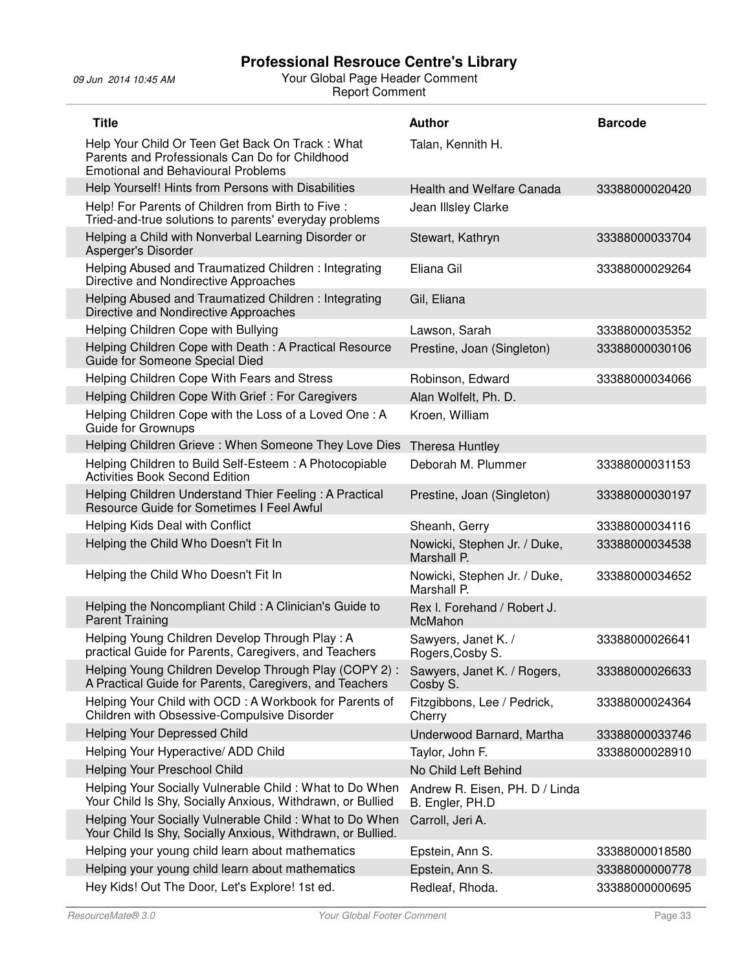| <b>Title</b>                                                                                                                                   | <b>Author</b>                                     | <b>Barcode</b> |
|------------------------------------------------------------------------------------------------------------------------------------------------|---------------------------------------------------|----------------|
| Help Your Child Or Teen Get Back On Track: What<br>Parents and Professionals Can Do for Childhood<br><b>Emotional and Behavioural Problems</b> | Talan, Kennith H.                                 |                |
| Help Yourself! Hints from Persons with Disabilities                                                                                            | <b>Health and Welfare Canada</b>                  | 33388000020420 |
| Help! For Parents of Children from Birth to Five :<br>Tried-and-true solutions to parents' everyday problems                                   | Jean Illsley Clarke                               |                |
| Helping a Child with Nonverbal Learning Disorder or<br>Asperger's Disorder                                                                     | Stewart, Kathryn                                  | 33388000033704 |
| Helping Abused and Traumatized Children: Integrating<br>Directive and Nondirective Approaches                                                  | Eliana Gil                                        | 33388000029264 |
| Helping Abused and Traumatized Children: Integrating<br>Directive and Nondirective Approaches                                                  | Gil, Eliana                                       |                |
| Helping Children Cope with Bullying                                                                                                            | Lawson, Sarah                                     | 33388000035352 |
| Helping Children Cope with Death: A Practical Resource<br>Guide for Someone Special Died                                                       | Prestine, Joan (Singleton)                        | 33388000030106 |
| Helping Children Cope With Fears and Stress                                                                                                    | Robinson, Edward                                  | 33388000034066 |
| Helping Children Cope With Grief: For Caregivers                                                                                               | Alan Wolfelt, Ph. D.                              |                |
| Helping Children Cope with the Loss of a Loved One: A<br><b>Guide for Grownups</b>                                                             | Kroen, William                                    |                |
| Helping Children Grieve: When Someone They Love Dies                                                                                           | Theresa Huntley                                   |                |
| Helping Children to Build Self-Esteem: A Photocopiable<br><b>Activities Book Second Edition</b>                                                | Deborah M. Plummer                                | 33388000031153 |
| Helping Children Understand Thier Feeling: A Practical<br>Resource Guide for Sometimes I Feel Awful                                            | Prestine, Joan (Singleton)                        | 33388000030197 |
| Helping Kids Deal with Conflict                                                                                                                | Sheanh, Gerry                                     | 33388000034116 |
| Helping the Child Who Doesn't Fit In                                                                                                           | Nowicki, Stephen Jr. / Duke,<br>Marshall P.       | 33388000034538 |
| Helping the Child Who Doesn't Fit In                                                                                                           | Nowicki, Stephen Jr. / Duke,<br>Marshall P.       | 33388000034652 |
| Helping the Noncompliant Child: A Clinician's Guide to<br><b>Parent Training</b>                                                               | Rex I. Forehand / Robert J.<br>McMahon            |                |
| Helping Young Children Develop Through Play: A<br>practical Guide for Parents, Caregivers, and Teachers                                        | Sawyers, Janet K. /<br>Rogers, Cosby S.           | 33388000026641 |
| Helping Young Children Develop Through Play (COPY 2):<br>A Practical Guide for Parents, Caregivers, and Teachers                               | Sawyers, Janet K. / Rogers,<br>Cosby S.           | 33388000026633 |
| Helping Your Child with OCD: A Workbook for Parents of<br>Children with Obsessive-Compulsive Disorder                                          | Fitzgibbons, Lee / Pedrick,<br>Cherry             | 33388000024364 |
| Helping Your Depressed Child                                                                                                                   | Underwood Barnard, Martha                         | 33388000033746 |
| Helping Your Hyperactive/ ADD Child                                                                                                            | Taylor, John F.                                   | 33388000028910 |
| Helping Your Preschool Child                                                                                                                   | No Child Left Behind                              |                |
| Helping Your Socially Vulnerable Child: What to Do When<br>Your Child Is Shy, Socially Anxious, Withdrawn, or Bullied                          | Andrew R. Eisen, PH. D / Linda<br>B. Engler, PH.D |                |
| Helping Your Socially Vulnerable Child: What to Do When<br>Your Child Is Shy, Socially Anxious, Withdrawn, or Bullied.                         | Carroll, Jeri A.                                  |                |
| Helping your young child learn about mathematics                                                                                               | Epstein, Ann S.                                   | 33388000018580 |
| Helping your young child learn about mathematics                                                                                               | Epstein, Ann S.                                   | 33388000000778 |
| Hey Kids! Out The Door, Let's Explore! 1st ed.                                                                                                 | Redleaf, Rhoda.                                   | 33388000000695 |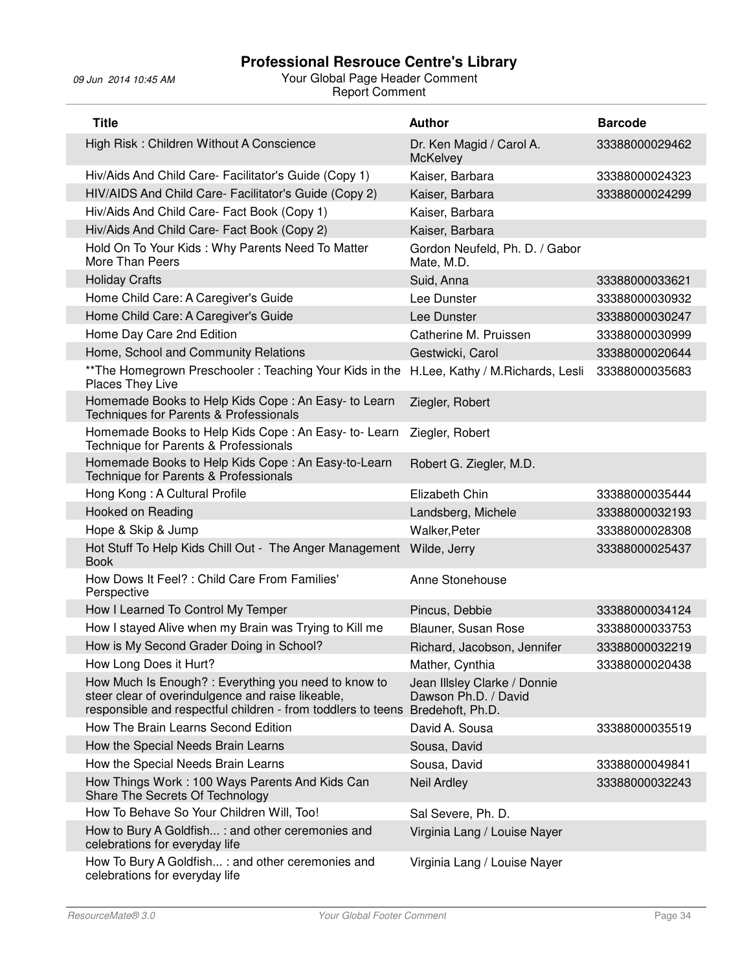| <b>Title</b>                                                                                                                                                                               | <b>Author</b>                                        | <b>Barcode</b> |
|--------------------------------------------------------------------------------------------------------------------------------------------------------------------------------------------|------------------------------------------------------|----------------|
| High Risk: Children Without A Conscience                                                                                                                                                   | Dr. Ken Magid / Carol A.<br><b>McKelvey</b>          | 33388000029462 |
| Hiv/Aids And Child Care- Facilitator's Guide (Copy 1)                                                                                                                                      | Kaiser, Barbara                                      | 33388000024323 |
| HIV/AIDS And Child Care- Facilitator's Guide (Copy 2)                                                                                                                                      | Kaiser, Barbara                                      | 33388000024299 |
| Hiv/Aids And Child Care- Fact Book (Copy 1)                                                                                                                                                | Kaiser, Barbara                                      |                |
| Hiv/Aids And Child Care- Fact Book (Copy 2)                                                                                                                                                | Kaiser, Barbara                                      |                |
| Hold On To Your Kids: Why Parents Need To Matter<br>More Than Peers                                                                                                                        | Gordon Neufeld, Ph. D. / Gabor<br>Mate, M.D.         |                |
| <b>Holiday Crafts</b>                                                                                                                                                                      | Suid, Anna                                           | 33388000033621 |
| Home Child Care: A Caregiver's Guide                                                                                                                                                       | Lee Dunster                                          | 33388000030932 |
| Home Child Care: A Caregiver's Guide                                                                                                                                                       | Lee Dunster                                          | 33388000030247 |
| Home Day Care 2nd Edition                                                                                                                                                                  | Catherine M. Pruissen                                | 33388000030999 |
| Home, School and Community Relations                                                                                                                                                       | Gestwicki, Carol                                     | 33388000020644 |
| ** The Homegrown Preschooler: Teaching Your Kids in the<br>Places They Live                                                                                                                | H.Lee, Kathy / M.Richards, Lesli                     | 33388000035683 |
| Homemade Books to Help Kids Cope: An Easy- to Learn<br>Techniques for Parents & Professionals                                                                                              | Ziegler, Robert                                      |                |
| Homemade Books to Help Kids Cope: An Easy- to-Learn<br>Technique for Parents & Professionals                                                                                               | Ziegler, Robert                                      |                |
| Homemade Books to Help Kids Cope: An Easy-to-Learn<br>Technique for Parents & Professionals                                                                                                | Robert G. Ziegler, M.D.                              |                |
| Hong Kong: A Cultural Profile                                                                                                                                                              | Elizabeth Chin                                       | 33388000035444 |
| Hooked on Reading                                                                                                                                                                          | Landsberg, Michele                                   | 33388000032193 |
| Hope & Skip & Jump                                                                                                                                                                         | Walker, Peter                                        | 33388000028308 |
| Hot Stuff To Help Kids Chill Out - The Anger Management<br><b>Book</b>                                                                                                                     | Wilde, Jerry                                         | 33388000025437 |
| How Dows It Feel? : Child Care From Families'<br>Perspective                                                                                                                               | Anne Stonehouse                                      |                |
| How I Learned To Control My Temper                                                                                                                                                         | Pincus, Debbie                                       | 33388000034124 |
| How I stayed Alive when my Brain was Trying to Kill me                                                                                                                                     | Blauner, Susan Rose                                  | 33388000033753 |
| How is My Second Grader Doing in School?                                                                                                                                                   | Richard, Jacobson, Jennifer                          | 33388000032219 |
| How Long Does it Hurt?                                                                                                                                                                     | Mather, Cynthia                                      | 33388000020438 |
| How Much Is Enough? : Everything you need to know to<br>steer clear of overindulgence and raise likeable,<br>responsible and respectful children - from toddlers to teens Bredehoft, Ph.D. | Jean Illsley Clarke / Donnie<br>Dawson Ph.D. / David |                |
| How The Brain Learns Second Edition                                                                                                                                                        | David A. Sousa                                       | 33388000035519 |
| How the Special Needs Brain Learns                                                                                                                                                         | Sousa, David                                         |                |
| How the Special Needs Brain Learns                                                                                                                                                         | Sousa, David                                         | 33388000049841 |
| How Things Work: 100 Ways Parents And Kids Can<br>Share The Secrets Of Technology                                                                                                          | <b>Neil Ardley</b>                                   | 33388000032243 |
| How To Behave So Your Children Will, Too!                                                                                                                                                  | Sal Severe, Ph. D.                                   |                |
| How to Bury A Goldfish : and other ceremonies and<br>celebrations for everyday life                                                                                                        | Virginia Lang / Louise Nayer                         |                |
| How To Bury A Goldfish: and other ceremonies and<br>celebrations for everyday life                                                                                                         | Virginia Lang / Louise Nayer                         |                |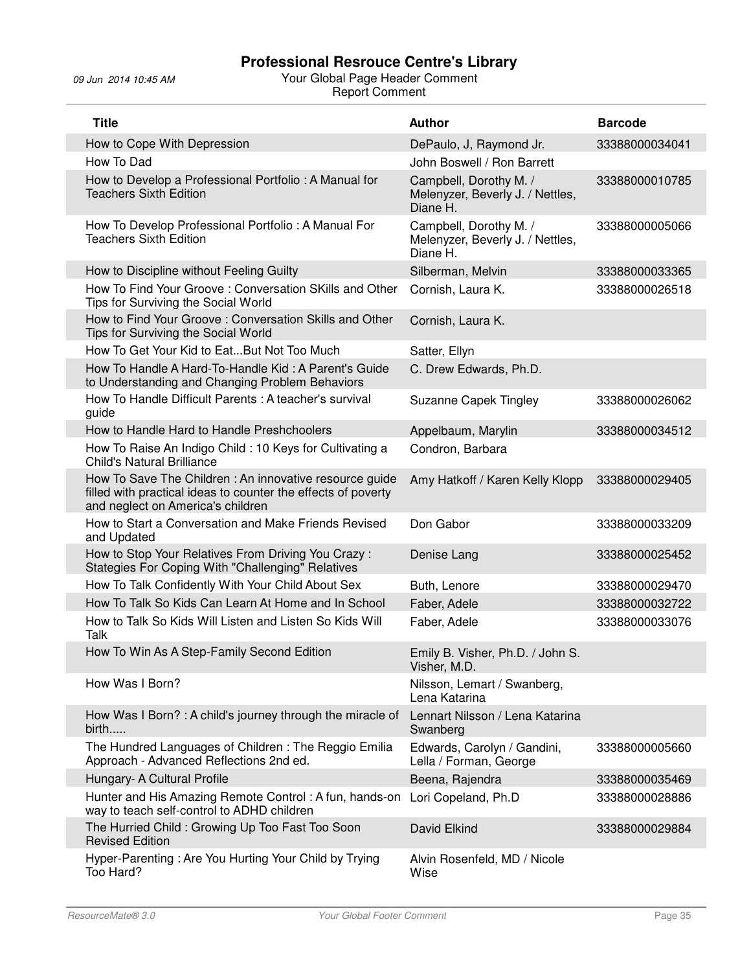| <b>Title</b>                                                                                                                                                 | <b>Author</b>                                                          | <b>Barcode</b> |
|--------------------------------------------------------------------------------------------------------------------------------------------------------------|------------------------------------------------------------------------|----------------|
| How to Cope With Depression                                                                                                                                  | DePaulo, J, Raymond Jr.                                                | 33388000034041 |
| How To Dad                                                                                                                                                   | John Boswell / Ron Barrett                                             |                |
| How to Develop a Professional Portfolio: A Manual for<br><b>Teachers Sixth Edition</b>                                                                       | Campbell, Dorothy M. /<br>Melenyzer, Beverly J. / Nettles,<br>Diane H. | 33388000010785 |
| How To Develop Professional Portfolio: A Manual For<br><b>Teachers Sixth Edition</b>                                                                         | Campbell, Dorothy M. /<br>Melenyzer, Beverly J. / Nettles,<br>Diane H. | 33388000005066 |
| How to Discipline without Feeling Guilty                                                                                                                     | Silberman, Melvin                                                      | 33388000033365 |
| How To Find Your Groove: Conversation SKills and Other<br>Tips for Surviving the Social World                                                                | Cornish, Laura K.                                                      | 33388000026518 |
| How to Find Your Groove: Conversation Skills and Other<br>Tips for Surviving the Social World                                                                | Cornish, Laura K.                                                      |                |
| How To Get Your Kid to EatBut Not Too Much                                                                                                                   | Satter, Ellyn                                                          |                |
| How To Handle A Hard-To-Handle Kid: A Parent's Guide<br>to Understanding and Changing Problem Behaviors                                                      | C. Drew Edwards, Ph.D.                                                 |                |
| How To Handle Difficult Parents: A teacher's survival<br>guide                                                                                               | <b>Suzanne Capek Tingley</b>                                           | 33388000026062 |
| How to Handle Hard to Handle Preshchoolers                                                                                                                   | Appelbaum, Marylin                                                     | 33388000034512 |
| How To Raise An Indigo Child: 10 Keys for Cultivating a<br><b>Child's Natural Brilliance</b>                                                                 | Condron, Barbara                                                       |                |
| How To Save The Children: An innovative resource guide<br>filled with practical ideas to counter the effects of poverty<br>and neglect on America's children | Amy Hatkoff / Karen Kelly Klopp                                        | 33388000029405 |
| How to Start a Conversation and Make Friends Revised<br>and Updated                                                                                          | Don Gabor                                                              | 33388000033209 |
| How to Stop Your Relatives From Driving You Crazy:<br>Stategies For Coping With "Challenging" Relatives                                                      | Denise Lang                                                            | 33388000025452 |
| How To Talk Confidently With Your Child About Sex                                                                                                            | Buth, Lenore                                                           | 33388000029470 |
| How To Talk So Kids Can Learn At Home and In School                                                                                                          | Faber, Adele                                                           | 33388000032722 |
| How to Talk So Kids Will Listen and Listen So Kids Will<br>Talk                                                                                              | Faber, Adele                                                           | 33388000033076 |
| How To Win As A Step-Family Second Edition                                                                                                                   | Emily B. Visher, Ph.D. / John S.<br>Visher, M.D.                       |                |
| How Was I Born?                                                                                                                                              | Nilsson, Lemart / Swanberg,<br>Lena Katarina                           |                |
| How Was I Born?: A child's journey through the miracle of<br>birth                                                                                           | Lennart Nilsson / Lena Katarina<br>Swanberg                            |                |
| The Hundred Languages of Children: The Reggio Emilia<br>Approach - Advanced Reflections 2nd ed.                                                              | Edwards, Carolyn / Gandini,<br>Lella / Forman, George                  | 33388000005660 |
| Hungary- A Cultural Profile                                                                                                                                  | Beena, Rajendra                                                        | 33388000035469 |
| Hunter and His Amazing Remote Control: A fun, hands-on<br>way to teach self-control to ADHD children                                                         | Lori Copeland, Ph.D                                                    | 33388000028886 |
| The Hurried Child: Growing Up Too Fast Too Soon<br><b>Revised Edition</b>                                                                                    | David Elkind                                                           | 33388000029884 |
| Hyper-Parenting: Are You Hurting Your Child by Trying<br>Too Hard?                                                                                           | Alvin Rosenfeld, MD / Nicole<br>Wise                                   |                |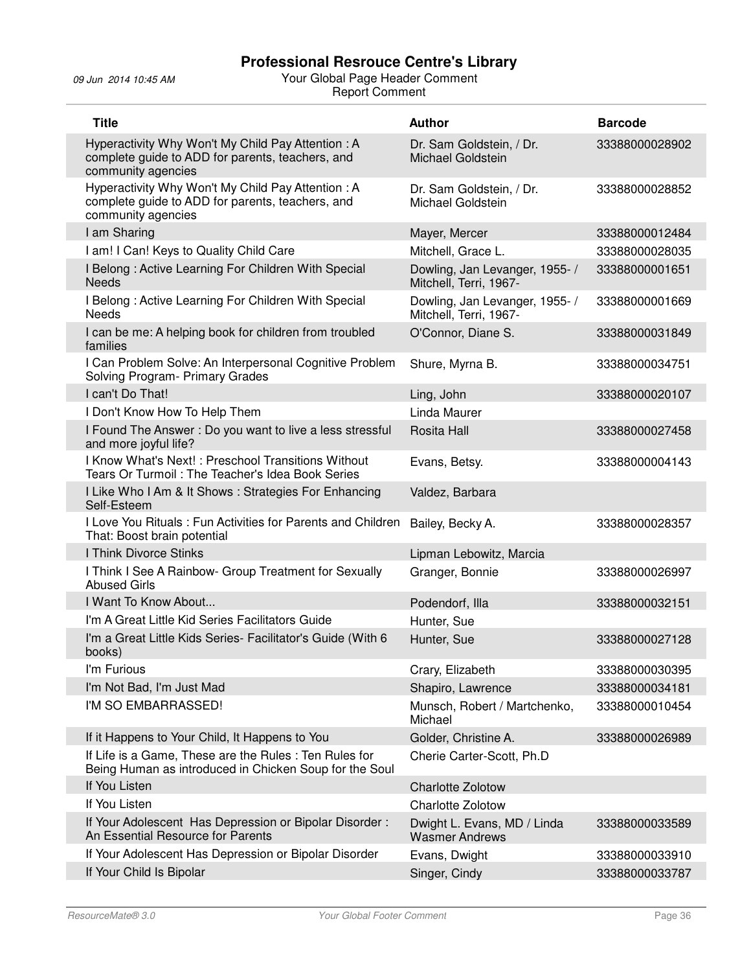| <b>Title</b>                                                                                                                | <b>Author</b>                                            | <b>Barcode</b> |
|-----------------------------------------------------------------------------------------------------------------------------|----------------------------------------------------------|----------------|
| Hyperactivity Why Won't My Child Pay Attention: A<br>complete guide to ADD for parents, teachers, and<br>community agencies | Dr. Sam Goldstein, / Dr.<br>Michael Goldstein            | 33388000028902 |
| Hyperactivity Why Won't My Child Pay Attention: A<br>complete guide to ADD for parents, teachers, and<br>community agencies | Dr. Sam Goldstein, / Dr.<br>Michael Goldstein            | 33388000028852 |
| I am Sharing                                                                                                                | Mayer, Mercer                                            | 33388000012484 |
| I am! I Can! Keys to Quality Child Care                                                                                     | Mitchell, Grace L.                                       | 33388000028035 |
| I Belong: Active Learning For Children With Special<br><b>Needs</b>                                                         | Dowling, Jan Levanger, 1955- /<br>Mitchell, Terri, 1967- | 33388000001651 |
| I Belong: Active Learning For Children With Special<br><b>Needs</b>                                                         | Dowling, Jan Levanger, 1955- /<br>Mitchell, Terri, 1967- | 33388000001669 |
| I can be me: A helping book for children from troubled<br>families                                                          | O'Connor, Diane S.                                       | 33388000031849 |
| I Can Problem Solve: An Interpersonal Cognitive Problem<br>Solving Program- Primary Grades                                  | Shure, Myrna B.                                          | 33388000034751 |
| I can't Do That!                                                                                                            | Ling, John                                               | 33388000020107 |
| I Don't Know How To Help Them                                                                                               | Linda Maurer                                             |                |
| I Found The Answer: Do you want to live a less stressful<br>and more joyful life?                                           | Rosita Hall                                              | 33388000027458 |
| I Know What's Next!: Preschool Transitions Without<br>Tears Or Turmoil: The Teacher's Idea Book Series                      | Evans, Betsy.                                            | 33388000004143 |
| I Like Who I Am & It Shows: Strategies For Enhancing<br>Self-Esteem                                                         | Valdez, Barbara                                          |                |
| I Love You Rituals: Fun Activities for Parents and Children<br>That: Boost brain potential                                  | Bailey, Becky A.                                         | 33388000028357 |
| I Think Divorce Stinks                                                                                                      | Lipman Lebowitz, Marcia                                  |                |
| I Think I See A Rainbow- Group Treatment for Sexually<br><b>Abused Girls</b>                                                | Granger, Bonnie                                          | 33388000026997 |
| I Want To Know About                                                                                                        | Podendorf, Illa                                          | 33388000032151 |
| I'm A Great Little Kid Series Facilitators Guide                                                                            | Hunter, Sue                                              |                |
| I'm a Great Little Kids Series- Facilitator's Guide (With 6<br>books)                                                       | Hunter, Sue                                              | 33388000027128 |
| I'm Furious                                                                                                                 | Crary, Elizabeth                                         | 33388000030395 |
| I'm Not Bad, I'm Just Mad                                                                                                   | Shapiro, Lawrence                                        | 33388000034181 |
| I'M SO EMBARRASSED!                                                                                                         | Munsch, Robert / Martchenko,<br>Michael                  | 33388000010454 |
| If it Happens to Your Child, It Happens to You                                                                              | Golder, Christine A.                                     | 33388000026989 |
| If Life is a Game, These are the Rules : Ten Rules for<br>Being Human as introduced in Chicken Soup for the Soul            | Cherie Carter-Scott, Ph.D                                |                |
| If You Listen                                                                                                               | <b>Charlotte Zolotow</b>                                 |                |
| If You Listen                                                                                                               | <b>Charlotte Zolotow</b>                                 |                |
| If Your Adolescent Has Depression or Bipolar Disorder:<br>An Essential Resource for Parents                                 | Dwight L. Evans, MD / Linda<br><b>Wasmer Andrews</b>     | 33388000033589 |
| If Your Adolescent Has Depression or Bipolar Disorder                                                                       | Evans, Dwight                                            | 33388000033910 |
| If Your Child Is Bipolar                                                                                                    | Singer, Cindy                                            | 33388000033787 |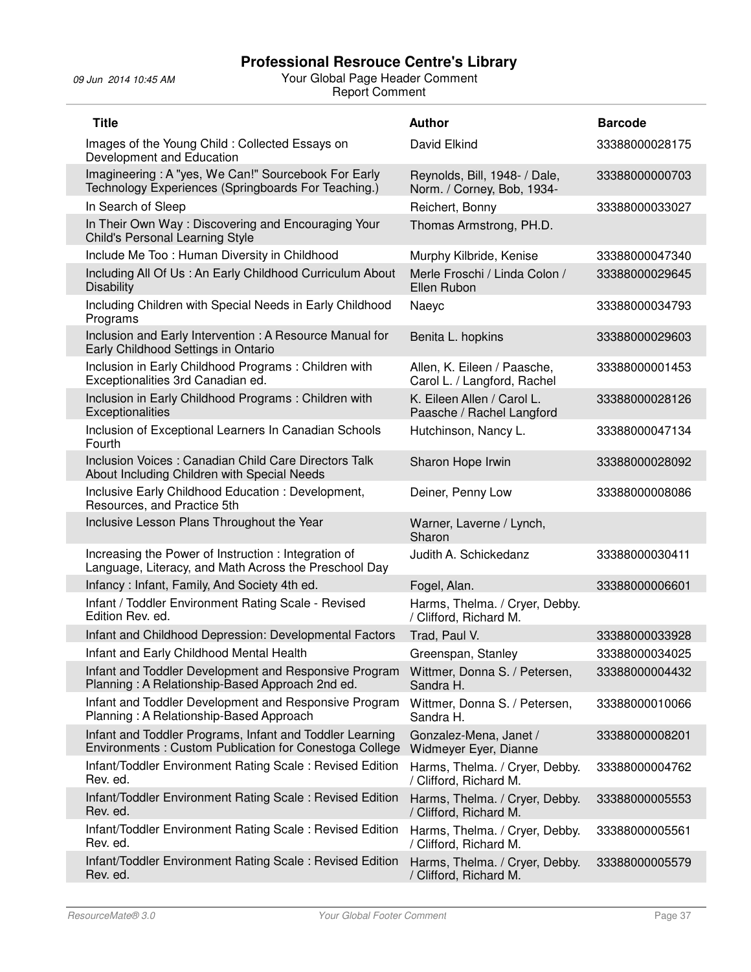| <b>Title</b>                                                                                                       | <b>Author</b>                                               | <b>Barcode</b> |
|--------------------------------------------------------------------------------------------------------------------|-------------------------------------------------------------|----------------|
| Images of the Young Child: Collected Essays on<br>Development and Education                                        | David Elkind                                                | 33388000028175 |
| Imagineering: A "yes, We Can!" Sourcebook For Early<br>Technology Experiences (Springboards For Teaching.)         | Reynolds, Bill, 1948- / Dale,<br>Norm. / Corney, Bob, 1934- | 33388000000703 |
| In Search of Sleep                                                                                                 | Reichert, Bonny                                             | 33388000033027 |
| In Their Own Way: Discovering and Encouraging Your<br>Child's Personal Learning Style                              | Thomas Armstrong, PH.D.                                     |                |
| Include Me Too: Human Diversity in Childhood                                                                       | Murphy Kilbride, Kenise                                     | 33388000047340 |
| Including All Of Us: An Early Childhood Curriculum About<br><b>Disability</b>                                      | Merle Froschi / Linda Colon /<br>Ellen Rubon                | 33388000029645 |
| Including Children with Special Needs in Early Childhood<br>Programs                                               | Naeyc                                                       | 33388000034793 |
| Inclusion and Early Intervention : A Resource Manual for<br>Early Childhood Settings in Ontario                    | Benita L. hopkins                                           | 33388000029603 |
| Inclusion in Early Childhood Programs: Children with<br>Exceptionalities 3rd Canadian ed.                          | Allen, K. Eileen / Paasche,<br>Carol L. / Langford, Rachel  | 33388000001453 |
| Inclusion in Early Childhood Programs: Children with<br>Exceptionalities                                           | K. Eileen Allen / Carol L.<br>Paasche / Rachel Langford     | 33388000028126 |
| Inclusion of Exceptional Learners In Canadian Schools<br>Fourth                                                    | Hutchinson, Nancy L.                                        | 33388000047134 |
| Inclusion Voices : Canadian Child Care Directors Talk<br>About Including Children with Special Needs               | Sharon Hope Irwin                                           | 33388000028092 |
| Inclusive Early Childhood Education : Development,<br>Resources, and Practice 5th                                  | Deiner, Penny Low                                           | 33388000008086 |
| Inclusive Lesson Plans Throughout the Year                                                                         | Warner, Laverne / Lynch,<br>Sharon                          |                |
| Increasing the Power of Instruction: Integration of<br>Language, Literacy, and Math Across the Preschool Day       | Judith A. Schickedanz                                       | 33388000030411 |
| Infancy: Infant, Family, And Society 4th ed.                                                                       | Fogel, Alan.                                                | 33388000006601 |
| Infant / Toddler Environment Rating Scale - Revised<br>Edition Rev. ed.                                            | Harms, Thelma. / Cryer, Debby.<br>/ Clifford, Richard M.    |                |
| Infant and Childhood Depression: Developmental Factors                                                             | Trad, Paul V.                                               | 33388000033928 |
| Infant and Early Childhood Mental Health                                                                           | Greenspan, Stanley                                          | 33388000034025 |
| Infant and Toddler Development and Responsive Program<br>Planning: A Relationship-Based Approach 2nd ed.           | Wittmer, Donna S. / Petersen,<br>Sandra H.                  | 33388000004432 |
| Infant and Toddler Development and Responsive Program<br>Planning: A Relationship-Based Approach                   | Wittmer, Donna S. / Petersen,<br>Sandra H.                  | 33388000010066 |
| Infant and Toddler Programs, Infant and Toddler Learning<br>Environments: Custom Publication for Conestoga College | Gonzalez-Mena, Janet /<br>Widmeyer Eyer, Dianne             | 33388000008201 |
| Infant/Toddler Environment Rating Scale: Revised Edition<br>Rev. ed.                                               | Harms, Thelma. / Cryer, Debby.<br>/ Clifford, Richard M.    | 33388000004762 |
| Infant/Toddler Environment Rating Scale: Revised Edition<br>Rev. ed.                                               | Harms, Thelma. / Cryer, Debby.<br>/ Clifford, Richard M.    | 33388000005553 |
| Infant/Toddler Environment Rating Scale: Revised Edition<br>Rev. ed.                                               | Harms, Thelma. / Cryer, Debby.<br>/ Clifford, Richard M.    | 33388000005561 |
| Infant/Toddler Environment Rating Scale: Revised Edition<br>Rev. ed.                                               | Harms, Thelma. / Cryer, Debby.<br>/ Clifford, Richard M.    | 33388000005579 |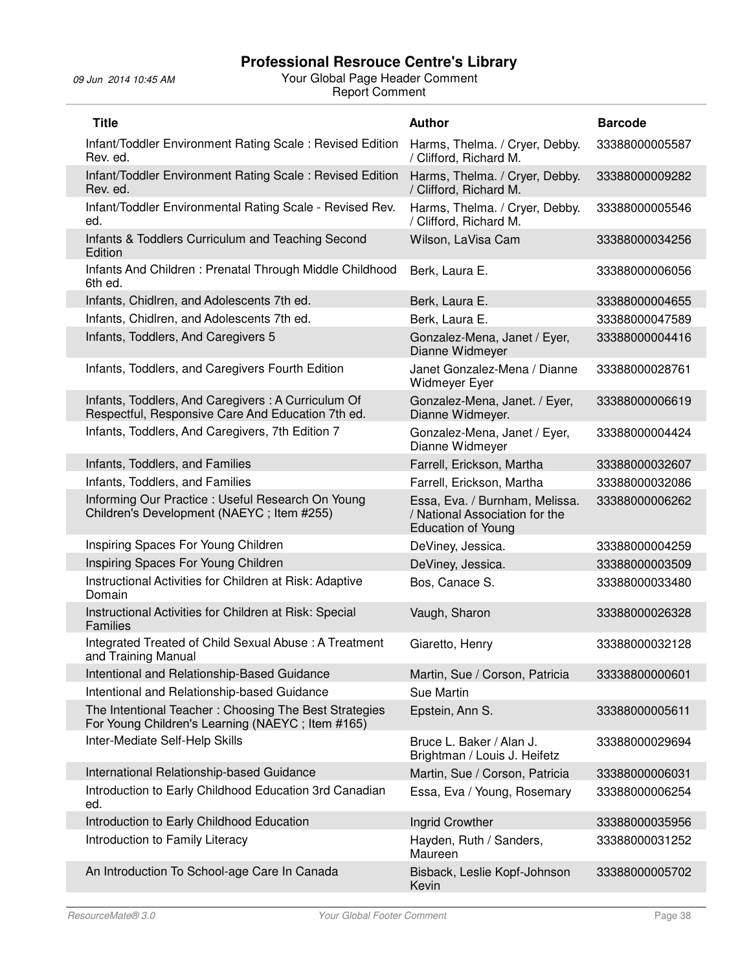| <b>Title</b>                                                                                              | <b>Author</b>                                                                                 | <b>Barcode</b> |
|-----------------------------------------------------------------------------------------------------------|-----------------------------------------------------------------------------------------------|----------------|
| Infant/Toddler Environment Rating Scale: Revised Edition<br>Rev. ed.                                      | Harms, Thelma. / Cryer, Debby.<br>/ Clifford, Richard M.                                      | 33388000005587 |
| Infant/Toddler Environment Rating Scale: Revised Edition<br>Rev. ed.                                      | Harms, Thelma. / Cryer, Debby.<br>/ Clifford, Richard M.                                      | 33388000009282 |
| Infant/Toddler Environmental Rating Scale - Revised Rev.<br>ed.                                           | Harms, Thelma. / Cryer, Debby.<br>/ Clifford, Richard M.                                      | 33388000005546 |
| Infants & Toddlers Curriculum and Teaching Second<br>Edition                                              | Wilson, LaVisa Cam                                                                            | 33388000034256 |
| Infants And Children: Prenatal Through Middle Childhood<br>6th ed.                                        | Berk, Laura E.                                                                                | 33388000006056 |
| Infants, Chidlren, and Adolescents 7th ed.                                                                | Berk, Laura E.                                                                                | 33388000004655 |
| Infants, Chidlren, and Adolescents 7th ed.                                                                | Berk, Laura E.                                                                                | 33388000047589 |
| Infants, Toddlers, And Caregivers 5                                                                       | Gonzalez-Mena, Janet / Eyer,<br>Dianne Widmeyer                                               | 33388000004416 |
| Infants, Toddlers, and Caregivers Fourth Edition                                                          | Janet Gonzalez-Mena / Dianne<br>Widmeyer Eyer                                                 | 33388000028761 |
| Infants, Toddlers, And Caregivers: A Curriculum Of<br>Respectful, Responsive Care And Education 7th ed.   | Gonzalez-Mena, Janet. / Eyer,<br>Dianne Widmeyer.                                             | 33388000006619 |
| Infants, Toddlers, And Caregivers, 7th Edition 7                                                          | Gonzalez-Mena, Janet / Eyer,<br>Dianne Widmeyer                                               | 33388000004424 |
| Infants, Toddlers, and Families                                                                           | Farrell, Erickson, Martha                                                                     | 33388000032607 |
| Infants, Toddlers, and Families                                                                           | Farrell, Erickson, Martha                                                                     | 33388000032086 |
| Informing Our Practice: Useful Research On Young<br>Children's Development (NAEYC; Item #255)             | Essa, Eva. / Burnham, Melissa.<br>/ National Association for the<br><b>Education of Young</b> | 33388000006262 |
| Inspiring Spaces For Young Children                                                                       | DeViney, Jessica.                                                                             | 33388000004259 |
| Inspiring Spaces For Young Children                                                                       | DeViney, Jessica.                                                                             | 33388000003509 |
| Instructional Activities for Children at Risk: Adaptive<br>Domain                                         | Bos, Canace S.                                                                                | 33388000033480 |
| Instructional Activities for Children at Risk: Special<br><b>Families</b>                                 | Vaugh, Sharon                                                                                 | 33388000026328 |
| Integrated Treated of Child Sexual Abuse: A Treatment<br>and Training Manual                              | Giaretto, Henry                                                                               | 33388000032128 |
| Intentional and Relationship-Based Guidance                                                               | Martin, Sue / Corson, Patricia                                                                | 33338800000601 |
| Intentional and Relationship-based Guidance                                                               | Sue Martin                                                                                    |                |
| The Intentional Teacher: Choosing The Best Strategies<br>For Young Children's Learning (NAEYC; Item #165) | Epstein, Ann S.                                                                               | 33388000005611 |
| Inter-Mediate Self-Help Skills                                                                            | Bruce L. Baker / Alan J.<br>Brightman / Louis J. Heifetz                                      | 33388000029694 |
| International Relationship-based Guidance                                                                 | Martin, Sue / Corson, Patricia                                                                | 33388000006031 |
| Introduction to Early Childhood Education 3rd Canadian<br>ed.                                             | Essa, Eva / Young, Rosemary                                                                   | 33388000006254 |
| Introduction to Early Childhood Education                                                                 | Ingrid Crowther                                                                               | 33388000035956 |
| Introduction to Family Literacy                                                                           | Hayden, Ruth / Sanders,<br>Maureen                                                            | 33388000031252 |
| An Introduction To School-age Care In Canada                                                              | Bisback, Leslie Kopf-Johnson<br>Kevin                                                         | 33388000005702 |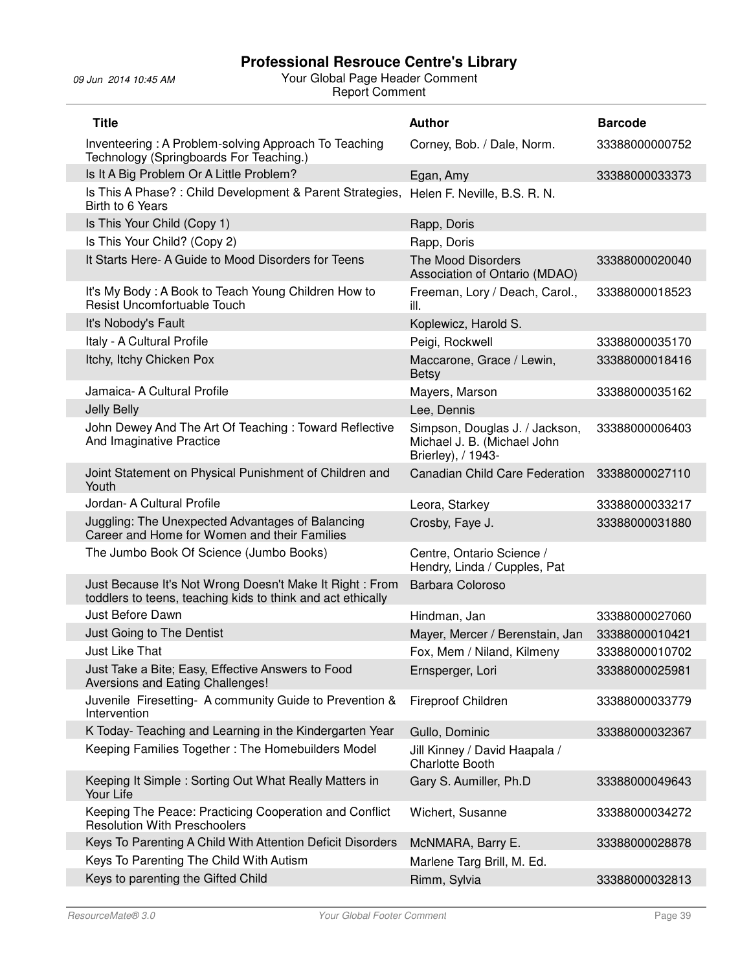| <b>Title</b>                                                                                                            | <b>Author</b>                                                                       | <b>Barcode</b> |
|-------------------------------------------------------------------------------------------------------------------------|-------------------------------------------------------------------------------------|----------------|
| Inventeering: A Problem-solving Approach To Teaching<br>Technology (Springboards For Teaching.)                         | Corney, Bob. / Dale, Norm.                                                          | 33388000000752 |
| Is It A Big Problem Or A Little Problem?                                                                                | Egan, Amy                                                                           | 33388000033373 |
| Is This A Phase? : Child Development & Parent Strategies,<br>Birth to 6 Years                                           | Helen F. Neville, B.S. R. N.                                                        |                |
| Is This Your Child (Copy 1)                                                                                             | Rapp, Doris                                                                         |                |
| Is This Your Child? (Copy 2)                                                                                            | Rapp, Doris                                                                         |                |
| It Starts Here- A Guide to Mood Disorders for Teens                                                                     | The Mood Disorders<br>Association of Ontario (MDAO)                                 | 33388000020040 |
| It's My Body: A Book to Teach Young Children How to<br>Resist Uncomfortuable Touch                                      | Freeman, Lory / Deach, Carol.,<br>ill.                                              | 33388000018523 |
| It's Nobody's Fault                                                                                                     | Koplewicz, Harold S.                                                                |                |
| Italy - A Cultural Profile                                                                                              | Peigi, Rockwell                                                                     | 33388000035170 |
| Itchy, Itchy Chicken Pox                                                                                                | Maccarone, Grace / Lewin,<br><b>Betsy</b>                                           | 33388000018416 |
| Jamaica- A Cultural Profile                                                                                             | Mayers, Marson                                                                      | 33388000035162 |
| Jelly Belly                                                                                                             | Lee, Dennis                                                                         |                |
| John Dewey And The Art Of Teaching: Toward Reflective<br>And Imaginative Practice                                       | Simpson, Douglas J. / Jackson,<br>Michael J. B. (Michael John<br>Brierley), / 1943- | 33388000006403 |
| Joint Statement on Physical Punishment of Children and<br>Youth                                                         | <b>Canadian Child Care Federation</b>                                               | 33388000027110 |
| Jordan- A Cultural Profile                                                                                              | Leora, Starkey                                                                      | 33388000033217 |
| Juggling: The Unexpected Advantages of Balancing<br>Career and Home for Women and their Families                        | Crosby, Faye J.                                                                     | 33388000031880 |
| The Jumbo Book Of Science (Jumbo Books)                                                                                 | Centre, Ontario Science /<br>Hendry, Linda / Cupples, Pat                           |                |
| Just Because It's Not Wrong Doesn't Make It Right : From<br>toddlers to teens, teaching kids to think and act ethically | Barbara Coloroso                                                                    |                |
| Just Before Dawn                                                                                                        | Hindman, Jan                                                                        | 33388000027060 |
| Just Going to The Dentist                                                                                               | Mayer, Mercer / Berenstain, Jan                                                     | 33388000010421 |
| <b>Just Like That</b>                                                                                                   | Fox, Mem / Niland, Kilmeny                                                          | 33388000010702 |
| Just Take a Bite; Easy, Effective Answers to Food<br>Aversions and Eating Challenges!                                   | Ernsperger, Lori                                                                    | 33388000025981 |
| Juvenile Firesetting- A community Guide to Prevention &<br>Intervention                                                 | <b>Fireproof Children</b>                                                           | 33388000033779 |
| K Today- Teaching and Learning in the Kindergarten Year                                                                 | Gullo, Dominic                                                                      | 33388000032367 |
| Keeping Families Together: The Homebuilders Model                                                                       | Jill Kinney / David Haapala /<br><b>Charlotte Booth</b>                             |                |
| Keeping It Simple: Sorting Out What Really Matters in<br>Your Life                                                      | Gary S. Aumiller, Ph.D                                                              | 33388000049643 |
| Keeping The Peace: Practicing Cooperation and Conflict<br><b>Resolution With Preschoolers</b>                           | Wichert, Susanne                                                                    | 33388000034272 |
| Keys To Parenting A Child With Attention Deficit Disorders                                                              | McNMARA, Barry E.                                                                   | 33388000028878 |
| Keys To Parenting The Child With Autism                                                                                 | Marlene Targ Brill, M. Ed.                                                          |                |
| Keys to parenting the Gifted Child                                                                                      | Rimm, Sylvia                                                                        | 33388000032813 |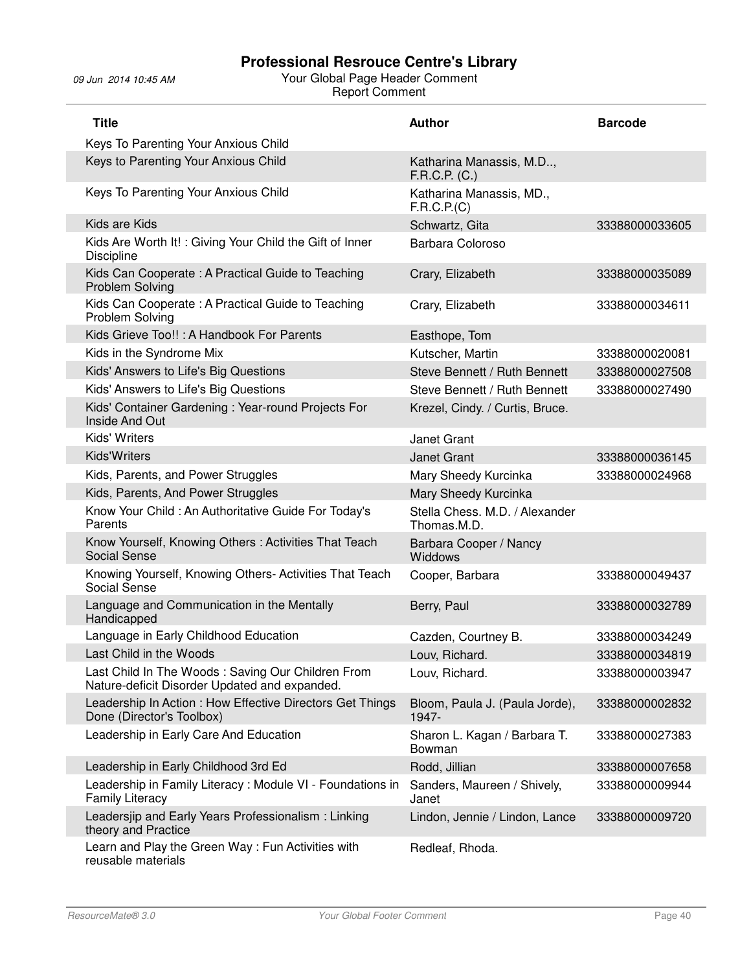| <b>Title</b>                                                                                       | <b>Author</b>                                 | <b>Barcode</b> |
|----------------------------------------------------------------------------------------------------|-----------------------------------------------|----------------|
| Keys To Parenting Your Anxious Child                                                               |                                               |                |
| Keys to Parenting Your Anxious Child                                                               | Katharina Manassis, M.D,<br>F.R.C.P. (C.)     |                |
| Keys To Parenting Your Anxious Child                                                               | Katharina Manassis, MD.,<br>F.R.C.P.(C)       |                |
| Kids are Kids                                                                                      | Schwartz, Gita                                | 33388000033605 |
| Kids Are Worth It!: Giving Your Child the Gift of Inner<br><b>Discipline</b>                       | Barbara Coloroso                              |                |
| Kids Can Cooperate: A Practical Guide to Teaching<br><b>Problem Solving</b>                        | Crary, Elizabeth                              | 33388000035089 |
| Kids Can Cooperate: A Practical Guide to Teaching<br>Problem Solving                               | Crary, Elizabeth                              | 33388000034611 |
| Kids Grieve Too!!: A Handbook For Parents                                                          | Easthope, Tom                                 |                |
| Kids in the Syndrome Mix                                                                           | Kutscher, Martin                              | 33388000020081 |
| Kids' Answers to Life's Big Questions                                                              | Steve Bennett / Ruth Bennett                  | 33388000027508 |
| Kids' Answers to Life's Big Questions                                                              | Steve Bennett / Ruth Bennett                  | 33388000027490 |
| Kids' Container Gardening: Year-round Projects For<br>Inside And Out                               | Krezel, Cindy. / Curtis, Bruce.               |                |
| Kids' Writers                                                                                      | <b>Janet Grant</b>                            |                |
| <b>Kids'Writers</b>                                                                                | <b>Janet Grant</b>                            | 33388000036145 |
| Kids, Parents, and Power Struggles                                                                 | Mary Sheedy Kurcinka                          | 33388000024968 |
| Kids, Parents, And Power Struggles                                                                 | Mary Sheedy Kurcinka                          |                |
| Know Your Child : An Authoritative Guide For Today's<br>Parents                                    | Stella Chess. M.D. / Alexander<br>Thomas.M.D. |                |
| Know Yourself, Knowing Others: Activities That Teach<br><b>Social Sense</b>                        | Barbara Cooper / Nancy<br>Widdows             |                |
| Knowing Yourself, Knowing Others- Activities That Teach<br>Social Sense                            | Cooper, Barbara                               | 33388000049437 |
| Language and Communication in the Mentally<br>Handicapped                                          | Berry, Paul                                   | 33388000032789 |
| Language in Early Childhood Education                                                              | Cazden, Courtney B.                           | 33388000034249 |
| Last Child in the Woods                                                                            | Louv, Richard.                                | 33388000034819 |
| Last Child In The Woods: Saving Our Children From<br>Nature-deficit Disorder Updated and expanded. | Louv, Richard.                                | 33388000003947 |
| Leadership In Action: How Effective Directors Get Things<br>Done (Director's Toolbox)              | Bloom, Paula J. (Paula Jorde),<br>1947-       | 33388000002832 |
| Leadership in Early Care And Education                                                             | Sharon L. Kagan / Barbara T.<br>Bowman        | 33388000027383 |
| Leadership in Early Childhood 3rd Ed                                                               | Rodd, Jillian                                 | 33388000007658 |
| Leadership in Family Literacy: Module VI - Foundations in<br><b>Family Literacy</b>                | Sanders, Maureen / Shively,<br>Janet          | 33388000009944 |
| Leadersjip and Early Years Professionalism : Linking<br>theory and Practice                        | Lindon, Jennie / Lindon, Lance                | 33388000009720 |
| Learn and Play the Green Way: Fun Activities with<br>reusable materials                            | Redleaf, Rhoda.                               |                |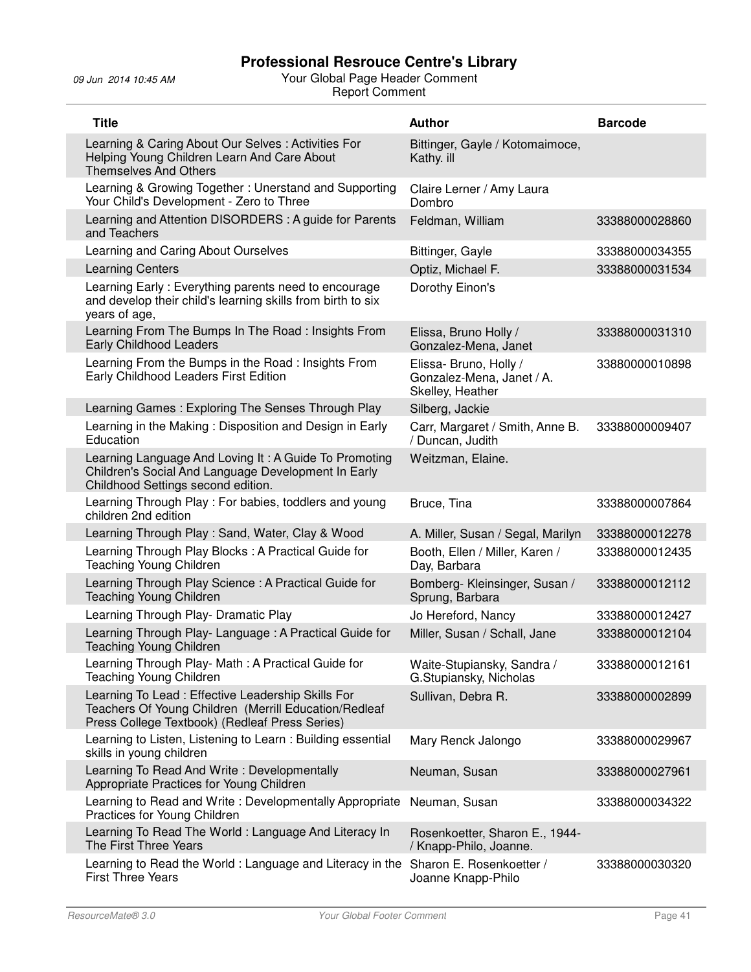| <b>Title</b>                                                                                                                                                 | <b>Author</b>                                                           | <b>Barcode</b> |
|--------------------------------------------------------------------------------------------------------------------------------------------------------------|-------------------------------------------------------------------------|----------------|
| Learning & Caring About Our Selves: Activities For<br>Helping Young Children Learn And Care About<br><b>Themselves And Others</b>                            | Bittinger, Gayle / Kotomaimoce,<br>Kathy. ill                           |                |
| Learning & Growing Together: Unerstand and Supporting<br>Your Child's Development - Zero to Three                                                            | Claire Lerner / Amy Laura<br>Dombro                                     |                |
| Learning and Attention DISORDERS: A guide for Parents<br>and Teachers                                                                                        | Feldman, William                                                        | 33388000028860 |
| Learning and Caring About Ourselves                                                                                                                          | Bittinger, Gayle                                                        | 33388000034355 |
| <b>Learning Centers</b>                                                                                                                                      | Optiz, Michael F.                                                       | 33388000031534 |
| Learning Early: Everything parents need to encourage<br>and develop their child's learning skills from birth to six<br>years of age,                         | Dorothy Einon's                                                         |                |
| Learning From The Bumps In The Road: Insights From<br><b>Early Childhood Leaders</b>                                                                         | Elissa, Bruno Holly /<br>Gonzalez-Mena, Janet                           | 33388000031310 |
| Learning From the Bumps in the Road: Insights From<br>Early Childhood Leaders First Edition                                                                  | Elissa- Bruno, Holly /<br>Gonzalez-Mena, Janet / A.<br>Skelley, Heather | 33880000010898 |
| Learning Games: Exploring The Senses Through Play                                                                                                            | Silberg, Jackie                                                         |                |
| Learning in the Making: Disposition and Design in Early<br>Education                                                                                         | Carr, Margaret / Smith, Anne B.<br>/ Duncan, Judith                     | 33388000009407 |
| Learning Language And Loving It: A Guide To Promoting<br>Children's Social And Language Development In Early<br>Childhood Settings second edition.           | Weitzman, Elaine.                                                       |                |
| Learning Through Play: For babies, toddlers and young<br>children 2nd edition                                                                                | Bruce, Tina                                                             | 33388000007864 |
| Learning Through Play: Sand, Water, Clay & Wood                                                                                                              | A. Miller, Susan / Segal, Marilyn                                       | 33388000012278 |
| Learning Through Play Blocks: A Practical Guide for<br><b>Teaching Young Children</b>                                                                        | Booth, Ellen / Miller, Karen /<br>Day, Barbara                          | 33388000012435 |
| Learning Through Play Science: A Practical Guide for<br><b>Teaching Young Children</b>                                                                       | Bomberg- Kleinsinger, Susan /<br>Sprung, Barbara                        | 33388000012112 |
| Learning Through Play- Dramatic Play                                                                                                                         | Jo Hereford, Nancy                                                      | 33388000012427 |
| Learning Through Play- Language: A Practical Guide for<br><b>Teaching Young Children</b>                                                                     | Miller, Susan / Schall, Jane                                            | 33388000012104 |
| Learning Through Play- Math: A Practical Guide for<br><b>Teaching Young Children</b>                                                                         | Waite-Stupiansky, Sandra /<br>G.Stupiansky, Nicholas                    | 33388000012161 |
| Learning To Lead: Effective Leadership Skills For<br>Teachers Of Young Children (Merrill Education/Redleaf<br>Press College Textbook) (Redleaf Press Series) | Sullivan, Debra R.                                                      | 33388000002899 |
| Learning to Listen, Listening to Learn: Building essential<br>skills in young children                                                                       | Mary Renck Jalongo                                                      | 33388000029967 |
| Learning To Read And Write: Developmentally<br>Appropriate Practices for Young Children                                                                      | Neuman, Susan                                                           | 33388000027961 |
| Learning to Read and Write: Developmentally Appropriate<br>Practices for Young Children                                                                      | Neuman, Susan                                                           | 33388000034322 |
| Learning To Read The World: Language And Literacy In<br>The First Three Years                                                                                | Rosenkoetter, Sharon E., 1944-<br>/ Knapp-Philo, Joanne.                |                |
| Learning to Read the World: Language and Literacy in the<br><b>First Three Years</b>                                                                         | Sharon E. Rosenkoetter /<br>Joanne Knapp-Philo                          | 33388000030320 |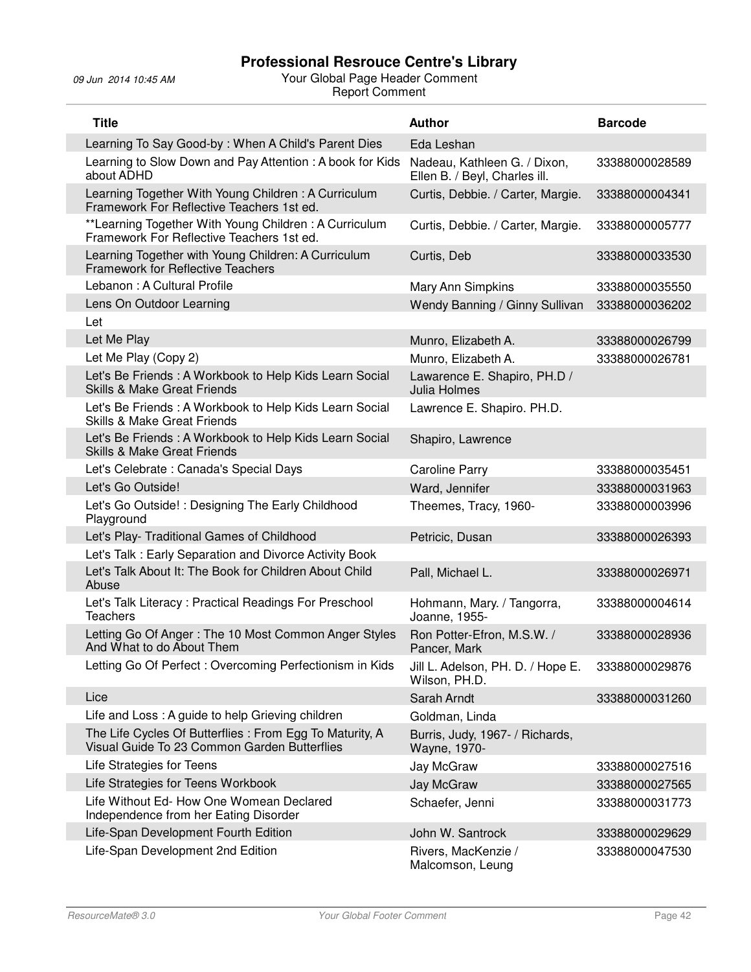| <b>Title</b>                                                                                             | <b>Author</b>                                                 | <b>Barcode</b> |
|----------------------------------------------------------------------------------------------------------|---------------------------------------------------------------|----------------|
| Learning To Say Good-by: When A Child's Parent Dies                                                      | Eda Leshan                                                    |                |
| Learning to Slow Down and Pay Attention: A book for Kids<br>about ADHD                                   | Nadeau, Kathleen G. / Dixon,<br>Ellen B. / Beyl, Charles ill. | 33388000028589 |
| Learning Together With Young Children: A Curriculum<br>Framework For Reflective Teachers 1st ed.         | Curtis, Debbie. / Carter, Margie.                             | 33388000004341 |
| **Learning Together With Young Children: A Curriculum<br>Framework For Reflective Teachers 1st ed.       | Curtis, Debbie. / Carter, Margie.                             | 33388000005777 |
| Learning Together with Young Children: A Curriculum<br><b>Framework for Reflective Teachers</b>          | Curtis, Deb                                                   | 33388000033530 |
| Lebanon: A Cultural Profile                                                                              | Mary Ann Simpkins                                             | 33388000035550 |
| Lens On Outdoor Learning                                                                                 | Wendy Banning / Ginny Sullivan                                | 33388000036202 |
| Let                                                                                                      |                                                               |                |
| Let Me Play                                                                                              | Munro, Elizabeth A.                                           | 33388000026799 |
| Let Me Play (Copy 2)                                                                                     | Munro, Elizabeth A.                                           | 33388000026781 |
| Let's Be Friends: A Workbook to Help Kids Learn Social<br><b>Skills &amp; Make Great Friends</b>         | Lawarence E. Shapiro, PH.D /<br>Julia Holmes                  |                |
| Let's Be Friends: A Workbook to Help Kids Learn Social<br><b>Skills &amp; Make Great Friends</b>         | Lawrence E. Shapiro. PH.D.                                    |                |
| Let's Be Friends: A Workbook to Help Kids Learn Social<br><b>Skills &amp; Make Great Friends</b>         | Shapiro, Lawrence                                             |                |
| Let's Celebrate : Canada's Special Days                                                                  | <b>Caroline Parry</b>                                         | 33388000035451 |
| Let's Go Outside!                                                                                        | Ward, Jennifer                                                | 33388000031963 |
| Let's Go Outside! : Designing The Early Childhood<br>Playground                                          | Theemes, Tracy, 1960-                                         | 33388000003996 |
| Let's Play- Traditional Games of Childhood                                                               | Petricic, Dusan                                               | 33388000026393 |
| Let's Talk: Early Separation and Divorce Activity Book                                                   |                                                               |                |
| Let's Talk About It: The Book for Children About Child<br>Abuse                                          | Pall, Michael L.                                              | 33388000026971 |
| Let's Talk Literacy: Practical Readings For Preschool<br><b>Teachers</b>                                 | Hohmann, Mary. / Tangorra,<br>Joanne, 1955-                   | 33388000004614 |
| Letting Go Of Anger: The 10 Most Common Anger Styles<br>And What to do About Them                        | Ron Potter-Efron, M.S.W. /<br>Pancer, Mark                    | 33388000028936 |
| Letting Go Of Perfect: Overcoming Perfectionism in Kids                                                  | Jill L. Adelson, PH. D. / Hope E.<br>Wilson, PH.D.            | 33388000029876 |
| Lice                                                                                                     | Sarah Arndt                                                   | 33388000031260 |
| Life and Loss: A guide to help Grieving children                                                         | Goldman, Linda                                                |                |
| The Life Cycles Of Butterflies : From Egg To Maturity, A<br>Visual Guide To 23 Common Garden Butterflies | Burris, Judy, 1967- / Richards,<br>Wayne, 1970-               |                |
| Life Strategies for Teens                                                                                | Jay McGraw                                                    | 33388000027516 |
| Life Strategies for Teens Workbook                                                                       | Jay McGraw                                                    | 33388000027565 |
| Life Without Ed- How One Womean Declared<br>Independence from her Eating Disorder                        | Schaefer, Jenni                                               | 33388000031773 |
| Life-Span Development Fourth Edition                                                                     | John W. Santrock                                              | 33388000029629 |
| Life-Span Development 2nd Edition                                                                        | Rivers, MacKenzie /<br>Malcomson, Leung                       | 33388000047530 |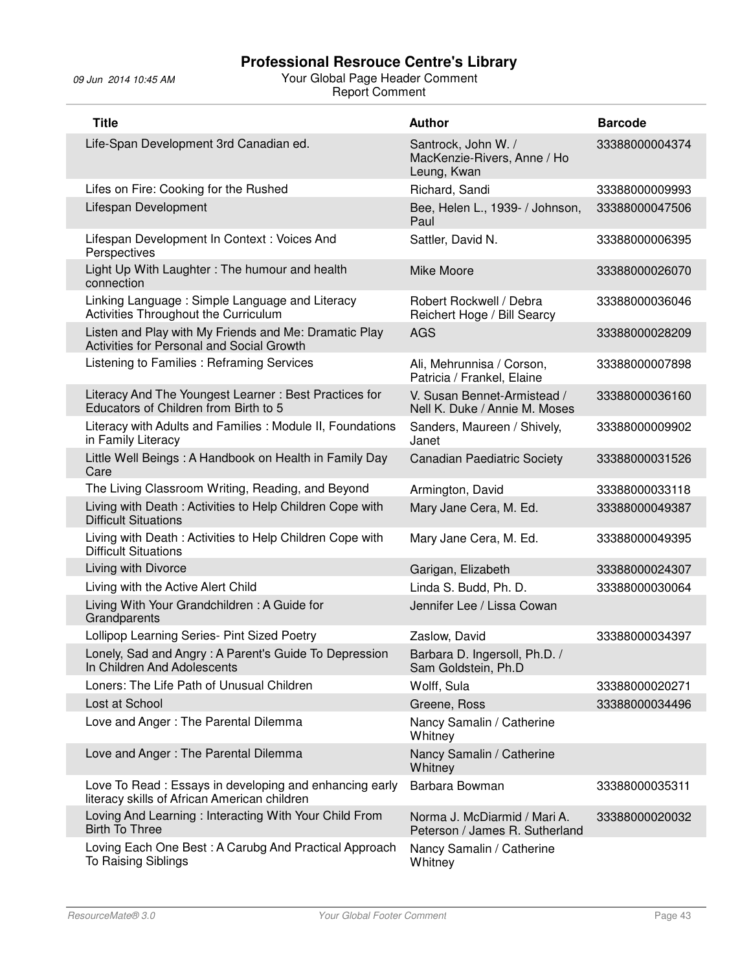| <b>Title</b>                                                                                           | <b>Author</b>                                                     | <b>Barcode</b> |
|--------------------------------------------------------------------------------------------------------|-------------------------------------------------------------------|----------------|
| Life-Span Development 3rd Canadian ed.                                                                 | Santrock, John W. /<br>MacKenzie-Rivers, Anne / Ho<br>Leung, Kwan | 33388000004374 |
| Lifes on Fire: Cooking for the Rushed                                                                  | Richard, Sandi                                                    | 33388000009993 |
| Lifespan Development                                                                                   | Bee, Helen L., 1939- / Johnson,<br>Paul                           | 33388000047506 |
| Lifespan Development In Context: Voices And<br>Perspectives                                            | Sattler, David N.                                                 | 33388000006395 |
| Light Up With Laughter: The humour and health<br>connection                                            | Mike Moore                                                        | 33388000026070 |
| Linking Language: Simple Language and Literacy<br>Activities Throughout the Curriculum                 | Robert Rockwell / Debra<br>Reichert Hoge / Bill Searcy            | 33388000036046 |
| Listen and Play with My Friends and Me: Dramatic Play<br>Activities for Personal and Social Growth     | <b>AGS</b>                                                        | 33388000028209 |
| Listening to Families: Reframing Services                                                              | Ali, Mehrunnisa / Corson,<br>Patricia / Frankel, Elaine           | 33388000007898 |
| Literacy And The Youngest Learner: Best Practices for<br>Educators of Children from Birth to 5         | V. Susan Bennet-Armistead /<br>Nell K. Duke / Annie M. Moses      | 33388000036160 |
| Literacy with Adults and Families : Module II, Foundations<br>in Family Literacy                       | Sanders, Maureen / Shively,<br>Janet                              | 33388000009902 |
| Little Well Beings: A Handbook on Health in Family Day<br>Care                                         | <b>Canadian Paediatric Society</b>                                | 33388000031526 |
| The Living Classroom Writing, Reading, and Beyond                                                      | Armington, David                                                  | 33388000033118 |
| Living with Death: Activities to Help Children Cope with<br><b>Difficult Situations</b>                | Mary Jane Cera, M. Ed.                                            | 33388000049387 |
| Living with Death: Activities to Help Children Cope with<br><b>Difficult Situations</b>                | Mary Jane Cera, M. Ed.                                            | 33388000049395 |
| Living with Divorce                                                                                    | Garigan, Elizabeth                                                | 33388000024307 |
| Living with the Active Alert Child                                                                     | Linda S. Budd, Ph. D.                                             | 33388000030064 |
| Living With Your Grandchildren: A Guide for<br>Grandparents                                            | Jennifer Lee / Lissa Cowan                                        |                |
| Lollipop Learning Series- Pint Sized Poetry                                                            | Zaslow, David                                                     | 33388000034397 |
| Lonely, Sad and Angry: A Parent's Guide To Depression<br>In Children And Adolescents                   | Barbara D. Ingersoll, Ph.D. /<br>Sam Goldstein, Ph.D              |                |
| Loners: The Life Path of Unusual Children                                                              | Wolff, Sula                                                       | 33388000020271 |
| Lost at School                                                                                         | Greene, Ross                                                      | 33388000034496 |
| Love and Anger: The Parental Dilemma                                                                   | Nancy Samalin / Catherine<br>Whitney                              |                |
| Love and Anger: The Parental Dilemma                                                                   | Nancy Samalin / Catherine<br>Whitney                              |                |
| Love To Read: Essays in developing and enhancing early<br>literacy skills of African American children | Barbara Bowman                                                    | 33388000035311 |
| Loving And Learning: Interacting With Your Child From<br><b>Birth To Three</b>                         | Norma J. McDiarmid / Mari A.<br>Peterson / James R. Sutherland    | 33388000020032 |
| Loving Each One Best: A Carubg And Practical Approach<br>To Raising Siblings                           | Nancy Samalin / Catherine<br>Whitney                              |                |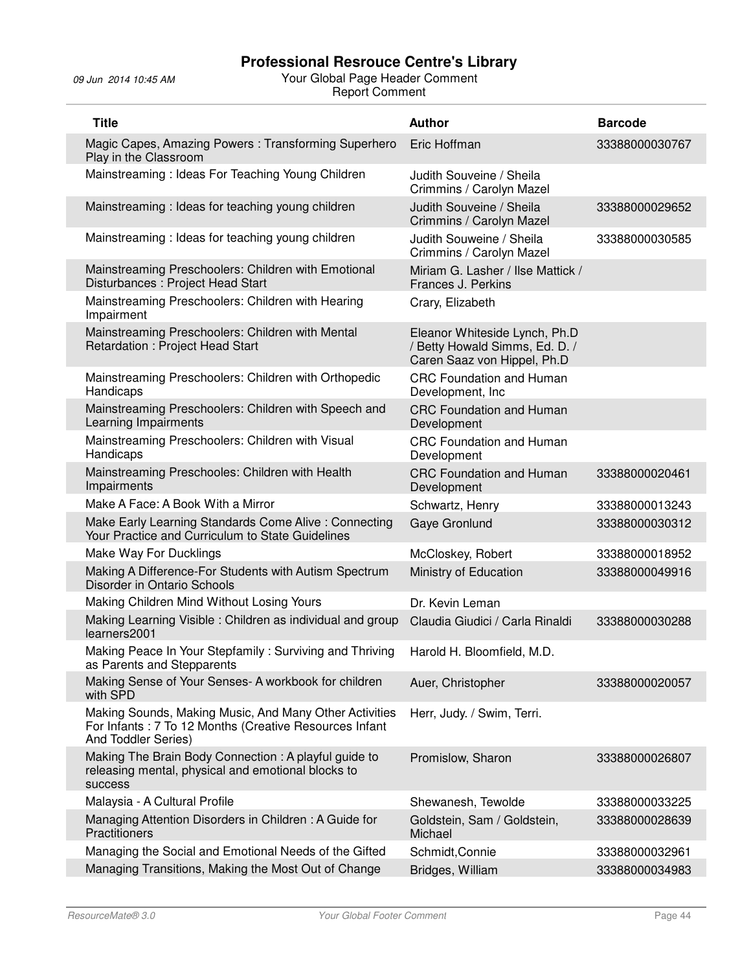| <b>Title</b>                                                                                                                            | <b>Author</b>                                                                                  | <b>Barcode</b> |
|-----------------------------------------------------------------------------------------------------------------------------------------|------------------------------------------------------------------------------------------------|----------------|
| Magic Capes, Amazing Powers: Transforming Superhero<br>Play in the Classroom                                                            | Eric Hoffman                                                                                   | 33388000030767 |
| Mainstreaming: Ideas For Teaching Young Children                                                                                        | Judith Souveine / Sheila<br>Crimmins / Carolyn Mazel                                           |                |
| Mainstreaming: Ideas for teaching young children                                                                                        | Judith Souveine / Sheila<br>Crimmins / Carolyn Mazel                                           | 33388000029652 |
| Mainstreaming: Ideas for teaching young children                                                                                        | Judith Souweine / Sheila<br>Crimmins / Carolyn Mazel                                           | 33388000030585 |
| Mainstreaming Preschoolers: Children with Emotional<br>Disturbances: Project Head Start                                                 | Miriam G. Lasher / Ilse Mattick /<br>Frances J. Perkins                                        |                |
| Mainstreaming Preschoolers: Children with Hearing<br>Impairment                                                                         | Crary, Elizabeth                                                                               |                |
| Mainstreaming Preschoolers: Children with Mental<br>Retardation: Project Head Start                                                     | Eleanor Whiteside Lynch, Ph.D<br>/ Betty Howald Simms, Ed. D. /<br>Caren Saaz von Hippel, Ph.D |                |
| Mainstreaming Preschoolers: Children with Orthopedic<br>Handicaps                                                                       | <b>CRC Foundation and Human</b><br>Development, Inc                                            |                |
| Mainstreaming Preschoolers: Children with Speech and<br>Learning Impairments                                                            | <b>CRC Foundation and Human</b><br>Development                                                 |                |
| Mainstreaming Preschoolers: Children with Visual<br>Handicaps                                                                           | <b>CRC Foundation and Human</b><br>Development                                                 |                |
| Mainstreaming Preschooles: Children with Health<br>Impairments                                                                          | <b>CRC Foundation and Human</b><br>Development                                                 | 33388000020461 |
| Make A Face: A Book With a Mirror                                                                                                       | Schwartz, Henry                                                                                | 33388000013243 |
| Make Early Learning Standards Come Alive : Connecting<br>Your Practice and Curriculum to State Guidelines                               | Gaye Gronlund                                                                                  | 33388000030312 |
| Make Way For Ducklings                                                                                                                  | McCloskey, Robert                                                                              | 33388000018952 |
| Making A Difference-For Students with Autism Spectrum<br>Disorder in Ontario Schools                                                    | Ministry of Education                                                                          | 33388000049916 |
| Making Children Mind Without Losing Yours                                                                                               | Dr. Kevin Leman                                                                                |                |
| Making Learning Visible: Children as individual and group<br>learners2001                                                               | Claudia Giudici / Carla Rinaldi                                                                | 33388000030288 |
| Making Peace In Your Stepfamily: Surviving and Thriving<br>as Parents and Stepparents                                                   | Harold H. Bloomfield, M.D.                                                                     |                |
| Making Sense of Your Senses- A workbook for children<br>with SPD                                                                        | Auer, Christopher                                                                              | 33388000020057 |
| Making Sounds, Making Music, And Many Other Activities<br>For Infants: 7 To 12 Months (Creative Resources Infant<br>And Toddler Series) | Herr, Judy. / Swim, Terri.                                                                     |                |
| Making The Brain Body Connection: A playful guide to<br>releasing mental, physical and emotional blocks to<br>success                   | Promislow, Sharon                                                                              | 33388000026807 |
| Malaysia - A Cultural Profile                                                                                                           | Shewanesh, Tewolde                                                                             | 33388000033225 |
| Managing Attention Disorders in Children: A Guide for<br>Practitioners                                                                  | Goldstein, Sam / Goldstein,<br>Michael                                                         | 33388000028639 |
| Managing the Social and Emotional Needs of the Gifted                                                                                   | Schmidt, Connie                                                                                | 33388000032961 |
| Managing Transitions, Making the Most Out of Change                                                                                     | Bridges, William                                                                               | 33388000034983 |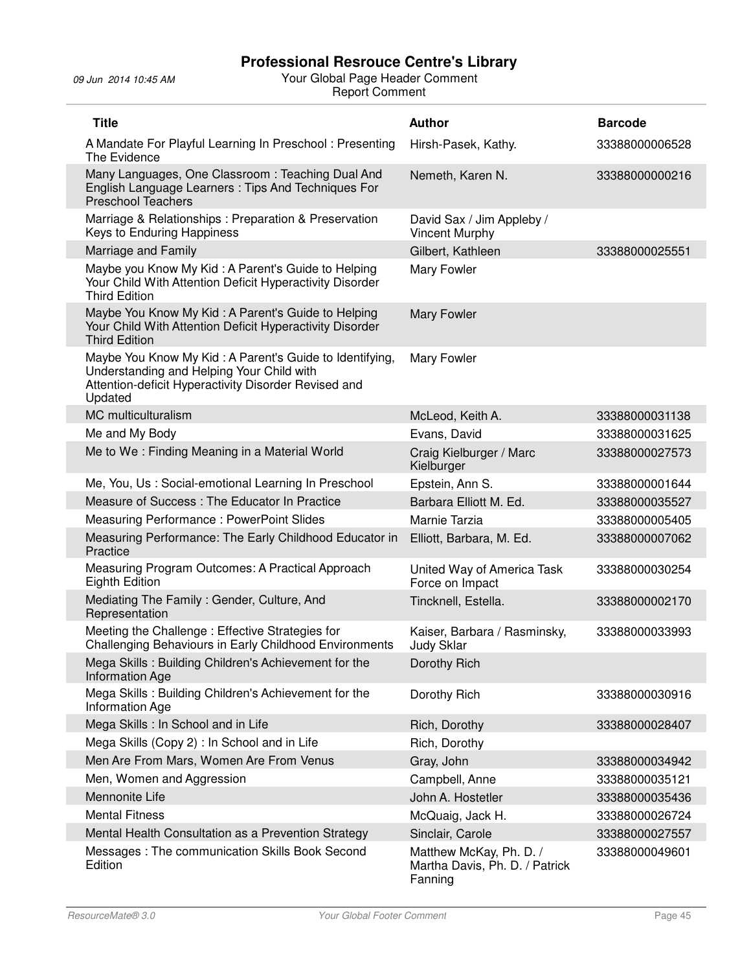| <b>Title</b>                                                                                                                                                            | <b>Author</b>                                                        | <b>Barcode</b> |
|-------------------------------------------------------------------------------------------------------------------------------------------------------------------------|----------------------------------------------------------------------|----------------|
| A Mandate For Playful Learning In Preschool: Presenting<br>The Evidence                                                                                                 | Hirsh-Pasek, Kathy.                                                  | 33388000006528 |
| Many Languages, One Classroom: Teaching Dual And<br>English Language Learners: Tips And Techniques For<br><b>Preschool Teachers</b>                                     | Nemeth, Karen N.                                                     | 33388000000216 |
| Marriage & Relationships: Preparation & Preservation<br>Keys to Enduring Happiness                                                                                      | David Sax / Jim Appleby /<br><b>Vincent Murphy</b>                   |                |
| Marriage and Family                                                                                                                                                     | Gilbert, Kathleen                                                    | 33388000025551 |
| Maybe you Know My Kid: A Parent's Guide to Helping<br>Your Child With Attention Deficit Hyperactivity Disorder<br><b>Third Edition</b>                                  | Mary Fowler                                                          |                |
| Maybe You Know My Kid: A Parent's Guide to Helping<br>Your Child With Attention Deficit Hyperactivity Disorder<br><b>Third Edition</b>                                  | <b>Mary Fowler</b>                                                   |                |
| Maybe You Know My Kid: A Parent's Guide to Identifying,<br>Understanding and Helping Your Child with<br>Attention-deficit Hyperactivity Disorder Revised and<br>Updated | Mary Fowler                                                          |                |
| MC multiculturalism                                                                                                                                                     | McLeod, Keith A.                                                     | 33388000031138 |
| Me and My Body                                                                                                                                                          | Evans, David                                                         | 33388000031625 |
| Me to We: Finding Meaning in a Material World                                                                                                                           | Craig Kielburger / Marc<br>Kielburger                                | 33388000027573 |
| Me, You, Us: Social-emotional Learning In Preschool                                                                                                                     | Epstein, Ann S.                                                      | 33388000001644 |
| Measure of Success: The Educator In Practice                                                                                                                            | Barbara Elliott M. Ed.                                               | 33388000035527 |
| <b>Measuring Performance: PowerPoint Slides</b>                                                                                                                         | Marnie Tarzia                                                        | 33388000005405 |
| Measuring Performance: The Early Childhood Educator in<br>Practice                                                                                                      | Elliott, Barbara, M. Ed.                                             | 33388000007062 |
| Measuring Program Outcomes: A Practical Approach<br><b>Eighth Edition</b>                                                                                               | United Way of America Task<br>Force on Impact                        | 33388000030254 |
| Mediating The Family: Gender, Culture, And<br>Representation                                                                                                            | Tincknell, Estella.                                                  | 33388000002170 |
| Meeting the Challenge: Effective Strategies for<br>Challenging Behaviours in Early Childhood Environments                                                               | Kaiser, Barbara / Rasminsky,<br><b>Judy Sklar</b>                    | 33388000033993 |
| Mega Skills: Building Children's Achievement for the<br><b>Information Age</b>                                                                                          | Dorothy Rich                                                         |                |
| Mega Skills: Building Children's Achievement for the<br><b>Information Age</b>                                                                                          | Dorothy Rich                                                         | 33388000030916 |
| Mega Skills : In School and in Life                                                                                                                                     | Rich, Dorothy                                                        | 33388000028407 |
| Mega Skills (Copy 2) : In School and in Life                                                                                                                            | Rich, Dorothy                                                        |                |
| Men Are From Mars, Women Are From Venus                                                                                                                                 | Gray, John                                                           | 33388000034942 |
| Men, Women and Aggression                                                                                                                                               | Campbell, Anne                                                       | 33388000035121 |
| Mennonite Life                                                                                                                                                          | John A. Hostetler                                                    | 33388000035436 |
| <b>Mental Fitness</b>                                                                                                                                                   | McQuaig, Jack H.                                                     | 33388000026724 |
| Mental Health Consultation as a Prevention Strategy                                                                                                                     | Sinclair, Carole                                                     | 33388000027557 |
| Messages: The communication Skills Book Second<br>Edition                                                                                                               | Matthew McKay, Ph. D. /<br>Martha Davis, Ph. D. / Patrick<br>Fanning | 33388000049601 |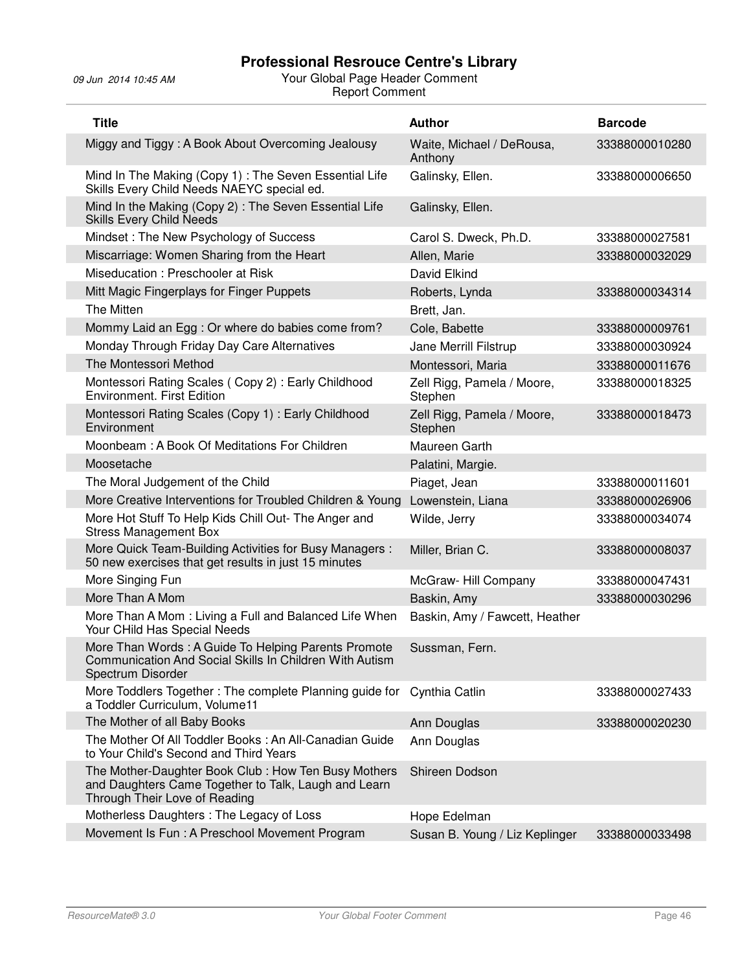| <b>Title</b>                                                                                                                                 | <b>Author</b>                         | <b>Barcode</b> |
|----------------------------------------------------------------------------------------------------------------------------------------------|---------------------------------------|----------------|
| Miggy and Tiggy: A Book About Overcoming Jealousy                                                                                            | Waite, Michael / DeRousa,<br>Anthony  | 33388000010280 |
| Mind In The Making (Copy 1) : The Seven Essential Life<br>Skills Every Child Needs NAEYC special ed.                                         | Galinsky, Ellen.                      | 33388000006650 |
| Mind In the Making (Copy 2): The Seven Essential Life<br><b>Skills Every Child Needs</b>                                                     | Galinsky, Ellen.                      |                |
| Mindset: The New Psychology of Success                                                                                                       | Carol S. Dweck, Ph.D.                 | 33388000027581 |
| Miscarriage: Women Sharing from the Heart                                                                                                    | Allen, Marie                          | 33388000032029 |
| Miseducation: Preschooler at Risk                                                                                                            | David Elkind                          |                |
| Mitt Magic Fingerplays for Finger Puppets                                                                                                    | Roberts, Lynda                        | 33388000034314 |
| The Mitten                                                                                                                                   | Brett, Jan.                           |                |
| Mommy Laid an Egg : Or where do babies come from?                                                                                            | Cole, Babette                         | 33388000009761 |
| Monday Through Friday Day Care Alternatives                                                                                                  | Jane Merrill Filstrup                 | 33388000030924 |
| The Montessori Method                                                                                                                        | Montessori, Maria                     | 33388000011676 |
| Montessori Rating Scales (Copy 2): Early Childhood<br><b>Environment. First Edition</b>                                                      | Zell Rigg, Pamela / Moore,<br>Stephen | 33388000018325 |
| Montessori Rating Scales (Copy 1): Early Childhood<br>Environment                                                                            | Zell Rigg, Pamela / Moore,<br>Stephen | 33388000018473 |
| Moonbeam: A Book Of Meditations For Children                                                                                                 | Maureen Garth                         |                |
| Moosetache                                                                                                                                   | Palatini, Margie.                     |                |
| The Moral Judgement of the Child                                                                                                             | Piaget, Jean                          | 33388000011601 |
| More Creative Interventions for Troubled Children & Young                                                                                    | Lowenstein, Liana                     | 33388000026906 |
| More Hot Stuff To Help Kids Chill Out- The Anger and<br><b>Stress Management Box</b>                                                         | Wilde, Jerry                          | 33388000034074 |
| More Quick Team-Building Activities for Busy Managers :<br>50 new exercises that get results in just 15 minutes                              | Miller, Brian C.                      | 33388000008037 |
| More Singing Fun                                                                                                                             | McGraw-Hill Company                   | 33388000047431 |
| More Than A Mom                                                                                                                              | Baskin, Amy                           | 33388000030296 |
| More Than A Mom: Living a Full and Balanced Life When<br>Your CHild Has Special Needs                                                        | Baskin, Amy / Fawcett, Heather        |                |
| More Than Words: A Guide To Helping Parents Promote<br>Communication And Social Skills In Children With Autism<br>Spectrum Disorder          | Sussman, Fern.                        |                |
| More Toddlers Together: The complete Planning guide for<br>a Toddler Curriculum, Volume11                                                    | Cynthia Catlin                        | 33388000027433 |
| The Mother of all Baby Books                                                                                                                 | Ann Douglas                           | 33388000020230 |
| The Mother Of All Toddler Books: An All-Canadian Guide<br>to Your Child's Second and Third Years                                             | Ann Douglas                           |                |
| The Mother-Daughter Book Club: How Ten Busy Mothers<br>and Daughters Came Together to Talk, Laugh and Learn<br>Through Their Love of Reading | Shireen Dodson                        |                |
| Motherless Daughters: The Legacy of Loss                                                                                                     | Hope Edelman                          |                |
| Movement Is Fun: A Preschool Movement Program                                                                                                | Susan B. Young / Liz Keplinger        | 33388000033498 |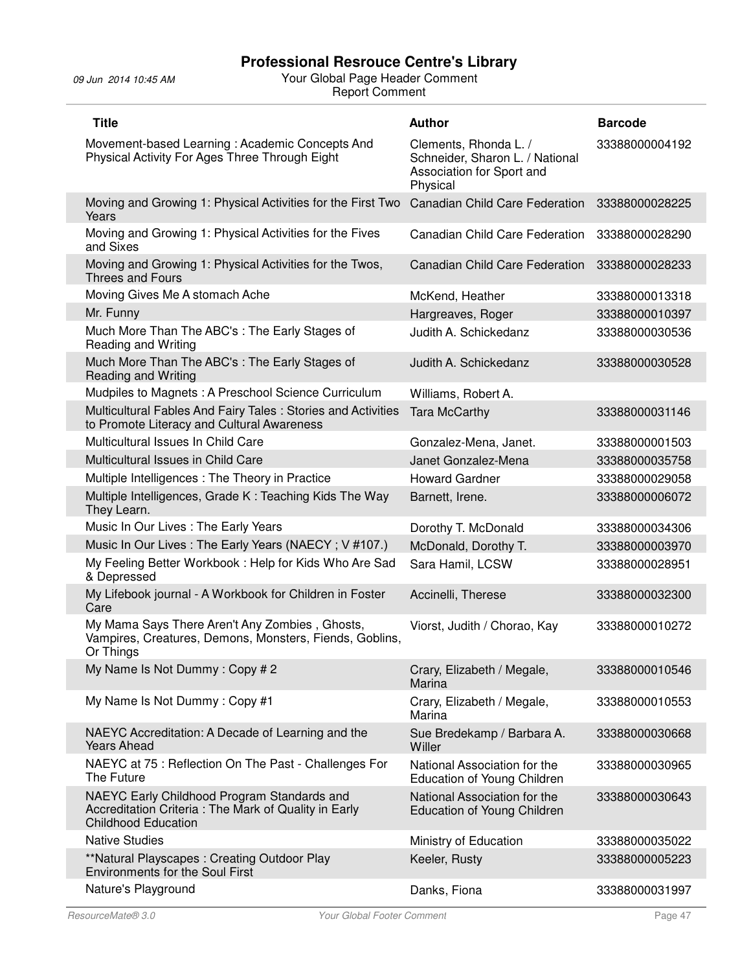| <b>Title</b>                                                                                                                      | <b>Author</b>                                                                                     | <b>Barcode</b> |
|-----------------------------------------------------------------------------------------------------------------------------------|---------------------------------------------------------------------------------------------------|----------------|
| Movement-based Learning: Academic Concepts And<br>Physical Activity For Ages Three Through Eight                                  | Clements, Rhonda L. /<br>Schneider, Sharon L. / National<br>Association for Sport and<br>Physical | 33388000004192 |
| Moving and Growing 1: Physical Activities for the First Two<br>Years                                                              | <b>Canadian Child Care Federation</b>                                                             | 33388000028225 |
| Moving and Growing 1: Physical Activities for the Fives<br>and Sixes                                                              | <b>Canadian Child Care Federation</b>                                                             | 33388000028290 |
| Moving and Growing 1: Physical Activities for the Twos,<br>Threes and Fours                                                       | Canadian Child Care Federation                                                                    | 33388000028233 |
| Moving Gives Me A stomach Ache                                                                                                    | McKend, Heather                                                                                   | 33388000013318 |
| Mr. Funny                                                                                                                         | Hargreaves, Roger                                                                                 | 33388000010397 |
| Much More Than The ABC's: The Early Stages of<br><b>Reading and Writing</b>                                                       | Judith A. Schickedanz                                                                             | 33388000030536 |
| Much More Than The ABC's : The Early Stages of<br><b>Reading and Writing</b>                                                      | Judith A. Schickedanz                                                                             | 33388000030528 |
| Mudpiles to Magnets: A Preschool Science Curriculum                                                                               | Williams, Robert A.                                                                               |                |
| Multicultural Fables And Fairy Tales: Stories and Activities<br>to Promote Literacy and Cultural Awareness                        | <b>Tara McCarthy</b>                                                                              | 33388000031146 |
| Multicultural Issues In Child Care                                                                                                | Gonzalez-Mena, Janet.                                                                             | 33388000001503 |
| Multicultural Issues in Child Care                                                                                                | Janet Gonzalez-Mena                                                                               | 33388000035758 |
| Multiple Intelligences : The Theory in Practice                                                                                   | <b>Howard Gardner</b>                                                                             | 33388000029058 |
| Multiple Intelligences, Grade K: Teaching Kids The Way<br>They Learn.                                                             | Barnett, Irene.                                                                                   | 33388000006072 |
| Music In Our Lives : The Early Years                                                                                              | Dorothy T. McDonald                                                                               | 33388000034306 |
| Music In Our Lives: The Early Years (NAECY; V#107.)                                                                               | McDonald, Dorothy T.                                                                              | 33388000003970 |
| My Feeling Better Workbook: Help for Kids Who Are Sad<br>& Depressed                                                              | Sara Hamil, LCSW                                                                                  | 33388000028951 |
| My Lifebook journal - A Workbook for Children in Foster<br>Care                                                                   | Accinelli, Therese                                                                                | 33388000032300 |
| My Mama Says There Aren't Any Zombies, Ghosts,<br>Vampires, Creatures, Demons, Monsters, Fiends, Goblins,<br>Or Things            | Viorst, Judith / Chorao, Kay                                                                      | 33388000010272 |
| My Name Is Not Dummy: Copy #2                                                                                                     | Crary, Elizabeth / Megale,<br>Marina                                                              | 33388000010546 |
| My Name Is Not Dummy: Copy #1                                                                                                     | Crary, Elizabeth / Megale,<br>Marina                                                              | 33388000010553 |
| NAEYC Accreditation: A Decade of Learning and the<br><b>Years Ahead</b>                                                           | Sue Bredekamp / Barbara A.<br>Willer                                                              | 33388000030668 |
| NAEYC at 75 : Reflection On The Past - Challenges For<br>The Future                                                               | National Association for the<br>Education of Young Children                                       | 33388000030965 |
| NAEYC Early Childhood Program Standards and<br>Accreditation Criteria: The Mark of Quality in Early<br><b>Childhood Education</b> | National Association for the<br>Education of Young Children                                       | 33388000030643 |
| <b>Native Studies</b>                                                                                                             | Ministry of Education                                                                             | 33388000035022 |
| **Natural Playscapes: Creating Outdoor Play<br><b>Environments for the Soul First</b>                                             | Keeler, Rusty                                                                                     | 33388000005223 |
| Nature's Playground                                                                                                               | Danks, Fiona                                                                                      | 33388000031997 |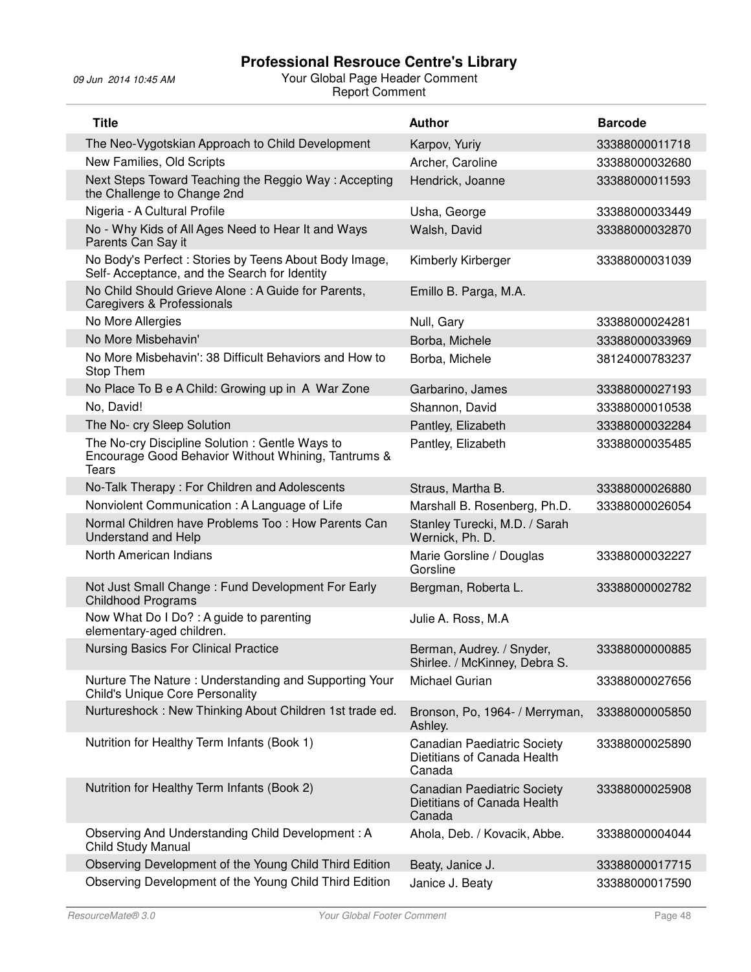| <b>Title</b>                                                                                                          | <b>Author</b>                                                               | <b>Barcode</b> |
|-----------------------------------------------------------------------------------------------------------------------|-----------------------------------------------------------------------------|----------------|
| The Neo-Vygotskian Approach to Child Development                                                                      | Karpov, Yuriy                                                               | 33388000011718 |
| New Families, Old Scripts                                                                                             | Archer, Caroline                                                            | 33388000032680 |
| Next Steps Toward Teaching the Reggio Way: Accepting<br>the Challenge to Change 2nd                                   | Hendrick, Joanne                                                            | 33388000011593 |
| Nigeria - A Cultural Profile                                                                                          | Usha, George                                                                | 33388000033449 |
| No - Why Kids of All Ages Need to Hear It and Ways<br>Parents Can Say it                                              | Walsh, David                                                                | 33388000032870 |
| No Body's Perfect: Stories by Teens About Body Image,<br>Self- Acceptance, and the Search for Identity                | Kimberly Kirberger                                                          | 33388000031039 |
| No Child Should Grieve Alone : A Guide for Parents,<br><b>Caregivers &amp; Professionals</b>                          | Emillo B. Parga, M.A.                                                       |                |
| No More Allergies                                                                                                     | Null, Gary                                                                  | 33388000024281 |
| No More Misbehavin'                                                                                                   | Borba, Michele                                                              | 33388000033969 |
| No More Misbehavin': 38 Difficult Behaviors and How to<br>Stop Them                                                   | Borba, Michele                                                              | 38124000783237 |
| No Place To B e A Child: Growing up in A War Zone                                                                     | Garbarino, James                                                            | 33388000027193 |
| No, David!                                                                                                            | Shannon, David                                                              | 33388000010538 |
| The No- cry Sleep Solution                                                                                            | Pantley, Elizabeth                                                          | 33388000032284 |
| The No-cry Discipline Solution: Gentle Ways to<br>Encourage Good Behavior Without Whining, Tantrums &<br><b>Tears</b> | Pantley, Elizabeth                                                          | 33388000035485 |
| No-Talk Therapy: For Children and Adolescents                                                                         | Straus, Martha B.                                                           | 33388000026880 |
| Nonviolent Communication: A Language of Life                                                                          | Marshall B. Rosenberg, Ph.D.                                                | 33388000026054 |
| Normal Children have Problems Too: How Parents Can<br><b>Understand and Help</b>                                      | Stanley Turecki, M.D. / Sarah<br>Wernick, Ph. D.                            |                |
| North American Indians                                                                                                | Marie Gorsline / Douglas<br>Gorsline                                        | 33388000032227 |
| Not Just Small Change: Fund Development For Early<br><b>Childhood Programs</b>                                        | Bergman, Roberta L.                                                         | 33388000002782 |
| Now What Do I Do?: A guide to parenting<br>elementary-aged children.                                                  | Julie A. Ross, M.A                                                          |                |
| <b>Nursing Basics For Clinical Practice</b>                                                                           | Berman, Audrey. / Snyder,<br>Shirlee. / McKinney, Debra S.                  | 33388000000885 |
| Nurture The Nature: Understanding and Supporting Your<br><b>Child's Unique Core Personality</b>                       | Michael Gurian                                                              | 33388000027656 |
| Nurtureshock: New Thinking About Children 1st trade ed.                                                               | Bronson, Po, 1964- / Merryman,<br>Ashley.                                   | 33388000005850 |
| Nutrition for Healthy Term Infants (Book 1)                                                                           | <b>Canadian Paediatric Society</b><br>Dietitians of Canada Health<br>Canada | 33388000025890 |
| Nutrition for Healthy Term Infants (Book 2)                                                                           | <b>Canadian Paediatric Society</b><br>Dietitians of Canada Health<br>Canada | 33388000025908 |
| Observing And Understanding Child Development: A<br>Child Study Manual                                                | Ahola, Deb. / Kovacik, Abbe.                                                | 33388000004044 |
| Observing Development of the Young Child Third Edition                                                                | Beaty, Janice J.                                                            | 33388000017715 |
| Observing Development of the Young Child Third Edition                                                                | Janice J. Beaty                                                             | 33388000017590 |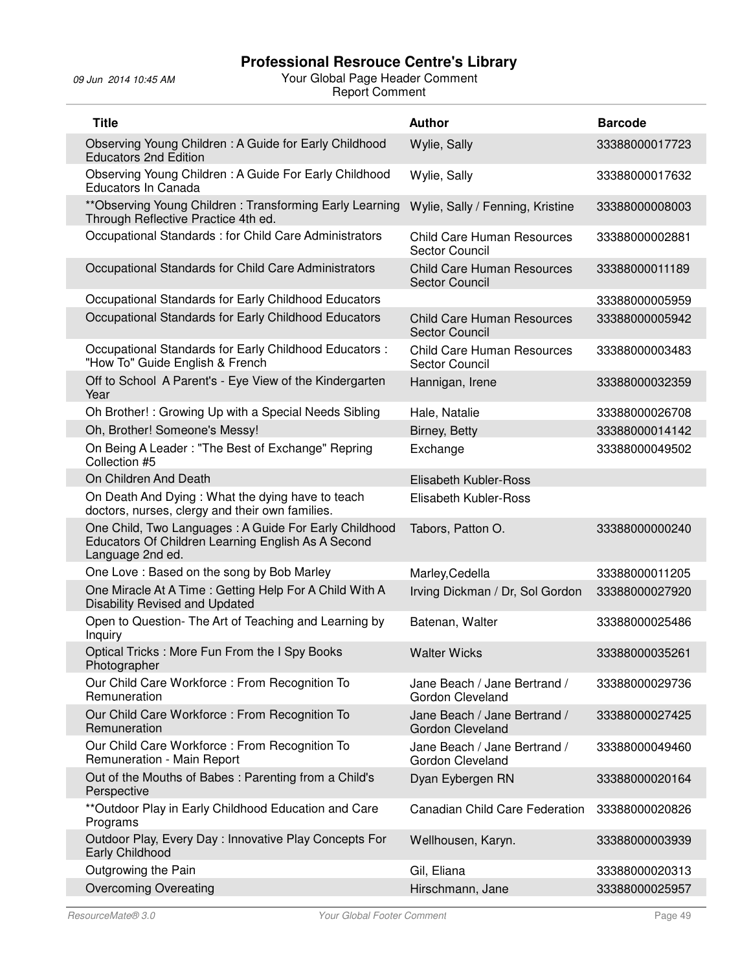| <b>Title</b>                                                                                                                    | <b>Author</b>                                              | <b>Barcode</b> |
|---------------------------------------------------------------------------------------------------------------------------------|------------------------------------------------------------|----------------|
| Observing Young Children: A Guide for Early Childhood<br><b>Educators 2nd Edition</b>                                           | Wylie, Sally                                               | 33388000017723 |
| Observing Young Children: A Guide For Early Childhood<br>Educators In Canada                                                    | Wylie, Sally                                               | 33388000017632 |
| ** Observing Young Children: Transforming Early Learning<br>Through Reflective Practice 4th ed.                                 | Wylie, Sally / Fenning, Kristine                           | 33388000008003 |
| Occupational Standards : for Child Care Administrators                                                                          | <b>Child Care Human Resources</b><br><b>Sector Council</b> | 33388000002881 |
| Occupational Standards for Child Care Administrators                                                                            | <b>Child Care Human Resources</b><br><b>Sector Council</b> | 33388000011189 |
| Occupational Standards for Early Childhood Educators                                                                            |                                                            | 33388000005959 |
| Occupational Standards for Early Childhood Educators                                                                            | <b>Child Care Human Resources</b><br><b>Sector Council</b> | 33388000005942 |
| Occupational Standards for Early Childhood Educators:<br>"How To" Guide English & French                                        | <b>Child Care Human Resources</b><br>Sector Council        | 33388000003483 |
| Off to School A Parent's - Eye View of the Kindergarten<br>Year                                                                 | Hannigan, Irene                                            | 33388000032359 |
| Oh Brother! : Growing Up with a Special Needs Sibling                                                                           | Hale, Natalie                                              | 33388000026708 |
| Oh, Brother! Someone's Messy!                                                                                                   | Birney, Betty                                              | 33388000014142 |
| On Being A Leader: "The Best of Exchange" Repring<br>Collection #5                                                              | Exchange                                                   | 33388000049502 |
| On Children And Death                                                                                                           | Elisabeth Kubler-Ross                                      |                |
| On Death And Dying: What the dying have to teach<br>doctors, nurses, clergy and their own families.                             | Elisabeth Kubler-Ross                                      |                |
| One Child, Two Languages: A Guide For Early Childhood<br>Educators Of Children Learning English As A Second<br>Language 2nd ed. | Tabors, Patton O.                                          | 33388000000240 |
| One Love: Based on the song by Bob Marley                                                                                       | Marley, Cedella                                            | 33388000011205 |
| One Miracle At A Time: Getting Help For A Child With A<br>Disability Revised and Updated                                        | Irving Dickman / Dr, Sol Gordon                            | 33388000027920 |
| Open to Question- The Art of Teaching and Learning by<br>Inquiry                                                                | Batenan, Walter                                            | 33388000025486 |
| Optical Tricks: More Fun From the I Spy Books<br>Photographer                                                                   | <b>Walter Wicks</b>                                        | 33388000035261 |
| Our Child Care Workforce: From Recognition To<br>Remuneration                                                                   | Jane Beach / Jane Bertrand /<br>Gordon Cleveland           | 33388000029736 |
| Our Child Care Workforce: From Recognition To<br>Remuneration                                                                   | Jane Beach / Jane Bertrand /<br><b>Gordon Cleveland</b>    | 33388000027425 |
| Our Child Care Workforce: From Recognition To<br>Remuneration - Main Report                                                     | Jane Beach / Jane Bertrand /<br>Gordon Cleveland           | 33388000049460 |
| Out of the Mouths of Babes: Parenting from a Child's<br>Perspective                                                             | Dyan Eybergen RN                                           | 33388000020164 |
| ** Outdoor Play in Early Childhood Education and Care<br>Programs                                                               | Canadian Child Care Federation                             | 33388000020826 |
| Outdoor Play, Every Day: Innovative Play Concepts For<br>Early Childhood                                                        | Wellhousen, Karyn.                                         | 33388000003939 |
| Outgrowing the Pain                                                                                                             | Gil, Eliana                                                | 33388000020313 |
| <b>Overcoming Overeating</b>                                                                                                    | Hirschmann, Jane                                           | 33388000025957 |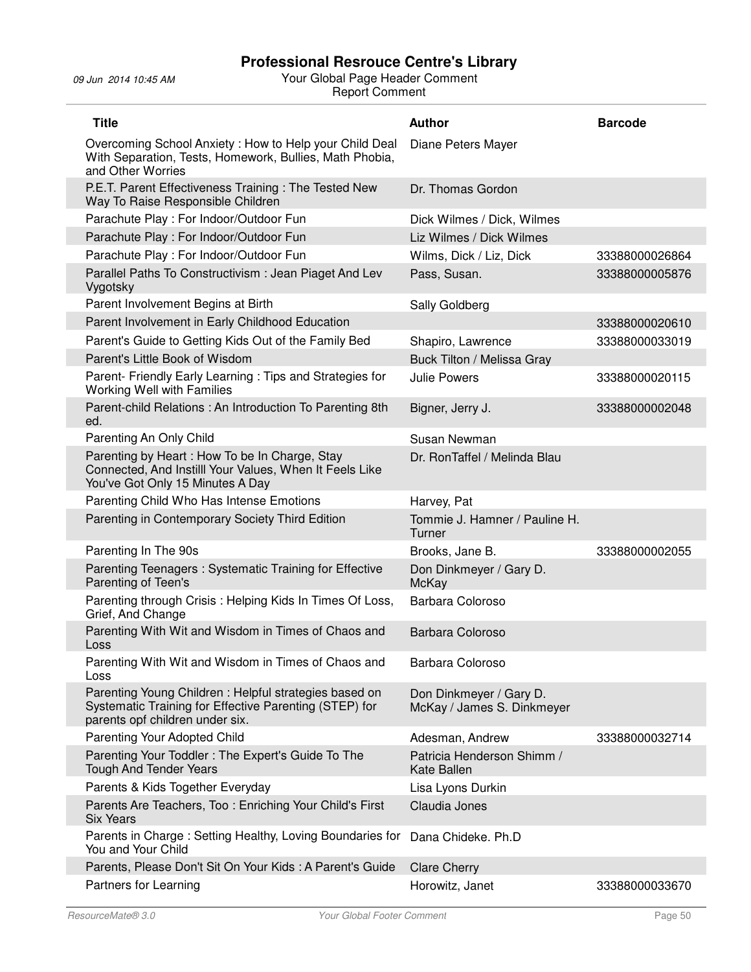| <b>Title</b>                                                                                                                                       | <b>Author</b>                                         | <b>Barcode</b> |
|----------------------------------------------------------------------------------------------------------------------------------------------------|-------------------------------------------------------|----------------|
| Overcoming School Anxiety: How to Help your Child Deal<br>With Separation, Tests, Homework, Bullies, Math Phobia,<br>and Other Worries             | Diane Peters Mayer                                    |                |
| P.E.T. Parent Effectiveness Training: The Tested New<br>Way To Raise Responsible Children                                                          | Dr. Thomas Gordon                                     |                |
| Parachute Play: For Indoor/Outdoor Fun                                                                                                             | Dick Wilmes / Dick, Wilmes                            |                |
| Parachute Play: For Indoor/Outdoor Fun                                                                                                             | Liz Wilmes / Dick Wilmes                              |                |
| Parachute Play: For Indoor/Outdoor Fun                                                                                                             | Wilms, Dick / Liz, Dick                               | 33388000026864 |
| Parallel Paths To Constructivism: Jean Piaget And Lev<br>Vygotsky                                                                                  | Pass, Susan.                                          | 33388000005876 |
| Parent Involvement Begins at Birth                                                                                                                 | Sally Goldberg                                        |                |
| Parent Involvement in Early Childhood Education                                                                                                    |                                                       | 33388000020610 |
| Parent's Guide to Getting Kids Out of the Family Bed                                                                                               | Shapiro, Lawrence                                     | 33388000033019 |
| Parent's Little Book of Wisdom                                                                                                                     | Buck Tilton / Melissa Gray                            |                |
| Parent- Friendly Early Learning: Tips and Strategies for<br>Working Well with Families                                                             | <b>Julie Powers</b>                                   | 33388000020115 |
| Parent-child Relations: An Introduction To Parenting 8th<br>ed.                                                                                    | Bigner, Jerry J.                                      | 33388000002048 |
| Parenting An Only Child                                                                                                                            | Susan Newman                                          |                |
| Parenting by Heart: How To be In Charge, Stay<br>Connected, And Instilll Your Values, When It Feels Like<br>You've Got Only 15 Minutes A Day       | Dr. RonTaffel / Melinda Blau                          |                |
| Parenting Child Who Has Intense Emotions                                                                                                           | Harvey, Pat                                           |                |
| Parenting in Contemporary Society Third Edition                                                                                                    | Tommie J. Hamner / Pauline H.<br>Turner               |                |
| Parenting In The 90s                                                                                                                               | Brooks, Jane B.                                       | 33388000002055 |
| Parenting Teenagers: Systematic Training for Effective<br>Parenting of Teen's                                                                      | Don Dinkmeyer / Gary D.<br>McKay                      |                |
| Parenting through Crisis: Helping Kids In Times Of Loss,<br>Grief, And Change                                                                      | Barbara Coloroso                                      |                |
| Parenting With Wit and Wisdom in Times of Chaos and<br>Loss                                                                                        | Barbara Coloroso                                      |                |
| Parenting With Wit and Wisdom in Times of Chaos and<br>Loss                                                                                        | Barbara Coloroso                                      |                |
| Parenting Young Children: Helpful strategies based on<br>Systematic Training for Effective Parenting (STEP) for<br>parents opf children under six. | Don Dinkmeyer / Gary D.<br>McKay / James S. Dinkmeyer |                |
| Parenting Your Adopted Child                                                                                                                       | Adesman, Andrew                                       | 33388000032714 |
| Parenting Your Toddler: The Expert's Guide To The<br><b>Tough And Tender Years</b>                                                                 | Patricia Henderson Shimm /<br><b>Kate Ballen</b>      |                |
| Parents & Kids Together Everyday                                                                                                                   | Lisa Lyons Durkin                                     |                |
| Parents Are Teachers, Too: Enriching Your Child's First<br><b>Six Years</b>                                                                        | Claudia Jones                                         |                |
| Parents in Charge: Setting Healthy, Loving Boundaries for<br>You and Your Child                                                                    | Dana Chideke. Ph.D                                    |                |
| Parents, Please Don't Sit On Your Kids: A Parent's Guide                                                                                           | <b>Clare Cherry</b>                                   |                |
| Partners for Learning                                                                                                                              | Horowitz, Janet                                       | 33388000033670 |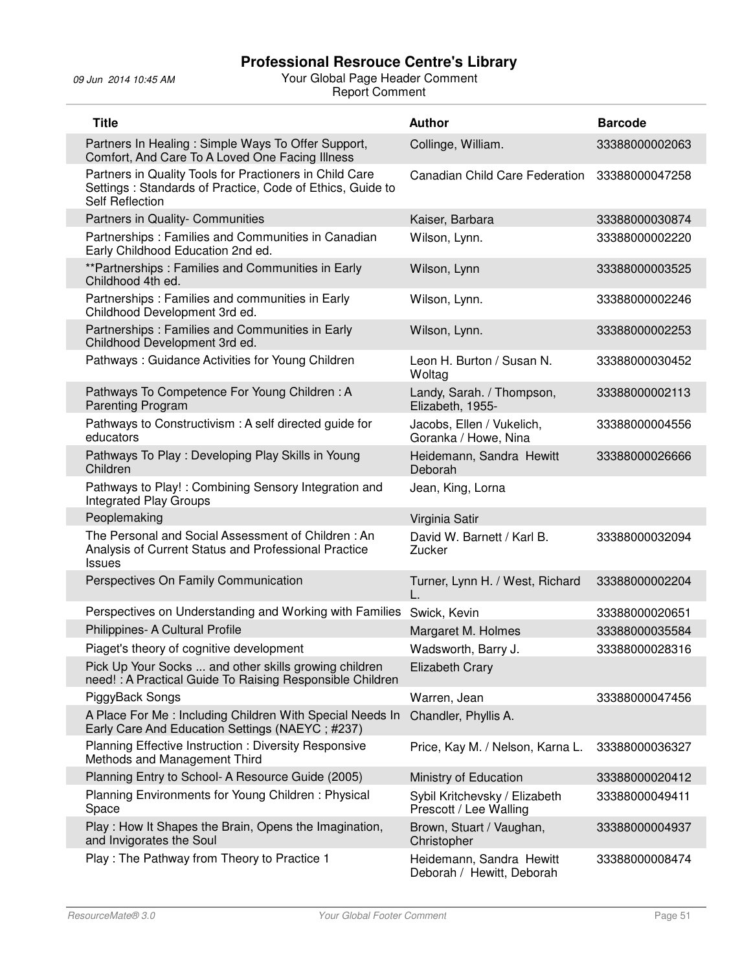| <b>Title</b>                                                                                                                                    | <b>Author</b>                                           | <b>Barcode</b> |
|-------------------------------------------------------------------------------------------------------------------------------------------------|---------------------------------------------------------|----------------|
| Partners In Healing: Simple Ways To Offer Support,<br>Comfort, And Care To A Loved One Facing Illness                                           | Collinge, William.                                      | 33388000002063 |
| Partners in Quality Tools for Practioners in Child Care<br>Settings : Standards of Practice, Code of Ethics, Guide to<br><b>Self Reflection</b> | Canadian Child Care Federation                          | 33388000047258 |
| Partners in Quality- Communities                                                                                                                | Kaiser, Barbara                                         | 33388000030874 |
| Partnerships: Families and Communities in Canadian<br>Early Childhood Education 2nd ed.                                                         | Wilson, Lynn.                                           | 33388000002220 |
| **Partnerships: Families and Communities in Early<br>Childhood 4th ed.                                                                          | Wilson, Lynn                                            | 33388000003525 |
| Partnerships: Families and communities in Early<br>Childhood Development 3rd ed.                                                                | Wilson, Lynn.                                           | 33388000002246 |
| Partnerships: Families and Communities in Early<br>Childhood Development 3rd ed.                                                                | Wilson, Lynn.                                           | 33388000002253 |
| Pathways: Guidance Activities for Young Children                                                                                                | Leon H. Burton / Susan N.<br>Woltag                     | 33388000030452 |
| Pathways To Competence For Young Children: A<br>Parenting Program                                                                               | Landy, Sarah. / Thompson,<br>Elizabeth, 1955-           | 33388000002113 |
| Pathways to Constructivism: A self directed guide for<br>educators                                                                              | Jacobs, Ellen / Vukelich,<br>Goranka / Howe, Nina       | 33388000004556 |
| Pathways To Play: Developing Play Skills in Young<br>Children                                                                                   | Heidemann, Sandra Hewitt<br>Deborah                     | 33388000026666 |
| Pathways to Play!: Combining Sensory Integration and<br><b>Integrated Play Groups</b>                                                           | Jean, King, Lorna                                       |                |
| Peoplemaking                                                                                                                                    | Virginia Satir                                          |                |
| The Personal and Social Assessment of Children: An<br>Analysis of Current Status and Professional Practice<br><b>Issues</b>                     | David W. Barnett / Karl B.<br>Zucker                    | 33388000032094 |
| Perspectives On Family Communication                                                                                                            | Turner, Lynn H. / West, Richard                         | 33388000002204 |
| Perspectives on Understanding and Working with Families                                                                                         | Swick, Kevin                                            | 33388000020651 |
| Philippines- A Cultural Profile                                                                                                                 | Margaret M. Holmes                                      | 33388000035584 |
| Piaget's theory of cognitive development                                                                                                        | Wadsworth, Barry J.                                     | 33388000028316 |
| Pick Up Your Socks  and other skills growing children<br>need! : A Practical Guide To Raising Responsible Children                              | <b>Elizabeth Crary</b>                                  |                |
| PiggyBack Songs                                                                                                                                 | Warren, Jean                                            | 33388000047456 |
| A Place For Me: Including Children With Special Needs In<br>Early Care And Education Settings (NAEYC; #237)                                     | Chandler, Phyllis A.                                    |                |
| Planning Effective Instruction: Diversity Responsive<br>Methods and Management Third                                                            | Price, Kay M. / Nelson, Karna L.                        | 33388000036327 |
| Planning Entry to School- A Resource Guide (2005)                                                                                               | Ministry of Education                                   | 33388000020412 |
| Planning Environments for Young Children: Physical<br>Space                                                                                     | Sybil Kritchevsky / Elizabeth<br>Prescott / Lee Walling | 33388000049411 |
| Play: How It Shapes the Brain, Opens the Imagination,<br>and Invigorates the Soul                                                               | Brown, Stuart / Vaughan,<br>Christopher                 | 33388000004937 |
| Play: The Pathway from Theory to Practice 1                                                                                                     | Heidemann, Sandra Hewitt<br>Deborah / Hewitt, Deborah   | 33388000008474 |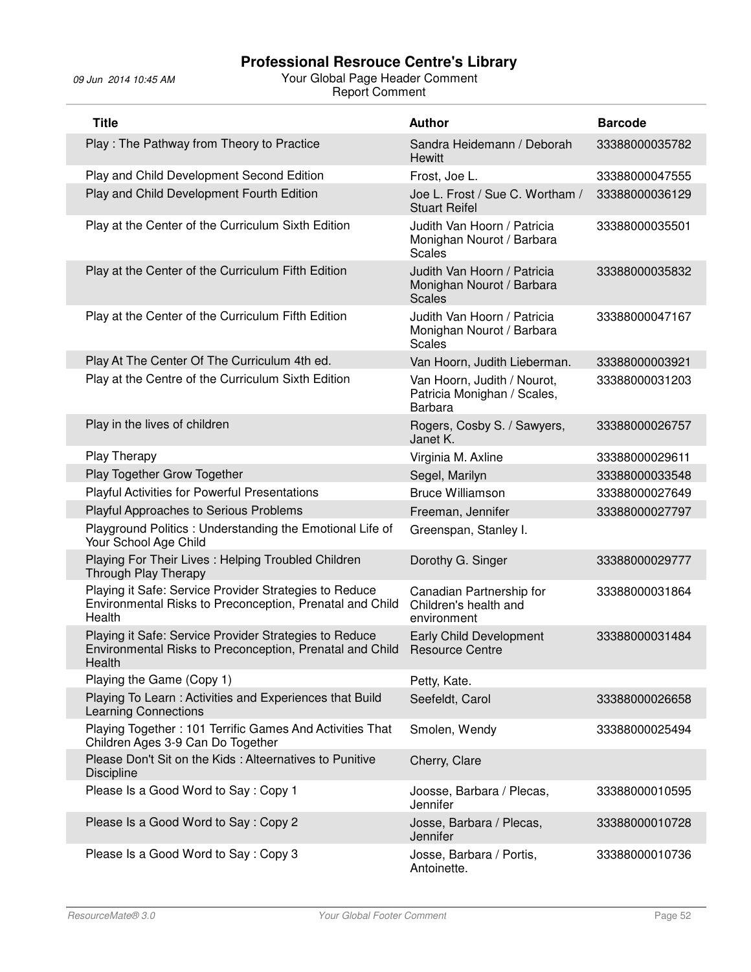| <b>Title</b>                                                                                                                 | <b>Author</b>                                                                | <b>Barcode</b> |
|------------------------------------------------------------------------------------------------------------------------------|------------------------------------------------------------------------------|----------------|
| Play: The Pathway from Theory to Practice                                                                                    | Sandra Heidemann / Deborah<br>Hewitt                                         | 33388000035782 |
| Play and Child Development Second Edition                                                                                    | Frost, Joe L.                                                                | 33388000047555 |
| Play and Child Development Fourth Edition                                                                                    | Joe L. Frost / Sue C. Wortham /<br><b>Stuart Reifel</b>                      | 33388000036129 |
| Play at the Center of the Curriculum Sixth Edition                                                                           | Judith Van Hoorn / Patricia<br>Monighan Nourot / Barbara<br>Scales           | 33388000035501 |
| Play at the Center of the Curriculum Fifth Edition                                                                           | Judith Van Hoorn / Patricia<br>Monighan Nourot / Barbara<br><b>Scales</b>    | 33388000035832 |
| Play at the Center of the Curriculum Fifth Edition                                                                           | Judith Van Hoorn / Patricia<br>Monighan Nourot / Barbara<br><b>Scales</b>    | 33388000047167 |
| Play At The Center Of The Curriculum 4th ed.                                                                                 | Van Hoorn, Judith Lieberman.                                                 | 33388000003921 |
| Play at the Centre of the Curriculum Sixth Edition                                                                           | Van Hoorn, Judith / Nourot,<br>Patricia Monighan / Scales,<br><b>Barbara</b> | 33388000031203 |
| Play in the lives of children                                                                                                | Rogers, Cosby S. / Sawyers,<br>Janet K.                                      | 33388000026757 |
| Play Therapy                                                                                                                 | Virginia M. Axline                                                           | 33388000029611 |
| Play Together Grow Together                                                                                                  | Segel, Marilyn                                                               | 33388000033548 |
| <b>Playful Activities for Powerful Presentations</b>                                                                         | <b>Bruce Williamson</b>                                                      | 33388000027649 |
| Playful Approaches to Serious Problems                                                                                       | Freeman, Jennifer                                                            | 33388000027797 |
| Playground Politics: Understanding the Emotional Life of<br>Your School Age Child                                            | Greenspan, Stanley I.                                                        |                |
| Playing For Their Lives : Helping Troubled Children<br>Through Play Therapy                                                  | Dorothy G. Singer                                                            | 33388000029777 |
| Playing it Safe: Service Provider Strategies to Reduce<br>Environmental Risks to Preconception, Prenatal and Child<br>Health | Canadian Partnership for<br>Children's health and<br>environment             | 33388000031864 |
| Playing it Safe: Service Provider Strategies to Reduce<br>Environmental Risks to Preconception, Prenatal and Child<br>Health | Early Child Development<br><b>Resource Centre</b>                            | 33388000031484 |
| Playing the Game (Copy 1)                                                                                                    | Petty, Kate.                                                                 |                |
| Playing To Learn : Activities and Experiences that Build<br><b>Learning Connections</b>                                      | Seefeldt, Carol                                                              | 33388000026658 |
| Playing Together: 101 Terrific Games And Activities That<br>Children Ages 3-9 Can Do Together                                | Smolen, Wendy                                                                | 33388000025494 |
| Please Don't Sit on the Kids: Alteernatives to Punitive<br><b>Discipline</b>                                                 | Cherry, Clare                                                                |                |
| Please Is a Good Word to Say: Copy 1                                                                                         | Joosse, Barbara / Plecas,<br>Jennifer                                        | 33388000010595 |
| Please Is a Good Word to Say: Copy 2                                                                                         | Josse, Barbara / Plecas,<br>Jennifer                                         | 33388000010728 |
| Please Is a Good Word to Say: Copy 3                                                                                         | Josse, Barbara / Portis,<br>Antoinette.                                      | 33388000010736 |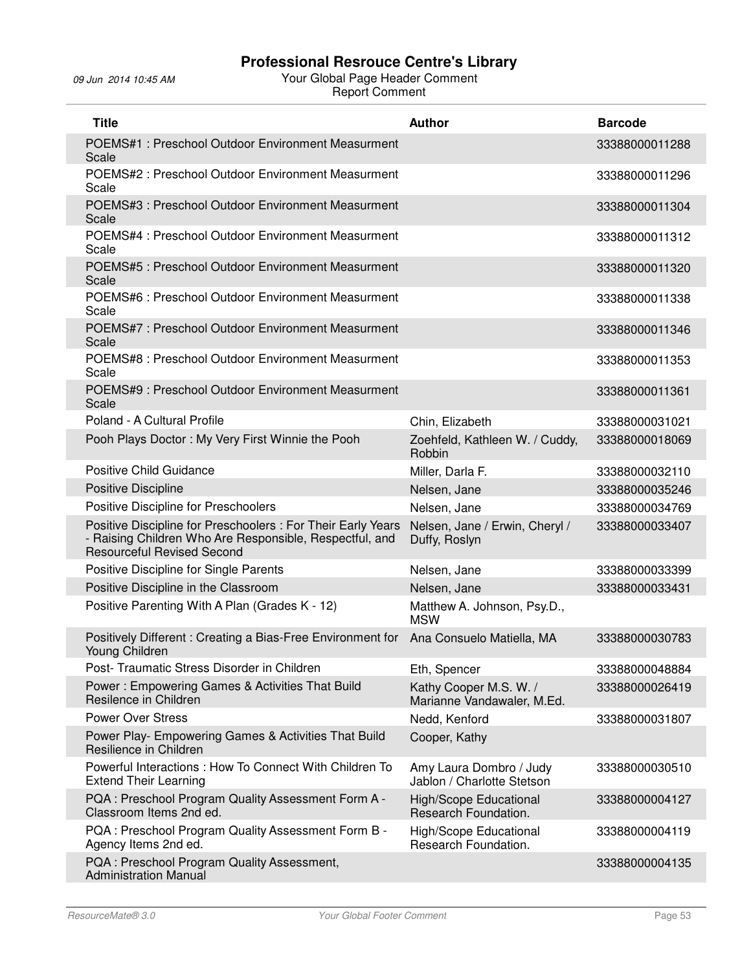| <b>Title</b>                                                                                                                                                 | <b>Author</b>                                         | <b>Barcode</b> |
|--------------------------------------------------------------------------------------------------------------------------------------------------------------|-------------------------------------------------------|----------------|
| POEMS#1: Preschool Outdoor Environment Measurment<br>Scale                                                                                                   |                                                       | 33388000011288 |
| POEMS#2: Preschool Outdoor Environment Measurment<br>Scale                                                                                                   |                                                       | 33388000011296 |
| POEMS#3 : Preschool Outdoor Environment Measurment<br>Scale                                                                                                  |                                                       | 33388000011304 |
| POEMS#4: Preschool Outdoor Environment Measurment<br>Scale                                                                                                   |                                                       | 33388000011312 |
| POEMS#5 : Preschool Outdoor Environment Measurment<br>Scale                                                                                                  |                                                       | 33388000011320 |
| POEMS#6 : Preschool Outdoor Environment Measurment<br>Scale                                                                                                  |                                                       | 33388000011338 |
| POEMS#7: Preschool Outdoor Environment Measurment<br>Scale                                                                                                   |                                                       | 33388000011346 |
| POEMS#8 : Preschool Outdoor Environment Measurment<br>Scale                                                                                                  |                                                       | 33388000011353 |
| POEMS#9: Preschool Outdoor Environment Measurment<br>Scale                                                                                                   |                                                       | 33388000011361 |
| Poland - A Cultural Profile                                                                                                                                  | Chin, Elizabeth                                       | 33388000031021 |
| Pooh Plays Doctor: My Very First Winnie the Pooh                                                                                                             | Zoehfeld, Kathleen W. / Cuddy,<br>Robbin              | 33388000018069 |
| <b>Positive Child Guidance</b>                                                                                                                               | Miller, Darla F.                                      | 33388000032110 |
| Positive Discipline                                                                                                                                          | Nelsen, Jane                                          | 33388000035246 |
| Positive Discipline for Preschoolers                                                                                                                         | Nelsen, Jane                                          | 33388000034769 |
| Positive Discipline for Preschoolers : For Their Early Years<br>- Raising Children Who Are Responsible, Respectful, and<br><b>Resourceful Revised Second</b> | Nelsen, Jane / Erwin, Cheryl /<br>Duffy, Roslyn       | 33388000033407 |
| Positive Discipline for Single Parents                                                                                                                       | Nelsen, Jane                                          | 33388000033399 |
| Positive Discipline in the Classroom                                                                                                                         | Nelsen, Jane                                          | 33388000033431 |
| Positive Parenting With A Plan (Grades K - 12)                                                                                                               | Matthew A. Johnson, Psy.D.,<br><b>MSW</b>             |                |
| Positively Different: Creating a Bias-Free Environment for<br>Young Children                                                                                 | Ana Consuelo Matiella, MA                             | 33388000030783 |
| Post- Traumatic Stress Disorder in Children                                                                                                                  | Eth, Spencer                                          | 33388000048884 |
| Power: Empowering Games & Activities That Build<br>Resilence in Children                                                                                     | Kathy Cooper M.S. W. /<br>Marianne Vandawaler, M.Ed.  | 33388000026419 |
| <b>Power Over Stress</b>                                                                                                                                     | Nedd, Kenford                                         | 33388000031807 |
| Power Play- Empowering Games & Activities That Build<br>Resilience in Children                                                                               | Cooper, Kathy                                         |                |
| Powerful Interactions: How To Connect With Children To<br><b>Extend Their Learning</b>                                                                       | Amy Laura Dombro / Judy<br>Jablon / Charlotte Stetson | 33388000030510 |
| PQA: Preschool Program Quality Assessment Form A -<br>Classroom Items 2nd ed.                                                                                | <b>High/Scope Educational</b><br>Research Foundation. | 33388000004127 |
| PQA: Preschool Program Quality Assessment Form B -<br>Agency Items 2nd ed.                                                                                   | High/Scope Educational<br>Research Foundation.        | 33388000004119 |
| PQA: Preschool Program Quality Assessment,<br><b>Administration Manual</b>                                                                                   |                                                       | 33388000004135 |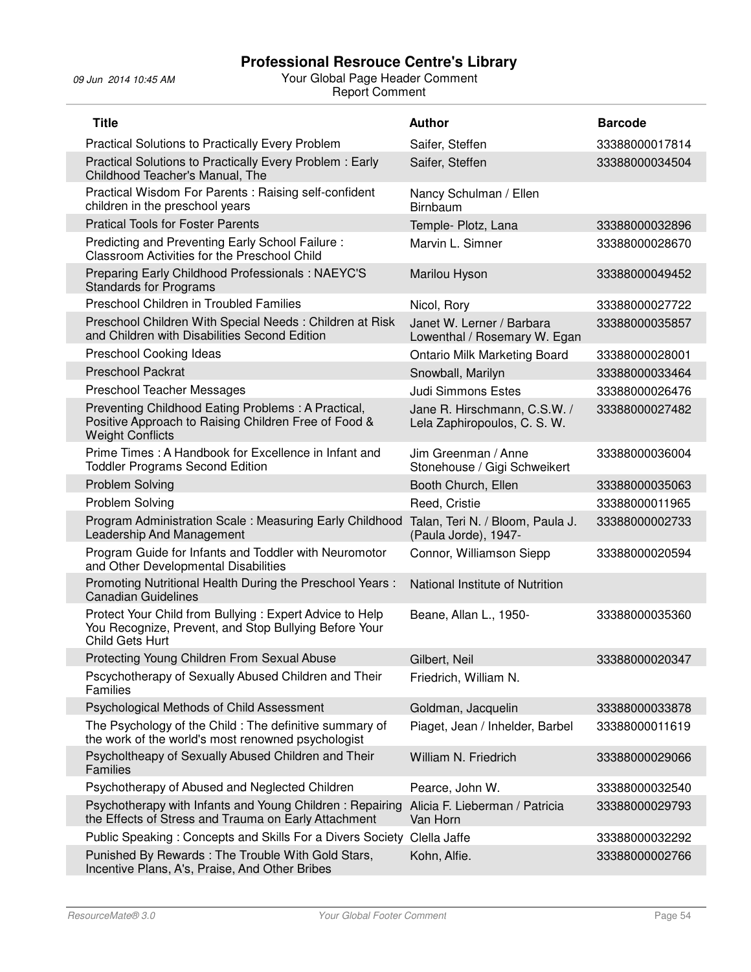| <b>Title</b>                                                                                                                          | <b>Author</b>                                                | <b>Barcode</b> |
|---------------------------------------------------------------------------------------------------------------------------------------|--------------------------------------------------------------|----------------|
| <b>Practical Solutions to Practically Every Problem</b>                                                                               | Saifer, Steffen                                              | 33388000017814 |
| Practical Solutions to Practically Every Problem: Early<br>Childhood Teacher's Manual, The                                            | Saifer, Steffen                                              | 33388000034504 |
| Practical Wisdom For Parents: Raising self-confident<br>children in the preschool years                                               | Nancy Schulman / Ellen<br><b>Birnbaum</b>                    |                |
| <b>Pratical Tools for Foster Parents</b>                                                                                              | Temple- Plotz, Lana                                          | 33388000032896 |
| Predicting and Preventing Early School Failure:<br>Classroom Activities for the Preschool Child                                       | Marvin L. Simner                                             | 33388000028670 |
| Preparing Early Childhood Professionals: NAEYC'S<br><b>Standards for Programs</b>                                                     | Marilou Hyson                                                | 33388000049452 |
| Preschool Children in Troubled Families                                                                                               | Nicol, Rory                                                  | 33388000027722 |
| Preschool Children With Special Needs: Children at Risk<br>and Children with Disabilities Second Edition                              | Janet W. Lerner / Barbara<br>Lowenthal / Rosemary W. Egan    | 33388000035857 |
| Preschool Cooking Ideas                                                                                                               | <b>Ontario Milk Marketing Board</b>                          | 33388000028001 |
| <b>Preschool Packrat</b>                                                                                                              | Snowball, Marilyn                                            | 33388000033464 |
| Preschool Teacher Messages                                                                                                            | <b>Judi Simmons Estes</b>                                    | 33388000026476 |
| Preventing Childhood Eating Problems: A Practical,<br>Positive Approach to Raising Children Free of Food &<br><b>Weight Conflicts</b> | Jane R. Hirschmann, C.S.W. /<br>Lela Zaphiropoulos, C. S. W. | 33388000027482 |
| Prime Times: A Handbook for Excellence in Infant and<br><b>Toddler Programs Second Edition</b>                                        | Jim Greenman / Anne<br>Stonehouse / Gigi Schweikert          | 33388000036004 |
| <b>Problem Solving</b>                                                                                                                | Booth Church, Ellen                                          | 33388000035063 |
| Problem Solving                                                                                                                       | Reed, Cristie                                                | 33388000011965 |
| Program Administration Scale: Measuring Early Childhood<br>Leadership And Management                                                  | Talan, Teri N. / Bloom, Paula J.<br>(Paula Jorde), 1947-     | 33388000002733 |
| Program Guide for Infants and Toddler with Neuromotor<br>and Other Developmental Disabilities                                         | Connor, Williamson Siepp                                     | 33388000020594 |
| Promoting Nutritional Health During the Preschool Years:<br>Canadian Guidelines                                                       | National Institute of Nutrition                              |                |
| Protect Your Child from Bullying: Expert Advice to Help<br>You Recognize, Prevent, and Stop Bullying Before Your<br>Child Gets Hurt   | Beane, Allan L., 1950-                                       | 33388000035360 |
| Protecting Young Children From Sexual Abuse                                                                                           | Gilbert, Neil                                                | 33388000020347 |
| Pscychotherapy of Sexually Abused Children and Their<br>Families                                                                      | Friedrich, William N.                                        |                |
| Psychological Methods of Child Assessment                                                                                             | Goldman, Jacquelin                                           | 33388000033878 |
| The Psychology of the Child: The definitive summary of<br>the work of the world's most renowned psychologist                          | Piaget, Jean / Inhelder, Barbel                              | 33388000011619 |
| Psycholtheapy of Sexually Abused Children and Their<br><b>Families</b>                                                                | William N. Friedrich                                         | 33388000029066 |
| Psychotherapy of Abused and Neglected Children                                                                                        | Pearce, John W.                                              | 33388000032540 |
| Psychotherapy with Infants and Young Children: Repairing<br>the Effects of Stress and Trauma on Early Attachment                      | Alicia F. Lieberman / Patricia<br>Van Horn                   | 33388000029793 |
| Public Speaking: Concepts and Skills For a Divers Society                                                                             | Clella Jaffe                                                 | 33388000032292 |
| Punished By Rewards: The Trouble With Gold Stars,<br>Incentive Plans, A's, Praise, And Other Bribes                                   | Kohn, Alfie.                                                 | 33388000002766 |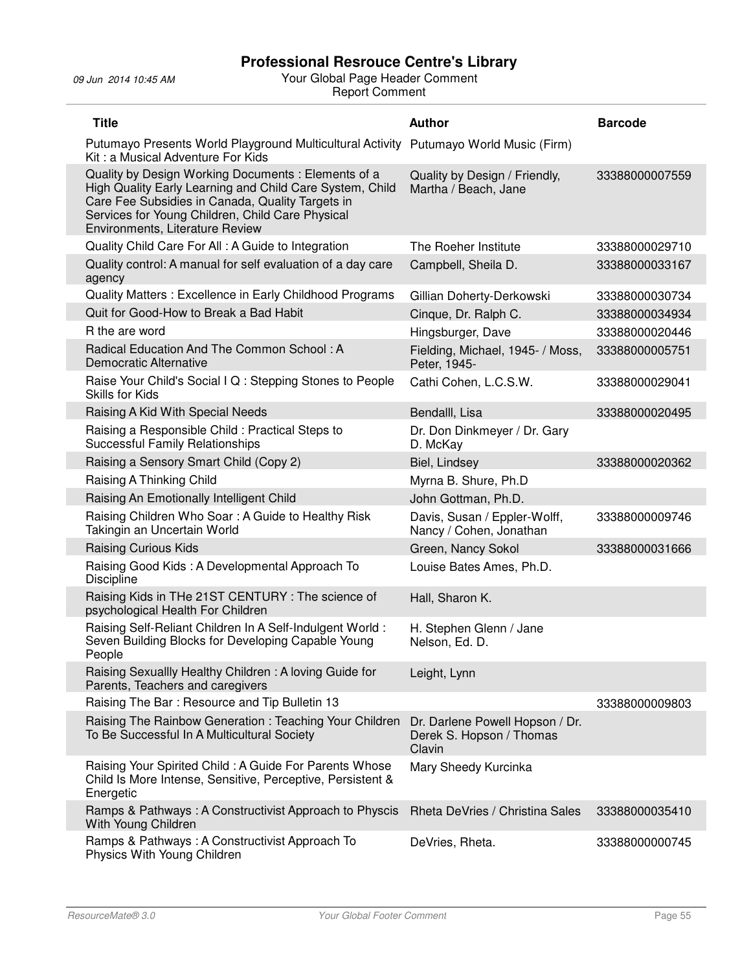| <b>Title</b>                                                                                                                                                                                                                                              | <b>Author</b>                                                         | <b>Barcode</b> |
|-----------------------------------------------------------------------------------------------------------------------------------------------------------------------------------------------------------------------------------------------------------|-----------------------------------------------------------------------|----------------|
| Putumayo Presents World Playground Multicultural Activity Putumayo World Music (Firm)<br>Kit: a Musical Adventure For Kids                                                                                                                                |                                                                       |                |
| Quality by Design Working Documents: Elements of a<br>High Quality Early Learning and Child Care System, Child<br>Care Fee Subsidies in Canada, Quality Targets in<br>Services for Young Children, Child Care Physical<br>Environments, Literature Review | Quality by Design / Friendly,<br>Martha / Beach, Jane                 | 33388000007559 |
| Quality Child Care For All: A Guide to Integration                                                                                                                                                                                                        | The Roeher Institute                                                  | 33388000029710 |
| Quality control: A manual for self evaluation of a day care<br>agency                                                                                                                                                                                     | Campbell, Sheila D.                                                   | 33388000033167 |
| Quality Matters: Excellence in Early Childhood Programs                                                                                                                                                                                                   | Gillian Doherty-Derkowski                                             | 33388000030734 |
| Quit for Good-How to Break a Bad Habit                                                                                                                                                                                                                    | Cinque, Dr. Ralph C.                                                  | 33388000034934 |
| R the are word                                                                                                                                                                                                                                            | Hingsburger, Dave                                                     | 33388000020446 |
| Radical Education And The Common School: A<br><b>Democratic Alternative</b>                                                                                                                                                                               | Fielding, Michael, 1945- / Moss,<br>Peter, 1945-                      | 33388000005751 |
| Raise Your Child's Social I Q: Stepping Stones to People<br>Skills for Kids                                                                                                                                                                               | Cathi Cohen, L.C.S.W.                                                 | 33388000029041 |
| Raising A Kid With Special Needs                                                                                                                                                                                                                          | Bendalll, Lisa                                                        | 33388000020495 |
| Raising a Responsible Child: Practical Steps to<br><b>Successful Family Relationships</b>                                                                                                                                                                 | Dr. Don Dinkmeyer / Dr. Gary<br>D. McKay                              |                |
| Raising a Sensory Smart Child (Copy 2)                                                                                                                                                                                                                    | Biel, Lindsey                                                         | 33388000020362 |
| Raising A Thinking Child                                                                                                                                                                                                                                  | Myrna B. Shure, Ph.D                                                  |                |
| Raising An Emotionally Intelligent Child                                                                                                                                                                                                                  | John Gottman, Ph.D.                                                   |                |
| Raising Children Who Soar: A Guide to Healthy Risk<br>Takingin an Uncertain World                                                                                                                                                                         | Davis, Susan / Eppler-Wolff,<br>Nancy / Cohen, Jonathan               | 33388000009746 |
| <b>Raising Curious Kids</b>                                                                                                                                                                                                                               | Green, Nancy Sokol                                                    | 33388000031666 |
| Raising Good Kids: A Developmental Approach To<br>Discipline                                                                                                                                                                                              | Louise Bates Ames, Ph.D.                                              |                |
| Raising Kids in THe 21ST CENTURY: The science of<br>psychological Health For Children                                                                                                                                                                     | Hall, Sharon K.                                                       |                |
| Raising Self-Reliant Children In A Self-Indulgent World:<br>Seven Building Blocks for Developing Capable Young<br>People                                                                                                                                  | H. Stephen Glenn / Jane<br>Nelson, Ed. D.                             |                |
| Raising Sexuallly Healthy Children: A loving Guide for<br>Parents, Teachers and caregivers                                                                                                                                                                | Leight, Lynn                                                          |                |
| Raising The Bar: Resource and Tip Bulletin 13                                                                                                                                                                                                             |                                                                       | 33388000009803 |
| Raising The Rainbow Generation: Teaching Your Children<br>To Be Successful In A Multicultural Society                                                                                                                                                     | Dr. Darlene Powell Hopson / Dr.<br>Derek S. Hopson / Thomas<br>Clavin |                |
| Raising Your Spirited Child: A Guide For Parents Whose<br>Child Is More Intense, Sensitive, Perceptive, Persistent &<br>Energetic                                                                                                                         | Mary Sheedy Kurcinka                                                  |                |
| Ramps & Pathways: A Constructivist Approach to Physcis<br>With Young Children                                                                                                                                                                             | Rheta DeVries / Christina Sales                                       | 33388000035410 |
| Ramps & Pathways: A Constructivist Approach To<br>Physics With Young Children                                                                                                                                                                             | DeVries, Rheta.                                                       | 33388000000745 |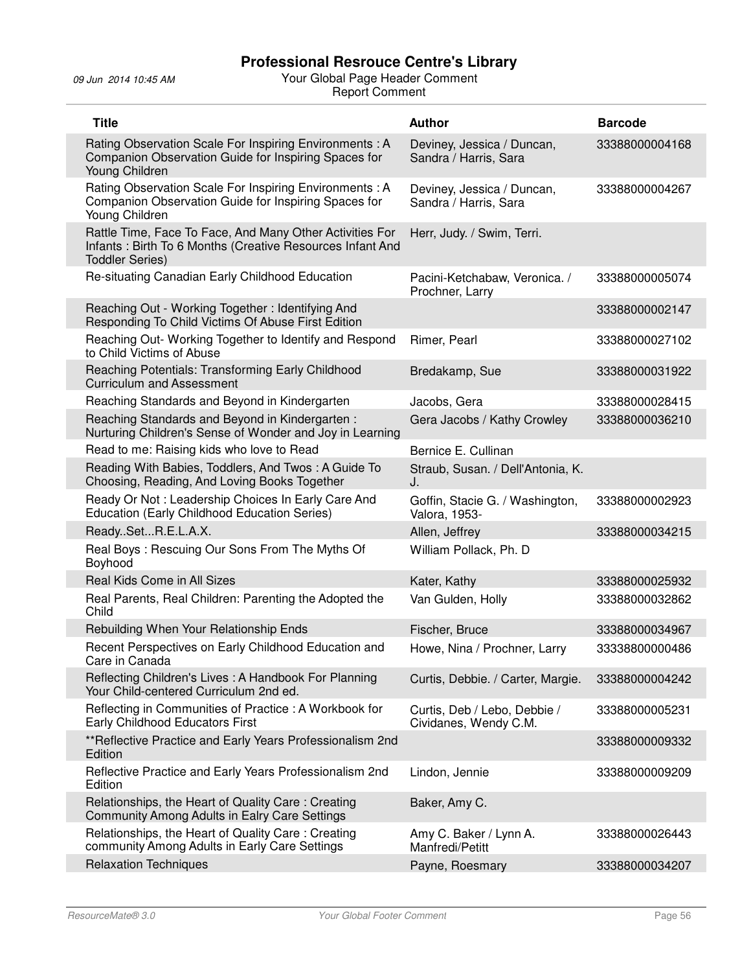| <b>Title</b>                                                                                                                                    | <b>Author</b>                                         | <b>Barcode</b> |
|-------------------------------------------------------------------------------------------------------------------------------------------------|-------------------------------------------------------|----------------|
| Rating Observation Scale For Inspiring Environments: A<br>Companion Observation Guide for Inspiring Spaces for<br>Young Children                | Deviney, Jessica / Duncan,<br>Sandra / Harris, Sara   | 33388000004168 |
| Rating Observation Scale For Inspiring Environments: A<br>Companion Observation Guide for Inspiring Spaces for<br>Young Children                | Deviney, Jessica / Duncan,<br>Sandra / Harris, Sara   | 33388000004267 |
| Rattle Time, Face To Face, And Many Other Activities For<br>Infants: Birth To 6 Months (Creative Resources Infant And<br><b>Toddler Series)</b> | Herr, Judy. / Swim, Terri.                            |                |
| Re-situating Canadian Early Childhood Education                                                                                                 | Pacini-Ketchabaw, Veronica. /<br>Prochner, Larry      | 33388000005074 |
| Reaching Out - Working Together: Identifying And<br>Responding To Child Victims Of Abuse First Edition                                          |                                                       | 33388000002147 |
| Reaching Out- Working Together to Identify and Respond<br>to Child Victims of Abuse                                                             | Rimer, Pearl                                          | 33388000027102 |
| Reaching Potentials: Transforming Early Childhood<br><b>Curriculum and Assessment</b>                                                           | Bredakamp, Sue                                        | 33388000031922 |
| Reaching Standards and Beyond in Kindergarten                                                                                                   | Jacobs, Gera                                          | 33388000028415 |
| Reaching Standards and Beyond in Kindergarten:<br>Nurturing Children's Sense of Wonder and Joy in Learning                                      | Gera Jacobs / Kathy Crowley                           | 33388000036210 |
| Read to me: Raising kids who love to Read                                                                                                       | Bernice E. Cullinan                                   |                |
| Reading With Babies, Toddlers, And Twos: A Guide To<br>Choosing, Reading, And Loving Books Together                                             | Straub, Susan. / Dell'Antonia, K.<br>J.               |                |
| Ready Or Not: Leadership Choices In Early Care And<br>Education (Early Childhood Education Series)                                              | Goffin, Stacie G. / Washington,<br>Valora, 1953-      | 33388000002923 |
| ReadySetR.E.L.A.X.                                                                                                                              | Allen, Jeffrey                                        | 33388000034215 |
| Real Boys: Rescuing Our Sons From The Myths Of<br>Boyhood                                                                                       | William Pollack, Ph. D                                |                |
| Real Kids Come in All Sizes                                                                                                                     | Kater, Kathy                                          | 33388000025932 |
| Real Parents, Real Children: Parenting the Adopted the<br>Child                                                                                 | Van Gulden, Holly                                     | 33388000032862 |
| Rebuilding When Your Relationship Ends                                                                                                          | Fischer, Bruce                                        | 33388000034967 |
| Recent Perspectives on Early Childhood Education and<br>Care in Canada                                                                          | Howe, Nina / Prochner, Larry                          | 33338800000486 |
| Reflecting Children's Lives: A Handbook For Planning<br>Your Child-centered Curriculum 2nd ed.                                                  | Curtis, Debbie. / Carter, Margie.                     | 33388000004242 |
| Reflecting in Communities of Practice : A Workbook for<br>Early Childhood Educators First                                                       | Curtis, Deb / Lebo, Debbie /<br>Cividanes, Wendy C.M. | 33388000005231 |
| **Reflective Practice and Early Years Professionalism 2nd<br>Edition                                                                            |                                                       | 33388000009332 |
| Reflective Practice and Early Years Professionalism 2nd<br>Edition                                                                              | Lindon, Jennie                                        | 33388000009209 |
| Relationships, the Heart of Quality Care: Creating<br>Community Among Adults in Ealry Care Settings                                             | Baker, Amy C.                                         |                |
| Relationships, the Heart of Quality Care: Creating<br>community Among Adults in Early Care Settings                                             | Amy C. Baker / Lynn A.<br>Manfredi/Petitt             | 33388000026443 |
| <b>Relaxation Techniques</b>                                                                                                                    | Payne, Roesmary                                       | 33388000034207 |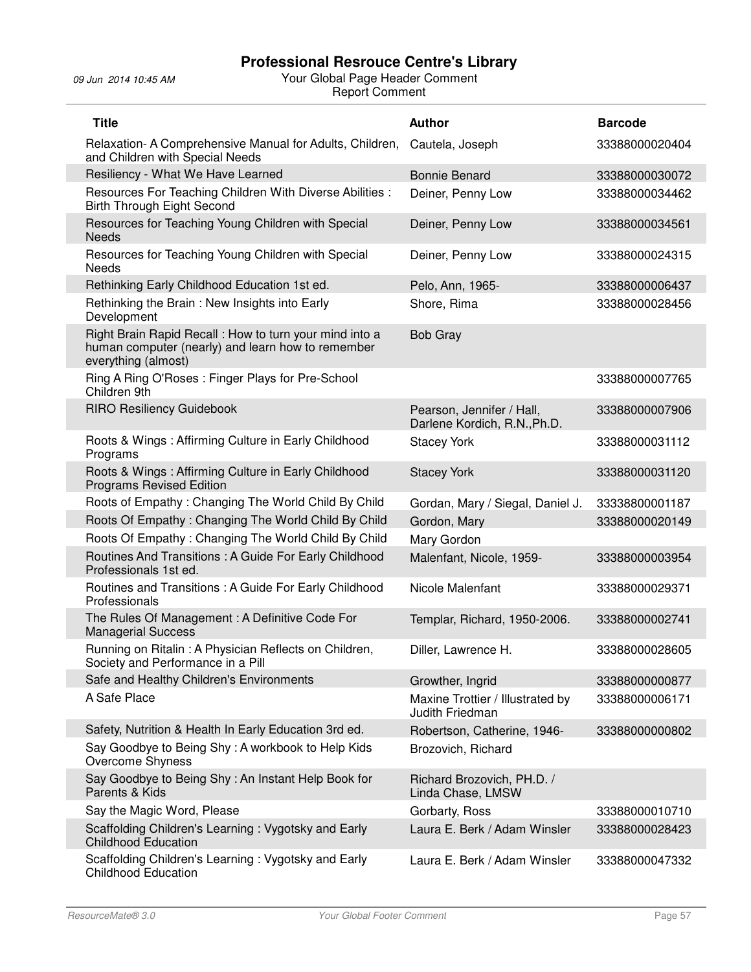| <b>Title</b>                                                                                                                        | <b>Author</b>                                             | <b>Barcode</b> |
|-------------------------------------------------------------------------------------------------------------------------------------|-----------------------------------------------------------|----------------|
| Relaxation-A Comprehensive Manual for Adults, Children,<br>and Children with Special Needs                                          | Cautela, Joseph                                           | 33388000020404 |
| Resiliency - What We Have Learned                                                                                                   | <b>Bonnie Benard</b>                                      | 33388000030072 |
| Resources For Teaching Children With Diverse Abilities :<br><b>Birth Through Eight Second</b>                                       | Deiner, Penny Low                                         | 33388000034462 |
| Resources for Teaching Young Children with Special<br><b>Needs</b>                                                                  | Deiner, Penny Low                                         | 33388000034561 |
| Resources for Teaching Young Children with Special<br><b>Needs</b>                                                                  | Deiner, Penny Low                                         | 33388000024315 |
| Rethinking Early Childhood Education 1st ed.                                                                                        | Pelo, Ann, 1965-                                          | 33388000006437 |
| Rethinking the Brain: New Insights into Early<br>Development                                                                        | Shore, Rima                                               | 33388000028456 |
| Right Brain Rapid Recall : How to turn your mind into a<br>human computer (nearly) and learn how to remember<br>everything (almost) | <b>Bob Gray</b>                                           |                |
| Ring A Ring O'Roses: Finger Plays for Pre-School<br>Children 9th                                                                    |                                                           | 33388000007765 |
| <b>RIRO Resiliency Guidebook</b>                                                                                                    | Pearson, Jennifer / Hall,<br>Darlene Kordich, R.N., Ph.D. | 33388000007906 |
| Roots & Wings: Affirming Culture in Early Childhood<br>Programs                                                                     | <b>Stacey York</b>                                        | 33388000031112 |
| Roots & Wings: Affirming Culture in Early Childhood<br><b>Programs Revised Edition</b>                                              | <b>Stacey York</b>                                        | 33388000031120 |
| Roots of Empathy: Changing The World Child By Child                                                                                 | Gordan, Mary / Siegal, Daniel J.                          | 33338800001187 |
| Roots Of Empathy: Changing The World Child By Child                                                                                 | Gordon, Mary                                              | 33388000020149 |
| Roots Of Empathy: Changing The World Child By Child                                                                                 | Mary Gordon                                               |                |
| Routines And Transitions : A Guide For Early Childhood<br>Professionals 1st ed.                                                     | Malenfant, Nicole, 1959-                                  | 33388000003954 |
| Routines and Transitions : A Guide For Early Childhood<br>Professionals                                                             | Nicole Malenfant                                          | 33388000029371 |
| The Rules Of Management: A Definitive Code For<br><b>Managerial Success</b>                                                         | Templar, Richard, 1950-2006.                              | 33388000002741 |
| Running on Ritalin: A Physician Reflects on Children,<br>Society and Performance in a Pill                                          | Diller, Lawrence H.                                       | 33388000028605 |
| Safe and Healthy Children's Environments                                                                                            | Growther, Ingrid                                          | 33388000000877 |
| A Safe Place                                                                                                                        | Maxine Trottier / Illustrated by<br>Judith Friedman       | 33388000006171 |
| Safety, Nutrition & Health In Early Education 3rd ed.                                                                               | Robertson, Catherine, 1946-                               | 33388000000802 |
| Say Goodbye to Being Shy: A workbook to Help Kids<br>Overcome Shyness                                                               | Brozovich, Richard                                        |                |
| Say Goodbye to Being Shy: An Instant Help Book for<br>Parents & Kids                                                                | Richard Brozovich, PH.D. /<br>Linda Chase, LMSW           |                |
| Say the Magic Word, Please                                                                                                          | Gorbarty, Ross                                            | 33388000010710 |
| Scaffolding Children's Learning: Vygotsky and Early<br><b>Childhood Education</b>                                                   | Laura E. Berk / Adam Winsler                              | 33388000028423 |
| Scaffolding Children's Learning: Vygotsky and Early<br><b>Childhood Education</b>                                                   | Laura E. Berk / Adam Winsler                              | 33388000047332 |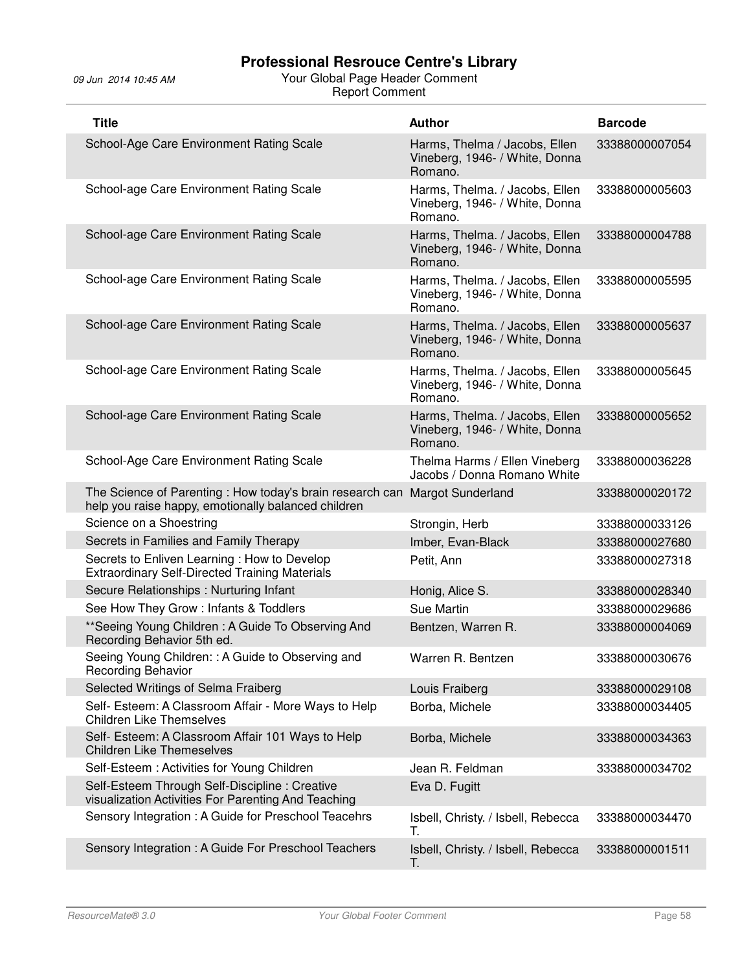| <b>Title</b>                                                                                                                       | <b>Author</b>                                                               | <b>Barcode</b> |
|------------------------------------------------------------------------------------------------------------------------------------|-----------------------------------------------------------------------------|----------------|
| School-Age Care Environment Rating Scale                                                                                           | Harms, Thelma / Jacobs, Ellen<br>Vineberg, 1946- / White, Donna<br>Romano.  | 33388000007054 |
| School-age Care Environment Rating Scale                                                                                           | Harms, Thelma. / Jacobs, Ellen<br>Vineberg, 1946- / White, Donna<br>Romano. | 33388000005603 |
| School-age Care Environment Rating Scale                                                                                           | Harms, Thelma. / Jacobs, Ellen<br>Vineberg, 1946- / White, Donna<br>Romano. | 33388000004788 |
| School-age Care Environment Rating Scale                                                                                           | Harms, Thelma. / Jacobs, Ellen<br>Vineberg, 1946- / White, Donna<br>Romano. | 33388000005595 |
| School-age Care Environment Rating Scale                                                                                           | Harms, Thelma. / Jacobs, Ellen<br>Vineberg, 1946- / White, Donna<br>Romano. | 33388000005637 |
| School-age Care Environment Rating Scale                                                                                           | Harms, Thelma. / Jacobs, Ellen<br>Vineberg, 1946- / White, Donna<br>Romano. | 33388000005645 |
| School-age Care Environment Rating Scale                                                                                           | Harms, Thelma. / Jacobs, Ellen<br>Vineberg, 1946- / White, Donna<br>Romano. | 33388000005652 |
| School-Age Care Environment Rating Scale                                                                                           | Thelma Harms / Ellen Vineberg<br>Jacobs / Donna Romano White                | 33388000036228 |
| The Science of Parenting : How today's brain research can Margot Sunderland<br>help you raise happy, emotionally balanced children |                                                                             | 33388000020172 |
| Science on a Shoestring                                                                                                            | Strongin, Herb                                                              | 33388000033126 |
| Secrets in Families and Family Therapy                                                                                             | Imber, Evan-Black                                                           | 33388000027680 |
| Secrets to Enliven Learning: How to Develop<br><b>Extraordinary Self-Directed Training Materials</b>                               | Petit, Ann                                                                  | 33388000027318 |
| Secure Relationships: Nurturing Infant                                                                                             | Honig, Alice S.                                                             | 33388000028340 |
| See How They Grow: Infants & Toddlers                                                                                              | Sue Martin                                                                  | 33388000029686 |
| **Seeing Young Children: A Guide To Observing And<br>Recording Behavior 5th ed.                                                    | Bentzen, Warren R.                                                          | 33388000004069 |
| Seeing Young Children: : A Guide to Observing and<br><b>Recording Behavior</b>                                                     | Warren R. Bentzen                                                           | 33388000030676 |
| Selected Writings of Selma Fraiberg                                                                                                | Louis Fraiberg                                                              | 33388000029108 |
| Self- Esteem: A Classroom Affair - More Ways to Help<br><b>Children Like Themselves</b>                                            | Borba, Michele                                                              | 33388000034405 |
| Self- Esteem: A Classroom Affair 101 Ways to Help<br><b>Children Like Themeselves</b>                                              | Borba, Michele                                                              | 33388000034363 |
| Self-Esteem: Activities for Young Children                                                                                         | Jean R. Feldman                                                             | 33388000034702 |
| Self-Esteem Through Self-Discipline: Creative<br>visualization Activities For Parenting And Teaching                               | Eva D. Fugitt                                                               |                |
| Sensory Integration: A Guide for Preschool Teacehrs                                                                                | Isbell, Christy. / Isbell, Rebecca<br>Т.                                    | 33388000034470 |
| Sensory Integration: A Guide For Preschool Teachers                                                                                | Isbell, Christy. / Isbell, Rebecca<br>Т.                                    | 33388000001511 |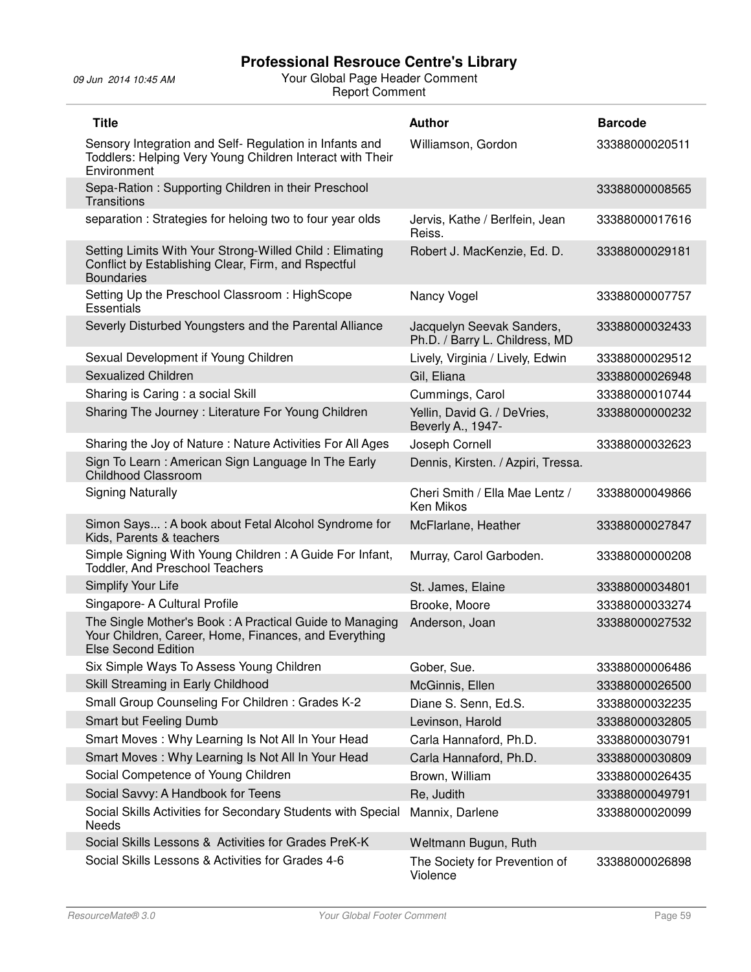| <b>Title</b>                                                                                                                                   | <b>Author</b>                                               | <b>Barcode</b> |
|------------------------------------------------------------------------------------------------------------------------------------------------|-------------------------------------------------------------|----------------|
| Sensory Integration and Self- Regulation in Infants and<br>Toddlers: Helping Very Young Children Interact with Their<br>Environment            | Williamson, Gordon                                          | 33388000020511 |
| Sepa-Ration: Supporting Children in their Preschool<br>Transitions                                                                             |                                                             | 33388000008565 |
| separation: Strategies for heloing two to four year olds                                                                                       | Jervis, Kathe / Berlfein, Jean<br>Reiss.                    | 33388000017616 |
| Setting Limits With Your Strong-Willed Child: Elimating<br>Conflict by Establishing Clear, Firm, and Rspectful<br><b>Boundaries</b>            | Robert J. MacKenzie, Ed. D.                                 | 33388000029181 |
| Setting Up the Preschool Classroom: HighScope<br><b>Essentials</b>                                                                             | Nancy Vogel                                                 | 33388000007757 |
| Severly Disturbed Youngsters and the Parental Alliance                                                                                         | Jacquelyn Seevak Sanders,<br>Ph.D. / Barry L. Childress, MD | 33388000032433 |
| Sexual Development if Young Children                                                                                                           | Lively, Virginia / Lively, Edwin                            | 33388000029512 |
| Sexualized Children                                                                                                                            | Gil, Eliana                                                 | 33388000026948 |
| Sharing is Caring: a social Skill                                                                                                              | Cummings, Carol                                             | 33388000010744 |
| Sharing The Journey: Literature For Young Children                                                                                             | Yellin, David G. / DeVries,<br>Beverly A., 1947-            | 33388000000232 |
| Sharing the Joy of Nature: Nature Activities For All Ages                                                                                      | Joseph Cornell                                              | 33388000032623 |
| Sign To Learn: American Sign Language In The Early<br>Childhood Classroom                                                                      | Dennis, Kirsten. / Azpiri, Tressa.                          |                |
| <b>Signing Naturally</b>                                                                                                                       | Cheri Smith / Ella Mae Lentz /<br>Ken Mikos                 | 33388000049866 |
| Simon Says: A book about Fetal Alcohol Syndrome for<br>Kids, Parents & teachers                                                                | McFlarlane, Heather                                         | 33388000027847 |
| Simple Signing With Young Children: A Guide For Infant,<br><b>Toddler, And Preschool Teachers</b>                                              | Murray, Carol Garboden.                                     | 33388000000208 |
| Simplify Your Life                                                                                                                             | St. James, Elaine                                           | 33388000034801 |
| Singapore- A Cultural Profile                                                                                                                  | Brooke, Moore                                               | 33388000033274 |
| The Single Mother's Book: A Practical Guide to Managing<br>Your Children, Career, Home, Finances, and Everything<br><b>Else Second Edition</b> | Anderson, Joan                                              | 33388000027532 |
| Six Simple Ways To Assess Young Children                                                                                                       | Gober, Sue.                                                 | 33388000006486 |
| Skill Streaming in Early Childhood                                                                                                             | McGinnis, Ellen                                             | 33388000026500 |
| Small Group Counseling For Children: Grades K-2                                                                                                | Diane S. Senn, Ed.S.                                        | 33388000032235 |
| Smart but Feeling Dumb                                                                                                                         | Levinson, Harold                                            | 33388000032805 |
| Smart Moves: Why Learning Is Not All In Your Head                                                                                              | Carla Hannaford, Ph.D.                                      | 33388000030791 |
| Smart Moves: Why Learning Is Not All In Your Head                                                                                              | Carla Hannaford, Ph.D.                                      | 33388000030809 |
| Social Competence of Young Children                                                                                                            | Brown, William                                              | 33388000026435 |
| Social Savvy: A Handbook for Teens                                                                                                             | Re, Judith                                                  | 33388000049791 |
| Social Skills Activities for Secondary Students with Special<br>Needs                                                                          | Mannix, Darlene                                             | 33388000020099 |
| Social Skills Lessons & Activities for Grades PreK-K                                                                                           | Weltmann Bugun, Ruth                                        |                |
| Social Skills Lessons & Activities for Grades 4-6                                                                                              | The Society for Prevention of<br>Violence                   | 33388000026898 |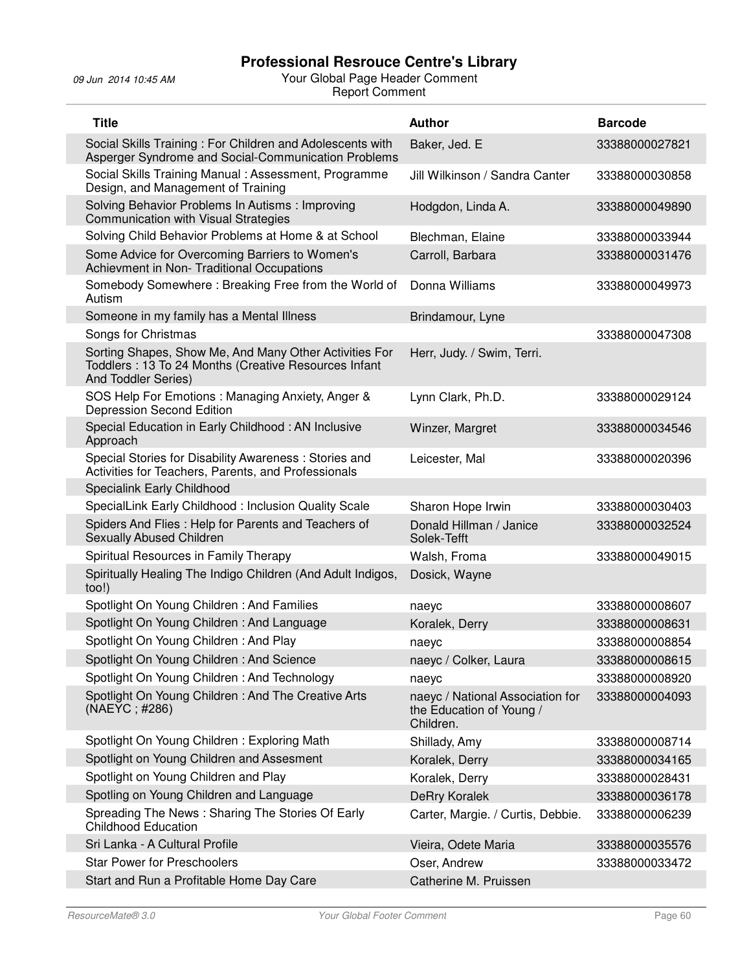| <b>Title</b>                                                                                                                          | <b>Author</b>                                                             | <b>Barcode</b> |
|---------------------------------------------------------------------------------------------------------------------------------------|---------------------------------------------------------------------------|----------------|
| Social Skills Training: For Children and Adolescents with<br>Asperger Syndrome and Social-Communication Problems                      | Baker, Jed. E                                                             | 33388000027821 |
| Social Skills Training Manual: Assessment, Programme<br>Design, and Management of Training                                            | Jill Wilkinson / Sandra Canter                                            | 33388000030858 |
| Solving Behavior Problems In Autisms: Improving<br><b>Communication with Visual Strategies</b>                                        | Hodgdon, Linda A.                                                         | 33388000049890 |
| Solving Child Behavior Problems at Home & at School                                                                                   | Blechman, Elaine                                                          | 33388000033944 |
| Some Advice for Overcoming Barriers to Women's<br>Achievment in Non- Traditional Occupations                                          | Carroll, Barbara                                                          | 33388000031476 |
| Somebody Somewhere: Breaking Free from the World of<br>Autism                                                                         | Donna Williams                                                            | 33388000049973 |
| Someone in my family has a Mental Illness                                                                                             | Brindamour, Lyne                                                          |                |
| Songs for Christmas                                                                                                                   |                                                                           | 33388000047308 |
| Sorting Shapes, Show Me, And Many Other Activities For<br>Toddlers: 13 To 24 Months (Creative Resources Infant<br>And Toddler Series) | Herr, Judy. / Swim, Terri.                                                |                |
| SOS Help For Emotions: Managing Anxiety, Anger &<br>Depression Second Edition                                                         | Lynn Clark, Ph.D.                                                         | 33388000029124 |
| Special Education in Early Childhood: AN Inclusive<br>Approach                                                                        | Winzer, Margret                                                           | 33388000034546 |
| Special Stories for Disability Awareness: Stories and<br>Activities for Teachers, Parents, and Professionals                          | Leicester, Mal                                                            | 33388000020396 |
| Specialink Early Childhood                                                                                                            |                                                                           |                |
| SpecialLink Early Childhood: Inclusion Quality Scale                                                                                  | Sharon Hope Irwin                                                         | 33388000030403 |
| Spiders And Flies: Help for Parents and Teachers of<br>Sexually Abused Children                                                       | Donald Hillman / Janice<br>Solek-Tefft                                    | 33388000032524 |
| Spiritual Resources in Family Therapy                                                                                                 | Walsh, Froma                                                              | 33388000049015 |
| Spiritually Healing The Indigo Children (And Adult Indigos,<br>too!)                                                                  | Dosick, Wayne                                                             |                |
| Spotlight On Young Children: And Families                                                                                             | naeyc                                                                     | 33388000008607 |
| Spotlight On Young Children: And Language                                                                                             | Koralek, Derry                                                            | 33388000008631 |
| Spotlight On Young Children: And Play                                                                                                 | naeyc                                                                     | 33388000008854 |
| Spotlight On Young Children: And Science                                                                                              | naeyc / Colker, Laura                                                     | 33388000008615 |
| Spotlight On Young Children: And Technology                                                                                           | naeyc                                                                     | 33388000008920 |
| Spotlight On Young Children: And The Creative Arts<br>(NAEYC; #286)                                                                   | naeyc / National Association for<br>the Education of Young /<br>Children. | 33388000004093 |
| Spotlight On Young Children: Exploring Math                                                                                           | Shillady, Amy                                                             | 33388000008714 |
| Spotlight on Young Children and Assesment                                                                                             | Koralek, Derry                                                            | 33388000034165 |
| Spotlight on Young Children and Play                                                                                                  | Koralek, Derry                                                            | 33388000028431 |
| Spotling on Young Children and Language                                                                                               | <b>DeRry Koralek</b>                                                      | 33388000036178 |
| Spreading The News: Sharing The Stories Of Early<br><b>Childhood Education</b>                                                        | Carter, Margie. / Curtis, Debbie.                                         | 33388000006239 |
| Sri Lanka - A Cultural Profile                                                                                                        | Vieira, Odete Maria                                                       | 33388000035576 |
| <b>Star Power for Preschoolers</b>                                                                                                    | Oser, Andrew                                                              | 33388000033472 |
| Start and Run a Profitable Home Day Care                                                                                              | Catherine M. Pruissen                                                     |                |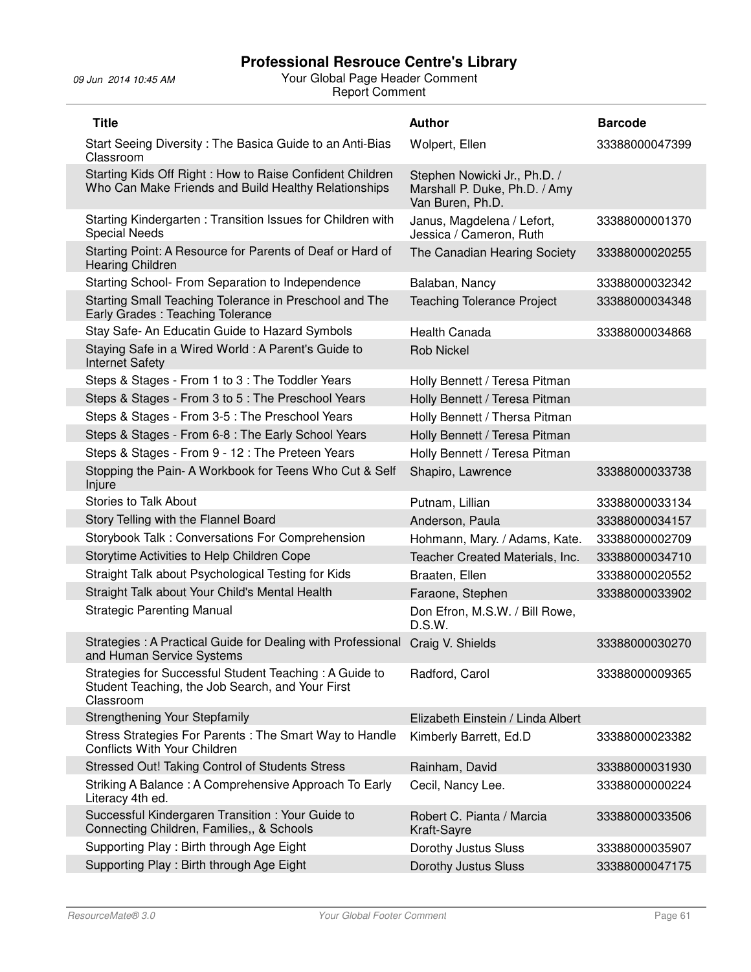| <b>Title</b>                                                                                                            | <b>Author</b>                                                                     | <b>Barcode</b> |
|-------------------------------------------------------------------------------------------------------------------------|-----------------------------------------------------------------------------------|----------------|
| Start Seeing Diversity: The Basica Guide to an Anti-Bias<br>Classroom                                                   | Wolpert, Ellen                                                                    | 33388000047399 |
| Starting Kids Off Right: How to Raise Confident Children<br>Who Can Make Friends and Build Healthy Relationships        | Stephen Nowicki Jr., Ph.D. /<br>Marshall P. Duke, Ph.D. / Amy<br>Van Buren, Ph.D. |                |
| Starting Kindergarten: Transition Issues for Children with<br><b>Special Needs</b>                                      | Janus, Magdelena / Lefort,<br>Jessica / Cameron, Ruth                             | 33388000001370 |
| Starting Point: A Resource for Parents of Deaf or Hard of<br>Hearing Children                                           | The Canadian Hearing Society                                                      | 33388000020255 |
| Starting School- From Separation to Independence                                                                        | Balaban, Nancy                                                                    | 33388000032342 |
| Starting Small Teaching Tolerance in Preschool and The<br>Early Grades: Teaching Tolerance                              | <b>Teaching Tolerance Project</b>                                                 | 33388000034348 |
| Stay Safe- An Educatin Guide to Hazard Symbols                                                                          | <b>Health Canada</b>                                                              | 33388000034868 |
| Staying Safe in a Wired World: A Parent's Guide to<br><b>Internet Safety</b>                                            | <b>Rob Nickel</b>                                                                 |                |
| Steps & Stages - From 1 to 3 : The Toddler Years                                                                        | Holly Bennett / Teresa Pitman                                                     |                |
| Steps & Stages - From 3 to 5 : The Preschool Years                                                                      | Holly Bennett / Teresa Pitman                                                     |                |
| Steps & Stages - From 3-5 : The Preschool Years                                                                         | Holly Bennett / Thersa Pitman                                                     |                |
| Steps & Stages - From 6-8 : The Early School Years                                                                      | Holly Bennett / Teresa Pitman                                                     |                |
| Steps & Stages - From 9 - 12 : The Preteen Years                                                                        | Holly Bennett / Teresa Pitman                                                     |                |
| Stopping the Pain- A Workbook for Teens Who Cut & Self<br>Injure                                                        | Shapiro, Lawrence                                                                 | 33388000033738 |
| <b>Stories to Talk About</b>                                                                                            | Putnam, Lillian                                                                   | 33388000033134 |
| Story Telling with the Flannel Board                                                                                    | Anderson, Paula                                                                   | 33388000034157 |
| Storybook Talk: Conversations For Comprehension                                                                         | Hohmann, Mary. / Adams, Kate.                                                     | 33388000002709 |
| Storytime Activities to Help Children Cope                                                                              | Teacher Created Materials, Inc.                                                   | 33388000034710 |
| Straight Talk about Psychological Testing for Kids                                                                      | Braaten, Ellen                                                                    | 33388000020552 |
| Straight Talk about Your Child's Mental Health                                                                          | Faraone, Stephen                                                                  | 33388000033902 |
| <b>Strategic Parenting Manual</b>                                                                                       | Don Efron, M.S.W. / Bill Rowe,<br>D.S.W.                                          |                |
| Strategies: A Practical Guide for Dealing with Professional<br>and Human Service Systems                                | Craig V. Shields                                                                  | 33388000030270 |
| Strategies for Successful Student Teaching: A Guide to<br>Student Teaching, the Job Search, and Your First<br>Classroom | Radford, Carol                                                                    | 33388000009365 |
| Strengthening Your Stepfamily                                                                                           | Elizabeth Einstein / Linda Albert                                                 |                |
| Stress Strategies For Parents: The Smart Way to Handle<br>Conflicts With Your Children                                  | Kimberly Barrett, Ed.D                                                            | 33388000023382 |
| Stressed Out! Taking Control of Students Stress                                                                         | Rainham, David                                                                    | 33388000031930 |
| Striking A Balance: A Comprehensive Approach To Early<br>Literacy 4th ed.                                               | Cecil, Nancy Lee.                                                                 | 33388000000224 |
| Successful Kindergaren Transition: Your Guide to<br>Connecting Children, Families,, & Schools                           | Robert C. Pianta / Marcia<br>Kraft-Sayre                                          | 33388000033506 |
| Supporting Play: Birth through Age Eight                                                                                | Dorothy Justus Sluss                                                              | 33388000035907 |
|                                                                                                                         |                                                                                   |                |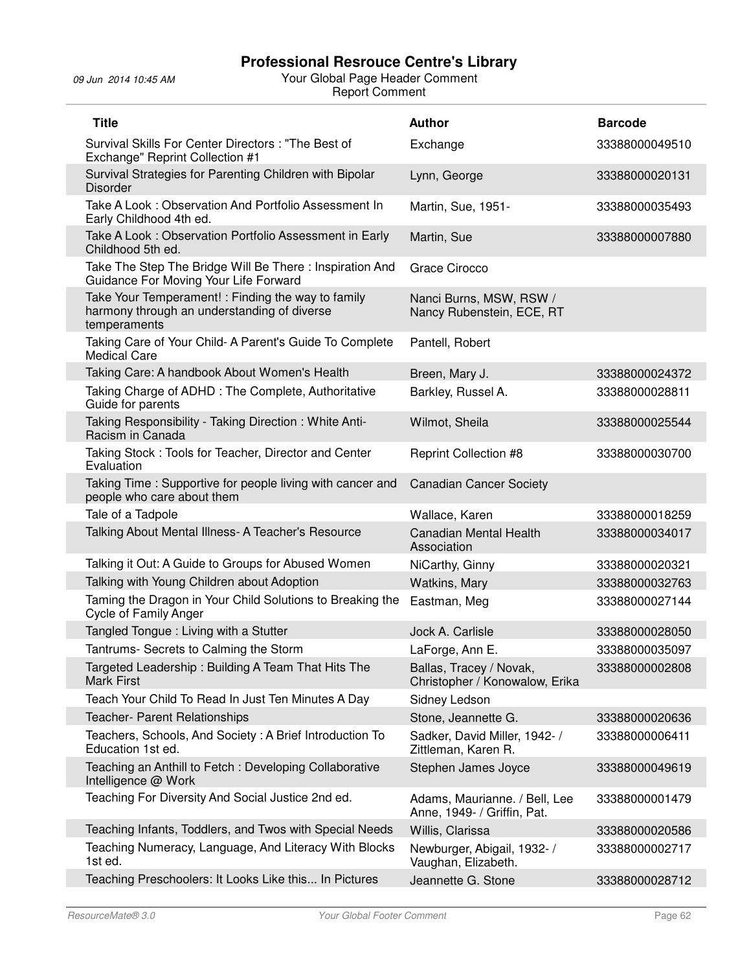| <b>Title</b>                                                                                                      | <b>Author</b>                                                | <b>Barcode</b> |
|-------------------------------------------------------------------------------------------------------------------|--------------------------------------------------------------|----------------|
| Survival Skills For Center Directors: "The Best of<br>Exchange" Reprint Collection #1                             | Exchange                                                     | 33388000049510 |
| Survival Strategies for Parenting Children with Bipolar<br><b>Disorder</b>                                        | Lynn, George                                                 | 33388000020131 |
| Take A Look: Observation And Portfolio Assessment In<br>Early Childhood 4th ed.                                   | Martin, Sue, 1951-                                           | 33388000035493 |
| Take A Look: Observation Portfolio Assessment in Early<br>Childhood 5th ed.                                       | Martin, Sue                                                  | 33388000007880 |
| Take The Step The Bridge Will Be There: Inspiration And<br>Guidance For Moving Your Life Forward                  | Grace Cirocco                                                |                |
| Take Your Temperament! : Finding the way to family<br>harmony through an understanding of diverse<br>temperaments | Nanci Burns, MSW, RSW /<br>Nancy Rubenstein, ECE, RT         |                |
| Taking Care of Your Child- A Parent's Guide To Complete<br><b>Medical Care</b>                                    | Pantell, Robert                                              |                |
| Taking Care: A handbook About Women's Health                                                                      | Breen, Mary J.                                               | 33388000024372 |
| Taking Charge of ADHD: The Complete, Authoritative<br>Guide for parents                                           | Barkley, Russel A.                                           | 33388000028811 |
| Taking Responsibility - Taking Direction: White Anti-<br>Racism in Canada                                         | Wilmot, Sheila                                               | 33388000025544 |
| Taking Stock: Tools for Teacher, Director and Center<br>Evaluation                                                | <b>Reprint Collection #8</b>                                 | 33388000030700 |
| Taking Time: Supportive for people living with cancer and<br>people who care about them                           | <b>Canadian Cancer Society</b>                               |                |
| Tale of a Tadpole                                                                                                 | Wallace, Karen                                               | 33388000018259 |
| Talking About Mental Illness- A Teacher's Resource                                                                | <b>Canadian Mental Health</b><br>Association                 | 33388000034017 |
| Talking it Out: A Guide to Groups for Abused Women                                                                | NiCarthy, Ginny                                              | 33388000020321 |
| Talking with Young Children about Adoption                                                                        | Watkins, Mary                                                | 33388000032763 |
| Taming the Dragon in Your Child Solutions to Breaking the<br>Cycle of Family Anger                                | Eastman, Meg                                                 | 33388000027144 |
| Tangled Tongue: Living with a Stutter                                                                             | Jock A. Carlisle                                             | 33388000028050 |
| Tantrums- Secrets to Calming the Storm                                                                            | LaForge, Ann E.                                              | 33388000035097 |
| Targeted Leadership: Building A Team That Hits The<br><b>Mark First</b>                                           | Ballas, Tracey / Novak,<br>Christopher / Konowalow, Erika    | 33388000002808 |
| Teach Your Child To Read In Just Ten Minutes A Day                                                                | Sidney Ledson                                                |                |
| <b>Teacher- Parent Relationships</b>                                                                              | Stone, Jeannette G.                                          | 33388000020636 |
| Teachers, Schools, And Society: A Brief Introduction To<br>Education 1st ed.                                      | Sadker, David Miller, 1942- /<br>Zittleman, Karen R.         | 33388000006411 |
| Teaching an Anthill to Fetch: Developing Collaborative<br>Intelligence @ Work                                     | Stephen James Joyce                                          | 33388000049619 |
| Teaching For Diversity And Social Justice 2nd ed.                                                                 | Adams, Maurianne. / Bell, Lee<br>Anne, 1949- / Griffin, Pat. | 33388000001479 |
| Teaching Infants, Toddlers, and Twos with Special Needs                                                           | Willis, Clarissa                                             | 33388000020586 |
| Teaching Numeracy, Language, And Literacy With Blocks<br>1st ed.                                                  | Newburger, Abigail, 1932- /<br>Vaughan, Elizabeth.           | 33388000002717 |
| Teaching Preschoolers: It Looks Like this In Pictures                                                             | Jeannette G. Stone                                           | 33388000028712 |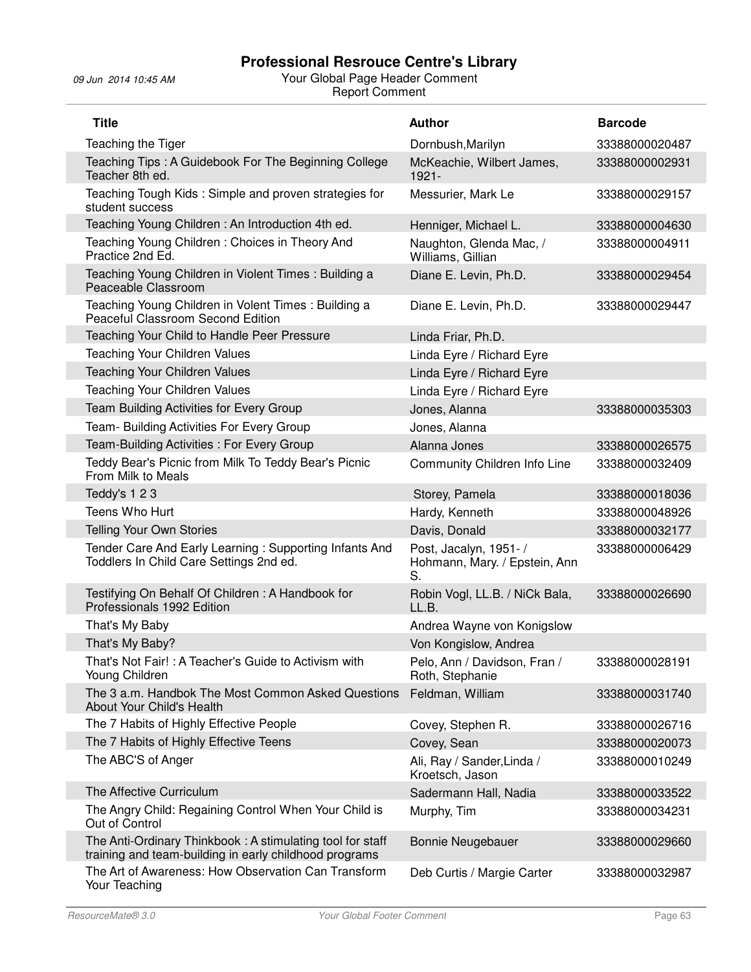| <b>Title</b>                                                                                                        | Author                                                        | <b>Barcode</b> |
|---------------------------------------------------------------------------------------------------------------------|---------------------------------------------------------------|----------------|
| Teaching the Tiger                                                                                                  | Dornbush, Marilyn                                             | 33388000020487 |
| Teaching Tips: A Guidebook For The Beginning College<br>Teacher 8th ed.                                             | McKeachie, Wilbert James,<br>$1921 -$                         | 33388000002931 |
| Teaching Tough Kids: Simple and proven strategies for<br>student success                                            | Messurier, Mark Le                                            | 33388000029157 |
| Teaching Young Children: An Introduction 4th ed.                                                                    | Henniger, Michael L.                                          | 33388000004630 |
| Teaching Young Children: Choices in Theory And<br>Practice 2nd Ed.                                                  | Naughton, Glenda Mac, /<br>Williams, Gillian                  | 33388000004911 |
| Teaching Young Children in Violent Times: Building a<br>Peaceable Classroom                                         | Diane E. Levin, Ph.D.                                         | 33388000029454 |
| Teaching Young Children in Volent Times: Building a<br>Peaceful Classroom Second Edition                            | Diane E. Levin, Ph.D.                                         | 33388000029447 |
| Teaching Your Child to Handle Peer Pressure                                                                         | Linda Friar, Ph.D.                                            |                |
| Teaching Your Children Values                                                                                       | Linda Eyre / Richard Eyre                                     |                |
| <b>Teaching Your Children Values</b>                                                                                | Linda Eyre / Richard Eyre                                     |                |
| Teaching Your Children Values                                                                                       | Linda Eyre / Richard Eyre                                     |                |
| Team Building Activities for Every Group                                                                            | Jones, Alanna                                                 | 33388000035303 |
| Team- Building Activities For Every Group                                                                           | Jones, Alanna                                                 |                |
| Team-Building Activities: For Every Group                                                                           | Alanna Jones                                                  | 33388000026575 |
| Teddy Bear's Picnic from Milk To Teddy Bear's Picnic<br>From Milk to Meals                                          | Community Children Info Line                                  | 33388000032409 |
| Teddy's 123                                                                                                         | Storey, Pamela                                                | 33388000018036 |
| Teens Who Hurt                                                                                                      | Hardy, Kenneth                                                | 33388000048926 |
| <b>Telling Your Own Stories</b>                                                                                     | Davis, Donald                                                 | 33388000032177 |
| Tender Care And Early Learning: Supporting Infants And<br>Toddlers In Child Care Settings 2nd ed.                   | Post, Jacalyn, 1951- /<br>Hohmann, Mary. / Epstein, Ann<br>S. | 33388000006429 |
| Testifying On Behalf Of Children: A Handbook for<br>Professionals 1992 Edition                                      | Robin Vogl, LL.B. / NiCk Bala,<br>LL.B.                       | 33388000026690 |
| That's My Baby                                                                                                      | Andrea Wayne von Konigslow                                    |                |
| That's My Baby?                                                                                                     | Von Kongislow, Andrea                                         |                |
| That's Not Fair! : A Teacher's Guide to Activism with<br>Young Children                                             | Pelo, Ann / Davidson, Fran /<br>Roth, Stephanie               | 33388000028191 |
| The 3 a.m. Handbok The Most Common Asked Questions<br>About Your Child's Health                                     | Feldman, William                                              | 33388000031740 |
| The 7 Habits of Highly Effective People                                                                             | Covey, Stephen R.                                             | 33388000026716 |
| The 7 Habits of Highly Effective Teens                                                                              | Covey, Sean                                                   | 33388000020073 |
| The ABC'S of Anger                                                                                                  | Ali, Ray / Sander, Linda /<br>Kroetsch, Jason                 | 33388000010249 |
| The Affective Curriculum                                                                                            | Sadermann Hall, Nadia                                         | 33388000033522 |
| The Angry Child: Regaining Control When Your Child is<br>Out of Control                                             | Murphy, Tim                                                   | 33388000034231 |
| The Anti-Ordinary Thinkbook: A stimulating tool for staff<br>training and team-building in early childhood programs | <b>Bonnie Neugebauer</b>                                      | 33388000029660 |
| The Art of Awareness: How Observation Can Transform<br>Your Teaching                                                | Deb Curtis / Margie Carter                                    | 33388000032987 |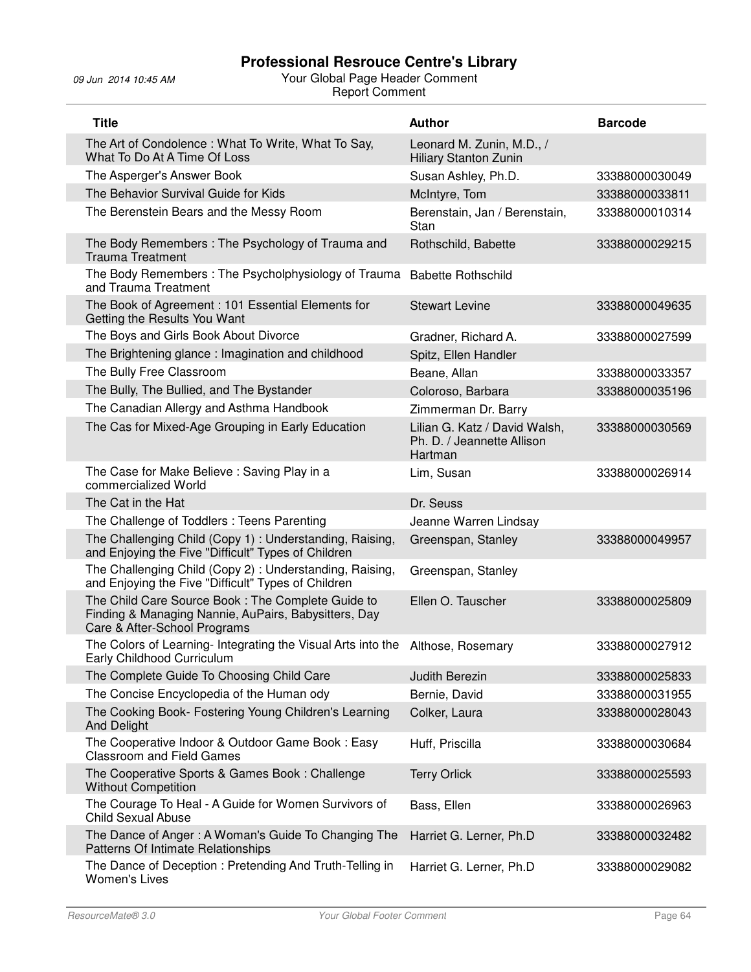| <b>Title</b>                                                                                                                              | <b>Author</b>                                                          | <b>Barcode</b> |
|-------------------------------------------------------------------------------------------------------------------------------------------|------------------------------------------------------------------------|----------------|
| The Art of Condolence: What To Write, What To Say,<br>What To Do At A Time Of Loss                                                        | Leonard M. Zunin, M.D., /<br><b>Hiliary Stanton Zunin</b>              |                |
| The Asperger's Answer Book                                                                                                                | Susan Ashley, Ph.D.                                                    | 33388000030049 |
| The Behavior Survival Guide for Kids                                                                                                      | McIntyre, Tom                                                          | 33388000033811 |
| The Berenstein Bears and the Messy Room                                                                                                   | Berenstain, Jan / Berenstain,<br>Stan                                  | 33388000010314 |
| The Body Remembers: The Psychology of Trauma and<br><b>Trauma Treatment</b>                                                               | Rothschild, Babette                                                    | 33388000029215 |
| The Body Remembers: The Psycholphysiology of Trauma<br>and Trauma Treatment                                                               | <b>Babette Rothschild</b>                                              |                |
| The Book of Agreement: 101 Essential Elements for<br>Getting the Results You Want                                                         | <b>Stewart Levine</b>                                                  | 33388000049635 |
| The Boys and Girls Book About Divorce                                                                                                     | Gradner, Richard A.                                                    | 33388000027599 |
| The Brightening glance: Imagination and childhood                                                                                         | Spitz, Ellen Handler                                                   |                |
| The Bully Free Classroom                                                                                                                  | Beane, Allan                                                           | 33388000033357 |
| The Bully, The Bullied, and The Bystander                                                                                                 | Coloroso, Barbara                                                      | 33388000035196 |
| The Canadian Allergy and Asthma Handbook                                                                                                  | Zimmerman Dr. Barry                                                    |                |
| The Cas for Mixed-Age Grouping in Early Education                                                                                         | Lilian G. Katz / David Walsh,<br>Ph. D. / Jeannette Allison<br>Hartman | 33388000030569 |
| The Case for Make Believe: Saving Play in a<br>commercialized World                                                                       | Lim, Susan                                                             | 33388000026914 |
| The Cat in the Hat                                                                                                                        | Dr. Seuss                                                              |                |
| The Challenge of Toddlers: Teens Parenting                                                                                                | Jeanne Warren Lindsay                                                  |                |
| The Challenging Child (Copy 1) : Understanding, Raising,<br>and Enjoying the Five "Difficult" Types of Children                           | Greenspan, Stanley                                                     | 33388000049957 |
| The Challenging Child (Copy 2): Understanding, Raising,<br>and Enjoying the Five "Difficult" Types of Children                            | Greenspan, Stanley                                                     |                |
| The Child Care Source Book: The Complete Guide to<br>Finding & Managing Nannie, AuPairs, Babysitters, Day<br>Care & After-School Programs | Ellen O. Tauscher                                                      | 33388000025809 |
| The Colors of Learning- Integrating the Visual Arts into the<br>Early Childhood Curriculum                                                | Althose, Rosemary                                                      | 33388000027912 |
| The Complete Guide To Choosing Child Care                                                                                                 | <b>Judith Berezin</b>                                                  | 33388000025833 |
| The Concise Encyclopedia of the Human ody                                                                                                 | Bernie, David                                                          | 33388000031955 |
| The Cooking Book- Fostering Young Children's Learning<br><b>And Delight</b>                                                               | Colker, Laura                                                          | 33388000028043 |
| The Cooperative Indoor & Outdoor Game Book: Easy<br><b>Classroom and Field Games</b>                                                      | Huff, Priscilla                                                        | 33388000030684 |
| The Cooperative Sports & Games Book: Challenge<br><b>Without Competition</b>                                                              | <b>Terry Orlick</b>                                                    | 33388000025593 |
| The Courage To Heal - A Guide for Women Survivors of<br><b>Child Sexual Abuse</b>                                                         | Bass, Ellen                                                            | 33388000026963 |
| The Dance of Anger: A Woman's Guide To Changing The<br>Patterns Of Intimate Relationships                                                 | Harriet G. Lerner, Ph.D                                                | 33388000032482 |
| The Dance of Deception: Pretending And Truth-Telling in<br><b>Women's Lives</b>                                                           | Harriet G. Lerner, Ph.D                                                | 33388000029082 |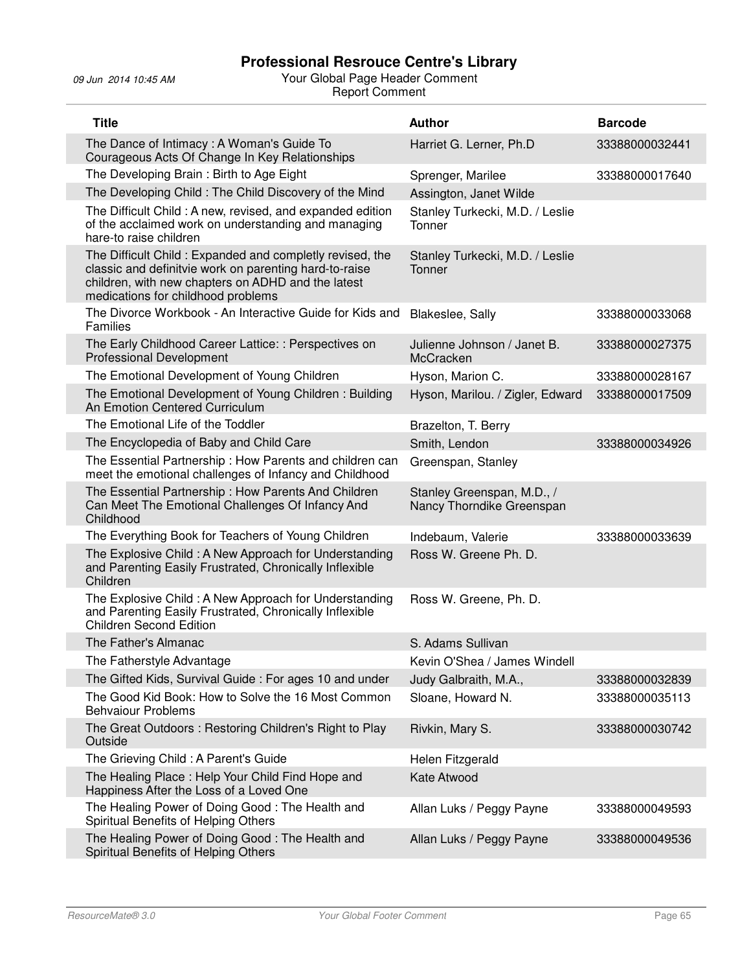| <b>Title</b>                                                                                                                                                                                                   | <b>Author</b>                                           | <b>Barcode</b> |
|----------------------------------------------------------------------------------------------------------------------------------------------------------------------------------------------------------------|---------------------------------------------------------|----------------|
| The Dance of Intimacy: A Woman's Guide To<br>Courageous Acts Of Change In Key Relationships                                                                                                                    | Harriet G. Lerner, Ph.D                                 | 33388000032441 |
| The Developing Brain: Birth to Age Eight                                                                                                                                                                       | Sprenger, Marilee                                       | 33388000017640 |
| The Developing Child: The Child Discovery of the Mind                                                                                                                                                          | Assington, Janet Wilde                                  |                |
| The Difficult Child: A new, revised, and expanded edition<br>of the acclaimed work on understanding and managing<br>hare-to raise children                                                                     | Stanley Turkecki, M.D. / Leslie<br>Tonner               |                |
| The Difficult Child: Expanded and completly revised, the<br>classic and definitvie work on parenting hard-to-raise<br>children, with new chapters on ADHD and the latest<br>medications for childhood problems | Stanley Turkecki, M.D. / Leslie<br>Tonner               |                |
| The Divorce Workbook - An Interactive Guide for Kids and<br>Families                                                                                                                                           | Blakeslee, Sally                                        | 33388000033068 |
| The Early Childhood Career Lattice: : Perspectives on<br><b>Professional Development</b>                                                                                                                       | Julienne Johnson / Janet B.<br>McCracken                | 33388000027375 |
| The Emotional Development of Young Children                                                                                                                                                                    | Hyson, Marion C.                                        | 33388000028167 |
| The Emotional Development of Young Children: Building<br>An Emotion Centered Curriculum                                                                                                                        | Hyson, Marilou. / Zigler, Edward                        | 33388000017509 |
| The Emotional Life of the Toddler                                                                                                                                                                              | Brazelton, T. Berry                                     |                |
| The Encyclopedia of Baby and Child Care                                                                                                                                                                        | Smith, Lendon                                           | 33388000034926 |
| The Essential Partnership: How Parents and children can<br>meet the emotional challenges of Infancy and Childhood                                                                                              | Greenspan, Stanley                                      |                |
| The Essential Partnership: How Parents And Children<br>Can Meet The Emotional Challenges Of Infancy And<br>Childhood                                                                                           | Stanley Greenspan, M.D., /<br>Nancy Thorndike Greenspan |                |
| The Everything Book for Teachers of Young Children                                                                                                                                                             | Indebaum, Valerie                                       | 33388000033639 |
| The Explosive Child: A New Approach for Understanding<br>and Parenting Easily Frustrated, Chronically Inflexible<br>Children                                                                                   | Ross W. Greene Ph. D.                                   |                |
| The Explosive Child: A New Approach for Understanding<br>and Parenting Easily Frustrated, Chronically Inflexible<br><b>Children Second Edition</b>                                                             | Ross W. Greene, Ph. D.                                  |                |
| The Father's Almanac                                                                                                                                                                                           | S. Adams Sullivan                                       |                |
| The Fatherstyle Advantage                                                                                                                                                                                      | Kevin O'Shea / James Windell                            |                |
| The Gifted Kids, Survival Guide: For ages 10 and under                                                                                                                                                         | Judy Galbraith, M.A.,                                   | 33388000032839 |
| The Good Kid Book: How to Solve the 16 Most Common<br><b>Behvaiour Problems</b>                                                                                                                                | Sloane, Howard N.                                       | 33388000035113 |
| The Great Outdoors: Restoring Children's Right to Play<br>Outside                                                                                                                                              | Rivkin, Mary S.                                         | 33388000030742 |
| The Grieving Child: A Parent's Guide                                                                                                                                                                           | Helen Fitzgerald                                        |                |
| The Healing Place: Help Your Child Find Hope and<br>Happiness After the Loss of a Loved One                                                                                                                    | Kate Atwood                                             |                |
| The Healing Power of Doing Good: The Health and<br>Spiritual Benefits of Helping Others                                                                                                                        | Allan Luks / Peggy Payne                                | 33388000049593 |
| The Healing Power of Doing Good: The Health and<br>Spiritual Benefits of Helping Others                                                                                                                        | Allan Luks / Peggy Payne                                | 33388000049536 |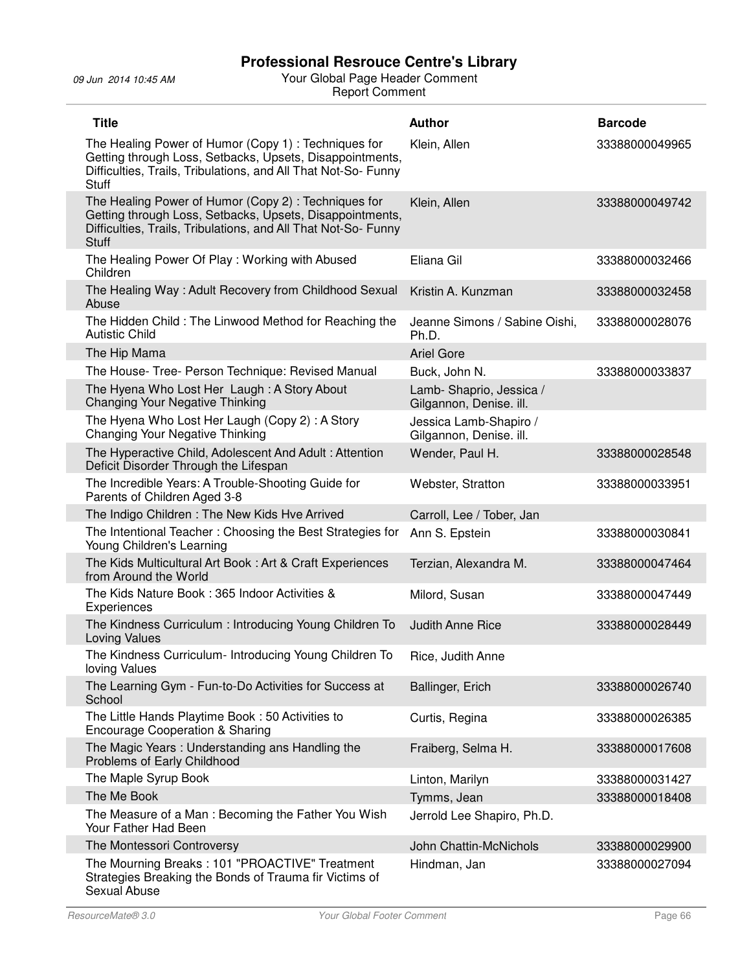| <b>Title</b>                                                                                                                                                                                      | <b>Author</b>                                      | <b>Barcode</b> |
|---------------------------------------------------------------------------------------------------------------------------------------------------------------------------------------------------|----------------------------------------------------|----------------|
| The Healing Power of Humor (Copy 1): Techniques for<br>Getting through Loss, Setbacks, Upsets, Disappointments,<br>Difficulties, Trails, Tribulations, and All That Not-So- Funny<br><b>Stuff</b> | Klein, Allen                                       | 33388000049965 |
| The Healing Power of Humor (Copy 2): Techniques for<br>Getting through Loss, Setbacks, Upsets, Disappointments,<br>Difficulties, Trails, Tribulations, and All That Not-So- Funny<br><b>Stuff</b> | Klein, Allen                                       | 33388000049742 |
| The Healing Power Of Play: Working with Abused<br>Children                                                                                                                                        | Eliana Gil                                         | 33388000032466 |
| The Healing Way: Adult Recovery from Childhood Sexual<br>Abuse                                                                                                                                    | Kristin A. Kunzman                                 | 33388000032458 |
| The Hidden Child: The Linwood Method for Reaching the<br><b>Autistic Child</b>                                                                                                                    | Jeanne Simons / Sabine Oishi,<br>Ph.D.             | 33388000028076 |
| The Hip Mama                                                                                                                                                                                      | <b>Ariel Gore</b>                                  |                |
| The House- Tree- Person Technique: Revised Manual                                                                                                                                                 | Buck, John N.                                      | 33388000033837 |
| The Hyena Who Lost Her Laugh: A Story About<br><b>Changing Your Negative Thinking</b>                                                                                                             | Lamb-Shaprio, Jessica /<br>Gilgannon, Denise. ill. |                |
| The Hyena Who Lost Her Laugh (Copy 2): A Story<br>Changing Your Negative Thinking                                                                                                                 | Jessica Lamb-Shapiro /<br>Gilgannon, Denise. ill.  |                |
| The Hyperactive Child, Adolescent And Adult: Attention<br>Deficit Disorder Through the Lifespan                                                                                                   | Wender, Paul H.                                    | 33388000028548 |
| The Incredible Years: A Trouble-Shooting Guide for<br>Parents of Children Aged 3-8                                                                                                                | Webster, Stratton                                  | 33388000033951 |
| The Indigo Children: The New Kids Hve Arrived                                                                                                                                                     | Carroll, Lee / Tober, Jan                          |                |
| The Intentional Teacher: Choosing the Best Strategies for<br>Young Children's Learning                                                                                                            | Ann S. Epstein                                     | 33388000030841 |
| The Kids Multicultural Art Book: Art & Craft Experiences<br>from Around the World                                                                                                                 | Terzian, Alexandra M.                              | 33388000047464 |
| The Kids Nature Book: 365 Indoor Activities &<br>Experiences                                                                                                                                      | Milord, Susan                                      | 33388000047449 |
| The Kindness Curriculum: Introducing Young Children To<br>Loving Values                                                                                                                           | Judith Anne Rice                                   | 33388000028449 |
| The Kindness Curriculum- Introducing Young Children To<br>loving Values                                                                                                                           | Rice, Judith Anne                                  |                |
| The Learning Gym - Fun-to-Do Activities for Success at<br>School                                                                                                                                  | Ballinger, Erich                                   | 33388000026740 |
| The Little Hands Playtime Book: 50 Activities to<br><b>Encourage Cooperation &amp; Sharing</b>                                                                                                    | Curtis, Regina                                     | 33388000026385 |
| The Magic Years: Understanding ans Handling the<br>Problems of Early Childhood                                                                                                                    | Fraiberg, Selma H.                                 | 33388000017608 |
| The Maple Syrup Book                                                                                                                                                                              | Linton, Marilyn                                    | 33388000031427 |
| The Me Book                                                                                                                                                                                       | Tymms, Jean                                        | 33388000018408 |
| The Measure of a Man: Becoming the Father You Wish<br>Your Father Had Been                                                                                                                        | Jerrold Lee Shapiro, Ph.D.                         |                |
| The Montessori Controversy                                                                                                                                                                        | John Chattin-McNichols                             | 33388000029900 |
| The Mourning Breaks: 101 "PROACTIVE" Treatment<br>Strategies Breaking the Bonds of Trauma fir Victims of<br>Sexual Abuse                                                                          | Hindman, Jan                                       | 33388000027094 |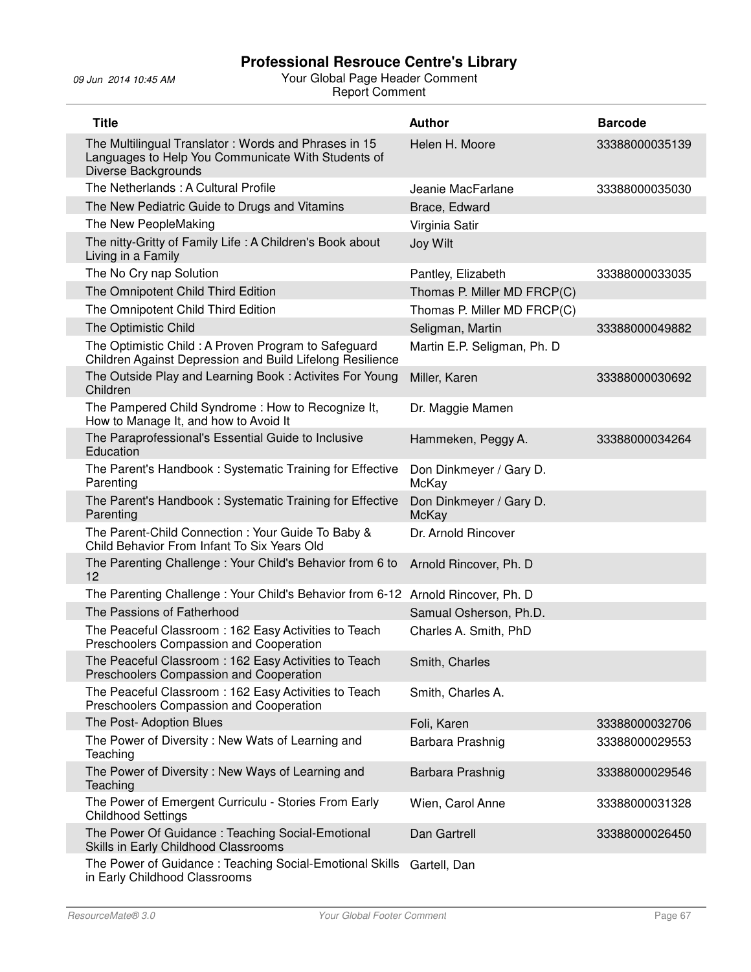| <b>Title</b>                                                                                                                      | <b>Author</b>                    | <b>Barcode</b> |
|-----------------------------------------------------------------------------------------------------------------------------------|----------------------------------|----------------|
| The Multilingual Translator: Words and Phrases in 15<br>Languages to Help You Communicate With Students of<br>Diverse Backgrounds | Helen H. Moore                   | 33388000035139 |
| The Netherlands: A Cultural Profile                                                                                               | Jeanie MacFarlane                | 33388000035030 |
| The New Pediatric Guide to Drugs and Vitamins                                                                                     | Brace, Edward                    |                |
| The New PeopleMaking                                                                                                              | Virginia Satir                   |                |
| The nitty-Gritty of Family Life: A Children's Book about<br>Living in a Family                                                    | Joy Wilt                         |                |
| The No Cry nap Solution                                                                                                           | Pantley, Elizabeth               | 33388000033035 |
| The Omnipotent Child Third Edition                                                                                                | Thomas P. Miller MD FRCP(C)      |                |
| The Omnipotent Child Third Edition                                                                                                | Thomas P. Miller MD FRCP(C)      |                |
| The Optimistic Child                                                                                                              | Seligman, Martin                 | 33388000049882 |
| The Optimistic Child: A Proven Program to Safeguard<br>Children Against Depression and Build Lifelong Resilience                  | Martin E.P. Seligman, Ph. D      |                |
| The Outside Play and Learning Book: Activites For Young<br>Children                                                               | Miller, Karen                    | 33388000030692 |
| The Pampered Child Syndrome: How to Recognize It,<br>How to Manage It, and how to Avoid It                                        | Dr. Maggie Mamen                 |                |
| The Paraprofessional's Essential Guide to Inclusive<br>Education                                                                  | Hammeken, Peggy A.               | 33388000034264 |
| The Parent's Handbook: Systematic Training for Effective<br>Parenting                                                             | Don Dinkmeyer / Gary D.<br>McKay |                |
| The Parent's Handbook: Systematic Training for Effective<br>Parenting                                                             | Don Dinkmeyer / Gary D.<br>McKay |                |
| The Parent-Child Connection: Your Guide To Baby &<br>Child Behavior From Infant To Six Years Old                                  | Dr. Arnold Rincover              |                |
| The Parenting Challenge: Your Child's Behavior from 6 to<br>12                                                                    | Arnold Rincover, Ph. D           |                |
| The Parenting Challenge: Your Child's Behavior from 6-12 Arnold Rincover, Ph. D                                                   |                                  |                |
| The Passions of Fatherhood                                                                                                        | Samual Osherson, Ph.D.           |                |
| The Peaceful Classroom : 162 Easy Activities to Teach<br>Preschoolers Compassion and Cooperation                                  | Charles A. Smith, PhD            |                |
| The Peaceful Classroom: 162 Easy Activities to Teach<br>Preschoolers Compassion and Cooperation                                   | Smith, Charles                   |                |
| The Peaceful Classroom: 162 Easy Activities to Teach<br>Preschoolers Compassion and Cooperation                                   | Smith, Charles A.                |                |
| The Post-Adoption Blues                                                                                                           | Foli, Karen                      | 33388000032706 |
| The Power of Diversity: New Wats of Learning and<br>Teaching                                                                      | Barbara Prashnig                 | 33388000029553 |
| The Power of Diversity: New Ways of Learning and<br>Teaching                                                                      | Barbara Prashnig                 | 33388000029546 |
| The Power of Emergent Curriculu - Stories From Early<br><b>Childhood Settings</b>                                                 | Wien, Carol Anne                 | 33388000031328 |
| The Power Of Guidance: Teaching Social-Emotional<br>Skills in Early Childhood Classrooms                                          | Dan Gartrell                     | 33388000026450 |
| The Power of Guidance: Teaching Social-Emotional Skills                                                                           | Gartell, Dan                     |                |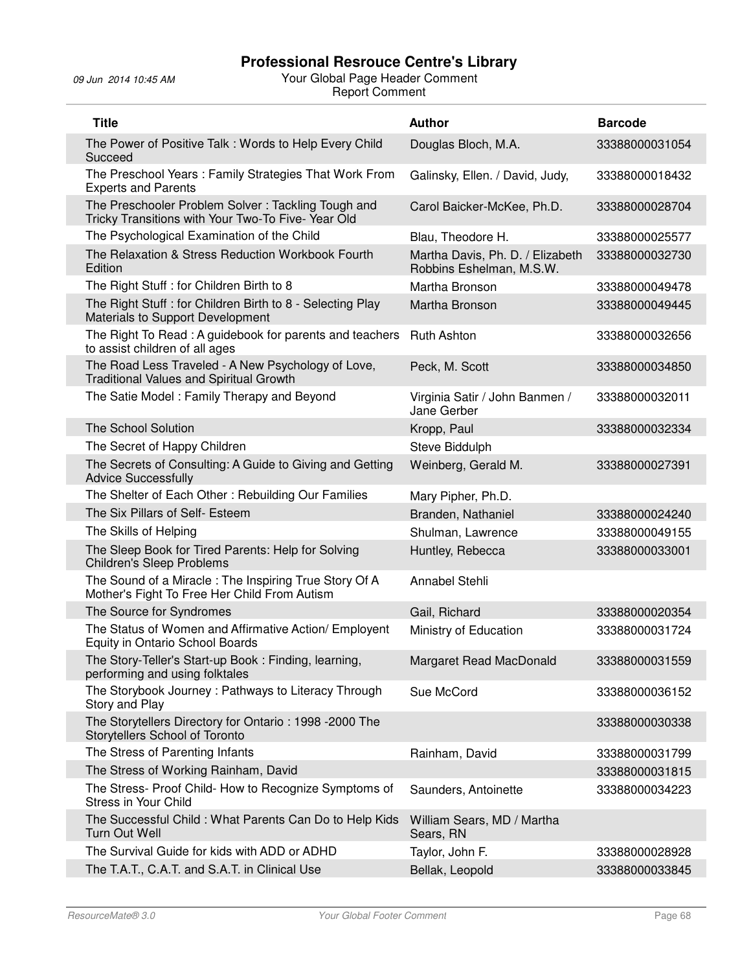| <b>Title</b>                                                                                            | <b>Author</b>                                                | <b>Barcode</b> |
|---------------------------------------------------------------------------------------------------------|--------------------------------------------------------------|----------------|
| The Power of Positive Talk: Words to Help Every Child<br>Succeed                                        | Douglas Bloch, M.A.                                          | 33388000031054 |
| The Preschool Years: Family Strategies That Work From<br><b>Experts and Parents</b>                     | Galinsky, Ellen. / David, Judy,                              | 33388000018432 |
| The Preschooler Problem Solver: Tackling Tough and<br>Tricky Transitions with Your Two-To Five-Year Old | Carol Baicker-McKee, Ph.D.                                   | 33388000028704 |
| The Psychological Examination of the Child                                                              | Blau, Theodore H.                                            | 33388000025577 |
| The Relaxation & Stress Reduction Workbook Fourth<br>Edition                                            | Martha Davis, Ph. D. / Elizabeth<br>Robbins Eshelman, M.S.W. | 33388000032730 |
| The Right Stuff : for Children Birth to 8                                                               | Martha Bronson                                               | 33388000049478 |
| The Right Stuff : for Children Birth to 8 - Selecting Play<br>Materials to Support Development          | Martha Bronson                                               | 33388000049445 |
| The Right To Read: A guidebook for parents and teachers<br>to assist children of all ages               | <b>Ruth Ashton</b>                                           | 33388000032656 |
| The Road Less Traveled - A New Psychology of Love,<br><b>Traditional Values and Spiritual Growth</b>    | Peck, M. Scott                                               | 33388000034850 |
| The Satie Model: Family Therapy and Beyond                                                              | Virginia Satir / John Banmen /<br>Jane Gerber                | 33388000032011 |
| The School Solution                                                                                     | Kropp, Paul                                                  | 33388000032334 |
| The Secret of Happy Children                                                                            | Steve Biddulph                                               |                |
| The Secrets of Consulting: A Guide to Giving and Getting<br><b>Advice Successfully</b>                  | Weinberg, Gerald M.                                          | 33388000027391 |
| The Shelter of Each Other: Rebuilding Our Families                                                      | Mary Pipher, Ph.D.                                           |                |
| The Six Pillars of Self- Esteem                                                                         | Branden, Nathaniel                                           | 33388000024240 |
| The Skills of Helping                                                                                   | Shulman, Lawrence                                            | 33388000049155 |
| The Sleep Book for Tired Parents: Help for Solving<br><b>Children's Sleep Problems</b>                  | Huntley, Rebecca                                             | 33388000033001 |
| The Sound of a Miracle: The Inspiring True Story Of A<br>Mother's Fight To Free Her Child From Autism   | Annabel Stehli                                               |                |
| The Source for Syndromes                                                                                | Gail, Richard                                                | 33388000020354 |
| The Status of Women and Affirmative Action/ Employent<br>Equity in Ontario School Boards                | Ministry of Education                                        | 33388000031724 |
| The Story-Teller's Start-up Book: Finding, learning,<br>performing and using folktales                  | Margaret Read MacDonald                                      | 33388000031559 |
| The Storybook Journey: Pathways to Literacy Through<br>Story and Play                                   | Sue McCord                                                   | 33388000036152 |
| The Storytellers Directory for Ontario: 1998 -2000 The<br>Storytellers School of Toronto                |                                                              | 33388000030338 |
| The Stress of Parenting Infants                                                                         | Rainham, David                                               | 33388000031799 |
| The Stress of Working Rainham, David                                                                    |                                                              | 33388000031815 |
| The Stress- Proof Child- How to Recognize Symptoms of<br>Stress in Your Child                           | Saunders, Antoinette                                         | 33388000034223 |
| The Successful Child: What Parents Can Do to Help Kids<br>Turn Out Well                                 | William Sears, MD / Martha<br>Sears, RN                      |                |
| The Survival Guide for kids with ADD or ADHD                                                            | Taylor, John F.                                              | 33388000028928 |
| The T.A.T., C.A.T. and S.A.T. in Clinical Use                                                           | Bellak, Leopold                                              | 33388000033845 |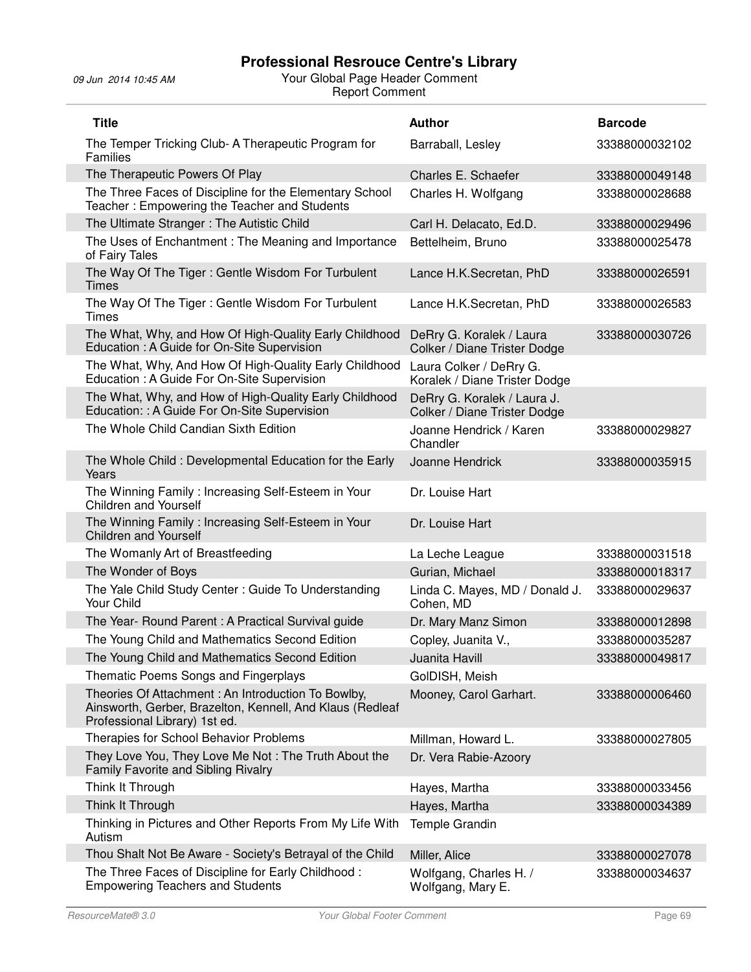| <b>Title</b>                                                                                                                                     | <b>Author</b>                                               | <b>Barcode</b> |
|--------------------------------------------------------------------------------------------------------------------------------------------------|-------------------------------------------------------------|----------------|
| The Temper Tricking Club- A Therapeutic Program for<br>Families                                                                                  | Barraball, Lesley                                           | 33388000032102 |
| The Therapeutic Powers Of Play                                                                                                                   | Charles E. Schaefer                                         | 33388000049148 |
| The Three Faces of Discipline for the Elementary School<br>Teacher: Empowering the Teacher and Students                                          | Charles H. Wolfgang                                         | 33388000028688 |
| The Ultimate Stranger: The Autistic Child                                                                                                        | Carl H. Delacato, Ed.D.                                     | 33388000029496 |
| The Uses of Enchantment: The Meaning and Importance<br>of Fairy Tales                                                                            | Bettelheim, Bruno                                           | 33388000025478 |
| The Way Of The Tiger: Gentle Wisdom For Turbulent<br><b>Times</b>                                                                                | Lance H.K.Secretan, PhD                                     | 33388000026591 |
| The Way Of The Tiger: Gentle Wisdom For Turbulent<br><b>Times</b>                                                                                | Lance H.K.Secretan, PhD                                     | 33388000026583 |
| The What, Why, and How Of High-Quality Early Childhood<br>Education: A Guide for On-Site Supervision                                             | DeRry G. Koralek / Laura<br>Colker / Diane Trister Dodge    | 33388000030726 |
| The What, Why, And How Of High-Quality Early Childhood<br>Education : A Guide For On-Site Supervision                                            | Laura Colker / DeRry G.<br>Koralek / Diane Trister Dodge    |                |
| The What, Why, and How of High-Quality Early Childhood<br>Education: : A Guide For On-Site Supervision                                           | DeRry G. Koralek / Laura J.<br>Colker / Diane Trister Dodge |                |
| The Whole Child Candian Sixth Edition                                                                                                            | Joanne Hendrick / Karen<br>Chandler                         | 33388000029827 |
| The Whole Child: Developmental Education for the Early<br>Years                                                                                  | Joanne Hendrick                                             | 33388000035915 |
| The Winning Family: Increasing Self-Esteem in Your<br><b>Children and Yourself</b>                                                               | Dr. Louise Hart                                             |                |
| The Winning Family: Increasing Self-Esteem in Your<br><b>Children and Yourself</b>                                                               | Dr. Louise Hart                                             |                |
| The Womanly Art of Breastfeeding                                                                                                                 | La Leche League                                             | 33388000031518 |
| The Wonder of Boys                                                                                                                               | Gurian, Michael                                             | 33388000018317 |
| The Yale Child Study Center: Guide To Understanding<br>Your Child                                                                                | Linda C. Mayes, MD / Donald J.<br>Cohen, MD                 | 33388000029637 |
| The Year- Round Parent: A Practical Survival guide                                                                                               | Dr. Mary Manz Simon                                         | 33388000012898 |
| The Young Child and Mathematics Second Edition                                                                                                   | Copley, Juanita V.,                                         | 33388000035287 |
| The Young Child and Mathematics Second Edition                                                                                                   | Juanita Havill                                              | 33388000049817 |
| Thematic Poems Songs and Fingerplays                                                                                                             | GolDISH, Meish                                              |                |
| Theories Of Attachment: An Introduction To Bowlby,<br>Ainsworth, Gerber, Brazelton, Kennell, And Klaus (Redleaf<br>Professional Library) 1st ed. | Mooney, Carol Garhart.                                      | 33388000006460 |
| Therapies for School Behavior Problems                                                                                                           | Millman, Howard L.                                          | 33388000027805 |
| They Love You, They Love Me Not: The Truth About the<br>Family Favorite and Sibling Rivalry                                                      | Dr. Vera Rabie-Azoory                                       |                |
| Think It Through                                                                                                                                 | Hayes, Martha                                               | 33388000033456 |
| Think It Through                                                                                                                                 | Hayes, Martha                                               | 33388000034389 |
| Thinking in Pictures and Other Reports From My Life With<br>Autism                                                                               | Temple Grandin                                              |                |
| Thou Shalt Not Be Aware - Society's Betrayal of the Child                                                                                        | Miller, Alice                                               | 33388000027078 |
| The Three Faces of Discipline for Early Childhood:<br><b>Empowering Teachers and Students</b>                                                    | Wolfgang, Charles H. /<br>Wolfgang, Mary E.                 | 33388000034637 |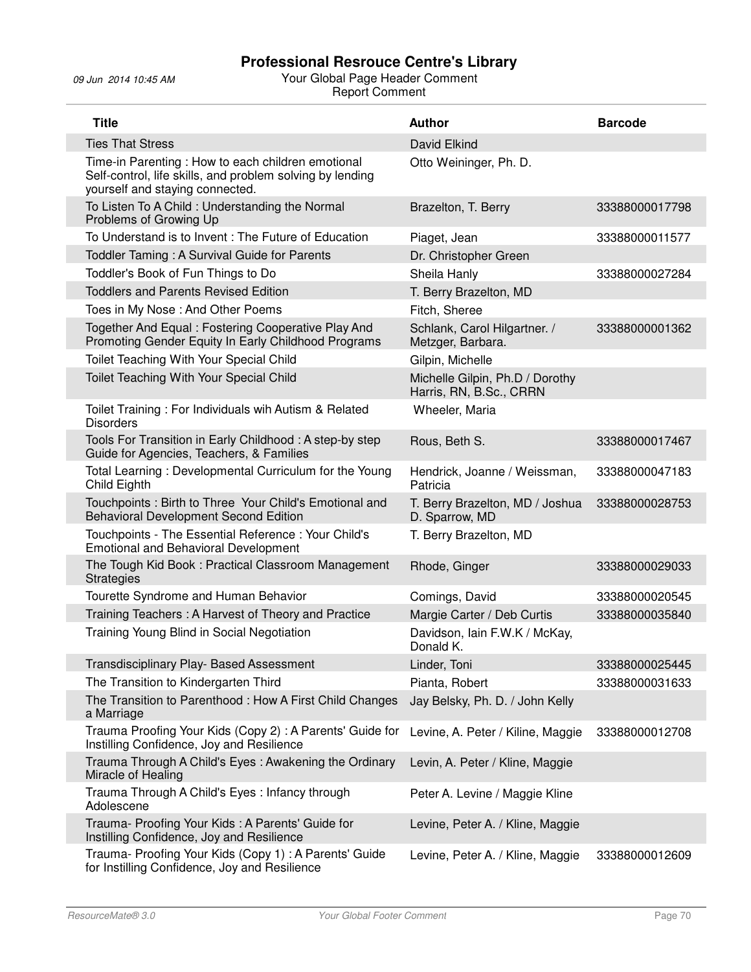| <b>Title</b>                                                                                                                                      | <b>Author</b>                                              | <b>Barcode</b> |
|---------------------------------------------------------------------------------------------------------------------------------------------------|------------------------------------------------------------|----------------|
| <b>Ties That Stress</b>                                                                                                                           | David Elkind                                               |                |
| Time-in Parenting: How to each children emotional<br>Self-control, life skills, and problem solving by lending<br>yourself and staying connected. | Otto Weininger, Ph. D.                                     |                |
| To Listen To A Child: Understanding the Normal<br>Problems of Growing Up                                                                          | Brazelton, T. Berry                                        | 33388000017798 |
| To Understand is to Invent: The Future of Education                                                                                               | Piaget, Jean                                               | 33388000011577 |
| Toddler Taming: A Survival Guide for Parents                                                                                                      | Dr. Christopher Green                                      |                |
| Toddler's Book of Fun Things to Do                                                                                                                | Sheila Hanly                                               | 33388000027284 |
| <b>Toddlers and Parents Revised Edition</b>                                                                                                       | T. Berry Brazelton, MD                                     |                |
| Toes in My Nose: And Other Poems                                                                                                                  | Fitch, Sheree                                              |                |
| Together And Equal: Fostering Cooperative Play And<br>Promoting Gender Equity In Early Childhood Programs                                         | Schlank, Carol Hilgartner. /<br>Metzger, Barbara.          | 33388000001362 |
| Toilet Teaching With Your Special Child                                                                                                           | Gilpin, Michelle                                           |                |
| Toilet Teaching With Your Special Child                                                                                                           | Michelle Gilpin, Ph.D / Dorothy<br>Harris, RN, B.Sc., CRRN |                |
| Toilet Training: For Individuals wih Autism & Related<br><b>Disorders</b>                                                                         | Wheeler, Maria                                             |                |
| Tools For Transition in Early Childhood: A step-by step<br>Guide for Agencies, Teachers, & Families                                               | Rous, Beth S.                                              | 33388000017467 |
| Total Learning: Developmental Curriculum for the Young<br>Child Eighth                                                                            | Hendrick, Joanne / Weissman,<br>Patricia                   | 33388000047183 |
| Touchpoints : Birth to Three Your Child's Emotional and<br><b>Behavioral Development Second Edition</b>                                           | T. Berry Brazelton, MD / Joshua<br>D. Sparrow, MD          | 33388000028753 |
| Touchpoints - The Essential Reference : Your Child's<br><b>Emotional and Behavioral Development</b>                                               | T. Berry Brazelton, MD                                     |                |
| The Tough Kid Book: Practical Classroom Management<br><b>Strategies</b>                                                                           | Rhode, Ginger                                              | 33388000029033 |
| Tourette Syndrome and Human Behavior                                                                                                              | Comings, David                                             | 33388000020545 |
| Training Teachers: A Harvest of Theory and Practice                                                                                               | Margie Carter / Deb Curtis                                 | 33388000035840 |
| Training Young Blind in Social Negotiation                                                                                                        | Davidson, Iain F.W.K / McKay,<br>Donald K.                 |                |
| Transdisciplinary Play- Based Assessment                                                                                                          | Linder, Toni                                               | 33388000025445 |
| The Transition to Kindergarten Third                                                                                                              | Pianta, Robert                                             | 33388000031633 |
| The Transition to Parenthood: How A First Child Changes<br>a Marriage                                                                             | Jay Belsky, Ph. D. / John Kelly                            |                |
| Trauma Proofing Your Kids (Copy 2): A Parents' Guide for<br>Instilling Confidence, Joy and Resilience                                             | Levine, A. Peter / Kiline, Maggie                          | 33388000012708 |
| Trauma Through A Child's Eyes: Awakening the Ordinary<br>Miracle of Healing                                                                       | Levin, A. Peter / Kline, Maggie                            |                |
| Trauma Through A Child's Eyes: Infancy through<br>Adolescene                                                                                      | Peter A. Levine / Maggie Kline                             |                |
| Trauma- Proofing Your Kids: A Parents' Guide for<br>Instilling Confidence, Joy and Resilience                                                     | Levine, Peter A. / Kline, Maggie                           |                |
| Trauma- Proofing Your Kids (Copy 1) : A Parents' Guide<br>for Instilling Confidence, Joy and Resilience                                           | Levine, Peter A. / Kline, Maggie                           | 33388000012609 |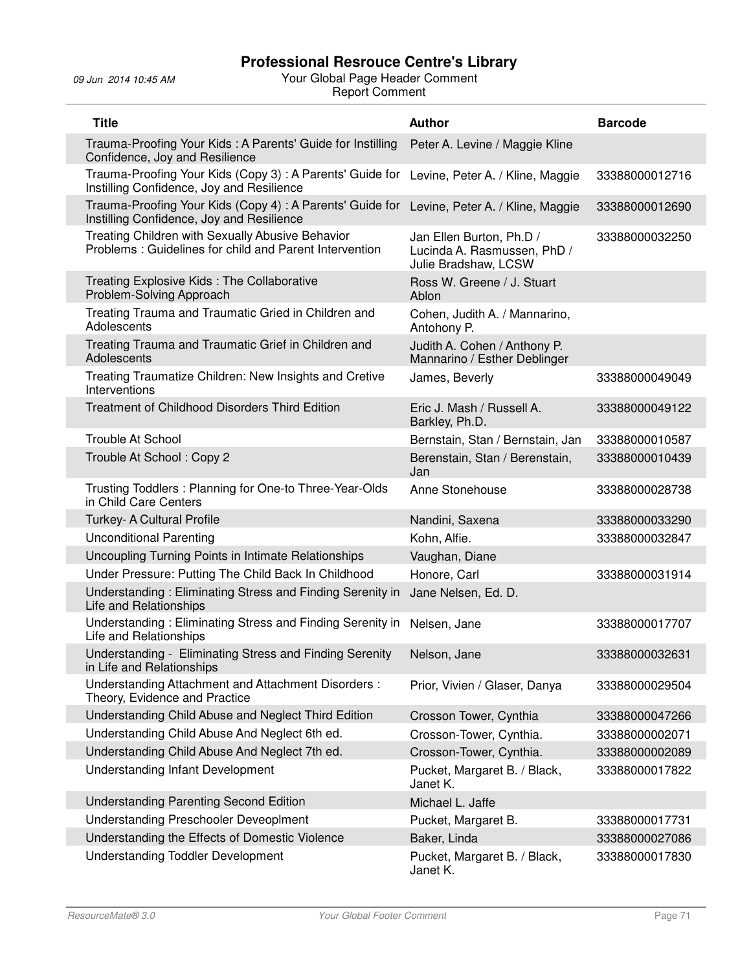| <b>Title</b>                                                                                               | <b>Author</b>                                                                   | <b>Barcode</b> |
|------------------------------------------------------------------------------------------------------------|---------------------------------------------------------------------------------|----------------|
| Trauma-Proofing Your Kids: A Parents' Guide for Instilling<br>Confidence, Joy and Resilience               | Peter A. Levine / Maggie Kline                                                  |                |
| Trauma-Proofing Your Kids (Copy 3): A Parents' Guide for<br>Instilling Confidence, Joy and Resilience      | Levine, Peter A. / Kline, Maggie                                                | 33388000012716 |
| Trauma-Proofing Your Kids (Copy 4) : A Parents' Guide for<br>Instilling Confidence, Joy and Resilience     | Levine, Peter A. / Kline, Maggie                                                | 33388000012690 |
| Treating Children with Sexually Abusive Behavior<br>Problems: Guidelines for child and Parent Intervention | Jan Ellen Burton, Ph.D /<br>Lucinda A. Rasmussen, PhD /<br>Julie Bradshaw, LCSW | 33388000032250 |
| Treating Explosive Kids: The Collaborative<br>Problem-Solving Approach                                     | Ross W. Greene / J. Stuart<br>Ablon                                             |                |
| Treating Trauma and Traumatic Gried in Children and<br>Adolescents                                         | Cohen, Judith A. / Mannarino,<br>Antohony P.                                    |                |
| Treating Trauma and Traumatic Grief in Children and<br>Adolescents                                         | Judith A. Cohen / Anthony P.<br>Mannarino / Esther Deblinger                    |                |
| Treating Traumatize Children: New Insights and Cretive<br>Interventions                                    | James, Beverly                                                                  | 33388000049049 |
| Treatment of Childhood Disorders Third Edition                                                             | Eric J. Mash / Russell A.<br>Barkley, Ph.D.                                     | 33388000049122 |
| Trouble At School                                                                                          | Bernstain, Stan / Bernstain, Jan                                                | 33388000010587 |
| Trouble At School: Copy 2                                                                                  | Berenstain, Stan / Berenstain,<br>Jan                                           | 33388000010439 |
| Trusting Toddlers: Planning for One-to Three-Year-Olds<br>in Child Care Centers                            | Anne Stonehouse                                                                 | 33388000028738 |
| Turkey- A Cultural Profile                                                                                 | Nandini, Saxena                                                                 | 33388000033290 |
| <b>Unconditional Parenting</b>                                                                             | Kohn, Alfie.                                                                    | 33388000032847 |
| Uncoupling Turning Points in Intimate Relationships                                                        | Vaughan, Diane                                                                  |                |
| Under Pressure: Putting The Child Back In Childhood                                                        | Honore, Carl                                                                    | 33388000031914 |
| Understanding: Eliminating Stress and Finding Serenity in<br><b>Life and Relationships</b>                 | Jane Nelsen, Ed. D.                                                             |                |
| Understanding: Eliminating Stress and Finding Serenity in<br>Life and Relationships                        | Nelsen, Jane                                                                    | 33388000017707 |
| Understanding - Eliminating Stress and Finding Serenity<br>in Life and Relationships                       | Nelson, Jane                                                                    | 33388000032631 |
| Understanding Attachment and Attachment Disorders:<br>Theory, Evidence and Practice                        | Prior, Vivien / Glaser, Danya                                                   | 33388000029504 |
| Understanding Child Abuse and Neglect Third Edition                                                        | Crosson Tower, Cynthia                                                          | 33388000047266 |
| Understanding Child Abuse And Neglect 6th ed.                                                              | Crosson-Tower, Cynthia.                                                         | 33388000002071 |
| Understanding Child Abuse And Neglect 7th ed.                                                              | Crosson-Tower, Cynthia.                                                         | 33388000002089 |
| <b>Understanding Infant Development</b>                                                                    | Pucket, Margaret B. / Black,<br>Janet K.                                        | 33388000017822 |
| <b>Understanding Parenting Second Edition</b>                                                              | Michael L. Jaffe                                                                |                |
| Understanding Preschooler Deveoplment                                                                      | Pucket, Margaret B.                                                             | 33388000017731 |
| Understanding the Effects of Domestic Violence                                                             | Baker, Linda                                                                    | 33388000027086 |
| <b>Understanding Toddler Development</b>                                                                   | Pucket, Margaret B. / Black,<br>Janet K.                                        | 33388000017830 |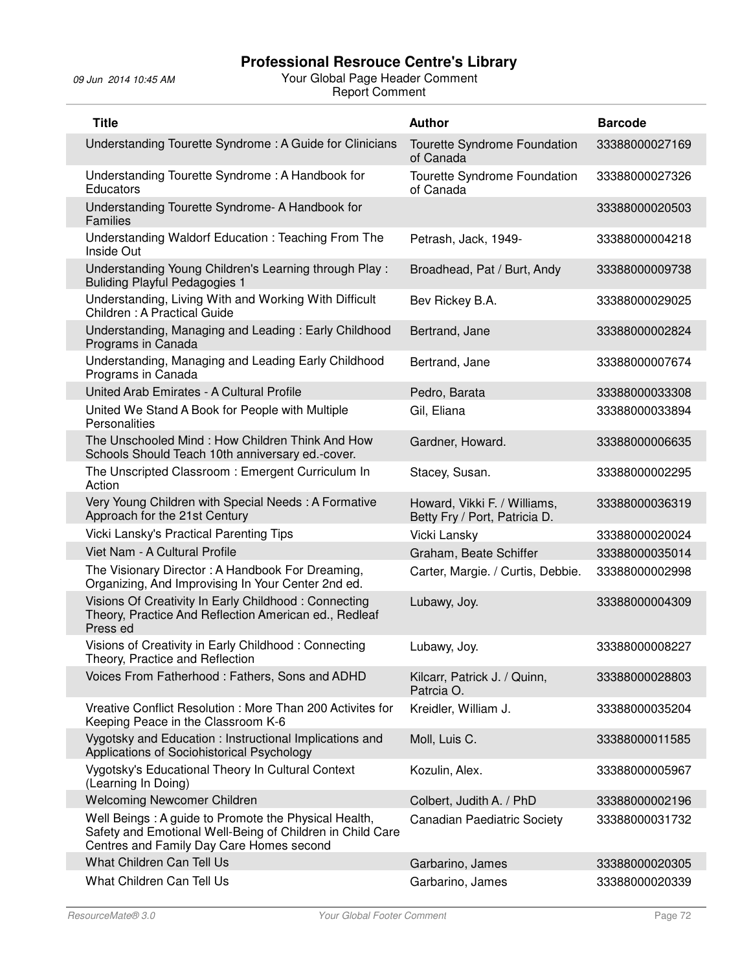| <b>Title</b>                                                                                                                                                  | <b>Author</b>                                                 | <b>Barcode</b> |
|---------------------------------------------------------------------------------------------------------------------------------------------------------------|---------------------------------------------------------------|----------------|
| Understanding Tourette Syndrome: A Guide for Clinicians                                                                                                       | Tourette Syndrome Foundation<br>of Canada                     | 33388000027169 |
| Understanding Tourette Syndrome: A Handbook for<br>Educators                                                                                                  | Tourette Syndrome Foundation<br>of Canada                     | 33388000027326 |
| Understanding Tourette Syndrome- A Handbook for<br><b>Families</b>                                                                                            |                                                               | 33388000020503 |
| Understanding Waldorf Education: Teaching From The<br>Inside Out                                                                                              | Petrash, Jack, 1949-                                          | 33388000004218 |
| Understanding Young Children's Learning through Play:<br><b>Buliding Playful Pedagogies 1</b>                                                                 | Broadhead, Pat / Burt, Andy                                   | 33388000009738 |
| Understanding, Living With and Working With Difficult<br>Children: A Practical Guide                                                                          | Bev Rickey B.A.                                               | 33388000029025 |
| Understanding, Managing and Leading: Early Childhood<br>Programs in Canada                                                                                    | Bertrand, Jane                                                | 33388000002824 |
| Understanding, Managing and Leading Early Childhood<br>Programs in Canada                                                                                     | Bertrand, Jane                                                | 33388000007674 |
| United Arab Emirates - A Cultural Profile                                                                                                                     | Pedro, Barata                                                 | 33388000033308 |
| United We Stand A Book for People with Multiple<br>Personalities                                                                                              | Gil, Eliana                                                   | 33388000033894 |
| The Unschooled Mind: How Children Think And How<br>Schools Should Teach 10th anniversary ed.-cover.                                                           | Gardner, Howard.                                              | 33388000006635 |
| The Unscripted Classroom: Emergent Curriculum In<br>Action                                                                                                    | Stacey, Susan.                                                | 33388000002295 |
| Very Young Children with Special Needs: A Formative<br>Approach for the 21st Century                                                                          | Howard, Vikki F. / Williams,<br>Betty Fry / Port, Patricia D. | 33388000036319 |
| Vicki Lansky's Practical Parenting Tips                                                                                                                       | Vicki Lansky                                                  | 33388000020024 |
| Viet Nam - A Cultural Profile                                                                                                                                 | Graham, Beate Schiffer                                        | 33388000035014 |
| The Visionary Director: A Handbook For Dreaming,<br>Organizing, And Improvising In Your Center 2nd ed.                                                        | Carter, Margie. / Curtis, Debbie.                             | 33388000002998 |
| Visions Of Creativity In Early Childhood: Connecting<br>Theory, Practice And Reflection American ed., Redleaf<br>Press ed                                     | Lubawy, Joy.                                                  | 33388000004309 |
| Visions of Creativity in Early Childhood: Connecting<br>Theory, Practice and Reflection                                                                       | Lubawy, Joy.                                                  | 33388000008227 |
| Voices From Fatherhood: Fathers, Sons and ADHD                                                                                                                | Kilcarr, Patrick J. / Quinn,<br>Patrcia O.                    | 33388000028803 |
| Vreative Conflict Resolution: More Than 200 Activites for<br>Keeping Peace in the Classroom K-6                                                               | Kreidler, William J.                                          | 33388000035204 |
| Vygotsky and Education : Instructional Implications and<br>Applications of Sociohistorical Psychology                                                         | Moll, Luis C.                                                 | 33388000011585 |
| Vygotsky's Educational Theory In Cultural Context<br>(Learning In Doing)                                                                                      | Kozulin, Alex.                                                | 33388000005967 |
| <b>Welcoming Newcomer Children</b>                                                                                                                            | Colbert, Judith A. / PhD                                      | 33388000002196 |
| Well Beings: A guide to Promote the Physical Health,<br>Safety and Emotional Well-Being of Children in Child Care<br>Centres and Family Day Care Homes second | <b>Canadian Paediatric Society</b>                            | 33388000031732 |
| What Children Can Tell Us                                                                                                                                     | Garbarino, James                                              | 33388000020305 |
| What Children Can Tell Us                                                                                                                                     | Garbarino, James                                              | 33388000020339 |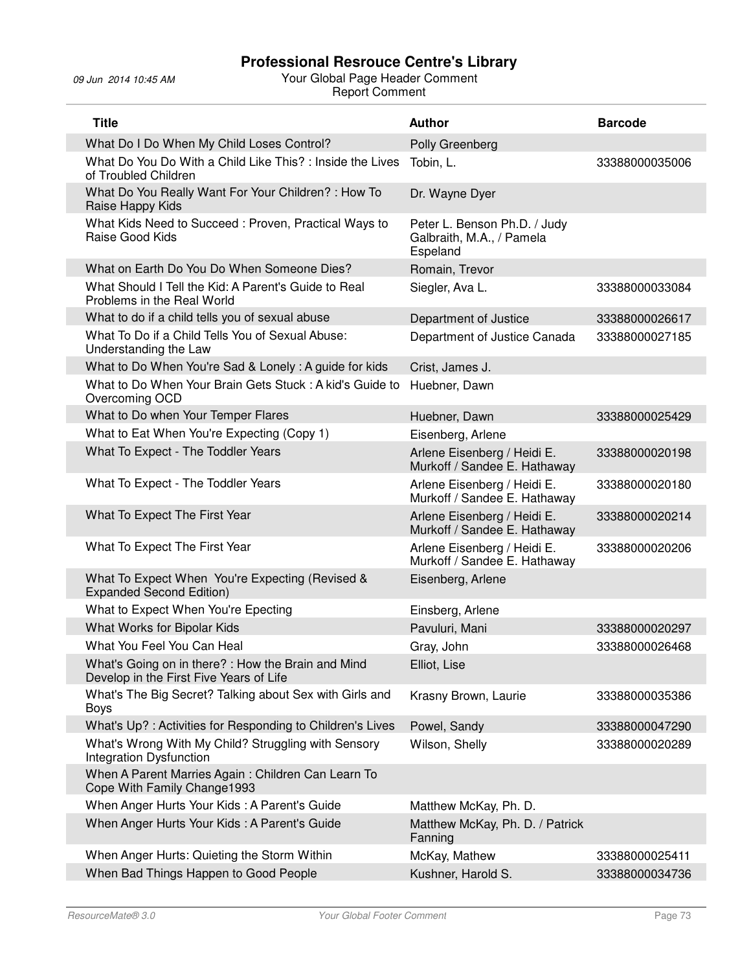| <b>Title</b>                                                                                  | <b>Author</b>                                                         | <b>Barcode</b> |
|-----------------------------------------------------------------------------------------------|-----------------------------------------------------------------------|----------------|
| What Do I Do When My Child Loses Control?                                                     | Polly Greenberg                                                       |                |
| What Do You Do With a Child Like This?: Inside the Lives<br>of Troubled Children              | Tobin, L.                                                             | 33388000035006 |
| What Do You Really Want For Your Children? : How To<br>Raise Happy Kids                       | Dr. Wayne Dyer                                                        |                |
| What Kids Need to Succeed : Proven, Practical Ways to<br>Raise Good Kids                      | Peter L. Benson Ph.D. / Judy<br>Galbraith, M.A., / Pamela<br>Espeland |                |
| What on Earth Do You Do When Someone Dies?                                                    | Romain, Trevor                                                        |                |
| What Should I Tell the Kid: A Parent's Guide to Real<br>Problems in the Real World            | Siegler, Ava L.                                                       | 33388000033084 |
| What to do if a child tells you of sexual abuse                                               | Department of Justice                                                 | 33388000026617 |
| What To Do if a Child Tells You of Sexual Abuse:<br>Understanding the Law                     | Department of Justice Canada                                          | 33388000027185 |
| What to Do When You're Sad & Lonely: A guide for kids                                         | Crist, James J.                                                       |                |
| What to Do When Your Brain Gets Stuck: A kid's Guide to<br>Overcoming OCD                     | Huebner, Dawn                                                         |                |
| What to Do when Your Temper Flares                                                            | Huebner, Dawn                                                         | 33388000025429 |
| What to Eat When You're Expecting (Copy 1)                                                    | Eisenberg, Arlene                                                     |                |
| What To Expect - The Toddler Years                                                            | Arlene Eisenberg / Heidi E.<br>Murkoff / Sandee E. Hathaway           | 33388000020198 |
| What To Expect - The Toddler Years                                                            | Arlene Eisenberg / Heidi E.<br>Murkoff / Sandee E. Hathaway           | 33388000020180 |
| What To Expect The First Year                                                                 | Arlene Eisenberg / Heidi E.<br>Murkoff / Sandee E. Hathaway           | 33388000020214 |
| What To Expect The First Year                                                                 | Arlene Eisenberg / Heidi E.<br>Murkoff / Sandee E. Hathaway           | 33388000020206 |
| What To Expect When You're Expecting (Revised &<br><b>Expanded Second Edition)</b>            | Eisenberg, Arlene                                                     |                |
| What to Expect When You're Epecting                                                           | Einsberg, Arlene                                                      |                |
| What Works for Bipolar Kids                                                                   | Pavuluri, Mani                                                        | 33388000020297 |
| What You Feel You Can Heal                                                                    | Gray, John                                                            | 33388000026468 |
| What's Going on in there? : How the Brain and Mind<br>Develop in the First Five Years of Life | Elliot, Lise                                                          |                |
| What's The Big Secret? Talking about Sex with Girls and<br>Boys                               | Krasny Brown, Laurie                                                  | 33388000035386 |
| What's Up?: Activities for Responding to Children's Lives                                     | Powel, Sandy                                                          | 33388000047290 |
| What's Wrong With My Child? Struggling with Sensory<br>Integration Dysfunction                | Wilson, Shelly                                                        | 33388000020289 |
| When A Parent Marries Again: Children Can Learn To<br>Cope With Family Change1993             |                                                                       |                |
| When Anger Hurts Your Kids: A Parent's Guide                                                  | Matthew McKay, Ph. D.                                                 |                |
| When Anger Hurts Your Kids: A Parent's Guide                                                  | Matthew McKay, Ph. D. / Patrick<br>Fanning                            |                |
| When Anger Hurts: Quieting the Storm Within                                                   | McKay, Mathew                                                         | 33388000025411 |
| When Bad Things Happen to Good People                                                         | Kushner, Harold S.                                                    | 33388000034736 |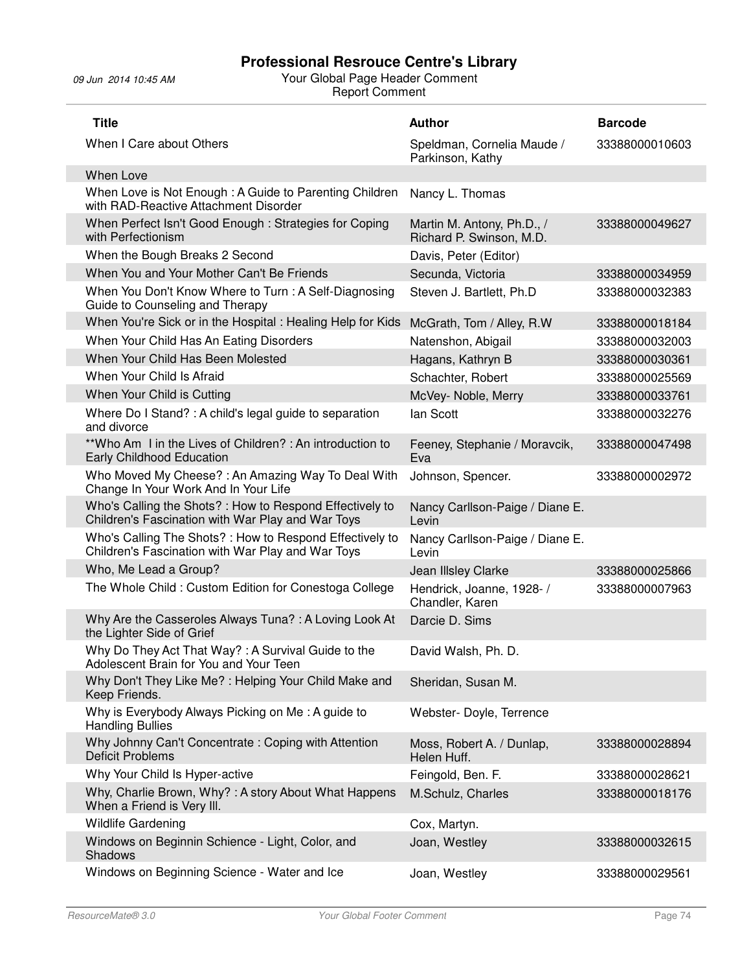| <b>Title</b>                                                                                                  | <b>Author</b>                                          | <b>Barcode</b> |
|---------------------------------------------------------------------------------------------------------------|--------------------------------------------------------|----------------|
| When I Care about Others                                                                                      | Speldman, Cornelia Maude /<br>Parkinson, Kathy         | 33388000010603 |
| When Love                                                                                                     |                                                        |                |
| When Love is Not Enough: A Guide to Parenting Children<br>with RAD-Reactive Attachment Disorder               | Nancy L. Thomas                                        |                |
| When Perfect Isn't Good Enough: Strategies for Coping<br>with Perfectionism                                   | Martin M. Antony, Ph.D., /<br>Richard P. Swinson, M.D. | 33388000049627 |
| When the Bough Breaks 2 Second                                                                                | Davis, Peter (Editor)                                  |                |
| When You and Your Mother Can't Be Friends                                                                     | Secunda, Victoria                                      | 33388000034959 |
| When You Don't Know Where to Turn: A Self-Diagnosing<br>Guide to Counseling and Therapy                       | Steven J. Bartlett, Ph.D                               | 33388000032383 |
| When You're Sick or in the Hospital : Healing Help for Kids                                                   | McGrath, Tom / Alley, R.W.                             | 33388000018184 |
| When Your Child Has An Eating Disorders                                                                       | Natenshon, Abigail                                     | 33388000032003 |
| When Your Child Has Been Molested                                                                             | Hagans, Kathryn B                                      | 33388000030361 |
| When Your Child Is Afraid                                                                                     | Schachter, Robert                                      | 33388000025569 |
| When Your Child is Cutting                                                                                    | McVey-Noble, Merry                                     | 33388000033761 |
| Where Do I Stand? : A child's legal guide to separation<br>and divorce                                        | lan Scott                                              | 33388000032276 |
| **Who Am I in the Lives of Children? : An introduction to<br>Early Childhood Education                        | Feeney, Stephanie / Moravcik,<br>Eva                   | 33388000047498 |
| Who Moved My Cheese?: An Amazing Way To Deal With<br>Change In Your Work And In Your Life                     | Johnson, Spencer.                                      | 33388000002972 |
| Who's Calling the Shots? : How to Respond Effectively to<br>Children's Fascination with War Play and War Toys | Nancy Carllson-Paige / Diane E.<br>Levin               |                |
| Who's Calling The Shots?: How to Respond Effectively to<br>Children's Fascination with War Play and War Toys  | Nancy Carllson-Paige / Diane E.<br>Levin               |                |
| Who, Me Lead a Group?                                                                                         | Jean Illsley Clarke                                    | 33388000025866 |
| The Whole Child: Custom Edition for Conestoga College                                                         | Hendrick, Joanne, 1928- /<br>Chandler, Karen           | 33388000007963 |
| Why Are the Casseroles Always Tuna?: A Loving Look At<br>the Lighter Side of Grief                            | Darcie D. Sims                                         |                |
| Why Do They Act That Way? : A Survival Guide to the<br>Adolescent Brain for You and Your Teen                 | David Walsh, Ph. D.                                    |                |
| Why Don't They Like Me?: Helping Your Child Make and<br>Keep Friends.                                         | Sheridan, Susan M.                                     |                |
| Why is Everybody Always Picking on Me: A guide to<br><b>Handling Bullies</b>                                  | Webster- Doyle, Terrence                               |                |
| Why Johnny Can't Concentrate: Coping with Attention<br><b>Deficit Problems</b>                                | Moss, Robert A. / Dunlap,<br>Helen Huff.               | 33388000028894 |
| Why Your Child Is Hyper-active                                                                                | Feingold, Ben. F.                                      | 33388000028621 |
| Why, Charlie Brown, Why?: A story About What Happens<br>When a Friend is Very III.                            | M.Schulz, Charles                                      | 33388000018176 |
| <b>Wildlife Gardening</b>                                                                                     | Cox, Martyn.                                           |                |
| Windows on Beginnin Schience - Light, Color, and<br>Shadows                                                   | Joan, Westley                                          | 33388000032615 |
| Windows on Beginning Science - Water and Ice                                                                  | Joan, Westley                                          | 33388000029561 |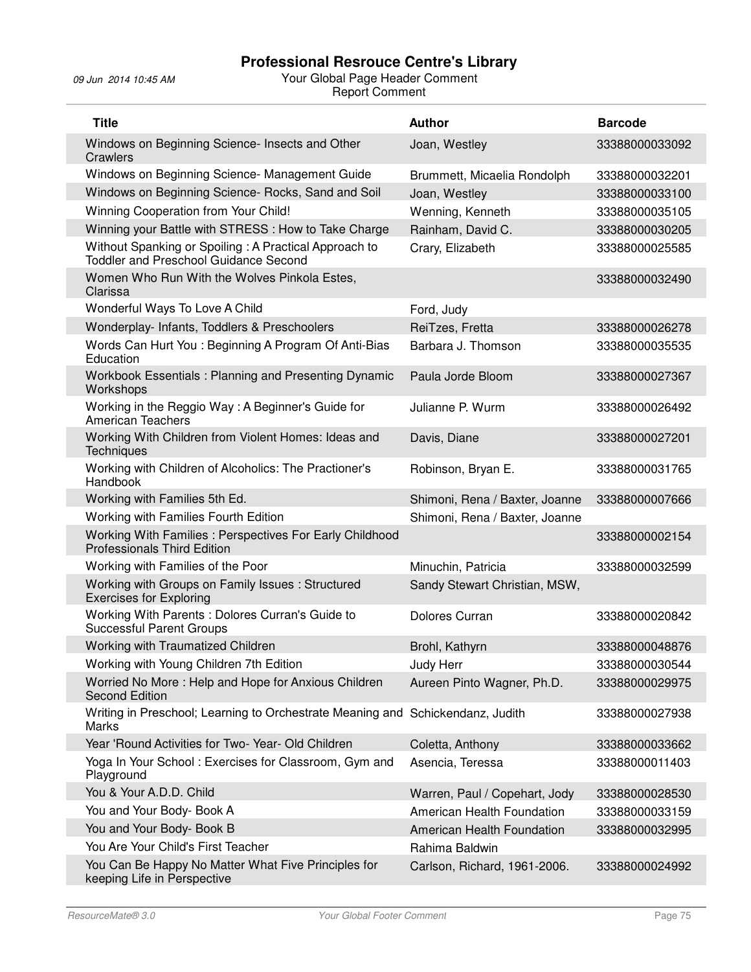| <b>Title</b>                                                                                          | <b>Author</b>                  | <b>Barcode</b> |
|-------------------------------------------------------------------------------------------------------|--------------------------------|----------------|
| Windows on Beginning Science- Insects and Other<br>Crawlers                                           | Joan, Westley                  | 33388000033092 |
| Windows on Beginning Science- Management Guide                                                        | Brummett, Micaelia Rondolph    | 33388000032201 |
| Windows on Beginning Science- Rocks, Sand and Soil                                                    | Joan, Westley                  | 33388000033100 |
| Winning Cooperation from Your Child!                                                                  | Wenning, Kenneth               | 33388000035105 |
| Winning your Battle with STRESS : How to Take Charge                                                  | Rainham, David C.              | 33388000030205 |
| Without Spanking or Spoiling: A Practical Approach to<br><b>Toddler and Preschool Guidance Second</b> | Crary, Elizabeth               | 33388000025585 |
| Women Who Run With the Wolves Pinkola Estes,<br>Clarissa                                              |                                | 33388000032490 |
| Wonderful Ways To Love A Child                                                                        | Ford, Judy                     |                |
| Wonderplay- Infants, Toddlers & Preschoolers                                                          | ReiTzes, Fretta                | 33388000026278 |
| Words Can Hurt You: Beginning A Program Of Anti-Bias<br>Education                                     | Barbara J. Thomson             | 33388000035535 |
| Workbook Essentials: Planning and Presenting Dynamic<br>Workshops                                     | Paula Jorde Bloom              | 33388000027367 |
| Working in the Reggio Way: A Beginner's Guide for<br><b>American Teachers</b>                         | Julianne P. Wurm               | 33388000026492 |
| Working With Children from Violent Homes: Ideas and<br><b>Techniques</b>                              | Davis, Diane                   | 33388000027201 |
| Working with Children of Alcoholics: The Practioner's<br>Handbook                                     | Robinson, Bryan E.             | 33388000031765 |
| Working with Families 5th Ed.                                                                         | Shimoni, Rena / Baxter, Joanne | 33388000007666 |
| Working with Families Fourth Edition                                                                  | Shimoni, Rena / Baxter, Joanne |                |
| Working With Families: Perspectives For Early Childhood<br><b>Professionals Third Edition</b>         |                                | 33388000002154 |
| Working with Families of the Poor                                                                     | Minuchin, Patricia             | 33388000032599 |
| Working with Groups on Family Issues: Structured<br><b>Exercises for Exploring</b>                    | Sandy Stewart Christian, MSW,  |                |
| Working With Parents: Dolores Curran's Guide to<br><b>Successful Parent Groups</b>                    | Dolores Curran                 | 33388000020842 |
| Working with Traumatized Children                                                                     | Brohl, Kathyrn                 | 33388000048876 |
| Working with Young Children 7th Edition                                                               | Judy Herr                      | 33388000030544 |
| Worried No More: Help and Hope for Anxious Children<br><b>Second Edition</b>                          | Aureen Pinto Wagner, Ph.D.     | 33388000029975 |
| Writing in Preschool; Learning to Orchestrate Meaning and Schickendanz, Judith<br>Marks               |                                | 33388000027938 |
| Year 'Round Activities for Two-Year-Old Children                                                      | Coletta, Anthony               | 33388000033662 |
| Yoga In Your School: Exercises for Classroom, Gym and<br>Playground                                   | Asencia, Teressa               | 33388000011403 |
| You & Your A.D.D. Child                                                                               | Warren, Paul / Copehart, Jody  | 33388000028530 |
| You and Your Body- Book A                                                                             | American Health Foundation     | 33388000033159 |
| You and Your Body- Book B                                                                             | American Health Foundation     | 33388000032995 |
| You Are Your Child's First Teacher                                                                    | Rahima Baldwin                 |                |
| You Can Be Happy No Matter What Five Principles for<br>keeping Life in Perspective                    | Carlson, Richard, 1961-2006.   | 33388000024992 |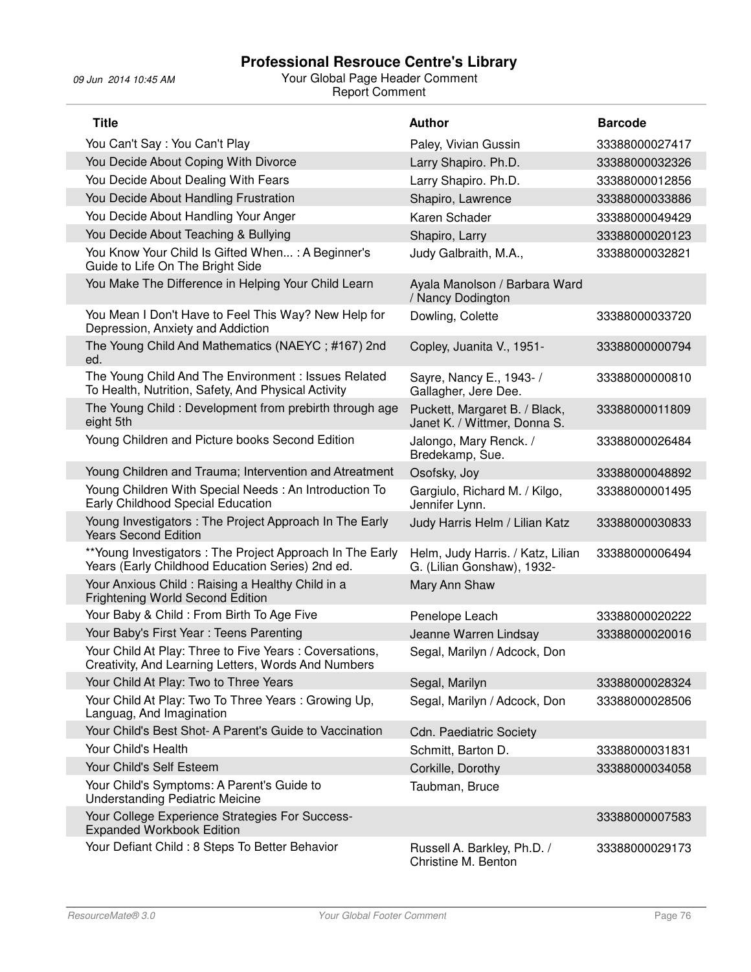| <b>Title</b>                                                                                                   | <b>Author</b>                                                   | <b>Barcode</b> |
|----------------------------------------------------------------------------------------------------------------|-----------------------------------------------------------------|----------------|
| You Can't Say: You Can't Play                                                                                  | Paley, Vivian Gussin                                            | 33388000027417 |
| You Decide About Coping With Divorce                                                                           | Larry Shapiro. Ph.D.                                            | 33388000032326 |
| You Decide About Dealing With Fears                                                                            | Larry Shapiro. Ph.D.                                            | 33388000012856 |
| You Decide About Handling Frustration                                                                          | Shapiro, Lawrence                                               | 33388000033886 |
| You Decide About Handling Your Anger                                                                           | Karen Schader                                                   | 33388000049429 |
| You Decide About Teaching & Bullying                                                                           | Shapiro, Larry                                                  | 33388000020123 |
| You Know Your Child Is Gifted When: A Beginner's<br>Guide to Life On The Bright Side                           | Judy Galbraith, M.A.,                                           | 33388000032821 |
| You Make The Difference in Helping Your Child Learn                                                            | Ayala Manolson / Barbara Ward<br>/ Nancy Dodington              |                |
| You Mean I Don't Have to Feel This Way? New Help for<br>Depression, Anxiety and Addiction                      | Dowling, Colette                                                | 33388000033720 |
| The Young Child And Mathematics (NAEYC; #167) 2nd<br>ed.                                                       | Copley, Juanita V., 1951-                                       | 33388000000794 |
| The Young Child And The Environment : Issues Related<br>To Health, Nutrition, Safety, And Physical Activity    | Sayre, Nancy E., 1943- /<br>Gallagher, Jere Dee.                | 33388000000810 |
| The Young Child: Development from prebirth through age<br>eight 5th                                            | Puckett, Margaret B. / Black,<br>Janet K. / Wittmer, Donna S.   | 33388000011809 |
| Young Children and Picture books Second Edition                                                                | Jalongo, Mary Renck. /<br>Bredekamp, Sue.                       | 33388000026484 |
| Young Children and Trauma; Intervention and Atreatment                                                         | Osofsky, Joy                                                    | 33388000048892 |
| Young Children With Special Needs: An Introduction To<br>Early Childhood Special Education                     | Gargiulo, Richard M. / Kilgo,<br>Jennifer Lynn.                 | 33388000001495 |
| Young Investigators : The Project Approach In The Early<br><b>Years Second Edition</b>                         | Judy Harris Helm / Lilian Katz                                  | 33388000030833 |
| ** Young Investigators : The Project Approach In The Early<br>Years (Early Childhood Education Series) 2nd ed. | Helm, Judy Harris. / Katz, Lilian<br>G. (Lilian Gonshaw), 1932- | 33388000006494 |
| Your Anxious Child: Raising a Healthy Child in a<br>Frightening World Second Edition                           | Mary Ann Shaw                                                   |                |
| Your Baby & Child: From Birth To Age Five                                                                      | Penelope Leach                                                  | 33388000020222 |
| Your Baby's First Year: Teens Parenting                                                                        | Jeanne Warren Lindsay                                           | 33388000020016 |
| Your Child At Play: Three to Five Years: Coversations,<br>Creativity, And Learning Letters, Words And Numbers  | Segal, Marilyn / Adcock, Don                                    |                |
| Your Child At Play: Two to Three Years                                                                         | Segal, Marilyn                                                  | 33388000028324 |
| Your Child At Play: Two To Three Years: Growing Up,<br>Languag, And Imagination                                | Segal, Marilyn / Adcock, Don                                    | 33388000028506 |
| Your Child's Best Shot- A Parent's Guide to Vaccination                                                        | <b>Cdn. Paediatric Society</b>                                  |                |
| Your Child's Health                                                                                            | Schmitt, Barton D.                                              | 33388000031831 |
| Your Child's Self Esteem                                                                                       | Corkille, Dorothy                                               | 33388000034058 |
| Your Child's Symptoms: A Parent's Guide to<br><b>Understanding Pediatric Meicine</b>                           | Taubman, Bruce                                                  |                |
| Your College Experience Strategies For Success-<br><b>Expanded Workbook Edition</b>                            |                                                                 | 33388000007583 |
| Your Defiant Child: 8 Steps To Better Behavior                                                                 | Russell A. Barkley, Ph.D. /<br>Christine M. Benton              | 33388000029173 |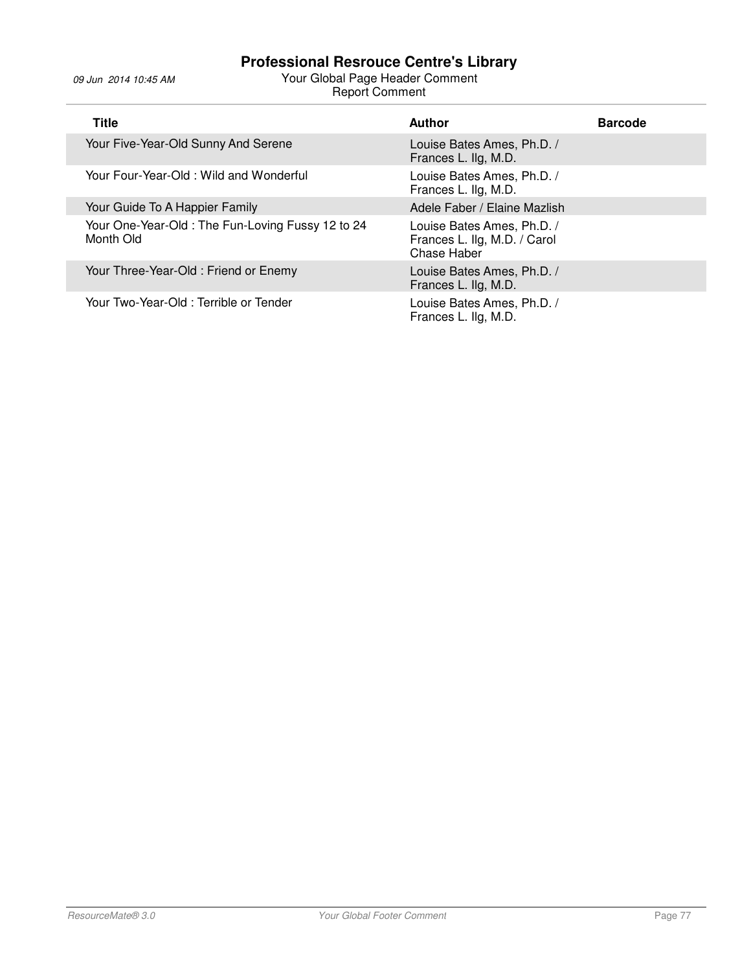| <b>Title</b>                                                  | <b>Author</b>                                                             | <b>Barcode</b> |
|---------------------------------------------------------------|---------------------------------------------------------------------------|----------------|
| Your Five-Year-Old Sunny And Serene                           | Louise Bates Ames, Ph.D. /<br>Frances L. Ilg, M.D.                        |                |
| Your Four-Year-Old: Wild and Wonderful                        | Louise Bates Ames, Ph.D. /<br>Frances L. Ilg, M.D.                        |                |
| Your Guide To A Happier Family                                | Adele Faber / Elaine Mazlish                                              |                |
| Your One-Year-Old: The Fun-Loving Fussy 12 to 24<br>Month Old | Louise Bates Ames, Ph.D. /<br>Frances L. Ilg, M.D. / Carol<br>Chase Haber |                |
| Your Three-Year-Old: Friend or Enemy                          | Louise Bates Ames, Ph.D. /<br>Frances L. Ilg, M.D.                        |                |
| Your Two-Year-Old: Terrible or Tender                         | Louise Bates Ames, Ph.D. /<br>Frances L. Ilg, M.D.                        |                |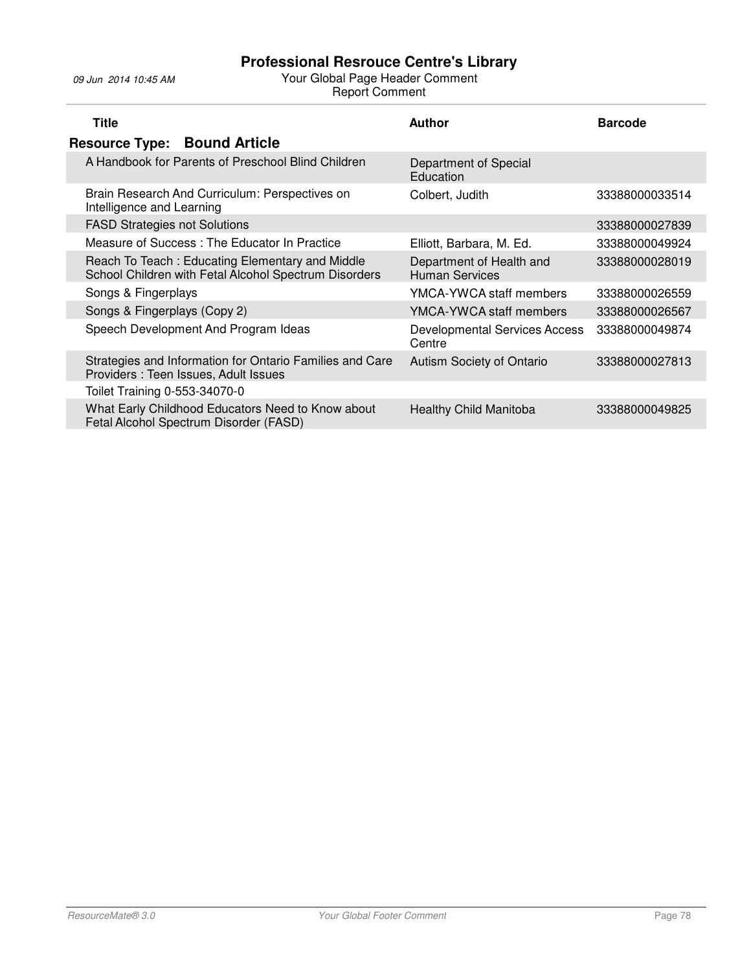| <b>Title</b>                                                                                             | Author                                            | <b>Barcode</b> |
|----------------------------------------------------------------------------------------------------------|---------------------------------------------------|----------------|
| <b>Resource Type: Bound Article</b>                                                                      |                                                   |                |
| A Handbook for Parents of Preschool Blind Children                                                       | Department of Special<br>Education                |                |
| Brain Research And Curriculum: Perspectives on<br>Intelligence and Learning                              | Colbert, Judith                                   | 33388000033514 |
| <b>FASD Strategies not Solutions</b>                                                                     |                                                   | 33388000027839 |
| Measure of Success: The Educator In Practice                                                             | Elliott, Barbara, M. Ed.                          | 33388000049924 |
| Reach To Teach: Educating Elementary and Middle<br>School Children with Fetal Alcohol Spectrum Disorders | Department of Health and<br><b>Human Services</b> | 33388000028019 |
| Songs & Fingerplays                                                                                      | YMCA-YWCA staff members                           | 33388000026559 |
| Songs & Fingerplays (Copy 2)                                                                             | YMCA-YWCA staff members                           | 33388000026567 |
| Speech Development And Program Ideas                                                                     | <b>Developmental Services Access</b><br>Centre    | 33388000049874 |
| Strategies and Information for Ontario Families and Care<br>Providers: Teen Issues, Adult Issues         | Autism Society of Ontario                         | 33388000027813 |
| Toilet Training 0-553-34070-0                                                                            |                                                   |                |
| What Early Childhood Educators Need to Know about<br>Fetal Alcohol Spectrum Disorder (FASD)              | <b>Healthy Child Manitoba</b>                     | 33388000049825 |
|                                                                                                          |                                                   |                |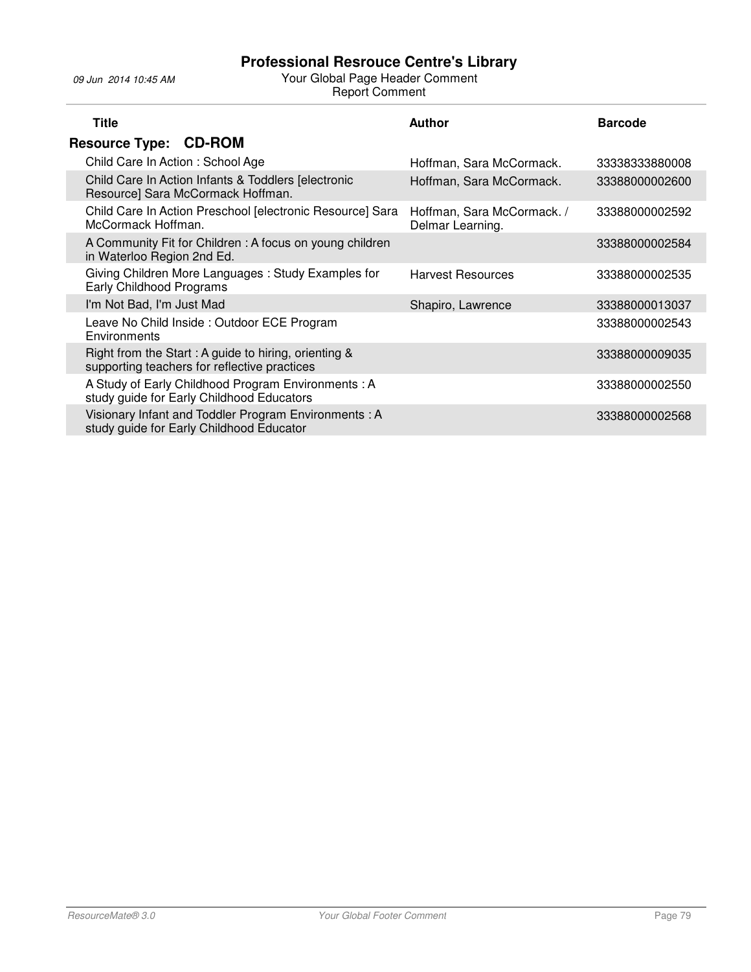| <b>Title</b>                                                                                             | <b>Author</b>                                  | <b>Barcode</b> |
|----------------------------------------------------------------------------------------------------------|------------------------------------------------|----------------|
| <b>Resource Type: CD-ROM</b>                                                                             |                                                |                |
| Child Care In Action: School Age                                                                         | Hoffman, Sara McCormack.                       | 33338333880008 |
| Child Care In Action Infants & Toddlers [electronic<br>Resource] Sara McCormack Hoffman.                 | Hoffman, Sara McCormack.                       | 33388000002600 |
| Child Care In Action Preschool [electronic Resource] Sara<br>McCormack Hoffman.                          | Hoffman, Sara McCormack. /<br>Delmar Learning. | 33388000002592 |
| A Community Fit for Children: A focus on young children<br>in Waterloo Region 2nd Ed.                    |                                                | 33388000002584 |
| Giving Children More Languages: Study Examples for<br>Early Childhood Programs                           | <b>Harvest Resources</b>                       | 33388000002535 |
| I'm Not Bad, I'm Just Mad                                                                                | Shapiro, Lawrence                              | 33388000013037 |
| Leave No Child Inside: Outdoor ECE Program<br>Environments                                               |                                                | 33388000002543 |
| Right from the Start : A guide to hiring, orienting $\&$<br>supporting teachers for reflective practices |                                                | 33388000009035 |
| A Study of Early Childhood Program Environments: A<br>study guide for Early Childhood Educators          |                                                | 33388000002550 |
| Visionary Infant and Toddler Program Environments: A<br>study guide for Early Childhood Educator         |                                                | 33388000002568 |
|                                                                                                          |                                                |                |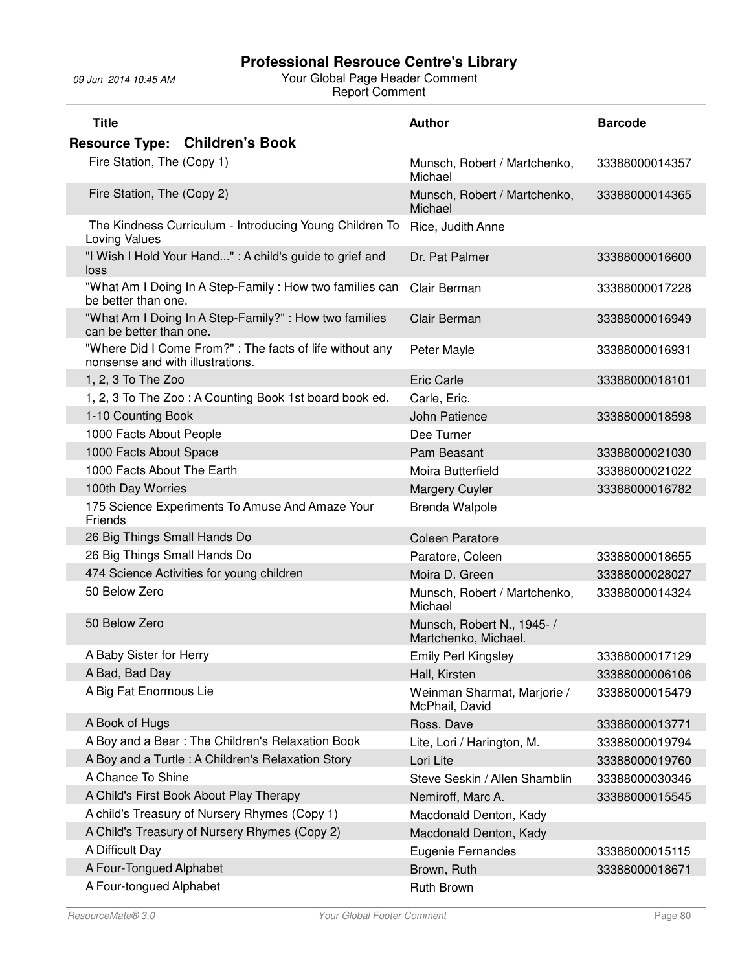| <b>Title</b>                                                                                | <b>Author</b>                                     | <b>Barcode</b> |
|---------------------------------------------------------------------------------------------|---------------------------------------------------|----------------|
| <b>Resource Type: Children's Book</b>                                                       |                                                   |                |
| Fire Station, The (Copy 1)                                                                  | Munsch, Robert / Martchenko,<br>Michael           | 33388000014357 |
| Fire Station, The (Copy 2)                                                                  | Munsch, Robert / Martchenko,<br>Michael           | 33388000014365 |
| The Kindness Curriculum - Introducing Young Children To<br>Loving Values                    | Rice, Judith Anne                                 |                |
| "I Wish I Hold Your Hand" : A child's guide to grief and<br>loss                            | Dr. Pat Palmer                                    | 33388000016600 |
| "What Am I Doing In A Step-Family: How two families can<br>be better than one.              | Clair Berman                                      | 33388000017228 |
| "What Am I Doing In A Step-Family?" : How two families<br>can be better than one.           | Clair Berman                                      | 33388000016949 |
| "Where Did I Come From?": The facts of life without any<br>nonsense and with illustrations. | Peter Mayle                                       | 33388000016931 |
| 1, 2, 3 To The Zoo                                                                          | <b>Eric Carle</b>                                 | 33388000018101 |
| 1, 2, 3 To The Zoo: A Counting Book 1st board book ed.                                      | Carle, Eric.                                      |                |
| 1-10 Counting Book                                                                          | John Patience                                     | 33388000018598 |
| 1000 Facts About People                                                                     | Dee Turner                                        |                |
| 1000 Facts About Space                                                                      | Pam Beasant                                       | 33388000021030 |
| 1000 Facts About The Earth                                                                  | Moira Butterfield                                 | 33388000021022 |
| 100th Day Worries                                                                           | <b>Margery Cuyler</b>                             | 33388000016782 |
| 175 Science Experiments To Amuse And Amaze Your<br>Friends                                  | <b>Brenda Walpole</b>                             |                |
| 26 Big Things Small Hands Do                                                                | <b>Coleen Paratore</b>                            |                |
| 26 Big Things Small Hands Do                                                                | Paratore, Coleen                                  | 33388000018655 |
| 474 Science Activities for young children                                                   | Moira D. Green                                    | 33388000028027 |
| 50 Below Zero                                                                               | Munsch, Robert / Martchenko,<br>Michael           | 33388000014324 |
| 50 Below Zero                                                                               | Munsch, Robert N., 1945-/<br>Martchenko, Michael. |                |
| A Baby Sister for Herry                                                                     | <b>Emily Perl Kingsley</b>                        | 33388000017129 |
| A Bad, Bad Day                                                                              | Hall, Kirsten                                     | 33388000006106 |
| A Big Fat Enormous Lie                                                                      | Weinman Sharmat, Marjorie /<br>McPhail, David     | 33388000015479 |
| A Book of Hugs                                                                              | Ross, Dave                                        | 33388000013771 |
| A Boy and a Bear: The Children's Relaxation Book                                            | Lite, Lori / Harington, M.                        | 33388000019794 |
| A Boy and a Turtle: A Children's Relaxation Story                                           | Lori Lite                                         | 33388000019760 |
| A Chance To Shine                                                                           | Steve Seskin / Allen Shamblin                     | 33388000030346 |
| A Child's First Book About Play Therapy                                                     | Nemiroff, Marc A.                                 | 33388000015545 |
| A child's Treasury of Nursery Rhymes (Copy 1)                                               | Macdonald Denton, Kady                            |                |
| A Child's Treasury of Nursery Rhymes (Copy 2)                                               | Macdonald Denton, Kady                            |                |
| A Difficult Day                                                                             | Eugenie Fernandes                                 | 33388000015115 |
| A Four-Tongued Alphabet                                                                     | Brown, Ruth                                       | 33388000018671 |
| A Four-tongued Alphabet                                                                     | Ruth Brown                                        |                |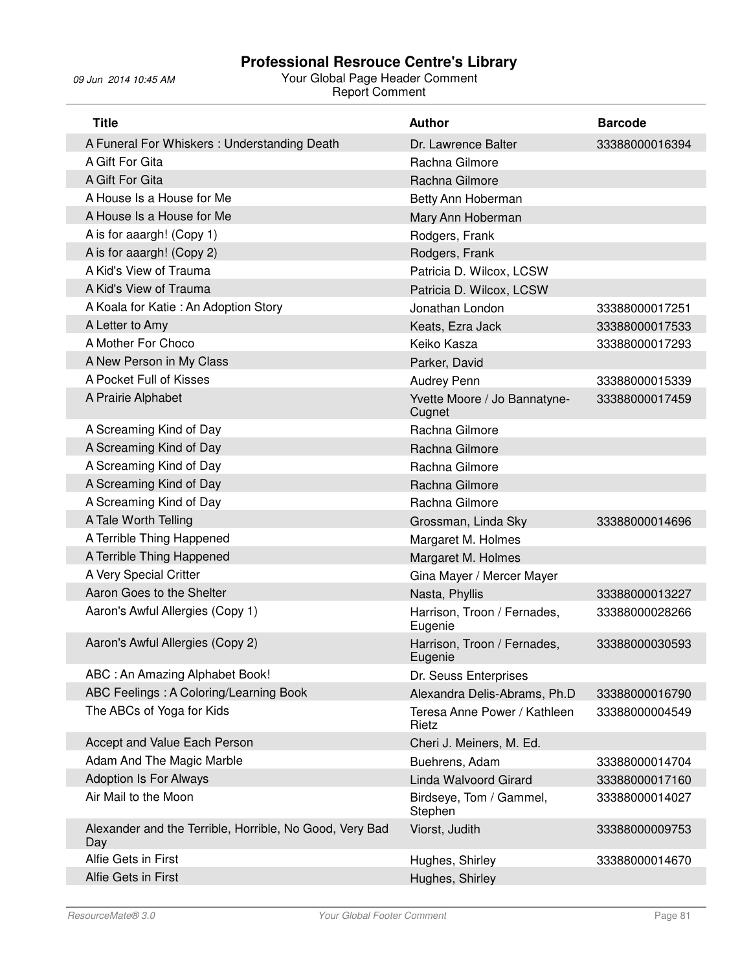| <b>Title</b>                                                   | <b>Author</b>                          | <b>Barcode</b> |
|----------------------------------------------------------------|----------------------------------------|----------------|
| A Funeral For Whiskers: Understanding Death                    | Dr. Lawrence Balter                    | 33388000016394 |
| A Gift For Gita                                                | Rachna Gilmore                         |                |
| A Gift For Gita                                                | Rachna Gilmore                         |                |
| A House Is a House for Me                                      | Betty Ann Hoberman                     |                |
| A House Is a House for Me                                      | Mary Ann Hoberman                      |                |
| A is for aaargh! (Copy 1)                                      | Rodgers, Frank                         |                |
| A is for aaargh! (Copy 2)                                      | Rodgers, Frank                         |                |
| A Kid's View of Trauma                                         | Patricia D. Wilcox, LCSW               |                |
| A Kid's View of Trauma                                         | Patricia D. Wilcox, LCSW               |                |
| A Koala for Katie: An Adoption Story                           | Jonathan London                        | 33388000017251 |
| A Letter to Amy                                                | Keats, Ezra Jack                       | 33388000017533 |
| A Mother For Choco                                             | Keiko Kasza                            | 33388000017293 |
| A New Person in My Class                                       | Parker, David                          |                |
| A Pocket Full of Kisses                                        | Audrey Penn                            | 33388000015339 |
| A Prairie Alphabet                                             | Yvette Moore / Jo Bannatyne-<br>Cugnet | 33388000017459 |
| A Screaming Kind of Day                                        | Rachna Gilmore                         |                |
| A Screaming Kind of Day                                        | Rachna Gilmore                         |                |
| A Screaming Kind of Day                                        | Rachna Gilmore                         |                |
| A Screaming Kind of Day                                        | Rachna Gilmore                         |                |
| A Screaming Kind of Day                                        | Rachna Gilmore                         |                |
| A Tale Worth Telling                                           | Grossman, Linda Sky                    | 33388000014696 |
| A Terrible Thing Happened                                      | Margaret M. Holmes                     |                |
| A Terrible Thing Happened                                      | Margaret M. Holmes                     |                |
| A Very Special Critter                                         | Gina Mayer / Mercer Mayer              |                |
| Aaron Goes to the Shelter                                      | Nasta, Phyllis                         | 33388000013227 |
| Aaron's Awful Allergies (Copy 1)                               | Harrison, Troon / Fernades,<br>Eugenie | 33388000028266 |
| Aaron's Awful Allergies (Copy 2)                               | Harrison, Troon / Fernades,<br>Eugenie | 33388000030593 |
| ABC: An Amazing Alphabet Book!                                 | Dr. Seuss Enterprises                  |                |
| ABC Feelings: A Coloring/Learning Book                         | Alexandra Delis-Abrams, Ph.D           | 33388000016790 |
| The ABCs of Yoga for Kids                                      | Teresa Anne Power / Kathleen<br>Rietz  | 33388000004549 |
| Accept and Value Each Person                                   | Cheri J. Meiners, M. Ed.               |                |
| Adam And The Magic Marble                                      | Buehrens, Adam                         | 33388000014704 |
| <b>Adoption Is For Always</b>                                  | Linda Walvoord Girard                  | 33388000017160 |
| Air Mail to the Moon                                           | Birdseye, Tom / Gammel,<br>Stephen     | 33388000014027 |
| Alexander and the Terrible, Horrible, No Good, Very Bad<br>Day | Viorst, Judith                         | 33388000009753 |
| Alfie Gets in First                                            | Hughes, Shirley                        | 33388000014670 |
| Alfie Gets in First                                            | Hughes, Shirley                        |                |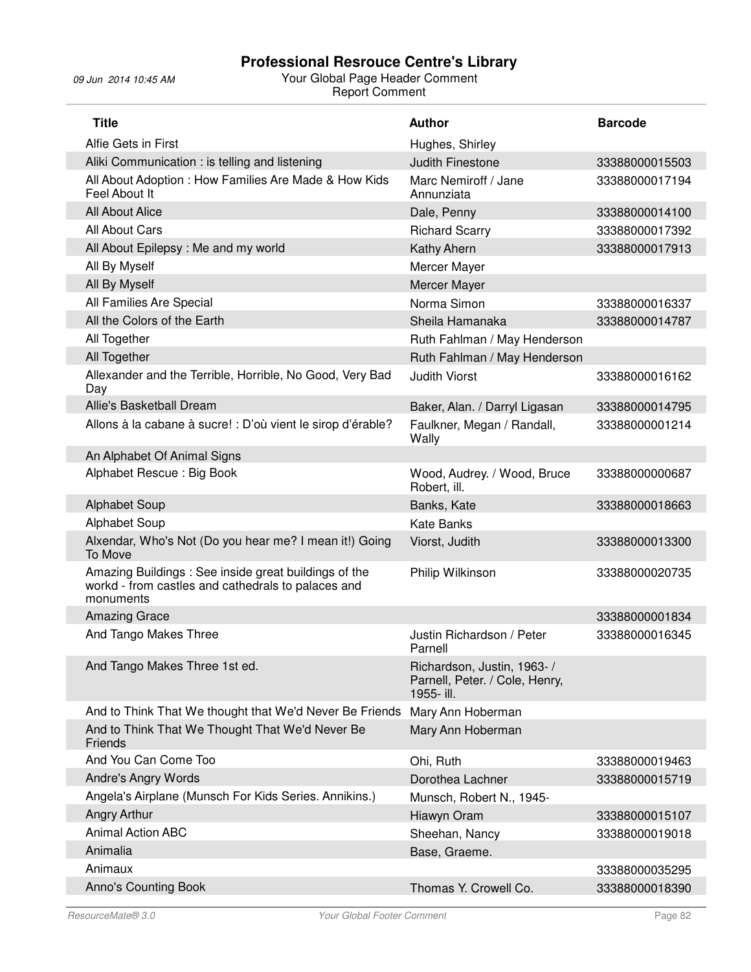| <b>Title</b>                                                                                                            | <b>Author</b>                                                               | <b>Barcode</b> |
|-------------------------------------------------------------------------------------------------------------------------|-----------------------------------------------------------------------------|----------------|
| Alfie Gets in First                                                                                                     | Hughes, Shirley                                                             |                |
| Aliki Communication : is telling and listening                                                                          | <b>Judith Finestone</b>                                                     | 33388000015503 |
| All About Adoption : How Families Are Made & How Kids<br>Feel About It                                                  | Marc Nemiroff / Jane<br>Annunziata                                          | 33388000017194 |
| <b>All About Alice</b>                                                                                                  | Dale, Penny                                                                 | 33388000014100 |
| All About Cars                                                                                                          | <b>Richard Scarry</b>                                                       | 33388000017392 |
| All About Epilepsy: Me and my world                                                                                     | Kathy Ahern                                                                 | 33388000017913 |
| All By Myself                                                                                                           | Mercer Mayer                                                                |                |
| All By Myself                                                                                                           | Mercer Mayer                                                                |                |
| All Families Are Special                                                                                                | Norma Simon                                                                 | 33388000016337 |
| All the Colors of the Earth                                                                                             | Sheila Hamanaka                                                             | 33388000014787 |
| All Together                                                                                                            | Ruth Fahlman / May Henderson                                                |                |
| All Together                                                                                                            | Ruth Fahlman / May Henderson                                                |                |
| Allexander and the Terrible, Horrible, No Good, Very Bad<br>Day                                                         | <b>Judith Viorst</b>                                                        | 33388000016162 |
| <b>Allie's Basketball Dream</b>                                                                                         | Baker, Alan. / Darryl Ligasan                                               | 33388000014795 |
| Allons à la cabane à sucre! : D'où vient le sirop d'érable?                                                             | Faulkner, Megan / Randall,<br>Wally                                         | 33388000001214 |
| An Alphabet Of Animal Signs                                                                                             |                                                                             |                |
| Alphabet Rescue: Big Book                                                                                               | Wood, Audrey. / Wood, Bruce<br>Robert, ill.                                 | 33388000000687 |
| <b>Alphabet Soup</b>                                                                                                    | Banks, Kate                                                                 | 33388000018663 |
| Alphabet Soup                                                                                                           | <b>Kate Banks</b>                                                           |                |
| Alxendar, Who's Not (Do you hear me? I mean it!) Going<br>To Move                                                       | Viorst, Judith                                                              | 33388000013300 |
| Amazing Buildings: See inside great buildings of the<br>workd - from castles and cathedrals to palaces and<br>monuments | Philip Wilkinson                                                            | 33388000020735 |
| <b>Amazing Grace</b>                                                                                                    |                                                                             | 33388000001834 |
| And Tango Makes Three                                                                                                   | Justin Richardson / Peter<br>Parnell                                        | 33388000016345 |
| And Tango Makes Three 1st ed.                                                                                           | Richardson, Justin, 1963- /<br>Parnell, Peter. / Cole, Henry,<br>1955- ill. |                |
| And to Think That We thought that We'd Never Be Friends                                                                 | Mary Ann Hoberman                                                           |                |
| And to Think That We Thought That We'd Never Be<br>Friends                                                              | Mary Ann Hoberman                                                           |                |
| And You Can Come Too                                                                                                    | Ohi, Ruth                                                                   | 33388000019463 |
| Andre's Angry Words                                                                                                     | Dorothea Lachner                                                            | 33388000015719 |
| Angela's Airplane (Munsch For Kids Series. Annikins.)                                                                   | Munsch, Robert N., 1945-                                                    |                |
| Angry Arthur                                                                                                            | Hiawyn Oram                                                                 | 33388000015107 |
| <b>Animal Action ABC</b>                                                                                                | Sheehan, Nancy                                                              | 33388000019018 |
| Animalia                                                                                                                | Base, Graeme.                                                               |                |
| Animaux                                                                                                                 |                                                                             | 33388000035295 |
| <b>Anno's Counting Book</b>                                                                                             | Thomas Y. Crowell Co.                                                       | 33388000018390 |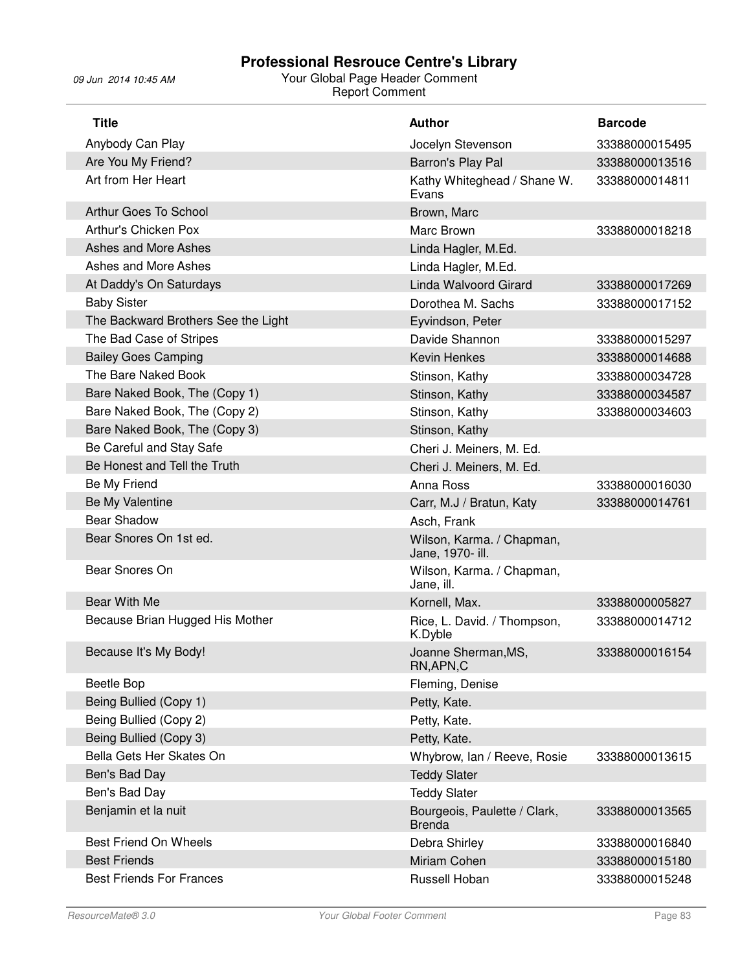| <b>Title</b>                        | <b>Author</b>                                 | <b>Barcode</b> |
|-------------------------------------|-----------------------------------------------|----------------|
| Anybody Can Play                    | Jocelyn Stevenson                             | 33388000015495 |
| Are You My Friend?                  | Barron's Play Pal                             | 33388000013516 |
| Art from Her Heart                  | Kathy Whiteghead / Shane W.<br>Evans          | 33388000014811 |
| Arthur Goes To School               | Brown, Marc                                   |                |
| Arthur's Chicken Pox                | Marc Brown                                    | 33388000018218 |
| Ashes and More Ashes                | Linda Hagler, M.Ed.                           |                |
| Ashes and More Ashes                | Linda Hagler, M.Ed.                           |                |
| At Daddy's On Saturdays             | Linda Walvoord Girard                         | 33388000017269 |
| <b>Baby Sister</b>                  | Dorothea M. Sachs                             | 33388000017152 |
| The Backward Brothers See the Light | Eyvindson, Peter                              |                |
| The Bad Case of Stripes             | Davide Shannon                                | 33388000015297 |
| <b>Bailey Goes Camping</b>          | <b>Kevin Henkes</b>                           | 33388000014688 |
| The Bare Naked Book                 | Stinson, Kathy                                | 33388000034728 |
| Bare Naked Book, The (Copy 1)       | Stinson, Kathy                                | 33388000034587 |
| Bare Naked Book, The (Copy 2)       | Stinson, Kathy                                | 33388000034603 |
| Bare Naked Book, The (Copy 3)       | Stinson, Kathy                                |                |
| Be Careful and Stay Safe            | Cheri J. Meiners, M. Ed.                      |                |
| Be Honest and Tell the Truth        | Cheri J. Meiners, M. Ed.                      |                |
| Be My Friend                        | Anna Ross                                     | 33388000016030 |
| Be My Valentine                     | Carr, M.J / Bratun, Katy                      | 33388000014761 |
| <b>Bear Shadow</b>                  | Asch, Frank                                   |                |
| Bear Snores On 1st ed.              | Wilson, Karma. / Chapman,<br>Jane, 1970- ill. |                |
| Bear Snores On                      | Wilson, Karma. / Chapman,<br>Jane, ill.       |                |
| Bear With Me                        | Kornell, Max.                                 | 33388000005827 |
| Because Brian Hugged His Mother     | Rice, L. David. / Thompson,<br>K.Dyble        | 33388000014712 |
| Because It's My Body!               | Joanne Sherman, MS,<br>RN, APN, C             | 33388000016154 |
| <b>Beetle Bop</b>                   | Fleming, Denise                               |                |
| Being Bullied (Copy 1)              | Petty, Kate.                                  |                |
| Being Bullied (Copy 2)              | Petty, Kate.                                  |                |
| Being Bullied (Copy 3)              | Petty, Kate.                                  |                |
| Bella Gets Her Skates On            | Whybrow, Ian / Reeve, Rosie                   | 33388000013615 |
| Ben's Bad Day                       | <b>Teddy Slater</b>                           |                |
| Ben's Bad Day                       | <b>Teddy Slater</b>                           |                |
| Benjamin et la nuit                 | Bourgeois, Paulette / Clark,<br><b>Brenda</b> | 33388000013565 |
| <b>Best Friend On Wheels</b>        | Debra Shirley                                 | 33388000016840 |
| <b>Best Friends</b>                 | Miriam Cohen                                  | 33388000015180 |
| <b>Best Friends For Frances</b>     | Russell Hoban                                 | 33388000015248 |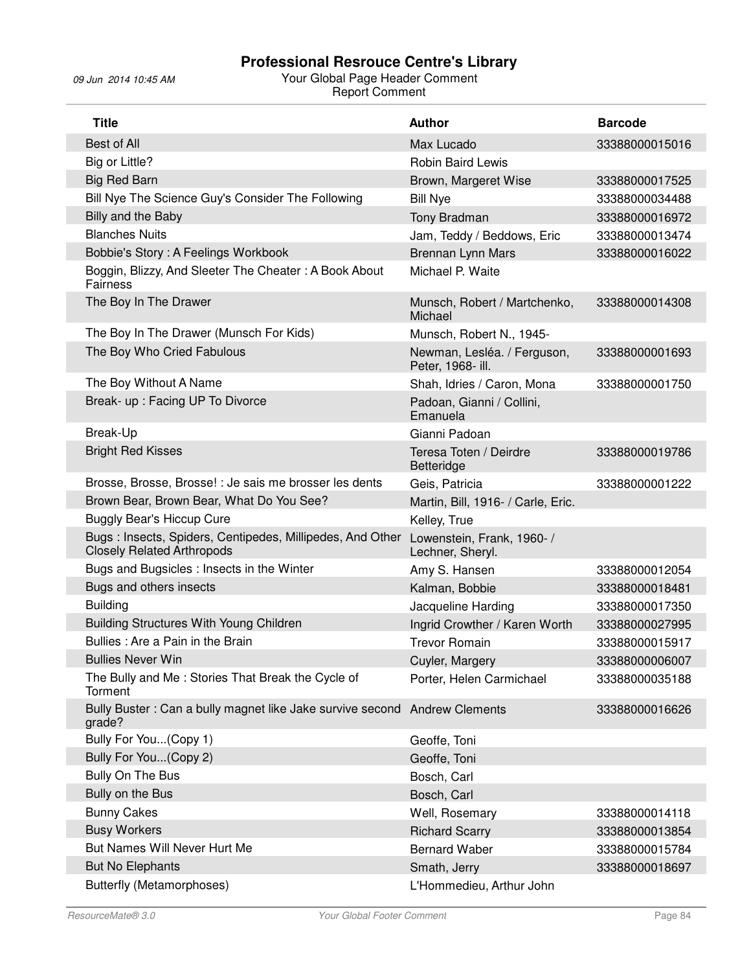| <b>Title</b>                                                                                   | <b>Author</b>                                    | <b>Barcode</b> |
|------------------------------------------------------------------------------------------------|--------------------------------------------------|----------------|
| Best of All                                                                                    | Max Lucado                                       | 33388000015016 |
| Big or Little?                                                                                 | <b>Robin Baird Lewis</b>                         |                |
| <b>Big Red Barn</b>                                                                            | Brown, Margeret Wise                             | 33388000017525 |
| Bill Nye The Science Guy's Consider The Following                                              | <b>Bill Nye</b>                                  | 33388000034488 |
| Billy and the Baby                                                                             | Tony Bradman                                     | 33388000016972 |
| <b>Blanches Nuits</b>                                                                          | Jam, Teddy / Beddows, Eric                       | 33388000013474 |
| Bobbie's Story: A Feelings Workbook                                                            | Brennan Lynn Mars                                | 33388000016022 |
| Boggin, Blizzy, And Sleeter The Cheater: A Book About<br>Fairness                              | Michael P. Waite                                 |                |
| The Boy In The Drawer                                                                          | Munsch, Robert / Martchenko,<br>Michael          | 33388000014308 |
| The Boy In The Drawer (Munsch For Kids)                                                        | Munsch, Robert N., 1945-                         |                |
| The Boy Who Cried Fabulous                                                                     | Newman, Lesléa. / Ferguson,<br>Peter, 1968- ill. | 33388000001693 |
| The Boy Without A Name                                                                         | Shah, Idries / Caron, Mona                       | 33388000001750 |
| Break- up: Facing UP To Divorce                                                                | Padoan, Gianni / Collini,<br>Emanuela            |                |
| Break-Up                                                                                       | Gianni Padoan                                    |                |
| <b>Bright Red Kisses</b>                                                                       | Teresa Toten / Deirdre<br>Betteridge             | 33388000019786 |
| Brosse, Brosse, Brosse! : Je sais me brosser les dents                                         | Geis, Patricia                                   | 33388000001222 |
| Brown Bear, Brown Bear, What Do You See?                                                       | Martin, Bill, 1916- / Carle, Eric.               |                |
| <b>Buggly Bear's Hiccup Cure</b>                                                               | Kelley, True                                     |                |
| Bugs: Insects, Spiders, Centipedes, Millipedes, And Other<br><b>Closely Related Arthropods</b> | Lowenstein, Frank, 1960-/<br>Lechner, Sheryl.    |                |
| Bugs and Bugsicles: Insects in the Winter                                                      | Amy S. Hansen                                    | 33388000012054 |
| Bugs and others insects                                                                        | Kalman, Bobbie                                   | 33388000018481 |
| <b>Building</b>                                                                                | Jacqueline Harding                               | 33388000017350 |
| Building Structures With Young Children                                                        | Ingrid Crowther / Karen Worth                    | 33388000027995 |
| Bullies: Are a Pain in the Brain                                                               | <b>Trevor Romain</b>                             | 33388000015917 |
| <b>Bullies Never Win</b>                                                                       | Cuyler, Margery                                  | 33388000006007 |
| The Bully and Me: Stories That Break the Cycle of<br>Torment                                   | Porter, Helen Carmichael                         | 33388000035188 |
| Bully Buster: Can a bully magnet like Jake survive second<br>grade?                            | <b>Andrew Clements</b>                           | 33388000016626 |
| Bully For You(Copy 1)                                                                          | Geoffe, Toni                                     |                |
| Bully For You(Copy 2)                                                                          | Geoffe, Toni                                     |                |
| Bully On The Bus                                                                               | Bosch, Carl                                      |                |
| Bully on the Bus                                                                               | Bosch, Carl                                      |                |
| <b>Bunny Cakes</b>                                                                             | Well, Rosemary                                   | 33388000014118 |
| <b>Busy Workers</b>                                                                            | <b>Richard Scarry</b>                            | 33388000013854 |
| But Names Will Never Hurt Me                                                                   | <b>Bernard Waber</b>                             | 33388000015784 |
| <b>But No Elephants</b>                                                                        | Smath, Jerry                                     | 33388000018697 |
| <b>Butterfly (Metamorphoses)</b>                                                               | L'Hommedieu, Arthur John                         |                |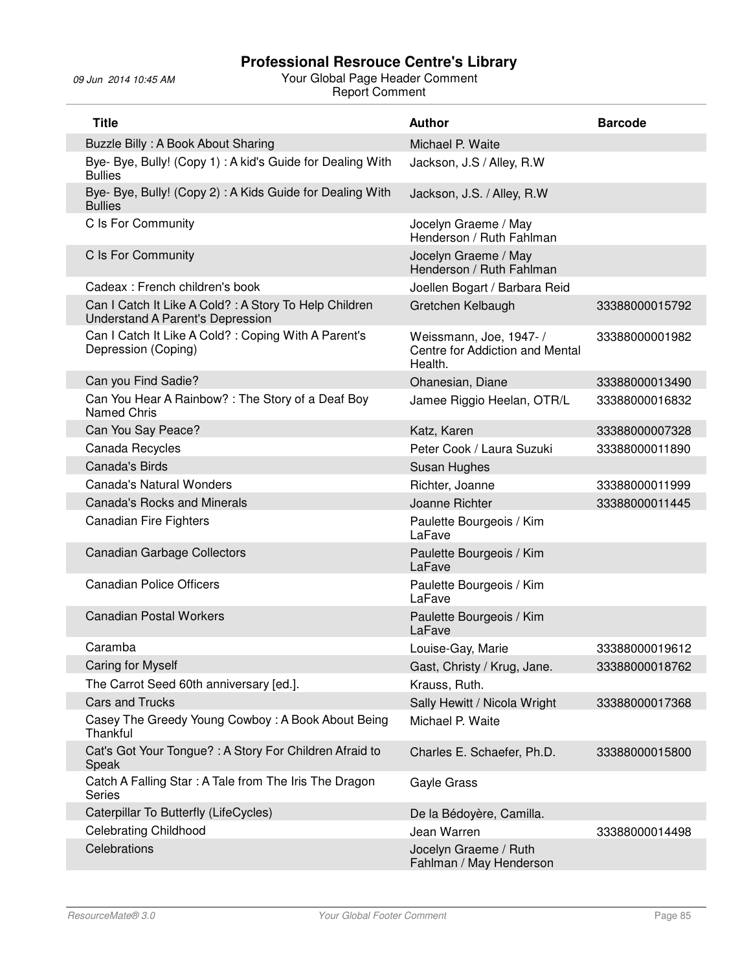| <b>Title</b>                                                                               | <b>Author</b>                                                         | <b>Barcode</b> |
|--------------------------------------------------------------------------------------------|-----------------------------------------------------------------------|----------------|
| Buzzle Billy: A Book About Sharing                                                         | Michael P. Waite                                                      |                |
| Bye- Bye, Bully! (Copy 1) : A kid's Guide for Dealing With<br><b>Bullies</b>               | Jackson, J.S / Alley, R.W.                                            |                |
| Bye- Bye, Bully! (Copy 2): A Kids Guide for Dealing With<br><b>Bullies</b>                 | Jackson, J.S. / Alley, R.W                                            |                |
| C Is For Community                                                                         | Jocelyn Graeme / May<br>Henderson / Ruth Fahlman                      |                |
| C Is For Community                                                                         | Jocelyn Graeme / May<br>Henderson / Ruth Fahlman                      |                |
| Cadeax: French children's book                                                             | Joellen Bogart / Barbara Reid                                         |                |
| Can I Catch It Like A Cold? : A Story To Help Children<br>Understand A Parent's Depression | Gretchen Kelbaugh                                                     | 33388000015792 |
| Can I Catch It Like A Cold? : Coping With A Parent's<br>Depression (Coping)                | Weissmann, Joe, 1947- /<br>Centre for Addiction and Mental<br>Health. | 33388000001982 |
| Can you Find Sadie?                                                                        | Ohanesian, Diane                                                      | 33388000013490 |
| Can You Hear A Rainbow? : The Story of a Deaf Boy<br>Named Chris                           | Jamee Riggio Heelan, OTR/L                                            | 33388000016832 |
| Can You Say Peace?                                                                         | Katz, Karen                                                           | 33388000007328 |
| Canada Recycles                                                                            | Peter Cook / Laura Suzuki                                             | 33388000011890 |
| <b>Canada's Birds</b>                                                                      | Susan Hughes                                                          |                |
| Canada's Natural Wonders                                                                   | Richter, Joanne                                                       | 33388000011999 |
| <b>Canada's Rocks and Minerals</b>                                                         | Joanne Richter                                                        | 33388000011445 |
| <b>Canadian Fire Fighters</b>                                                              | Paulette Bourgeois / Kim<br>LaFave                                    |                |
| <b>Canadian Garbage Collectors</b>                                                         | Paulette Bourgeois / Kim<br>LaFave                                    |                |
| <b>Canadian Police Officers</b>                                                            | Paulette Bourgeois / Kim<br>LaFave                                    |                |
| <b>Canadian Postal Workers</b>                                                             | Paulette Bourgeois / Kim<br>LaFave                                    |                |
| Caramba                                                                                    | Louise-Gay, Marie                                                     | 33388000019612 |
| Caring for Myself                                                                          | Gast, Christy / Krug, Jane.                                           | 33388000018762 |
| The Carrot Seed 60th anniversary [ed.].                                                    | Krauss, Ruth.                                                         |                |
| <b>Cars and Trucks</b>                                                                     | Sally Hewitt / Nicola Wright                                          | 33388000017368 |
| Casey The Greedy Young Cowboy: A Book About Being<br>Thankful                              | Michael P. Waite                                                      |                |
| Cat's Got Your Tongue? : A Story For Children Afraid to<br>Speak                           | Charles E. Schaefer, Ph.D.                                            | 33388000015800 |
| Catch A Falling Star: A Tale from The Iris The Dragon<br><b>Series</b>                     | Gayle Grass                                                           |                |
| Caterpillar To Butterfly (LifeCycles)                                                      | De la Bédoyère, Camilla.                                              |                |
| <b>Celebrating Childhood</b>                                                               | Jean Warren                                                           | 33388000014498 |
| Celebrations                                                                               | Jocelyn Graeme / Ruth<br>Fahlman / May Henderson                      |                |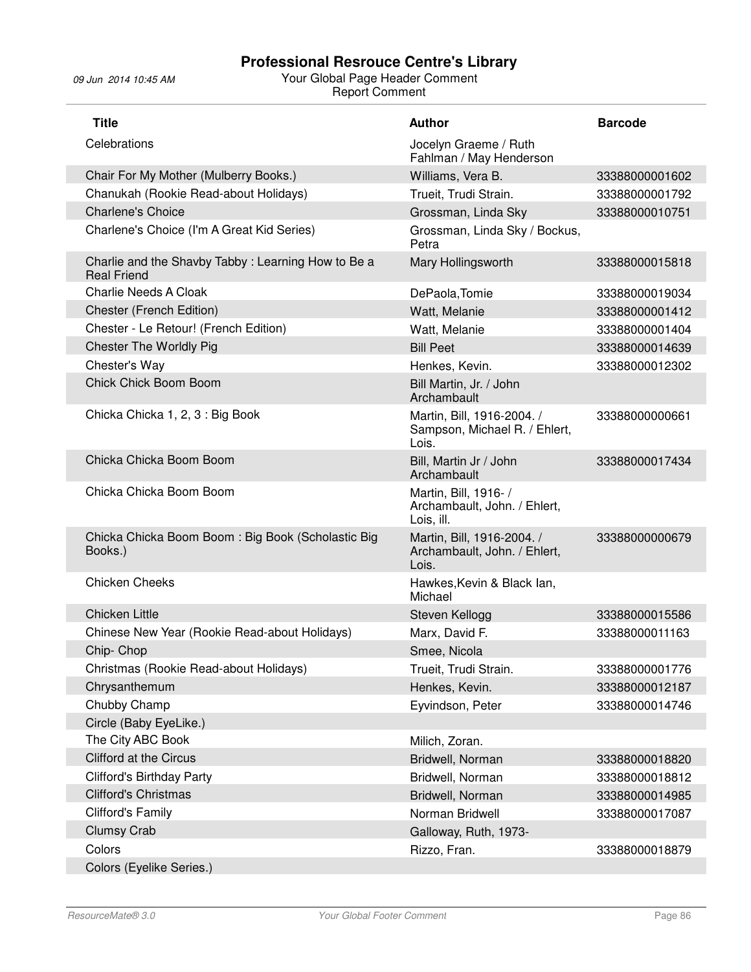| <b>Title</b>                                                             | <b>Author</b>                                                        | <b>Barcode</b> |
|--------------------------------------------------------------------------|----------------------------------------------------------------------|----------------|
| Celebrations                                                             | Jocelyn Graeme / Ruth<br>Fahlman / May Henderson                     |                |
| Chair For My Mother (Mulberry Books.)                                    | Williams, Vera B.                                                    | 33388000001602 |
| Chanukah (Rookie Read-about Holidays)                                    | Trueit, Trudi Strain.                                                | 33388000001792 |
| <b>Charlene's Choice</b>                                                 | Grossman, Linda Sky                                                  | 33388000010751 |
| Charlene's Choice (I'm A Great Kid Series)                               | Grossman, Linda Sky / Bockus,<br>Petra                               |                |
| Charlie and the Shavby Tabby: Learning How to Be a<br><b>Real Friend</b> | Mary Hollingsworth                                                   | 33388000015818 |
| <b>Charlie Needs A Cloak</b>                                             | DePaola, Tomie                                                       | 33388000019034 |
| Chester (French Edition)                                                 | Watt, Melanie                                                        | 33388000001412 |
| Chester - Le Retour! (French Edition)                                    | Watt, Melanie                                                        | 33388000001404 |
| <b>Chester The Worldly Pig</b>                                           | <b>Bill Peet</b>                                                     | 33388000014639 |
| Chester's Way                                                            | Henkes, Kevin.                                                       | 33388000012302 |
| Chick Chick Boom Boom                                                    | Bill Martin, Jr. / John<br>Archambault                               |                |
| Chicka Chicka 1, 2, 3 : Big Book                                         | Martin, Bill, 1916-2004. /<br>Sampson, Michael R. / Ehlert,<br>Lois. | 33388000000661 |
| Chicka Chicka Boom Boom                                                  | Bill, Martin Jr / John<br>Archambault                                | 33388000017434 |
| Chicka Chicka Boom Boom                                                  | Martin, Bill, 1916- /<br>Archambault, John. / Ehlert,<br>Lois, ill.  |                |
| Chicka Chicka Boom Boom: Big Book (Scholastic Big<br>Books.)             | Martin, Bill, 1916-2004. /<br>Archambault, John. / Ehlert,<br>Lois.  | 33388000000679 |
| <b>Chicken Cheeks</b>                                                    | Hawkes, Kevin & Black lan,<br>Michael                                |                |
| <b>Chicken Little</b>                                                    | Steven Kellogg                                                       | 33388000015586 |
| Chinese New Year (Rookie Read-about Holidays)                            | Marx, David F.                                                       | 33388000011163 |
| Chip-Chop                                                                | Smee, Nicola                                                         |                |
| Christmas (Rookie Read-about Holidays)                                   | Trueit, Trudi Strain.                                                | 33388000001776 |
| Chrysanthemum                                                            | Henkes, Kevin.                                                       | 33388000012187 |
| Chubby Champ                                                             | Eyvindson, Peter                                                     | 33388000014746 |
| Circle (Baby EyeLike.)                                                   |                                                                      |                |
| The City ABC Book                                                        | Milich, Zoran.                                                       |                |
| <b>Clifford at the Circus</b>                                            | Bridwell, Norman                                                     | 33388000018820 |
| <b>Clifford's Birthday Party</b>                                         | Bridwell, Norman                                                     | 33388000018812 |
| <b>Clifford's Christmas</b>                                              | Bridwell, Norman                                                     | 33388000014985 |
| Clifford's Family                                                        | Norman Bridwell                                                      | 33388000017087 |
| <b>Clumsy Crab</b>                                                       | Galloway, Ruth, 1973-                                                |                |
| Colors                                                                   | Rizzo, Fran.                                                         | 33388000018879 |
| Colors (Eyelike Series.)                                                 |                                                                      |                |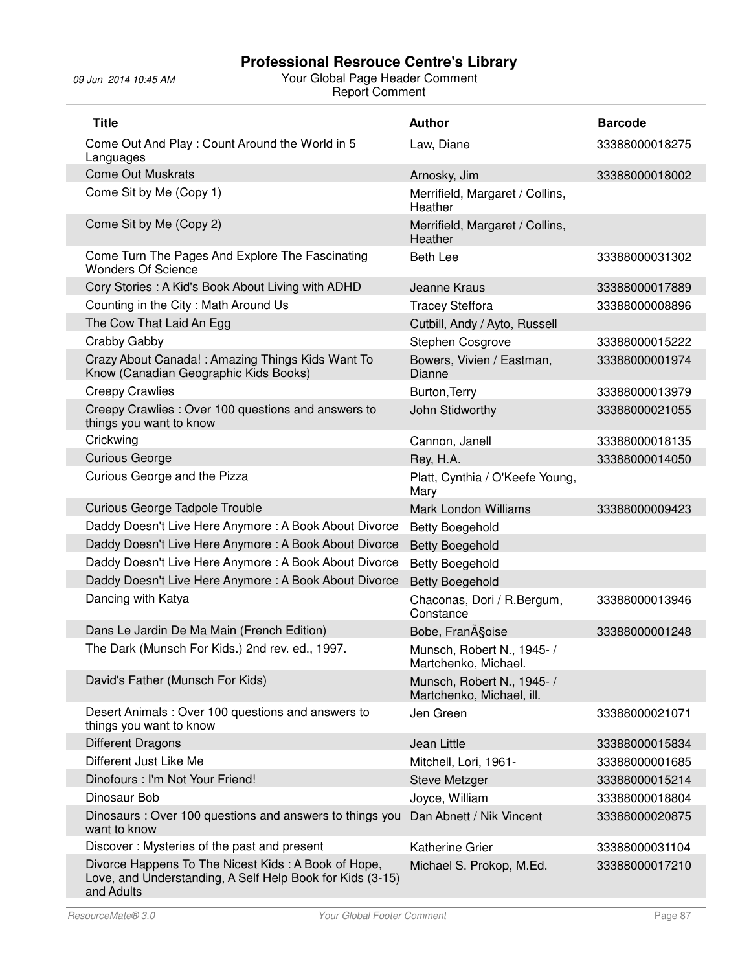| <b>Title</b>                                                                                                                   | <b>Author</b>                                           | <b>Barcode</b> |
|--------------------------------------------------------------------------------------------------------------------------------|---------------------------------------------------------|----------------|
| Come Out And Play: Count Around the World in 5<br>Languages                                                                    | Law, Diane                                              | 33388000018275 |
| <b>Come Out Muskrats</b>                                                                                                       | Arnosky, Jim                                            | 33388000018002 |
| Come Sit by Me (Copy 1)                                                                                                        | Merrifield, Margaret / Collins,<br>Heather              |                |
| Come Sit by Me (Copy 2)                                                                                                        | Merrifield, Margaret / Collins,<br><b>Heather</b>       |                |
| Come Turn The Pages And Explore The Fascinating<br><b>Wonders Of Science</b>                                                   | <b>Beth Lee</b>                                         | 33388000031302 |
| Cory Stories: A Kid's Book About Living with ADHD                                                                              | Jeanne Kraus                                            | 33388000017889 |
| Counting in the City: Math Around Us                                                                                           | <b>Tracey Steffora</b>                                  | 33388000008896 |
| The Cow That Laid An Egg                                                                                                       | Cutbill, Andy / Ayto, Russell                           |                |
| Crabby Gabby                                                                                                                   | Stephen Cosgrove                                        | 33388000015222 |
| Crazy About Canada!: Amazing Things Kids Want To<br>Know (Canadian Geographic Kids Books)                                      | Bowers, Vivien / Eastman,<br>Dianne                     | 33388000001974 |
| <b>Creepy Crawlies</b>                                                                                                         | Burton, Terry                                           | 33388000013979 |
| Creepy Crawlies: Over 100 questions and answers to<br>things you want to know                                                  | John Stidworthy                                         | 33388000021055 |
| Crickwing                                                                                                                      | Cannon, Janell                                          | 33388000018135 |
| <b>Curious George</b>                                                                                                          | Rey, H.A.                                               | 33388000014050 |
| Curious George and the Pizza                                                                                                   | Platt, Cynthia / O'Keefe Young,<br>Mary                 |                |
| Curious George Tadpole Trouble                                                                                                 | <b>Mark London Williams</b>                             | 33388000009423 |
| Daddy Doesn't Live Here Anymore: A Book About Divorce                                                                          | <b>Betty Boegehold</b>                                  |                |
| Daddy Doesn't Live Here Anymore: A Book About Divorce                                                                          | <b>Betty Boegehold</b>                                  |                |
| Daddy Doesn't Live Here Anymore: A Book About Divorce                                                                          | <b>Betty Boegehold</b>                                  |                |
| Daddy Doesn't Live Here Anymore: A Book About Divorce                                                                          | <b>Betty Boegehold</b>                                  |                |
| Dancing with Katya                                                                                                             | Chaconas, Dori / R.Bergum,<br>Constance                 | 33388000013946 |
| Dans Le Jardin De Ma Main (French Edition)                                                                                     | Bobe, FranA§oise                                        | 33388000001248 |
| The Dark (Munsch For Kids.) 2nd rev. ed., 1997.                                                                                | Munsch, Robert N., 1945- /<br>Martchenko, Michael.      |                |
| David's Father (Munsch For Kids)                                                                                               | Munsch, Robert N., 1945- /<br>Martchenko, Michael, ill. |                |
| Desert Animals: Over 100 questions and answers to<br>things you want to know                                                   | Jen Green                                               | 33388000021071 |
| <b>Different Dragons</b>                                                                                                       | Jean Little                                             | 33388000015834 |
| Different Just Like Me                                                                                                         | Mitchell, Lori, 1961-                                   | 33388000001685 |
| Dinofours : I'm Not Your Friend!                                                                                               | <b>Steve Metzger</b>                                    | 33388000015214 |
| Dinosaur Bob                                                                                                                   | Joyce, William                                          | 33388000018804 |
| Dinosaurs: Over 100 questions and answers to things you<br>want to know                                                        | Dan Abnett / Nik Vincent                                | 33388000020875 |
| Discover: Mysteries of the past and present                                                                                    | <b>Katherine Grier</b>                                  | 33388000031104 |
| Divorce Happens To The Nicest Kids: A Book of Hope,<br>Love, and Understanding, A Self Help Book for Kids (3-15)<br>and Adults | Michael S. Prokop, M.Ed.                                | 33388000017210 |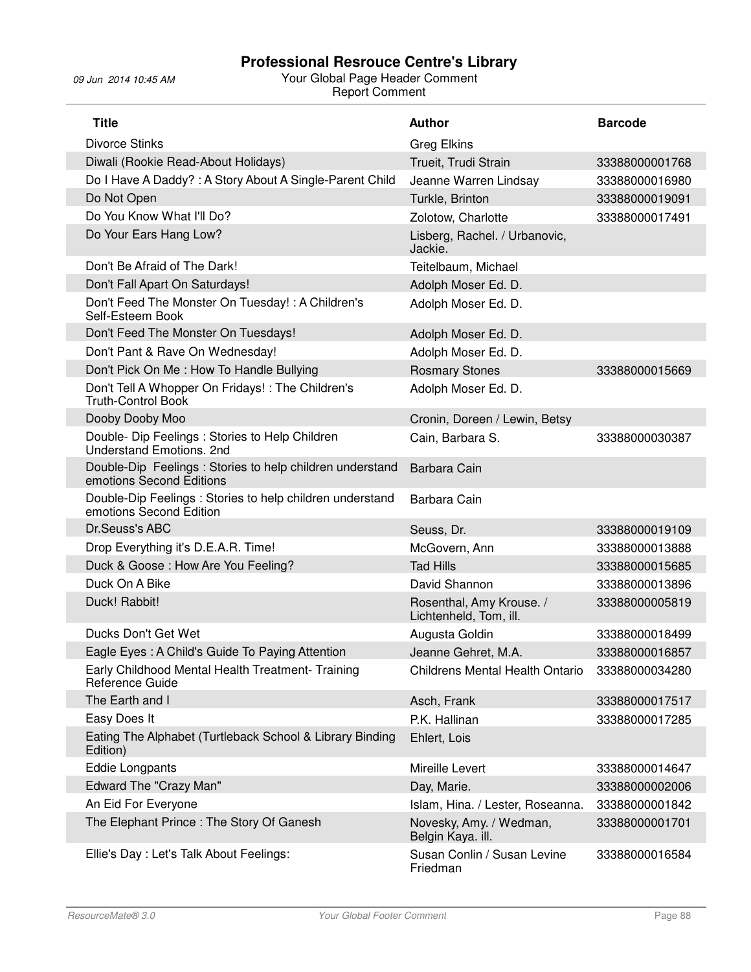| <b>Title</b>                                                                         | <b>Author</b>                                      | <b>Barcode</b> |
|--------------------------------------------------------------------------------------|----------------------------------------------------|----------------|
| <b>Divorce Stinks</b>                                                                | <b>Greg Elkins</b>                                 |                |
| Diwali (Rookie Read-About Holidays)                                                  | Trueit, Trudi Strain                               | 33388000001768 |
| Do I Have A Daddy? : A Story About A Single-Parent Child                             | Jeanne Warren Lindsay                              | 33388000016980 |
| Do Not Open                                                                          | Turkle, Brinton                                    | 33388000019091 |
| Do You Know What I'll Do?                                                            | Zolotow, Charlotte                                 | 33388000017491 |
| Do Your Ears Hang Low?                                                               | Lisberg, Rachel. / Urbanovic,<br>Jackie.           |                |
| Don't Be Afraid of The Dark!                                                         | Teitelbaum, Michael                                |                |
| Don't Fall Apart On Saturdays!                                                       | Adolph Moser Ed. D.                                |                |
| Don't Feed The Monster On Tuesday! : A Children's<br>Self-Esteem Book                | Adolph Moser Ed. D.                                |                |
| Don't Feed The Monster On Tuesdays!                                                  | Adolph Moser Ed. D.                                |                |
| Don't Pant & Rave On Wednesday!                                                      | Adolph Moser Ed. D.                                |                |
| Don't Pick On Me: How To Handle Bullying                                             | <b>Rosmary Stones</b>                              | 33388000015669 |
| Don't Tell A Whopper On Fridays! : The Children's<br><b>Truth-Control Book</b>       | Adolph Moser Ed. D.                                |                |
| Dooby Dooby Moo                                                                      | Cronin, Doreen / Lewin, Betsy                      |                |
| Double- Dip Feelings: Stories to Help Children<br>Understand Emotions. 2nd           | Cain, Barbara S.                                   | 33388000030387 |
| Double-Dip Feelings: Stories to help children understand<br>emotions Second Editions | Barbara Cain                                       |                |
| Double-Dip Feelings : Stories to help children understand<br>emotions Second Edition | Barbara Cain                                       |                |
| Dr.Seuss's ABC                                                                       | Seuss, Dr.                                         | 33388000019109 |
| Drop Everything it's D.E.A.R. Time!                                                  | McGovern, Ann                                      | 33388000013888 |
| Duck & Goose: How Are You Feeling?                                                   | <b>Tad Hills</b>                                   | 33388000015685 |
| Duck On A Bike                                                                       | David Shannon                                      | 33388000013896 |
| Duck! Rabbit!                                                                        | Rosenthal, Amy Krouse. /<br>Lichtenheld, Tom, ill. | 33388000005819 |
| Ducks Don't Get Wet                                                                  | Augusta Goldin                                     | 33388000018499 |
| Eagle Eyes: A Child's Guide To Paying Attention                                      | Jeanne Gehret, M.A.                                | 33388000016857 |
| Early Childhood Mental Health Treatment- Training<br>Reference Guide                 | <b>Childrens Mental Health Ontario</b>             | 33388000034280 |
| The Earth and I                                                                      | Asch, Frank                                        | 33388000017517 |
| Easy Does It                                                                         | P.K. Hallinan                                      | 33388000017285 |
| Eating The Alphabet (Turtleback School & Library Binding<br>Edition)                 | Ehlert, Lois                                       |                |
| <b>Eddie Longpants</b>                                                               | Mireille Levert                                    | 33388000014647 |
| Edward The "Crazy Man"                                                               | Day, Marie.                                        | 33388000002006 |
| An Eid For Everyone                                                                  | Islam, Hina. / Lester, Roseanna.                   | 33388000001842 |
| The Elephant Prince: The Story Of Ganesh                                             | Novesky, Amy. / Wedman,<br>Belgin Kaya. ill.       | 33388000001701 |
| Ellie's Day : Let's Talk About Feelings:                                             | Susan Conlin / Susan Levine<br>Friedman            | 33388000016584 |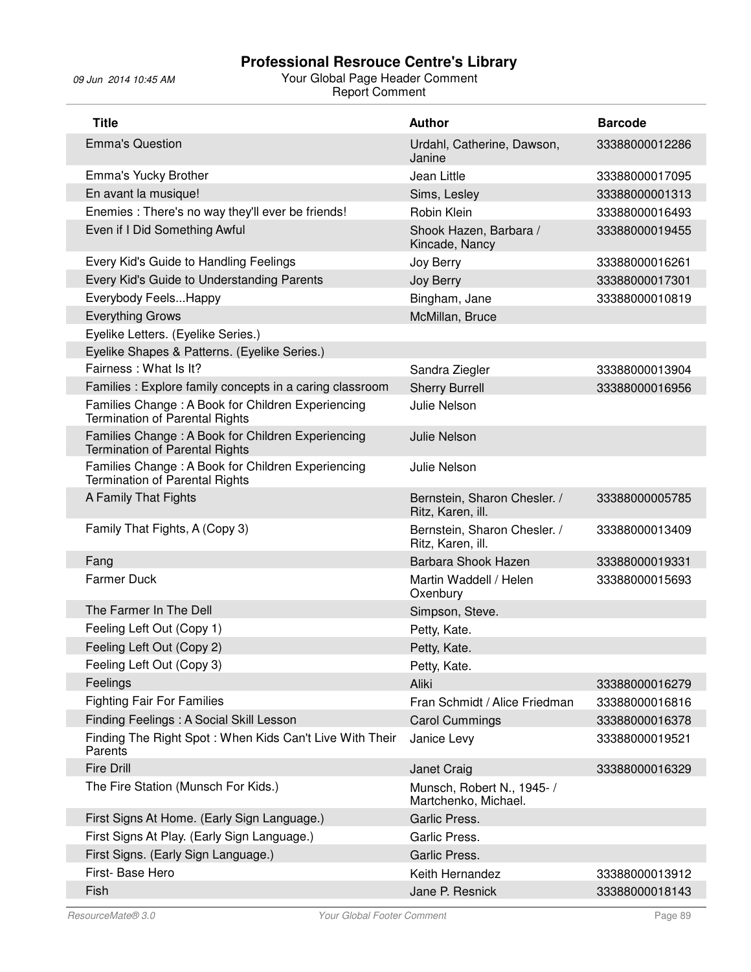| <b>Title</b>                                                                               | <b>Author</b>                                      | <b>Barcode</b> |
|--------------------------------------------------------------------------------------------|----------------------------------------------------|----------------|
| <b>Emma's Question</b>                                                                     | Urdahl, Catherine, Dawson,<br>Janine               | 33388000012286 |
| Emma's Yucky Brother                                                                       | Jean Little                                        | 33388000017095 |
| En avant la musique!                                                                       | Sims, Lesley                                       | 33388000001313 |
| Enemies : There's no way they'll ever be friends!                                          | Robin Klein                                        | 33388000016493 |
| Even if I Did Something Awful                                                              | Shook Hazen, Barbara /<br>Kincade, Nancy           | 33388000019455 |
| Every Kid's Guide to Handling Feelings                                                     | Joy Berry                                          | 33388000016261 |
| Every Kid's Guide to Understanding Parents                                                 | Joy Berry                                          | 33388000017301 |
| Everybody Feels Happy                                                                      | Bingham, Jane                                      | 33388000010819 |
| <b>Everything Grows</b>                                                                    | McMillan, Bruce                                    |                |
| Eyelike Letters. (Eyelike Series.)                                                         |                                                    |                |
| Eyelike Shapes & Patterns. (Eyelike Series.)                                               |                                                    |                |
| Fairness: What Is It?                                                                      | Sandra Ziegler                                     | 33388000013904 |
| Families: Explore family concepts in a caring classroom                                    | <b>Sherry Burrell</b>                              | 33388000016956 |
| Families Change: A Book for Children Experiencing<br><b>Termination of Parental Rights</b> | <b>Julie Nelson</b>                                |                |
| Families Change: A Book for Children Experiencing<br><b>Termination of Parental Rights</b> | <b>Julie Nelson</b>                                |                |
| Families Change: A Book for Children Experiencing<br>Termination of Parental Rights        | Julie Nelson                                       |                |
| A Family That Fights                                                                       | Bernstein, Sharon Chesler. /<br>Ritz, Karen, ill.  | 33388000005785 |
| Family That Fights, A (Copy 3)                                                             | Bernstein, Sharon Chesler. /<br>Ritz, Karen, ill.  | 33388000013409 |
| Fang                                                                                       | Barbara Shook Hazen                                | 33388000019331 |
| <b>Farmer Duck</b>                                                                         | Martin Waddell / Helen<br>Oxenbury                 | 33388000015693 |
| The Farmer In The Dell                                                                     | Simpson, Steve.                                    |                |
| Feeling Left Out (Copy 1)                                                                  | Petty, Kate.                                       |                |
| Feeling Left Out (Copy 2)                                                                  | Petty, Kate.                                       |                |
| Feeling Left Out (Copy 3)                                                                  | Petty, Kate.                                       |                |
| Feelings                                                                                   | Aliki                                              | 33388000016279 |
| <b>Fighting Fair For Families</b>                                                          | Fran Schmidt / Alice Friedman                      | 33388000016816 |
| Finding Feelings: A Social Skill Lesson                                                    | <b>Carol Cummings</b>                              | 33388000016378 |
| Finding The Right Spot: When Kids Can't Live With Their<br>Parents                         | Janice Levy                                        | 33388000019521 |
| <b>Fire Drill</b>                                                                          | Janet Craig                                        | 33388000016329 |
| The Fire Station (Munsch For Kids.)                                                        | Munsch, Robert N., 1945- /<br>Martchenko, Michael. |                |
| First Signs At Home. (Early Sign Language.)                                                | Garlic Press.                                      |                |
| First Signs At Play. (Early Sign Language.)                                                | Garlic Press.                                      |                |
| First Signs. (Early Sign Language.)                                                        | Garlic Press.                                      |                |
| First- Base Hero                                                                           | Keith Hernandez                                    | 33388000013912 |
| Fish                                                                                       | Jane P. Resnick                                    | 33388000018143 |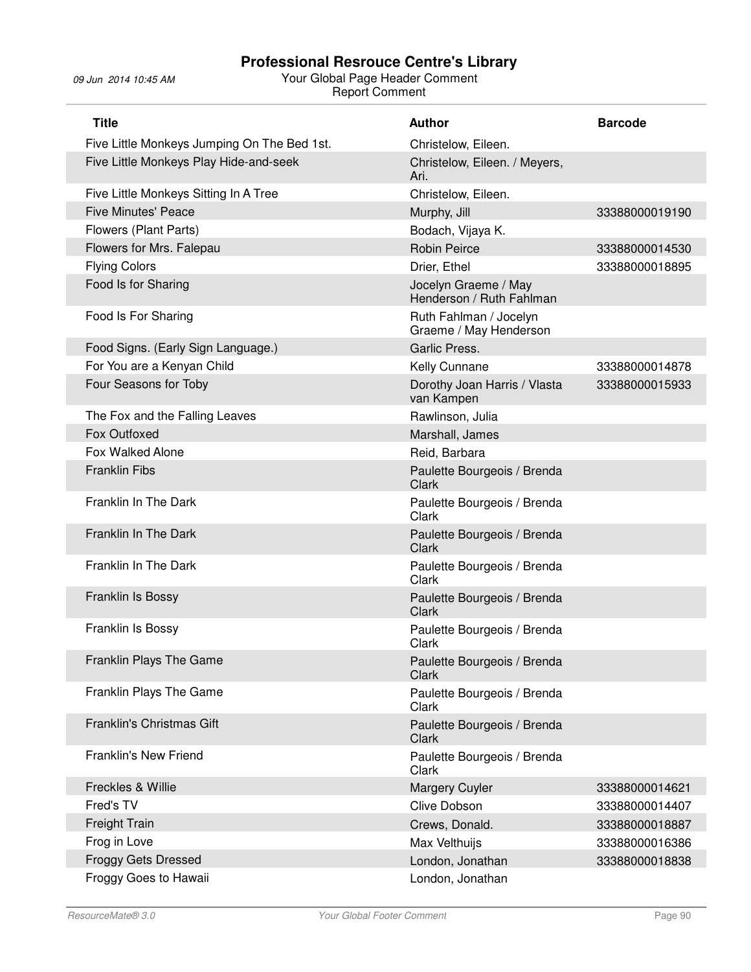| <b>Title</b>                                | <b>Author</b>                                    | <b>Barcode</b> |
|---------------------------------------------|--------------------------------------------------|----------------|
| Five Little Monkeys Jumping On The Bed 1st. | Christelow, Eileen.                              |                |
| Five Little Monkeys Play Hide-and-seek      | Christelow, Eileen. / Meyers,<br>Ari.            |                |
| Five Little Monkeys Sitting In A Tree       | Christelow, Eileen.                              |                |
| <b>Five Minutes' Peace</b>                  | Murphy, Jill                                     | 33388000019190 |
| Flowers (Plant Parts)                       | Bodach, Vijaya K.                                |                |
| Flowers for Mrs. Falepau                    | <b>Robin Peirce</b>                              | 33388000014530 |
| <b>Flying Colors</b>                        | Drier, Ethel                                     | 33388000018895 |
| Food Is for Sharing                         | Jocelyn Graeme / May<br>Henderson / Ruth Fahlman |                |
| Food Is For Sharing                         | Ruth Fahlman / Jocelyn<br>Graeme / May Henderson |                |
| Food Signs. (Early Sign Language.)          | Garlic Press.                                    |                |
| For You are a Kenyan Child                  | Kelly Cunnane                                    | 33388000014878 |
| Four Seasons for Toby                       | Dorothy Joan Harris / Vlasta<br>van Kampen       | 33388000015933 |
| The Fox and the Falling Leaves              | Rawlinson, Julia                                 |                |
| Fox Outfoxed                                | Marshall, James                                  |                |
| Fox Walked Alone                            | Reid, Barbara                                    |                |
| <b>Franklin Fibs</b>                        | Paulette Bourgeois / Brenda<br>Clark             |                |
| Franklin In The Dark                        | Paulette Bourgeois / Brenda<br>Clark             |                |
| Franklin In The Dark                        | Paulette Bourgeois / Brenda<br>Clark             |                |
| Franklin In The Dark                        | Paulette Bourgeois / Brenda<br>Clark             |                |
| Franklin Is Bossy                           | Paulette Bourgeois / Brenda<br>Clark             |                |
| Franklin Is Bossy                           | Paulette Bourgeois / Brenda<br>Clark             |                |
| Franklin Plays The Game                     | Paulette Bourgeois / Brenda<br>Clark             |                |
| Franklin Plays The Game                     | Paulette Bourgeois / Brenda<br>Clark             |                |
| Franklin's Christmas Gift                   | Paulette Bourgeois / Brenda<br><b>Clark</b>      |                |
| <b>Franklin's New Friend</b>                | Paulette Bourgeois / Brenda<br>Clark             |                |
| Freckles & Willie                           | <b>Margery Cuyler</b>                            | 33388000014621 |
| Fred's TV                                   | <b>Clive Dobson</b>                              | 33388000014407 |
| <b>Freight Train</b>                        | Crews, Donald.                                   | 33388000018887 |
| Frog in Love                                | Max Velthuijs                                    | 33388000016386 |
| <b>Froggy Gets Dressed</b>                  | London, Jonathan                                 | 33388000018838 |
| Froggy Goes to Hawaii                       | London, Jonathan                                 |                |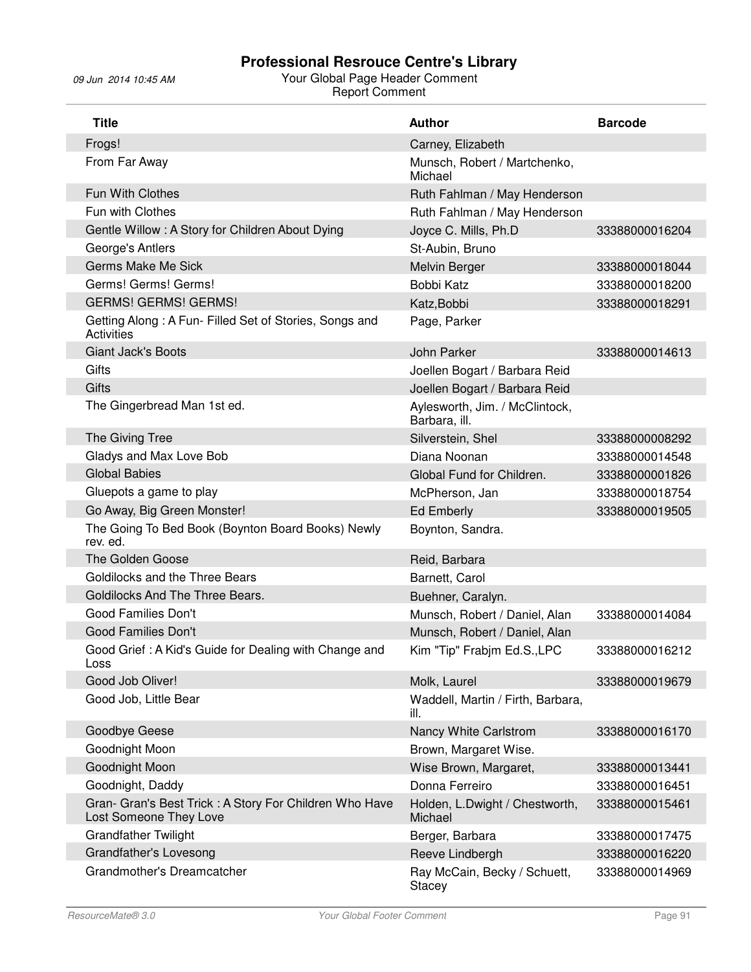| <b>Title</b>                                                                      | <b>Author</b>                                   | <b>Barcode</b> |
|-----------------------------------------------------------------------------------|-------------------------------------------------|----------------|
| Frogs!                                                                            | Carney, Elizabeth                               |                |
| From Far Away                                                                     | Munsch, Robert / Martchenko,<br>Michael         |                |
| Fun With Clothes                                                                  | Ruth Fahlman / May Henderson                    |                |
| Fun with Clothes                                                                  | Ruth Fahlman / May Henderson                    |                |
| Gentle Willow: A Story for Children About Dying                                   | Joyce C. Mills, Ph.D                            | 33388000016204 |
| George's Antlers                                                                  | St-Aubin, Bruno                                 |                |
| <b>Germs Make Me Sick</b>                                                         | Melvin Berger                                   | 33388000018044 |
| Germs! Germs! Germs!                                                              | Bobbi Katz                                      | 33388000018200 |
| <b>GERMS! GERMS! GERMS!</b>                                                       | Katz, Bobbi                                     | 33388000018291 |
| Getting Along: A Fun- Filled Set of Stories, Songs and<br><b>Activities</b>       | Page, Parker                                    |                |
| <b>Giant Jack's Boots</b>                                                         | John Parker                                     | 33388000014613 |
| Gifts                                                                             | Joellen Bogart / Barbara Reid                   |                |
| <b>Gifts</b>                                                                      | Joellen Bogart / Barbara Reid                   |                |
| The Gingerbread Man 1st ed.                                                       | Aylesworth, Jim. / McClintock,<br>Barbara, ill. |                |
| The Giving Tree                                                                   | Silverstein, Shel                               | 33388000008292 |
| Gladys and Max Love Bob                                                           | Diana Noonan                                    | 33388000014548 |
| <b>Global Babies</b>                                                              | Global Fund for Children.                       | 33388000001826 |
| Gluepots a game to play                                                           | McPherson, Jan                                  | 33388000018754 |
| Go Away, Big Green Monster!                                                       | <b>Ed Emberly</b>                               | 33388000019505 |
| The Going To Bed Book (Boynton Board Books) Newly<br>rev. ed.                     | Boynton, Sandra.                                |                |
| The Golden Goose                                                                  | Reid, Barbara                                   |                |
| Goldilocks and the Three Bears                                                    | Barnett, Carol                                  |                |
| Goldilocks And The Three Bears.                                                   | Buehner, Caralyn.                               |                |
| <b>Good Families Don't</b>                                                        | Munsch, Robert / Daniel, Alan                   | 33388000014084 |
| <b>Good Families Don't</b>                                                        | Munsch, Robert / Daniel, Alan                   |                |
| Good Grief: A Kid's Guide for Dealing with Change and<br>LOSS                     | Kim "Tip" Frabim Ed.S., LPC                     | 33388000016212 |
| Good Job Oliver!                                                                  | Molk, Laurel                                    | 33388000019679 |
| Good Job, Little Bear                                                             | Waddell, Martin / Firth, Barbara,<br>ill.       |                |
| Goodbye Geese                                                                     | Nancy White Carlstrom                           | 33388000016170 |
| Goodnight Moon                                                                    | Brown, Margaret Wise.                           |                |
| Goodnight Moon                                                                    | Wise Brown, Margaret,                           | 33388000013441 |
| Goodnight, Daddy                                                                  | Donna Ferreiro                                  | 33388000016451 |
| Gran- Gran's Best Trick : A Story For Children Who Have<br>Lost Someone They Love | Holden, L.Dwight / Chestworth,<br>Michael       | 33388000015461 |
| <b>Grandfather Twilight</b>                                                       | Berger, Barbara                                 | 33388000017475 |
| Grandfather's Lovesong                                                            | Reeve Lindbergh                                 | 33388000016220 |
| Grandmother's Dreamcatcher                                                        | Ray McCain, Becky / Schuett,<br>Stacey          | 33388000014969 |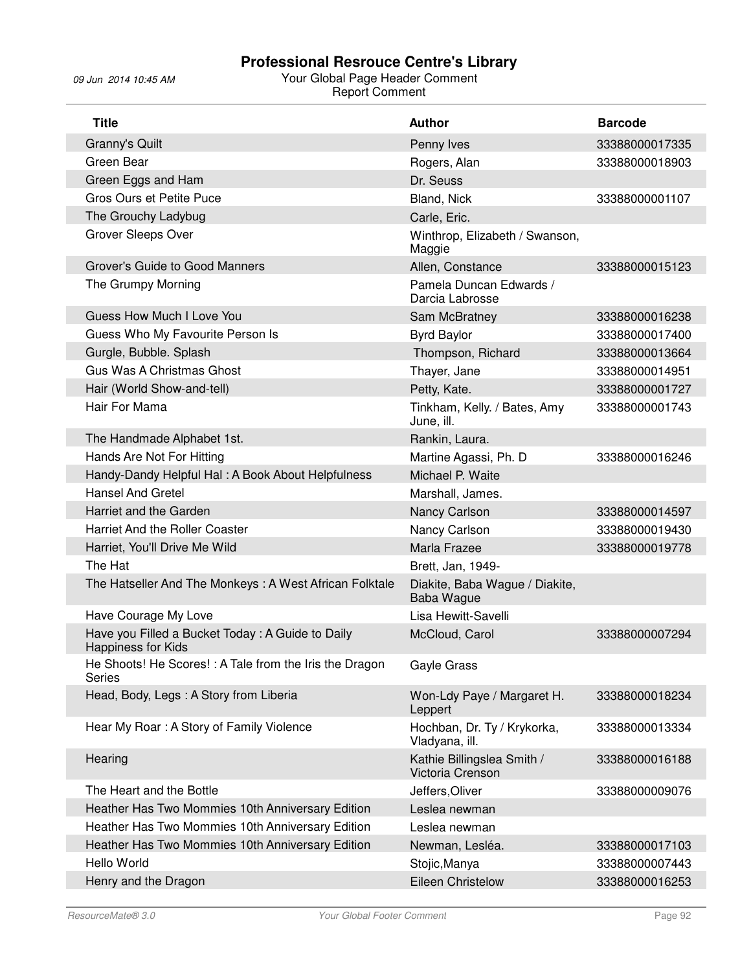| <b>Title</b>                                                                  | Author                                         | <b>Barcode</b> |
|-------------------------------------------------------------------------------|------------------------------------------------|----------------|
| Granny's Quilt                                                                | Penny Ives                                     | 33388000017335 |
| Green Bear                                                                    | Rogers, Alan                                   | 33388000018903 |
| Green Eggs and Ham                                                            | Dr. Seuss                                      |                |
| <b>Gros Ours et Petite Puce</b>                                               | Bland, Nick                                    | 33388000001107 |
| The Grouchy Ladybug                                                           | Carle, Eric.                                   |                |
| Grover Sleeps Over                                                            | Winthrop, Elizabeth / Swanson,<br>Maggie       |                |
| Grover's Guide to Good Manners                                                | Allen, Constance                               | 33388000015123 |
| The Grumpy Morning                                                            | Pamela Duncan Edwards /<br>Darcia Labrosse     |                |
| Guess How Much I Love You                                                     | Sam McBratney                                  | 33388000016238 |
| Guess Who My Favourite Person Is                                              | <b>Byrd Baylor</b>                             | 33388000017400 |
| Gurgle, Bubble. Splash                                                        | Thompson, Richard                              | 33388000013664 |
| Gus Was A Christmas Ghost                                                     | Thayer, Jane                                   | 33388000014951 |
| Hair (World Show-and-tell)                                                    | Petty, Kate.                                   | 33388000001727 |
| Hair For Mama                                                                 | Tinkham, Kelly. / Bates, Amy<br>June, ill.     | 33388000001743 |
| The Handmade Alphabet 1st.                                                    | Rankin, Laura.                                 |                |
| Hands Are Not For Hitting                                                     | Martine Agassi, Ph. D                          | 33388000016246 |
| Handy-Dandy Helpful Hal: A Book About Helpfulness                             | Michael P. Waite                               |                |
| <b>Hansel And Gretel</b>                                                      | Marshall, James.                               |                |
| Harriet and the Garden                                                        | Nancy Carlson                                  | 33388000014597 |
| <b>Harriet And the Roller Coaster</b>                                         | Nancy Carlson                                  | 33388000019430 |
| Harriet, You'll Drive Me Wild                                                 | Marla Frazee                                   | 33388000019778 |
| The Hat                                                                       | Brett, Jan, 1949-                              |                |
| The Hatseller And The Monkeys: A West African Folktale                        | Diakite, Baba Wague / Diakite,<br>Baba Wague   |                |
| Have Courage My Love                                                          | Lisa Hewitt-Savelli                            |                |
| Have you Filled a Bucket Today: A Guide to Daily<br><b>Happiness for Kids</b> | McCloud, Carol                                 | 33388000007294 |
| He Shoots! He Scores! : A Tale from the Iris the Dragon<br>Series             | Gayle Grass                                    |                |
| Head, Body, Legs: A Story from Liberia                                        | Won-Ldy Paye / Margaret H.<br>Leppert          | 33388000018234 |
| Hear My Roar: A Story of Family Violence                                      | Hochban, Dr. Ty / Krykorka,<br>Vladyana, ill.  | 33388000013334 |
| Hearing                                                                       | Kathie Billingslea Smith /<br>Victoria Crenson | 33388000016188 |
| The Heart and the Bottle                                                      | Jeffers, Oliver                                | 33388000009076 |
| Heather Has Two Mommies 10th Anniversary Edition                              | Leslea newman                                  |                |
| Heather Has Two Mommies 10th Anniversary Edition                              | Leslea newman                                  |                |
| Heather Has Two Mommies 10th Anniversary Edition                              | Newman, Lesléa.                                | 33388000017103 |
| Hello World                                                                   | Stojic, Manya                                  | 33388000007443 |
| Henry and the Dragon                                                          | <b>Eileen Christelow</b>                       | 33388000016253 |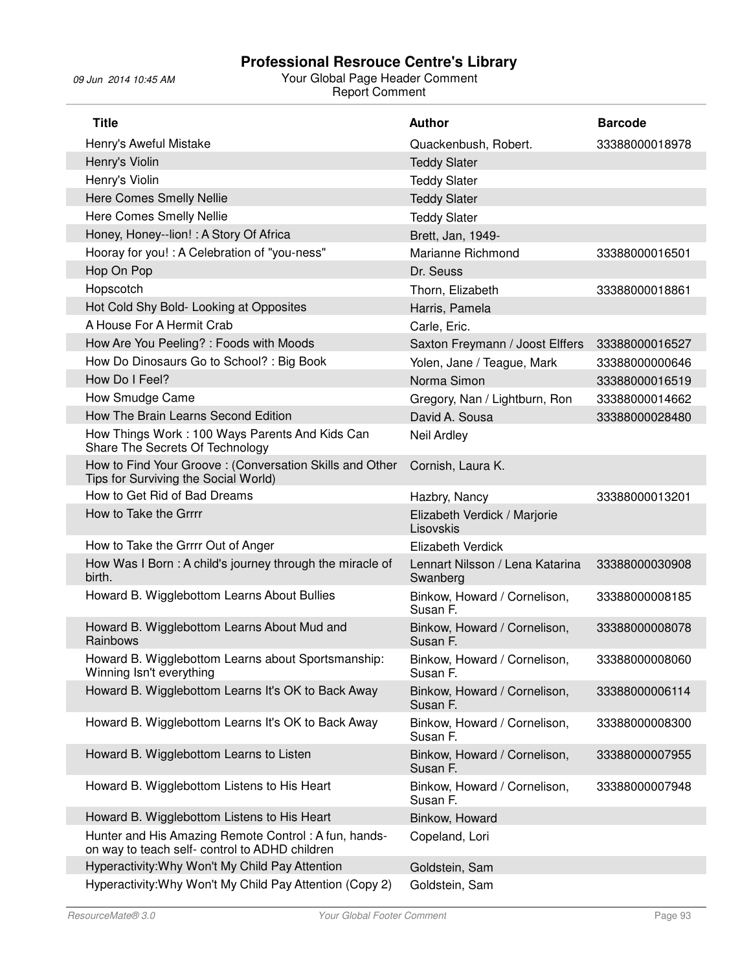| <b>Title</b>                                                                                           | <b>Author</b>                               | <b>Barcode</b> |
|--------------------------------------------------------------------------------------------------------|---------------------------------------------|----------------|
| Henry's Aweful Mistake                                                                                 | Quackenbush, Robert.                        | 33388000018978 |
| Henry's Violin                                                                                         | <b>Teddy Slater</b>                         |                |
| Henry's Violin                                                                                         | <b>Teddy Slater</b>                         |                |
| <b>Here Comes Smelly Nellie</b>                                                                        | <b>Teddy Slater</b>                         |                |
| Here Comes Smelly Nellie                                                                               | <b>Teddy Slater</b>                         |                |
| Honey, Honey--lion! : A Story Of Africa                                                                | Brett, Jan, 1949-                           |                |
| Hooray for you! : A Celebration of "you-ness"                                                          | Marianne Richmond                           | 33388000016501 |
| Hop On Pop                                                                                             | Dr. Seuss                                   |                |
| Hopscotch                                                                                              | Thorn, Elizabeth                            | 33388000018861 |
| Hot Cold Shy Bold- Looking at Opposites                                                                | Harris, Pamela                              |                |
| A House For A Hermit Crab                                                                              | Carle, Eric.                                |                |
| How Are You Peeling? : Foods with Moods                                                                | Saxton Freymann / Joost Elffers             | 33388000016527 |
| How Do Dinosaurs Go to School? : Big Book                                                              | Yolen, Jane / Teague, Mark                  | 33388000000646 |
| How Do I Feel?                                                                                         | Norma Simon                                 | 33388000016519 |
| How Smudge Came                                                                                        | Gregory, Nan / Lightburn, Ron               | 33388000014662 |
| How The Brain Learns Second Edition                                                                    | David A. Sousa                              | 33388000028480 |
| How Things Work: 100 Ways Parents And Kids Can<br>Share The Secrets Of Technology                      | Neil Ardley                                 |                |
| How to Find Your Groove: (Conversation Skills and Other<br>Tips for Surviving the Social World)        | Cornish, Laura K.                           |                |
| How to Get Rid of Bad Dreams                                                                           | Hazbry, Nancy                               | 33388000013201 |
| How to Take the Grrrr                                                                                  | Elizabeth Verdick / Marjorie<br>Lisovskis   |                |
| How to Take the Grrrr Out of Anger                                                                     | Elizabeth Verdick                           |                |
| How Was I Born: A child's journey through the miracle of<br>birth.                                     | Lennart Nilsson / Lena Katarina<br>Swanberg | 33388000030908 |
| Howard B. Wigglebottom Learns About Bullies                                                            | Binkow, Howard / Cornelison,<br>Susan F.    | 33388000008185 |
| Howard B. Wigglebottom Learns About Mud and<br>Rainbows                                                | Binkow, Howard / Cornelison,<br>Susan F.    | 33388000008078 |
| Howard B. Wigglebottom Learns about Sportsmanship:<br>Winning Isn't everything                         | Binkow, Howard / Cornelison,<br>Susan F.    | 33388000008060 |
| Howard B. Wigglebottom Learns It's OK to Back Away                                                     | Binkow, Howard / Cornelison,<br>Susan F.    | 33388000006114 |
| Howard B. Wigglebottom Learns It's OK to Back Away                                                     | Binkow, Howard / Cornelison,<br>Susan F.    | 33388000008300 |
| Howard B. Wigglebottom Learns to Listen                                                                | Binkow, Howard / Cornelison,<br>Susan F.    | 33388000007955 |
| Howard B. Wigglebottom Listens to His Heart                                                            | Binkow, Howard / Cornelison,<br>Susan F.    | 33388000007948 |
| Howard B. Wigglebottom Listens to His Heart                                                            | Binkow, Howard                              |                |
| Hunter and His Amazing Remote Control: A fun, hands-<br>on way to teach self- control to ADHD children | Copeland, Lori                              |                |
| Hyperactivity: Why Won't My Child Pay Attention                                                        | Goldstein, Sam                              |                |
| Hyperactivity: Why Won't My Child Pay Attention (Copy 2)                                               | Goldstein, Sam                              |                |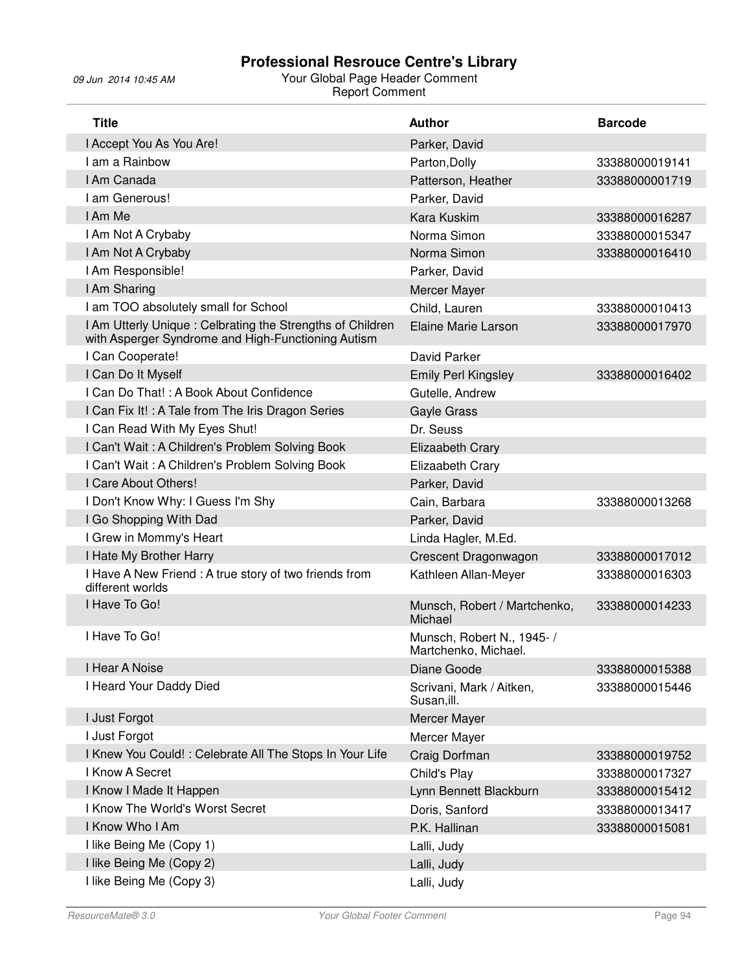| <b>Title</b>                                                                                                     | <b>Author</b>                                      | <b>Barcode</b> |
|------------------------------------------------------------------------------------------------------------------|----------------------------------------------------|----------------|
| I Accept You As You Are!                                                                                         | Parker, David                                      |                |
| I am a Rainbow                                                                                                   | Parton, Dolly                                      | 33388000019141 |
| I Am Canada                                                                                                      | Patterson, Heather                                 | 33388000001719 |
| I am Generous!                                                                                                   | Parker, David                                      |                |
| I Am Me                                                                                                          | <b>Kara Kuskim</b>                                 | 33388000016287 |
| I Am Not A Crybaby                                                                                               | Norma Simon                                        | 33388000015347 |
| I Am Not A Crybaby                                                                                               | Norma Simon                                        | 33388000016410 |
| I Am Responsible!                                                                                                | Parker, David                                      |                |
| I Am Sharing                                                                                                     | Mercer Mayer                                       |                |
| I am TOO absolutely small for School                                                                             | Child, Lauren                                      | 33388000010413 |
| I Am Utterly Unique : Celbrating the Strengths of Children<br>with Asperger Syndrome and High-Functioning Autism | Elaine Marie Larson                                | 33388000017970 |
| I Can Cooperate!                                                                                                 | David Parker                                       |                |
| I Can Do It Myself                                                                                               | <b>Emily Perl Kingsley</b>                         | 33388000016402 |
| I Can Do That!: A Book About Confidence                                                                          | Gutelle, Andrew                                    |                |
| I Can Fix It! : A Tale from The Iris Dragon Series                                                               | <b>Gayle Grass</b>                                 |                |
| I Can Read With My Eyes Shut!                                                                                    | Dr. Seuss                                          |                |
| I Can't Wait: A Children's Problem Solving Book                                                                  | <b>Elizaabeth Crary</b>                            |                |
| I Can't Wait: A Children's Problem Solving Book                                                                  | Elizaabeth Crary                                   |                |
| I Care About Others!                                                                                             | Parker, David                                      |                |
| I Don't Know Why: I Guess I'm Shy                                                                                | Cain, Barbara                                      | 33388000013268 |
| I Go Shopping With Dad                                                                                           | Parker, David                                      |                |
| I Grew in Mommy's Heart                                                                                          | Linda Hagler, M.Ed.                                |                |
| I Hate My Brother Harry                                                                                          | Crescent Dragonwagon                               | 33388000017012 |
| I Have A New Friend : A true story of two friends from<br>different worlds                                       | Kathleen Allan-Meyer                               | 33388000016303 |
| I Have To Go!                                                                                                    | Munsch, Robert / Martchenko,<br>Michael            | 33388000014233 |
| I Have To Go!                                                                                                    | Munsch, Robert N., 1945- /<br>Martchenko, Michael. |                |
| I Hear A Noise                                                                                                   | Diane Goode                                        | 33388000015388 |
| I Heard Your Daddy Died                                                                                          | Scrivani, Mark / Aitken,<br>Susan, ill.            | 33388000015446 |
| I Just Forgot                                                                                                    | Mercer Mayer                                       |                |
| I Just Forgot                                                                                                    | Mercer Mayer                                       |                |
| I Knew You Could! : Celebrate All The Stops In Your Life                                                         | Craig Dorfman                                      | 33388000019752 |
| I Know A Secret                                                                                                  | Child's Play                                       | 33388000017327 |
| I Know I Made It Happen                                                                                          | Lynn Bennett Blackburn                             | 33388000015412 |
| I Know The World's Worst Secret                                                                                  | Doris, Sanford                                     | 33388000013417 |
| I Know Who I Am                                                                                                  | P.K. Hallinan                                      | 33388000015081 |
| I like Being Me (Copy 1)                                                                                         | Lalli, Judy                                        |                |
| I like Being Me (Copy 2)                                                                                         | Lalli, Judy                                        |                |
| I like Being Me (Copy 3)                                                                                         | Lalli, Judy                                        |                |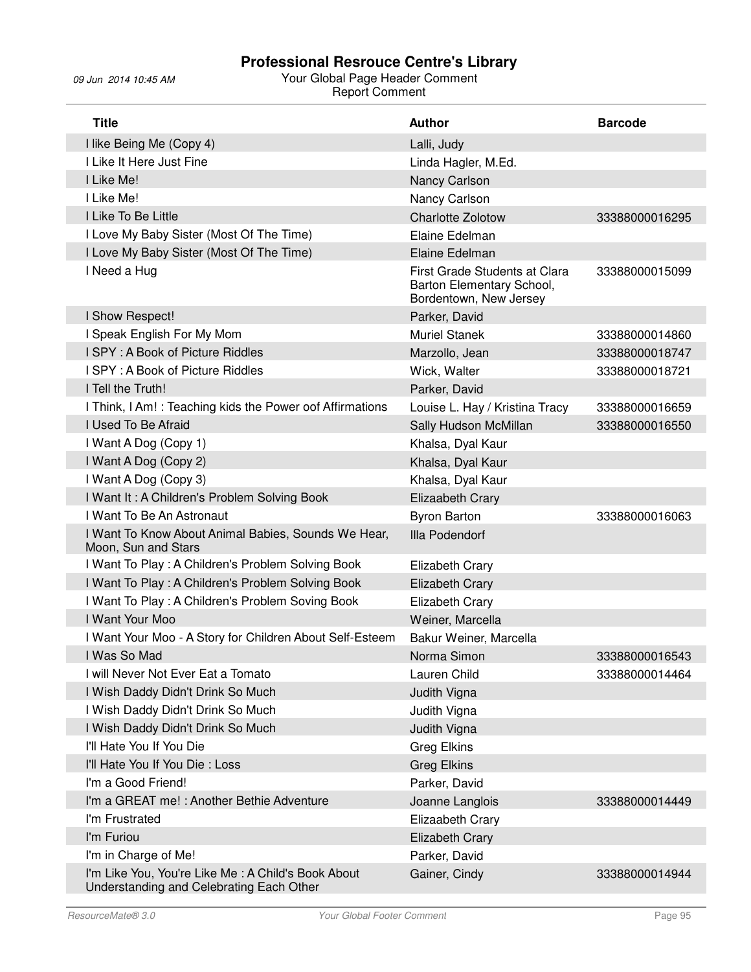| <b>Title</b>                                                                                   | <b>Author</b>                                                                        | <b>Barcode</b> |
|------------------------------------------------------------------------------------------------|--------------------------------------------------------------------------------------|----------------|
| I like Being Me (Copy 4)                                                                       | Lalli, Judy                                                                          |                |
| I Like It Here Just Fine                                                                       | Linda Hagler, M.Ed.                                                                  |                |
| I Like Me!                                                                                     | Nancy Carlson                                                                        |                |
| I Like Me!                                                                                     | Nancy Carlson                                                                        |                |
| I Like To Be Little                                                                            | <b>Charlotte Zolotow</b>                                                             | 33388000016295 |
| I Love My Baby Sister (Most Of The Time)                                                       | Elaine Edelman                                                                       |                |
| I Love My Baby Sister (Most Of The Time)                                                       | Elaine Edelman                                                                       |                |
| I Need a Hug                                                                                   | First Grade Students at Clara<br>Barton Elementary School,<br>Bordentown, New Jersey | 33388000015099 |
| I Show Respect!                                                                                | Parker, David                                                                        |                |
| I Speak English For My Mom                                                                     | <b>Muriel Stanek</b>                                                                 | 33388000014860 |
| I SPY: A Book of Picture Riddles                                                               | Marzollo, Jean                                                                       | 33388000018747 |
| I SPY: A Book of Picture Riddles                                                               | Wick, Walter                                                                         | 33388000018721 |
| I Tell the Truth!                                                                              | Parker, David                                                                        |                |
| I Think, I Am!: Teaching kids the Power oof Affirmations                                       | Louise L. Hay / Kristina Tracy                                                       | 33388000016659 |
| I Used To Be Afraid                                                                            | Sally Hudson McMillan                                                                | 33388000016550 |
| I Want A Dog (Copy 1)                                                                          | Khalsa, Dyal Kaur                                                                    |                |
| I Want A Dog (Copy 2)                                                                          | Khalsa, Dyal Kaur                                                                    |                |
| I Want A Dog (Copy 3)                                                                          | Khalsa, Dyal Kaur                                                                    |                |
| I Want It: A Children's Problem Solving Book                                                   | Elizaabeth Crary                                                                     |                |
| I Want To Be An Astronaut                                                                      | <b>Byron Barton</b>                                                                  | 33388000016063 |
| I Want To Know About Animal Babies, Sounds We Hear,<br>Moon, Sun and Stars                     | Illa Podendorf                                                                       |                |
| I Want To Play: A Children's Problem Solving Book                                              | Elizabeth Crary                                                                      |                |
| I Want To Play: A Children's Problem Solving Book                                              | <b>Elizabeth Crary</b>                                                               |                |
| I Want To Play: A Children's Problem Soving Book                                               | Elizabeth Crary                                                                      |                |
| I Want Your Moo                                                                                | Weiner, Marcella                                                                     |                |
| I Want Your Moo - A Story for Children About Self-Esteem                                       | Bakur Weiner, Marcella                                                               |                |
| I Was So Mad                                                                                   | Norma Simon                                                                          | 33388000016543 |
| I will Never Not Ever Eat a Tomato                                                             | Lauren Child                                                                         | 33388000014464 |
| I Wish Daddy Didn't Drink So Much                                                              | Judith Vigna                                                                         |                |
| I Wish Daddy Didn't Drink So Much                                                              | Judith Vigna                                                                         |                |
| I Wish Daddy Didn't Drink So Much                                                              | Judith Vigna                                                                         |                |
| I'll Hate You If You Die                                                                       | Greg Elkins                                                                          |                |
| I'll Hate You If You Die: Loss                                                                 | Greg Elkins                                                                          |                |
| I'm a Good Friend!                                                                             | Parker, David                                                                        |                |
| I'm a GREAT me! : Another Bethie Adventure                                                     | Joanne Langlois                                                                      | 33388000014449 |
| I'm Frustrated                                                                                 | <b>Elizaabeth Crary</b>                                                              |                |
| I'm Furiou                                                                                     | <b>Elizabeth Crary</b>                                                               |                |
| I'm in Charge of Me!                                                                           | Parker, David                                                                        |                |
| I'm Like You, You're Like Me: A Child's Book About<br>Understanding and Celebrating Each Other | Gainer, Cindy                                                                        | 33388000014944 |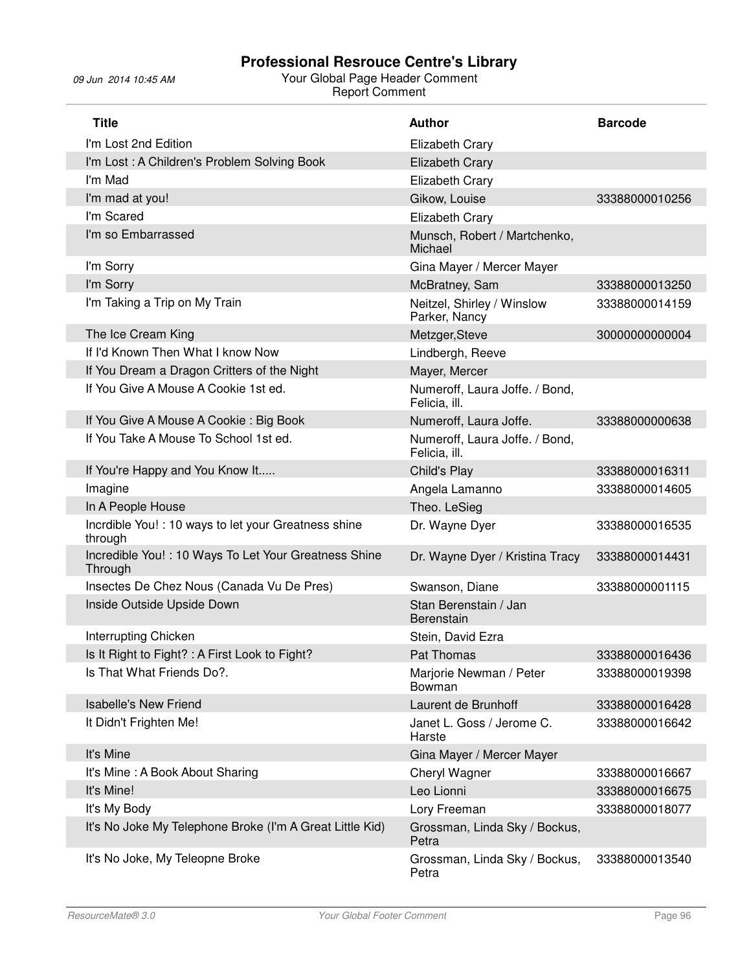| <b>Title</b>                                                     | <b>Author</b>                                   | <b>Barcode</b> |
|------------------------------------------------------------------|-------------------------------------------------|----------------|
| I'm Lost 2nd Edition                                             | Elizabeth Crary                                 |                |
| I'm Lost: A Children's Problem Solving Book                      | <b>Elizabeth Crary</b>                          |                |
| I'm Mad                                                          | Elizabeth Crary                                 |                |
| I'm mad at you!                                                  | Gikow, Louise                                   | 33388000010256 |
| I'm Scared                                                       | Elizabeth Crary                                 |                |
| I'm so Embarrassed                                               | Munsch, Robert / Martchenko,<br>Michael         |                |
| I'm Sorry                                                        | Gina Mayer / Mercer Mayer                       |                |
| I'm Sorry                                                        | McBratney, Sam                                  | 33388000013250 |
| I'm Taking a Trip on My Train                                    | Neitzel, Shirley / Winslow<br>Parker, Nancy     | 33388000014159 |
| The Ice Cream King                                               | Metzger, Steve                                  | 30000000000004 |
| If I'd Known Then What I know Now                                | Lindbergh, Reeve                                |                |
| If You Dream a Dragon Critters of the Night                      | Mayer, Mercer                                   |                |
| If You Give A Mouse A Cookie 1st ed.                             | Numeroff, Laura Joffe. / Bond,<br>Felicia, ill. |                |
| If You Give A Mouse A Cookie: Big Book                           | Numeroff, Laura Joffe.                          | 33388000000638 |
| If You Take A Mouse To School 1st ed.                            | Numeroff, Laura Joffe. / Bond,<br>Felicia, ill. |                |
| If You're Happy and You Know It                                  | Child's Play                                    | 33388000016311 |
| Imagine                                                          | Angela Lamanno                                  | 33388000014605 |
| In A People House                                                | Theo. LeSieg                                    |                |
| Incrdible You! : 10 ways to let your Greatness shine<br>through  | Dr. Wayne Dyer                                  | 33388000016535 |
| Incredible You! : 10 Ways To Let Your Greatness Shine<br>Through | Dr. Wayne Dyer / Kristina Tracy                 | 33388000014431 |
| Insectes De Chez Nous (Canada Vu De Pres)                        | Swanson, Diane                                  | 33388000001115 |
| Inside Outside Upside Down                                       | Stan Berenstain / Jan<br>Berenstain             |                |
| Interrupting Chicken                                             | Stein, David Ezra                               |                |
| Is It Right to Fight? : A First Look to Fight?                   | Pat Thomas                                      | 33388000016436 |
| Is That What Friends Do?.                                        | Marjorie Newman / Peter<br>Bowman               | 33388000019398 |
| <b>Isabelle's New Friend</b>                                     | Laurent de Brunhoff                             | 33388000016428 |
| It Didn't Frighten Me!                                           | Janet L. Goss / Jerome C.<br>Harste             | 33388000016642 |
| It's Mine                                                        | Gina Mayer / Mercer Mayer                       |                |
| It's Mine: A Book About Sharing                                  | Cheryl Wagner                                   | 33388000016667 |
| It's Mine!                                                       | Leo Lionni                                      | 33388000016675 |
| It's My Body                                                     | Lory Freeman                                    | 33388000018077 |
| It's No Joke My Telephone Broke (I'm A Great Little Kid)         | Grossman, Linda Sky / Bockus,<br>Petra          |                |
| It's No Joke, My Teleopne Broke                                  | Grossman, Linda Sky / Bockus,<br>Petra          | 33388000013540 |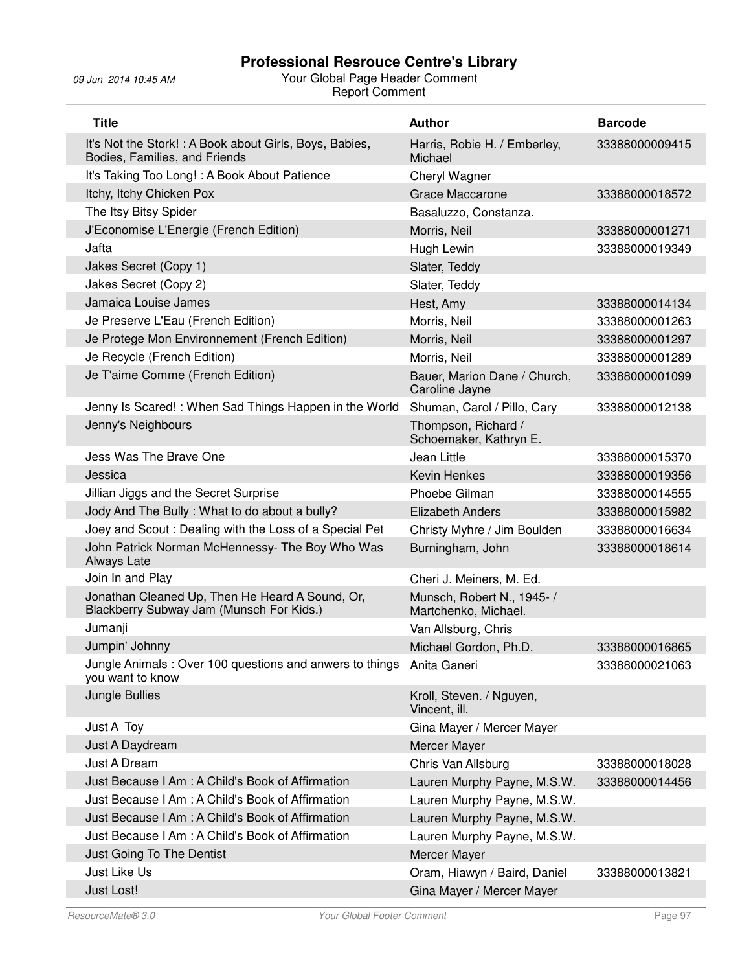| <b>Title</b>                                                                                | <b>Author</b>                                     | <b>Barcode</b> |
|---------------------------------------------------------------------------------------------|---------------------------------------------------|----------------|
| It's Not the Stork!: A Book about Girls, Boys, Babies,<br>Bodies, Families, and Friends     | Harris, Robie H. / Emberley,<br>Michael           | 33388000009415 |
| It's Taking Too Long! : A Book About Patience                                               | Cheryl Wagner                                     |                |
| Itchy, Itchy Chicken Pox                                                                    | Grace Maccarone                                   | 33388000018572 |
| The Itsy Bitsy Spider                                                                       | Basaluzzo, Constanza.                             |                |
| J'Economise L'Energie (French Edition)                                                      | Morris, Neil                                      | 33388000001271 |
| Jafta                                                                                       | Hugh Lewin                                        | 33388000019349 |
| Jakes Secret (Copy 1)                                                                       | Slater, Teddy                                     |                |
| Jakes Secret (Copy 2)                                                                       | Slater, Teddy                                     |                |
| Jamaica Louise James                                                                        | Hest, Amy                                         | 33388000014134 |
| Je Preserve L'Eau (French Edition)                                                          | Morris, Neil                                      | 33388000001263 |
| Je Protege Mon Environnement (French Edition)                                               | Morris, Neil                                      | 33388000001297 |
| Je Recycle (French Edition)                                                                 | Morris, Neil                                      | 33388000001289 |
| Je T'aime Comme (French Edition)                                                            | Bauer, Marion Dane / Church,<br>Caroline Jayne    | 33388000001099 |
| Jenny Is Scared!: When Sad Things Happen in the World                                       | Shuman, Carol / Pillo, Cary                       | 33388000012138 |
| Jenny's Neighbours                                                                          | Thompson, Richard /<br>Schoemaker, Kathryn E.     |                |
| Jess Was The Brave One                                                                      | Jean Little                                       | 33388000015370 |
| Jessica                                                                                     | <b>Kevin Henkes</b>                               | 33388000019356 |
| Jillian Jiggs and the Secret Surprise                                                       | Phoebe Gilman                                     | 33388000014555 |
| Jody And The Bully: What to do about a bully?                                               | <b>Elizabeth Anders</b>                           | 33388000015982 |
| Joey and Scout: Dealing with the Loss of a Special Pet                                      | Christy Myhre / Jim Boulden                       | 33388000016634 |
| John Patrick Norman McHennessy- The Boy Who Was<br>Always Late                              | Burningham, John                                  | 33388000018614 |
| Join In and Play                                                                            | Cheri J. Meiners, M. Ed.                          |                |
| Jonathan Cleaned Up, Then He Heard A Sound, Or,<br>Blackberry Subway Jam (Munsch For Kids.) | Munsch, Robert N., 1945-/<br>Martchenko, Michael. |                |
| Jumanji                                                                                     | Van Allsburg, Chris                               |                |
| Jumpin' Johnny                                                                              | Michael Gordon, Ph.D.                             | 33388000016865 |
| Jungle Animals: Over 100 questions and anwers to things Anita Ganeri<br>you want to know    |                                                   | 33388000021063 |
| Jungle Bullies                                                                              | Kroll, Steven. / Nguyen,<br>Vincent, ill.         |                |
| Just A Toy                                                                                  | Gina Mayer / Mercer Mayer                         |                |
| Just A Daydream                                                                             | Mercer Mayer                                      |                |
| Just A Dream                                                                                | Chris Van Allsburg                                | 33388000018028 |
| Just Because I Am : A Child's Book of Affirmation                                           | Lauren Murphy Payne, M.S.W.                       | 33388000014456 |
| Just Because I Am: A Child's Book of Affirmation                                            | Lauren Murphy Payne, M.S.W.                       |                |
| Just Because I Am: A Child's Book of Affirmation                                            | Lauren Murphy Payne, M.S.W.                       |                |
| Just Because I Am : A Child's Book of Affirmation                                           | Lauren Murphy Payne, M.S.W.                       |                |
| Just Going To The Dentist                                                                   | Mercer Mayer                                      |                |
| Just Like Us                                                                                | Oram, Hiawyn / Baird, Daniel                      | 33388000013821 |
| Just Lost!                                                                                  | Gina Mayer / Mercer Mayer                         |                |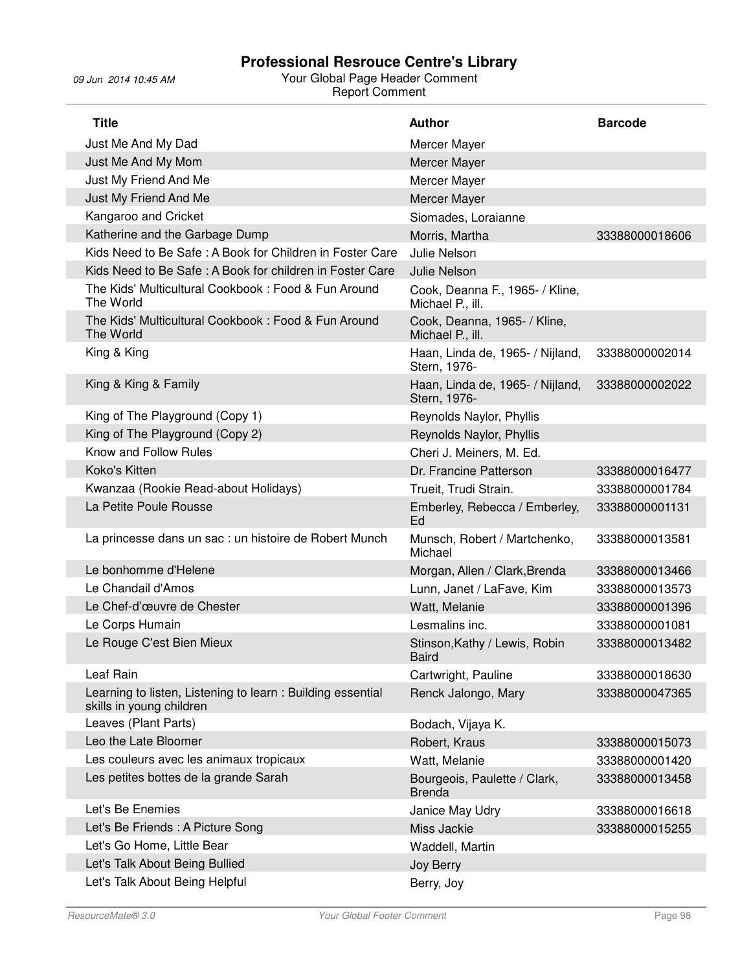| <b>Title</b>                                                                           | <b>Author</b>                                       | <b>Barcode</b> |
|----------------------------------------------------------------------------------------|-----------------------------------------------------|----------------|
| Just Me And My Dad                                                                     | Mercer Mayer                                        |                |
| Just Me And My Mom                                                                     | Mercer Mayer                                        |                |
| Just My Friend And Me                                                                  | Mercer Mayer                                        |                |
| Just My Friend And Me                                                                  | Mercer Mayer                                        |                |
| Kangaroo and Cricket                                                                   | Siomades, Loraianne                                 |                |
| Katherine and the Garbage Dump                                                         | Morris, Martha                                      | 33388000018606 |
| Kids Need to Be Safe: A Book for Children in Foster Care                               | Julie Nelson                                        |                |
| Kids Need to Be Safe: A Book for children in Foster Care                               | Julie Nelson                                        |                |
| The Kids' Multicultural Cookbook: Food & Fun Around<br>The World                       | Cook, Deanna F., 1965- / Kline,<br>Michael P., ill. |                |
| The Kids' Multicultural Cookbook: Food & Fun Around<br>The World                       | Cook, Deanna, 1965- / Kline,<br>Michael P., ill.    |                |
| King & King                                                                            | Haan, Linda de, 1965- / Nijland,<br>Stern, 1976-    | 33388000002014 |
| King & King & Family                                                                   | Haan, Linda de, 1965- / Nijland,<br>Stern, 1976-    | 33388000002022 |
| King of The Playground (Copy 1)                                                        | Reynolds Naylor, Phyllis                            |                |
| King of The Playground (Copy 2)                                                        | Reynolds Naylor, Phyllis                            |                |
| Know and Follow Rules                                                                  | Cheri J. Meiners, M. Ed.                            |                |
| Koko's Kitten                                                                          | Dr. Francine Patterson                              | 33388000016477 |
| Kwanzaa (Rookie Read-about Holidays)                                                   | Trueit, Trudi Strain.                               | 33388000001784 |
| La Petite Poule Rousse                                                                 | Emberley, Rebecca / Emberley,<br>Ed                 | 33388000001131 |
| La princesse dans un sac : un histoire de Robert Munch                                 | Munsch, Robert / Martchenko,<br>Michael             | 33388000013581 |
| Le bonhomme d'Helene                                                                   | Morgan, Allen / Clark, Brenda                       | 33388000013466 |
| Le Chandail d'Amos                                                                     | Lunn, Janet / LaFave, Kim                           | 33388000013573 |
| Le Chef-d'œuvre de Chester                                                             | Watt, Melanie                                       | 33388000001396 |
| Le Corps Humain                                                                        | Lesmalins inc.                                      | 33388000001081 |
| Le Rouge C'est Bien Mieux                                                              | Stinson, Kathy / Lewis, Robin<br><b>Baird</b>       | 33388000013482 |
| Leaf Rain                                                                              | Cartwright, Pauline                                 | 33388000018630 |
| Learning to listen, Listening to learn: Building essential<br>skills in young children | Renck Jalongo, Mary                                 | 33388000047365 |
| Leaves (Plant Parts)                                                                   | Bodach, Vijaya K.                                   |                |
| Leo the Late Bloomer                                                                   | Robert, Kraus                                       | 33388000015073 |
| Les couleurs avec les animaux tropicaux                                                | Watt, Melanie                                       | 33388000001420 |
| Les petites bottes de la grande Sarah                                                  | Bourgeois, Paulette / Clark,<br><b>Brenda</b>       | 33388000013458 |
| Let's Be Enemies                                                                       | Janice May Udry                                     | 33388000016618 |
| Let's Be Friends : A Picture Song                                                      | Miss Jackie                                         | 33388000015255 |
| Let's Go Home, Little Bear                                                             | Waddell, Martin                                     |                |
| Let's Talk About Being Bullied                                                         | Joy Berry                                           |                |
| Let's Talk About Being Helpful                                                         | Berry, Joy                                          |                |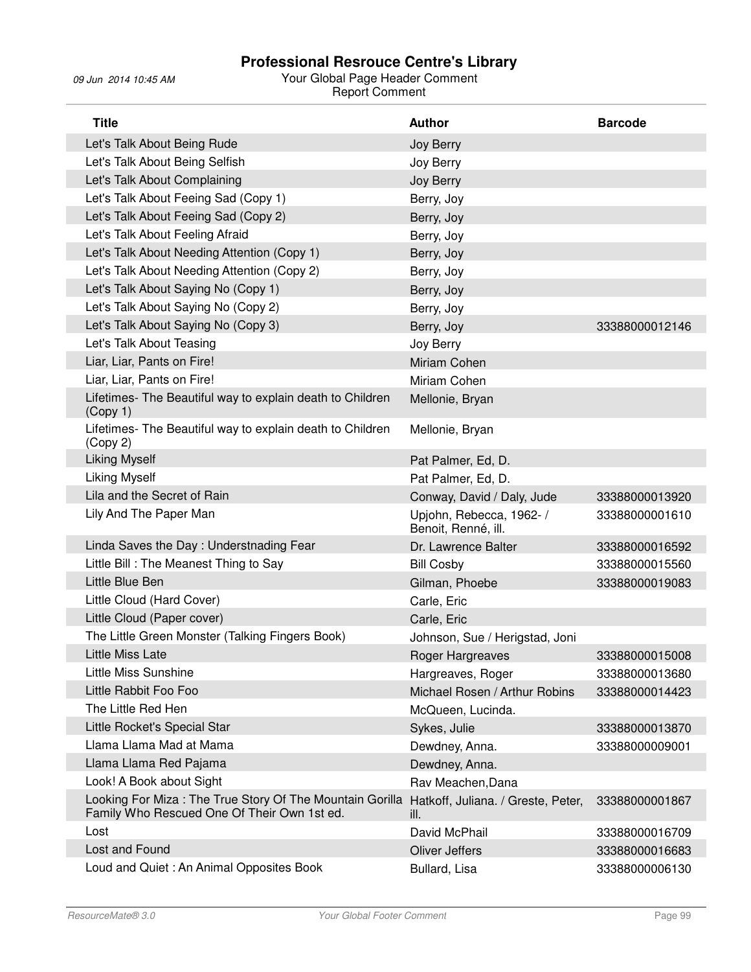| <b>Title</b>                                                                                            | <b>Author</b>                                   | <b>Barcode</b> |
|---------------------------------------------------------------------------------------------------------|-------------------------------------------------|----------------|
| Let's Talk About Being Rude                                                                             | Joy Berry                                       |                |
| Let's Talk About Being Selfish                                                                          | Joy Berry                                       |                |
| Let's Talk About Complaining                                                                            | Joy Berry                                       |                |
| Let's Talk About Feeing Sad (Copy 1)                                                                    | Berry, Joy                                      |                |
| Let's Talk About Feeing Sad (Copy 2)                                                                    | Berry, Joy                                      |                |
| Let's Talk About Feeling Afraid                                                                         | Berry, Joy                                      |                |
| Let's Talk About Needing Attention (Copy 1)                                                             | Berry, Joy                                      |                |
| Let's Talk About Needing Attention (Copy 2)                                                             | Berry, Joy                                      |                |
| Let's Talk About Saying No (Copy 1)                                                                     | Berry, Joy                                      |                |
| Let's Talk About Saying No (Copy 2)                                                                     | Berry, Joy                                      |                |
| Let's Talk About Saying No (Copy 3)                                                                     | Berry, Joy                                      | 33388000012146 |
| Let's Talk About Teasing                                                                                | Joy Berry                                       |                |
| Liar, Liar, Pants on Fire!                                                                              | Miriam Cohen                                    |                |
| Liar, Liar, Pants on Fire!                                                                              | Miriam Cohen                                    |                |
| Lifetimes- The Beautiful way to explain death to Children<br>(Copy 1)                                   | Mellonie, Bryan                                 |                |
| Lifetimes- The Beautiful way to explain death to Children<br>(Copy 2)                                   | Mellonie, Bryan                                 |                |
| <b>Liking Myself</b>                                                                                    | Pat Palmer, Ed, D.                              |                |
| <b>Liking Myself</b>                                                                                    | Pat Palmer, Ed, D.                              |                |
| Lila and the Secret of Rain                                                                             | Conway, David / Daly, Jude                      | 33388000013920 |
| Lily And The Paper Man                                                                                  | Upjohn, Rebecca, 1962- /<br>Benoit, Renné, ill. | 33388000001610 |
| Linda Saves the Day: Understnading Fear                                                                 | Dr. Lawrence Balter                             | 33388000016592 |
| Little Bill: The Meanest Thing to Say                                                                   | <b>Bill Cosby</b>                               | 33388000015560 |
| Little Blue Ben                                                                                         | Gilman, Phoebe                                  | 33388000019083 |
| Little Cloud (Hard Cover)                                                                               | Carle, Eric                                     |                |
| Little Cloud (Paper cover)                                                                              | Carle, Eric                                     |                |
| The Little Green Monster (Talking Fingers Book)                                                         | Johnson, Sue / Herigstad, Joni                  |                |
| Little Miss Late                                                                                        | Roger Hargreaves                                | 33388000015008 |
| <b>Little Miss Sunshine</b>                                                                             | Hargreaves, Roger                               | 33388000013680 |
| Little Rabbit Foo Foo                                                                                   | Michael Rosen / Arthur Robins                   | 33388000014423 |
| The Little Red Hen                                                                                      | McQueen, Lucinda.                               |                |
| Little Rocket's Special Star                                                                            | Sykes, Julie                                    | 33388000013870 |
| Llama Llama Mad at Mama                                                                                 | Dewdney, Anna.                                  | 33388000009001 |
| Llama Llama Red Pajama                                                                                  | Dewdney, Anna.                                  |                |
| Look! A Book about Sight                                                                                | Rav Meachen, Dana                               |                |
| Looking For Miza: The True Story Of The Mountain Gorilla<br>Family Who Rescued One Of Their Own 1st ed. | Hatkoff, Juliana. / Greste, Peter,<br>ill.      | 33388000001867 |
| Lost                                                                                                    | David McPhail                                   | 33388000016709 |
| Lost and Found                                                                                          | <b>Oliver Jeffers</b>                           | 33388000016683 |
| Loud and Quiet : An Animal Opposites Book                                                               | Bullard, Lisa                                   | 33388000006130 |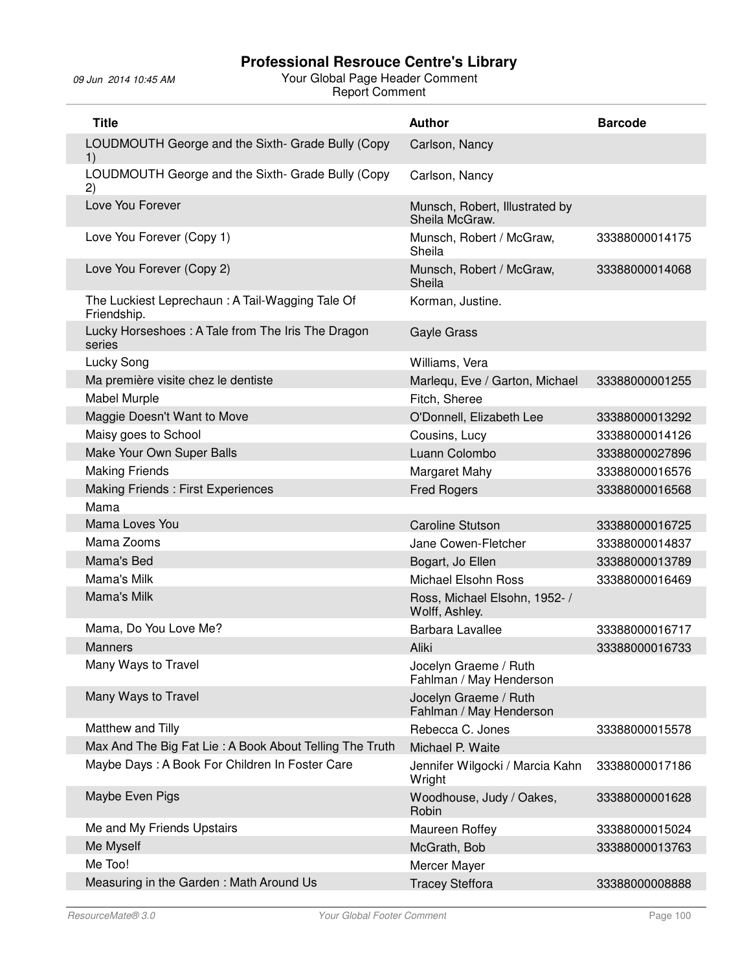| <b>Title</b>                                                   | <b>Author</b>                                    | <b>Barcode</b> |
|----------------------------------------------------------------|--------------------------------------------------|----------------|
| LOUDMOUTH George and the Sixth- Grade Bully (Copy<br>1)        | Carlson, Nancy                                   |                |
| LOUDMOUTH George and the Sixth- Grade Bully (Copy<br>2)        | Carlson, Nancy                                   |                |
| Love You Forever                                               | Munsch, Robert, Illustrated by<br>Sheila McGraw. |                |
| Love You Forever (Copy 1)                                      | Munsch, Robert / McGraw,<br>Sheila               | 33388000014175 |
| Love You Forever (Copy 2)                                      | Munsch, Robert / McGraw,<br>Sheila               | 33388000014068 |
| The Luckiest Leprechaun: A Tail-Wagging Tale Of<br>Friendship. | Korman, Justine.                                 |                |
| Lucky Horseshoes: A Tale from The Iris The Dragon<br>series    | Gayle Grass                                      |                |
| Lucky Song                                                     | Williams, Vera                                   |                |
| Ma première visite chez le dentiste                            | Marlequ, Eve / Garton, Michael                   | 33388000001255 |
| <b>Mabel Murple</b>                                            | Fitch, Sheree                                    |                |
| Maggie Doesn't Want to Move                                    | O'Donnell, Elizabeth Lee                         | 33388000013292 |
| Maisy goes to School                                           | Cousins, Lucy                                    | 33388000014126 |
| Make Your Own Super Balls                                      | Luann Colombo                                    | 33388000027896 |
| <b>Making Friends</b>                                          | Margaret Mahy                                    | 33388000016576 |
| Making Friends: First Experiences                              | <b>Fred Rogers</b>                               | 33388000016568 |
| Mama                                                           |                                                  |                |
| Mama Loves You                                                 | <b>Caroline Stutson</b>                          | 33388000016725 |
| Mama Zooms                                                     | Jane Cowen-Fletcher                              | 33388000014837 |
| Mama's Bed                                                     | Bogart, Jo Ellen                                 | 33388000013789 |
| Mama's Milk                                                    | <b>Michael Elsohn Ross</b>                       | 33388000016469 |
| Mama's Milk                                                    | Ross, Michael Elsohn, 1952- /<br>Wolff, Ashley.  |                |
| Mama, Do You Love Me?                                          | Barbara Lavallee                                 | 33388000016717 |
| <b>Manners</b>                                                 | Aliki                                            | 33388000016733 |
| Many Ways to Travel                                            | Jocelyn Graeme / Ruth<br>Fahlman / May Henderson |                |
| Many Ways to Travel                                            | Jocelyn Graeme / Ruth<br>Fahlman / May Henderson |                |
| Matthew and Tilly                                              | Rebecca C. Jones                                 | 33388000015578 |
| Max And The Big Fat Lie: A Book About Telling The Truth        | Michael P. Waite                                 |                |
| Maybe Days: A Book For Children In Foster Care                 | Jennifer Wilgocki / Marcia Kahn<br>Wright        | 33388000017186 |
| Maybe Even Pigs                                                | Woodhouse, Judy / Oakes,<br>Robin                | 33388000001628 |
| Me and My Friends Upstairs                                     | Maureen Roffey                                   | 33388000015024 |
| Me Myself                                                      | McGrath, Bob                                     | 33388000013763 |
| Me Too!                                                        | Mercer Mayer                                     |                |
| Measuring in the Garden: Math Around Us                        | <b>Tracey Steffora</b>                           | 33388000008888 |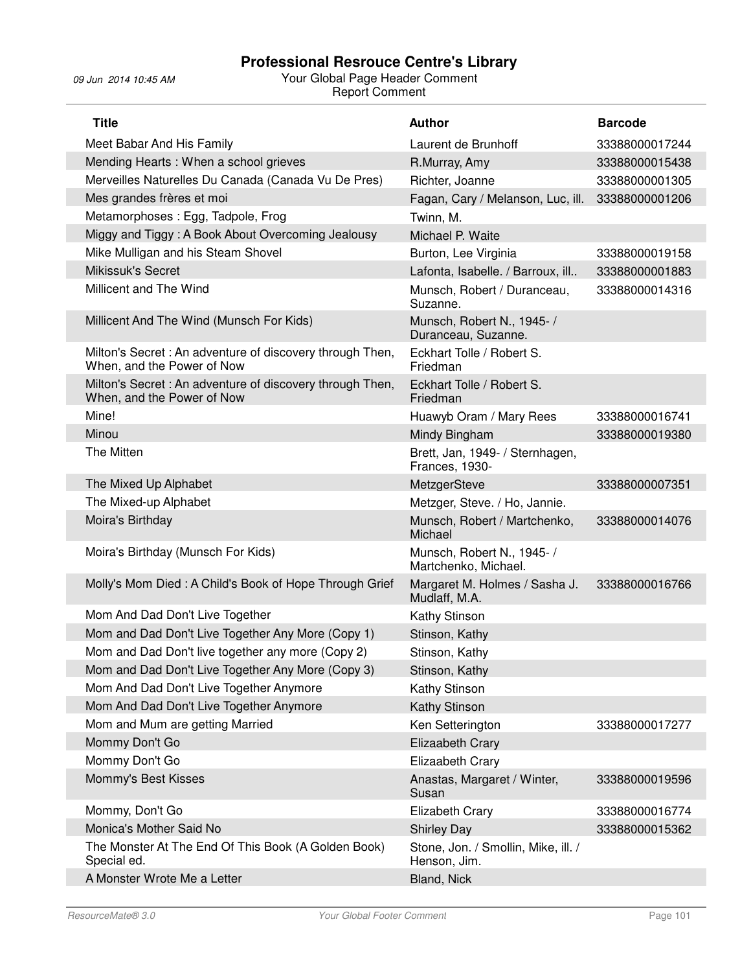| <b>Title</b>                                                                            | <b>Author</b>                                       | <b>Barcode</b> |
|-----------------------------------------------------------------------------------------|-----------------------------------------------------|----------------|
| Meet Babar And His Family                                                               | Laurent de Brunhoff                                 | 33388000017244 |
| Mending Hearts: When a school grieves                                                   | R.Murray, Amy                                       | 33388000015438 |
| Merveilles Naturelles Du Canada (Canada Vu De Pres)                                     | Richter, Joanne                                     | 33388000001305 |
| Mes grandes frères et moi                                                               | Fagan, Cary / Melanson, Luc, ill.                   | 33388000001206 |
| Metamorphoses: Egg, Tadpole, Frog                                                       | Twinn, M.                                           |                |
| Miggy and Tiggy: A Book About Overcoming Jealousy                                       | Michael P. Waite                                    |                |
| Mike Mulligan and his Steam Shovel                                                      | Burton, Lee Virginia                                | 33388000019158 |
| <b>Mikissuk's Secret</b>                                                                | Lafonta, Isabelle. / Barroux, ill                   | 33388000001883 |
| Millicent and The Wind                                                                  | Munsch, Robert / Duranceau,<br>Suzanne.             | 33388000014316 |
| Millicent And The Wind (Munsch For Kids)                                                | Munsch, Robert N., 1945- /<br>Duranceau, Suzanne.   |                |
| Milton's Secret : An adventure of discovery through Then,<br>When, and the Power of Now | Eckhart Tolle / Robert S.<br>Friedman               |                |
| Milton's Secret : An adventure of discovery through Then,<br>When, and the Power of Now | Eckhart Tolle / Robert S.<br>Friedman               |                |
| Mine!                                                                                   | Huawyb Oram / Mary Rees                             | 33388000016741 |
| Minou                                                                                   | Mindy Bingham                                       | 33388000019380 |
| The Mitten                                                                              | Brett, Jan, 1949- / Sternhagen,<br>Frances, 1930-   |                |
| The Mixed Up Alphabet                                                                   | MetzgerSteve                                        | 33388000007351 |
| The Mixed-up Alphabet                                                                   | Metzger, Steve. / Ho, Jannie.                       |                |
| Moira's Birthday                                                                        | Munsch, Robert / Martchenko,<br>Michael             | 33388000014076 |
| Moira's Birthday (Munsch For Kids)                                                      | Munsch, Robert N., 1945- /<br>Martchenko, Michael.  |                |
| Molly's Mom Died: A Child's Book of Hope Through Grief                                  | Margaret M. Holmes / Sasha J.<br>Mudlaff, M.A.      | 33388000016766 |
| Mom And Dad Don't Live Together                                                         | Kathy Stinson                                       |                |
| Mom and Dad Don't Live Together Any More (Copy 1)                                       | Stinson, Kathy                                      |                |
| Mom and Dad Don't live together any more (Copy 2)                                       | Stinson, Kathy                                      |                |
| Mom and Dad Don't Live Together Any More (Copy 3)                                       | Stinson, Kathy                                      |                |
| Mom And Dad Don't Live Together Anymore                                                 | Kathy Stinson                                       |                |
| Mom And Dad Don't Live Together Anymore                                                 | Kathy Stinson                                       |                |
| Mom and Mum are getting Married                                                         | Ken Setterington                                    | 33388000017277 |
| Mommy Don't Go                                                                          | Elizaabeth Crary                                    |                |
| Mommy Don't Go                                                                          | Elizaabeth Crary                                    |                |
| Mommy's Best Kisses                                                                     | Anastas, Margaret / Winter,<br>Susan                | 33388000019596 |
| Mommy, Don't Go                                                                         | Elizabeth Crary                                     | 33388000016774 |
| Monica's Mother Said No                                                                 | <b>Shirley Day</b>                                  | 33388000015362 |
| The Monster At The End Of This Book (A Golden Book)<br>Special ed.                      | Stone, Jon. / Smollin, Mike, ill. /<br>Henson, Jim. |                |
| A Monster Wrote Me a Letter                                                             | Bland, Nick                                         |                |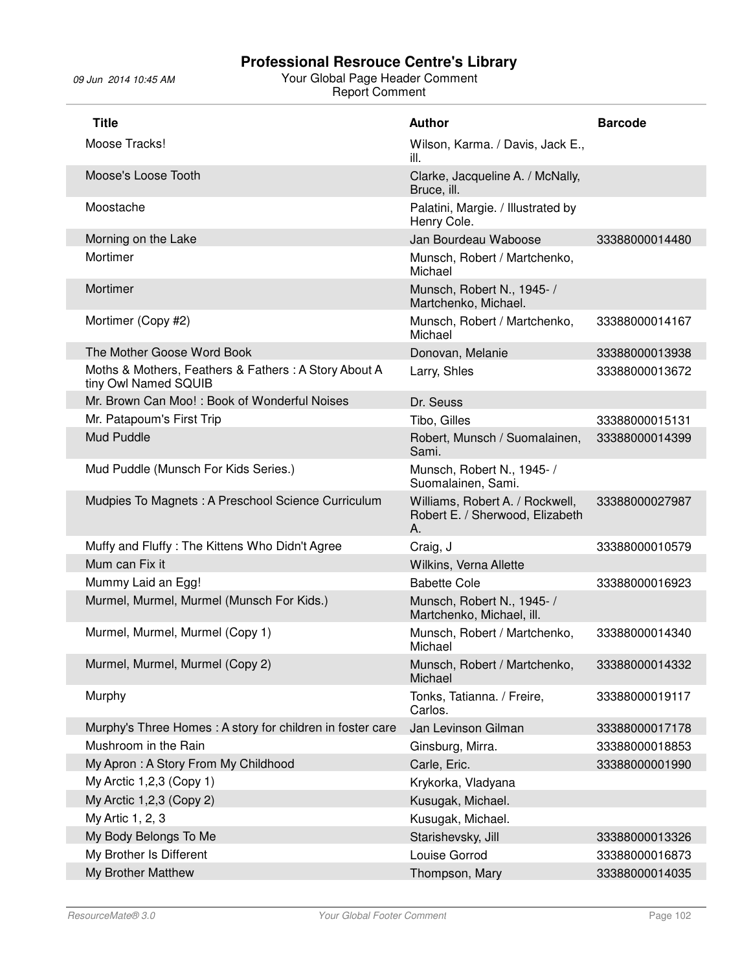| <b>Title</b>                                                                 | <b>Author</b>                                                            | <b>Barcode</b> |
|------------------------------------------------------------------------------|--------------------------------------------------------------------------|----------------|
| Moose Tracks!                                                                | Wilson, Karma. / Davis, Jack E.,<br>ill.                                 |                |
| Moose's Loose Tooth                                                          | Clarke, Jacqueline A. / McNally,<br>Bruce, ill.                          |                |
| Moostache                                                                    | Palatini, Margie. / Illustrated by<br>Henry Cole.                        |                |
| Morning on the Lake                                                          | Jan Bourdeau Waboose                                                     | 33388000014480 |
| Mortimer                                                                     | Munsch, Robert / Martchenko,<br>Michael                                  |                |
| Mortimer                                                                     | Munsch, Robert N., 1945- /<br>Martchenko, Michael.                       |                |
| Mortimer (Copy #2)                                                           | Munsch, Robert / Martchenko,<br>Michael                                  | 33388000014167 |
| The Mother Goose Word Book                                                   | Donovan, Melanie                                                         | 33388000013938 |
| Moths & Mothers, Feathers & Fathers: A Story About A<br>tiny Owl Named SQUIB | Larry, Shles                                                             | 33388000013672 |
| Mr. Brown Can Moo!: Book of Wonderful Noises                                 | Dr. Seuss                                                                |                |
| Mr. Patapoum's First Trip                                                    | Tibo, Gilles                                                             | 33388000015131 |
| Mud Puddle                                                                   | Robert, Munsch / Suomalainen,<br>Sami.                                   | 33388000014399 |
| Mud Puddle (Munsch For Kids Series.)                                         | Munsch, Robert N., 1945- /<br>Suomalainen, Sami.                         |                |
| Mudpies To Magnets: A Preschool Science Curriculum                           | Williams, Robert A. / Rockwell,<br>Robert E. / Sherwood, Elizabeth<br>А. | 33388000027987 |
| Muffy and Fluffy: The Kittens Who Didn't Agree                               | Craig, J                                                                 | 33388000010579 |
| Mum can Fix it                                                               | Wilkins, Verna Allette                                                   |                |
| Mummy Laid an Egg!                                                           | <b>Babette Cole</b>                                                      | 33388000016923 |
| Murmel, Murmel, Murmel (Munsch For Kids.)                                    | Munsch, Robert N., 1945- /<br>Martchenko, Michael, ill.                  |                |
| Murmel, Murmel, Murmel (Copy 1)                                              | Munsch, Robert / Martchenko,<br>Michael                                  | 33388000014340 |
| Murmel, Murmel, Murmel (Copy 2)                                              | Munsch, Robert / Martchenko,<br>Michael                                  | 33388000014332 |
| Murphy                                                                       | Tonks, Tatianna. / Freire,<br>Carlos.                                    | 33388000019117 |
| Murphy's Three Homes: A story for children in foster care                    | Jan Levinson Gilman                                                      | 33388000017178 |
| Mushroom in the Rain                                                         | Ginsburg, Mirra.                                                         | 33388000018853 |
| My Apron: A Story From My Childhood                                          | Carle, Eric.                                                             | 33388000001990 |
| My Arctic 1,2,3 (Copy 1)                                                     | Krykorka, Vladyana                                                       |                |
| My Arctic 1,2,3 (Copy 2)                                                     | Kusugak, Michael.                                                        |                |
| My Artic 1, 2, 3                                                             | Kusugak, Michael.                                                        |                |
| My Body Belongs To Me                                                        | Starishevsky, Jill                                                       | 33388000013326 |
| My Brother Is Different                                                      | Louise Gorrod                                                            | 33388000016873 |
| My Brother Matthew                                                           | Thompson, Mary                                                           | 33388000014035 |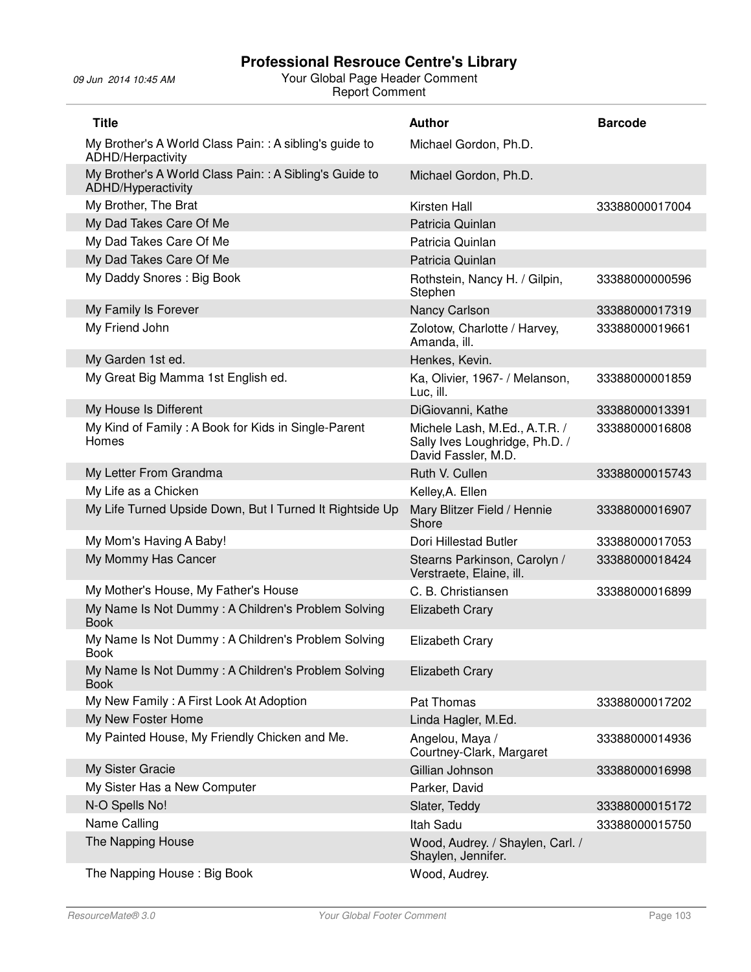| <b>Title</b>                                                                  | <b>Author</b>                                                                          | <b>Barcode</b> |
|-------------------------------------------------------------------------------|----------------------------------------------------------------------------------------|----------------|
| My Brother's A World Class Pain: : A sibling's guide to<br>ADHD/Herpactivity  | Michael Gordon, Ph.D.                                                                  |                |
| My Brother's A World Class Pain: : A Sibling's Guide to<br>ADHD/Hyperactivity | Michael Gordon, Ph.D.                                                                  |                |
| My Brother, The Brat                                                          | Kirsten Hall                                                                           | 33388000017004 |
| My Dad Takes Care Of Me                                                       | Patricia Quinlan                                                                       |                |
| My Dad Takes Care Of Me                                                       | Patricia Quinlan                                                                       |                |
| My Dad Takes Care Of Me                                                       | Patricia Quinlan                                                                       |                |
| My Daddy Snores: Big Book                                                     | Rothstein, Nancy H. / Gilpin,<br>Stephen                                               | 33388000000596 |
| My Family Is Forever                                                          | Nancy Carlson                                                                          | 33388000017319 |
| My Friend John                                                                | Zolotow, Charlotte / Harvey,<br>Amanda, ill.                                           | 33388000019661 |
| My Garden 1st ed.                                                             | Henkes, Kevin.                                                                         |                |
| My Great Big Mamma 1st English ed.                                            | Ka, Olivier, 1967- / Melanson,<br>Luc, ill.                                            | 33388000001859 |
| My House Is Different                                                         | DiGiovanni, Kathe                                                                      | 33388000013391 |
| My Kind of Family: A Book for Kids in Single-Parent<br>Homes                  | Michele Lash, M.Ed., A.T.R. /<br>Sally Ives Loughridge, Ph.D. /<br>David Fassler, M.D. | 33388000016808 |
| My Letter From Grandma                                                        | Ruth V. Cullen                                                                         | 33388000015743 |
| My Life as a Chicken                                                          | Kelley, A. Ellen                                                                       |                |
| My Life Turned Upside Down, But I Turned It Rightside Up                      | Mary Blitzer Field / Hennie<br>Shore                                                   | 33388000016907 |
| My Mom's Having A Baby!                                                       | Dori Hillestad Butler                                                                  | 33388000017053 |
| My Mommy Has Cancer                                                           | Stearns Parkinson, Carolyn /<br>Verstraete, Elaine, ill.                               | 33388000018424 |
| My Mother's House, My Father's House                                          | C. B. Christiansen                                                                     | 33388000016899 |
| My Name Is Not Dummy: A Children's Problem Solving<br><b>Book</b>             | <b>Elizabeth Crary</b>                                                                 |                |
| My Name Is Not Dummy: A Children's Problem Solving<br><b>Book</b>             | <b>Elizabeth Crary</b>                                                                 |                |
| My Name Is Not Dummy: A Children's Problem Solving<br><b>Book</b>             | <b>Elizabeth Crary</b>                                                                 |                |
| My New Family: A First Look At Adoption                                       | Pat Thomas                                                                             | 33388000017202 |
| My New Foster Home                                                            | Linda Hagler, M.Ed.                                                                    |                |
| My Painted House, My Friendly Chicken and Me.                                 | Angelou, Maya /<br>Courtney-Clark, Margaret                                            | 33388000014936 |
| My Sister Gracie                                                              | Gillian Johnson                                                                        | 33388000016998 |
| My Sister Has a New Computer                                                  | Parker, David                                                                          |                |
| N-O Spells No!                                                                | Slater, Teddy                                                                          | 33388000015172 |
| Name Calling                                                                  | Itah Sadu                                                                              | 33388000015750 |
| The Napping House                                                             | Wood, Audrey. / Shaylen, Carl. /<br>Shaylen, Jennifer.                                 |                |
| The Napping House: Big Book                                                   | Wood, Audrey.                                                                          |                |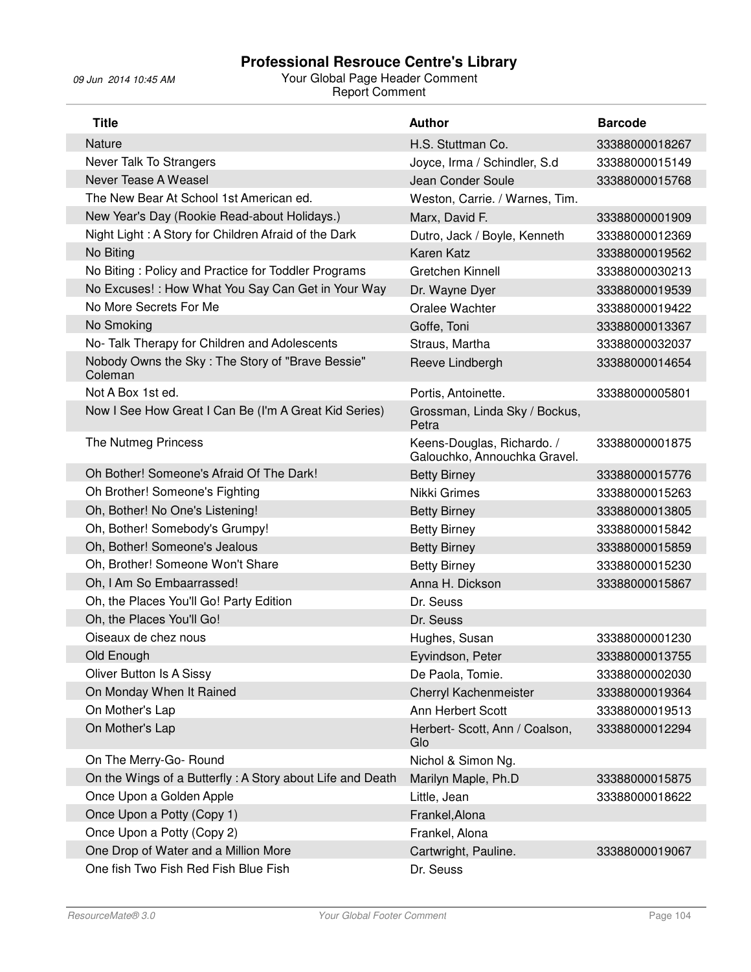| <b>Title</b>                                                | <b>Author</b>                                              | <b>Barcode</b> |
|-------------------------------------------------------------|------------------------------------------------------------|----------------|
| Nature                                                      | H.S. Stuttman Co.                                          | 33388000018267 |
| Never Talk To Strangers                                     | Joyce, Irma / Schindler, S.d                               | 33388000015149 |
| Never Tease A Weasel                                        | Jean Conder Soule                                          | 33388000015768 |
| The New Bear At School 1st American ed.                     | Weston, Carrie. / Warnes, Tim.                             |                |
| New Year's Day (Rookie Read-about Holidays.)                | Marx, David F.                                             | 33388000001909 |
| Night Light: A Story for Children Afraid of the Dark        | Dutro, Jack / Boyle, Kenneth                               | 33388000012369 |
| No Biting                                                   | <b>Karen Katz</b>                                          | 33388000019562 |
| No Biting: Policy and Practice for Toddler Programs         | Gretchen Kinnell                                           | 33388000030213 |
| No Excuses! : How What You Say Can Get in Your Way          | Dr. Wayne Dyer                                             | 33388000019539 |
| No More Secrets For Me                                      | Oralee Wachter                                             | 33388000019422 |
| No Smoking                                                  | Goffe, Toni                                                | 33388000013367 |
| No- Talk Therapy for Children and Adolescents               | Straus, Martha                                             | 33388000032037 |
| Nobody Owns the Sky: The Story of "Brave Bessie"<br>Coleman | Reeve Lindbergh                                            | 33388000014654 |
| Not A Box 1st ed.                                           | Portis, Antoinette.                                        | 33388000005801 |
| Now I See How Great I Can Be (I'm A Great Kid Series)       | Grossman, Linda Sky / Bockus,<br>Petra                     |                |
| The Nutmeg Princess                                         | Keens-Douglas, Richardo. /<br>Galouchko, Annouchka Gravel. | 33388000001875 |
| Oh Bother! Someone's Afraid Of The Dark!                    | <b>Betty Birney</b>                                        | 33388000015776 |
| Oh Brother! Someone's Fighting                              | Nikki Grimes                                               | 33388000015263 |
| Oh, Bother! No One's Listening!                             | <b>Betty Birney</b>                                        | 33388000013805 |
| Oh, Bother! Somebody's Grumpy!                              | <b>Betty Birney</b>                                        | 33388000015842 |
| Oh, Bother! Someone's Jealous                               | <b>Betty Birney</b>                                        | 33388000015859 |
| Oh, Brother! Someone Won't Share                            | <b>Betty Birney</b>                                        | 33388000015230 |
| Oh, I Am So Embaarrassed!                                   | Anna H. Dickson                                            | 33388000015867 |
| Oh, the Places You'll Go! Party Edition                     | Dr. Seuss                                                  |                |
| Oh, the Places You'll Go!                                   | Dr. Seuss                                                  |                |
| Oiseaux de chez nous                                        | Hughes, Susan                                              | 33388000001230 |
| Old Enough                                                  | Eyvindson, Peter                                           | 33388000013755 |
| Oliver Button Is A Sissy                                    | De Paola, Tomie.                                           | 33388000002030 |
| On Monday When It Rained                                    | Cherryl Kachenmeister                                      | 33388000019364 |
| On Mother's Lap                                             | Ann Herbert Scott                                          | 33388000019513 |
| On Mother's Lap                                             | Herbert- Scott, Ann / Coalson,<br>Glo                      | 33388000012294 |
| On The Merry-Go- Round                                      | Nichol & Simon Ng.                                         |                |
| On the Wings of a Butterfly: A Story about Life and Death   | Marilyn Maple, Ph.D                                        | 33388000015875 |
| Once Upon a Golden Apple                                    | Little, Jean                                               | 33388000018622 |
| Once Upon a Potty (Copy 1)                                  | Frankel, Alona                                             |                |
| Once Upon a Potty (Copy 2)                                  | Frankel, Alona                                             |                |
| One Drop of Water and a Million More                        | Cartwright, Pauline.                                       | 33388000019067 |
| One fish Two Fish Red Fish Blue Fish                        | Dr. Seuss                                                  |                |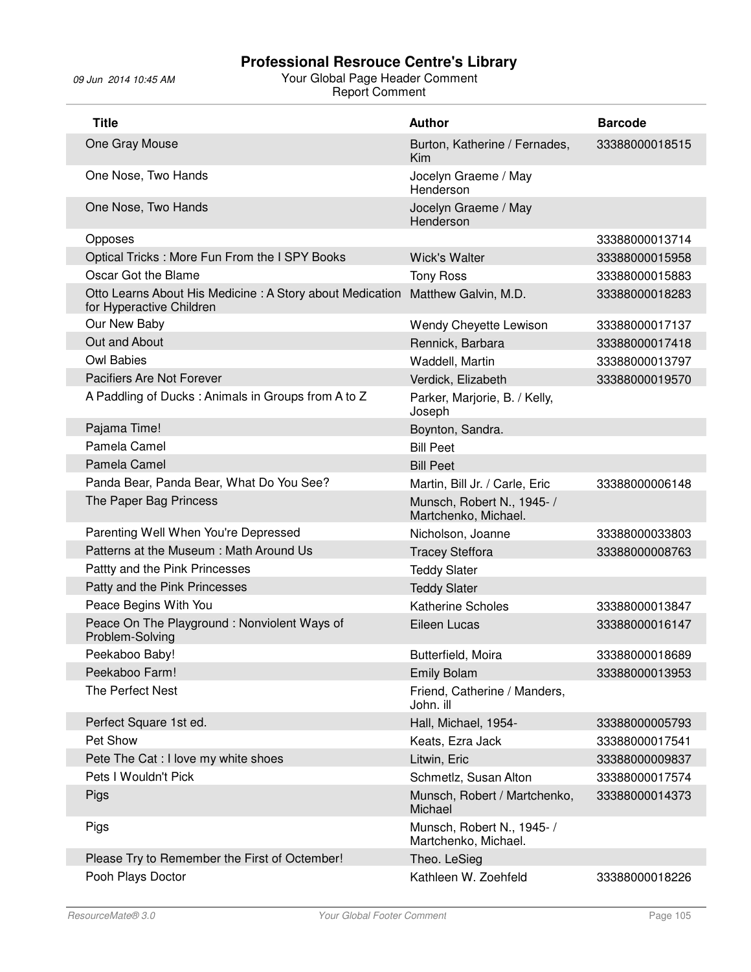| <b>Title</b>                                                                         | <b>Author</b>                                      | <b>Barcode</b> |
|--------------------------------------------------------------------------------------|----------------------------------------------------|----------------|
| One Gray Mouse                                                                       | Burton, Katherine / Fernades,<br>Kim               | 33388000018515 |
| One Nose, Two Hands                                                                  | Jocelyn Graeme / May<br>Henderson                  |                |
| One Nose, Two Hands                                                                  | Jocelyn Graeme / May<br>Henderson                  |                |
| Opposes                                                                              |                                                    | 33388000013714 |
| Optical Tricks: More Fun From the I SPY Books                                        | <b>Wick's Walter</b>                               | 33388000015958 |
| Oscar Got the Blame                                                                  | <b>Tony Ross</b>                                   | 33388000015883 |
| Otto Learns About His Medicine: A Story about Medication<br>for Hyperactive Children | Matthew Galvin, M.D.                               | 33388000018283 |
| Our New Baby                                                                         | Wendy Cheyette Lewison                             | 33388000017137 |
| Out and About                                                                        | Rennick, Barbara                                   | 33388000017418 |
| <b>Owl Babies</b>                                                                    | Waddell, Martin                                    | 33388000013797 |
| Pacifiers Are Not Forever                                                            | Verdick, Elizabeth                                 | 33388000019570 |
| A Paddling of Ducks: Animals in Groups from A to Z                                   | Parker, Marjorie, B. / Kelly,<br>Joseph            |                |
| Pajama Time!                                                                         | Boynton, Sandra.                                   |                |
| Pamela Camel                                                                         | <b>Bill Peet</b>                                   |                |
| Pamela Camel                                                                         | <b>Bill Peet</b>                                   |                |
| Panda Bear, Panda Bear, What Do You See?                                             | Martin, Bill Jr. / Carle, Eric                     | 33388000006148 |
| The Paper Bag Princess                                                               | Munsch, Robert N., 1945- /<br>Martchenko, Michael. |                |
| Parenting Well When You're Depressed                                                 | Nicholson, Joanne                                  | 33388000033803 |
| Patterns at the Museum: Math Around Us                                               | <b>Tracey Steffora</b>                             | 33388000008763 |
| Pattty and the Pink Princesses                                                       | <b>Teddy Slater</b>                                |                |
| Patty and the Pink Princesses                                                        | <b>Teddy Slater</b>                                |                |
| Peace Begins With You                                                                | <b>Katherine Scholes</b>                           | 33388000013847 |
| Peace On The Playground: Nonviolent Ways of<br>Problem-Solving                       | Eileen Lucas                                       | 33388000016147 |
| Peekaboo Baby!                                                                       | Butterfield, Moira                                 | 33388000018689 |
| Peekaboo Farm!                                                                       | <b>Emily Bolam</b>                                 | 33388000013953 |
| The Perfect Nest                                                                     | Friend, Catherine / Manders,<br>John. ill          |                |
| Perfect Square 1st ed.                                                               | Hall, Michael, 1954-                               | 33388000005793 |
| Pet Show                                                                             | Keats, Ezra Jack                                   | 33388000017541 |
| Pete The Cat : I love my white shoes                                                 | Litwin, Eric                                       | 33388000009837 |
| Pets I Wouldn't Pick                                                                 | Schmetlz, Susan Alton                              | 33388000017574 |
| Pigs                                                                                 | Munsch, Robert / Martchenko,<br>Michael            | 33388000014373 |
| Pigs                                                                                 | Munsch, Robert N., 1945- /<br>Martchenko, Michael. |                |
| Please Try to Remember the First of Octember!                                        | Theo. LeSieg                                       |                |
| Pooh Plays Doctor                                                                    | Kathleen W. Zoehfeld                               | 33388000018226 |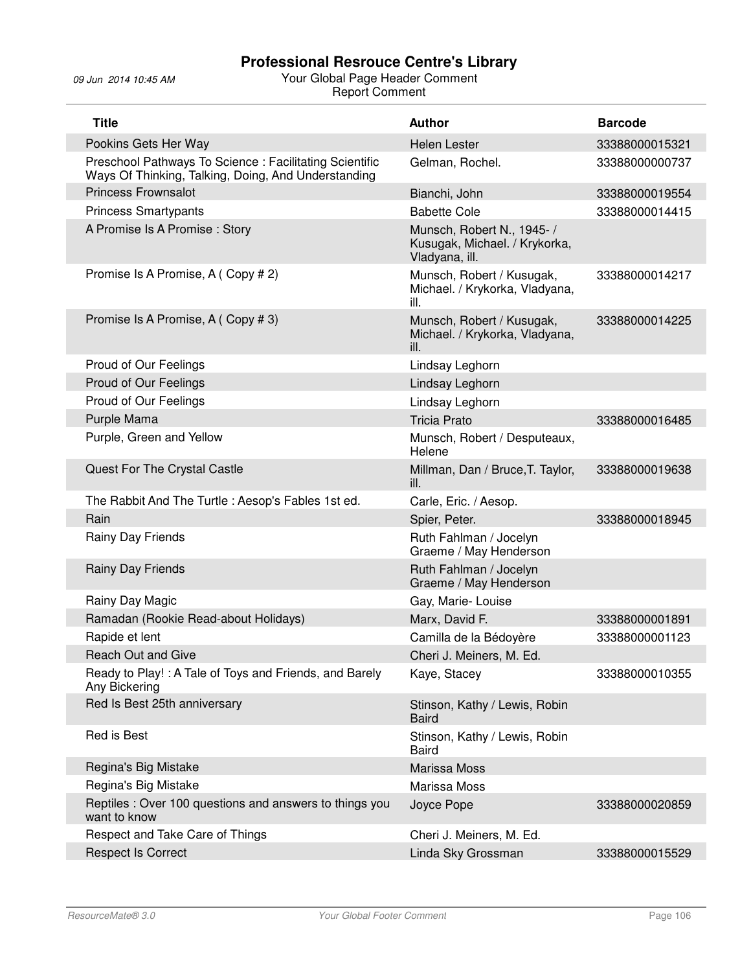| <b>Title</b>                                                                                                   | <b>Author</b>                                                                 | <b>Barcode</b> |
|----------------------------------------------------------------------------------------------------------------|-------------------------------------------------------------------------------|----------------|
| Pookins Gets Her Way                                                                                           | <b>Helen Lester</b>                                                           | 33388000015321 |
| Preschool Pathways To Science : Facilitating Scientific<br>Ways Of Thinking, Talking, Doing, And Understanding | Gelman, Rochel.                                                               | 33388000000737 |
| <b>Princess Frownsalot</b>                                                                                     | Bianchi, John                                                                 | 33388000019554 |
| <b>Princess Smartypants</b>                                                                                    | <b>Babette Cole</b>                                                           | 33388000014415 |
| A Promise Is A Promise: Story                                                                                  | Munsch, Robert N., 1945- /<br>Kusugak, Michael. / Krykorka,<br>Vladyana, ill. |                |
| Promise Is A Promise, A (Copy # 2)                                                                             | Munsch, Robert / Kusugak,<br>Michael. / Krykorka, Vladyana,<br>ill.           | 33388000014217 |
| Promise Is A Promise, A (Copy # 3)                                                                             | Munsch, Robert / Kusugak,<br>Michael. / Krykorka, Vladyana,<br>ill.           | 33388000014225 |
| Proud of Our Feelings                                                                                          | Lindsay Leghorn                                                               |                |
| Proud of Our Feelings                                                                                          | Lindsay Leghorn                                                               |                |
| Proud of Our Feelings                                                                                          | Lindsay Leghorn                                                               |                |
| Purple Mama                                                                                                    | <b>Tricia Prato</b>                                                           | 33388000016485 |
| Purple, Green and Yellow                                                                                       | Munsch, Robert / Desputeaux,<br>Helene                                        |                |
| Quest For The Crystal Castle                                                                                   | Millman, Dan / Bruce, T. Taylor,<br>ill.                                      | 33388000019638 |
| The Rabbit And The Turtle: Aesop's Fables 1st ed.                                                              | Carle, Eric. / Aesop.                                                         |                |
| Rain                                                                                                           | Spier, Peter.                                                                 | 33388000018945 |
| Rainy Day Friends                                                                                              | Ruth Fahlman / Jocelyn<br>Graeme / May Henderson                              |                |
| Rainy Day Friends                                                                                              | Ruth Fahlman / Jocelyn<br>Graeme / May Henderson                              |                |
| Rainy Day Magic                                                                                                | Gay, Marie-Louise                                                             |                |
| Ramadan (Rookie Read-about Holidays)                                                                           | Marx, David F.                                                                | 33388000001891 |
| Rapide et lent                                                                                                 | Camilla de la Bédoyère                                                        | 33388000001123 |
| <b>Reach Out and Give</b>                                                                                      | Cheri J. Meiners, M. Ed.                                                      |                |
| Ready to Play!: A Tale of Toys and Friends, and Barely<br>Any Bickering                                        | Kaye, Stacey                                                                  | 33388000010355 |
| Red Is Best 25th anniversary                                                                                   | Stinson, Kathy / Lewis, Robin<br><b>Baird</b>                                 |                |
| Red is Best                                                                                                    | Stinson, Kathy / Lewis, Robin<br><b>Baird</b>                                 |                |
| Regina's Big Mistake                                                                                           | Marissa Moss                                                                  |                |
| Regina's Big Mistake                                                                                           | Marissa Moss                                                                  |                |
| Reptiles : Over 100 questions and answers to things you<br>want to know                                        | Joyce Pope                                                                    | 33388000020859 |
| Respect and Take Care of Things                                                                                | Cheri J. Meiners, M. Ed.                                                      |                |
| <b>Respect Is Correct</b>                                                                                      | Linda Sky Grossman                                                            | 33388000015529 |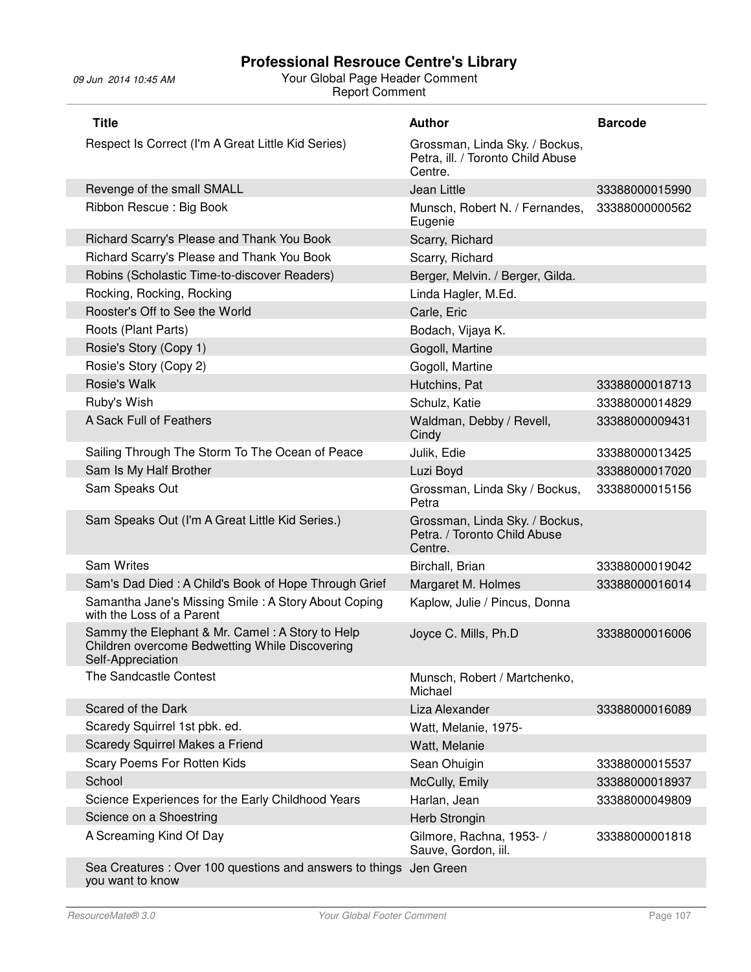# 09 Jun 2014 10:45 AM Your Global Page Header Comment Report Comment

| <b>Title</b>                                                                                                           | <b>Author</b>                                                                  | <b>Barcode</b> |
|------------------------------------------------------------------------------------------------------------------------|--------------------------------------------------------------------------------|----------------|
| Respect Is Correct (I'm A Great Little Kid Series)                                                                     | Grossman, Linda Sky. / Bockus,<br>Petra, ill. / Toronto Child Abuse<br>Centre. |                |
| Revenge of the small SMALL                                                                                             | Jean Little                                                                    | 33388000015990 |
| Ribbon Rescue: Big Book                                                                                                | Munsch, Robert N. / Fernandes,<br>Eugenie                                      | 33388000000562 |
| Richard Scarry's Please and Thank You Book                                                                             | Scarry, Richard                                                                |                |
| Richard Scarry's Please and Thank You Book                                                                             | Scarry, Richard                                                                |                |
| Robins (Scholastic Time-to-discover Readers)                                                                           | Berger, Melvin. / Berger, Gilda.                                               |                |
| Rocking, Rocking, Rocking                                                                                              | Linda Hagler, M.Ed.                                                            |                |
| Rooster's Off to See the World                                                                                         | Carle, Eric                                                                    |                |
| Roots (Plant Parts)                                                                                                    | Bodach, Vijaya K.                                                              |                |
| Rosie's Story (Copy 1)                                                                                                 | Gogoll, Martine                                                                |                |
| Rosie's Story (Copy 2)                                                                                                 | Gogoll, Martine                                                                |                |
| Rosie's Walk                                                                                                           | Hutchins, Pat                                                                  | 33388000018713 |
| Ruby's Wish                                                                                                            | Schulz, Katie                                                                  | 33388000014829 |
| A Sack Full of Feathers                                                                                                | Waldman, Debby / Revell,<br>Cindy                                              | 33388000009431 |
| Sailing Through The Storm To The Ocean of Peace                                                                        | Julik, Edie                                                                    | 33388000013425 |
| Sam Is My Half Brother                                                                                                 | Luzi Boyd                                                                      | 33388000017020 |
| Sam Speaks Out                                                                                                         | Grossman, Linda Sky / Bockus,<br>Petra                                         | 33388000015156 |
| Sam Speaks Out (I'm A Great Little Kid Series.)                                                                        | Grossman, Linda Sky. / Bockus,<br>Petra. / Toronto Child Abuse<br>Centre.      |                |
| <b>Sam Writes</b>                                                                                                      | Birchall, Brian                                                                | 33388000019042 |
| Sam's Dad Died: A Child's Book of Hope Through Grief                                                                   | Margaret M. Holmes                                                             | 33388000016014 |
| Samantha Jane's Missing Smile: A Story About Coping<br>with the Loss of a Parent                                       | Kaplow, Julie / Pincus, Donna                                                  |                |
| Sammy the Elephant & Mr. Camel: A Story to Help<br>Children overcome Bedwetting While Discovering<br>Self-Appreciation | Joyce C. Mills, Ph.D                                                           | 33388000016006 |
| The Sandcastle Contest                                                                                                 | Munsch, Robert / Martchenko,<br>Michael                                        |                |
| Scared of the Dark                                                                                                     | Liza Alexander                                                                 | 33388000016089 |
| Scaredy Squirrel 1st pbk. ed.                                                                                          | Watt, Melanie, 1975-                                                           |                |
| Scaredy Squirrel Makes a Friend                                                                                        | Watt, Melanie                                                                  |                |
| Scary Poems For Rotten Kids                                                                                            | Sean Ohuigin                                                                   | 33388000015537 |
| School                                                                                                                 | McCully, Emily                                                                 | 33388000018937 |
| Science Experiences for the Early Childhood Years                                                                      | Harlan, Jean                                                                   | 33388000049809 |
| Science on a Shoestring                                                                                                | Herb Strongin                                                                  |                |
| A Screaming Kind Of Day                                                                                                | Gilmore, Rachna, 1953- /<br>Sauve, Gordon, iil.                                | 33388000001818 |
| Sea Creatures : Over 100 questions and answers to things                                                               | Jen Green                                                                      |                |

you want to know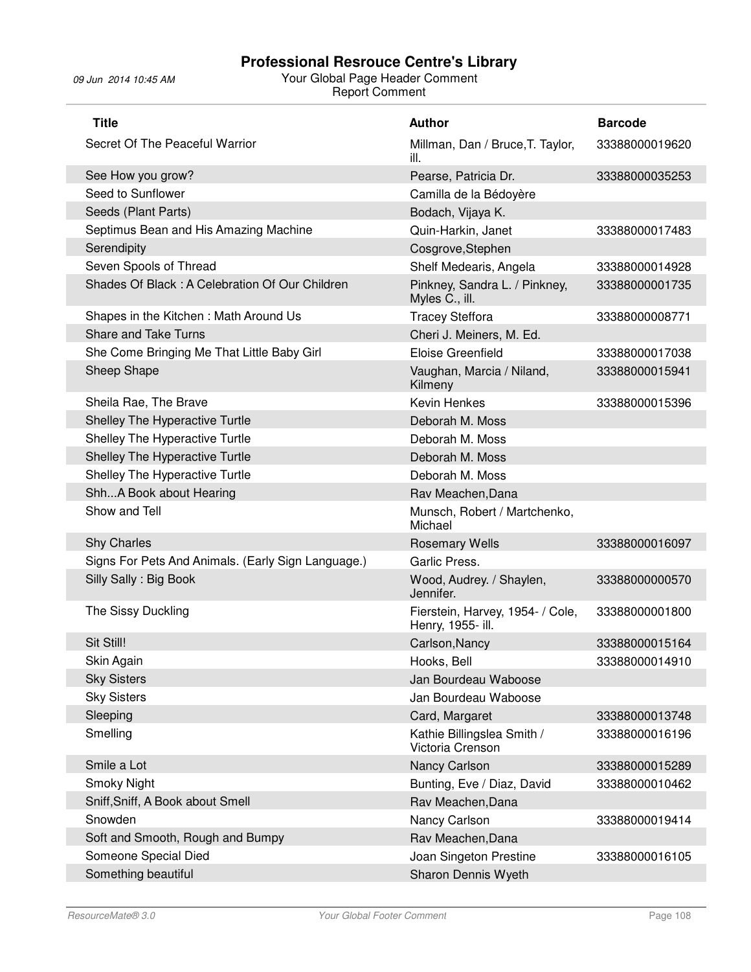| <b>Title</b>                                       | <b>Author</b>                                         | <b>Barcode</b> |
|----------------------------------------------------|-------------------------------------------------------|----------------|
| Secret Of The Peaceful Warrior                     | Millman, Dan / Bruce, T. Taylor,<br>ill.              | 33388000019620 |
| See How you grow?                                  | Pearse, Patricia Dr.                                  | 33388000035253 |
| Seed to Sunflower                                  | Camilla de la Bédoyère                                |                |
| Seeds (Plant Parts)                                | Bodach, Vijaya K.                                     |                |
| Septimus Bean and His Amazing Machine              | Quin-Harkin, Janet                                    | 33388000017483 |
| Serendipity                                        | Cosgrove, Stephen                                     |                |
| Seven Spools of Thread                             | Shelf Medearis, Angela                                | 33388000014928 |
| Shades Of Black: A Celebration Of Our Children     | Pinkney, Sandra L. / Pinkney,<br>Myles C., ill.       | 33388000001735 |
| Shapes in the Kitchen: Math Around Us              | <b>Tracey Steffora</b>                                | 33388000008771 |
| <b>Share and Take Turns</b>                        | Cheri J. Meiners, M. Ed.                              |                |
| She Come Bringing Me That Little Baby Girl         | Eloise Greenfield                                     | 33388000017038 |
| Sheep Shape                                        | Vaughan, Marcia / Niland,<br>Kilmeny                  | 33388000015941 |
| Sheila Rae, The Brave                              | Kevin Henkes                                          | 33388000015396 |
| Shelley The Hyperactive Turtle                     | Deborah M. Moss                                       |                |
| Shelley The Hyperactive Turtle                     | Deborah M. Moss                                       |                |
| Shelley The Hyperactive Turtle                     | Deborah M. Moss                                       |                |
| Shelley The Hyperactive Turtle                     | Deborah M. Moss                                       |                |
| ShhA Book about Hearing                            | Rav Meachen, Dana                                     |                |
| Show and Tell                                      | Munsch, Robert / Martchenko,<br>Michael               |                |
| <b>Shy Charles</b>                                 | <b>Rosemary Wells</b>                                 | 33388000016097 |
| Signs For Pets And Animals. (Early Sign Language.) | Garlic Press.                                         |                |
| Silly Sally: Big Book                              | Wood, Audrey. / Shaylen,<br>Jennifer.                 | 33388000000570 |
| The Sissy Duckling                                 | Fierstein, Harvey, 1954- / Cole,<br>Henry, 1955- ill. | 33388000001800 |
| Sit Still!                                         | Carlson, Nancy                                        | 33388000015164 |
| Skin Again                                         | Hooks, Bell                                           | 33388000014910 |
| <b>Sky Sisters</b>                                 | Jan Bourdeau Waboose                                  |                |
| <b>Sky Sisters</b>                                 | Jan Bourdeau Waboose                                  |                |
| Sleeping                                           | Card, Margaret                                        | 33388000013748 |
| Smelling                                           | Kathie Billingslea Smith /<br>Victoria Crenson        | 33388000016196 |
| Smile a Lot                                        | Nancy Carlson                                         | 33388000015289 |
| <b>Smoky Night</b>                                 | Bunting, Eve / Diaz, David                            | 33388000010462 |
| Sniff, Sniff, A Book about Smell                   | Rav Meachen, Dana                                     |                |
| Snowden                                            | Nancy Carlson                                         | 33388000019414 |
| Soft and Smooth, Rough and Bumpy                   | Rav Meachen, Dana                                     |                |
| Someone Special Died                               | Joan Singeton Prestine                                | 33388000016105 |
| Something beautiful                                | Sharon Dennis Wyeth                                   |                |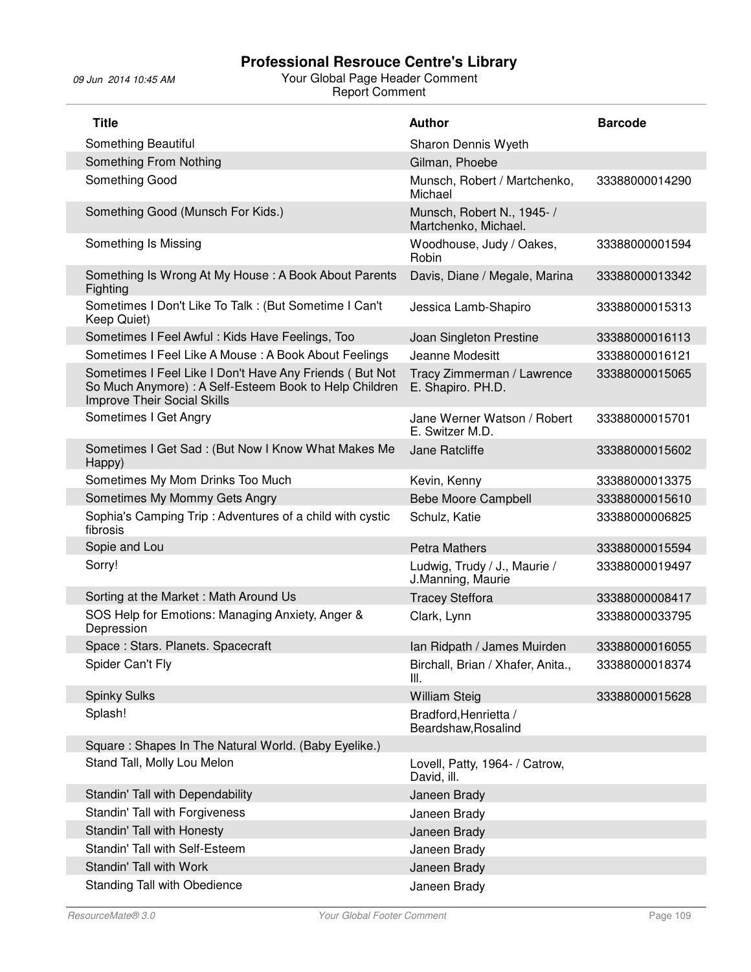Γ

| <b>Title</b>                                                                                                                                            | <b>Author</b>                                      | <b>Barcode</b> |
|---------------------------------------------------------------------------------------------------------------------------------------------------------|----------------------------------------------------|----------------|
| Something Beautiful                                                                                                                                     | Sharon Dennis Wyeth                                |                |
| Something From Nothing                                                                                                                                  | Gilman, Phoebe                                     |                |
| Something Good                                                                                                                                          | Munsch, Robert / Martchenko,<br>Michael            | 33388000014290 |
| Something Good (Munsch For Kids.)                                                                                                                       | Munsch, Robert N., 1945- /<br>Martchenko, Michael. |                |
| Something Is Missing                                                                                                                                    | Woodhouse, Judy / Oakes,<br>Robin                  | 33388000001594 |
| Something Is Wrong At My House: A Book About Parents<br>Fighting                                                                                        | Davis, Diane / Megale, Marina                      | 33388000013342 |
| Sometimes I Don't Like To Talk : (But Sometime I Can't<br>Keep Quiet)                                                                                   | Jessica Lamb-Shapiro                               | 33388000015313 |
| Sometimes I Feel Awful: Kids Have Feelings, Too                                                                                                         | Joan Singleton Prestine                            | 33388000016113 |
| Sometimes I Feel Like A Mouse: A Book About Feelings                                                                                                    | Jeanne Modesitt                                    | 33388000016121 |
| Sometimes I Feel Like I Don't Have Any Friends (But Not<br>So Much Anymore) : A Self-Esteem Book to Help Children<br><b>Improve Their Social Skills</b> | Tracy Zimmerman / Lawrence<br>E. Shapiro. PH.D.    | 33388000015065 |
| Sometimes I Get Angry                                                                                                                                   | Jane Werner Watson / Robert<br>E. Switzer M.D.     | 33388000015701 |
| Sometimes I Get Sad: (But Now I Know What Makes Me<br>Happy)                                                                                            | Jane Ratcliffe                                     | 33388000015602 |
| Sometimes My Mom Drinks Too Much                                                                                                                        | Kevin, Kenny                                       | 33388000013375 |
| Sometimes My Mommy Gets Angry                                                                                                                           | <b>Bebe Moore Campbell</b>                         | 33388000015610 |
| Sophia's Camping Trip: Adventures of a child with cystic<br>fibrosis                                                                                    | Schulz, Katie                                      | 33388000006825 |
| Sopie and Lou                                                                                                                                           | <b>Petra Mathers</b>                               | 33388000015594 |
| Sorry!                                                                                                                                                  | Ludwig, Trudy / J., Maurie /<br>J.Manning, Maurie  | 33388000019497 |
| Sorting at the Market: Math Around Us                                                                                                                   | <b>Tracey Steffora</b>                             | 33388000008417 |
| SOS Help for Emotions: Managing Anxiety, Anger &<br>Depression                                                                                          | Clark, Lynn                                        | 33388000033795 |
| Space: Stars. Planets. Spacecraft                                                                                                                       | Ian Ridpath / James Muirden                        | 33388000016055 |
| Spider Can't Fly                                                                                                                                        | Birchall, Brian / Xhafer, Anita.,<br>III.          | 33388000018374 |
| <b>Spinky Sulks</b>                                                                                                                                     | <b>William Steig</b>                               | 33388000015628 |
| Splash!                                                                                                                                                 | Bradford, Henrietta /<br>Beardshaw, Rosalind       |                |
| Square: Shapes In The Natural World. (Baby Eyelike.)                                                                                                    |                                                    |                |
| Stand Tall, Molly Lou Melon                                                                                                                             | Lovell, Patty, 1964- / Catrow,<br>David, ill.      |                |
| Standin' Tall with Dependability                                                                                                                        | Janeen Brady                                       |                |
| Standin' Tall with Forgiveness                                                                                                                          | Janeen Brady                                       |                |
| Standin' Tall with Honesty                                                                                                                              | Janeen Brady                                       |                |
| Standin' Tall with Self-Esteem                                                                                                                          | Janeen Brady                                       |                |
| Standin' Tall with Work                                                                                                                                 | Janeen Brady                                       |                |
| Standing Tall with Obedience                                                                                                                            | Janeen Brady                                       |                |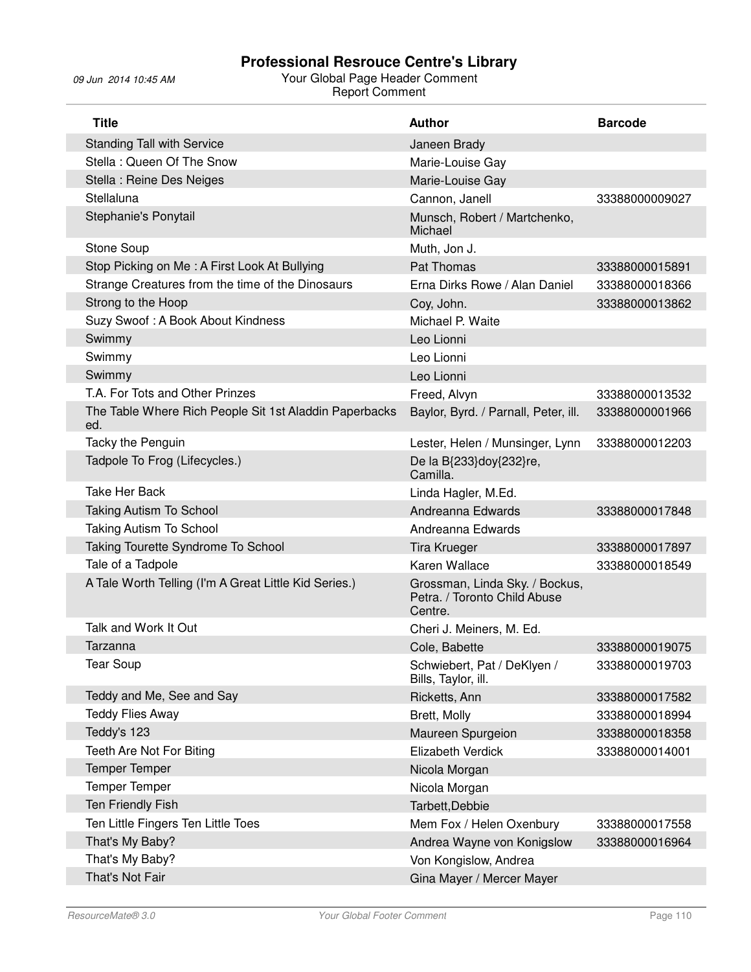| <b>Title</b>                                                  | <b>Author</b>                                                             | <b>Barcode</b> |
|---------------------------------------------------------------|---------------------------------------------------------------------------|----------------|
| <b>Standing Tall with Service</b>                             | Janeen Brady                                                              |                |
| Stella: Queen Of The Snow                                     | Marie-Louise Gay                                                          |                |
| Stella : Reine Des Neiges                                     | Marie-Louise Gay                                                          |                |
| Stellaluna                                                    | Cannon, Janell                                                            | 33388000009027 |
| Stephanie's Ponytail                                          | Munsch, Robert / Martchenko,<br>Michael                                   |                |
| Stone Soup                                                    | Muth, Jon J.                                                              |                |
| Stop Picking on Me: A First Look At Bullying                  | Pat Thomas                                                                | 33388000015891 |
| Strange Creatures from the time of the Dinosaurs              | Erna Dirks Rowe / Alan Daniel                                             | 33388000018366 |
| Strong to the Hoop                                            | Coy, John.                                                                | 33388000013862 |
| Suzy Swoof: A Book About Kindness                             | Michael P. Waite                                                          |                |
| Swimmy                                                        | Leo Lionni                                                                |                |
| Swimmy                                                        | Leo Lionni                                                                |                |
| Swimmy                                                        | Leo Lionni                                                                |                |
| T.A. For Tots and Other Prinzes                               | Freed, Alvyn                                                              | 33388000013532 |
| The Table Where Rich People Sit 1st Aladdin Paperbacks<br>ed. | Baylor, Byrd. / Parnall, Peter, ill.                                      | 33388000001966 |
| Tacky the Penguin                                             | Lester, Helen / Munsinger, Lynn                                           | 33388000012203 |
| Tadpole To Frog (Lifecycles.)                                 | De la B{233}doy{232}re,<br>Camilla.                                       |                |
| Take Her Back                                                 | Linda Hagler, M.Ed.                                                       |                |
| <b>Taking Autism To School</b>                                | Andreanna Edwards                                                         | 33388000017848 |
| <b>Taking Autism To School</b>                                | Andreanna Edwards                                                         |                |
| Taking Tourette Syndrome To School                            | <b>Tira Krueger</b>                                                       | 33388000017897 |
| Tale of a Tadpole                                             | Karen Wallace                                                             | 33388000018549 |
| A Tale Worth Telling (I'm A Great Little Kid Series.)         | Grossman, Linda Sky. / Bockus,<br>Petra. / Toronto Child Abuse<br>Centre. |                |
| Talk and Work It Out                                          | Cheri J. Meiners, M. Ed.                                                  |                |
| Tarzanna                                                      | Cole, Babette                                                             | 33388000019075 |
| Tear Soup                                                     | Schwiebert, Pat / DeKlyen /<br>Bills, Taylor, ill.                        | 33388000019703 |
| Teddy and Me, See and Say                                     | Ricketts, Ann                                                             | 33388000017582 |
| <b>Teddy Flies Away</b>                                       | Brett, Molly                                                              | 33388000018994 |
| Teddy's 123                                                   | Maureen Spurgeion                                                         | 33388000018358 |
| Teeth Are Not For Biting                                      | Elizabeth Verdick                                                         | 33388000014001 |
| <b>Temper Temper</b>                                          | Nicola Morgan                                                             |                |
| <b>Temper Temper</b>                                          | Nicola Morgan                                                             |                |
| Ten Friendly Fish                                             | Tarbett, Debbie                                                           |                |
| Ten Little Fingers Ten Little Toes                            | Mem Fox / Helen Oxenbury                                                  | 33388000017558 |
| That's My Baby?                                               | Andrea Wayne von Konigslow                                                | 33388000016964 |
| That's My Baby?                                               | Von Kongislow, Andrea                                                     |                |
| That's Not Fair                                               | Gina Mayer / Mercer Mayer                                                 |                |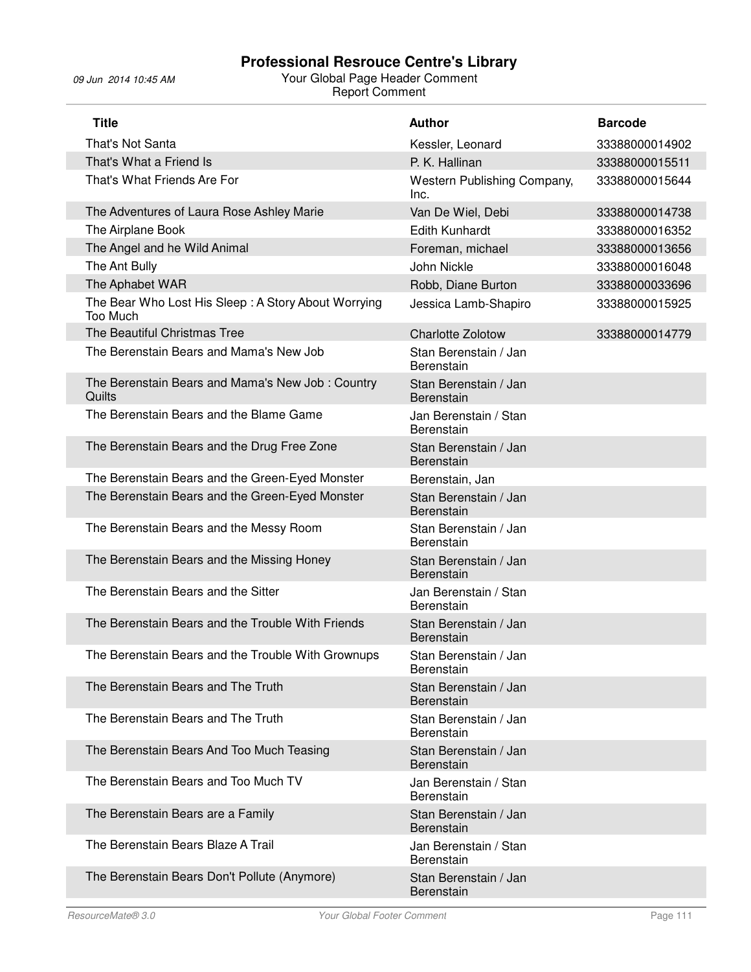| <b>Title</b>                                                    | <b>Author</b>                              | <b>Barcode</b> |
|-----------------------------------------------------------------|--------------------------------------------|----------------|
| That's Not Santa                                                | Kessler, Leonard                           | 33388000014902 |
| That's What a Friend Is                                         | P. K. Hallinan                             | 33388000015511 |
| That's What Friends Are For                                     | Western Publishing Company,<br>Inc.        | 33388000015644 |
| The Adventures of Laura Rose Ashley Marie                       | Van De Wiel, Debi                          | 33388000014738 |
| The Airplane Book                                               | <b>Edith Kunhardt</b>                      | 33388000016352 |
| The Angel and he Wild Animal                                    | Foreman, michael                           | 33388000013656 |
| The Ant Bully                                                   | John Nickle                                | 33388000016048 |
| The Aphabet WAR                                                 | Robb, Diane Burton                         | 33388000033696 |
| The Bear Who Lost His Sleep: A Story About Worrying<br>Too Much | Jessica Lamb-Shapiro                       | 33388000015925 |
| The Beautiful Christmas Tree                                    | <b>Charlotte Zolotow</b>                   | 33388000014779 |
| The Berenstain Bears and Mama's New Job                         | Stan Berenstain / Jan<br>Berenstain        |                |
| The Berenstain Bears and Mama's New Job: Country<br>Quilts      | Stan Berenstain / Jan<br>Berenstain        |                |
| The Berenstain Bears and the Blame Game                         | Jan Berenstain / Stan<br>Berenstain        |                |
| The Berenstain Bears and the Drug Free Zone                     | Stan Berenstain / Jan<br>Berenstain        |                |
| The Berenstain Bears and the Green-Eyed Monster                 | Berenstain, Jan                            |                |
| The Berenstain Bears and the Green-Eyed Monster                 | Stan Berenstain / Jan<br>Berenstain        |                |
| The Berenstain Bears and the Messy Room                         | Stan Berenstain / Jan<br>Berenstain        |                |
| The Berenstain Bears and the Missing Honey                      | Stan Berenstain / Jan<br>Berenstain        |                |
| The Berenstain Bears and the Sitter                             | Jan Berenstain / Stan<br>Berenstain        |                |
| The Berenstain Bears and the Trouble With Friends               | Stan Berenstain / Jan<br><b>Berenstain</b> |                |
| The Berenstain Bears and the Trouble With Grownups              | Stan Berenstain / Jan<br>Berenstain        |                |
| The Berenstain Bears and The Truth                              | Stan Berenstain / Jan<br>Berenstain        |                |
| The Berenstain Bears and The Truth                              | Stan Berenstain / Jan<br>Berenstain        |                |
| The Berenstain Bears And Too Much Teasing                       | Stan Berenstain / Jan<br>Berenstain        |                |
| The Berenstain Bears and Too Much TV                            | Jan Berenstain / Stan<br><b>Berenstain</b> |                |
| The Berenstain Bears are a Family                               | Stan Berenstain / Jan<br>Berenstain        |                |
| The Berenstain Bears Blaze A Trail                              | Jan Berenstain / Stan<br>Berenstain        |                |
| The Berenstain Bears Don't Pollute (Anymore)                    | Stan Berenstain / Jan<br>Berenstain        |                |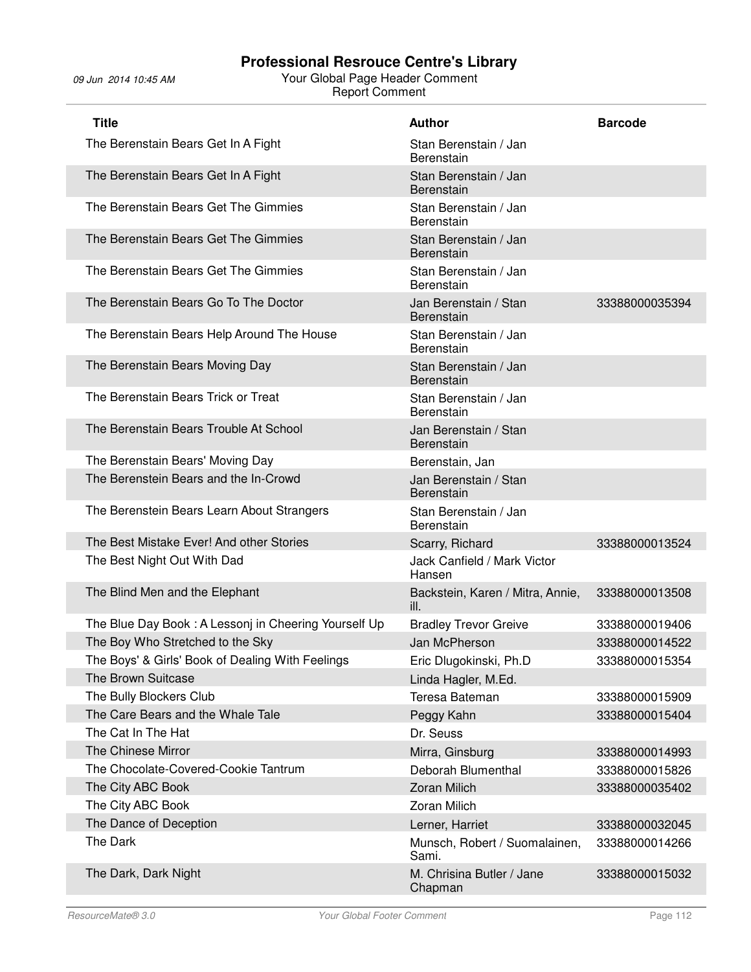| <b>Title</b>                                         | <b>Author</b>                              | <b>Barcode</b> |
|------------------------------------------------------|--------------------------------------------|----------------|
| The Berenstain Bears Get In A Fight                  | Stan Berenstain / Jan<br>Berenstain        |                |
| The Berenstain Bears Get In A Fight                  | Stan Berenstain / Jan<br>Berenstain        |                |
| The Berenstain Bears Get The Gimmies                 | Stan Berenstain / Jan<br>Berenstain        |                |
| The Berenstain Bears Get The Gimmies                 | Stan Berenstain / Jan<br>Berenstain        |                |
| The Berenstain Bears Get The Gimmies                 | Stan Berenstain / Jan<br>Berenstain        |                |
| The Berenstain Bears Go To The Doctor                | Jan Berenstain / Stan<br><b>Berenstain</b> | 33388000035394 |
| The Berenstain Bears Help Around The House           | Stan Berenstain / Jan<br>Berenstain        |                |
| The Berenstain Bears Moving Day                      | Stan Berenstain / Jan<br>Berenstain        |                |
| The Berenstain Bears Trick or Treat                  | Stan Berenstain / Jan<br>Berenstain        |                |
| The Berenstain Bears Trouble At School               | Jan Berenstain / Stan<br><b>Berenstain</b> |                |
| The Berenstain Bears' Moving Day                     | Berenstain, Jan                            |                |
| The Berenstein Bears and the In-Crowd                | Jan Berenstain / Stan<br><b>Berenstain</b> |                |
| The Berenstein Bears Learn About Strangers           | Stan Berenstain / Jan<br>Berenstain        |                |
| The Best Mistake Ever! And other Stories             | Scarry, Richard                            | 33388000013524 |
| The Best Night Out With Dad                          | Jack Canfield / Mark Victor<br>Hansen      |                |
| The Blind Men and the Elephant                       | Backstein, Karen / Mitra, Annie,<br>ill.   | 33388000013508 |
| The Blue Day Book: A Lessonj in Cheering Yourself Up | <b>Bradley Trevor Greive</b>               | 33388000019406 |
| The Boy Who Stretched to the Sky                     | Jan McPherson                              | 33388000014522 |
| The Boys' & Girls' Book of Dealing With Feelings     | Eric Dlugokinski, Ph.D                     | 33388000015354 |
| The Brown Suitcase                                   | Linda Hagler, M.Ed.                        |                |
| The Bully Blockers Club                              | Teresa Bateman                             | 33388000015909 |
| The Care Bears and the Whale Tale                    | Peggy Kahn                                 | 33388000015404 |
| The Cat In The Hat                                   | Dr. Seuss                                  |                |
| The Chinese Mirror                                   | Mirra, Ginsburg                            | 33388000014993 |
| The Chocolate-Covered-Cookie Tantrum                 | Deborah Blumenthal                         | 33388000015826 |
| The City ABC Book                                    | <b>Zoran Milich</b>                        | 33388000035402 |
| The City ABC Book                                    | <b>Zoran Milich</b>                        |                |
| The Dance of Deception                               | Lerner, Harriet                            | 33388000032045 |
| The Dark                                             | Munsch, Robert / Suomalainen,<br>Sami.     | 33388000014266 |
| The Dark, Dark Night                                 | M. Chrisina Butler / Jane<br>Chapman       | 33388000015032 |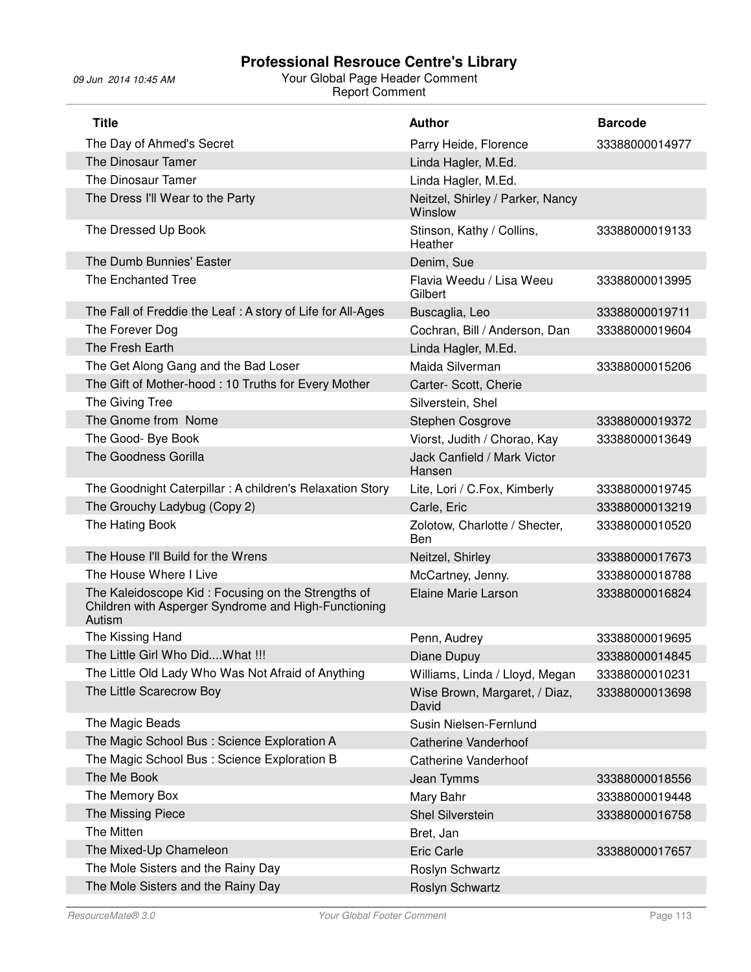| <b>Title</b>                                                                                                         | <b>Author</b>                               | <b>Barcode</b> |
|----------------------------------------------------------------------------------------------------------------------|---------------------------------------------|----------------|
| The Day of Ahmed's Secret                                                                                            | Parry Heide, Florence                       | 33388000014977 |
| The Dinosaur Tamer                                                                                                   | Linda Hagler, M.Ed.                         |                |
| The Dinosaur Tamer                                                                                                   | Linda Hagler, M.Ed.                         |                |
| The Dress I'll Wear to the Party                                                                                     | Neitzel, Shirley / Parker, Nancy<br>Winslow |                |
| The Dressed Up Book                                                                                                  | Stinson, Kathy / Collins,<br>Heather        | 33388000019133 |
| The Dumb Bunnies' Easter                                                                                             | Denim, Sue                                  |                |
| The Enchanted Tree                                                                                                   | Flavia Weedu / Lisa Weeu<br>Gilbert         | 33388000013995 |
| The Fall of Freddie the Leaf: A story of Life for All-Ages                                                           | Buscaglia, Leo                              | 33388000019711 |
| The Forever Dog                                                                                                      | Cochran, Bill / Anderson, Dan               | 33388000019604 |
| The Fresh Earth                                                                                                      | Linda Hagler, M.Ed.                         |                |
| The Get Along Gang and the Bad Loser                                                                                 | Maida Silverman                             | 33388000015206 |
| The Gift of Mother-hood: 10 Truths for Every Mother                                                                  | Carter- Scott, Cherie                       |                |
| The Giving Tree                                                                                                      | Silverstein, Shel                           |                |
| The Gnome from Nome                                                                                                  | Stephen Cosgrove                            | 33388000019372 |
| The Good- Bye Book                                                                                                   | Viorst, Judith / Chorao, Kay                | 33388000013649 |
| The Goodness Gorilla                                                                                                 | Jack Canfield / Mark Victor<br>Hansen       |                |
| The Goodnight Caterpillar: A children's Relaxation Story                                                             | Lite, Lori / C.Fox, Kimberly                | 33388000019745 |
| The Grouchy Ladybug (Copy 2)                                                                                         | Carle, Eric                                 | 33388000013219 |
| The Hating Book                                                                                                      | Zolotow, Charlotte / Shecter,<br>Ben        | 33388000010520 |
| The House I'll Build for the Wrens                                                                                   | Neitzel, Shirley                            | 33388000017673 |
| The House Where I Live                                                                                               | McCartney, Jenny.                           | 33388000018788 |
| The Kaleidoscope Kid: Focusing on the Strengths of<br>Children with Asperger Syndrome and High-Functioning<br>Autism | Elaine Marie Larson                         | 33388000016824 |
| The Kissing Hand                                                                                                     | Penn, Audrey                                | 33388000019695 |
| The Little Girl Who Did What !!!                                                                                     | Diane Dupuy                                 | 33388000014845 |
| The Little Old Lady Who Was Not Afraid of Anything                                                                   | Williams, Linda / Lloyd, Megan              | 33388000010231 |
| The Little Scarecrow Boy                                                                                             | Wise Brown, Margaret, / Diaz,<br>David      | 33388000013698 |
| The Magic Beads                                                                                                      | Susin Nielsen-Fernlund                      |                |
| The Magic School Bus : Science Exploration A                                                                         | <b>Catherine Vanderhoof</b>                 |                |
| The Magic School Bus : Science Exploration B                                                                         | <b>Catherine Vanderhoof</b>                 |                |
| The Me Book                                                                                                          | Jean Tymms                                  | 33388000018556 |
| The Memory Box                                                                                                       | Mary Bahr                                   | 33388000019448 |
| The Missing Piece                                                                                                    | Shel Silverstein                            | 33388000016758 |
| The Mitten                                                                                                           | Bret, Jan                                   |                |
| The Mixed-Up Chameleon                                                                                               | <b>Eric Carle</b>                           | 33388000017657 |
| The Mole Sisters and the Rainy Day                                                                                   | Roslyn Schwartz                             |                |
| The Mole Sisters and the Rainy Day                                                                                   | Roslyn Schwartz                             |                |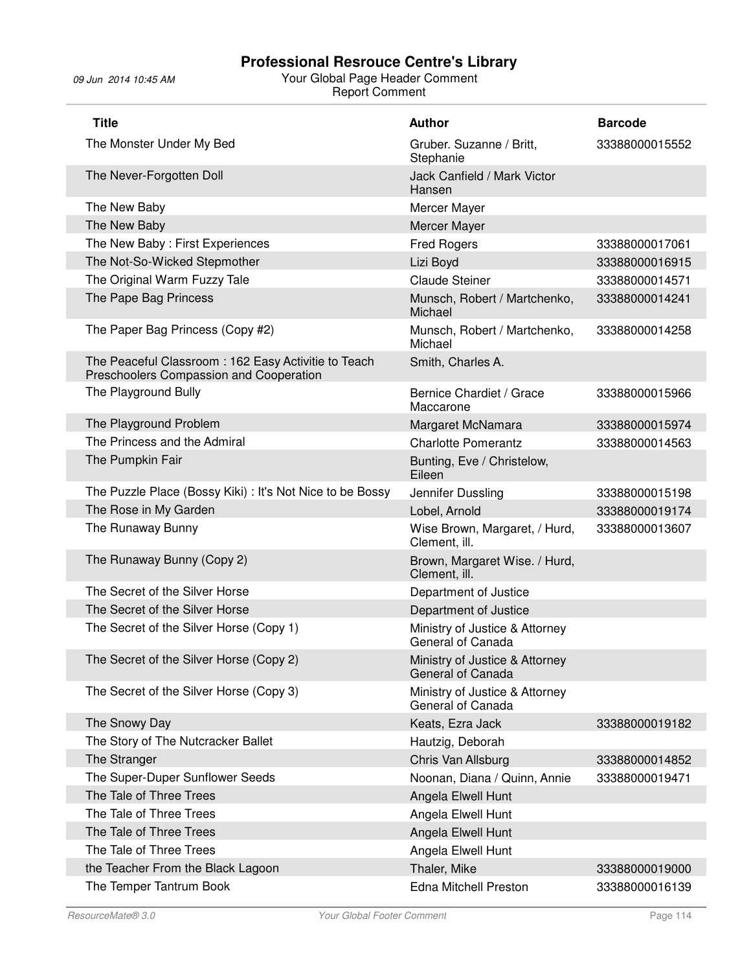| <b>Title</b>                                                                                   | <b>Author</b>                                       | <b>Barcode</b> |
|------------------------------------------------------------------------------------------------|-----------------------------------------------------|----------------|
| The Monster Under My Bed                                                                       | Gruber. Suzanne / Britt,<br>Stephanie               | 33388000015552 |
| The Never-Forgotten Doll                                                                       | Jack Canfield / Mark Victor<br>Hansen               |                |
| The New Baby                                                                                   | Mercer Mayer                                        |                |
| The New Baby                                                                                   | Mercer Mayer                                        |                |
| The New Baby: First Experiences                                                                | <b>Fred Rogers</b>                                  | 33388000017061 |
| The Not-So-Wicked Stepmother                                                                   | Lizi Boyd                                           | 33388000016915 |
| The Original Warm Fuzzy Tale                                                                   | <b>Claude Steiner</b>                               | 33388000014571 |
| The Pape Bag Princess                                                                          | Munsch, Robert / Martchenko,<br>Michael             | 33388000014241 |
| The Paper Bag Princess (Copy #2)                                                               | Munsch, Robert / Martchenko,<br>Michael             | 33388000014258 |
| The Peaceful Classroom: 162 Easy Activitie to Teach<br>Preschoolers Compassion and Cooperation | Smith, Charles A.                                   |                |
| The Playground Bully                                                                           | Bernice Chardiet / Grace<br>Maccarone               | 33388000015966 |
| The Playground Problem                                                                         | Margaret McNamara                                   | 33388000015974 |
| The Princess and the Admiral                                                                   | <b>Charlotte Pomerantz</b>                          | 33388000014563 |
| The Pumpkin Fair                                                                               | Bunting, Eve / Christelow,<br>Eileen                |                |
| The Puzzle Place (Bossy Kiki) : It's Not Nice to be Bossy                                      | Jennifer Dussling                                   | 33388000015198 |
| The Rose in My Garden                                                                          | Lobel, Arnold                                       | 33388000019174 |
| The Runaway Bunny                                                                              | Wise Brown, Margaret, / Hurd,<br>Clement, ill.      | 33388000013607 |
| The Runaway Bunny (Copy 2)                                                                     | Brown, Margaret Wise. / Hurd,<br>Clement, ill.      |                |
| The Secret of the Silver Horse                                                                 | Department of Justice                               |                |
| The Secret of the Silver Horse                                                                 | Department of Justice                               |                |
| The Secret of the Silver Horse (Copy 1)                                                        | Ministry of Justice & Attorney<br>General of Canada |                |
| The Secret of the Silver Horse (Copy 2)                                                        | Ministry of Justice & Attorney<br>General of Canada |                |
| The Secret of the Silver Horse (Copy 3)                                                        | Ministry of Justice & Attorney<br>General of Canada |                |
| The Snowy Day                                                                                  | Keats, Ezra Jack                                    | 33388000019182 |
| The Story of The Nutcracker Ballet                                                             | Hautzig, Deborah                                    |                |
| The Stranger                                                                                   | Chris Van Allsburg                                  | 33388000014852 |
| The Super-Duper Sunflower Seeds                                                                | Noonan, Diana / Quinn, Annie                        | 33388000019471 |
| The Tale of Three Trees                                                                        | Angela Elwell Hunt                                  |                |
| The Tale of Three Trees                                                                        | Angela Elwell Hunt                                  |                |
| The Tale of Three Trees                                                                        | Angela Elwell Hunt                                  |                |
| The Tale of Three Trees                                                                        | Angela Elwell Hunt                                  |                |
| the Teacher From the Black Lagoon                                                              | Thaler, Mike                                        | 33388000019000 |
| The Temper Tantrum Book                                                                        | <b>Edna Mitchell Preston</b>                        | 33388000016139 |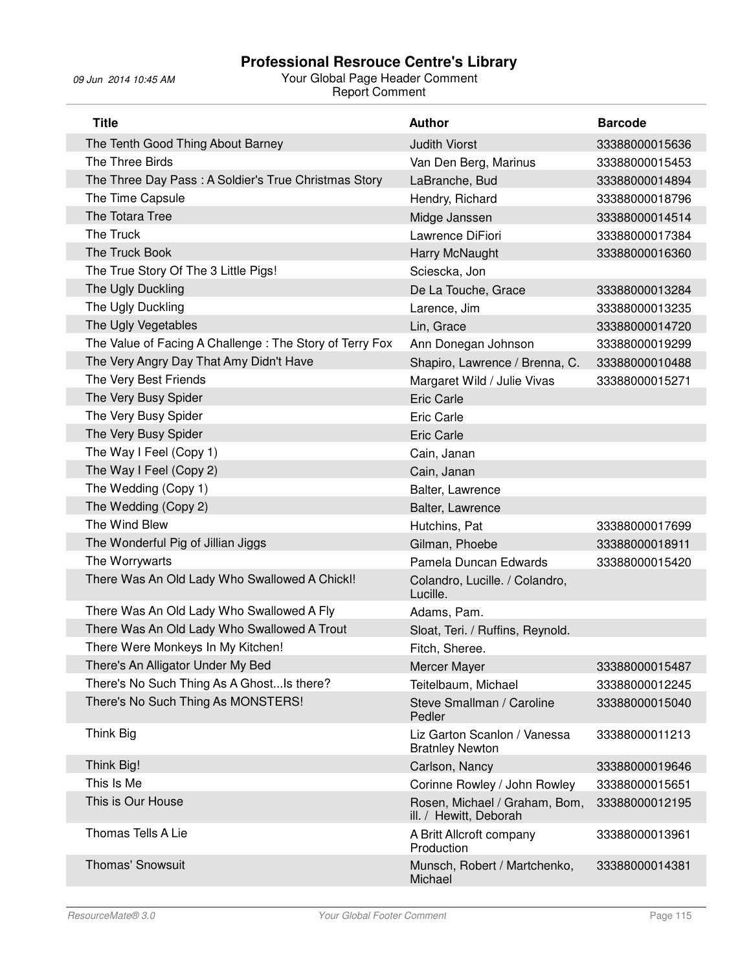| <b>Title</b>                                            | <b>Author</b>                                           | <b>Barcode</b> |
|---------------------------------------------------------|---------------------------------------------------------|----------------|
| The Tenth Good Thing About Barney                       | <b>Judith Viorst</b>                                    | 33388000015636 |
| The Three Birds                                         | Van Den Berg, Marinus                                   | 33388000015453 |
| The Three Day Pass: A Soldier's True Christmas Story    | LaBranche, Bud                                          | 33388000014894 |
| The Time Capsule                                        | Hendry, Richard                                         | 33388000018796 |
| The Totara Tree                                         | Midge Janssen                                           | 33388000014514 |
| The Truck                                               | Lawrence DiFiori                                        | 33388000017384 |
| The Truck Book                                          | Harry McNaught                                          | 33388000016360 |
| The True Story Of The 3 Little Pigs!                    | Sciescka, Jon                                           |                |
| The Ugly Duckling                                       | De La Touche, Grace                                     | 33388000013284 |
| The Ugly Duckling                                       | Larence, Jim                                            | 33388000013235 |
| The Ugly Vegetables                                     | Lin, Grace                                              | 33388000014720 |
| The Value of Facing A Challenge: The Story of Terry Fox | Ann Donegan Johnson                                     | 33388000019299 |
| The Very Angry Day That Amy Didn't Have                 | Shapiro, Lawrence / Brenna, C.                          | 33388000010488 |
| The Very Best Friends                                   | Margaret Wild / Julie Vivas                             | 33388000015271 |
| The Very Busy Spider                                    | <b>Eric Carle</b>                                       |                |
| The Very Busy Spider                                    | <b>Eric Carle</b>                                       |                |
| The Very Busy Spider                                    | <b>Eric Carle</b>                                       |                |
| The Way I Feel (Copy 1)                                 | Cain, Janan                                             |                |
| The Way I Feel (Copy 2)                                 | Cain, Janan                                             |                |
| The Wedding (Copy 1)                                    | Balter, Lawrence                                        |                |
| The Wedding (Copy 2)                                    | Balter, Lawrence                                        |                |
| The Wind Blew                                           | Hutchins, Pat                                           | 33388000017699 |
| The Wonderful Pig of Jillian Jiggs                      | Gilman, Phoebe                                          | 33388000018911 |
| The Worrywarts                                          | Pamela Duncan Edwards                                   | 33388000015420 |
| There Was An Old Lady Who Swallowed A Chick!!           | Colandro, Lucille. / Colandro,<br>Lucille.              |                |
| There Was An Old Lady Who Swallowed A Fly               | Adams, Pam.                                             |                |
| There Was An Old Lady Who Swallowed A Trout             | Sloat, Teri. / Ruffins, Reynold.                        |                |
| There Were Monkeys In My Kitchen!                       | Fitch, Sheree.                                          |                |
| There's An Alligator Under My Bed                       | Mercer Mayer                                            | 33388000015487 |
| There's No Such Thing As A GhostIs there?               | Teitelbaum, Michael                                     | 33388000012245 |
| There's No Such Thing As MONSTERS!                      | Steve Smallman / Caroline<br>Pedler                     | 33388000015040 |
| Think Big                                               | Liz Garton Scanlon / Vanessa<br><b>Bratnley Newton</b>  | 33388000011213 |
| Think Big!                                              | Carlson, Nancy                                          | 33388000019646 |
| This Is Me                                              | Corinne Rowley / John Rowley                            | 33388000015651 |
| This is Our House                                       | Rosen, Michael / Graham, Bom,<br>ill. / Hewitt, Deborah | 33388000012195 |
| Thomas Tells A Lie                                      | A Britt Allcroft company<br>Production                  | 33388000013961 |
| <b>Thomas' Snowsuit</b>                                 | Munsch, Robert / Martchenko,<br>Michael                 | 33388000014381 |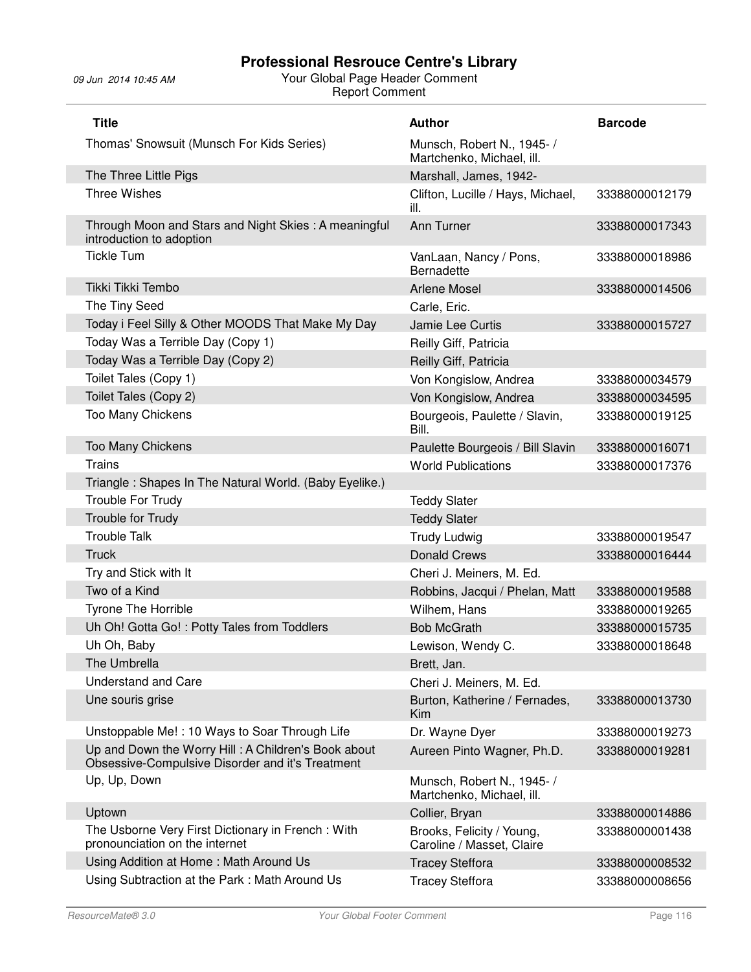| <b>Title</b>                                                                                            | <b>Author</b>                                           | <b>Barcode</b> |
|---------------------------------------------------------------------------------------------------------|---------------------------------------------------------|----------------|
| Thomas' Snowsuit (Munsch For Kids Series)                                                               | Munsch, Robert N., 1945- /<br>Martchenko, Michael, ill. |                |
| The Three Little Pigs                                                                                   | Marshall, James, 1942-                                  |                |
| <b>Three Wishes</b>                                                                                     | Clifton, Lucille / Hays, Michael,<br>ill.               | 33388000012179 |
| Through Moon and Stars and Night Skies: A meaningful<br>introduction to adoption                        | Ann Turner                                              | 33388000017343 |
| <b>Tickle Tum</b>                                                                                       | VanLaan, Nancy / Pons,<br><b>Bernadette</b>             | 33388000018986 |
| Tikki Tikki Tembo                                                                                       | <b>Arlene Mosel</b>                                     | 33388000014506 |
| The Tiny Seed                                                                                           | Carle, Eric.                                            |                |
| Today i Feel Silly & Other MOODS That Make My Day                                                       | Jamie Lee Curtis                                        | 33388000015727 |
| Today Was a Terrible Day (Copy 1)                                                                       | Reilly Giff, Patricia                                   |                |
| Today Was a Terrible Day (Copy 2)                                                                       | Reilly Giff, Patricia                                   |                |
| Toilet Tales (Copy 1)                                                                                   | Von Kongislow, Andrea                                   | 33388000034579 |
| Toilet Tales (Copy 2)                                                                                   | Von Kongislow, Andrea                                   | 33388000034595 |
| Too Many Chickens                                                                                       | Bourgeois, Paulette / Slavin,<br>Bill.                  | 33388000019125 |
| Too Many Chickens                                                                                       | Paulette Bourgeois / Bill Slavin                        | 33388000016071 |
| Trains                                                                                                  | <b>World Publications</b>                               | 33388000017376 |
| Triangle: Shapes In The Natural World. (Baby Eyelike.)                                                  |                                                         |                |
| Trouble For Trudy                                                                                       | <b>Teddy Slater</b>                                     |                |
| Trouble for Trudy                                                                                       | <b>Teddy Slater</b>                                     |                |
| <b>Trouble Talk</b>                                                                                     | <b>Trudy Ludwig</b>                                     | 33388000019547 |
| <b>Truck</b>                                                                                            | <b>Donald Crews</b>                                     | 33388000016444 |
| Try and Stick with It                                                                                   | Cheri J. Meiners, M. Ed.                                |                |
| Two of a Kind                                                                                           | Robbins, Jacqui / Phelan, Matt                          | 33388000019588 |
| Tyrone The Horrible                                                                                     | Wilhem, Hans                                            | 33388000019265 |
| Uh Oh! Gotta Go! : Potty Tales from Toddlers                                                            | <b>Bob McGrath</b>                                      | 33388000015735 |
| Uh Oh, Baby                                                                                             | Lewison, Wendy C.                                       | 33388000018648 |
| The Umbrella                                                                                            | Brett, Jan.                                             |                |
| <b>Understand and Care</b>                                                                              | Cheri J. Meiners, M. Ed.                                |                |
| Une souris grise                                                                                        | Burton, Katherine / Fernades,<br>Kim                    | 33388000013730 |
| Unstoppable Me!: 10 Ways to Soar Through Life                                                           | Dr. Wayne Dyer                                          | 33388000019273 |
| Up and Down the Worry Hill: A Children's Book about<br>Obsessive-Compulsive Disorder and it's Treatment | Aureen Pinto Wagner, Ph.D.                              | 33388000019281 |
| Up, Up, Down                                                                                            | Munsch, Robert N., 1945- /<br>Martchenko, Michael, ill. |                |
| Uptown                                                                                                  | Collier, Bryan                                          | 33388000014886 |
| The Usborne Very First Dictionary in French: With<br>pronounciation on the internet                     | Brooks, Felicity / Young,<br>Caroline / Masset, Claire  | 33388000001438 |
| Using Addition at Home: Math Around Us                                                                  | <b>Tracey Steffora</b>                                  | 33388000008532 |
| Using Subtraction at the Park: Math Around Us                                                           | <b>Tracey Steffora</b>                                  | 33388000008656 |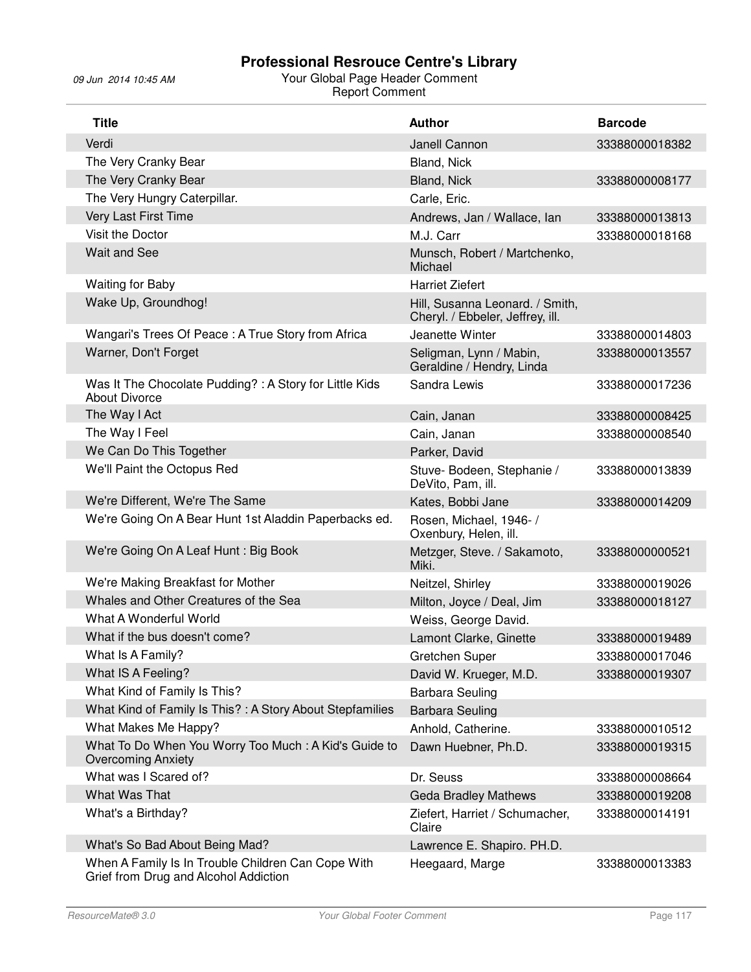| <b>Title</b>                                                                                | <b>Author</b>                                                       | <b>Barcode</b> |
|---------------------------------------------------------------------------------------------|---------------------------------------------------------------------|----------------|
| Verdi                                                                                       | Janell Cannon                                                       | 33388000018382 |
| The Very Cranky Bear                                                                        | Bland, Nick                                                         |                |
| The Very Cranky Bear                                                                        | Bland, Nick                                                         | 33388000008177 |
| The Very Hungry Caterpillar.                                                                | Carle, Eric.                                                        |                |
| Very Last First Time                                                                        | Andrews, Jan / Wallace, Ian                                         | 33388000013813 |
| Visit the Doctor                                                                            | M.J. Carr                                                           | 33388000018168 |
| <b>Wait and See</b>                                                                         | Munsch, Robert / Martchenko,<br>Michael                             |                |
| <b>Waiting for Baby</b>                                                                     | <b>Harriet Ziefert</b>                                              |                |
| Wake Up, Groundhog!                                                                         | Hill, Susanna Leonard. / Smith,<br>Cheryl. / Ebbeler, Jeffrey, ill. |                |
| Wangari's Trees Of Peace: A True Story from Africa                                          | Jeanette Winter                                                     | 33388000014803 |
| Warner, Don't Forget                                                                        | Seligman, Lynn / Mabin,<br>Geraldine / Hendry, Linda                | 33388000013557 |
| Was It The Chocolate Pudding? : A Story for Little Kids<br><b>About Divorce</b>             | Sandra Lewis                                                        | 33388000017236 |
| The Way I Act                                                                               | Cain, Janan                                                         | 33388000008425 |
| The Way I Feel                                                                              | Cain, Janan                                                         | 33388000008540 |
| We Can Do This Together                                                                     | Parker, David                                                       |                |
| We'll Paint the Octopus Red                                                                 | Stuve- Bodeen, Stephanie /<br>DeVito, Pam, ill.                     | 33388000013839 |
| We're Different, We're The Same                                                             | Kates, Bobbi Jane                                                   | 33388000014209 |
| We're Going On A Bear Hunt 1st Aladdin Paperbacks ed.                                       | Rosen, Michael, 1946- /<br>Oxenbury, Helen, ill.                    |                |
| We're Going On A Leaf Hunt: Big Book                                                        | Metzger, Steve. / Sakamoto,<br>Miki.                                | 33388000000521 |
| We're Making Breakfast for Mother                                                           | Neitzel, Shirley                                                    | 33388000019026 |
| Whales and Other Creatures of the Sea                                                       | Milton, Joyce / Deal, Jim                                           | 33388000018127 |
| What A Wonderful World                                                                      | Weiss, George David.                                                |                |
| What if the bus doesn't come?                                                               | Lamont Clarke, Ginette                                              | 33388000019489 |
| What Is A Family?                                                                           | Gretchen Super                                                      | 33388000017046 |
| What IS A Feeling?                                                                          | David W. Krueger, M.D.                                              | 33388000019307 |
| What Kind of Family Is This?                                                                | <b>Barbara Seuling</b>                                              |                |
| What Kind of Family Is This?: A Story About Stepfamilies                                    | <b>Barbara Seuling</b>                                              |                |
| What Makes Me Happy?                                                                        | Anhold, Catherine.                                                  | 33388000010512 |
| What To Do When You Worry Too Much: A Kid's Guide to<br><b>Overcoming Anxiety</b>           | Dawn Huebner, Ph.D.                                                 | 33388000019315 |
| What was I Scared of?                                                                       | Dr. Seuss                                                           | 33388000008664 |
| What Was That                                                                               | <b>Geda Bradley Mathews</b>                                         | 33388000019208 |
| What's a Birthday?                                                                          | Ziefert, Harriet / Schumacher,<br>Claire                            | 33388000014191 |
| What's So Bad About Being Mad?                                                              | Lawrence E. Shapiro. PH.D.                                          |                |
| When A Family Is In Trouble Children Can Cope With<br>Grief from Drug and Alcohol Addiction | Heegaard, Marge                                                     | 33388000013383 |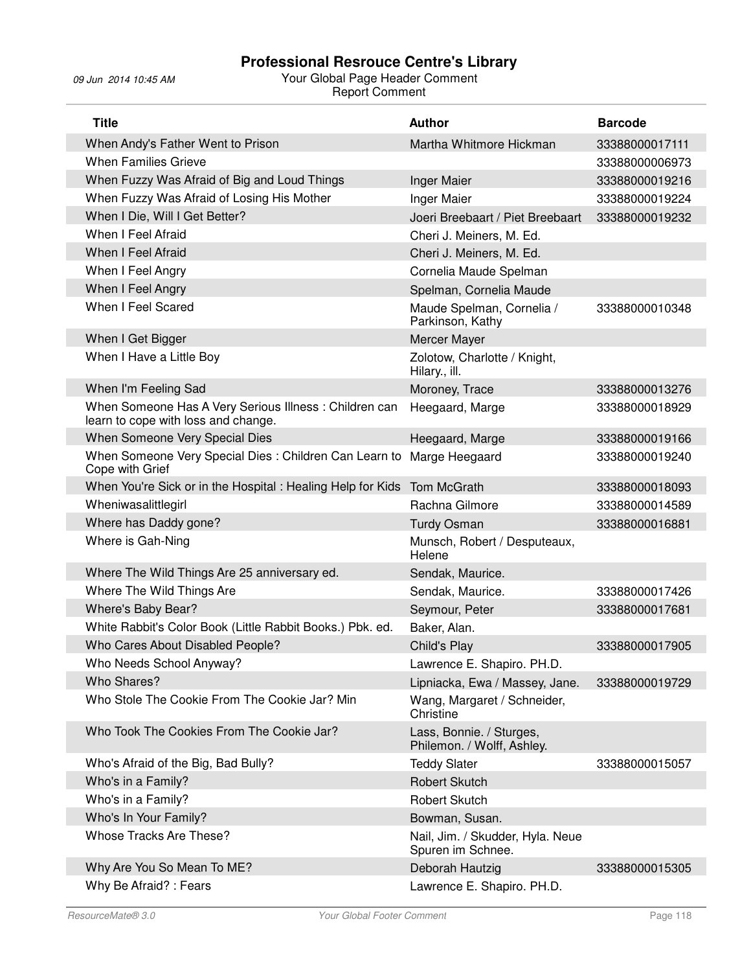| <b>Title</b>                                                                                 | <b>Author</b>                                          | <b>Barcode</b> |
|----------------------------------------------------------------------------------------------|--------------------------------------------------------|----------------|
| When Andy's Father Went to Prison                                                            | Martha Whitmore Hickman                                | 33388000017111 |
| <b>When Families Grieve</b>                                                                  |                                                        | 33388000006973 |
| When Fuzzy Was Afraid of Big and Loud Things                                                 | <b>Inger Maier</b>                                     | 33388000019216 |
| When Fuzzy Was Afraid of Losing His Mother                                                   | Inger Maier                                            | 33388000019224 |
| When I Die, Will I Get Better?                                                               | Joeri Breebaart / Piet Breebaart                       | 33388000019232 |
| When I Feel Afraid                                                                           | Cheri J. Meiners, M. Ed.                               |                |
| When I Feel Afraid                                                                           | Cheri J. Meiners, M. Ed.                               |                |
| When I Feel Angry                                                                            | Cornelia Maude Spelman                                 |                |
| When I Feel Angry                                                                            | Spelman, Cornelia Maude                                |                |
| When I Feel Scared                                                                           | Maude Spelman, Cornelia /<br>Parkinson, Kathy          | 33388000010348 |
| When I Get Bigger                                                                            | Mercer Mayer                                           |                |
| When I Have a Little Boy                                                                     | Zolotow, Charlotte / Knight,<br>Hilary., ill.          |                |
| When I'm Feeling Sad                                                                         | Moroney, Trace                                         | 33388000013276 |
| When Someone Has A Very Serious Illness: Children can<br>learn to cope with loss and change. | Heegaard, Marge                                        | 33388000018929 |
| When Someone Very Special Dies                                                               | Heegaard, Marge                                        | 33388000019166 |
| When Someone Very Special Dies: Children Can Learn to<br>Cope with Grief                     | Marge Heegaard                                         | 33388000019240 |
| When You're Sick or in the Hospital : Healing Help for Kids                                  | Tom McGrath                                            | 33388000018093 |
| Wheniwasalittlegirl                                                                          | Rachna Gilmore                                         | 33388000014589 |
| Where has Daddy gone?                                                                        | <b>Turdy Osman</b>                                     | 33388000016881 |
| Where is Gah-Ning                                                                            | Munsch, Robert / Desputeaux,<br>Helene                 |                |
| Where The Wild Things Are 25 anniversary ed.                                                 | Sendak, Maurice.                                       |                |
| Where The Wild Things Are                                                                    | Sendak, Maurice.                                       | 33388000017426 |
| Where's Baby Bear?                                                                           | Seymour, Peter                                         | 33388000017681 |
| White Rabbit's Color Book (Little Rabbit Books.) Pbk. ed.                                    | Baker, Alan.                                           |                |
| Who Cares About Disabled People?                                                             | Child's Play                                           | 33388000017905 |
| Who Needs School Anyway?                                                                     | Lawrence E. Shapiro. PH.D.                             |                |
| Who Shares?                                                                                  | Lipniacka, Ewa / Massey, Jane.                         | 33388000019729 |
| Who Stole The Cookie From The Cookie Jar? Min                                                | Wang, Margaret / Schneider,<br>Christine               |                |
| Who Took The Cookies From The Cookie Jar?                                                    | Lass, Bonnie. / Sturges,<br>Philemon. / Wolff, Ashley. |                |
| Who's Afraid of the Big, Bad Bully?                                                          | <b>Teddy Slater</b>                                    | 33388000015057 |
| Who's in a Family?                                                                           | <b>Robert Skutch</b>                                   |                |
| Who's in a Family?                                                                           | Robert Skutch                                          |                |
| Who's In Your Family?                                                                        | Bowman, Susan.                                         |                |
| Whose Tracks Are These?                                                                      | Nail, Jim. / Skudder, Hyla. Neue<br>Spuren im Schnee.  |                |
| Why Are You So Mean To ME?                                                                   | Deborah Hautzig                                        | 33388000015305 |
| Why Be Afraid?: Fears                                                                        | Lawrence E. Shapiro. PH.D.                             |                |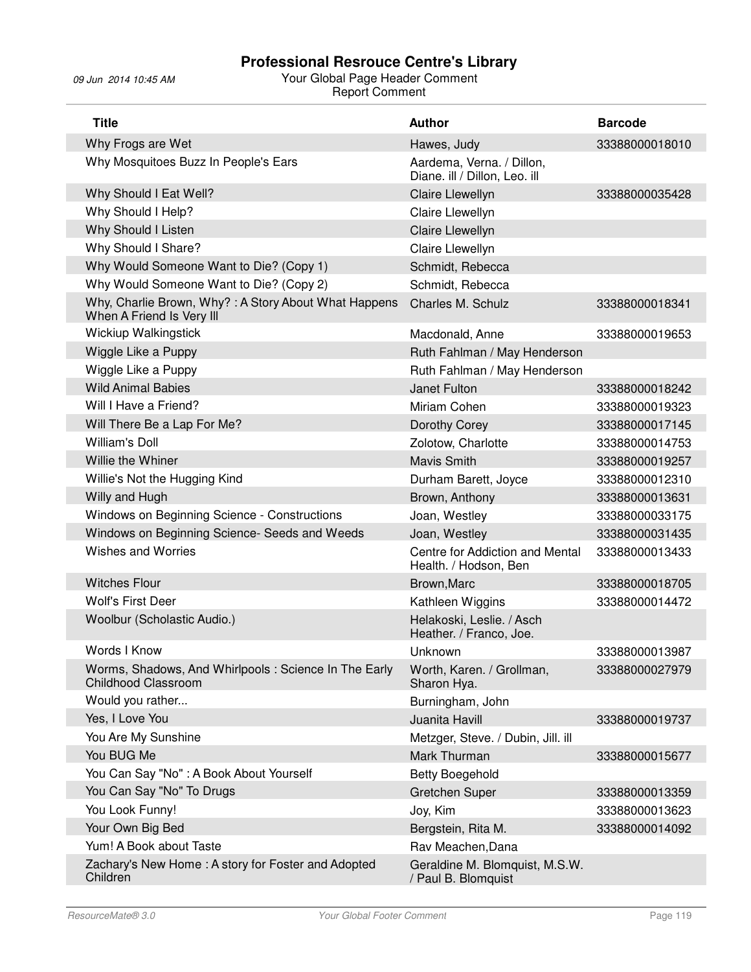| <b>Title</b>                                                                        | <b>Author</b>                                              | <b>Barcode</b> |
|-------------------------------------------------------------------------------------|------------------------------------------------------------|----------------|
| Why Frogs are Wet                                                                   | Hawes, Judy                                                | 33388000018010 |
| Why Mosquitoes Buzz In People's Ears                                                | Aardema, Verna. / Dillon,<br>Diane. ill / Dillon, Leo. ill |                |
| Why Should I Eat Well?                                                              | Claire Llewellyn                                           | 33388000035428 |
| Why Should I Help?                                                                  | Claire Llewellyn                                           |                |
| Why Should I Listen                                                                 | Claire Llewellyn                                           |                |
| Why Should I Share?                                                                 | Claire Llewellyn                                           |                |
| Why Would Someone Want to Die? (Copy 1)                                             | Schmidt, Rebecca                                           |                |
| Why Would Someone Want to Die? (Copy 2)                                             | Schmidt, Rebecca                                           |                |
| Why, Charlie Brown, Why?: A Story About What Happens<br>When A Friend Is Very III   | Charles M. Schulz                                          | 33388000018341 |
| <b>Wickiup Walkingstick</b>                                                         | Macdonald, Anne                                            | 33388000019653 |
| Wiggle Like a Puppy                                                                 | Ruth Fahlman / May Henderson                               |                |
| Wiggle Like a Puppy                                                                 | Ruth Fahlman / May Henderson                               |                |
| <b>Wild Animal Babies</b>                                                           | Janet Fulton                                               | 33388000018242 |
| Will I Have a Friend?                                                               | Miriam Cohen                                               | 33388000019323 |
| Will There Be a Lap For Me?                                                         | Dorothy Corey                                              | 33388000017145 |
| <b>William's Doll</b>                                                               | Zolotow, Charlotte                                         | 33388000014753 |
| Willie the Whiner                                                                   | <b>Mavis Smith</b>                                         | 33388000019257 |
| Willie's Not the Hugging Kind                                                       | Durham Barett, Joyce                                       | 33388000012310 |
| Willy and Hugh                                                                      | Brown, Anthony                                             | 33388000013631 |
| Windows on Beginning Science - Constructions                                        | Joan, Westley                                              | 33388000033175 |
| Windows on Beginning Science- Seeds and Weeds                                       | Joan, Westley                                              | 33388000031435 |
| <b>Wishes and Worries</b>                                                           | Centre for Addiction and Mental<br>Health. / Hodson, Ben   | 33388000013433 |
| <b>Witches Flour</b>                                                                | Brown, Marc                                                | 33388000018705 |
| Wolf's First Deer                                                                   | Kathleen Wiggins                                           | 33388000014472 |
| Woolbur (Scholastic Audio.)                                                         | Helakoski, Leslie. / Asch<br>Heather. / Franco, Joe.       |                |
| Words I Know                                                                        | Unknown                                                    | 33388000013987 |
| Worms, Shadows, And Whirlpools : Science In The Early<br><b>Childhood Classroom</b> | Worth, Karen. / Grollman,<br>Sharon Hya.                   | 33388000027979 |
| Would you rather                                                                    | Burningham, John                                           |                |
| Yes, I Love You                                                                     | Juanita Havill                                             | 33388000019737 |
| You Are My Sunshine                                                                 | Metzger, Steve. / Dubin, Jill. ill                         |                |
| You BUG Me                                                                          | Mark Thurman                                               | 33388000015677 |
| You Can Say "No" : A Book About Yourself                                            | <b>Betty Boegehold</b>                                     |                |
| You Can Say "No" To Drugs                                                           | <b>Gretchen Super</b>                                      | 33388000013359 |
| You Look Funny!                                                                     | Joy, Kim                                                   | 33388000013623 |
| Your Own Big Bed                                                                    | Bergstein, Rita M.                                         | 33388000014092 |
| Yum! A Book about Taste                                                             | Rav Meachen, Dana                                          |                |
| Zachary's New Home: A story for Foster and Adopted<br>Children                      | Geraldine M. Blomquist, M.S.W.<br>/ Paul B. Blomquist      |                |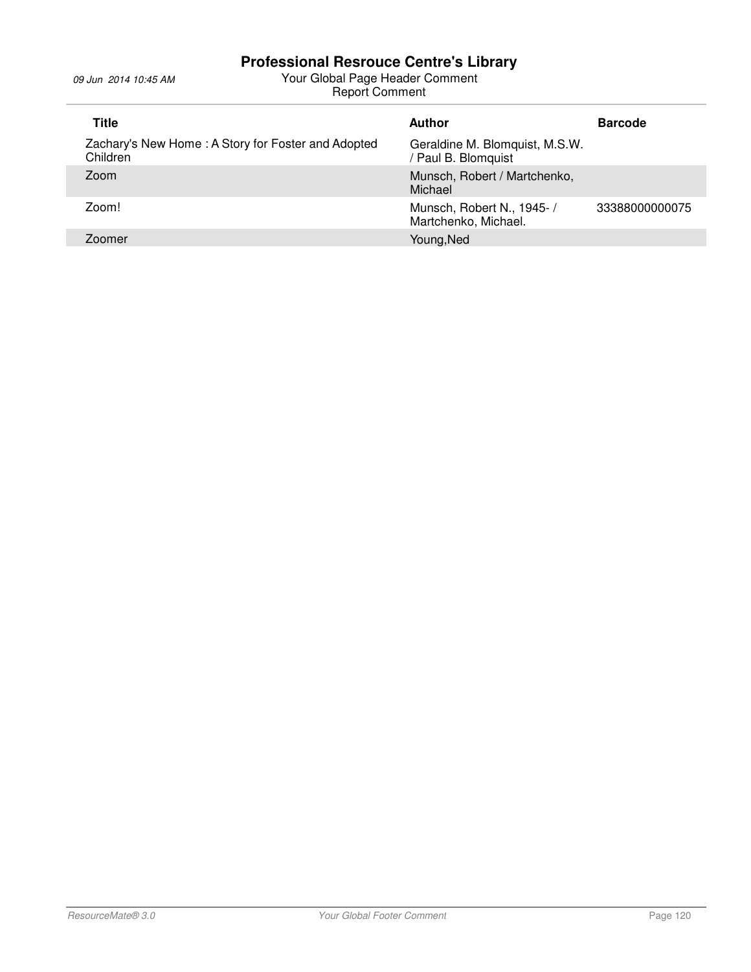| Title                                                          | Author                                                | <b>Barcode</b> |
|----------------------------------------------------------------|-------------------------------------------------------|----------------|
| Zachary's New Home: A Story for Foster and Adopted<br>Children | Geraldine M. Blomquist, M.S.W.<br>/ Paul B. Blomquist |                |
| Zoom                                                           | Munsch, Robert / Martchenko,<br>Michael               |                |
| Zoom!                                                          | Munsch, Robert N., 1945-/<br>Martchenko, Michael.     | 33388000000075 |
| Zoomer                                                         | Young, Ned                                            |                |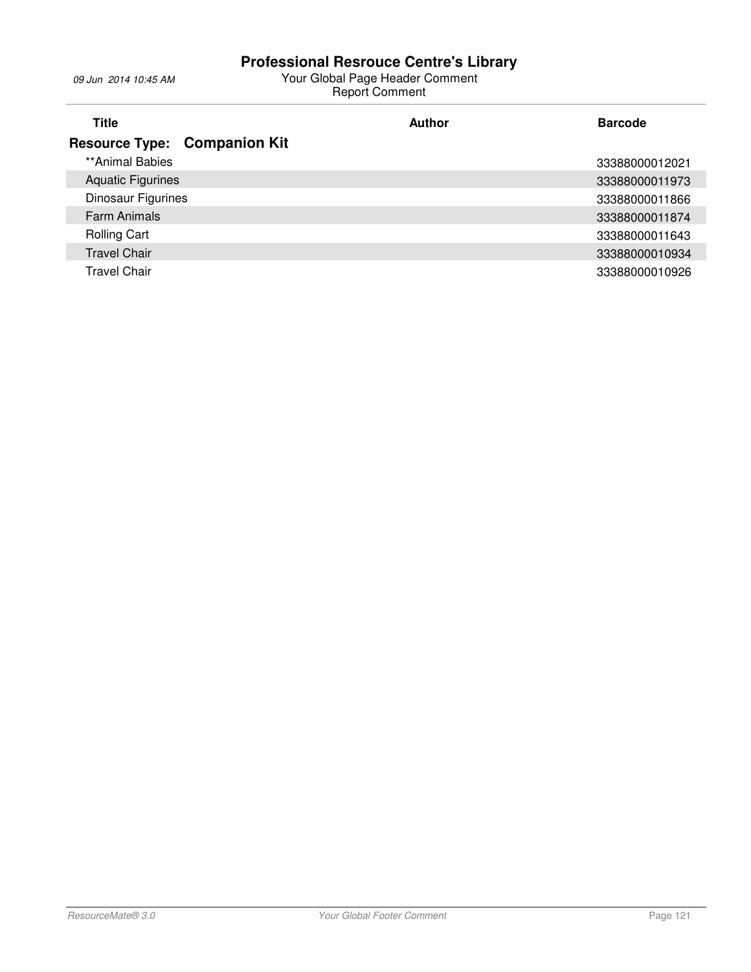| <b>Title</b>             |                                     | Author | <b>Barcode</b> |
|--------------------------|-------------------------------------|--------|----------------|
|                          | <b>Resource Type: Companion Kit</b> |        |                |
| **Animal Babies          |                                     |        | 33388000012021 |
| <b>Aquatic Figurines</b> |                                     |        | 33388000011973 |
| Dinosaur Figurines       |                                     |        | 33388000011866 |
| <b>Farm Animals</b>      |                                     |        | 33388000011874 |
| <b>Rolling Cart</b>      |                                     |        | 33388000011643 |
| <b>Travel Chair</b>      |                                     |        | 33388000010934 |
| Travel Chair             |                                     |        | 33388000010926 |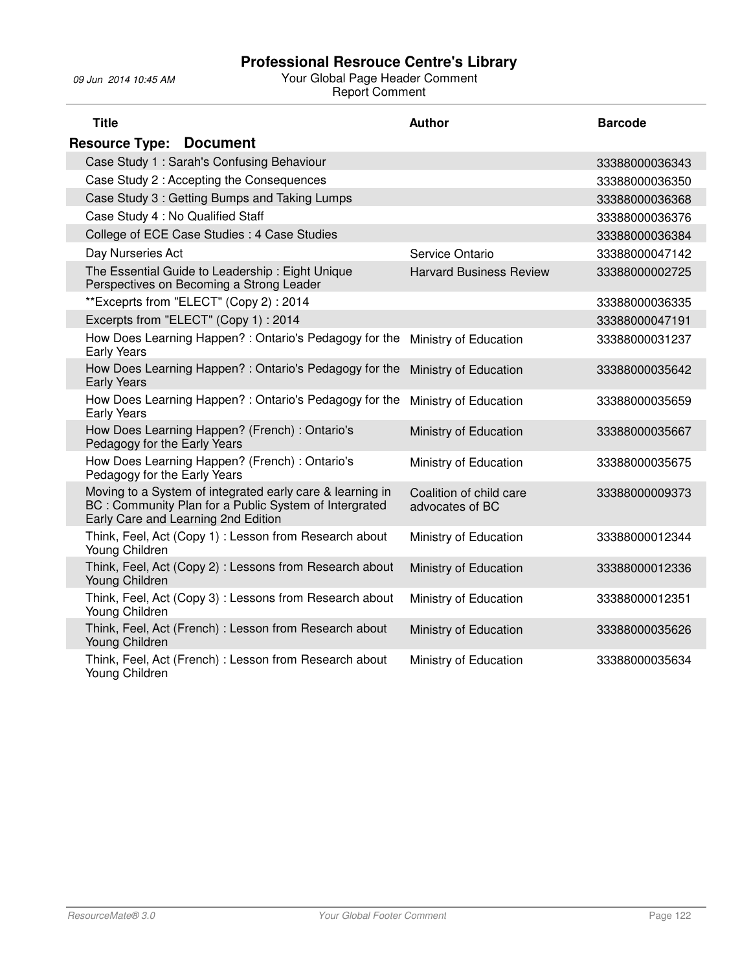| <b>Title</b>                                                                                                                                              | <b>Author</b>                              | <b>Barcode</b> |
|-----------------------------------------------------------------------------------------------------------------------------------------------------------|--------------------------------------------|----------------|
| <b>Resource Type: Document</b>                                                                                                                            |                                            |                |
| Case Study 1: Sarah's Confusing Behaviour                                                                                                                 |                                            | 33388000036343 |
| Case Study 2 : Accepting the Consequences                                                                                                                 |                                            | 33388000036350 |
| Case Study 3 : Getting Bumps and Taking Lumps                                                                                                             |                                            | 33388000036368 |
| Case Study 4 : No Qualified Staff                                                                                                                         |                                            | 33388000036376 |
| College of ECE Case Studies : 4 Case Studies                                                                                                              |                                            | 33388000036384 |
| Day Nurseries Act                                                                                                                                         | Service Ontario                            | 33388000047142 |
| The Essential Guide to Leadership: Eight Unique<br>Perspectives on Becoming a Strong Leader                                                               | <b>Harvard Business Review</b>             | 33388000002725 |
| **Exceprts from "ELECT" (Copy 2): 2014                                                                                                                    |                                            | 33388000036335 |
| Excerpts from "ELECT" (Copy 1): 2014                                                                                                                      |                                            | 33388000047191 |
| How Does Learning Happen?: Ontario's Pedagogy for the<br><b>Early Years</b>                                                                               | Ministry of Education                      | 33388000031237 |
| How Does Learning Happen? : Ontario's Pedagogy for the<br><b>Early Years</b>                                                                              | Ministry of Education                      | 33388000035642 |
| How Does Learning Happen?: Ontario's Pedagogy for the<br><b>Early Years</b>                                                                               | Ministry of Education                      | 33388000035659 |
| How Does Learning Happen? (French) : Ontario's<br>Pedagogy for the Early Years                                                                            | Ministry of Education                      | 33388000035667 |
| How Does Learning Happen? (French) : Ontario's<br>Pedagogy for the Early Years                                                                            | Ministry of Education                      | 33388000035675 |
| Moving to a System of integrated early care & learning in<br>BC: Community Plan for a Public System of Intergrated<br>Early Care and Learning 2nd Edition | Coalition of child care<br>advocates of BC | 33388000009373 |
| Think, Feel, Act (Copy 1): Lesson from Research about<br>Young Children                                                                                   | Ministry of Education                      | 33388000012344 |
| Think, Feel, Act (Copy 2) : Lessons from Research about<br>Young Children                                                                                 | Ministry of Education                      | 33388000012336 |
| Think, Feel, Act (Copy 3): Lessons from Research about<br>Young Children                                                                                  | Ministry of Education                      | 33388000012351 |
| Think, Feel, Act (French) : Lesson from Research about<br>Young Children                                                                                  | Ministry of Education                      | 33388000035626 |
| Think, Feel, Act (French) : Lesson from Research about<br>Young Children                                                                                  | Ministry of Education                      | 33388000035634 |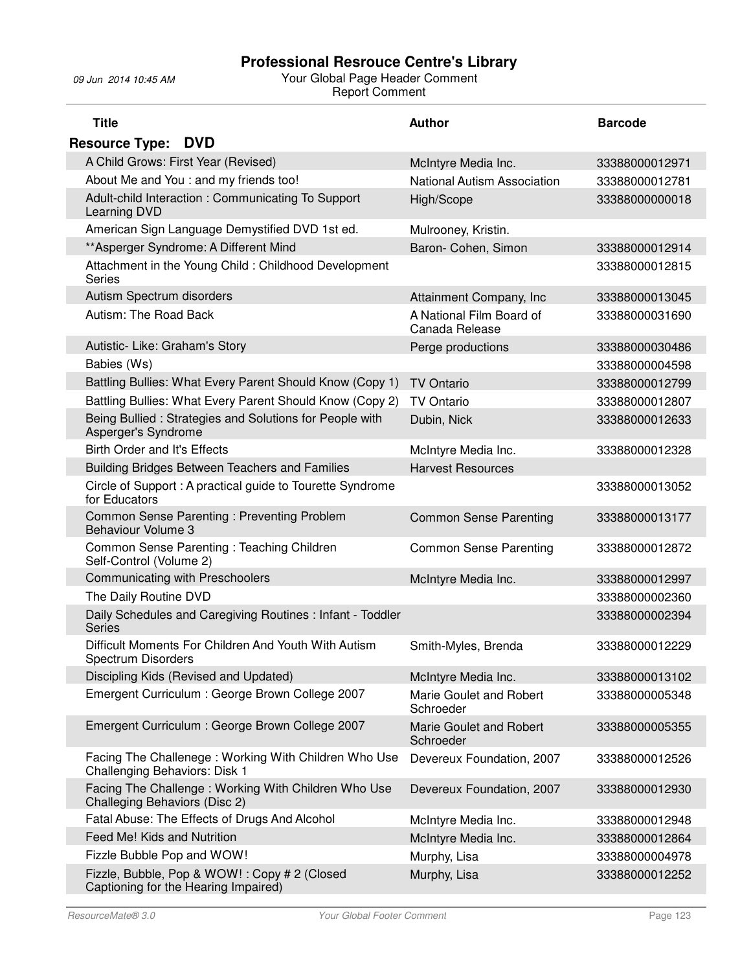| <b>Title</b>                                                                                 | <b>Author</b>                              | <b>Barcode</b> |
|----------------------------------------------------------------------------------------------|--------------------------------------------|----------------|
| <b>Resource Type:</b><br><b>DVD</b>                                                          |                                            |                |
| A Child Grows: First Year (Revised)                                                          | McIntyre Media Inc.                        | 33388000012971 |
| About Me and You : and my friends too!                                                       | <b>National Autism Association</b>         | 33388000012781 |
| Adult-child Interaction: Communicating To Support<br>Learning DVD                            | High/Scope                                 | 33388000000018 |
| American Sign Language Demystified DVD 1st ed.                                               | Mulrooney, Kristin.                        |                |
| ** Asperger Syndrome: A Different Mind                                                       | Baron- Cohen, Simon                        | 33388000012914 |
| Attachment in the Young Child : Childhood Development<br><b>Series</b>                       |                                            | 33388000012815 |
| Autism Spectrum disorders                                                                    | Attainment Company, Inc.                   | 33388000013045 |
| Autism: The Road Back                                                                        | A National Film Board of<br>Canada Release | 33388000031690 |
| Autistic- Like: Graham's Story                                                               | Perge productions                          | 33388000030486 |
| Babies (Ws)                                                                                  |                                            | 33388000004598 |
| Battling Bullies: What Every Parent Should Know (Copy 1)                                     | <b>TV Ontario</b>                          | 33388000012799 |
| Battling Bullies: What Every Parent Should Know (Copy 2)                                     | <b>TV Ontario</b>                          | 33388000012807 |
| Being Bullied : Strategies and Solutions for People with<br>Asperger's Syndrome              | Dubin, Nick                                | 33388000012633 |
| Birth Order and It's Effects                                                                 | McIntyre Media Inc.                        | 33388000012328 |
| <b>Building Bridges Between Teachers and Families</b>                                        | <b>Harvest Resources</b>                   |                |
| Circle of Support: A practical guide to Tourette Syndrome<br>for Educators                   |                                            | 33388000013052 |
| Common Sense Parenting: Preventing Problem<br><b>Behaviour Volume 3</b>                      | <b>Common Sense Parenting</b>              | 33388000013177 |
| Common Sense Parenting: Teaching Children<br>Self-Control (Volume 2)                         | <b>Common Sense Parenting</b>              | 33388000012872 |
| Communicating with Preschoolers                                                              | McIntyre Media Inc.                        | 33388000012997 |
| The Daily Routine DVD                                                                        |                                            | 33388000002360 |
| Daily Schedules and Caregiving Routines: Infant - Toddler<br><b>Series</b>                   |                                            | 33388000002394 |
| Difficult Moments For Children And Youth With Autism<br><b>Spectrum Disorders</b>            | Smith-Myles, Brenda                        | 33388000012229 |
| Discipling Kids (Revised and Updated)                                                        | McIntyre Media Inc.                        | 33388000013102 |
| Emergent Curriculum : George Brown College 2007                                              | Marie Goulet and Robert<br>Schroeder       | 33388000005348 |
| Emergent Curriculum : George Brown College 2007                                              | Marie Goulet and Robert<br>Schroeder       | 33388000005355 |
| Facing The Challenege: Working With Children Who Use<br><b>Challenging Behaviors: Disk 1</b> | Devereux Foundation, 2007                  | 33388000012526 |
| Facing The Challenge: Working With Children Who Use<br>Challeging Behaviors (Disc 2)         | Devereux Foundation, 2007                  | 33388000012930 |
| Fatal Abuse: The Effects of Drugs And Alcohol                                                | McIntyre Media Inc.                        | 33388000012948 |
| Feed Me! Kids and Nutrition                                                                  | McIntyre Media Inc.                        | 33388000012864 |
| Fizzle Bubble Pop and WOW!                                                                   | Murphy, Lisa                               | 33388000004978 |
| Fizzle, Bubble, Pop & WOW!: Copy # 2 (Closed<br>Captioning for the Hearing Impaired)         | Murphy, Lisa                               | 33388000012252 |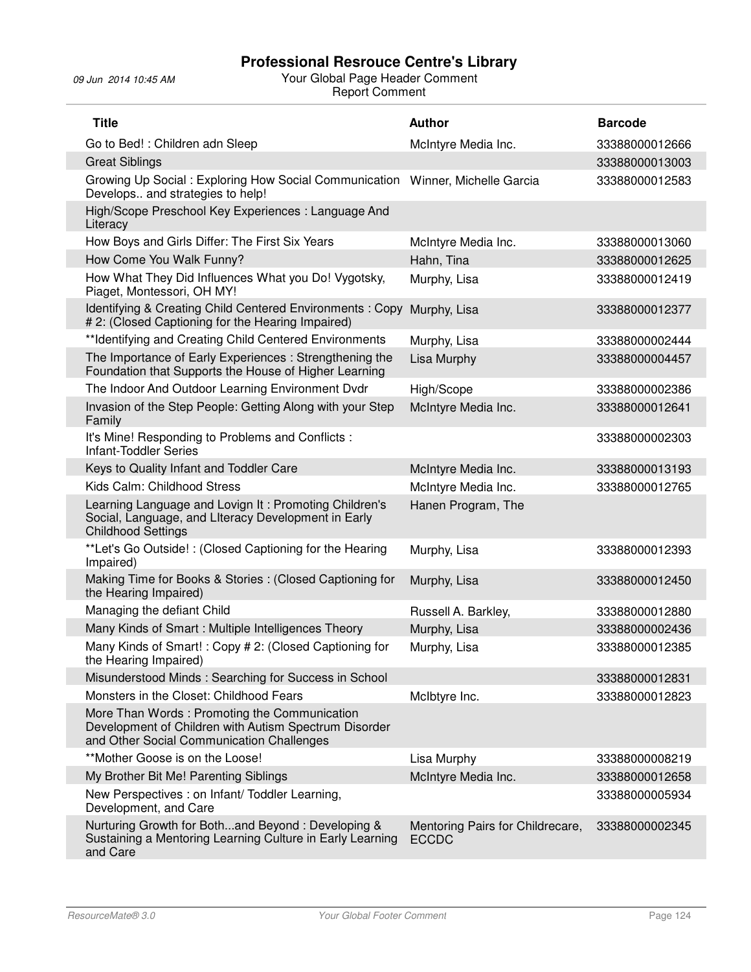| <b>Title</b>                                                                                                                                       | <b>Author</b>                                    | <b>Barcode</b> |
|----------------------------------------------------------------------------------------------------------------------------------------------------|--------------------------------------------------|----------------|
| Go to Bed!: Children adn Sleep                                                                                                                     | McIntyre Media Inc.                              | 33388000012666 |
| <b>Great Siblings</b>                                                                                                                              |                                                  | 33388000013003 |
| Growing Up Social: Exploring How Social Communication Winner, Michelle Garcia<br>Develops and strategies to help!                                  |                                                  | 33388000012583 |
| High/Scope Preschool Key Experiences: Language And<br>Literacy                                                                                     |                                                  |                |
| How Boys and Girls Differ: The First Six Years                                                                                                     | McIntyre Media Inc.                              | 33388000013060 |
| How Come You Walk Funny?                                                                                                                           | Hahn, Tina                                       | 33388000012625 |
| How What They Did Influences What you Do! Vygotsky,<br>Piaget, Montessori, OH MY!                                                                  | Murphy, Lisa                                     | 33388000012419 |
| Identifying & Creating Child Centered Environments: Copy<br># 2: (Closed Captioning for the Hearing Impaired)                                      | Murphy, Lisa                                     | 33388000012377 |
| **Identifying and Creating Child Centered Environments                                                                                             | Murphy, Lisa                                     | 33388000002444 |
| The Importance of Early Experiences: Strengthening the<br>Foundation that Supports the House of Higher Learning                                    | Lisa Murphy                                      | 33388000004457 |
| The Indoor And Outdoor Learning Environment Dvdr                                                                                                   | High/Scope                                       | 33388000002386 |
| Invasion of the Step People: Getting Along with your Step<br>Family                                                                                | McIntyre Media Inc.                              | 33388000012641 |
| It's Mine! Responding to Problems and Conflicts :<br><b>Infant-Toddler Series</b>                                                                  |                                                  | 33388000002303 |
| Keys to Quality Infant and Toddler Care                                                                                                            | McIntyre Media Inc.                              | 33388000013193 |
| Kids Calm: Childhood Stress                                                                                                                        | McIntyre Media Inc.                              | 33388000012765 |
| Learning Language and Lovign It: Promoting Children's<br>Social, Language, and Literacy Development in Early<br><b>Childhood Settings</b>          | Hanen Program, The                               |                |
| **Let's Go Outside!: (Closed Captioning for the Hearing<br>Impaired)                                                                               | Murphy, Lisa                                     | 33388000012393 |
| Making Time for Books & Stories: (Closed Captioning for<br>the Hearing Impaired)                                                                   | Murphy, Lisa                                     | 33388000012450 |
| Managing the defiant Child                                                                                                                         | Russell A. Barkley,                              | 33388000012880 |
| Many Kinds of Smart: Multiple Intelligences Theory                                                                                                 | Murphy, Lisa                                     | 33388000002436 |
| Many Kinds of Smart!: Copy # 2: (Closed Captioning for<br>the Hearing Impaired)                                                                    | Murphy, Lisa                                     | 33388000012385 |
| Misunderstood Minds: Searching for Success in School                                                                                               |                                                  | 33388000012831 |
| Monsters in the Closet: Childhood Fears                                                                                                            | McIbtyre Inc.                                    | 33388000012823 |
| More Than Words: Promoting the Communication<br>Development of Children with Autism Spectrum Disorder<br>and Other Social Communication Challenges |                                                  |                |
| **Mother Goose is on the Loose!                                                                                                                    | Lisa Murphy                                      | 33388000008219 |
| My Brother Bit Me! Parenting Siblings                                                                                                              | McIntyre Media Inc.                              | 33388000012658 |
| New Perspectives : on Infant/ Toddler Learning,<br>Development, and Care                                                                           |                                                  | 33388000005934 |
| Nurturing Growth for Bothand Beyond: Developing &<br>Sustaining a Mentoring Learning Culture in Early Learning<br>and Care                         | Mentoring Pairs for Childrecare,<br><b>ECCDC</b> | 33388000002345 |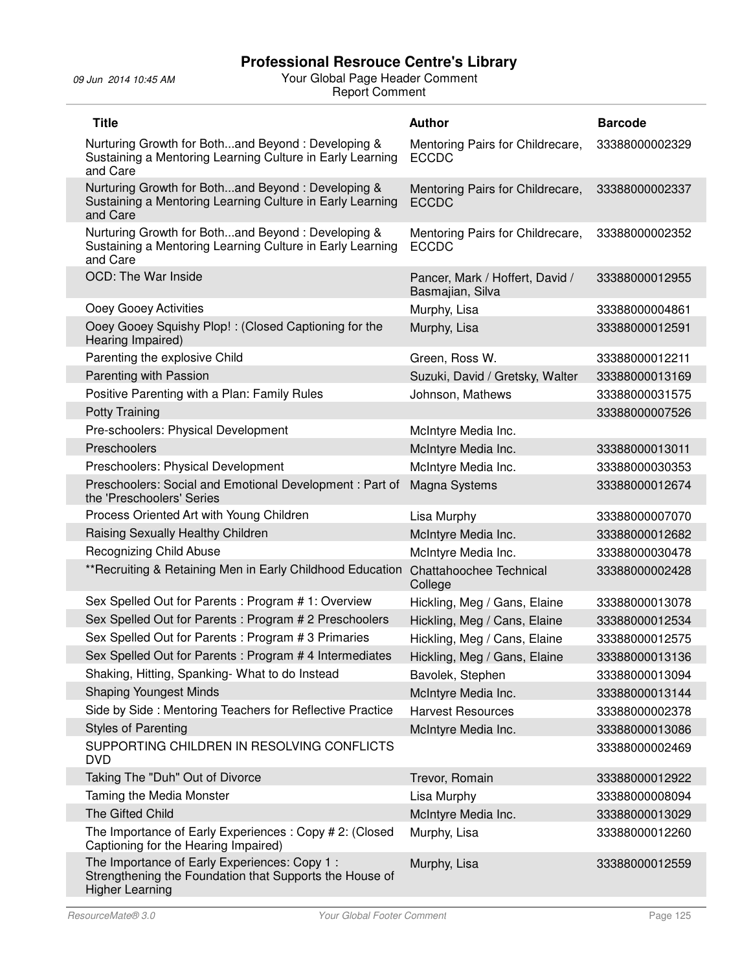| <b>Title</b>                                                                                                                      | <b>Author</b>                                       | <b>Barcode</b> |
|-----------------------------------------------------------------------------------------------------------------------------------|-----------------------------------------------------|----------------|
| Nurturing Growth for Bothand Beyond: Developing &<br>Sustaining a Mentoring Learning Culture in Early Learning<br>and Care        | Mentoring Pairs for Childrecare,<br><b>ECCDC</b>    | 33388000002329 |
| Nurturing Growth for Bothand Beyond: Developing &<br>Sustaining a Mentoring Learning Culture in Early Learning<br>and Care        | Mentoring Pairs for Childrecare,<br><b>ECCDC</b>    | 33388000002337 |
| Nurturing Growth for Bothand Beyond: Developing &<br>Sustaining a Mentoring Learning Culture in Early Learning<br>and Care        | Mentoring Pairs for Childrecare,<br><b>ECCDC</b>    | 33388000002352 |
| OCD: The War Inside                                                                                                               | Pancer, Mark / Hoffert, David /<br>Basmajian, Silva | 33388000012955 |
| Ooey Gooey Activities                                                                                                             | Murphy, Lisa                                        | 33388000004861 |
| Ooey Gooey Squishy Plop!: (Closed Captioning for the<br>Hearing Impaired)                                                         | Murphy, Lisa                                        | 33388000012591 |
| Parenting the explosive Child                                                                                                     | Green, Ross W.                                      | 33388000012211 |
| Parenting with Passion                                                                                                            | Suzuki, David / Gretsky, Walter                     | 33388000013169 |
| Positive Parenting with a Plan: Family Rules                                                                                      | Johnson, Mathews                                    | 33388000031575 |
| <b>Potty Training</b>                                                                                                             |                                                     | 33388000007526 |
| Pre-schoolers: Physical Development                                                                                               | McIntyre Media Inc.                                 |                |
| Preschoolers                                                                                                                      | McIntyre Media Inc.                                 | 33388000013011 |
| Preschoolers: Physical Development                                                                                                | McIntyre Media Inc.                                 | 33388000030353 |
| Preschoolers: Social and Emotional Development: Part of<br>the 'Preschoolers' Series                                              | Magna Systems                                       | 33388000012674 |
| Process Oriented Art with Young Children                                                                                          | Lisa Murphy                                         | 33388000007070 |
| Raising Sexually Healthy Children                                                                                                 | McIntyre Media Inc.                                 | 33388000012682 |
| Recognizing Child Abuse                                                                                                           | McIntyre Media Inc.                                 | 33388000030478 |
| ** Recruiting & Retaining Men in Early Childhood Education                                                                        | Chattahoochee Technical<br>College                  | 33388000002428 |
| Sex Spelled Out for Parents: Program #1: Overview                                                                                 | Hickling, Meg / Gans, Elaine                        | 33388000013078 |
| Sex Spelled Out for Parents: Program # 2 Preschoolers                                                                             | Hickling, Meg / Cans, Elaine                        | 33388000012534 |
| Sex Spelled Out for Parents : Program # 3 Primaries                                                                               | Hickling, Meg / Cans, Elaine                        | 33388000012575 |
| Sex Spelled Out for Parents : Program # 4 Intermediates                                                                           | Hickling, Meg / Gans, Elaine                        | 33388000013136 |
| Shaking, Hitting, Spanking-What to do Instead                                                                                     | Bavolek, Stephen                                    | 33388000013094 |
| <b>Shaping Youngest Minds</b>                                                                                                     | McIntyre Media Inc.                                 | 33388000013144 |
| Side by Side: Mentoring Teachers for Reflective Practice                                                                          | <b>Harvest Resources</b>                            | 33388000002378 |
| <b>Styles of Parenting</b>                                                                                                        | McIntyre Media Inc.                                 | 33388000013086 |
| SUPPORTING CHILDREN IN RESOLVING CONFLICTS<br><b>DVD</b>                                                                          |                                                     | 33388000002469 |
| Taking The "Duh" Out of Divorce                                                                                                   | Trevor, Romain                                      | 33388000012922 |
| Taming the Media Monster                                                                                                          | Lisa Murphy                                         | 33388000008094 |
| The Gifted Child                                                                                                                  | McIntyre Media Inc.                                 | 33388000013029 |
| The Importance of Early Experiences : Copy # 2: (Closed<br>Captioning for the Hearing Impaired)                                   | Murphy, Lisa                                        | 33388000012260 |
| The Importance of Early Experiences: Copy 1:<br>Strengthening the Foundation that Supports the House of<br><b>Higher Learning</b> | Murphy, Lisa                                        | 33388000012559 |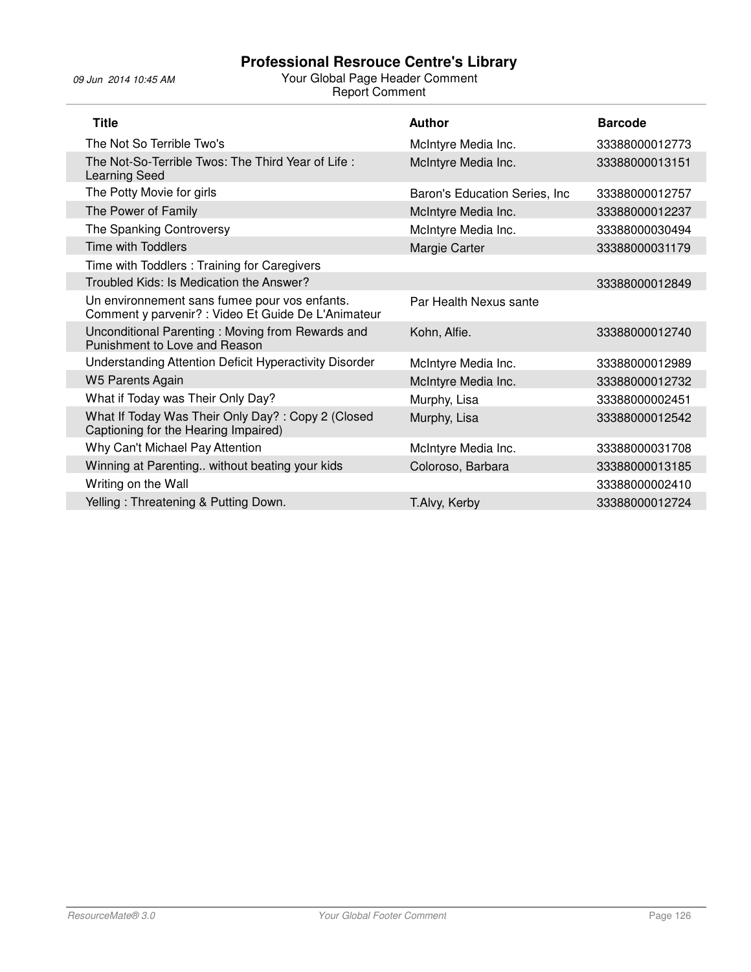| <b>Title</b>                                                                                         | <b>Author</b>                  | <b>Barcode</b> |
|------------------------------------------------------------------------------------------------------|--------------------------------|----------------|
| The Not So Terrible Two's                                                                            | McIntyre Media Inc.            | 33388000012773 |
| The Not-So-Terrible Twos: The Third Year of Life:<br><b>Learning Seed</b>                            | McIntyre Media Inc.            | 33388000013151 |
| The Potty Movie for girls                                                                            | Baron's Education Series, Inc. | 33388000012757 |
| The Power of Family                                                                                  | McIntyre Media Inc.            | 33388000012237 |
| The Spanking Controversy                                                                             | McIntyre Media Inc.            | 33388000030494 |
| Time with Toddlers                                                                                   | Margie Carter                  | 33388000031179 |
| Time with Toddlers: Training for Caregivers                                                          |                                |                |
| Troubled Kids: Is Medication the Answer?                                                             |                                | 33388000012849 |
| Un environnement sans fumee pour vos enfants.<br>Comment y parvenir? : Video Et Guide De L'Animateur | Par Health Nexus sante         |                |
| Unconditional Parenting: Moving from Rewards and<br>Punishment to Love and Reason                    | Kohn, Alfie.                   | 33388000012740 |
| Understanding Attention Deficit Hyperactivity Disorder                                               | McIntyre Media Inc.            | 33388000012989 |
| <b>W5 Parents Again</b>                                                                              | McIntyre Media Inc.            | 33388000012732 |
| What if Today was Their Only Day?                                                                    | Murphy, Lisa                   | 33388000002451 |
| What If Today Was Their Only Day?: Copy 2 (Closed<br>Captioning for the Hearing Impaired)            | Murphy, Lisa                   | 33388000012542 |
| Why Can't Michael Pay Attention                                                                      | McIntyre Media Inc.            | 33388000031708 |
| Winning at Parenting without beating your kids                                                       | Coloroso, Barbara              | 33388000013185 |
| Writing on the Wall                                                                                  |                                | 33388000002410 |
| Yelling: Threatening & Putting Down.                                                                 | T.Alvy, Kerby                  | 33388000012724 |
|                                                                                                      |                                |                |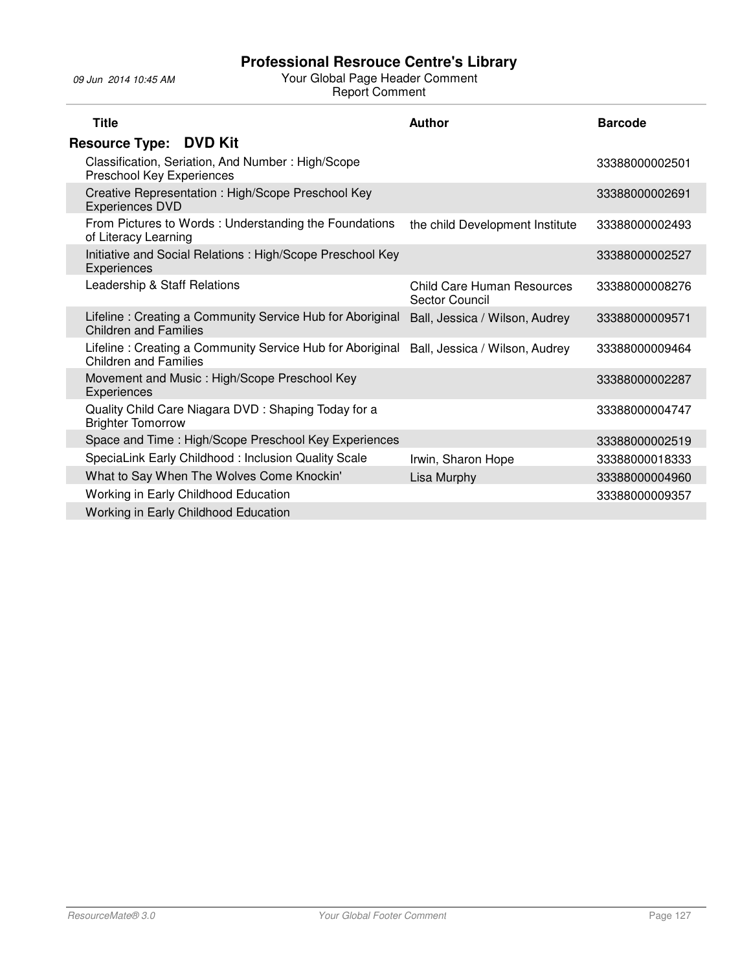| <b>Title</b>                                                                              | <b>Author</b>                                       | <b>Barcode</b> |
|-------------------------------------------------------------------------------------------|-----------------------------------------------------|----------------|
| <b>Resource Type: DVD Kit</b>                                                             |                                                     |                |
| Classification, Seriation, And Number: High/Scope<br>Preschool Key Experiences            |                                                     | 33388000002501 |
| Creative Representation : High/Scope Preschool Key<br><b>Experiences DVD</b>              |                                                     | 33388000002691 |
| From Pictures to Words: Understanding the Foundations<br>of Literacy Learning             | the child Development Institute                     | 33388000002493 |
| Initiative and Social Relations: High/Scope Preschool Key<br>Experiences                  |                                                     | 33388000002527 |
| Leadership & Staff Relations                                                              | Child Care Human Resources<br><b>Sector Council</b> | 33388000008276 |
| Lifeline: Creating a Community Service Hub for Aboriginal<br><b>Children and Families</b> | Ball, Jessica / Wilson, Audrey                      | 33388000009571 |
| Lifeline: Creating a Community Service Hub for Aboriginal<br>Children and Families        | Ball, Jessica / Wilson, Audrey                      | 33388000009464 |
| Movement and Music : High/Scope Preschool Key<br>Experiences                              |                                                     | 33388000002287 |
| Quality Child Care Niagara DVD: Shaping Today for a<br><b>Brighter Tomorrow</b>           |                                                     | 33388000004747 |
| Space and Time: High/Scope Preschool Key Experiences                                      |                                                     | 33388000002519 |
| SpeciaLink Early Childhood: Inclusion Quality Scale                                       | Irwin, Sharon Hope                                  | 33388000018333 |
| What to Say When The Wolves Come Knockin'                                                 | Lisa Murphy                                         | 33388000004960 |
| Working in Early Childhood Education                                                      |                                                     | 33388000009357 |
| Working in Early Childhood Education                                                      |                                                     |                |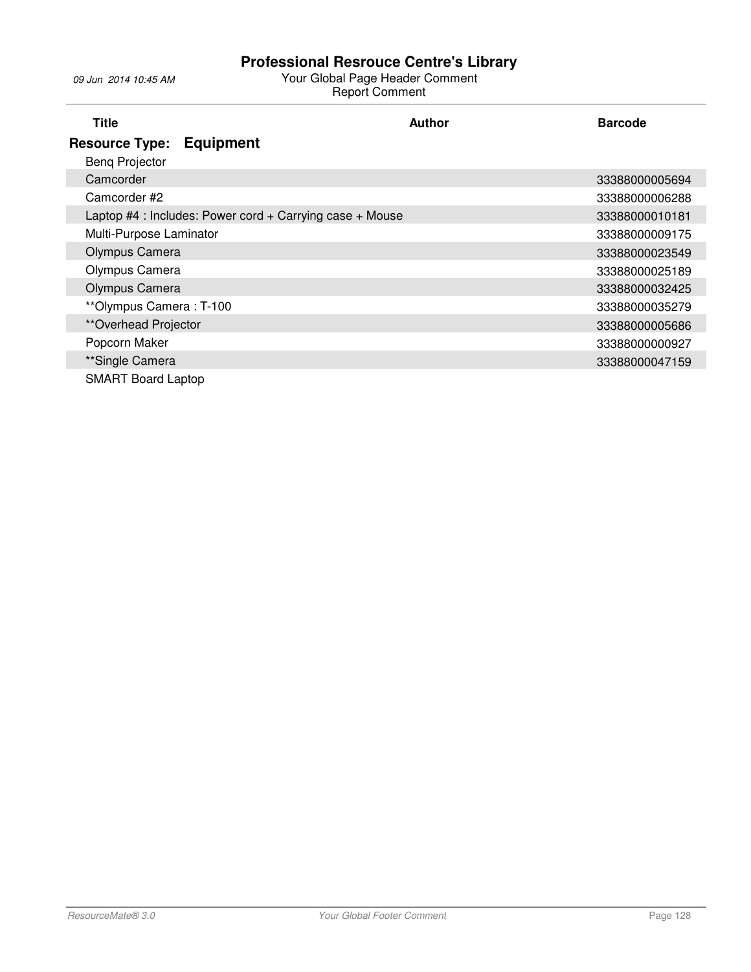| Title                        |                                                          | <b>Author</b> | <b>Barcode</b> |
|------------------------------|----------------------------------------------------------|---------------|----------------|
| <b>Resource Type:</b>        | <b>Equipment</b>                                         |               |                |
| <b>Beng Projector</b>        |                                                          |               |                |
| Camcorder                    |                                                          |               | 33388000005694 |
| Camcorder #2                 |                                                          |               | 33388000006288 |
|                              | Laptop #4 : Includes: Power cord + Carrying case + Mouse |               | 33388000010181 |
| Multi-Purpose Laminator      |                                                          |               | 33388000009175 |
| Olympus Camera               |                                                          |               | 33388000023549 |
| Olympus Camera               |                                                          |               | 33388000025189 |
| Olympus Camera               |                                                          |               | 33388000032425 |
| **Olympus Camera: T-100      |                                                          |               | 33388000035279 |
| <i>**</i> Overhead Projector |                                                          |               | 33388000005686 |
| Popcorn Maker                |                                                          |               | 33388000000927 |
| **Single Camera              |                                                          |               | 33388000047159 |
| <b>SMART Board Laptop</b>    |                                                          |               |                |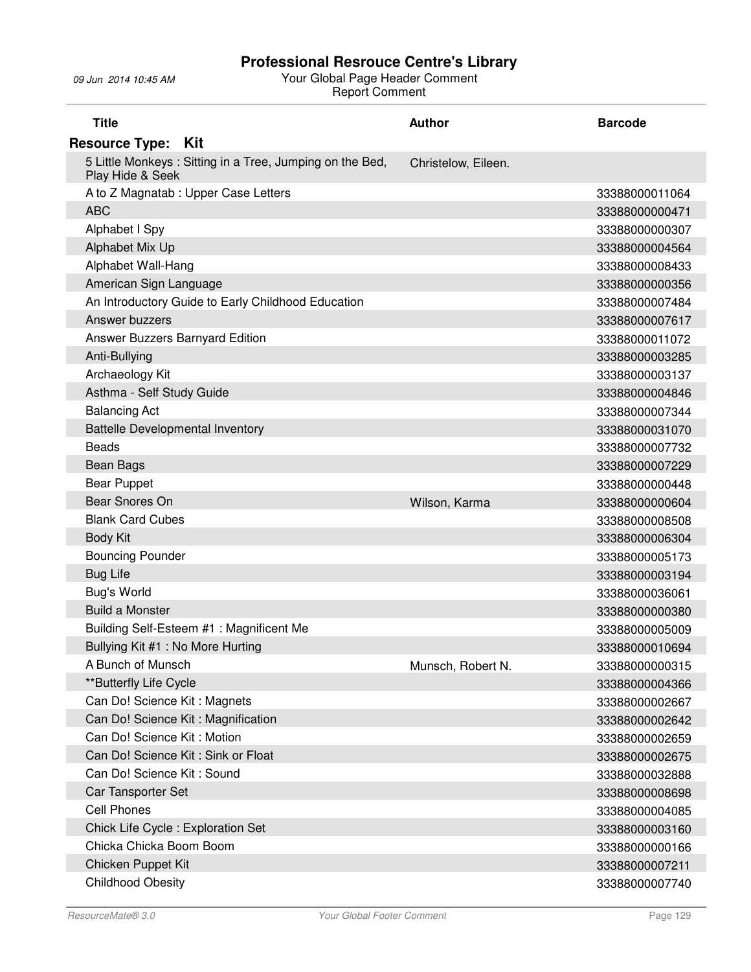| <b>Title</b>                                                                 | <b>Author</b>       | <b>Barcode</b> |
|------------------------------------------------------------------------------|---------------------|----------------|
| <b>Resource Type:</b><br>– Kit                                               |                     |                |
| 5 Little Monkeys: Sitting in a Tree, Jumping on the Bed,<br>Play Hide & Seek | Christelow, Eileen. |                |
| A to Z Magnatab : Upper Case Letters                                         |                     | 33388000011064 |
| <b>ABC</b>                                                                   |                     | 33388000000471 |
| Alphabet I Spy                                                               |                     | 33388000000307 |
| Alphabet Mix Up                                                              |                     | 33388000004564 |
| Alphabet Wall-Hang                                                           |                     | 33388000008433 |
| American Sign Language                                                       |                     | 33388000000356 |
| An Introductory Guide to Early Childhood Education                           |                     | 33388000007484 |
| Answer buzzers                                                               |                     | 33388000007617 |
| Answer Buzzers Barnyard Edition                                              |                     | 33388000011072 |
| Anti-Bullying                                                                |                     | 33388000003285 |
| Archaeology Kit                                                              |                     | 33388000003137 |
| Asthma - Self Study Guide                                                    |                     | 33388000004846 |
| <b>Balancing Act</b>                                                         |                     | 33388000007344 |
| <b>Battelle Developmental Inventory</b>                                      |                     | 33388000031070 |
| <b>Beads</b>                                                                 |                     | 33388000007732 |
| Bean Bags                                                                    |                     | 33388000007229 |
| <b>Bear Puppet</b>                                                           |                     | 33388000000448 |
| Bear Snores On                                                               | Wilson, Karma       | 33388000000604 |
| <b>Blank Card Cubes</b>                                                      |                     | 33388000008508 |
| <b>Body Kit</b>                                                              |                     | 33388000006304 |
| <b>Bouncing Pounder</b>                                                      |                     | 33388000005173 |
| <b>Bug Life</b>                                                              |                     | 33388000003194 |
| <b>Bug's World</b>                                                           |                     | 33388000036061 |
| <b>Build a Monster</b>                                                       |                     | 33388000000380 |
| Building Self-Esteem #1: Magnificent Me                                      |                     | 33388000005009 |
| Bullying Kit #1: No More Hurting                                             |                     | 33388000010694 |
| A Bunch of Munsch                                                            | Munsch, Robert N.   | 33388000000315 |
| **Butterfly Life Cycle                                                       |                     | 33388000004366 |
| Can Do! Science Kit: Magnets                                                 |                     | 33388000002667 |
| Can Do! Science Kit: Magnification                                           |                     | 33388000002642 |
| Can Do! Science Kit: Motion                                                  |                     | 33388000002659 |
| Can Do! Science Kit: Sink or Float                                           |                     | 33388000002675 |
| Can Do! Science Kit: Sound                                                   |                     | 33388000032888 |
| Car Tansporter Set                                                           |                     | 33388000008698 |
| <b>Cell Phones</b>                                                           |                     | 33388000004085 |
| Chick Life Cycle: Exploration Set                                            |                     | 33388000003160 |
| Chicka Chicka Boom Boom                                                      |                     | 33388000000166 |
| Chicken Puppet Kit                                                           |                     | 33388000007211 |
| <b>Childhood Obesity</b>                                                     |                     | 33388000007740 |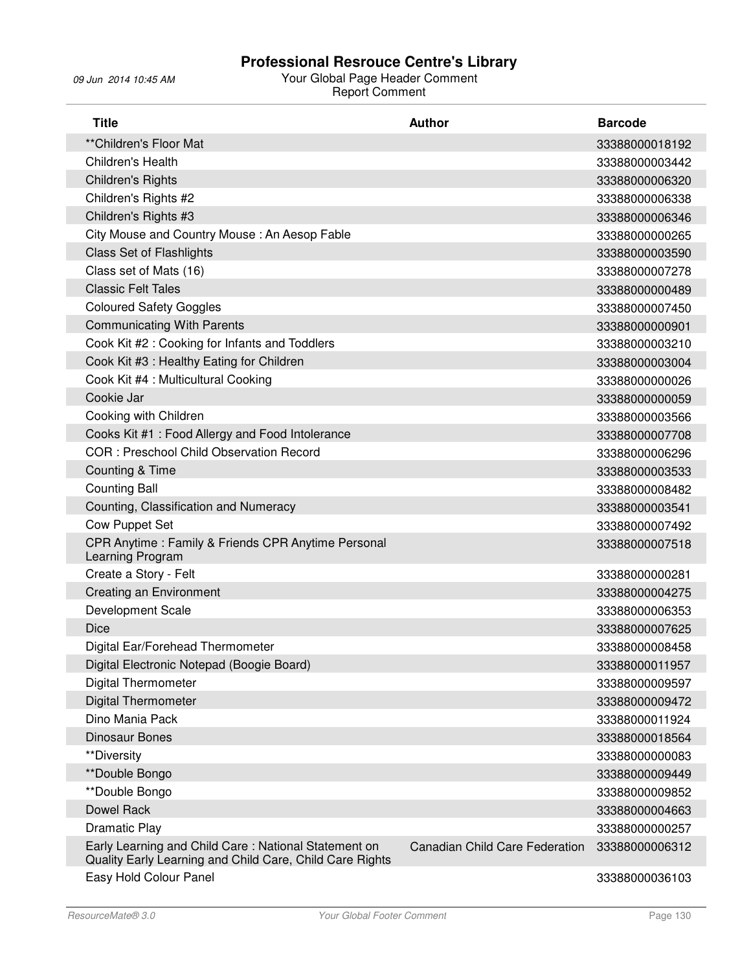| <b>Title</b>                                                                                                     | <b>Author</b>                  | <b>Barcode</b> |
|------------------------------------------------------------------------------------------------------------------|--------------------------------|----------------|
| ** Children's Floor Mat                                                                                          |                                | 33388000018192 |
| Children's Health                                                                                                |                                | 33388000003442 |
| <b>Children's Rights</b>                                                                                         |                                | 33388000006320 |
| Children's Rights #2                                                                                             |                                | 33388000006338 |
| Children's Rights #3                                                                                             |                                | 33388000006346 |
| City Mouse and Country Mouse: An Aesop Fable                                                                     |                                | 33388000000265 |
| <b>Class Set of Flashlights</b>                                                                                  |                                | 33388000003590 |
| Class set of Mats (16)                                                                                           |                                | 33388000007278 |
| <b>Classic Felt Tales</b>                                                                                        |                                | 33388000000489 |
| <b>Coloured Safety Goggles</b>                                                                                   |                                | 33388000007450 |
| <b>Communicating With Parents</b>                                                                                |                                | 33388000000901 |
| Cook Kit #2 : Cooking for Infants and Toddlers                                                                   |                                | 33388000003210 |
| Cook Kit #3 : Healthy Eating for Children                                                                        |                                | 33388000003004 |
| Cook Kit #4 : Multicultural Cooking                                                                              |                                | 33388000000026 |
| Cookie Jar                                                                                                       |                                | 33388000000059 |
| Cooking with Children                                                                                            |                                | 33388000003566 |
| Cooks Kit #1: Food Allergy and Food Intolerance                                                                  |                                | 33388000007708 |
| <b>COR: Preschool Child Observation Record</b>                                                                   |                                | 33388000006296 |
| <b>Counting &amp; Time</b>                                                                                       |                                | 33388000003533 |
| <b>Counting Ball</b>                                                                                             |                                | 33388000008482 |
| Counting, Classification and Numeracy                                                                            |                                | 33388000003541 |
| <b>Cow Puppet Set</b>                                                                                            |                                | 33388000007492 |
| CPR Anytime: Family & Friends CPR Anytime Personal<br>Learning Program                                           |                                | 33388000007518 |
| Create a Story - Felt                                                                                            |                                | 33388000000281 |
| <b>Creating an Environment</b>                                                                                   |                                | 33388000004275 |
| Development Scale                                                                                                |                                | 33388000006353 |
| <b>Dice</b>                                                                                                      |                                | 33388000007625 |
| Digital Ear/Forehead Thermometer                                                                                 |                                | 33388000008458 |
| Digital Electronic Notepad (Boogie Board)                                                                        |                                | 33388000011957 |
| <b>Digital Thermometer</b>                                                                                       |                                | 33388000009597 |
| <b>Digital Thermometer</b>                                                                                       |                                | 33388000009472 |
| Dino Mania Pack                                                                                                  |                                | 33388000011924 |
| <b>Dinosaur Bones</b>                                                                                            |                                | 33388000018564 |
| **Diversity                                                                                                      |                                | 33388000000083 |
| **Double Bongo                                                                                                   |                                | 33388000009449 |
| **Double Bongo                                                                                                   |                                | 33388000009852 |
| Dowel Rack                                                                                                       |                                | 33388000004663 |
| Dramatic Play                                                                                                    |                                | 33388000000257 |
| Early Learning and Child Care: National Statement on<br>Quality Early Learning and Child Care, Child Care Rights | Canadian Child Care Federation | 33388000006312 |
| Easy Hold Colour Panel                                                                                           |                                | 33388000036103 |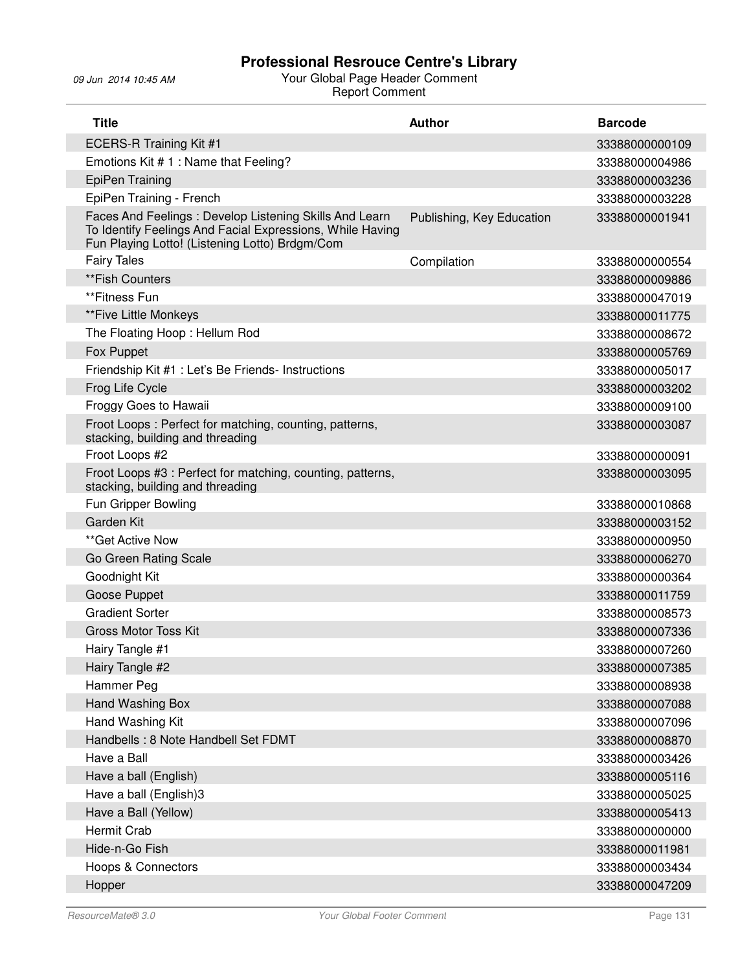| <b>Title</b>                                                                                                                                                          | <b>Author</b>             | <b>Barcode</b> |
|-----------------------------------------------------------------------------------------------------------------------------------------------------------------------|---------------------------|----------------|
| <b>ECERS-R Training Kit #1</b>                                                                                                                                        |                           | 33388000000109 |
| Emotions Kit #1: Name that Feeling?                                                                                                                                   |                           | 33388000004986 |
| <b>EpiPen Training</b>                                                                                                                                                |                           | 33388000003236 |
| EpiPen Training - French                                                                                                                                              |                           | 33388000003228 |
| Faces And Feelings: Develop Listening Skills And Learn<br>To Identify Feelings And Facial Expressions, While Having<br>Fun Playing Lotto! (Listening Lotto) Brdgm/Com | Publishing, Key Education | 33388000001941 |
| <b>Fairy Tales</b>                                                                                                                                                    | Compilation               | 33388000000554 |
| **Fish Counters                                                                                                                                                       |                           | 33388000009886 |
| **Fitness Fun                                                                                                                                                         |                           | 33388000047019 |
| **Five Little Monkeys                                                                                                                                                 |                           | 33388000011775 |
| The Floating Hoop: Hellum Rod                                                                                                                                         |                           | 33388000008672 |
| Fox Puppet                                                                                                                                                            |                           | 33388000005769 |
| Friendship Kit #1 : Let's Be Friends- Instructions                                                                                                                    |                           | 33388000005017 |
| Frog Life Cycle                                                                                                                                                       |                           | 33388000003202 |
| Froggy Goes to Hawaii                                                                                                                                                 |                           | 33388000009100 |
| Froot Loops: Perfect for matching, counting, patterns,<br>stacking, building and threading                                                                            |                           | 33388000003087 |
| Froot Loops #2                                                                                                                                                        |                           | 33388000000091 |
| Froot Loops #3 : Perfect for matching, counting, patterns,<br>stacking, building and threading                                                                        |                           | 33388000003095 |
| Fun Gripper Bowling                                                                                                                                                   |                           | 33388000010868 |
| Garden Kit                                                                                                                                                            |                           | 33388000003152 |
| **Get Active Now                                                                                                                                                      |                           | 33388000000950 |
| Go Green Rating Scale                                                                                                                                                 |                           | 33388000006270 |
| Goodnight Kit                                                                                                                                                         |                           | 33388000000364 |
| Goose Puppet                                                                                                                                                          |                           | 33388000011759 |
| <b>Gradient Sorter</b>                                                                                                                                                |                           | 33388000008573 |
| <b>Gross Motor Toss Kit</b>                                                                                                                                           |                           | 33388000007336 |
| Hairy Tangle #1                                                                                                                                                       |                           | 33388000007260 |
| Hairy Tangle #2                                                                                                                                                       |                           | 33388000007385 |
| Hammer Peg                                                                                                                                                            |                           | 33388000008938 |
| Hand Washing Box                                                                                                                                                      |                           | 33388000007088 |
| Hand Washing Kit                                                                                                                                                      |                           | 33388000007096 |
| Handbells: 8 Note Handbell Set FDMT                                                                                                                                   |                           | 33388000008870 |
| Have a Ball                                                                                                                                                           |                           | 33388000003426 |
| Have a ball (English)                                                                                                                                                 |                           | 33388000005116 |
| Have a ball (English)3                                                                                                                                                |                           | 33388000005025 |
| Have a Ball (Yellow)                                                                                                                                                  |                           | 33388000005413 |
| <b>Hermit Crab</b>                                                                                                                                                    |                           | 33388000000000 |
| Hide-n-Go Fish                                                                                                                                                        |                           | 33388000011981 |
| <b>Hoops &amp; Connectors</b>                                                                                                                                         |                           | 33388000003434 |
| Hopper                                                                                                                                                                |                           | 33388000047209 |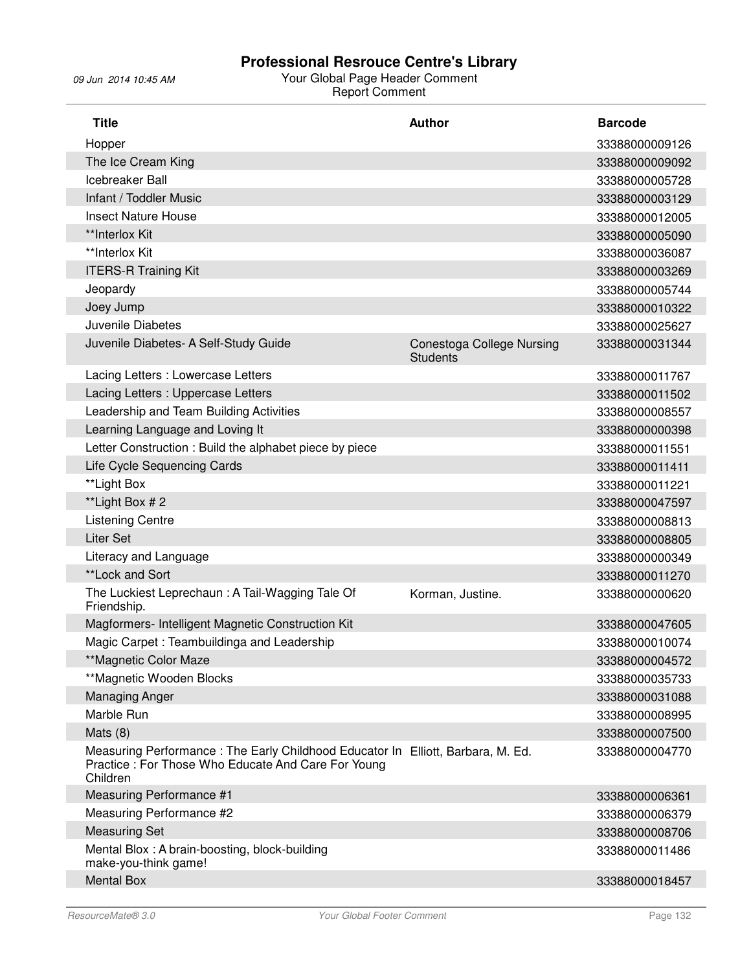| <b>Title</b>                                                                                                                                      | <b>Author</b>                                       | <b>Barcode</b> |
|---------------------------------------------------------------------------------------------------------------------------------------------------|-----------------------------------------------------|----------------|
| Hopper                                                                                                                                            |                                                     | 33388000009126 |
| The Ice Cream King                                                                                                                                |                                                     | 33388000009092 |
| Icebreaker Ball                                                                                                                                   |                                                     | 33388000005728 |
| Infant / Toddler Music                                                                                                                            |                                                     | 33388000003129 |
| <b>Insect Nature House</b>                                                                                                                        |                                                     | 33388000012005 |
| **Interlox Kit                                                                                                                                    |                                                     | 33388000005090 |
| **Interlox Kit                                                                                                                                    |                                                     | 33388000036087 |
| <b>ITERS-R Training Kit</b>                                                                                                                       |                                                     | 33388000003269 |
| Jeopardy                                                                                                                                          |                                                     | 33388000005744 |
| Joey Jump                                                                                                                                         |                                                     | 33388000010322 |
| Juvenile Diabetes                                                                                                                                 |                                                     | 33388000025627 |
| Juvenile Diabetes- A Self-Study Guide                                                                                                             | <b>Conestoga College Nursing</b><br><b>Students</b> | 33388000031344 |
| Lacing Letters : Lowercase Letters                                                                                                                |                                                     | 33388000011767 |
| Lacing Letters : Uppercase Letters                                                                                                                |                                                     | 33388000011502 |
| Leadership and Team Building Activities                                                                                                           |                                                     | 33388000008557 |
| Learning Language and Loving It                                                                                                                   |                                                     | 33388000000398 |
| Letter Construction: Build the alphabet piece by piece                                                                                            |                                                     | 33388000011551 |
| Life Cycle Sequencing Cards                                                                                                                       |                                                     | 33388000011411 |
| **Light Box                                                                                                                                       |                                                     | 33388000011221 |
| **Light Box # 2                                                                                                                                   |                                                     | 33388000047597 |
| <b>Listening Centre</b>                                                                                                                           |                                                     | 33388000008813 |
| <b>Liter Set</b>                                                                                                                                  |                                                     | 33388000008805 |
| Literacy and Language                                                                                                                             |                                                     | 33388000000349 |
| **Lock and Sort                                                                                                                                   |                                                     | 33388000011270 |
| The Luckiest Leprechaun: A Tail-Wagging Tale Of<br>Friendship.                                                                                    | Korman, Justine.                                    | 33388000000620 |
| Magformers- Intelligent Magnetic Construction Kit                                                                                                 |                                                     | 33388000047605 |
| Magic Carpet: Teambuildinga and Leadership                                                                                                        |                                                     | 33388000010074 |
| **Magnetic Color Maze                                                                                                                             |                                                     | 33388000004572 |
| **Magnetic Wooden Blocks                                                                                                                          |                                                     | 33388000035733 |
| <b>Managing Anger</b>                                                                                                                             |                                                     | 33388000031088 |
| Marble Run                                                                                                                                        |                                                     | 33388000008995 |
| Mats $(8)$                                                                                                                                        |                                                     | 33388000007500 |
| Measuring Performance: The Early Childhood Educator In Elliott, Barbara, M. Ed.<br>Practice: For Those Who Educate And Care For Young<br>Children |                                                     | 33388000004770 |
| Measuring Performance #1                                                                                                                          |                                                     | 33388000006361 |
| Measuring Performance #2                                                                                                                          |                                                     | 33388000006379 |
| <b>Measuring Set</b>                                                                                                                              |                                                     | 33388000008706 |
| Mental Blox: A brain-boosting, block-building<br>make-you-think game!                                                                             |                                                     | 33388000011486 |
| <b>Mental Box</b>                                                                                                                                 |                                                     | 33388000018457 |
|                                                                                                                                                   |                                                     |                |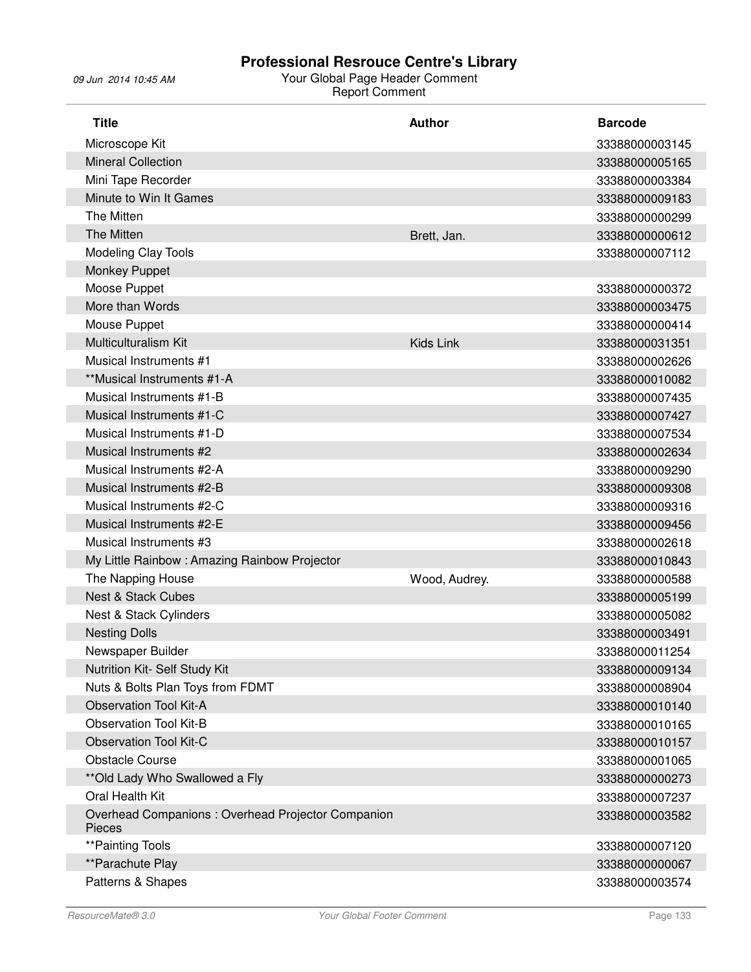| <b>Title</b>                                                | <b>Author</b> | <b>Barcode</b> |
|-------------------------------------------------------------|---------------|----------------|
| Microscope Kit                                              |               | 33388000003145 |
| <b>Mineral Collection</b>                                   |               | 33388000005165 |
| Mini Tape Recorder                                          |               | 33388000003384 |
| Minute to Win It Games                                      |               | 33388000009183 |
| The Mitten                                                  |               | 33388000000299 |
| The Mitten                                                  | Brett, Jan.   | 33388000000612 |
| Modeling Clay Tools                                         |               | 33388000007112 |
| Monkey Puppet                                               |               |                |
| Moose Puppet                                                |               | 33388000000372 |
| More than Words                                             |               | 33388000003475 |
| Mouse Puppet                                                |               | 33388000000414 |
| Multiculturalism Kit                                        | Kids Link     | 33388000031351 |
| Musical Instruments #1                                      |               | 33388000002626 |
| **Musical Instruments #1-A                                  |               | 33388000010082 |
| Musical Instruments #1-B                                    |               | 33388000007435 |
| Musical Instruments #1-C                                    |               | 33388000007427 |
| Musical Instruments #1-D                                    |               | 33388000007534 |
| Musical Instruments #2                                      |               | 33388000002634 |
| Musical Instruments #2-A                                    |               | 33388000009290 |
| Musical Instruments #2-B                                    |               | 33388000009308 |
| Musical Instruments #2-C                                    |               | 33388000009316 |
| Musical Instruments #2-E                                    |               | 33388000009456 |
| Musical Instruments #3                                      |               | 33388000002618 |
| My Little Rainbow: Amazing Rainbow Projector                |               | 33388000010843 |
| The Napping House                                           | Wood, Audrey. | 33388000000588 |
| <b>Nest &amp; Stack Cubes</b>                               |               | 33388000005199 |
| Nest & Stack Cylinders                                      |               | 33388000005082 |
| <b>Nesting Dolls</b>                                        |               | 33388000003491 |
| Newspaper Builder                                           |               | 33388000011254 |
| Nutrition Kit- Self Study Kit                               |               | 33388000009134 |
| Nuts & Bolts Plan Toys from FDMT                            |               | 33388000008904 |
| <b>Observation Tool Kit-A</b>                               |               | 33388000010140 |
| <b>Observation Tool Kit-B</b>                               |               | 33388000010165 |
| <b>Observation Tool Kit-C</b>                               |               | 33388000010157 |
| <b>Obstacle Course</b>                                      |               | 33388000001065 |
| ** Old Lady Who Swallowed a Fly                             |               | 33388000000273 |
| Oral Health Kit                                             |               | 33388000007237 |
| Overhead Companions: Overhead Projector Companion<br>Pieces |               | 33388000003582 |
| **Painting Tools                                            |               | 33388000007120 |
| **Parachute Play                                            |               | 33388000000067 |
| Patterns & Shapes                                           |               | 33388000003574 |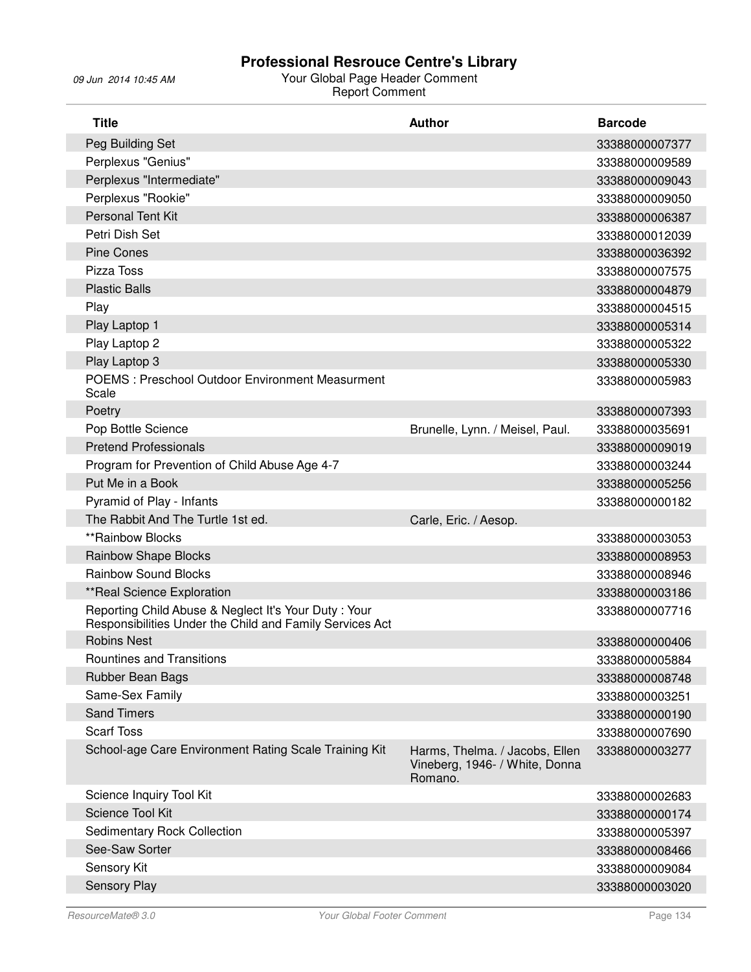| <b>Title</b>                                                                                                     | <b>Author</b>                                                               | <b>Barcode</b> |
|------------------------------------------------------------------------------------------------------------------|-----------------------------------------------------------------------------|----------------|
| Peg Building Set                                                                                                 |                                                                             | 33388000007377 |
| Perplexus "Genius"                                                                                               |                                                                             | 33388000009589 |
| Perplexus "Intermediate"                                                                                         |                                                                             | 33388000009043 |
| Perplexus "Rookie"                                                                                               |                                                                             | 33388000009050 |
| <b>Personal Tent Kit</b>                                                                                         |                                                                             | 33388000006387 |
| Petri Dish Set                                                                                                   |                                                                             | 33388000012039 |
| <b>Pine Cones</b>                                                                                                |                                                                             | 33388000036392 |
| Pizza Toss                                                                                                       |                                                                             | 33388000007575 |
| <b>Plastic Balls</b>                                                                                             |                                                                             | 33388000004879 |
| Play                                                                                                             |                                                                             | 33388000004515 |
| Play Laptop 1                                                                                                    |                                                                             | 33388000005314 |
| Play Laptop 2                                                                                                    |                                                                             | 33388000005322 |
| Play Laptop 3                                                                                                    |                                                                             | 33388000005330 |
| POEMS: Preschool Outdoor Environment Measurment<br>Scale                                                         |                                                                             | 33388000005983 |
| Poetry                                                                                                           |                                                                             | 33388000007393 |
| Pop Bottle Science                                                                                               | Brunelle, Lynn. / Meisel, Paul.                                             | 33388000035691 |
| <b>Pretend Professionals</b>                                                                                     |                                                                             | 33388000009019 |
| Program for Prevention of Child Abuse Age 4-7                                                                    |                                                                             | 33388000003244 |
| Put Me in a Book                                                                                                 |                                                                             | 33388000005256 |
| Pyramid of Play - Infants                                                                                        |                                                                             | 33388000000182 |
| The Rabbit And The Turtle 1st ed.                                                                                | Carle, Eric. / Aesop.                                                       |                |
| **Rainbow Blocks                                                                                                 |                                                                             | 33388000003053 |
| <b>Rainbow Shape Blocks</b>                                                                                      |                                                                             | 33388000008953 |
| <b>Rainbow Sound Blocks</b>                                                                                      |                                                                             | 33388000008946 |
| **Real Science Exploration                                                                                       |                                                                             | 33388000003186 |
| Reporting Child Abuse & Neglect It's Your Duty: Your<br>Responsibilities Under the Child and Family Services Act |                                                                             | 33388000007716 |
| <b>Robins Nest</b>                                                                                               |                                                                             | 33388000000406 |
| Rountines and Transitions                                                                                        |                                                                             | 33388000005884 |
| Rubber Bean Bags                                                                                                 |                                                                             | 33388000008748 |
| Same-Sex Family                                                                                                  |                                                                             | 33388000003251 |
| <b>Sand Timers</b>                                                                                               |                                                                             | 33388000000190 |
| <b>Scarf Toss</b>                                                                                                |                                                                             | 33388000007690 |
| School-age Care Environment Rating Scale Training Kit                                                            | Harms, Thelma. / Jacobs, Ellen<br>Vineberg, 1946- / White, Donna<br>Romano. | 33388000003277 |
| Science Inquiry Tool Kit                                                                                         |                                                                             | 33388000002683 |
| Science Tool Kit                                                                                                 |                                                                             | 33388000000174 |
| <b>Sedimentary Rock Collection</b>                                                                               |                                                                             | 33388000005397 |
| See-Saw Sorter                                                                                                   |                                                                             | 33388000008466 |
| Sensory Kit                                                                                                      |                                                                             | 33388000009084 |
| Sensory Play                                                                                                     |                                                                             | 33388000003020 |
|                                                                                                                  |                                                                             |                |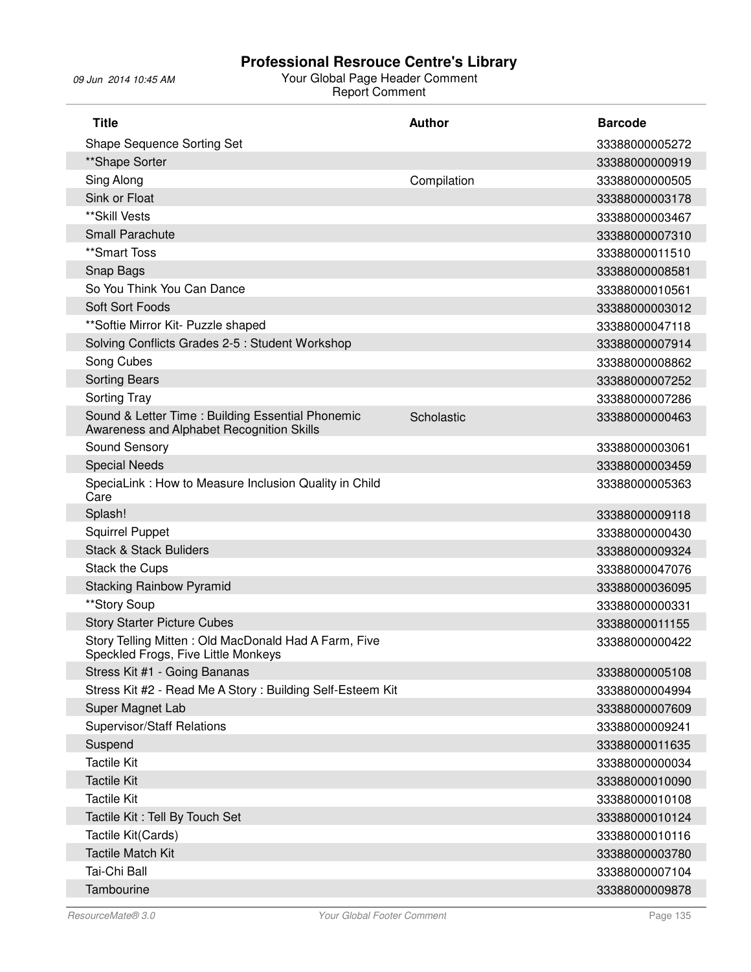| <b>Shape Sequence Sorting Set</b><br>33388000005272<br>**Shape Sorter<br>33388000000919<br>Sing Along<br>Compilation<br>33388000000505<br>Sink or Float<br>33388000003178<br>**Skill Vests<br>33388000003467<br><b>Small Parachute</b><br>33388000007310<br>**Smart Toss<br>33388000011510<br>Snap Bags<br>33388000008581<br>So You Think You Can Dance<br>33388000010561<br><b>Soft Sort Foods</b><br>33388000003012<br>** Softie Mirror Kit- Puzzle shaped<br>33388000047118<br>Solving Conflicts Grades 2-5 : Student Workshop<br>33388000007914<br>Song Cubes<br>33388000008862<br><b>Sorting Bears</b><br>33388000007252<br><b>Sorting Tray</b><br>33388000007286<br>Sound & Letter Time: Building Essential Phonemic<br>Scholastic<br>33388000000463<br>Awareness and Alphabet Recognition Skills<br>Sound Sensory<br>33388000003061<br><b>Special Needs</b><br>33388000003459<br>SpeciaLink: How to Measure Inclusion Quality in Child<br>33388000005363<br>Care<br>Splash!<br>33388000009118<br><b>Squirrel Puppet</b><br>33388000000430<br><b>Stack &amp; Stack Buliders</b><br>33388000009324<br><b>Stack the Cups</b><br>33388000047076<br><b>Stacking Rainbow Pyramid</b><br>33388000036095<br>**Story Soup<br>33388000000331<br><b>Story Starter Picture Cubes</b><br>33388000011155<br>Story Telling Mitten: Old MacDonald Had A Farm, Five<br>33388000000422<br>Speckled Frogs, Five Little Monkeys<br>Stress Kit #1 - Going Bananas<br>33388000005108<br>Stress Kit #2 - Read Me A Story: Building Self-Esteem Kit<br>33388000004994<br>Super Magnet Lab<br>33388000007609<br><b>Supervisor/Staff Relations</b><br>33388000009241<br>Suspend<br>33388000011635 |
|--------------------------------------------------------------------------------------------------------------------------------------------------------------------------------------------------------------------------------------------------------------------------------------------------------------------------------------------------------------------------------------------------------------------------------------------------------------------------------------------------------------------------------------------------------------------------------------------------------------------------------------------------------------------------------------------------------------------------------------------------------------------------------------------------------------------------------------------------------------------------------------------------------------------------------------------------------------------------------------------------------------------------------------------------------------------------------------------------------------------------------------------------------------------------------------------------------------------------------------------------------------------------------------------------------------------------------------------------------------------------------------------------------------------------------------------------------------------------------------------------------------------------------------------------------------------------------------------------------------------------------------------------------------------------------|
|                                                                                                                                                                                                                                                                                                                                                                                                                                                                                                                                                                                                                                                                                                                                                                                                                                                                                                                                                                                                                                                                                                                                                                                                                                                                                                                                                                                                                                                                                                                                                                                                                                                                                |
|                                                                                                                                                                                                                                                                                                                                                                                                                                                                                                                                                                                                                                                                                                                                                                                                                                                                                                                                                                                                                                                                                                                                                                                                                                                                                                                                                                                                                                                                                                                                                                                                                                                                                |
|                                                                                                                                                                                                                                                                                                                                                                                                                                                                                                                                                                                                                                                                                                                                                                                                                                                                                                                                                                                                                                                                                                                                                                                                                                                                                                                                                                                                                                                                                                                                                                                                                                                                                |
|                                                                                                                                                                                                                                                                                                                                                                                                                                                                                                                                                                                                                                                                                                                                                                                                                                                                                                                                                                                                                                                                                                                                                                                                                                                                                                                                                                                                                                                                                                                                                                                                                                                                                |
|                                                                                                                                                                                                                                                                                                                                                                                                                                                                                                                                                                                                                                                                                                                                                                                                                                                                                                                                                                                                                                                                                                                                                                                                                                                                                                                                                                                                                                                                                                                                                                                                                                                                                |
|                                                                                                                                                                                                                                                                                                                                                                                                                                                                                                                                                                                                                                                                                                                                                                                                                                                                                                                                                                                                                                                                                                                                                                                                                                                                                                                                                                                                                                                                                                                                                                                                                                                                                |
|                                                                                                                                                                                                                                                                                                                                                                                                                                                                                                                                                                                                                                                                                                                                                                                                                                                                                                                                                                                                                                                                                                                                                                                                                                                                                                                                                                                                                                                                                                                                                                                                                                                                                |
|                                                                                                                                                                                                                                                                                                                                                                                                                                                                                                                                                                                                                                                                                                                                                                                                                                                                                                                                                                                                                                                                                                                                                                                                                                                                                                                                                                                                                                                                                                                                                                                                                                                                                |
|                                                                                                                                                                                                                                                                                                                                                                                                                                                                                                                                                                                                                                                                                                                                                                                                                                                                                                                                                                                                                                                                                                                                                                                                                                                                                                                                                                                                                                                                                                                                                                                                                                                                                |
|                                                                                                                                                                                                                                                                                                                                                                                                                                                                                                                                                                                                                                                                                                                                                                                                                                                                                                                                                                                                                                                                                                                                                                                                                                                                                                                                                                                                                                                                                                                                                                                                                                                                                |
|                                                                                                                                                                                                                                                                                                                                                                                                                                                                                                                                                                                                                                                                                                                                                                                                                                                                                                                                                                                                                                                                                                                                                                                                                                                                                                                                                                                                                                                                                                                                                                                                                                                                                |
|                                                                                                                                                                                                                                                                                                                                                                                                                                                                                                                                                                                                                                                                                                                                                                                                                                                                                                                                                                                                                                                                                                                                                                                                                                                                                                                                                                                                                                                                                                                                                                                                                                                                                |
|                                                                                                                                                                                                                                                                                                                                                                                                                                                                                                                                                                                                                                                                                                                                                                                                                                                                                                                                                                                                                                                                                                                                                                                                                                                                                                                                                                                                                                                                                                                                                                                                                                                                                |
|                                                                                                                                                                                                                                                                                                                                                                                                                                                                                                                                                                                                                                                                                                                                                                                                                                                                                                                                                                                                                                                                                                                                                                                                                                                                                                                                                                                                                                                                                                                                                                                                                                                                                |
|                                                                                                                                                                                                                                                                                                                                                                                                                                                                                                                                                                                                                                                                                                                                                                                                                                                                                                                                                                                                                                                                                                                                                                                                                                                                                                                                                                                                                                                                                                                                                                                                                                                                                |
|                                                                                                                                                                                                                                                                                                                                                                                                                                                                                                                                                                                                                                                                                                                                                                                                                                                                                                                                                                                                                                                                                                                                                                                                                                                                                                                                                                                                                                                                                                                                                                                                                                                                                |
|                                                                                                                                                                                                                                                                                                                                                                                                                                                                                                                                                                                                                                                                                                                                                                                                                                                                                                                                                                                                                                                                                                                                                                                                                                                                                                                                                                                                                                                                                                                                                                                                                                                                                |
|                                                                                                                                                                                                                                                                                                                                                                                                                                                                                                                                                                                                                                                                                                                                                                                                                                                                                                                                                                                                                                                                                                                                                                                                                                                                                                                                                                                                                                                                                                                                                                                                                                                                                |
|                                                                                                                                                                                                                                                                                                                                                                                                                                                                                                                                                                                                                                                                                                                                                                                                                                                                                                                                                                                                                                                                                                                                                                                                                                                                                                                                                                                                                                                                                                                                                                                                                                                                                |
|                                                                                                                                                                                                                                                                                                                                                                                                                                                                                                                                                                                                                                                                                                                                                                                                                                                                                                                                                                                                                                                                                                                                                                                                                                                                                                                                                                                                                                                                                                                                                                                                                                                                                |
|                                                                                                                                                                                                                                                                                                                                                                                                                                                                                                                                                                                                                                                                                                                                                                                                                                                                                                                                                                                                                                                                                                                                                                                                                                                                                                                                                                                                                                                                                                                                                                                                                                                                                |
|                                                                                                                                                                                                                                                                                                                                                                                                                                                                                                                                                                                                                                                                                                                                                                                                                                                                                                                                                                                                                                                                                                                                                                                                                                                                                                                                                                                                                                                                                                                                                                                                                                                                                |
|                                                                                                                                                                                                                                                                                                                                                                                                                                                                                                                                                                                                                                                                                                                                                                                                                                                                                                                                                                                                                                                                                                                                                                                                                                                                                                                                                                                                                                                                                                                                                                                                                                                                                |
|                                                                                                                                                                                                                                                                                                                                                                                                                                                                                                                                                                                                                                                                                                                                                                                                                                                                                                                                                                                                                                                                                                                                                                                                                                                                                                                                                                                                                                                                                                                                                                                                                                                                                |
|                                                                                                                                                                                                                                                                                                                                                                                                                                                                                                                                                                                                                                                                                                                                                                                                                                                                                                                                                                                                                                                                                                                                                                                                                                                                                                                                                                                                                                                                                                                                                                                                                                                                                |
|                                                                                                                                                                                                                                                                                                                                                                                                                                                                                                                                                                                                                                                                                                                                                                                                                                                                                                                                                                                                                                                                                                                                                                                                                                                                                                                                                                                                                                                                                                                                                                                                                                                                                |
|                                                                                                                                                                                                                                                                                                                                                                                                                                                                                                                                                                                                                                                                                                                                                                                                                                                                                                                                                                                                                                                                                                                                                                                                                                                                                                                                                                                                                                                                                                                                                                                                                                                                                |
|                                                                                                                                                                                                                                                                                                                                                                                                                                                                                                                                                                                                                                                                                                                                                                                                                                                                                                                                                                                                                                                                                                                                                                                                                                                                                                                                                                                                                                                                                                                                                                                                                                                                                |
|                                                                                                                                                                                                                                                                                                                                                                                                                                                                                                                                                                                                                                                                                                                                                                                                                                                                                                                                                                                                                                                                                                                                                                                                                                                                                                                                                                                                                                                                                                                                                                                                                                                                                |
|                                                                                                                                                                                                                                                                                                                                                                                                                                                                                                                                                                                                                                                                                                                                                                                                                                                                                                                                                                                                                                                                                                                                                                                                                                                                                                                                                                                                                                                                                                                                                                                                                                                                                |
|                                                                                                                                                                                                                                                                                                                                                                                                                                                                                                                                                                                                                                                                                                                                                                                                                                                                                                                                                                                                                                                                                                                                                                                                                                                                                                                                                                                                                                                                                                                                                                                                                                                                                |
|                                                                                                                                                                                                                                                                                                                                                                                                                                                                                                                                                                                                                                                                                                                                                                                                                                                                                                                                                                                                                                                                                                                                                                                                                                                                                                                                                                                                                                                                                                                                                                                                                                                                                |
| <b>Tactile Kit</b><br>33388000000034                                                                                                                                                                                                                                                                                                                                                                                                                                                                                                                                                                                                                                                                                                                                                                                                                                                                                                                                                                                                                                                                                                                                                                                                                                                                                                                                                                                                                                                                                                                                                                                                                                           |
| <b>Tactile Kit</b><br>33388000010090                                                                                                                                                                                                                                                                                                                                                                                                                                                                                                                                                                                                                                                                                                                                                                                                                                                                                                                                                                                                                                                                                                                                                                                                                                                                                                                                                                                                                                                                                                                                                                                                                                           |
| <b>Tactile Kit</b><br>33388000010108                                                                                                                                                                                                                                                                                                                                                                                                                                                                                                                                                                                                                                                                                                                                                                                                                                                                                                                                                                                                                                                                                                                                                                                                                                                                                                                                                                                                                                                                                                                                                                                                                                           |
| Tactile Kit: Tell By Touch Set<br>33388000010124                                                                                                                                                                                                                                                                                                                                                                                                                                                                                                                                                                                                                                                                                                                                                                                                                                                                                                                                                                                                                                                                                                                                                                                                                                                                                                                                                                                                                                                                                                                                                                                                                               |
| Tactile Kit(Cards)<br>33388000010116                                                                                                                                                                                                                                                                                                                                                                                                                                                                                                                                                                                                                                                                                                                                                                                                                                                                                                                                                                                                                                                                                                                                                                                                                                                                                                                                                                                                                                                                                                                                                                                                                                           |
|                                                                                                                                                                                                                                                                                                                                                                                                                                                                                                                                                                                                                                                                                                                                                                                                                                                                                                                                                                                                                                                                                                                                                                                                                                                                                                                                                                                                                                                                                                                                                                                                                                                                                |
| <b>Tactile Match Kit</b><br>33388000003780                                                                                                                                                                                                                                                                                                                                                                                                                                                                                                                                                                                                                                                                                                                                                                                                                                                                                                                                                                                                                                                                                                                                                                                                                                                                                                                                                                                                                                                                                                                                                                                                                                     |
| Tai-Chi Ball<br>33388000007104                                                                                                                                                                                                                                                                                                                                                                                                                                                                                                                                                                                                                                                                                                                                                                                                                                                                                                                                                                                                                                                                                                                                                                                                                                                                                                                                                                                                                                                                                                                                                                                                                                                 |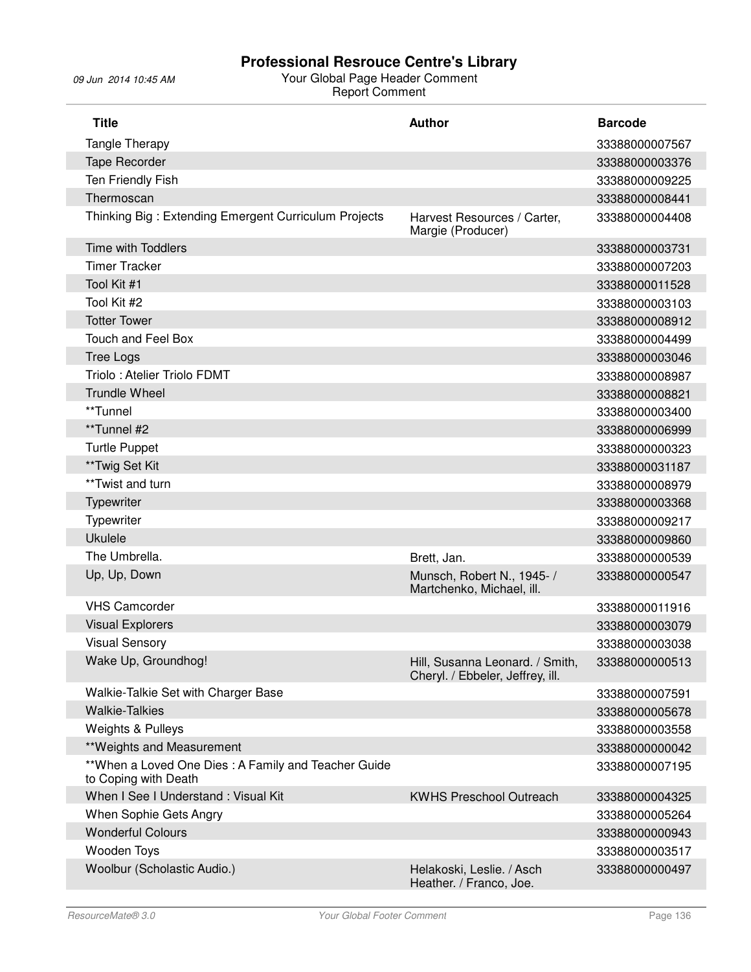| <b>Title</b>                                                                | <b>Author</b>                                                       | <b>Barcode</b> |
|-----------------------------------------------------------------------------|---------------------------------------------------------------------|----------------|
| Tangle Therapy                                                              |                                                                     | 33388000007567 |
| Tape Recorder                                                               |                                                                     | 33388000003376 |
| Ten Friendly Fish                                                           |                                                                     | 33388000009225 |
| Thermoscan                                                                  |                                                                     | 33388000008441 |
| Thinking Big: Extending Emergent Curriculum Projects                        | Harvest Resources / Carter,<br>Margie (Producer)                    | 33388000004408 |
| <b>Time with Toddlers</b>                                                   |                                                                     | 33388000003731 |
| <b>Timer Tracker</b>                                                        |                                                                     | 33388000007203 |
| Tool Kit #1                                                                 |                                                                     | 33388000011528 |
| Tool Kit #2                                                                 |                                                                     | 33388000003103 |
| <b>Totter Tower</b>                                                         |                                                                     | 33388000008912 |
| <b>Touch and Feel Box</b>                                                   |                                                                     | 33388000004499 |
| <b>Tree Logs</b>                                                            |                                                                     | 33388000003046 |
| Triolo: Atelier Triolo FDMT                                                 |                                                                     | 33388000008987 |
| <b>Trundle Wheel</b>                                                        |                                                                     | 33388000008821 |
| **Tunnel                                                                    |                                                                     | 33388000003400 |
| **Tunnel #2                                                                 |                                                                     | 33388000006999 |
| <b>Turtle Puppet</b>                                                        |                                                                     | 33388000000323 |
| **Twig Set Kit                                                              |                                                                     | 33388000031187 |
| **Twist and turn                                                            |                                                                     | 33388000008979 |
| Typewriter                                                                  |                                                                     | 33388000003368 |
| Typewriter                                                                  |                                                                     | 33388000009217 |
| <b>Ukulele</b>                                                              |                                                                     | 33388000009860 |
| The Umbrella.                                                               | Brett, Jan.                                                         | 33388000000539 |
| Up, Up, Down                                                                | Munsch, Robert N., 1945- /<br>Martchenko, Michael, ill.             | 33388000000547 |
| <b>VHS Camcorder</b>                                                        |                                                                     | 33388000011916 |
| <b>Visual Explorers</b>                                                     |                                                                     | 33388000003079 |
| <b>Visual Sensory</b>                                                       |                                                                     | 33388000003038 |
| Wake Up, Groundhog!                                                         | Hill, Susanna Leonard. / Smith,<br>Cheryl. / Ebbeler, Jeffrey, ill. | 33388000000513 |
| Walkie-Talkie Set with Charger Base                                         |                                                                     | 33388000007591 |
| <b>Walkie-Talkies</b>                                                       |                                                                     | 33388000005678 |
| Weights & Pulleys                                                           |                                                                     | 33388000003558 |
| ** Weights and Measurement                                                  |                                                                     | 33388000000042 |
| **When a Loved One Dies: A Family and Teacher Guide<br>to Coping with Death |                                                                     | 33388000007195 |
| When I See I Understand: Visual Kit                                         | <b>KWHS Preschool Outreach</b>                                      | 33388000004325 |
| When Sophie Gets Angry                                                      |                                                                     | 33388000005264 |
| <b>Wonderful Colours</b>                                                    |                                                                     | 33388000000943 |
| Wooden Toys                                                                 |                                                                     | 33388000003517 |
| Woolbur (Scholastic Audio.)                                                 | Helakoski, Leslie. / Asch<br>Heather. / Franco, Joe.                | 33388000000497 |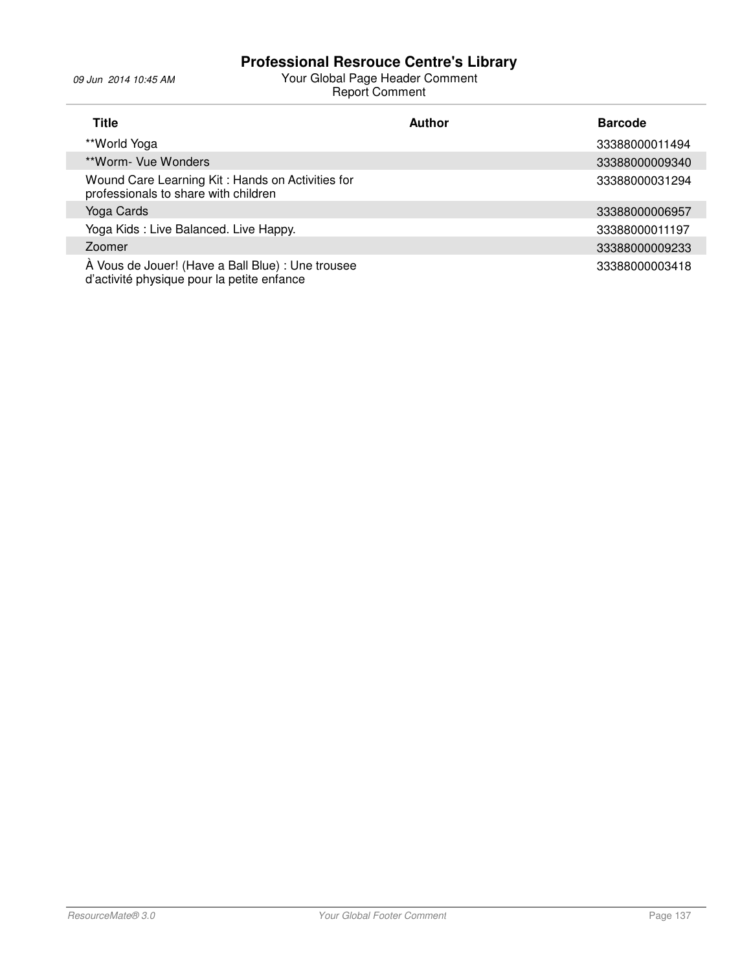| Title                                                                                           | <b>Author</b> | <b>Barcode</b> |
|-------------------------------------------------------------------------------------------------|---------------|----------------|
| **World Yoga                                                                                    |               | 33388000011494 |
| **Worm- Vue Wonders                                                                             |               | 33388000009340 |
| Wound Care Learning Kit: Hands on Activities for<br>professionals to share with children        |               | 33388000031294 |
| Yoga Cards                                                                                      |               | 33388000006957 |
| Yoga Kids: Live Balanced. Live Happy.                                                           |               | 33388000011197 |
| Zoomer                                                                                          |               | 33388000009233 |
| À Vous de Jouer! (Have a Ball Blue) : Une trousee<br>d'activité physique pour la petite enfance |               | 33388000003418 |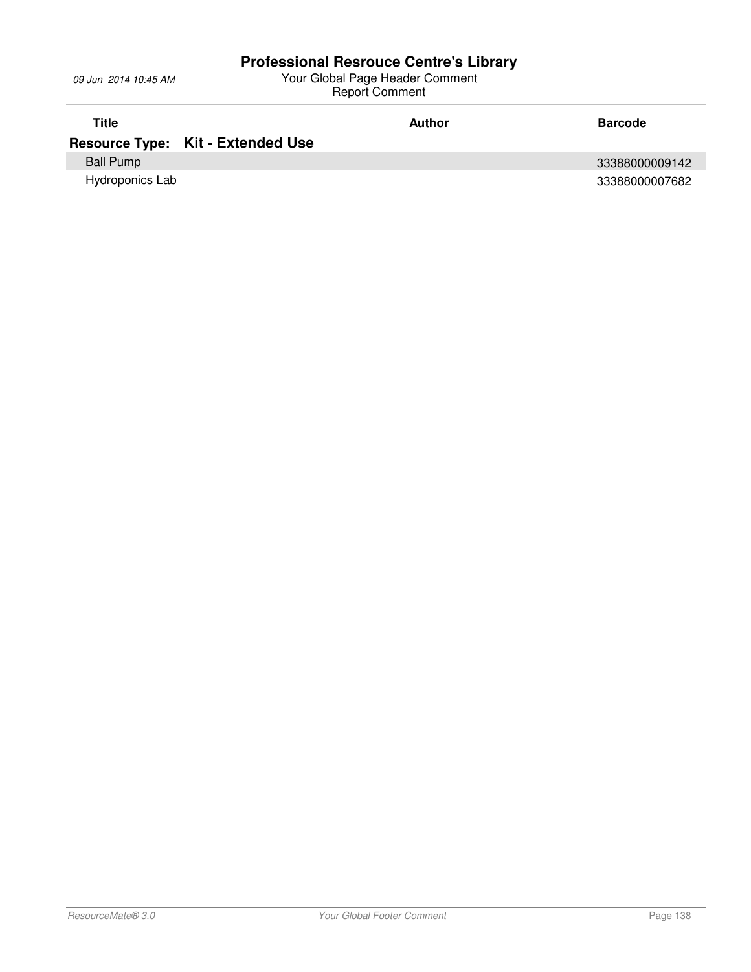| Title            |                                          | Author | <b>Barcode</b> |
|------------------|------------------------------------------|--------|----------------|
|                  | <b>Resource Type: Kit - Extended Use</b> |        |                |
| <b>Ball Pump</b> |                                          |        | 33388000009142 |
| Hydroponics Lab  |                                          |        | 33388000007682 |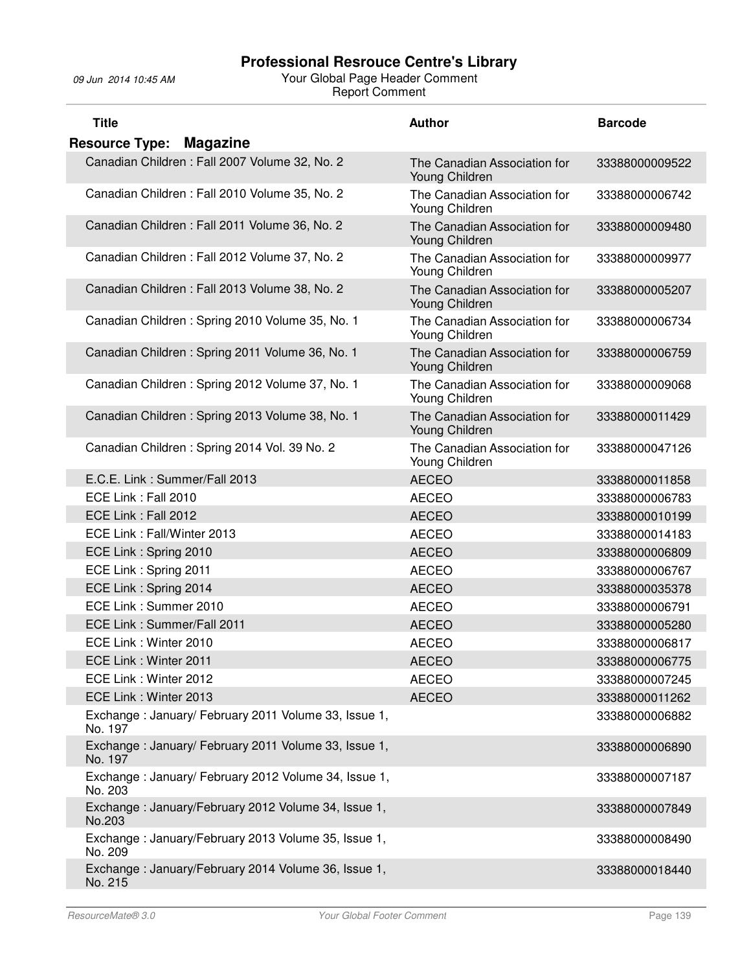| <b>Title</b>                                                    | <b>Author</b>                                  | <b>Barcode</b> |
|-----------------------------------------------------------------|------------------------------------------------|----------------|
| <b>Resource Type: Magazine</b>                                  |                                                |                |
| Canadian Children : Fall 2007 Volume 32, No. 2                  | The Canadian Association for<br>Young Children | 33388000009522 |
| Canadian Children: Fall 2010 Volume 35, No. 2                   | The Canadian Association for<br>Young Children | 33388000006742 |
| Canadian Children : Fall 2011 Volume 36, No. 2                  | The Canadian Association for<br>Young Children | 33388000009480 |
| Canadian Children: Fall 2012 Volume 37, No. 2                   | The Canadian Association for<br>Young Children | 33388000009977 |
| Canadian Children: Fall 2013 Volume 38, No. 2                   | The Canadian Association for<br>Young Children | 33388000005207 |
| Canadian Children: Spring 2010 Volume 35, No. 1                 | The Canadian Association for<br>Young Children | 33388000006734 |
| Canadian Children: Spring 2011 Volume 36, No. 1                 | The Canadian Association for<br>Young Children | 33388000006759 |
| Canadian Children: Spring 2012 Volume 37, No. 1                 | The Canadian Association for<br>Young Children | 33388000009068 |
| Canadian Children: Spring 2013 Volume 38, No. 1                 | The Canadian Association for<br>Young Children | 33388000011429 |
| Canadian Children: Spring 2014 Vol. 39 No. 2                    | The Canadian Association for<br>Young Children | 33388000047126 |
| E.C.E. Link: Summer/Fall 2013                                   | <b>AECEO</b>                                   | 33388000011858 |
| ECE Link: Fall 2010                                             | <b>AECEO</b>                                   | 33388000006783 |
| ECE Link: Fall 2012                                             | <b>AECEO</b>                                   | 33388000010199 |
| ECE Link: Fall/Winter 2013                                      | <b>AECEO</b>                                   | 33388000014183 |
| ECE Link: Spring 2010                                           | <b>AECEO</b>                                   | 33388000006809 |
| ECE Link: Spring 2011                                           | <b>AECEO</b>                                   | 33388000006767 |
| ECE Link: Spring 2014                                           | <b>AECEO</b>                                   | 33388000035378 |
| ECE Link: Summer 2010                                           | <b>AECEO</b>                                   | 33388000006791 |
| ECE Link: Summer/Fall 2011                                      | <b>AECEO</b>                                   | 33388000005280 |
| ECE Link: Winter 2010                                           | <b>AECEO</b>                                   | 33388000006817 |
| ECE Link: Winter 2011                                           | <b>AECEO</b>                                   | 33388000006775 |
| ECE Link: Winter 2012                                           | <b>AECEO</b>                                   | 33388000007245 |
| ECE Link: Winter 2013                                           | <b>AECEO</b>                                   | 33388000011262 |
| Exchange: January/ February 2011 Volume 33, Issue 1,<br>No. 197 |                                                | 33388000006882 |
| Exchange: January/ February 2011 Volume 33, Issue 1,<br>No. 197 |                                                | 33388000006890 |
| Exchange: January/ February 2012 Volume 34, Issue 1,<br>No. 203 |                                                | 33388000007187 |
| Exchange: January/February 2012 Volume 34, Issue 1,<br>No.203   |                                                | 33388000007849 |
| Exchange: January/February 2013 Volume 35, Issue 1,<br>No. 209  |                                                | 33388000008490 |
| Exchange: January/February 2014 Volume 36, Issue 1,<br>No. 215  |                                                | 33388000018440 |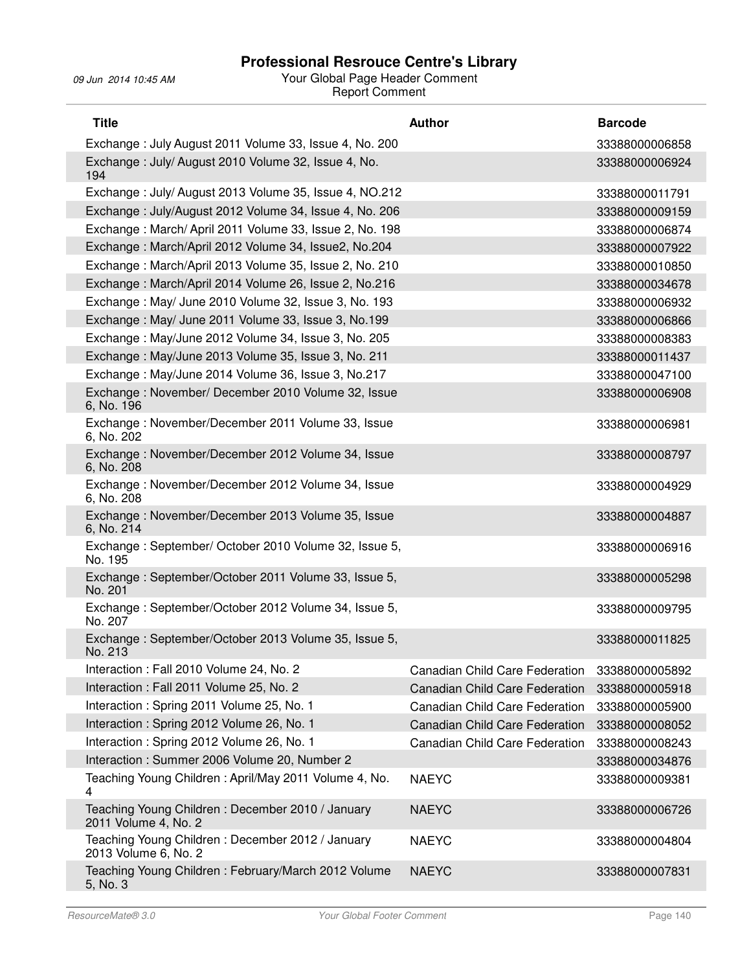| <b>Title</b>                                                             | <b>Author</b>                  | <b>Barcode</b> |
|--------------------------------------------------------------------------|--------------------------------|----------------|
| Exchange: July August 2011 Volume 33, Issue 4, No. 200                   |                                | 33388000006858 |
| Exchange: July/August 2010 Volume 32, Issue 4, No.<br>194                |                                | 33388000006924 |
| Exchange: July/August 2013 Volume 35, Issue 4, NO.212                    |                                | 33388000011791 |
| Exchange: July/August 2012 Volume 34, Issue 4, No. 206                   |                                | 33388000009159 |
| Exchange: March/April 2011 Volume 33, Issue 2, No. 198                   |                                | 33388000006874 |
| Exchange: March/April 2012 Volume 34, Issue2, No.204                     |                                | 33388000007922 |
| Exchange: March/April 2013 Volume 35, Issue 2, No. 210                   |                                | 33388000010850 |
| Exchange: March/April 2014 Volume 26, Issue 2, No.216                    |                                | 33388000034678 |
| Exchange: May/ June 2010 Volume 32, Issue 3, No. 193                     |                                | 33388000006932 |
| Exchange: May/ June 2011 Volume 33, Issue 3, No.199                      |                                | 33388000006866 |
| Exchange: May/June 2012 Volume 34, Issue 3, No. 205                      |                                | 33388000008383 |
| Exchange: May/June 2013 Volume 35, Issue 3, No. 211                      |                                | 33388000011437 |
| Exchange: May/June 2014 Volume 36, Issue 3, No.217                       |                                | 33388000047100 |
| Exchange: November/ December 2010 Volume 32, Issue<br>6, No. 196         |                                | 33388000006908 |
| Exchange: November/December 2011 Volume 33, Issue<br>6, No. 202          |                                | 33388000006981 |
| Exchange: November/December 2012 Volume 34, Issue<br>6, No. 208          |                                | 33388000008797 |
| Exchange: November/December 2012 Volume 34, Issue<br>6, No. 208          |                                | 33388000004929 |
| Exchange: November/December 2013 Volume 35, Issue<br>6, No. 214          |                                | 33388000004887 |
| Exchange: September/ October 2010 Volume 32, Issue 5,<br>No. 195         |                                | 33388000006916 |
| Exchange: September/October 2011 Volume 33, Issue 5,<br>No. 201          |                                | 33388000005298 |
| Exchange: September/October 2012 Volume 34, Issue 5,<br>No. 207          |                                | 33388000009795 |
| Exchange: September/October 2013 Volume 35, Issue 5,<br>No. 213          |                                | 33388000011825 |
| Interaction : Fall 2010 Volume 24, No. 2                                 | Canadian Child Care Federation | 33388000005892 |
| Interaction : Fall 2011 Volume 25, No. 2                                 | Canadian Child Care Federation | 33388000005918 |
| Interaction: Spring 2011 Volume 25, No. 1                                | Canadian Child Care Federation | 33388000005900 |
| Interaction: Spring 2012 Volume 26, No. 1                                | Canadian Child Care Federation | 33388000008052 |
| Interaction: Spring 2012 Volume 26, No. 1                                | Canadian Child Care Federation | 33388000008243 |
| Interaction: Summer 2006 Volume 20, Number 2                             |                                | 33388000034876 |
| Teaching Young Children: April/May 2011 Volume 4, No.<br>4               | <b>NAEYC</b>                   | 33388000009381 |
| Teaching Young Children: December 2010 / January<br>2011 Volume 4, No. 2 | <b>NAEYC</b>                   | 33388000006726 |
| Teaching Young Children: December 2012 / January<br>2013 Volume 6, No. 2 | <b>NAEYC</b>                   | 33388000004804 |
| Teaching Young Children: February/March 2012 Volume<br>5, No. 3          | <b>NAEYC</b>                   | 33388000007831 |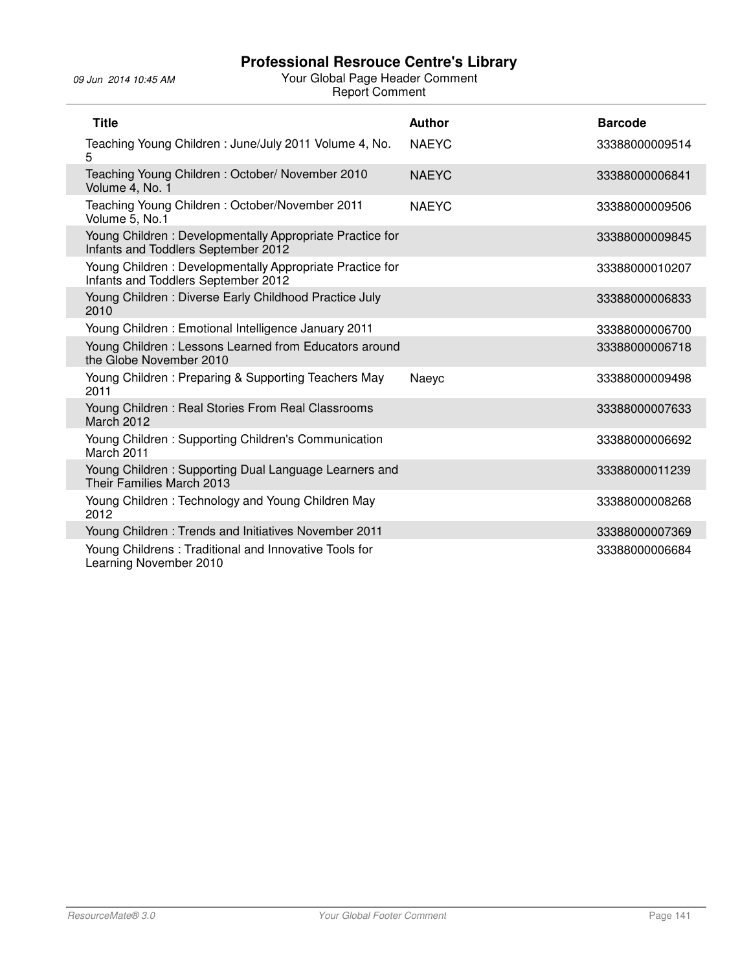j.

| <b>Title</b>                                                                                    | <b>Author</b> | <b>Barcode</b> |
|-------------------------------------------------------------------------------------------------|---------------|----------------|
| Teaching Young Children: June/July 2011 Volume 4, No.<br>5                                      | <b>NAEYC</b>  | 33388000009514 |
| Teaching Young Children: October/ November 2010<br>Volume 4, No. 1                              | <b>NAEYC</b>  | 33388000006841 |
| Teaching Young Children: October/November 2011<br>Volume 5, No.1                                | <b>NAEYC</b>  | 33388000009506 |
| Young Children: Developmentally Appropriate Practice for<br>Infants and Toddlers September 2012 |               | 33388000009845 |
| Young Children: Developmentally Appropriate Practice for<br>Infants and Toddlers September 2012 |               | 33388000010207 |
| Young Children: Diverse Early Childhood Practice July<br>2010                                   |               | 33388000006833 |
| Young Children: Emotional Intelligence January 2011                                             |               | 33388000006700 |
| Young Children: Lessons Learned from Educators around<br>the Globe November 2010                |               | 33388000006718 |
| Young Children: Preparing & Supporting Teachers May<br>2011                                     | Naeyc         | 33388000009498 |
| Young Children: Real Stories From Real Classrooms<br><b>March 2012</b>                          |               | 33388000007633 |
| Young Children: Supporting Children's Communication<br>March 2011                               |               | 33388000006692 |
| Young Children: Supporting Dual Language Learners and<br>Their Families March 2013              |               | 33388000011239 |
| Young Children: Technology and Young Children May<br>2012                                       |               | 33388000008268 |
| Young Children: Trends and Initiatives November 2011                                            |               | 33388000007369 |
| Young Childrens: Traditional and Innovative Tools for<br>Learning November 2010                 |               | 33388000006684 |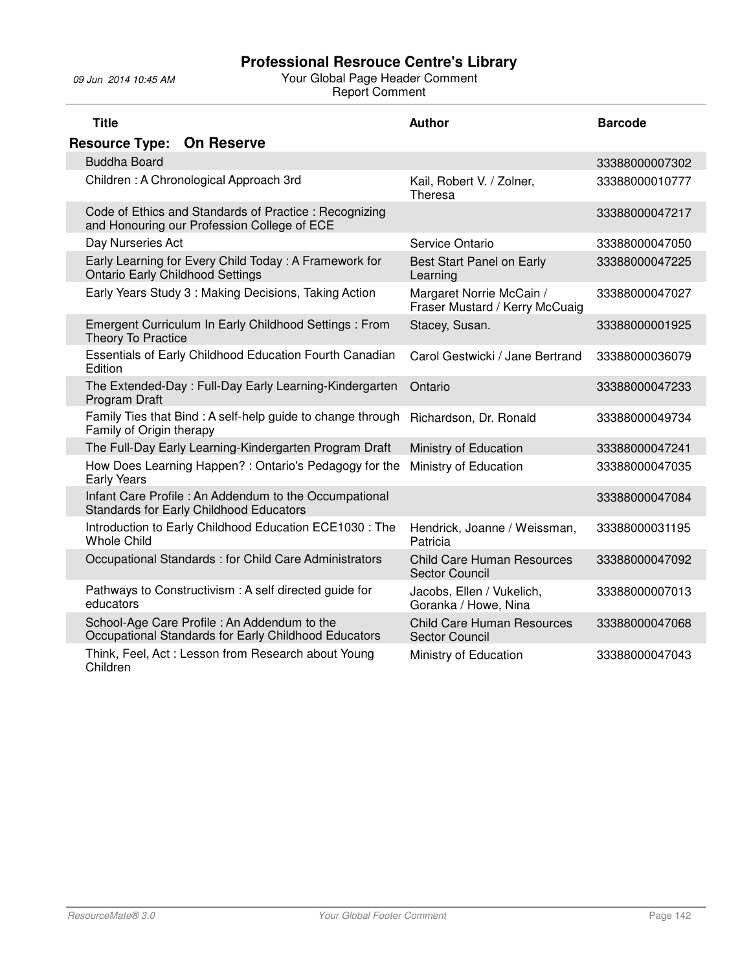| <b>Title</b>                                                                                            | <b>Author</b>                                              | <b>Barcode</b> |
|---------------------------------------------------------------------------------------------------------|------------------------------------------------------------|----------------|
| <b>On Reserve</b><br><b>Resource Type:</b>                                                              |                                                            |                |
| <b>Buddha Board</b>                                                                                     |                                                            | 33388000007302 |
| Children: A Chronological Approach 3rd                                                                  | Kail, Robert V. / Zolner,<br>Theresa                       | 33388000010777 |
| Code of Ethics and Standards of Practice: Recognizing<br>and Honouring our Profession College of ECE    |                                                            | 33388000047217 |
| Day Nurseries Act                                                                                       | Service Ontario                                            | 33388000047050 |
| Early Learning for Every Child Today: A Framework for<br><b>Ontario Early Childhood Settings</b>        | Best Start Panel on Early<br>Learning                      | 33388000047225 |
| Early Years Study 3: Making Decisions, Taking Action                                                    | Margaret Norrie McCain /<br>Fraser Mustard / Kerry McCuaig | 33388000047027 |
| Emergent Curriculum In Early Childhood Settings : From<br>Theory To Practice                            | Stacey, Susan.                                             | 33388000001925 |
| Essentials of Early Childhood Education Fourth Canadian<br>Edition                                      | Carol Gestwicki / Jane Bertrand                            | 33388000036079 |
| The Extended-Day: Full-Day Early Learning-Kindergarten<br>Program Draft                                 | Ontario                                                    | 33388000047233 |
| Family Ties that Bind: A self-help guide to change through<br>Family of Origin therapy                  | Richardson, Dr. Ronald                                     | 33388000049734 |
| The Full-Day Early Learning-Kindergarten Program Draft                                                  | Ministry of Education                                      | 33388000047241 |
| How Does Learning Happen?: Ontario's Pedagogy for the<br><b>Early Years</b>                             | Ministry of Education                                      | 33388000047035 |
| Infant Care Profile: An Addendum to the Occumpational<br><b>Standards for Early Childhood Educators</b> |                                                            | 33388000047084 |
| Introduction to Early Childhood Education ECE1030 : The<br><b>Whole Child</b>                           | Hendrick, Joanne / Weissman,<br>Patricia                   | 33388000031195 |
| Occupational Standards : for Child Care Administrators                                                  | <b>Child Care Human Resources</b><br>Sector Council        | 33388000047092 |
| Pathways to Constructivism: A self directed guide for<br>educators                                      | Jacobs, Ellen / Vukelich,<br>Goranka / Howe, Nina          | 33388000007013 |
| School-Age Care Profile : An Addendum to the<br>Occupational Standards for Early Childhood Educators    | <b>Child Care Human Resources</b><br><b>Sector Council</b> | 33388000047068 |
| Think, Feel, Act: Lesson from Research about Young<br>Children                                          | Ministry of Education                                      | 33388000047043 |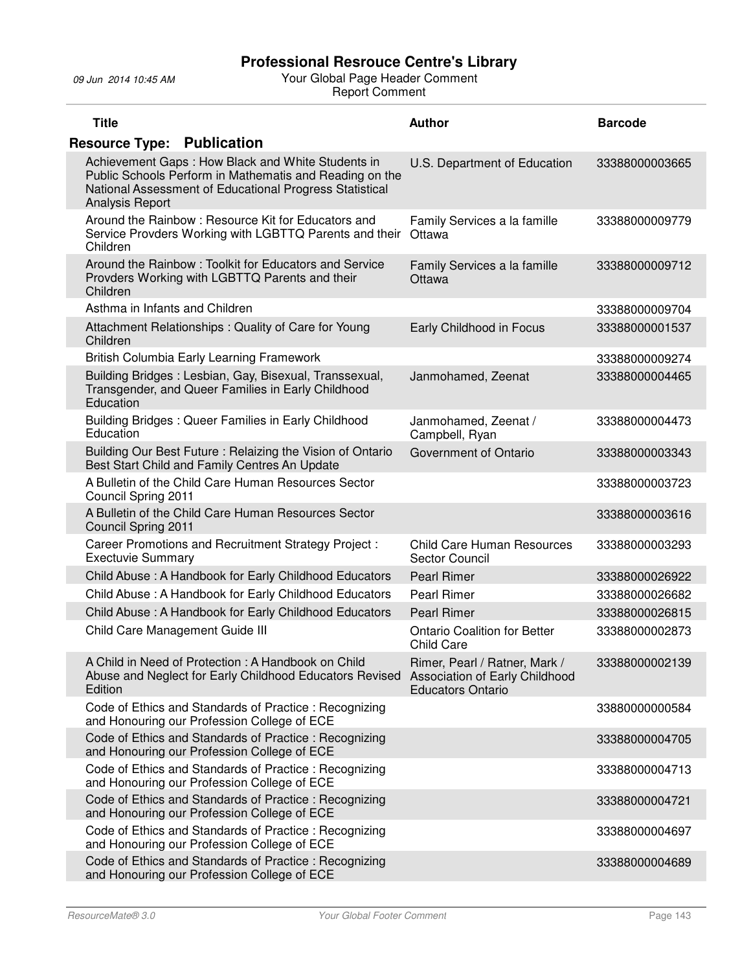| <b>Title</b>                                                                                                                                                                               | <b>Author</b>                                                                                      | <b>Barcode</b> |
|--------------------------------------------------------------------------------------------------------------------------------------------------------------------------------------------|----------------------------------------------------------------------------------------------------|----------------|
| <b>Resource Type: Publication</b>                                                                                                                                                          |                                                                                                    |                |
| Achievement Gaps: How Black and White Students in<br>Public Schools Perform in Mathematis and Reading on the<br>National Assessment of Educational Progress Statistical<br>Analysis Report | U.S. Department of Education                                                                       | 33388000003665 |
| Around the Rainbow: Resource Kit for Educators and<br>Service Provders Working with LGBTTQ Parents and their<br>Children                                                                   | Family Services a la famille<br>Ottawa                                                             | 33388000009779 |
| Around the Rainbow: Toolkit for Educators and Service<br>Provders Working with LGBTTQ Parents and their<br>Children                                                                        | Family Services a la famille<br>Ottawa                                                             | 33388000009712 |
| Asthma in Infants and Children                                                                                                                                                             |                                                                                                    | 33388000009704 |
| Attachment Relationships: Quality of Care for Young<br>Children                                                                                                                            | Early Childhood in Focus                                                                           | 33388000001537 |
| British Columbia Early Learning Framework                                                                                                                                                  |                                                                                                    | 33388000009274 |
| Building Bridges: Lesbian, Gay, Bisexual, Transsexual,<br>Transgender, and Queer Families in Early Childhood<br>Education                                                                  | Janmohamed, Zeenat                                                                                 | 33388000004465 |
| Building Bridges: Queer Families in Early Childhood<br>Education                                                                                                                           | Janmohamed, Zeenat /<br>Campbell, Ryan                                                             | 33388000004473 |
| Building Our Best Future: Relaizing the Vision of Ontario<br>Best Start Child and Family Centres An Update                                                                                 | Government of Ontario                                                                              | 33388000003343 |
| A Bulletin of the Child Care Human Resources Sector<br>Council Spring 2011                                                                                                                 |                                                                                                    | 33388000003723 |
| A Bulletin of the Child Care Human Resources Sector<br>Council Spring 2011                                                                                                                 |                                                                                                    | 33388000003616 |
| Career Promotions and Recruitment Strategy Project :<br><b>Exectuvie Summary</b>                                                                                                           | <b>Child Care Human Resources</b><br>Sector Council                                                | 33388000003293 |
| Child Abuse: A Handbook for Early Childhood Educators                                                                                                                                      | <b>Pearl Rimer</b>                                                                                 | 33388000026922 |
| Child Abuse: A Handbook for Early Childhood Educators                                                                                                                                      | <b>Pearl Rimer</b>                                                                                 | 33388000026682 |
| Child Abuse: A Handbook for Early Childhood Educators                                                                                                                                      | <b>Pearl Rimer</b>                                                                                 | 33388000026815 |
| Child Care Management Guide III                                                                                                                                                            | <b>Ontario Coalition for Better</b><br><b>Child Care</b>                                           | 33388000002873 |
| A Child in Need of Protection: A Handbook on Child<br>Abuse and Neglect for Early Childhood Educators Revised<br>Edition                                                                   | Rimer, Pearl / Ratner, Mark /<br><b>Association of Early Childhood</b><br><b>Educators Ontario</b> | 33388000002139 |
| Code of Ethics and Standards of Practice: Recognizing<br>and Honouring our Profession College of ECE                                                                                       |                                                                                                    | 33880000000584 |
| Code of Ethics and Standards of Practice : Recognizing<br>and Honouring our Profession College of ECE                                                                                      |                                                                                                    | 33388000004705 |
| Code of Ethics and Standards of Practice: Recognizing<br>and Honouring our Profession College of ECE                                                                                       |                                                                                                    | 33388000004713 |
| Code of Ethics and Standards of Practice: Recognizing<br>and Honouring our Profession College of ECE                                                                                       |                                                                                                    | 33388000004721 |
| Code of Ethics and Standards of Practice: Recognizing<br>and Honouring our Profession College of ECE                                                                                       |                                                                                                    | 33388000004697 |
| Code of Ethics and Standards of Practice: Recognizing<br>and Honouring our Profession College of ECE                                                                                       |                                                                                                    | 33388000004689 |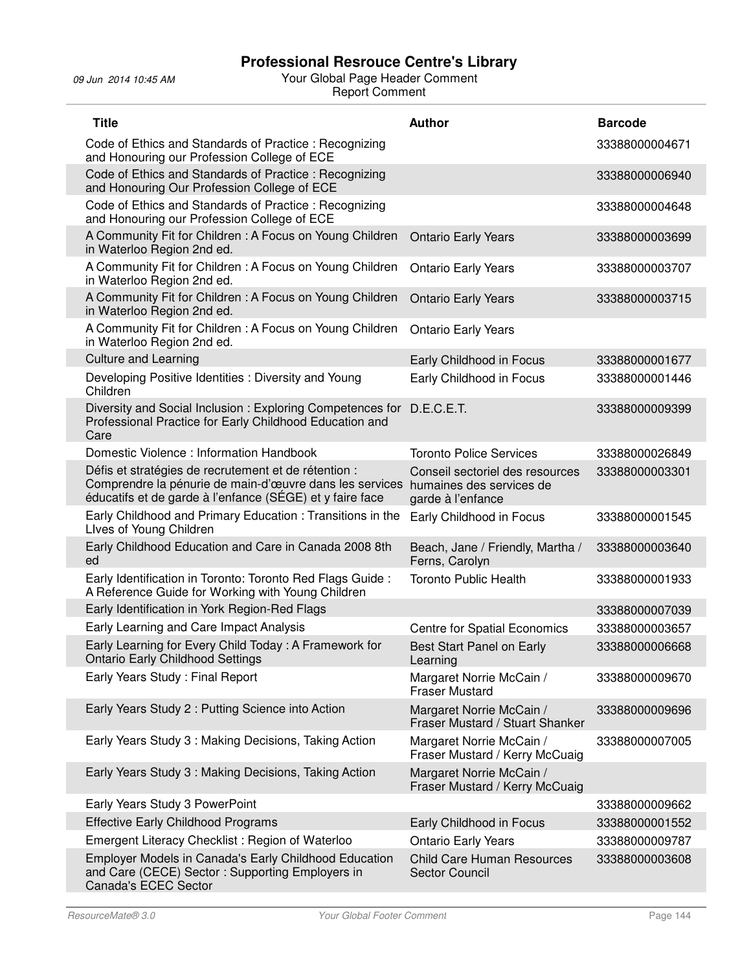| <b>Title</b>                                                                                                                                                                | <b>Author</b>                                                                    | <b>Barcode</b> |
|-----------------------------------------------------------------------------------------------------------------------------------------------------------------------------|----------------------------------------------------------------------------------|----------------|
| Code of Ethics and Standards of Practice: Recognizing<br>and Honouring our Profession College of ECE                                                                        |                                                                                  | 33388000004671 |
| Code of Ethics and Standards of Practice: Recognizing<br>and Honouring Our Profession College of ECE                                                                        |                                                                                  | 33388000006940 |
| Code of Ethics and Standards of Practice: Recognizing<br>and Honouring our Profession College of ECE                                                                        |                                                                                  | 33388000004648 |
| A Community Fit for Children: A Focus on Young Children<br>in Waterloo Region 2nd ed.                                                                                       | <b>Ontario Early Years</b>                                                       | 33388000003699 |
| A Community Fit for Children: A Focus on Young Children<br>in Waterloo Region 2nd ed.                                                                                       | <b>Ontario Early Years</b>                                                       | 33388000003707 |
| A Community Fit for Children : A Focus on Young Children<br>in Waterloo Region 2nd ed.                                                                                      | <b>Ontario Early Years</b>                                                       | 33388000003715 |
| A Community Fit for Children: A Focus on Young Children<br>in Waterloo Region 2nd ed.                                                                                       | <b>Ontario Early Years</b>                                                       |                |
| <b>Culture and Learning</b>                                                                                                                                                 | Early Childhood in Focus                                                         | 33388000001677 |
| Developing Positive Identities : Diversity and Young<br>Children                                                                                                            | Early Childhood in Focus                                                         | 33388000001446 |
| Diversity and Social Inclusion: Exploring Competences for D.E.C.E.T.<br>Professional Practice for Early Childhood Education and<br>Care                                     |                                                                                  | 33388000009399 |
| Domestic Violence: Information Handbook                                                                                                                                     | <b>Toronto Police Services</b>                                                   | 33388000026849 |
| Défis et stratégies de recrutement et de rétention :<br>Comprendre la pénurie de main-d'œuvre dans les services<br>éducatifs et de garde à l'enfance (SÉGE) et y faire face | Conseil sectoriel des resources<br>humaines des services de<br>garde à l'enfance | 33388000003301 |
| Early Childhood and Primary Education: Transitions in the<br>Lives of Young Children                                                                                        | Early Childhood in Focus                                                         | 33388000001545 |
| Early Childhood Education and Care in Canada 2008 8th<br>ed                                                                                                                 | Beach, Jane / Friendly, Martha /<br>Ferns, Carolyn                               | 33388000003640 |
| Early Identification in Toronto: Toronto Red Flags Guide:<br>A Reference Guide for Working with Young Children                                                              | <b>Toronto Public Health</b>                                                     | 33388000001933 |
| Early Identification in York Region-Red Flags                                                                                                                               |                                                                                  | 33388000007039 |
| Early Learning and Care Impact Analysis                                                                                                                                     | Centre for Spatial Economics                                                     | 33388000003657 |
| Early Learning for Every Child Today: A Framework for<br>Ontario Early Childhood Settings                                                                                   | Best Start Panel on Early<br>Learning                                            | 33388000006668 |
| Early Years Study: Final Report                                                                                                                                             | Margaret Norrie McCain /<br><b>Fraser Mustard</b>                                | 33388000009670 |
| Early Years Study 2 : Putting Science into Action                                                                                                                           | Margaret Norrie McCain /<br>Fraser Mustard / Stuart Shanker                      | 33388000009696 |
| Early Years Study 3: Making Decisions, Taking Action                                                                                                                        | Margaret Norrie McCain /<br>Fraser Mustard / Kerry McCuaig                       | 33388000007005 |
| Early Years Study 3: Making Decisions, Taking Action                                                                                                                        | Margaret Norrie McCain /<br>Fraser Mustard / Kerry McCuaig                       |                |
| Early Years Study 3 PowerPoint                                                                                                                                              |                                                                                  | 33388000009662 |
| <b>Effective Early Childhood Programs</b>                                                                                                                                   | Early Childhood in Focus                                                         | 33388000001552 |
| Emergent Literacy Checklist: Region of Waterloo                                                                                                                             | <b>Ontario Early Years</b>                                                       | 33388000009787 |
| Employer Models in Canada's Early Childhood Education<br>and Care (CECE) Sector: Supporting Employers in<br><b>Canada's ECEC Sector</b>                                     | <b>Child Care Human Resources</b><br><b>Sector Council</b>                       | 33388000003608 |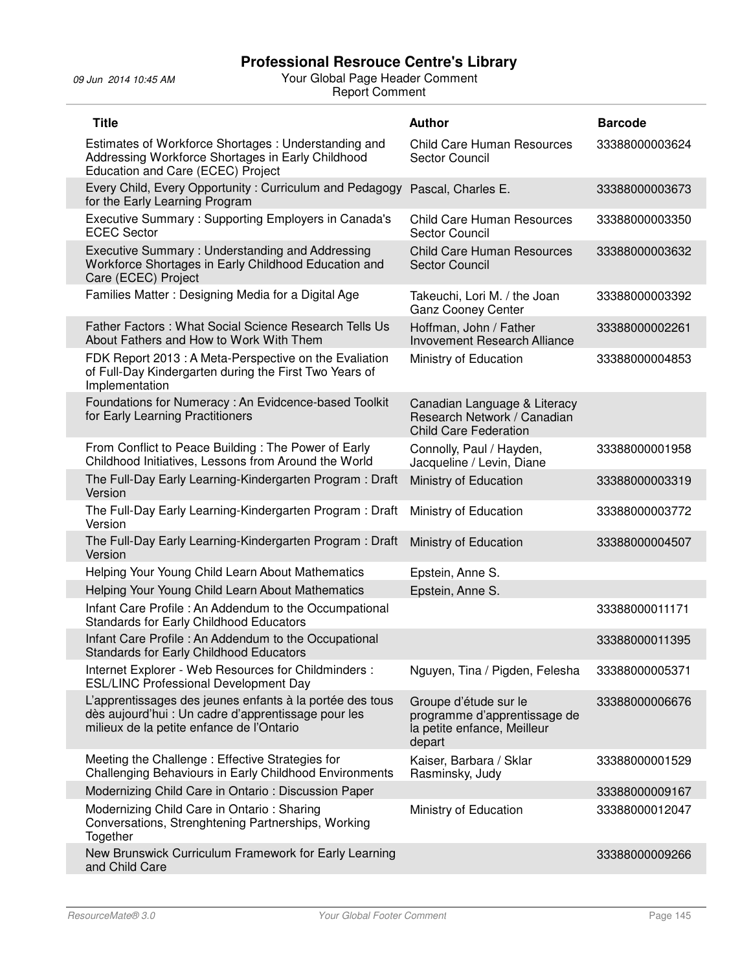09 Jun 2014 10:45 AM Your Global Page Header Comment Report Comment

| <b>Title</b>                                                                                                                                                 | <b>Author</b>                                                                                  | <b>Barcode</b> |
|--------------------------------------------------------------------------------------------------------------------------------------------------------------|------------------------------------------------------------------------------------------------|----------------|
| Estimates of Workforce Shortages: Understanding and<br>Addressing Workforce Shortages in Early Childhood<br>Education and Care (ECEC) Project                | <b>Child Care Human Resources</b><br><b>Sector Council</b>                                     | 33388000003624 |
| Every Child, Every Opportunity: Curriculum and Pedagogy<br>for the Early Learning Program                                                                    | Pascal, Charles E.                                                                             | 33388000003673 |
| Executive Summary: Supporting Employers in Canada's<br><b>ECEC</b> Sector                                                                                    | <b>Child Care Human Resources</b><br>Sector Council                                            | 33388000003350 |
| Executive Summary: Understanding and Addressing<br>Workforce Shortages in Early Childhood Education and<br>Care (ECEC) Project                               | <b>Child Care Human Resources</b><br><b>Sector Council</b>                                     | 33388000003632 |
| Families Matter: Designing Media for a Digital Age                                                                                                           | Takeuchi, Lori M. / the Joan<br><b>Ganz Cooney Center</b>                                      | 33388000003392 |
| Father Factors: What Social Science Research Tells Us<br>About Fathers and How to Work With Them                                                             | Hoffman, John / Father<br><b>Invovement Research Alliance</b>                                  | 33388000002261 |
| FDK Report 2013 : A Meta-Perspective on the Evaliation<br>of Full-Day Kindergarten during the First Two Years of<br>Implementation                           | Ministry of Education                                                                          | 33388000004853 |
| Foundations for Numeracy : An Evidcence-based Toolkit<br>for Early Learning Practitioners                                                                    | Canadian Language & Literacy<br>Research Network / Canadian<br><b>Child Care Federation</b>    |                |
| From Conflict to Peace Building: The Power of Early<br>Childhood Initiatives, Lessons from Around the World                                                  | Connolly, Paul / Hayden,<br>Jacqueline / Levin, Diane                                          | 33388000001958 |
| The Full-Day Early Learning-Kindergarten Program: Draft<br>Version                                                                                           | Ministry of Education                                                                          | 33388000003319 |
| The Full-Day Early Learning-Kindergarten Program: Draft<br>Version                                                                                           | Ministry of Education                                                                          | 33388000003772 |
| The Full-Day Early Learning-Kindergarten Program: Draft<br>Version                                                                                           | Ministry of Education                                                                          | 33388000004507 |
| Helping Your Young Child Learn About Mathematics                                                                                                             | Epstein, Anne S.                                                                               |                |
| Helping Your Young Child Learn About Mathematics                                                                                                             | Epstein, Anne S.                                                                               |                |
| Infant Care Profile: An Addendum to the Occumpational<br>Standards for Early Childhood Educators                                                             |                                                                                                | 33388000011171 |
| Infant Care Profile : An Addendum to the Occupational<br>Standards for Early Childhood Educators                                                             |                                                                                                | 33388000011395 |
| Internet Explorer - Web Resources for Childminders :<br><b>ESL/LINC Professional Development Day</b>                                                         | Nguyen, Tina / Pigden, Felesha                                                                 | 33388000005371 |
| L'apprentissages des jeunes enfants à la portée des tous<br>dès aujourd'hui : Un cadre d'apprentissage pour les<br>milieux de la petite enfance de l'Ontario | Groupe d'étude sur le<br>programme d'apprentissage de<br>la petite enfance, Meilleur<br>depart | 33388000006676 |
| Meeting the Challenge: Effective Strategies for<br>Challenging Behaviours in Early Childhood Environments                                                    | Kaiser, Barbara / Sklar<br>Rasminsky, Judy                                                     | 33388000001529 |
| Modernizing Child Care in Ontario: Discussion Paper                                                                                                          |                                                                                                | 33388000009167 |
| Modernizing Child Care in Ontario: Sharing<br>Conversations, Strenghtening Partnerships, Working<br>Together                                                 | Ministry of Education                                                                          | 33388000012047 |
| New Brunswick Curriculum Framework for Early Learning<br>and Child Care                                                                                      |                                                                                                | 33388000009266 |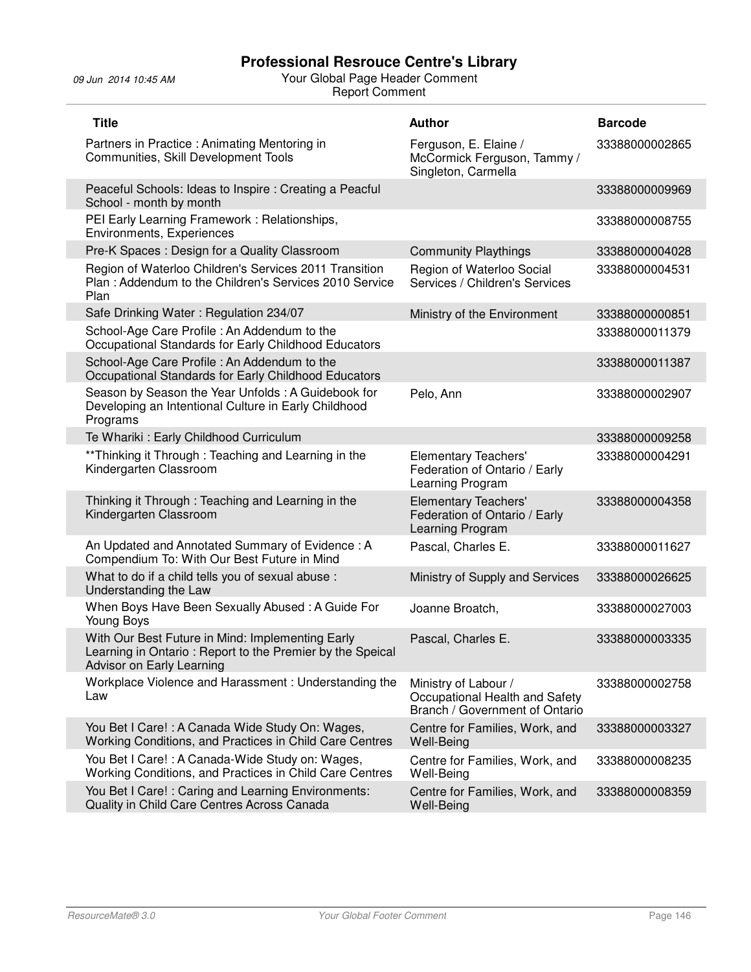09 Jun 2014 10:45 AM Your Global Page Header Comment Report Comment

| <b>Title</b>                                                                                                                               | <b>Author</b>                                                                            | <b>Barcode</b> |
|--------------------------------------------------------------------------------------------------------------------------------------------|------------------------------------------------------------------------------------------|----------------|
| Partners in Practice : Animating Mentoring in<br>Communities, Skill Development Tools                                                      | Ferguson, E. Elaine /<br>McCormick Ferguson, Tammy /<br>Singleton, Carmella              | 33388000002865 |
| Peaceful Schools: Ideas to Inspire : Creating a Peacful<br>School - month by month                                                         |                                                                                          | 33388000009969 |
| PEI Early Learning Framework: Relationships,<br>Environments, Experiences                                                                  |                                                                                          | 33388000008755 |
| Pre-K Spaces: Design for a Quality Classroom                                                                                               | <b>Community Playthings</b>                                                              | 33388000004028 |
| Region of Waterloo Children's Services 2011 Transition<br>Plan: Addendum to the Children's Services 2010 Service<br>Plan                   | Region of Waterloo Social<br>Services / Children's Services                              | 33388000004531 |
| Safe Drinking Water: Regulation 234/07                                                                                                     | Ministry of the Environment                                                              | 33388000000851 |
| School-Age Care Profile: An Addendum to the<br>Occupational Standards for Early Childhood Educators                                        |                                                                                          | 33388000011379 |
| School-Age Care Profile: An Addendum to the<br>Occupational Standards for Early Childhood Educators                                        |                                                                                          | 33388000011387 |
| Season by Season the Year Unfolds: A Guidebook for<br>Developing an Intentional Culture in Early Childhood<br>Programs                     | Pelo, Ann                                                                                | 33388000002907 |
| Te Whariki: Early Childhood Curriculum                                                                                                     |                                                                                          | 33388000009258 |
| **Thinking it Through: Teaching and Learning in the<br>Kindergarten Classroom                                                              | <b>Elementary Teachers'</b><br>Federation of Ontario / Early<br>Learning Program         | 33388000004291 |
| Thinking it Through: Teaching and Learning in the<br>Kindergarten Classroom                                                                | <b>Elementary Teachers'</b><br>Federation of Ontario / Early<br>Learning Program         | 33388000004358 |
| An Updated and Annotated Summary of Evidence: A<br>Compendium To: With Our Best Future in Mind                                             | Pascal, Charles E.                                                                       | 33388000011627 |
| What to do if a child tells you of sexual abuse :<br>Understanding the Law                                                                 | Ministry of Supply and Services                                                          | 33388000026625 |
| When Boys Have Been Sexually Abused: A Guide For<br>Young Boys                                                                             | Joanne Broatch,                                                                          | 33388000027003 |
| With Our Best Future in Mind: Implementing Early<br>Learning in Ontario: Report to the Premier by the Speical<br>Advisor on Early Learning | Pascal, Charles E.                                                                       | 33388000003335 |
| Workplace Violence and Harassment: Understanding the<br>Law                                                                                | Ministry of Labour /<br>Occupational Health and Safety<br>Branch / Government of Ontario | 33388000002758 |
| You Bet I Care!: A Canada Wide Study On: Wages,<br>Working Conditions, and Practices in Child Care Centres                                 | Centre for Families, Work, and<br>Well-Being                                             | 33388000003327 |
| You Bet I Care!: A Canada-Wide Study on: Wages,<br>Working Conditions, and Practices in Child Care Centres                                 | Centre for Families, Work, and<br>Well-Being                                             | 33388000008235 |
| You Bet I Care!: Caring and Learning Environments:<br>Quality in Child Care Centres Across Canada                                          | Centre for Families, Work, and<br>Well-Being                                             | 33388000008359 |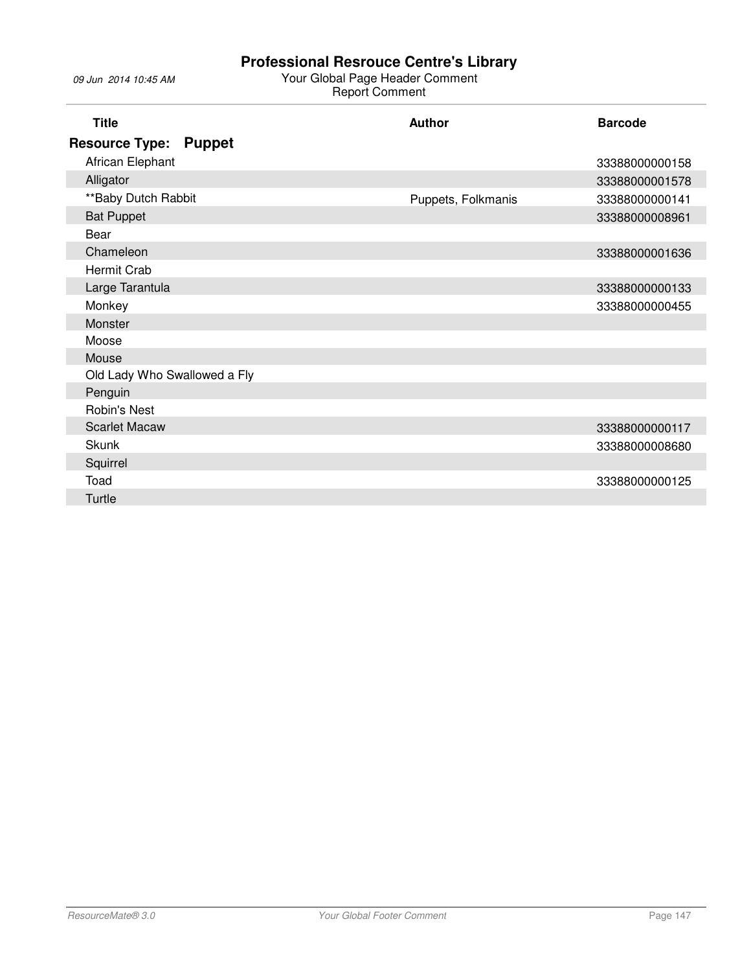#### 09 Jun 2014 10:45 AM Your Global Page Header Comment Report Comment

| <b>Title</b>                           | Author             | <b>Barcode</b> |
|----------------------------------------|--------------------|----------------|
| <b>Resource Type:</b><br><b>Puppet</b> |                    |                |
| African Elephant                       |                    | 33388000000158 |
| Alligator                              |                    | 33388000001578 |
| **Baby Dutch Rabbit                    | Puppets, Folkmanis | 33388000000141 |
| <b>Bat Puppet</b>                      |                    | 33388000008961 |
| Bear                                   |                    |                |
| Chameleon                              |                    | 33388000001636 |
| Hermit Crab                            |                    |                |
| Large Tarantula                        |                    | 33388000000133 |
| Monkey                                 |                    | 33388000000455 |
| Monster                                |                    |                |
| Moose                                  |                    |                |
| Mouse                                  |                    |                |
| Old Lady Who Swallowed a Fly           |                    |                |
| Penguin                                |                    |                |
| <b>Robin's Nest</b>                    |                    |                |
| <b>Scarlet Macaw</b>                   |                    | 33388000000117 |
| <b>Skunk</b>                           |                    | 33388000008680 |
| Squirrel                               |                    |                |
| Toad                                   |                    | 33388000000125 |
| Turtle                                 |                    |                |